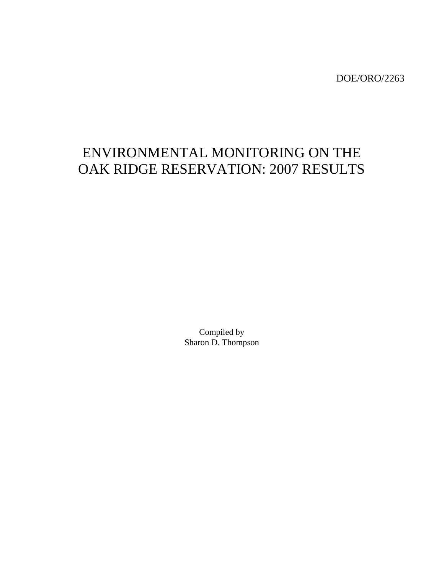DOE/ORO/2263

# ENVIRONMENTAL MONITORING ON THE OAK RIDGE RESERVATION: 2007 RESULTS

Compiled by Sharon D. Thompson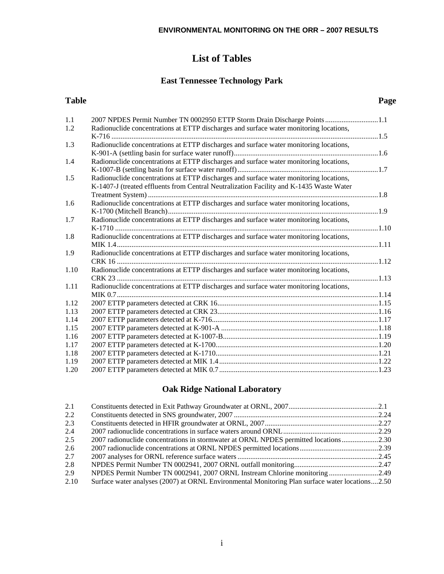## **List of Tables**

## **East Tennessee Technology Park**

#### **Table Page**

| 1.1  | 2007 NPDES Permit Number TN 0002950 ETTP Storm Drain Discharge Points1.1                |  |
|------|-----------------------------------------------------------------------------------------|--|
| 1.2  | Radionuclide concentrations at ETTP discharges and surface water monitoring locations,  |  |
|      |                                                                                         |  |
| 1.3  | Radionuclide concentrations at ETTP discharges and surface water monitoring locations,  |  |
|      |                                                                                         |  |
| 1.4  | Radionuclide concentrations at ETTP discharges and surface water monitoring locations,  |  |
|      |                                                                                         |  |
| 1.5  | Radionuclide concentrations at ETTP discharges and surface water monitoring locations,  |  |
|      | K-1407-J (treated effluents from Central Neutralization Facility and K-1435 Waste Water |  |
|      |                                                                                         |  |
| 1.6  | Radionuclide concentrations at ETTP discharges and surface water monitoring locations,  |  |
|      |                                                                                         |  |
| 1.7  | Radionuclide concentrations at ETTP discharges and surface water monitoring locations,  |  |
|      |                                                                                         |  |
| 1.8  | Radionuclide concentrations at ETTP discharges and surface water monitoring locations,  |  |
|      |                                                                                         |  |
| 1.9  | Radionuclide concentrations at ETTP discharges and surface water monitoring locations,  |  |
|      |                                                                                         |  |
| 1.10 | Radionuclide concentrations at ETTP discharges and surface water monitoring locations,  |  |
|      |                                                                                         |  |
| 1.11 | Radionuclide concentrations at ETTP discharges and surface water monitoring locations,  |  |
|      |                                                                                         |  |
| 1.12 |                                                                                         |  |
| 1.13 |                                                                                         |  |
| 1.14 |                                                                                         |  |
| 1.15 |                                                                                         |  |
| 1.16 |                                                                                         |  |
| 1.17 |                                                                                         |  |
| 1.18 |                                                                                         |  |
| 1.19 |                                                                                         |  |
| 1.20 |                                                                                         |  |

## **Oak Ridge National Laboratory**

| 2.1  |                                                                                                 |  |
|------|-------------------------------------------------------------------------------------------------|--|
| 2.2  |                                                                                                 |  |
| 2.3  |                                                                                                 |  |
| 2.4  |                                                                                                 |  |
| 2.5  | 2.30 2007 radionuclide concentrations in stormwater at ORNL NPDES permitted locations2.30       |  |
| 2.6  |                                                                                                 |  |
| 2.7  |                                                                                                 |  |
| 2.8  |                                                                                                 |  |
| 2.9  | NPDES Permit Number TN 0002941, 2007 ORNL Instream Chlorine monitoring 2.49                     |  |
| 2.10 | Surface water analyses (2007) at ORNL Environmental Monitoring Plan surface water locations2.50 |  |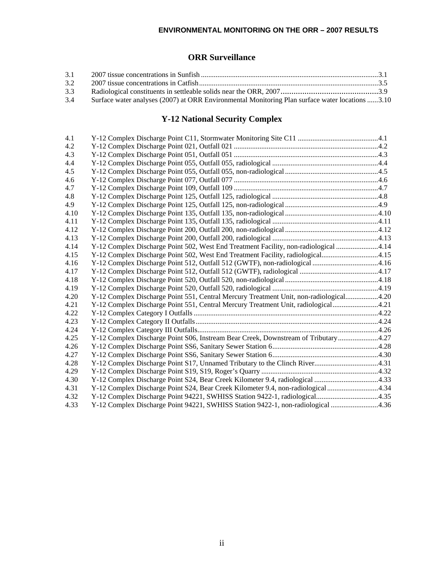#### **ENVIRONMENTAL MONITORING ON THE ORR – 2007 RESULTS**

## **ORR Surveillance**

| 3.1 |                                                                                                 |  |
|-----|-------------------------------------------------------------------------------------------------|--|
| 3.2 |                                                                                                 |  |
| 3.3 |                                                                                                 |  |
| 3.4 | Surface water analyses (2007) at ORR Environmental Monitoring Plan surface water locations 3.10 |  |

## **Y-12 National Security Complex**

| 4.1  |                                                                                        |  |
|------|----------------------------------------------------------------------------------------|--|
| 4.2  |                                                                                        |  |
| 4.3  |                                                                                        |  |
| 4.4  |                                                                                        |  |
| 4.5  |                                                                                        |  |
| 4.6  |                                                                                        |  |
| 4.7  |                                                                                        |  |
| 4.8  |                                                                                        |  |
| 4.9  |                                                                                        |  |
| 4.10 |                                                                                        |  |
| 4.11 |                                                                                        |  |
| 4.12 |                                                                                        |  |
| 4.13 |                                                                                        |  |
| 4.14 | Y-12 Complex Discharge Point 502, West End Treatment Facility, non-radiological 4.14   |  |
| 4.15 | Y-12 Complex Discharge Point 502, West End Treatment Facility, radiological4.15        |  |
| 4.16 | Y-12 Complex Discharge Point 512, Outfall 512 (GWTF), non-radiological 4.16            |  |
| 4.17 |                                                                                        |  |
| 4.18 |                                                                                        |  |
| 4.19 |                                                                                        |  |
| 4.20 | Y-12 Complex Discharge Point 551, Central Mercury Treatment Unit, non-radiological4.20 |  |
| 4.21 | Y-12 Complex Discharge Point 551, Central Mercury Treatment Unit, radiological4.21     |  |
| 4.22 |                                                                                        |  |
| 4.23 |                                                                                        |  |
| 4.24 |                                                                                        |  |
| 4.25 | Y-12 Complex Discharge Point S06, Instream Bear Creek, Downstream of Tributary4.27     |  |
| 4.26 |                                                                                        |  |
| 4.27 |                                                                                        |  |
| 4.28 |                                                                                        |  |
| 4.29 |                                                                                        |  |
| 4.30 | Y-12 Complex Discharge Point S24, Bear Creek Kilometer 9.4, radiological 4.33          |  |
| 4.31 | Y-12 Complex Discharge Point S24, Bear Creek Kilometer 9.4, non-radiological 4.34      |  |
| 4.32 | Y-12 Complex Discharge Point 94221, SWHISS Station 9422-1, radiological4.35            |  |
| 4.33 | Y-12 Complex Discharge Point 94221, SWHISS Station 9422-1, non-radiological 4.36       |  |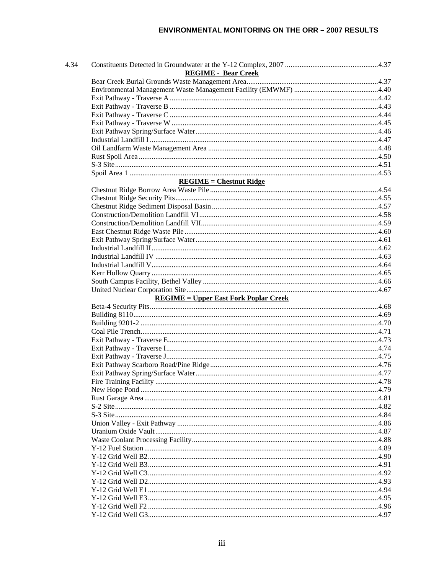| 4.34 |                                              |  |
|------|----------------------------------------------|--|
|      | <b>REGIME - Bear Creek</b>                   |  |
|      |                                              |  |
|      |                                              |  |
|      |                                              |  |
|      |                                              |  |
|      |                                              |  |
|      |                                              |  |
|      |                                              |  |
|      |                                              |  |
|      |                                              |  |
|      |                                              |  |
|      |                                              |  |
|      |                                              |  |
|      | $REGIME = Chestnut Ridge$                    |  |
|      |                                              |  |
|      |                                              |  |
|      |                                              |  |
|      |                                              |  |
|      |                                              |  |
|      |                                              |  |
|      |                                              |  |
|      |                                              |  |
|      |                                              |  |
|      |                                              |  |
|      |                                              |  |
|      |                                              |  |
|      |                                              |  |
|      | <b>REGIME = Upper East Fork Poplar Creek</b> |  |
|      |                                              |  |
|      |                                              |  |
|      |                                              |  |
|      |                                              |  |
|      |                                              |  |
|      |                                              |  |
|      |                                              |  |
|      |                                              |  |
|      |                                              |  |
|      |                                              |  |
|      |                                              |  |
|      |                                              |  |
|      |                                              |  |
|      |                                              |  |
|      |                                              |  |
|      |                                              |  |
|      |                                              |  |
|      |                                              |  |
|      |                                              |  |
|      |                                              |  |
|      |                                              |  |
|      |                                              |  |
|      |                                              |  |
|      |                                              |  |
|      |                                              |  |
|      |                                              |  |
|      |                                              |  |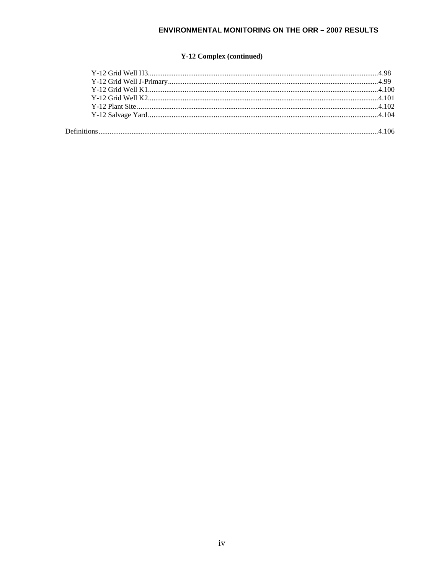## **ENVIRONMENTAL MONITORING ON THE ORR - 2007 RESULTS**

## **Y-12 Complex (continued)**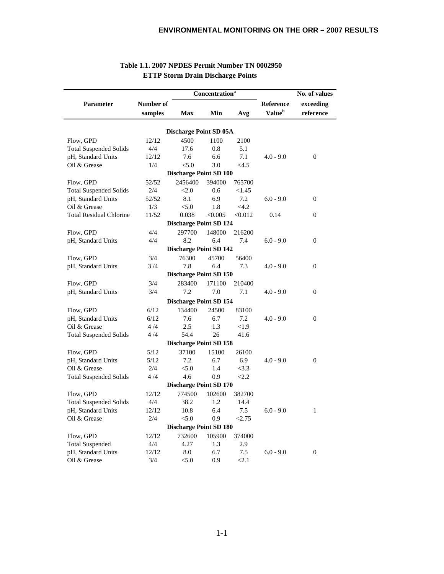|                                |           | No. of values                 |         |         |                    |                  |
|--------------------------------|-----------|-------------------------------|---------|---------|--------------------|------------------|
| Parameter                      | Number of |                               |         |         | Reference          | exceeding        |
|                                | samples   | <b>Max</b>                    | Min     | Avg     | Value <sup>b</sup> | reference        |
|                                |           |                               |         |         |                    |                  |
|                                |           | <b>Discharge Point SD 05A</b> |         |         |                    |                  |
| Flow, GPD                      | 12/12     | 4500                          | 1100    | 2100    |                    |                  |
| <b>Total Suspended Solids</b>  | 4/4       | 17.6                          | 0.8     | 5.1     |                    |                  |
| pH, Standard Units             | 12/12     | 7.6                           | 6.6     | 7.1     | $4.0 - 9.0$        | $\boldsymbol{0}$ |
| Oil & Grease                   | 1/4       | < 5.0                         | 3.0     | <4.5    |                    |                  |
|                                |           | <b>Discharge Point SD 100</b> |         |         |                    |                  |
| Flow, GPD                      | 52/52     | 2456400                       | 394000  | 765700  |                    |                  |
| <b>Total Suspended Solids</b>  | 2/4       | < 2.0                         | 0.6     | <1.45   |                    |                  |
| pH, Standard Units             | 52/52     | 8.1                           | 6.9     | 7.2     | $6.0 - 9.0$        | $\boldsymbol{0}$ |
| Oil & Grease                   | 1/3       | < 5.0                         | 1.8     | <4.2    |                    |                  |
| <b>Total Residual Chlorine</b> | 11/52     | 0.038                         | < 0.005 | < 0.012 | 0.14               | $\boldsymbol{0}$ |
|                                |           | <b>Discharge Point SD 124</b> |         |         |                    |                  |
| Flow, GPD                      | 4/4       | 297700                        | 148000  | 216200  |                    |                  |
| pH, Standard Units             | 4/4       | 8.2                           | 6.4     | 7.4     | $6.0 - 9.0$        | $\boldsymbol{0}$ |
|                                |           | <b>Discharge Point SD 142</b> |         |         |                    |                  |
| Flow, GPD                      | 3/4       | 76300                         | 45700   | 56400   |                    |                  |
| pH, Standard Units             | 3/4       | 7.8                           | 6.4     | 7.3     | $4.0 - 9.0$        | $\boldsymbol{0}$ |
|                                |           | <b>Discharge Point SD 150</b> |         |         |                    |                  |
| Flow, GPD                      | 3/4       | 283400                        | 171100  | 210400  |                    |                  |
| pH, Standard Units             | 3/4       | 7.2                           | 7.0     | 7.1     | $4.0 - 9.0$        | $\Omega$         |
|                                |           | <b>Discharge Point SD 154</b> |         |         |                    |                  |
| Flow, GPD                      | 6/12      | 134400                        | 24500   | 83100   |                    |                  |
| pH, Standard Units             | 6/12      | 7.6                           | 6.7     | 7.2     | $4.0 - 9.0$        | $\boldsymbol{0}$ |
| Oil & Grease                   | 4/4       | 2.5                           | 1.3     | < 1.9   |                    |                  |
| <b>Total Suspended Solids</b>  | 4/4       | 54.4                          | 26      | 41.6    |                    |                  |
|                                |           | <b>Discharge Point SD 158</b> |         |         |                    |                  |
| Flow, GPD                      | 5/12      | 37100                         | 15100   | 26100   |                    |                  |
| pH, Standard Units             | 5/12      | 7.2                           | 6.7     | 6.9     | $4.0 - 9.0$        | $\Omega$         |
| Oil & Grease                   | 2/4       | < 5.0                         | 1.4     | <3.3    |                    |                  |
| <b>Total Suspended Solids</b>  | 4/4       | 4.6                           | 0.9     | < 2.2   |                    |                  |
|                                |           | <b>Discharge Point SD 170</b> |         |         |                    |                  |
| Flow, GPD                      | 12/12     | 774500                        | 102600  | 382700  |                    |                  |
| <b>Total Suspended Solids</b>  | 4/4       | 38.2                          | 1.2     | 14.4    |                    |                  |
| pH, Standard Units             | 12/12     | 10.8                          | 6.4     | 7.5     | $6.0 - 9.0$        | $\mathbf{1}$     |
| Oil & Grease                   | 2/4       | < 5.0                         | 0.9     | < 2.75  |                    |                  |
|                                |           | <b>Discharge Point SD 180</b> |         |         |                    |                  |
| Flow, GPD                      | 12/12     | 732600                        | 105900  | 374000  |                    |                  |
| <b>Total Suspended</b>         | 4/4       | 4.27                          | 1.3     | 2.9     |                    |                  |
| pH, Standard Units             | 12/12     | 8.0                           | 6.7     | 7.5     | $6.0 - 9.0$        | $\mathbf{0}$     |
| Oil & Grease                   | 3/4       | < 5.0                         | 0.9     | < 2.1   |                    |                  |

### **Table 1.1. 2007 NPDES Permit Number TN 0002950 ETTP Storm Drain Discharge Points**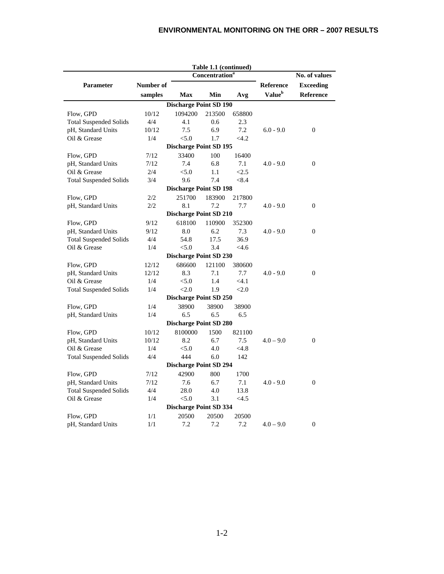|                                    |              |                               | Table 1.1 (continued)      |              |                    |                  |  |  |  |  |
|------------------------------------|--------------|-------------------------------|----------------------------|--------------|--------------------|------------------|--|--|--|--|
|                                    |              |                               | Concentration <sup>a</sup> |              |                    | No. of values    |  |  |  |  |
| Parameter                          | Number of    |                               |                            |              | <b>Reference</b>   | <b>Exceeding</b> |  |  |  |  |
|                                    | samples      | <b>Max</b>                    | Min                        | Avg          | Value <sup>b</sup> | <b>Reference</b> |  |  |  |  |
|                                    |              | <b>Discharge Point SD 190</b> |                            |              |                    |                  |  |  |  |  |
| Flow, GPD                          | 10/12        | 1094200                       | 213500                     | 658800       |                    |                  |  |  |  |  |
| <b>Total Suspended Solids</b>      | 4/4          | 4.1                           | 0.6                        | 2.3          |                    |                  |  |  |  |  |
| pH, Standard Units                 | 10/12        | 7.5                           | 6.9                        | 7.2          | $6.0 - 9.0$        | $\boldsymbol{0}$ |  |  |  |  |
| Oil & Grease                       | 1/4          | < 5.0                         | 1.7                        | <4.2         |                    |                  |  |  |  |  |
| <b>Discharge Point SD 195</b>      |              |                               |                            |              |                    |                  |  |  |  |  |
| Flow, GPD                          | 7/12         | 33400                         | 100                        | 16400        |                    |                  |  |  |  |  |
| pH, Standard Units                 | 7/12         | 7.4                           | 6.8                        | 7.1          | $4.0 - 9.0$        | $\boldsymbol{0}$ |  |  |  |  |
| Oil & Grease                       | 2/4          | < 5.0                         | 1.1                        | < 2.5        |                    |                  |  |  |  |  |
| <b>Total Suspended Solids</b>      | 3/4          | 9.6                           | 7.4                        | < 8.4        |                    |                  |  |  |  |  |
|                                    |              | <b>Discharge Point SD 198</b> |                            |              |                    |                  |  |  |  |  |
| Flow, GPD                          | 2/2          | 251700                        | 183900                     | 217800       |                    |                  |  |  |  |  |
| pH, Standard Units                 | 2/2          | 8.1                           | 7.2                        | 7.7          | $4.0 - 9.0$        | $\mathbf{0}$     |  |  |  |  |
|                                    |              | <b>Discharge Point SD 210</b> |                            |              |                    |                  |  |  |  |  |
| Flow, GPD                          | 9/12         | 618100                        | 110900                     | 352300       |                    |                  |  |  |  |  |
| pH, Standard Units                 | 9/12         | 8.0                           | 6.2                        | 7.3          | $4.0 - 9.0$        | $\boldsymbol{0}$ |  |  |  |  |
| <b>Total Suspended Solids</b>      | 4/4          | 54.8                          | 17.5                       | 36.9         |                    |                  |  |  |  |  |
| Oil & Grease                       | 1/4          | < 5.0                         | 3.4                        | <4.6         |                    |                  |  |  |  |  |
|                                    |              | <b>Discharge Point SD 230</b> |                            |              |                    |                  |  |  |  |  |
| Flow, GPD                          | 12/12        | 686600                        | 121100                     | 380600       |                    |                  |  |  |  |  |
| pH, Standard Units                 | 12/12        | 8.3                           | 7.1                        | 7.7          | $4.0 - 9.0$        | $\boldsymbol{0}$ |  |  |  |  |
| Oil & Grease                       | 1/4          | < 5.0                         | 1.4                        | < 4.1        |                    |                  |  |  |  |  |
| <b>Total Suspended Solids</b>      | 1/4          | < 2.0                         | 1.9                        | < 2.0        |                    |                  |  |  |  |  |
|                                    |              | <b>Discharge Point SD 250</b> |                            |              |                    |                  |  |  |  |  |
|                                    | 1/4          | 38900                         | 38900                      | 38900        |                    |                  |  |  |  |  |
| Flow, GPD<br>pH, Standard Units    | 1/4          | 6.5                           | 6.5                        | 6.5          |                    |                  |  |  |  |  |
|                                    |              | <b>Discharge Point SD 280</b> |                            |              |                    |                  |  |  |  |  |
|                                    |              |                               |                            |              |                    |                  |  |  |  |  |
| Flow, GPD                          | 10/12        | 8100000                       | 1500                       | 821100       |                    |                  |  |  |  |  |
| pH, Standard Units<br>Oil & Grease | 10/12<br>1/4 | 8.2<br>< 5.0                  | 6.7<br>4.0                 | 7.5<br>< 4.8 | $4.0 - 9.0$        | $\overline{0}$   |  |  |  |  |
|                                    |              |                               |                            |              |                    |                  |  |  |  |  |
| <b>Total Suspended Solids</b>      | 4/4          | 444                           | 6.0                        | 142          |                    |                  |  |  |  |  |
|                                    |              | <b>Discharge Point SD 294</b> |                            |              |                    |                  |  |  |  |  |
| Flow, GPD                          | 7/12         | 42900                         | 800                        | 1700         |                    |                  |  |  |  |  |
| pH, Standard Units                 | 7/12         | 7.6                           | 6.7                        | 7.1          | $4.0 - 9.0$        | $\overline{0}$   |  |  |  |  |
| <b>Total Suspended Solids</b>      | 4/4          | 28.0                          | 4.0                        | 13.8         |                    |                  |  |  |  |  |
| Oil & Grease                       | 1/4          | < 5.0                         | 3.1                        | <4.5         |                    |                  |  |  |  |  |
|                                    |              | <b>Discharge Point SD 334</b> |                            |              |                    |                  |  |  |  |  |
| Flow, GPD                          | 1/1          | 20500                         | 20500                      | 20500        |                    |                  |  |  |  |  |
| pH, Standard Units                 | 1/1          | 7.2                           | 7.2                        | 7.2          | $4.0 - 9.0$        | $\boldsymbol{0}$ |  |  |  |  |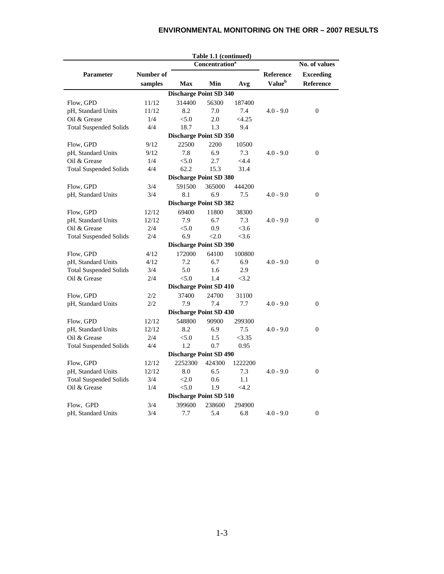## **ENVIRONMENTAL MONITORING ON THE ORR – 2007 RESULTS**

| Concentration <sup>a</sup><br>No. of values<br>Number of<br>Reference<br><b>Exceeding</b><br><b>Parameter</b><br>Value <sup>b</sup><br>Reference<br>samples<br><b>Max</b><br>Min<br>Avg<br><b>Discharge Point SD 340</b><br>56300<br>314400<br>Flow, GPD<br>11/12<br>187400<br>8.2<br>pH, Standard Units<br>11/12<br>7.0<br>7.4<br>$4.0 - 9.0$<br>$\Omega$<br>< 5.0<br>Oil & Grease<br>1/4<br>2.0<br><4.25<br>4/4<br>18.7<br>1.3<br><b>Total Suspended Solids</b><br>9.4<br><b>Discharge Point SD 350</b><br>9/12<br>22500<br>2200<br>Flow, GPD<br>10500<br>7.8<br>6.9<br>$\overline{0}$<br>pH, Standard Units<br>9/12<br>7.3<br>$4.0 - 9.0$<br>< 5.0<br>2.7<br>Oil & Grease<br>1/4<br>$<$ 4.4<br>4/4<br>62.2<br>15.3<br>31.4<br><b>Total Suspended Solids</b><br><b>Discharge Point SD 380</b><br>3/4<br>591500<br>365000<br>444200<br>Flow, GPD<br>3/4<br>8.1<br>6.9<br>$\mathbf{0}$<br>pH, Standard Units<br>7.5<br>$4.0 - 9.0$<br><b>Discharge Point SD 382</b><br>Flow, GPD<br>12/12<br>69400<br>11800<br>38300<br>7.9<br>6.7<br>$\boldsymbol{0}$<br>pH, Standard Units<br>12/12<br>7.3<br>$4.0 - 9.0$<br>Oil & Grease<br>< 5.0<br>0.9<br>< 3.6<br>2/4<br>6.9<br>2/4<br>< 2.0<br>< 3.6<br><b>Total Suspended Solids</b><br><b>Discharge Point SD 390</b><br>172000<br>Flow, GPD<br>4/12<br>64100<br>100800<br>pH, Standard Units<br>4/12<br>7.2<br>6.7<br>6.9<br>$4.0 - 9.0$<br>$\boldsymbol{0}$<br>5.0<br>2.9<br><b>Total Suspended Solids</b><br>3/4<br>1.6<br>Oil & Grease<br>< 5.0<br><3.2<br>2/4<br>1.4<br><b>Discharge Point SD 410</b><br>Flow, GPD<br>37400<br>24700<br>2/2<br>31100 |  |  |  | Table 1.1 (continued) |  |  |  |  |  |  |  |
|---------------------------------------------------------------------------------------------------------------------------------------------------------------------------------------------------------------------------------------------------------------------------------------------------------------------------------------------------------------------------------------------------------------------------------------------------------------------------------------------------------------------------------------------------------------------------------------------------------------------------------------------------------------------------------------------------------------------------------------------------------------------------------------------------------------------------------------------------------------------------------------------------------------------------------------------------------------------------------------------------------------------------------------------------------------------------------------------------------------------------------------------------------------------------------------------------------------------------------------------------------------------------------------------------------------------------------------------------------------------------------------------------------------------------------------------------------------------------------------------------------------------------------------------------------------------------------------------------|--|--|--|-----------------------|--|--|--|--|--|--|--|
|                                                                                                                                                                                                                                                                                                                                                                                                                                                                                                                                                                                                                                                                                                                                                                                                                                                                                                                                                                                                                                                                                                                                                                                                                                                                                                                                                                                                                                                                                                                                                                                                   |  |  |  |                       |  |  |  |  |  |  |  |
|                                                                                                                                                                                                                                                                                                                                                                                                                                                                                                                                                                                                                                                                                                                                                                                                                                                                                                                                                                                                                                                                                                                                                                                                                                                                                                                                                                                                                                                                                                                                                                                                   |  |  |  |                       |  |  |  |  |  |  |  |
|                                                                                                                                                                                                                                                                                                                                                                                                                                                                                                                                                                                                                                                                                                                                                                                                                                                                                                                                                                                                                                                                                                                                                                                                                                                                                                                                                                                                                                                                                                                                                                                                   |  |  |  |                       |  |  |  |  |  |  |  |
|                                                                                                                                                                                                                                                                                                                                                                                                                                                                                                                                                                                                                                                                                                                                                                                                                                                                                                                                                                                                                                                                                                                                                                                                                                                                                                                                                                                                                                                                                                                                                                                                   |  |  |  |                       |  |  |  |  |  |  |  |
|                                                                                                                                                                                                                                                                                                                                                                                                                                                                                                                                                                                                                                                                                                                                                                                                                                                                                                                                                                                                                                                                                                                                                                                                                                                                                                                                                                                                                                                                                                                                                                                                   |  |  |  |                       |  |  |  |  |  |  |  |
|                                                                                                                                                                                                                                                                                                                                                                                                                                                                                                                                                                                                                                                                                                                                                                                                                                                                                                                                                                                                                                                                                                                                                                                                                                                                                                                                                                                                                                                                                                                                                                                                   |  |  |  |                       |  |  |  |  |  |  |  |
|                                                                                                                                                                                                                                                                                                                                                                                                                                                                                                                                                                                                                                                                                                                                                                                                                                                                                                                                                                                                                                                                                                                                                                                                                                                                                                                                                                                                                                                                                                                                                                                                   |  |  |  |                       |  |  |  |  |  |  |  |
|                                                                                                                                                                                                                                                                                                                                                                                                                                                                                                                                                                                                                                                                                                                                                                                                                                                                                                                                                                                                                                                                                                                                                                                                                                                                                                                                                                                                                                                                                                                                                                                                   |  |  |  |                       |  |  |  |  |  |  |  |
|                                                                                                                                                                                                                                                                                                                                                                                                                                                                                                                                                                                                                                                                                                                                                                                                                                                                                                                                                                                                                                                                                                                                                                                                                                                                                                                                                                                                                                                                                                                                                                                                   |  |  |  |                       |  |  |  |  |  |  |  |
|                                                                                                                                                                                                                                                                                                                                                                                                                                                                                                                                                                                                                                                                                                                                                                                                                                                                                                                                                                                                                                                                                                                                                                                                                                                                                                                                                                                                                                                                                                                                                                                                   |  |  |  |                       |  |  |  |  |  |  |  |
|                                                                                                                                                                                                                                                                                                                                                                                                                                                                                                                                                                                                                                                                                                                                                                                                                                                                                                                                                                                                                                                                                                                                                                                                                                                                                                                                                                                                                                                                                                                                                                                                   |  |  |  |                       |  |  |  |  |  |  |  |
|                                                                                                                                                                                                                                                                                                                                                                                                                                                                                                                                                                                                                                                                                                                                                                                                                                                                                                                                                                                                                                                                                                                                                                                                                                                                                                                                                                                                                                                                                                                                                                                                   |  |  |  |                       |  |  |  |  |  |  |  |
|                                                                                                                                                                                                                                                                                                                                                                                                                                                                                                                                                                                                                                                                                                                                                                                                                                                                                                                                                                                                                                                                                                                                                                                                                                                                                                                                                                                                                                                                                                                                                                                                   |  |  |  |                       |  |  |  |  |  |  |  |
|                                                                                                                                                                                                                                                                                                                                                                                                                                                                                                                                                                                                                                                                                                                                                                                                                                                                                                                                                                                                                                                                                                                                                                                                                                                                                                                                                                                                                                                                                                                                                                                                   |  |  |  |                       |  |  |  |  |  |  |  |
|                                                                                                                                                                                                                                                                                                                                                                                                                                                                                                                                                                                                                                                                                                                                                                                                                                                                                                                                                                                                                                                                                                                                                                                                                                                                                                                                                                                                                                                                                                                                                                                                   |  |  |  |                       |  |  |  |  |  |  |  |
|                                                                                                                                                                                                                                                                                                                                                                                                                                                                                                                                                                                                                                                                                                                                                                                                                                                                                                                                                                                                                                                                                                                                                                                                                                                                                                                                                                                                                                                                                                                                                                                                   |  |  |  |                       |  |  |  |  |  |  |  |
|                                                                                                                                                                                                                                                                                                                                                                                                                                                                                                                                                                                                                                                                                                                                                                                                                                                                                                                                                                                                                                                                                                                                                                                                                                                                                                                                                                                                                                                                                                                                                                                                   |  |  |  |                       |  |  |  |  |  |  |  |
|                                                                                                                                                                                                                                                                                                                                                                                                                                                                                                                                                                                                                                                                                                                                                                                                                                                                                                                                                                                                                                                                                                                                                                                                                                                                                                                                                                                                                                                                                                                                                                                                   |  |  |  |                       |  |  |  |  |  |  |  |
|                                                                                                                                                                                                                                                                                                                                                                                                                                                                                                                                                                                                                                                                                                                                                                                                                                                                                                                                                                                                                                                                                                                                                                                                                                                                                                                                                                                                                                                                                                                                                                                                   |  |  |  |                       |  |  |  |  |  |  |  |
|                                                                                                                                                                                                                                                                                                                                                                                                                                                                                                                                                                                                                                                                                                                                                                                                                                                                                                                                                                                                                                                                                                                                                                                                                                                                                                                                                                                                                                                                                                                                                                                                   |  |  |  |                       |  |  |  |  |  |  |  |
|                                                                                                                                                                                                                                                                                                                                                                                                                                                                                                                                                                                                                                                                                                                                                                                                                                                                                                                                                                                                                                                                                                                                                                                                                                                                                                                                                                                                                                                                                                                                                                                                   |  |  |  |                       |  |  |  |  |  |  |  |
|                                                                                                                                                                                                                                                                                                                                                                                                                                                                                                                                                                                                                                                                                                                                                                                                                                                                                                                                                                                                                                                                                                                                                                                                                                                                                                                                                                                                                                                                                                                                                                                                   |  |  |  |                       |  |  |  |  |  |  |  |
|                                                                                                                                                                                                                                                                                                                                                                                                                                                                                                                                                                                                                                                                                                                                                                                                                                                                                                                                                                                                                                                                                                                                                                                                                                                                                                                                                                                                                                                                                                                                                                                                   |  |  |  |                       |  |  |  |  |  |  |  |
|                                                                                                                                                                                                                                                                                                                                                                                                                                                                                                                                                                                                                                                                                                                                                                                                                                                                                                                                                                                                                                                                                                                                                                                                                                                                                                                                                                                                                                                                                                                                                                                                   |  |  |  |                       |  |  |  |  |  |  |  |
|                                                                                                                                                                                                                                                                                                                                                                                                                                                                                                                                                                                                                                                                                                                                                                                                                                                                                                                                                                                                                                                                                                                                                                                                                                                                                                                                                                                                                                                                                                                                                                                                   |  |  |  |                       |  |  |  |  |  |  |  |
|                                                                                                                                                                                                                                                                                                                                                                                                                                                                                                                                                                                                                                                                                                                                                                                                                                                                                                                                                                                                                                                                                                                                                                                                                                                                                                                                                                                                                                                                                                                                                                                                   |  |  |  |                       |  |  |  |  |  |  |  |
|                                                                                                                                                                                                                                                                                                                                                                                                                                                                                                                                                                                                                                                                                                                                                                                                                                                                                                                                                                                                                                                                                                                                                                                                                                                                                                                                                                                                                                                                                                                                                                                                   |  |  |  |                       |  |  |  |  |  |  |  |
|                                                                                                                                                                                                                                                                                                                                                                                                                                                                                                                                                                                                                                                                                                                                                                                                                                                                                                                                                                                                                                                                                                                                                                                                                                                                                                                                                                                                                                                                                                                                                                                                   |  |  |  |                       |  |  |  |  |  |  |  |
|                                                                                                                                                                                                                                                                                                                                                                                                                                                                                                                                                                                                                                                                                                                                                                                                                                                                                                                                                                                                                                                                                                                                                                                                                                                                                                                                                                                                                                                                                                                                                                                                   |  |  |  |                       |  |  |  |  |  |  |  |
| 7.9<br>$\theta$<br>pH, Standard Units<br>2/2<br>7.4<br>7.7<br>$4.0 - 9.0$                                                                                                                                                                                                                                                                                                                                                                                                                                                                                                                                                                                                                                                                                                                                                                                                                                                                                                                                                                                                                                                                                                                                                                                                                                                                                                                                                                                                                                                                                                                         |  |  |  |                       |  |  |  |  |  |  |  |
| <b>Discharge Point SD 430</b>                                                                                                                                                                                                                                                                                                                                                                                                                                                                                                                                                                                                                                                                                                                                                                                                                                                                                                                                                                                                                                                                                                                                                                                                                                                                                                                                                                                                                                                                                                                                                                     |  |  |  |                       |  |  |  |  |  |  |  |
| 548800<br>90900<br>Flow, GPD<br>12/12<br>299300                                                                                                                                                                                                                                                                                                                                                                                                                                                                                                                                                                                                                                                                                                                                                                                                                                                                                                                                                                                                                                                                                                                                                                                                                                                                                                                                                                                                                                                                                                                                                   |  |  |  |                       |  |  |  |  |  |  |  |
| 8.2<br>6.9<br>7.5<br>$4.0 - 9.0$<br>$\mathbf{0}$<br>pH, Standard Units<br>12/12                                                                                                                                                                                                                                                                                                                                                                                                                                                                                                                                                                                                                                                                                                                                                                                                                                                                                                                                                                                                                                                                                                                                                                                                                                                                                                                                                                                                                                                                                                                   |  |  |  |                       |  |  |  |  |  |  |  |
| Oil & Grease<br>2/4<br>< 5.0<br><3.35<br>1.5                                                                                                                                                                                                                                                                                                                                                                                                                                                                                                                                                                                                                                                                                                                                                                                                                                                                                                                                                                                                                                                                                                                                                                                                                                                                                                                                                                                                                                                                                                                                                      |  |  |  |                       |  |  |  |  |  |  |  |
| 4/4<br><b>Total Suspended Solids</b><br>1.2<br>0.7<br>0.95                                                                                                                                                                                                                                                                                                                                                                                                                                                                                                                                                                                                                                                                                                                                                                                                                                                                                                                                                                                                                                                                                                                                                                                                                                                                                                                                                                                                                                                                                                                                        |  |  |  |                       |  |  |  |  |  |  |  |
| <b>Discharge Point SD 490</b>                                                                                                                                                                                                                                                                                                                                                                                                                                                                                                                                                                                                                                                                                                                                                                                                                                                                                                                                                                                                                                                                                                                                                                                                                                                                                                                                                                                                                                                                                                                                                                     |  |  |  |                       |  |  |  |  |  |  |  |
| Flow, GPD<br>12/12<br>2252300<br>424300<br>1222200                                                                                                                                                                                                                                                                                                                                                                                                                                                                                                                                                                                                                                                                                                                                                                                                                                                                                                                                                                                                                                                                                                                                                                                                                                                                                                                                                                                                                                                                                                                                                |  |  |  |                       |  |  |  |  |  |  |  |
| 6.5<br>7.3<br>$\mathbf{0}$<br>pH, Standard Units<br>12/12<br>8.0<br>$4.0 - 9.0$                                                                                                                                                                                                                                                                                                                                                                                                                                                                                                                                                                                                                                                                                                                                                                                                                                                                                                                                                                                                                                                                                                                                                                                                                                                                                                                                                                                                                                                                                                                   |  |  |  |                       |  |  |  |  |  |  |  |
| <b>Total Suspended Solids</b><br>3/4<br>< 2.0<br>0.6<br>1.1                                                                                                                                                                                                                                                                                                                                                                                                                                                                                                                                                                                                                                                                                                                                                                                                                                                                                                                                                                                                                                                                                                                                                                                                                                                                                                                                                                                                                                                                                                                                       |  |  |  |                       |  |  |  |  |  |  |  |
| Oil & Grease<br>1/4<br>< 5.0<br><4.2<br>1.9                                                                                                                                                                                                                                                                                                                                                                                                                                                                                                                                                                                                                                                                                                                                                                                                                                                                                                                                                                                                                                                                                                                                                                                                                                                                                                                                                                                                                                                                                                                                                       |  |  |  |                       |  |  |  |  |  |  |  |
| <b>Discharge Point SD 510</b>                                                                                                                                                                                                                                                                                                                                                                                                                                                                                                                                                                                                                                                                                                                                                                                                                                                                                                                                                                                                                                                                                                                                                                                                                                                                                                                                                                                                                                                                                                                                                                     |  |  |  |                       |  |  |  |  |  |  |  |
| 3/4<br>399600<br>238600<br>294900<br>Flow, GPD                                                                                                                                                                                                                                                                                                                                                                                                                                                                                                                                                                                                                                                                                                                                                                                                                                                                                                                                                                                                                                                                                                                                                                                                                                                                                                                                                                                                                                                                                                                                                    |  |  |  |                       |  |  |  |  |  |  |  |
| 5.4<br>pH, Standard Units<br>3/4<br>7.7<br>6.8<br>$4.0 - 9.0$<br>$\boldsymbol{0}$                                                                                                                                                                                                                                                                                                                                                                                                                                                                                                                                                                                                                                                                                                                                                                                                                                                                                                                                                                                                                                                                                                                                                                                                                                                                                                                                                                                                                                                                                                                 |  |  |  |                       |  |  |  |  |  |  |  |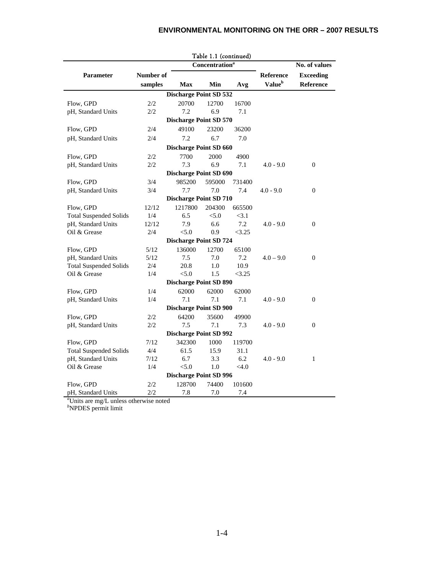## **ENVIRONMENTAL MONITORING ON THE ORR – 2007 RESULTS**

|                                                                                          |              |                               | Table 1.1 (continued)             |         |                           |                  |  |  |
|------------------------------------------------------------------------------------------|--------------|-------------------------------|-----------------------------------|---------|---------------------------|------------------|--|--|
|                                                                                          |              |                               | <b>Concentration</b> <sup>a</sup> |         |                           | No. of values    |  |  |
| Parameter                                                                                | Number of    |                               |                                   |         | <b>Reference</b>          | <b>Exceeding</b> |  |  |
|                                                                                          | samples      | <b>Max</b>                    | Min                               | Avg     | <b>Value</b> <sup>b</sup> | Reference        |  |  |
|                                                                                          |              | <b>Discharge Point SD 532</b> |                                   |         |                           |                  |  |  |
| Flow, GPD                                                                                | 2/2          | 20700                         | 12700                             | 16700   |                           |                  |  |  |
| pH, Standard Units                                                                       | 2/2          | 7.2                           | 6.9                               | 7.1     |                           |                  |  |  |
|                                                                                          |              | <b>Discharge Point SD 570</b> |                                   |         |                           |                  |  |  |
| Flow, GPD                                                                                | 2/4          | 49100                         | 23200                             | 36200   |                           |                  |  |  |
| pH, Standard Units                                                                       | 2/4          | 7.2                           | 6.7                               | 7.0     |                           |                  |  |  |
|                                                                                          |              | <b>Discharge Point SD 660</b> |                                   |         |                           |                  |  |  |
| Flow, GPD                                                                                | 2/2          | 7700                          | 2000                              | 4900    |                           |                  |  |  |
| pH, Standard Units                                                                       | 2/2          | 7.3                           | 6.9                               | 7.1     | $4.0 - 9.0$               | $\mathbf{0}$     |  |  |
|                                                                                          |              | <b>Discharge Point SD 690</b> |                                   |         |                           |                  |  |  |
| Flow, GPD                                                                                | 3/4          | 985200                        | 595000                            | 731400  |                           |                  |  |  |
| pH, Standard Units                                                                       | 3/4          | 7.7                           | 7.0                               | 7.4     | $4.0 - 9.0$               | $\overline{0}$   |  |  |
|                                                                                          |              | <b>Discharge Point SD 710</b> |                                   |         |                           |                  |  |  |
| Flow, GPD                                                                                | 12/12        | 1217800                       | 204300                            | 665500  |                           |                  |  |  |
| <b>Total Suspended Solids</b>                                                            | 1/4          | 6.5                           | < 5.0                             | <3.1    |                           |                  |  |  |
| pH, Standard Units                                                                       | 12/12        | 7.9                           | 6.6                               | 7.2     | $4.0 - 9.0$               | $\boldsymbol{0}$ |  |  |
| Oil & Grease                                                                             | 2/4          | < 5.0                         | 0.9                               | <3.25   |                           |                  |  |  |
|                                                                                          |              | <b>Discharge Point SD 724</b> |                                   |         |                           |                  |  |  |
| Flow, GPD                                                                                | 5/12         | 136000                        | 12700                             | 65100   |                           |                  |  |  |
| pH, Standard Units                                                                       | 5/12         | 7.5                           | 7.0                               | 7.2     | $4.0 - 9.0$               | $\overline{0}$   |  |  |
| <b>Total Suspended Solids</b>                                                            | 2/4          | 20.8                          | 1.0                               | 10.9    |                           |                  |  |  |
| Oil & Grease                                                                             | 1/4          | < 5.0                         | 1.5                               | <3.25   |                           |                  |  |  |
|                                                                                          |              | <b>Discharge Point SD 890</b> |                                   |         |                           |                  |  |  |
| Flow, GPD                                                                                | 1/4          | 62000                         | 62000                             | 62000   |                           |                  |  |  |
| pH, Standard Units                                                                       | 1/4          | 7.1                           | 7.1                               | 7.1     | $4.0 - 9.0$               | 0                |  |  |
| <b>Discharge Point SD 900</b>                                                            |              |                               |                                   |         |                           |                  |  |  |
| Flow, GPD                                                                                | 2/2          | 64200                         | 35600                             | 49900   |                           |                  |  |  |
| pH, Standard Units                                                                       | 2/2          | 7.5                           | 7.1                               | 7.3     | $4.0 - 9.0$               | $\overline{0}$   |  |  |
| <b>Discharge Point SD 992</b>                                                            |              |                               |                                   |         |                           |                  |  |  |
| Flow, GPD                                                                                | 7/12         | 342300                        | 1000                              | 119700  |                           |                  |  |  |
| <b>Total Suspended Solids</b>                                                            | 4/4          | 61.5                          | 15.9                              | 31.1    |                           |                  |  |  |
| pH, Standard Units                                                                       | 7/12         | 6.7                           | 3.3                               | 6.2     | $4.0 - 9.0$               | 1                |  |  |
| Oil & Grease                                                                             | 1/4          | < 5.0                         | 1.0                               | $<$ 4.0 |                           |                  |  |  |
|                                                                                          |              | <b>Discharge Point SD 996</b> |                                   |         |                           |                  |  |  |
| Flow, GPD                                                                                | 2/2          | 128700                        | 74400                             | 101600  |                           |                  |  |  |
| pH, Standard Units<br>$a_{\text{I}}$ In the case on $\pi/\Gamma$ continues with constant | 2/2<br>1.111 | 7.8                           | 7.0                               | 7.4     |                           |                  |  |  |

## Table 1.1 (continued)

*a* Units are mg/L unless otherwise noted *b* NPDES permit limit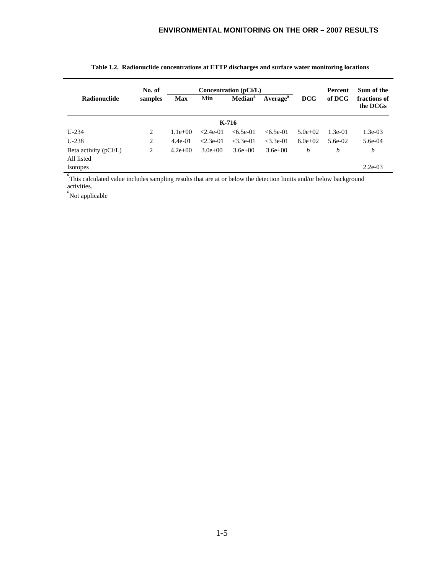|                                       | No. of  |            |             | Concentration (pCi/L) |                      |            | Percent   | Sum of the               |  |
|---------------------------------------|---------|------------|-------------|-----------------------|----------------------|------------|-----------|--------------------------|--|
| <b>Radionuclide</b>                   | samples | <b>Max</b> | Min         | Median <sup>a</sup>   | Average <sup>a</sup> | <b>DCG</b> | of DCG    | fractions of<br>the DCGs |  |
| K-716                                 |         |            |             |                       |                      |            |           |                          |  |
| $U-234$                               | 2       | $1.1e+00$  | $< 2.4e-01$ | $< 6.5e-01$           | $< 6.5e-01$          | $5.0e+02$  | $1.3e-01$ | $1.3e-03$                |  |
| $U-238$                               | 2       | $4.4e-01$  | $< 2.3e-01$ | $<$ 3.3e-01           | $<$ 3.3e-01          | $6.0e+02$  | $5.6e-02$ | $5.6e-04$                |  |
| Beta activity $(pCi/L)$<br>All listed | 2       | $4.2e+00$  | $3.0e+00$   | $3.6e+00$             | $3.6e + 00$          | b          | b         | b                        |  |
| <b>Isotopes</b>                       |         |            |             |                       |                      |            |           | $2.2e-03$                |  |

|  | Table 1.2. Radionuclide concentrations at ETTP discharges and surface water monitoring locations |  |  |  |
|--|--------------------------------------------------------------------------------------------------|--|--|--|
|  |                                                                                                  |  |  |  |

<sup>a</sup> This calculated value includes sampling results that are at or below the detection limits and/or below background activities. *b* Not applicable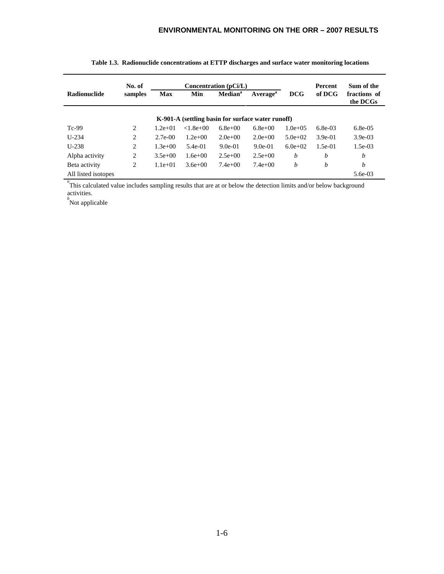|                     | No. of         |            |                                                   | Concentration (pCi/L) |                      |              | Percent    | Sum of the               |
|---------------------|----------------|------------|---------------------------------------------------|-----------------------|----------------------|--------------|------------|--------------------------|
| <b>Radionuclide</b> | samples        | <b>Max</b> | Min                                               | Median <sup>a</sup>   | Average <sup>a</sup> | <b>DCG</b>   | of DCG     | fractions of<br>the DCGs |
|                     |                |            | K-901-A (settling basin for surface water runoff) |                       |                      |              |            |                          |
| $Tc-99$             | 2              | $1.2e+01$  | $< 1.8e + 0.0$                                    | $6.8e + 00$           | $6.8e + 00$          | $1.0e + 0.5$ | $6.8e-0.3$ | $6.8e-0.5$               |
| $U - 234$           | $\overline{2}$ | $2.7e-00$  | $1.2e+00$                                         | $2.0e+0.0$            | $2.0e+0.0$           | $5.0e+02$    | $3.9e-01$  | $3.9e-0.3$               |
| $U-238$             | $\overline{2}$ | $1.3e+00$  | $5.4e-01$                                         | $9.0e-01$             | $9.0e-01$            | $6.0e+02$    | $1.5e-01$  | $1.5e-0.3$               |
| Alpha activity      | 2              | $3.5e+00$  | $1.6e + 00$                                       | $2.5e+00$             | $2.5e+00$            | b            | b          | $\boldsymbol{b}$         |
| Beta activity       | 2              | $1.1e+01$  | $3.6e + 00$                                       | $7.4e+00$             | $7.4e+00$            | h            | b          | b                        |
| All listed isotopes |                |            |                                                   |                       |                      |              |            | 5.6e-03                  |

| Table 1.3. Radionuclide concentrations at ETTP discharges and surface water monitoring locations |
|--------------------------------------------------------------------------------------------------|

<sup>*a*</sup>This calculated value includes sampling results that are at or below the detection limits and/or below background activities.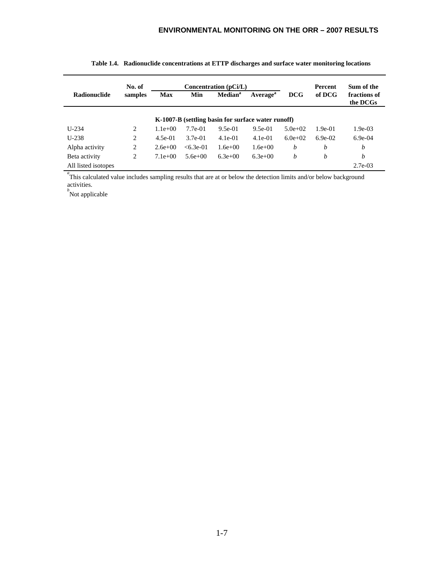|                     | No. of         |            |            | Concentration $(pCi/L)$ |                                                    |           | Percent   | Sum of the               |
|---------------------|----------------|------------|------------|-------------------------|----------------------------------------------------|-----------|-----------|--------------------------|
| <b>Radionuclide</b> | samples        | <b>Max</b> | Min        | Median <sup>a</sup>     | <b>Average</b> <sup>a</sup>                        | DCG       | of DCG    | fractions of<br>the DCGs |
|                     |                |            |            |                         | K-1007-B (settling basin for surface water runoff) |           |           |                          |
| $U - 234$           | 2              | $1.1e+00$  | $7.7e-01$  | $9.5e-01$               | $9.5e-01$                                          | $5.0e+02$ | $1.9e-01$ | $1.9e-03$                |
| $U-238$             | 2              | $4.5e-01$  | $3.7e-01$  | $4.1e-01$               | $4.1e-01$                                          | $6.0e+02$ | $6.9e-02$ | $6.9e-04$                |
| Alpha activity      | $\overline{2}$ | $2.6e+00$  | $<6.3e-01$ | $1.6e + 00$             | $1.6e + 00$                                        | b         | h         | b                        |
| Beta activity       | 2              | $7.1e+00$  | $5.6e+00$  | $6.3e+00$               | $6.3e+00$                                          | h         | b         | b                        |
| All listed isotopes |                |            |            |                         |                                                    |           |           | $2.7e-03$                |

|  | Table 1.4. Radionuclide concentrations at ETTP discharges and surface water monitoring locations |  |
|--|--------------------------------------------------------------------------------------------------|--|

<sup>*a*</sup>This calculated value includes sampling results that are at or below the detection limits and/or below background activities.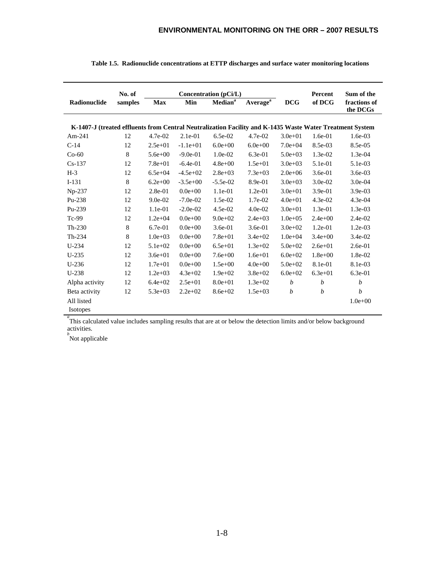|                                                                                                          | No. of      |             |             | Concentration (pCi/L)      |                      |                  | Percent          | Sum of the               |
|----------------------------------------------------------------------------------------------------------|-------------|-------------|-------------|----------------------------|----------------------|------------------|------------------|--------------------------|
| Radionuclide                                                                                             | samples     | <b>Max</b>  | Min         | <b>Median</b> <sup>a</sup> | Average <sup>a</sup> | <b>DCG</b>       | of DCG           | fractions of<br>the DCGs |
| K-1407-J (treated effluents from Central Neutralization Facility and K-1435 Waste Water Treatment System |             |             |             |                            |                      |                  |                  |                          |
| Am- $241$                                                                                                | 12          | $4.7e-02$   | $2.1e-01$   | $6.5e-02$                  | $4.7e-02$            | $3.0e + 01$      | 1.6e-01          | $1.6e-03$                |
| $C-14$                                                                                                   | 12          | $2.5e+01$   | $-1.1e+01$  | $6.0e + 00$                | $6.0e + 00$          | $7.0e + 04$      | 8.5e-03          | 8.5e-05                  |
| $Co-60$                                                                                                  | $\,$ 8 $\,$ | $5.6e + 00$ | $-9.0e-01$  | $1.0e-02$                  | $6.3e-01$            | $5.0e + 03$      | 1.3e-02          | $1.3e-04$                |
| $Cs-137$                                                                                                 | 12          | $7.8e + 01$ | $-6.4e-01$  | $4.8e + 00$                | $1.5e+01$            | $3.0e + 03$      | 5.1e-01          | 5.1e-03                  |
| $H-3$                                                                                                    | 12          | $6.5e + 04$ | $-4.5e+02$  | $2.8e + 03$                | $7.3e+03$            | $2.0e + 06$      | $3.6e-01$        | $3.6e-03$                |
| $I-131$                                                                                                  | 8           | $6.2e + 00$ | $-3.5e+00$  | $-5.5e-02$                 | 8.9e-01              | $3.0e + 03$      | $3.0e-02$        | $3.0e-04$                |
| $Np-237$                                                                                                 | 12          | $2.8e-01$   | $0.0e + 00$ | $1.1e-01$                  | $1.2e-01$            | $3.0e + 01$      | $3.9e-01$        | $3.9e-03$                |
| Pu-238                                                                                                   | 12          | $9.0e-02$   | $-7.0e-02$  | $1.5e-02$                  | $1.7e-02$            | $4.0e + 01$      | $4.3e-02$        | 4.3e-04                  |
| $Pu-239$                                                                                                 | 12          | 1.1e-01     | $-2.0e-02$  | 4.5e-02                    | $4.0e-02$            | $3.0e + 01$      | 1.3e-01          | 1.3e-03                  |
| $Tc-99$                                                                                                  | 12          | $1.2e + 04$ | $0.0e + 00$ | $9.0e + 02$                | $2.4e+03$            | $1.0e + 0.5$     | $2.4e + 00$      | $2.4e-02$                |
| $Th-230$                                                                                                 | $\,$ 8 $\,$ | $6.7e-01$   | $0.0e + 00$ | 3.6e-01                    | $3.6e-01$            | $3.0e + 02$      | 1.2e-01          | $1.2e-03$                |
| $Th-234$                                                                                                 | 8           | $1.0e + 03$ | $0.0e + 00$ | $7.8e + 01$                | $3.4e + 02$          | $1.0e + 04$      | $3.4e + 00$      | 3.4e-02                  |
| $U-234$                                                                                                  | 12          | $5.1e+02$   | $0.0e + 00$ | $6.5e + 01$                | $1.3e + 02$          | $5.0e + 02$      | $2.6e + 01$      | $2.6e-01$                |
| $U-235$                                                                                                  | 12          | $3.6e + 01$ | $0.0e + 00$ | $7.6e + 00$                | $1.6e + 01$          | $6.0e + 02$      | $1.8e + 00$      | 1.8e-02                  |
| $U-236$                                                                                                  | 12          | $1.7e + 01$ | $0.0e + 00$ | $1.5e+00$                  | $4.0e + 00$          | $5.0e + 02$      | 8.1e-01          | 8.1e-03                  |
| $U-238$                                                                                                  | 12          | $1.2e + 03$ | $4.3e+02$   | $1.9e + 02$                | $3.8e + 02$          | $6.0e + 02$      | $6.3e + 01$      | $6.3e-01$                |
| Alpha activity                                                                                           | 12          | $6.4e + 02$ | $2.5e+01$   | $8.0e + 01$                | $1.3e+02$            | $\boldsymbol{b}$ | $\boldsymbol{b}$ | $\boldsymbol{b}$         |
| Beta activity                                                                                            | 12          | $5.3e + 03$ | $2.2e+02$   | $8.6e + 02$                | $1.5e+03$            | $\boldsymbol{b}$ | $\boldsymbol{b}$ | b                        |
| All listed                                                                                               |             |             |             |                            |                      |                  |                  | $1.0e + 00$              |
| <b>Isotopes</b>                                                                                          |             |             |             |                            |                      |                  |                  |                          |

|  |  | Table 1.5. Radionuclide concentrations at ETTP discharges and surface water monitoring locations |  |  |  |  |  |  |
|--|--|--------------------------------------------------------------------------------------------------|--|--|--|--|--|--|
|--|--|--------------------------------------------------------------------------------------------------|--|--|--|--|--|--|

<sup>a</sup> This calculated value includes sampling results that are at or below the detection limits and/or below background activities. *b* Not applicable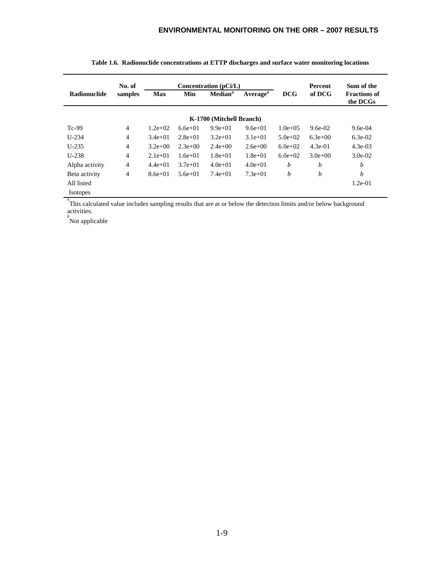|                     | No. of         |            |           | Concentration $(pCi/L)$  |                             |              | <b>Percent</b>   | Sum of the                      |
|---------------------|----------------|------------|-----------|--------------------------|-----------------------------|--------------|------------------|---------------------------------|
| <b>Radionuclide</b> | samples        | <b>Max</b> | Min       | Median <sup>a</sup>      | <b>Average</b> <sup>a</sup> | <b>DCG</b>   | of DCG           | <b>Fractions of</b><br>the DCGs |
|                     |                |            |           | K-1700 (Mitchell Branch) |                             |              |                  |                                 |
| $Tc-99$             | 4              | $1.2e+02$  | $6.6e+01$ | $9.9e+01$                | $9.6e + 01$                 | $1.0e + 0.5$ | $9.6e-02$        | $9.6e-04$                       |
| $U-234$             | $\overline{4}$ | $3.4e+01$  | $2.8e+01$ | $3.2e+01$                | $3.1e+01$                   | $5.0e+02$    | $6.3e+00$        | $6.3e-02$                       |
| $U-235$             | $\overline{4}$ | $3.2e+00$  | $2.3e+00$ | $2.4e+00$                | $2.6e+0.0$                  | $6.0e+02$    | $4.3e-01$        | $4.3e-03$                       |
| $U-238$             | $\overline{4}$ | $2.1e+01$  | $1.6e+01$ | $1.8e + 01$              | $1.8e + 01$                 | $6.0e + 02$  | $3.0e + 00$      | $3.0e-02$                       |
| Alpha activity      | $\overline{4}$ | $4.4e+01$  | $3.7e+01$ | $4.0e+01$                | $4.0e+01$                   | b            | $\boldsymbol{b}$ | h                               |
| Beta activity       | 4              | $8.6e+01$  | $5.6e+01$ | $7.4e+01$                | $7.3e+01$                   | b            | b                | h                               |
| All listed          |                |            |           |                          |                             |              |                  | $1.2e-01$                       |
| <b>Isotopes</b>     |                |            |           |                          |                             |              |                  |                                 |

|  | Table 1.6. Radionuclide concentrations at ETTP discharges and surface water monitoring locations |  |  |  |
|--|--------------------------------------------------------------------------------------------------|--|--|--|

<sup>a</sup> This calculated value includes sampling results that are at or below the detection limits and/or below background activities.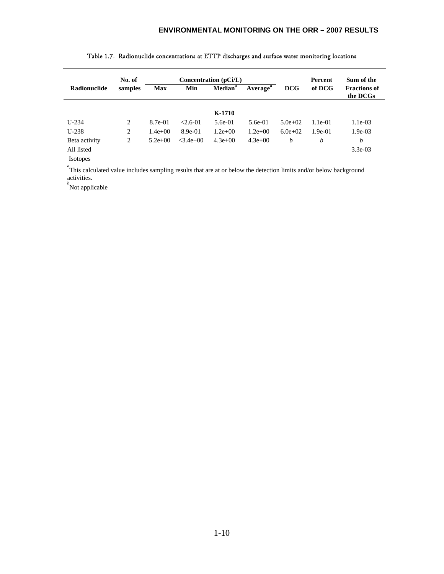|                 | No. of  |            | Concentration (pCi/L) |                                                           |           |             | <b>Percent</b> | Sum of the                      |
|-----------------|---------|------------|-----------------------|-----------------------------------------------------------|-----------|-------------|----------------|---------------------------------|
| Radionuclide    | samples | <b>Max</b> | Min                   | <b>Median</b> <sup>a</sup><br><b>Average</b> <sup>a</sup> |           | <b>DCG</b>  | of DCG         | <b>Fractions of</b><br>the DCGs |
|                 |         |            |                       | K-1710                                                    |           |             |                |                                 |
| $U-234$         | 2       | 8.7e-01    | $< 2.6 - 01$          | $5.6e-01$                                                 | $5.6e-01$ | $5.0e+02$   | $1.1e-01$      | $1.1e-03$                       |
| $U-238$         | 2       | $1.4e+00$  | 8.9e-01               | $1.2e+00$                                                 | $1.2e+00$ | $6.0e + 02$ | $1.9e-01$      | $1.9e-03$                       |
| Beta activity   | 2       | $5.2e+00$  | $<$ 3.4e+00           | $4.3e+00$                                                 | $4.3e+00$ | b           | b              | b                               |
| All listed      |         |            |                       |                                                           |           |             |                | $3.3e-03$                       |
| <b>Isotopes</b> |         |            |                       |                                                           |           |             |                |                                 |

#### Table 1.7. Radionuclide concentrations at ETTP discharges and surface water monitoring locations

<sup>*a*</sup>This calculated value includes sampling results that are at or below the detection limits and/or below background activities.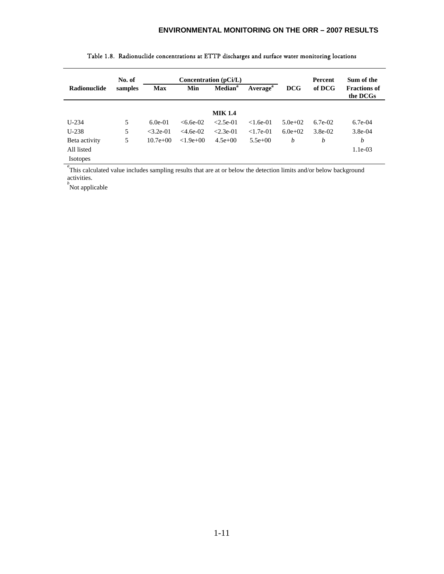|                 | Concentration $(pCi/L)$<br>No. of |             |               |                            |                      |            | <b>Percent</b> | Sum of the                      |
|-----------------|-----------------------------------|-------------|---------------|----------------------------|----------------------|------------|----------------|---------------------------------|
| Radionuclide    | samples                           | <b>Max</b>  | Min           | <b>Median</b> <sup>a</sup> | Average <sup>a</sup> | <b>DCG</b> | of DCG         | <b>Fractions of</b><br>the DCGs |
|                 |                                   |             |               | <b>MIK 1.4</b>             |                      |            |                |                                 |
| $U-234$         | 5                                 | $6.0e-01$   | $<6.6e-02$    | $< 2.5e-01$                | $< 1.6e-01$          | $5.0e+02$  | $6.7e-02$      | $6.7e-04$                       |
| $U-238$         | 5                                 | $< 3.2e-01$ | $<$ 4.6e-02   | $< 2.3e-01$                | $< 1.7e-01$          | $6.0e+02$  | 3.8e-02        | $3.8e-04$                       |
| Beta activity   | 5                                 | $10.7e+00$  | $< 1.9e + 00$ | $4.5e+00$                  | $5.5e+00$            | b          | b              | b                               |
| All listed      |                                   |             |               |                            |                      |            |                | $1.1e-03$                       |
| <b>Isotopes</b> |                                   |             |               |                            |                      |            |                |                                 |

| Table 1.8. Radionuclide concentrations at ETTP discharges and surface water monitoring locations |  |  |  |  |
|--------------------------------------------------------------------------------------------------|--|--|--|--|
|                                                                                                  |  |  |  |  |

<sup>*a*</sup>This calculated value includes sampling results that are at or below the detection limits and/or below background activities.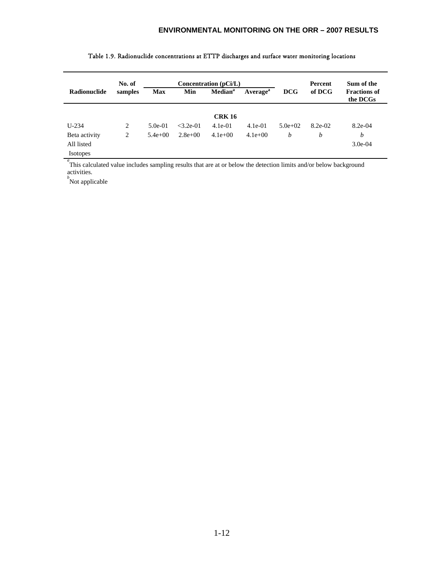|                 | No. of<br>Concentration (pCi/L) |             |             |                     |                      |             | Percent | Sum of the                      |
|-----------------|---------------------------------|-------------|-------------|---------------------|----------------------|-------------|---------|---------------------------------|
| Radionuclide    | samples                         | <b>Max</b>  | Min         | Median <sup>a</sup> | Average <sup>a</sup> | <b>DCG</b>  | of DCG  | <b>Fractions of</b><br>the DCGs |
|                 |                                 |             |             | <b>CRK 16</b>       |                      |             |         |                                 |
| $U-234$         | 2                               | $5.0e-01$   | $<$ 3.2e-01 | $4.1e-01$           | $4.1e-01$            | $5.0e + 02$ | 8.2e-02 | $8.2e-04$                       |
| Beta activity   | 2                               | $5.4e + 00$ | $2.8e+00$   | $4.1e+00$           | $4.1e+00$            | b           | b       | b                               |
| All listed      |                                 |             |             |                     |                      |             |         | $3.0e-04$                       |
| <b>Isotopes</b> |                                 |             |             |                     |                      |             |         |                                 |

#### Table 1.9. Radionuclide concentrations at ETTP discharges and surface water monitoring locations

<sup>a</sup> This calculated value includes sampling results that are at or below the detection limits and/or below background activities. *b* Not applicable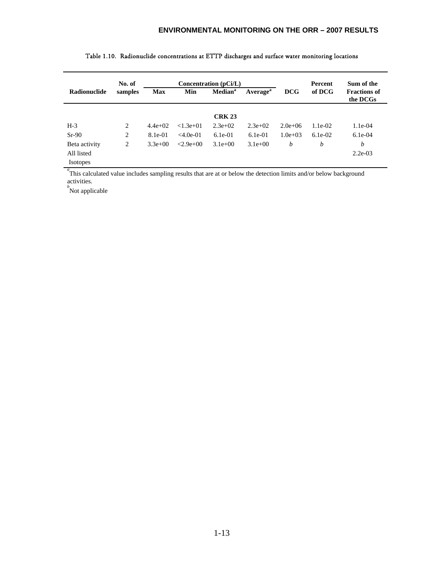|                 | No. of  |            | Concentration $(pCi/L)$ |                     |                      |            | Percent   | Sum of the                      |
|-----------------|---------|------------|-------------------------|---------------------|----------------------|------------|-----------|---------------------------------|
| Radionuclide    | samples | <b>Max</b> | Min                     | Median <sup>a</sup> | Average <sup>a</sup> | <b>DCG</b> | of DCG    | <b>Fractions of</b><br>the DCGs |
|                 |         |            |                         | <b>CRK 23</b>       |                      |            |           |                                 |
| $H-3$           | 2       | $4.4e+02$  | $< 1.3e + 01$           | $2.3e+0.2$          | $2.3e+0.2$           | $2.0e+06$  | $1.1e-02$ | $1.1e-04$                       |
| $Sr-90$         | 2       | 8.1e-01    | $<4.0e-01$              | $6.1e-01$           | $6.1e-01$            | $1.0e+03$  | $6.1e-02$ | $6.1e-04$                       |
| Beta activity   | 2       | $3.3e+00$  | $< 2.9e + 0.01$         | $3.1e+00$           | $3.1e+00$            | b          | b         | b                               |
| All listed      |         |            |                         |                     |                      |            |           | $2.2e-03$                       |
| <b>Isotopes</b> |         |            |                         |                     |                      |            |           |                                 |

### Table 1.10. Radionuclide concentrations at ETTP discharges and surface water monitoring locations

<sup>*a*</sup>This calculated value includes sampling results that are at or below the detection limits and/or below background activities. *b* Not applicable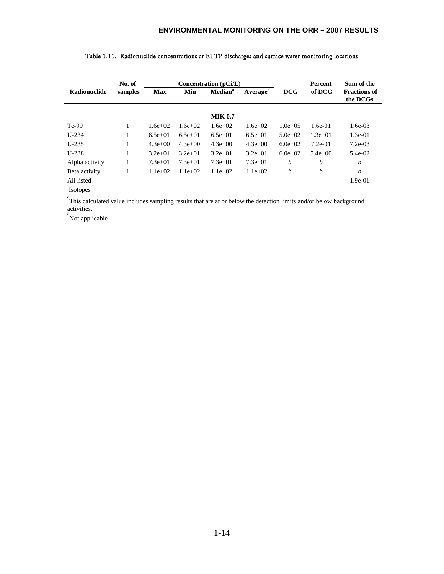|                     | No. of  |            | Concentration (pCi/L) |                     |                      |              | <b>Percent</b> | Sum of the                      |
|---------------------|---------|------------|-----------------------|---------------------|----------------------|--------------|----------------|---------------------------------|
| <b>Radionuclide</b> | samples | <b>Max</b> | Min                   | Median <sup>a</sup> | Average <sup>a</sup> | <b>DCG</b>   | of DCG         | <b>Fractions of</b><br>the DCGs |
|                     |         |            |                       | <b>MIK 0.7</b>      |                      |              |                |                                 |
| $Tc-99$             | 1       | $1.6e+02$  | $1.6e+02$             | $1.6e+02$           | $1.6e+02$            | $1.0e + 0.5$ | $1.6e-01$      | $1.6e-0.3$                      |
| $U-234$             | 1       | $6.5e+01$  | $6.5e+01$             | $6.5e+01$           | $6.5e+01$            | $5.0e+02$    | $1.3e+01$      | $1.3e-01$                       |
| $U-235$             | 1       | $4.3e+00$  | $4.3e+00$             | $4.3e+00$           | $4.3e+00$            | $6.0e+02$    | $7.2e-01$      | $7.2e-03$                       |
| $U-238$             | 1       | $3.2e+01$  | $3.2e+01$             | $3.2e+01$           | $3.2e+01$            | $6.0e+02$    | $5.4e+00$      | $5.4e-02$                       |
| Alpha activity      | 1       | $7.3e+01$  | $7.3e+01$             | $7.3e+01$           | $7.3e+01$            | b            | b              | b                               |
| Beta activity       |         | $1.1e+02$  | $1.1e+02$             | $1.1e+02$           | $1.1e+02$            | b            | b              | h                               |
| All listed          |         |            |                       |                     |                      |              |                | $1.9e-01$                       |
| <b>Isotopes</b>     |         |            |                       |                     |                      |              |                |                                 |

| Table 1.11. Radionuclide concentrations at ETTP discharges and surface water monitoring locations |  |  |
|---------------------------------------------------------------------------------------------------|--|--|

<sup>a</sup>This calculated value includes sampling results that are at or below the detection limits and/or below background activities.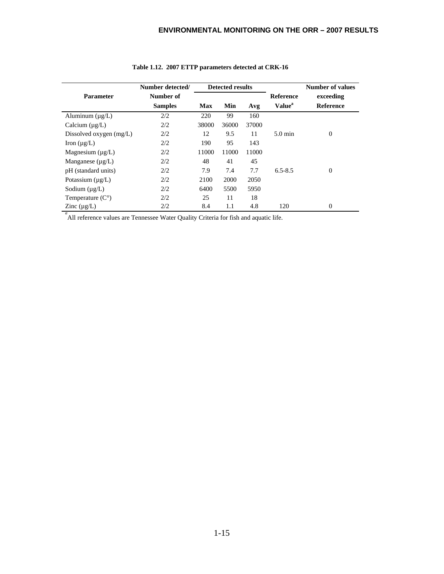|                           | Number detected/ |       | <b>Detected results</b> |       |                    | <b>Number of values</b> |
|---------------------------|------------------|-------|-------------------------|-------|--------------------|-------------------------|
| <b>Parameter</b>          | Number of        |       |                         |       | Reference          | exceeding               |
|                           | <b>Samples</b>   | Max   | Min                     | Avg   | Value <sup>a</sup> | <b>Reference</b>        |
| Aluminum $(\mu g/L)$      | 2/2              | 220   | 99                      | 160   |                    |                         |
| Calcium $(\mu g/L)$       | 2/2              | 38000 | 36000                   | 37000 |                    |                         |
| Dissolved oxygen $(mg/L)$ | 2/2              | 12    | 9.5                     | 11    | $5.0 \text{ min}$  | $\overline{0}$          |
| Iron $(\mu g/L)$          | 2/2              | 190   | 95                      | 143   |                    |                         |
| Magnesium $(\mu g/L)$     | 2/2              | 11000 | 11000                   | 11000 |                    |                         |
| Manganese $(\mu g/L)$     | 2/2              | 48    | 41                      | 45    |                    |                         |
| pH (standard units)       | 2/2              | 7.9   | 7.4                     | 7.7   | $6.5 - 8.5$        | $\Omega$                |
| Potassium $(\mu g/L)$     | 2/2              | 2100  | 2000                    | 2050  |                    |                         |
| Sodium $(\mu g/L)$        | 2/2              | 6400  | 5500                    | 5950  |                    |                         |
| Temperature $(C^{\circ})$ | 2/2              | 25    | 11                      | 18    |                    |                         |
| Zinc $(\mu g/L)$          | 2/2              | 8.4   | 1.1                     | 4.8   | 120                | $\Omega$                |

## **Table 1.12. 2007 ETTP parameters detected at CRK-16**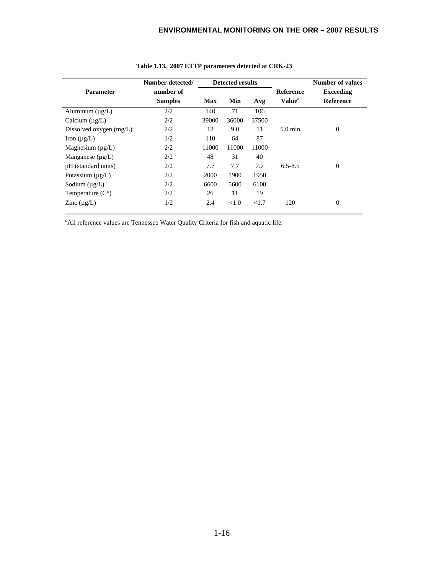|                           | Number detected/            |       | <b>Detected results</b> |       |                                        | <b>Number of values</b>              |
|---------------------------|-----------------------------|-------|-------------------------|-------|----------------------------------------|--------------------------------------|
| <b>Parameter</b>          | number of<br><b>Samples</b> | Max   | Min                     | Avg   | <b>Reference</b><br>Value <sup>a</sup> | <b>Exceeding</b><br><b>Reference</b> |
| Aluminum $(\mu g/L)$      | 2/2                         | 140   | 71                      | 106   |                                        |                                      |
| Calcium $(\mu g/L)$       | 2/2                         | 39000 | 36000                   | 37500 |                                        |                                      |
| Dissolved oxygen $(mg/L)$ | 2/2                         | 13    | 9.0                     | 11    | $5.0 \text{ min}$                      | $\theta$                             |
| Iron $(\mu g/L)$          | 1/2                         | 110   | 64                      | 87    |                                        |                                      |
| Magnesium $(\mu g/L)$     | 2/2                         | 11000 | 11000                   | 11000 |                                        |                                      |
| Manganese $(\mu g/L)$     | 2/2                         | 48    | 31                      | 40    |                                        |                                      |
| pH (standard units)       | 2/2                         | 7.7   | 7.7                     | 7.7   | $6.5 - 8.5$                            | $\theta$                             |
| Potassium $(\mu g/L)$     | 2/2                         | 2000  | 1900                    | 1950  |                                        |                                      |
| Sodium $(\mu g/L)$        | 2/2                         | 6600  | 5600                    | 6100  |                                        |                                      |
| Temperature $(C^{\circ})$ | 2/2                         | 26    | 11                      | 19    |                                        |                                      |
| Zinc $(\mu g/L)$          | 1/2                         | 2.4   | < 1.0                   | <1.7  | 120                                    | $\theta$                             |

#### **Table 1.13. 2007 ETTP parameters detected at CRK-23**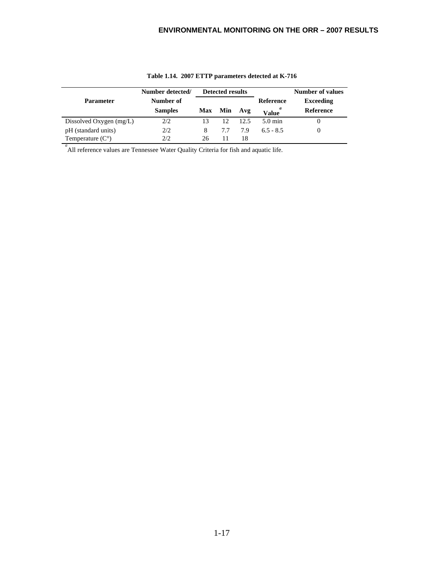|                           | Number detected/ |            | <b>Detected results</b> |      |                   | Number of values |
|---------------------------|------------------|------------|-------------------------|------|-------------------|------------------|
| <b>Parameter</b>          | Number of        |            |                         |      | Reference         | <b>Exceeding</b> |
|                           | <b>Samples</b>   | <b>Max</b> | Min                     | Avg  | <b>Value</b>      | <b>Reference</b> |
| Dissolved Oxygen $(mg/L)$ | 2/2              |            | 12 <sub>1</sub>         | 12.5 | $5.0 \text{ min}$ |                  |
| pH (standard units)       | 2/2              | 8          | 77                      | 7.9  | $6.5 - 8.5$       |                  |
| Temperature $(C^{\circ})$ | 2/2              | 26         |                         | 18   |                   |                  |

**Table 1.14. 2007 ETTP parameters detected at K-716**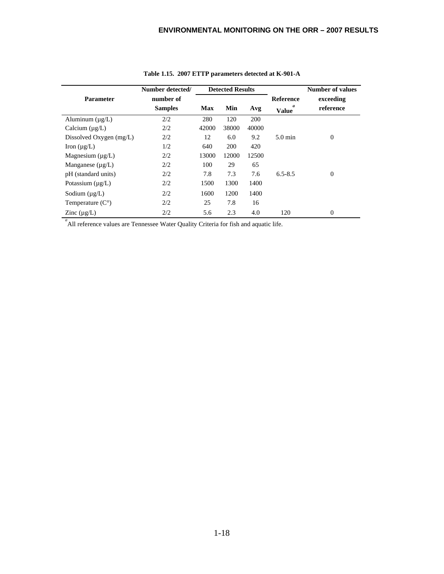|                              | Number detected/ |            | <b>Detected Results</b> |       |                   | <b>Number of values</b> |
|------------------------------|------------------|------------|-------------------------|-------|-------------------|-------------------------|
| <b>Parameter</b>             | number of        |            |                         |       | Reference         | exceeding               |
|                              | <b>Samples</b>   | <b>Max</b> | Min                     | Avg   | a<br><b>Value</b> | reference               |
| Aluminum $(\mu g/L)$         | 2/2              | 280        | 120                     | 200   |                   |                         |
| Calcium $(\mu g/L)$          | 2/2              | 42000      | 38000                   | 40000 |                   |                         |
| Dissolved Oxygen (mg/L)      | 2/2              | 12         | 6.0                     | 9.2   | $5.0 \text{ min}$ | $\boldsymbol{0}$        |
| Iron $(\mu g/L)$             | 1/2              | 640        | 200                     | 420   |                   |                         |
| Magnesium $(\mu g/L)$        | 2/2              | 13000      | 12000                   | 12500 |                   |                         |
| Manganese $(\mu g/L)$        | 2/2              | 100        | 29                      | 65    |                   |                         |
| pH (standard units)          | 2/2              | 7.8        | 7.3                     | 7.6   | $6.5 - 8.5$       | $\boldsymbol{0}$        |
| Potassium $(\mu g/L)$        | 2/2              | 1500       | 1300                    | 1400  |                   |                         |
| Sodium $(\mu g/L)$           | 2/2              | 1600       | 1200                    | 1400  |                   |                         |
| Temperature $(C^{\circ})$    | 2/2              | 25         | 7.8                     | 16    |                   |                         |
| Zinc $(\mu g/L)$<br>$\sigma$ | 2/2              | 5.6        | 2.3                     | 4.0   | 120               | $\overline{0}$          |

**Table 1.15. 2007 ETTP parameters detected at K-901-A**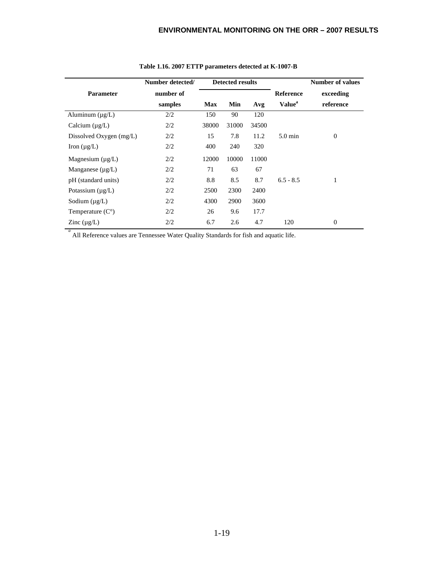|                           | Number detected/     |            | <b>Detected results</b> |       |                                        | <b>Number of values</b> |
|---------------------------|----------------------|------------|-------------------------|-------|----------------------------------------|-------------------------|
| <b>Parameter</b>          | number of<br>samples | <b>Max</b> | Min                     | Avg   | <b>Reference</b><br>Value <sup>a</sup> | exceeding<br>reference  |
| Aluminum $(\mu g/L)$      | 2/2                  | 150        | 90                      | 120   |                                        |                         |
| Calcium $(\mu g/L)$       | 2/2                  | 38000      | 31000                   | 34500 |                                        |                         |
| Dissolved Oxygen (mg/L)   | 2/2                  | 15         | 7.8                     | 11.2  | $5.0 \text{ min}$                      | $\boldsymbol{0}$        |
| Iron $(\mu g/L)$          | 2/2                  | 400        | 240                     | 320   |                                        |                         |
| Magnesium $(\mu g/L)$     | 2/2                  | 12000      | 10000                   | 11000 |                                        |                         |
| Manganese $(\mu g/L)$     | 2/2                  | 71         | 63                      | 67    |                                        |                         |
| pH (standard units)       | 2/2                  | 8.8        | 8.5                     | 8.7   | $6.5 - 8.5$                            |                         |
| Potassium $(\mu g/L)$     | 2/2                  | 2500       | 2300                    | 2400  |                                        |                         |
| Sodium $(\mu g/L)$        | 2/2                  | 4300       | 2900                    | 3600  |                                        |                         |
| Temperature $(C^{\circ})$ | 2/2                  | 26         | 9.6                     | 17.7  |                                        |                         |
| Zinc $(\mu g/L)$          | 2/2                  | 6.7        | 2.6                     | 4.7   | 120                                    | $\mathbf{0}$            |

#### **Table 1.16. 2007 ETTP parameters detected at K-1007-B**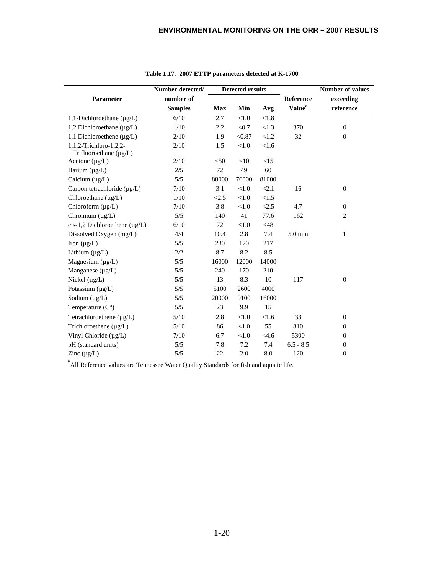|                                                       | Number detected/            |            | <b>Detected results</b> |         |                                        | Number of values       |
|-------------------------------------------------------|-----------------------------|------------|-------------------------|---------|----------------------------------------|------------------------|
| Parameter                                             | number of<br><b>Samples</b> | <b>Max</b> | Min                     | Avg     | Reference<br><b>Value</b> <sup>a</sup> | exceeding<br>reference |
| 1,1-Dichloroethane $(\mu g/L)$                        | 6/10                        | 2.7        | < 1.0                   | < 1.8   |                                        |                        |
| 1,2 Dichloroethane $(\mu g/L)$                        | 1/10                        | 2.2        | < 0.7                   | <1.3    | 370                                    | $\mathbf{0}$           |
| 1,1 Dichloroethene (µg/L)                             | 2/10                        | 1.9        | < 0.87                  | < 1.2   | 32                                     | $\theta$               |
| 1,1,2-Trichloro-1,2,2-<br>Trifluoroethane $(\mu g/L)$ | 2/10                        | 1.5        | $<1.0$                  | < 1.6   |                                        |                        |
| Acetone $(\mu g/L)$                                   | 2/10                        | < 50       | <10                     | <15     |                                        |                        |
| Barium $(\mu g/L)$                                    | 2/5                         | 72         | 49                      | 60      |                                        |                        |
| Calcium $(\mu g/L)$                                   | 5/5                         | 88000      | 76000                   | 81000   |                                        |                        |
| Carbon tetrachloride $(\mu g/L)$                      | 7/10                        | 3.1        | < 1.0                   | < 2.1   | 16                                     | $\theta$               |
| Chloroethane $(\mu g/L)$                              | 1/10                        | < 2.5      | < 1.0                   | <1.5    |                                        |                        |
| Chloroform $(\mu g/L)$                                | 7/10                        | 3.8        | $<1.0$                  | < 2.5   | 4.7                                    | $\theta$               |
| Chromium $(\mu g/L)$                                  | 5/5                         | 140        | 41                      | 77.6    | 162                                    | $\overline{c}$         |
| cis-1,2 Dichloroethene $(\mu g/L)$                    | 6/10                        | 72         | < 1.0                   | $<$ 48  |                                        |                        |
| Dissolved Oxygen (mg/L)                               | 4/4                         | 10.4       | 2.8                     | 7.4     | 5.0 min                                | $\mathbf{1}$           |
| Iron $(\mu g/L)$                                      | 5/5                         | 280        | 120                     | 217     |                                        |                        |
| Lithium $(\mu g/L)$                                   | 2/2                         | 8.7        | 8.2                     | 8.5     |                                        |                        |
| Magnesium $(\mu g/L)$                                 | 5/5                         | 16000      | 12000                   | 14000   |                                        |                        |
| Manganese $(\mu g/L)$                                 | 5/5                         | 240        | 170                     | 210     |                                        |                        |
| Nickel $(\mu g/L)$                                    | 5/5                         | 13         | 8.3                     | 10      | 117                                    | $\boldsymbol{0}$       |
| Potassium (µg/L)                                      | 5/5                         | 5100       | 2600                    | 4000    |                                        |                        |
| Sodium $(\mu g/L)$                                    | 5/5                         | 20000      | 9100                    | 16000   |                                        |                        |
| Temperature $(C^{\circ})$                             | 5/5                         | 23         | 9.9                     | 15      |                                        |                        |
| Tetrachloroethene $(\mu g/L)$                         | $5/10$                      | 2.8        | < 1.0                   | < 1.6   | 33                                     | $\theta$               |
| Trichloroethene (µg/L)                                | 5/10                        | 86         | < 1.0                   | 55      | 810                                    | $\theta$               |
| Vinyl Chloride (µg/L)                                 | 7/10                        | 6.7        | < 1.0                   | $<$ 4.6 | 5300                                   | $\theta$               |
| pH (standard units)                                   | 5/5                         | 7.8        | 7.2                     | 7.4     | $6.5 - 8.5$                            | $\boldsymbol{0}$       |
| Zinc $(\mu g/L)$                                      | 5/5                         | 22         | 2.0                     | 8.0     | 120                                    | $\boldsymbol{0}$       |

**Table 1.17. 2007 ETTP parameters detected at K-1700**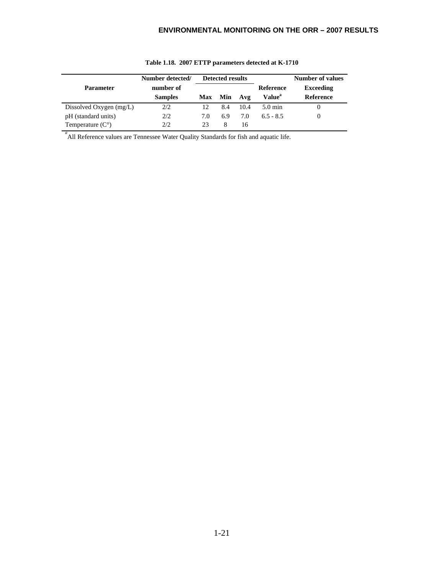|                           | Number detected/ | <b>Detected results</b> |     |      |                    | <b>Number of values</b> |
|---------------------------|------------------|-------------------------|-----|------|--------------------|-------------------------|
| <b>Parameter</b>          | number of        |                         |     |      | Reference          | <b>Exceeding</b>        |
|                           | <b>Samples</b>   | Max                     | Min | Avg  | Value <sup>a</sup> | <b>Reference</b>        |
| Dissolved Oxygen $(mg/L)$ | 2/2              | 12                      | 8.4 | 10.4 | $5.0 \text{ min}$  |                         |
| pH (standard units)       | 2/2              | 7.0                     | 6.9 | 7.0  | $6.5 - 8.5$        |                         |
| Temperature $(C^{\circ})$ | 2/2              | 23                      |     | 16   |                    |                         |

#### **Table 1.18. 2007 ETTP parameters detected at K-1710**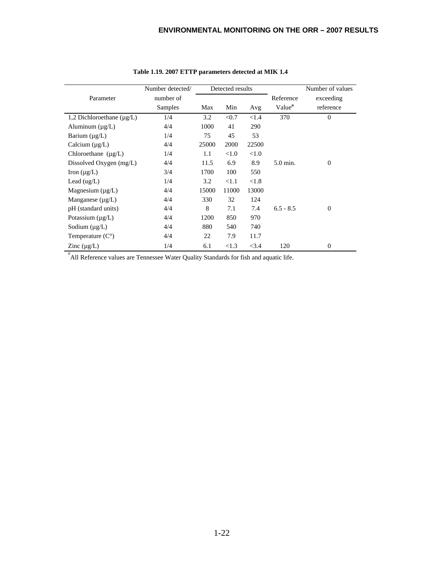|                                | Number detected/ |       | Detected results |          |                    | Number of values |
|--------------------------------|------------------|-------|------------------|----------|--------------------|------------------|
| Parameter                      | number of        |       |                  |          | Reference          | exceeding        |
|                                | Samples          | Max   | Min              | Avg      | Value <sup>a</sup> | reference        |
| 1,2 Dichloroethane $(\mu g/L)$ | 1/4              | 3.2   | < 0.7            | < 1.4    | 370                | $\mathbf{0}$     |
| Aluminum $(\mu g/L)$           | 4/4              | 1000  | 41               | 290      |                    |                  |
| Barium $(\mu g/L)$             | 1/4              | 75    | 45               | 53       |                    |                  |
| Calcium $(\mu g/L)$            | 4/4              | 25000 | 2000             | 22500    |                    |                  |
| Chloroethane $(\mu g/L)$       | 1/4              | 1.1   | < 1.0            | ${<}1.0$ |                    |                  |
| Dissolved Oxygen (mg/L)        | 4/4              | 11.5  | 6.9              | 8.9      | 5.0 min.           | $\mathbf{0}$     |
| Iron $(\mu g/L)$               | 3/4              | 1700  | 100              | 550      |                    |                  |
| Lead $(ug/L)$                  | 1/4              | 3.2   | <1.1             | < 1.8    |                    |                  |
| Magnesium $(\mu g/L)$          | 4/4              | 15000 | 11000            | 13000    |                    |                  |
| Manganese $(\mu g/L)$          | 4/4              | 330   | 32               | 124      |                    |                  |
| pH (standard units)            | 4/4              | 8     | 7.1              | 7.4      | $6.5 - 8.5$        | $\boldsymbol{0}$ |
| Potassium $(\mu g/L)$          | 4/4              | 1200  | 850              | 970      |                    |                  |
| Sodium $(\mu g/L)$             | 4/4              | 880   | 540              | 740      |                    |                  |
| Temperature $(C^{\circ})$      | 4/4              | 22    | 7.9              | 11.7     |                    |                  |
| Zinc $(\mu g/L)$               | 1/4              | 6.1   | <1.3             | <3.4     | 120                | $\mathbf{0}$     |

#### **Table 1.19. 2007 ETTP parameters detected at MIK 1.4**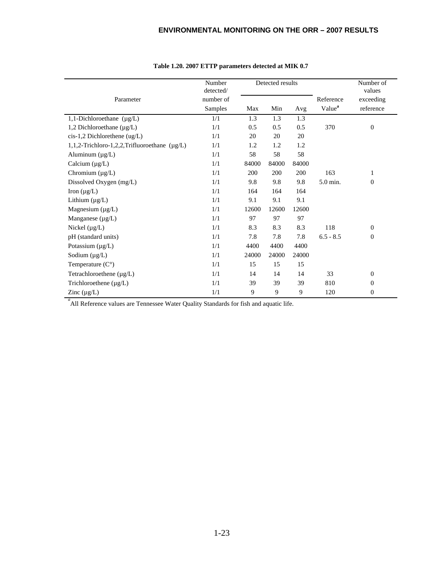|                                                   | Number<br>detected/ |       | Detected results |       |                    | Number of<br>values |
|---------------------------------------------------|---------------------|-------|------------------|-------|--------------------|---------------------|
| Parameter                                         | number of           |       |                  |       | Reference          | exceeding           |
|                                                   | Samples             | Max   | Min              | Avg   | Value <sup>a</sup> | reference           |
| 1,1-Dichloroethane $(\mu g/L)$                    | 1/1                 | 1.3   | 1.3              | 1.3   |                    |                     |
| 1,2 Dichloroethane (µg/L)                         | 1/1                 | 0.5   | 0.5              | 0.5   | 370                | $\mathbf{0}$        |
| $cis-1,2$ Dichlorethene (ug/L)                    | 1/1                 | 20    | 20               | 20    |                    |                     |
| 1,1,2-Trichloro-1,2,2,Trifluoroethane $(\mu g/L)$ | 1/1                 | 1.2   | 1.2              | 1.2   |                    |                     |
| Aluminum $(\mu g/L)$                              | 1/1                 | 58    | 58               | 58    |                    |                     |
| Calcium $(\mu g/L)$                               | 1/1                 | 84000 | 84000            | 84000 |                    |                     |
| Chromium (µg/L)                                   | 1/1                 | 200   | 200              | 200   | 163                | $\mathbf{1}$        |
| Dissolved Oxygen (mg/L)                           | 1/1                 | 9.8   | 9.8              | 9.8   | 5.0 min.           | $\mathbf{0}$        |
| Iron $(\mu g/L)$                                  | 1/1                 | 164   | 164              | 164   |                    |                     |
| Lithium $(\mu g/L)$                               | 1/1                 | 9.1   | 9.1              | 9.1   |                    |                     |
| Magnesium $(\mu g/L)$                             | 1/1                 | 12600 | 12600            | 12600 |                    |                     |
| Manganese $(\mu g/L)$                             | 1/1                 | 97    | 97               | 97    |                    |                     |
| Nickel $(\mu g/L)$                                | 1/1                 | 8.3   | 8.3              | 8.3   | 118                | $\Omega$            |
| pH (standard units)                               | 1/1                 | 7.8   | 7.8              | 7.8   | $6.5 - 8.5$        | $\mathbf{0}$        |
| Potassium $(\mu g/L)$                             | 1/1                 | 4400  | 4400             | 4400  |                    |                     |
| Sodium $(\mu g/L)$                                | 1/1                 | 24000 | 24000            | 24000 |                    |                     |
| Temperature $(C^{\circ})$                         | 1/1                 | 15    | 15               | 15    |                    |                     |
| Tetrachloroethene $(\mu g/L)$                     | 1/1                 | 14    | 14               | 14    | 33                 | $\mathbf{0}$        |
| Trichloroethene (µg/L)                            | 1/1                 | 39    | 39               | 39    | 810                | $\mathbf{0}$        |
| Zinc $(\mu g/L)$                                  | 1/1                 | 9     | 9                | 9     | 120                | $\mathbf{0}$        |

#### **Table 1.20. 2007 ETTP parameters detected at MIK 0.7**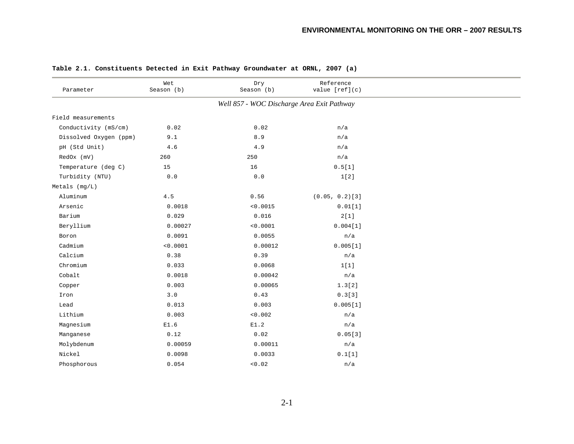| Parameter              | Wet<br>Season (b) | Dry<br>Season (b)                          | Reference<br>value [ref](c) |  |
|------------------------|-------------------|--------------------------------------------|-----------------------------|--|
|                        |                   | Well 857 - WOC Discharge Area Exit Pathway |                             |  |
| Field measurements     |                   |                                            |                             |  |
| Conductivity (mS/cm)   | 0.02              | 0.02                                       | n/a                         |  |
| Dissolved Oxygen (ppm) | 9.1               | 8.9                                        | n/a                         |  |
| pH (Std Unit)          | 4.6               | 4.9                                        | n/a                         |  |
| RedOx (mV)             | 260               | 250                                        | n/a                         |  |
| Temperature (deg C)    | 15                | 16                                         | 0.5[1]                      |  |
| Turbidity (NTU)        | 0.0               | 0.0                                        | 1[2]                        |  |
| Metals (mg/L)          |                   |                                            |                             |  |
| Aluminum               | $4\,.5$           | 0.56                                       | $(0.05, 0.2)$ [3]           |  |
| Arsenic                | 0.0018            | < 0.0015                                   | 0.01[1]                     |  |
| Barium                 | 0.029             | 0.016                                      | 2[1]                        |  |
| Beryllium              | 0.00027           | < 0.0001                                   | 0.004[1]                    |  |
| Boron                  | 0.0091            | 0.0055                                     | n/a                         |  |
| Cadmium                | < 0.0001          | 0.00012                                    | 0.005[1]                    |  |
| Calcium                | 0.38              | 0.39                                       | n/a                         |  |
| Chromium               | 0.033             | 0.0068                                     | 1[1]                        |  |
| Cobalt                 | 0.0018            | 0.00042                                    | n/a                         |  |
| Copper                 | 0.003             | 0.00065                                    | 1.3[2]                      |  |
| Iron                   | 3.0               | 0.43                                       | 0.3[3]                      |  |
| Lead                   | 0.013             | 0.003                                      | 0.005[1]                    |  |
| Lithium                | 0.003             | < 0.002                                    | n/a                         |  |
| Magnesium              | E1.6              | E1.2                                       | n/a                         |  |
| Manganese              | 0.12              | 0.02                                       | 0.05[3]                     |  |
| Molybdenum             | 0.00059           | 0.00011                                    | n/a                         |  |
| Nickel                 | 0.0098            | 0.0033                                     | 0.1[1]                      |  |
| Phosphorous            | 0.054             | < 0.02                                     | n/a                         |  |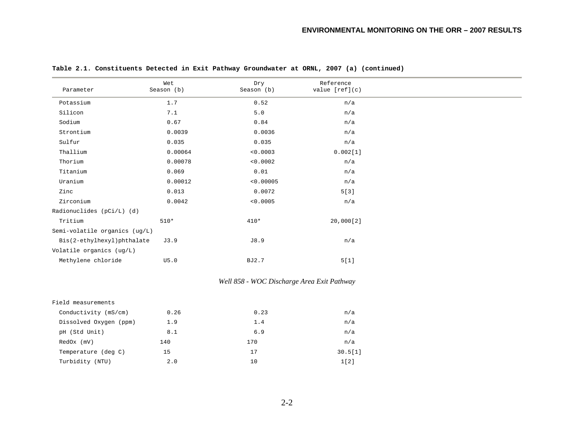| Parameter                     | Wet<br>Season (b) | Dry<br>Season (b) | Reference<br>value $[ref](c)$ |
|-------------------------------|-------------------|-------------------|-------------------------------|
| Potassium                     | 1.7               | 0.52              | n/a                           |
| Silicon                       | 7.1               | $5.0$             | n/a                           |
| Sodium                        | 0.67              | 0.84              | n/a                           |
| Strontium                     | 0.0039            | 0.0036            | n/a                           |
| Sulfur                        | 0.035             | 0.035             | n/a                           |
| Thallium                      | 0.00064           | < 0.0003          | 0.002[1]                      |
| Thorium                       | 0.00078           | < 0.0002          | n/a                           |
| Titanium                      | 0.069             | 0.01              | n/a                           |
| Uranium                       | 0.00012           | < 0.00005         | n/a                           |
| Zinc                          | 0.013             | 0.0072            | 5[3]                          |
| Zirconium                     | 0.0042            | < 0.0005          | n/a                           |
| Radionuclides (pCi/L) (d)     |                   |                   |                               |
| Tritium                       | $510*$            | $410*$            | 20,000[2]                     |
| Semi-volatile organics (ug/L) |                   |                   |                               |
| Bis(2-ethylhexyl)phthalate    | J3.9              | J8.9              | n/a                           |
| Volatile organics (ug/L)      |                   |                   |                               |
| Methylene chloride            | U5.0              | BJ2.7             | 5[1]                          |
|                               |                   |                   |                               |

#### *Well 858 - WOC Discharge Area Exit Pathway*

| Field measurements     |      |      |         |
|------------------------|------|------|---------|
| Conductivity (mS/cm)   | 0.26 | 0.23 | n/a     |
| Dissolved Oxygen (ppm) | 1.9  | 1.4  | n/a     |
| pH (Std Unit)          | 8.1  | 6.9  | n/a     |
| $RedOx$ ( $mV$ )       | 140  | 170  | n/a     |
| Temperature (deg C)    | 15   | 17   | 30.5[1] |
| Turbidity (NTU)        | 2.0  | 10   | 1[2]    |
|                        |      |      |         |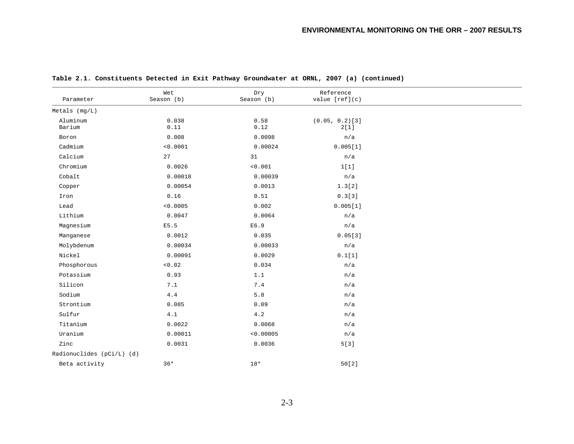| Parameter                 | Wet<br>Season (b) | Dry<br>Season (b) | Reference<br>value $[ref](c)$ |  |
|---------------------------|-------------------|-------------------|-------------------------------|--|
| Metals (mg/L)             |                   |                   |                               |  |
| Aluminum<br>Barium        | 0.038<br>0.11     | 0.58<br>0.12      | $(0.05, 0.2)$ [3]<br>2[1]     |  |
| Boron                     | 0.008             | 0.0098            | n/a                           |  |
| Cadmium                   | < 0.0001          | 0.00024           | 0.005[1]                      |  |
| Calcium                   | 27                | 31                | n/a                           |  |
| Chromium                  | 0.0026            | < 0.001           | 1[1]                          |  |
| Cobalt                    | 0.00018           | 0.00039           | n/a                           |  |
| Copper                    | 0.00054           | 0.0013            | 1.3[2]                        |  |
| Iron                      | 0.16              | 0.51              | 0.3[3]                        |  |
| Lead                      | < 0.0005          | 0.002             | 0.005[1]                      |  |
| Lithium                   | 0.0047            | 0.0064            | n/a                           |  |
| Magnesium                 | E5.5              | E6.9              | n/a                           |  |
| Manganese                 | 0.0012            | 0.035             | 0.05[3]                       |  |
| Molybdenum                | 0.00034           | 0.00033           | n/a                           |  |
| Nickel                    | 0.00091           | 0.0029            | 0.1[1]                        |  |
| Phosphorous               | < 0.02            | 0.034             | n/a                           |  |
| Potassium                 | 0.93              | 1.1               | n/a                           |  |
| Silicon                   | 7.1               | $7\,.4$           | n/a                           |  |
| Sodium                    | $4.4$             | 5.8               | n/a                           |  |
| Strontium                 | 0.085             | 0.09              | n/a                           |  |
| Sulfur                    | 4.1               | $4\,.2$           | n/a                           |  |
| Titanium                  | 0.0022            | 0.0068            | n/a                           |  |
| $\texttt{Uranium}$        | 0.00011           | < 0.00005         | n/a                           |  |
| Zinc                      | 0.0031            | 0.0036            | 5[3]                          |  |
| Radionuclides (pCi/L) (d) |                   |                   |                               |  |
| Beta activity             | $36*$             | $18*$             | 50[2]                         |  |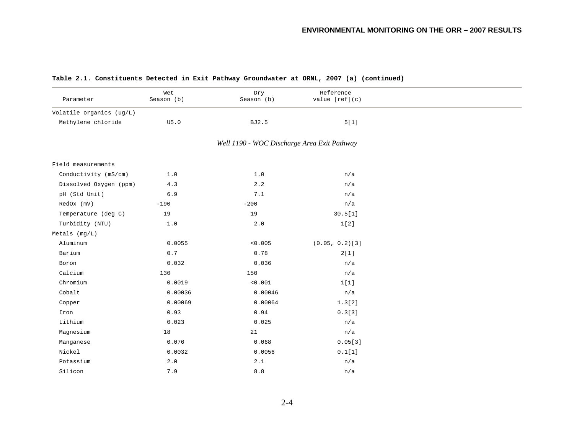| Parameter                | Wet<br>Season (b) | Dry<br>Season (b)                           | Reference<br>value $[ref](c)$ |  |
|--------------------------|-------------------|---------------------------------------------|-------------------------------|--|
| Volatile organics (ug/L) |                   |                                             |                               |  |
| Methylene chloride       | U5.0              | <b>BJ2.5</b>                                | 5[1]                          |  |
|                          |                   | Well 1190 - WOC Discharge Area Exit Pathway |                               |  |
| Field measurements       |                   |                                             |                               |  |
| Conductivity (mS/cm)     | 1.0               | 1.0                                         | n/a                           |  |
| Dissolved Oxygen (ppm)   | 4.3               | 2.2                                         | n/a                           |  |
| pH (Std Unit)            | 6.9               | 7.1                                         | n/a                           |  |
| RedOx (mV)               | $-190$            | $-200$                                      | n/a                           |  |
| Temperature (deg C)      | 19                | 19                                          | 30.5[1]                       |  |
| Turbidity (NTU)          | 1.0               | 2.0                                         | 1[2]                          |  |
| Metals $(mq/L)$          |                   |                                             |                               |  |
| Aluminum                 | 0.0055            | < 0.005                                     | $(0.05, 0.2)$ [3]             |  |
| Barium                   | $0.7$             | 0.78                                        | 2[1]                          |  |
| Boron                    | 0.032             | 0.036                                       | n/a                           |  |
| Calcium                  | 130               | 150                                         | n/a                           |  |
| Chromium                 | 0.0019            | < 0.001                                     | 1[1]                          |  |
| Cobalt                   | 0.00036           | 0.00046                                     | n/a                           |  |
| Copper                   | 0.00069           | 0.00064                                     | 1.3[2]                        |  |
| Iron                     | 0.93              | 0.94                                        | 0.3[3]                        |  |
| Lithium                  | 0.023             | 0.025                                       | n/a                           |  |
| Magnesium                | 18                | 21                                          | n/a                           |  |
| Manganese                | 0.076             | 0.068                                       | 0.05[3]                       |  |
| Nickel                   | 0.0032            | 0.0056                                      | 0.1[1]                        |  |
| Potassium                | 2.0               | 2.1                                         | n/a                           |  |
| Silicon                  | 7.9               | 8.8                                         | n/a                           |  |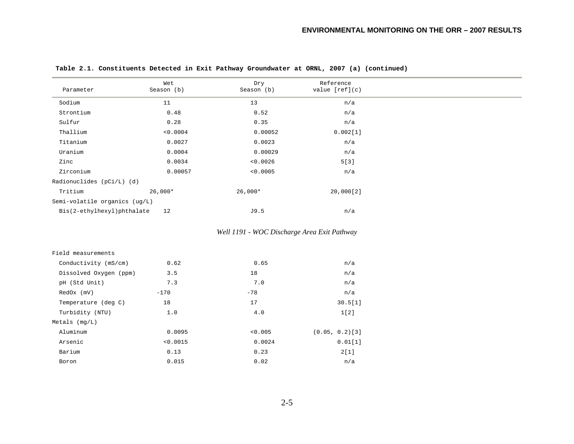| Parameter                     | Wet<br>Season (b) | Dry<br>Season (b) | Reference<br>value $[ref](c)$ |
|-------------------------------|-------------------|-------------------|-------------------------------|
| Sodium                        | 11                | 13                | n/a                           |
| Strontium                     | 0.48              | 0.52              | n/a                           |
| Sulfur                        | 0.28              | 0.35              | n/a                           |
| Thallium                      | < 0.0004          | 0.00052           | 0.002[1]                      |
| Titanium                      | 0.0027            | 0.0023            | n/a                           |
| Uranium                       | 0.0004            | 0.00029           | n/a                           |
| Zinc                          | 0.0034            | < 0.0026          | 5[3]                          |
| Zirconium                     | 0.00057           | < 0.0005          | n/a                           |
| Radionuclides (pCi/L) (d)     |                   |                   |                               |
| Tritium                       | $26,000*$         | $26,000*$         | 20,000[2]                     |
| Semi-volatile organics (ug/L) |                   |                   |                               |
| Bis(2-ethylhexyl)phthalate    | 12                | J9.5              | n/a                           |
|                               |                   |                   |                               |

*Well 1191 - WOC Discharge Area Exit Pathway* 

| Field measurements     |          |         |                   |
|------------------------|----------|---------|-------------------|
| Conductivity (mS/cm)   | 0.62     | 0.65    | n/a               |
| Dissolved Oxygen (ppm) | 3.5      | 18      | n/a               |
| pH (Std Unit)          | 7.3      | 7.0     | n/a               |
| $RedOx$ ( $mV$ )       | $-170$   | $-78$   | n/a               |
| Temperature (deg C)    | 18       | 17      | 30.5[1]           |
| Turbidity (NTU)        | 1.0      | 4.0     | 1[2]              |
| Metals $(mq/L)$        |          |         |                   |
| Aluminum               | 0.0095   | < 0.005 | $(0.05, 0.2)$ [3] |
| Arsenic                | < 0.0015 | 0.0024  | 0.01[1]           |
| Barium                 | 0.13     | 0.23    | 2[1]              |
| Boron                  | 0.015    | 0.02    | n/a               |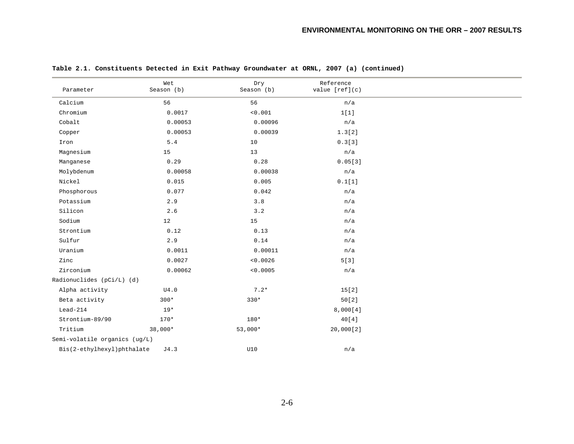|                               | Wet        | Dry        | Reference      |
|-------------------------------|------------|------------|----------------|
| Parameter                     | Season (b) | Season (b) | value [ref](c) |
| Calcium                       | 56         | 56         | n/a            |
| Chromium                      | 0.0017     | < 0.001    | 1[1]           |
| Cobalt                        | 0.00053    | 0.00096    | n/a            |
| Copper                        | 0.00053    | 0.00039    | 1.3[2]         |
| Iron                          | $5.4\,$    | 10         | 0.3[3]         |
| Magnesium                     | 15         | 13         | n/a            |
| Manganese                     | 0.29       | 0.28       | 0.05[3]        |
| Molybdenum                    | 0.00058    | 0.00038    | n/a            |
| Nickel                        | 0.015      | 0.005      | 0.1[1]         |
| Phosphorous                   | 0.077      | 0.042      | n/a            |
| Potassium                     | 2.9        | $3.8$      | n/a            |
| Silicon                       | 2.6        | 3.2        | n/a            |
| Sodium                        | 12         | 15         | n/a            |
| Strontium                     | 0.12       | 0.13       | n/a            |
| Sulfur                        | 2.9        | 0.14       | n/a            |
| Uranium                       | 0.0011     | 0.00011    | n/a            |
| Zinc                          | 0.0027     | < 0.0026   | 5[3]           |
| Zirconium                     | 0.00062    | < 0.0005   | n/a            |
| Radionuclides (pCi/L) (d)     |            |            |                |
| Alpha activity                | U4.0       | $7.2*$     | 15[2]          |
| Beta activity                 | $300*$     | $330*$     | 50[2]          |
| $Lead-214$                    | $19*$      |            | 8,000[4]       |
| Strontium-89/90               | $170*$     | 180*       | 40[4]          |
| Tritium                       | 38,000*    | $53,000*$  | 20,000[2]      |
| Semi-volatile organics (ug/L) |            |            |                |
| Bis(2-ethylhexyl)phthalate    | J4.3       | U10        | n/a            |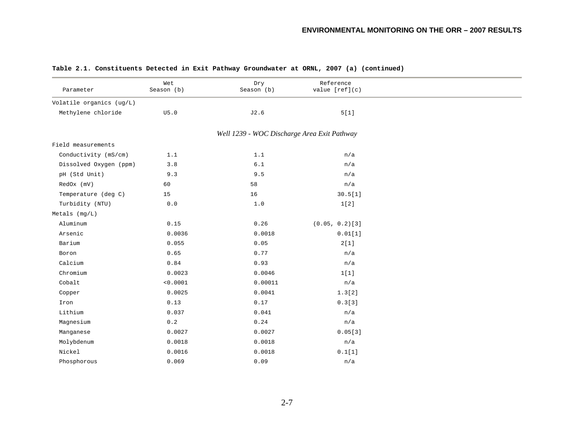| Parameter                | Wet<br>Season (b) | Dry<br>Season (b)                           | Reference<br>value $[ref](c)$ |  |
|--------------------------|-------------------|---------------------------------------------|-------------------------------|--|
| Volatile organics (ug/L) |                   |                                             |                               |  |
| Methylene chloride       | U5.0              | J2.6                                        | $5[1]$                        |  |
|                          |                   | Well 1239 - WOC Discharge Area Exit Pathway |                               |  |
| Field measurements       |                   |                                             |                               |  |
| Conductivity (mS/cm)     | 1.1               | $1\,.1$                                     | n/a                           |  |
| Dissolved Oxygen (ppm)   | 3.8               | $6.1$                                       | n/a                           |  |
| pH (Std Unit)            | 9.3               | 9.5                                         | n/a                           |  |
| RedOx (mV)               | 60                | 58                                          | n/a                           |  |
| Temperature (deg C)      | 15                | 16                                          | 30.5[1]                       |  |
| Turbidity (NTU)          | 0.0               | 1.0                                         | 1[2]                          |  |
| Metals $(mq/L)$          |                   |                                             |                               |  |
| Aluminum                 | 0.15              | 0.26                                        | $(0.05, 0.2)$ [3]             |  |
| Arsenic                  | 0.0036            | 0.0018                                      | 0.01[1]                       |  |
| Barium                   | 0.055             | 0.05                                        | 2[1]                          |  |
| Boron                    | 0.65              | 0.77                                        | n/a                           |  |
| Calcium                  | 0.84              | 0.93                                        | n/a                           |  |
| Chromium                 | 0.0023            | 0.0046                                      | 1[1]                          |  |
| Cobalt                   | < 0.0001          | 0.00011                                     | n/a                           |  |
| Copper                   | 0.0025            | 0.0041                                      | 1.3[2]                        |  |
| Iron                     | 0.13              | 0.17                                        | 0.3[3]                        |  |
| Lithium                  | 0.037             | 0.041                                       | n/a                           |  |
| Magnesium                | 0.2               | 0.24                                        | n/a                           |  |
| Manganese                | 0.0027            | 0.0027                                      | 0.05[3]                       |  |
| Molybdenum               | 0.0018            | 0.0018                                      | n/a                           |  |
| Nickel                   | 0.0016            | 0.0018                                      | 0.1[1]                        |  |
| Phosphorous              | 0.069             | 0.09                                        | n/a                           |  |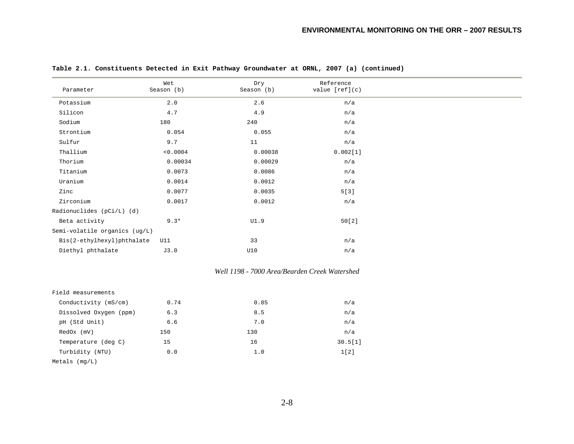| Parameter                     | Wet<br>Season (b) | Dry<br>Season (b) | Reference<br>value $[ref](c)$ |
|-------------------------------|-------------------|-------------------|-------------------------------|
| Potassium                     | 2.0               | 2.6               | n/a                           |
| Silicon                       | 4.7               | 4.9               | n/a                           |
| Sodium                        | 180               | 240               | n/a                           |
| Strontium                     | 0.054             | 0.055             | n/a                           |
| Sulfur                        | 9.7               | 11                | n/a                           |
| Thallium                      | < 0.0004          | 0.00038           | 0.002[1]                      |
| Thorium                       | 0.00034           | 0.00029           | n/a                           |
| Titanium                      | 0.0073            | 0.0086            | n/a                           |
| Uranium                       | 0.0014            | 0.0012            | n/a                           |
| Zinc                          | 0.0077            | 0.0035            | 5[3]                          |
| Zirconium                     | 0.0017            | 0.0012            | n/a                           |
| Radionuclides (pCi/L) (d)     |                   |                   |                               |
| Beta activity                 | $9.3*$            | UI.9              | 50[2]                         |
| Semi-volatile organics (ug/L) |                   |                   |                               |
| Bis(2-ethylhexyl)phthalate    | U11               | 33                | n/a                           |
| Diethyl phthalate             | J3.0              | U10               | n/a                           |

#### *Well 1198 - 7000 Area/Bearden Creek Watershed*

| Field measurements     |      |      |         |
|------------------------|------|------|---------|
| Conductivity (mS/cm)   | 0.74 | 0.85 | n/a     |
| Dissolved Oxygen (ppm) | 6.3  | 8.5  | n/a     |
| pH (Std Unit)          | 6.6  | 7.0  | n/a     |
| RedOx (mV)             | 150  | 130  | n/a     |
| Temperature (deg C)    | 15   | 16   | 30.5[1] |
| Turbidity (NTU)        | 0.0  | 1.0  | 1[2]    |
| Metals $(mq/L)$        |      |      |         |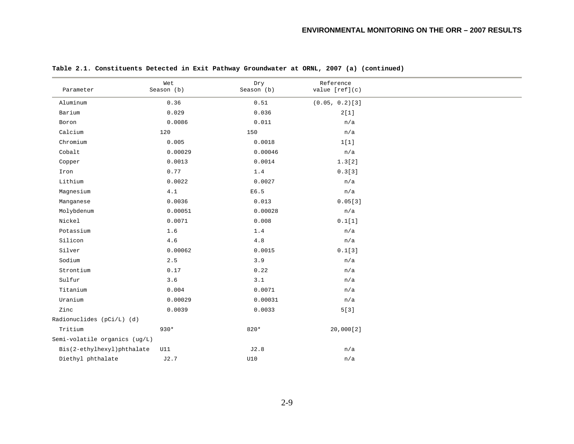| Parameter                     | Wet<br>Season (b) | Dry<br>Season (b) | Reference<br>value [ref](c) |
|-------------------------------|-------------------|-------------------|-----------------------------|
| Aluminum                      | 0.36              | 0.51              | $(0.05, 0.2)$ [3]           |
| Barium                        | 0.029             | 0.036             | 2[1]                        |
| Boron                         | 0.0086            | 0.011             | n/a                         |
| Calcium                       | 120               | 150               | n/a                         |
| Chromium                      | 0.005             | 0.0018            | 1[1]                        |
| Cobalt                        | 0.00029           | 0.00046           | n/a                         |
| Copper                        | 0.0013            | 0.0014            | 1.3[2]                      |
| $\mbox{\texttt{Iron}}$        | 0.77              | 1.4               | 0.3[3]                      |
| Lithium                       | 0.0022            | 0.0027            | n/a                         |
| Magnesium                     | 4.1               | E6.5              | n/a                         |
| Manganese                     | 0.0036            | 0.013             | 0.05[3]                     |
| Molybdenum                    | 0.00051           | 0.00028           | n/a                         |
| Nickel                        | 0.0071            | 0.008             | 0.1[1]                      |
| Potassium                     | 1.6               | 1.4               | n/a                         |
| Silicon                       | 4.6               | $4.8$             | n/a                         |
| Silver                        | 0.00062           | 0.0015            | 0.1[3]                      |
| Sodium                        | 2.5               | 3.9               | n/a                         |
| Strontium                     | 0.17              | 0.22              | n/a                         |
| Sulfur                        | 3.6               | 3.1               | n/a                         |
| Titanium                      | 0.004             | 0.0071            | n/a                         |
| Uranium                       | 0.00029           | 0.00031           | n/a                         |
| Zinc                          | 0.0039            | 0.0033            | 5[3]                        |
| Radionuclides (pCi/L) (d)     |                   |                   |                             |
| Tritium                       | $930*$            | 820*              | 20,000[2]                   |
| Semi-volatile organics (ug/L) |                   |                   |                             |
| Bis(2-ethylhexyl)phthalate    | U11               | J2.8              | n/a                         |
| Diethyl phthalate             | J2.7              | U10               | n/a                         |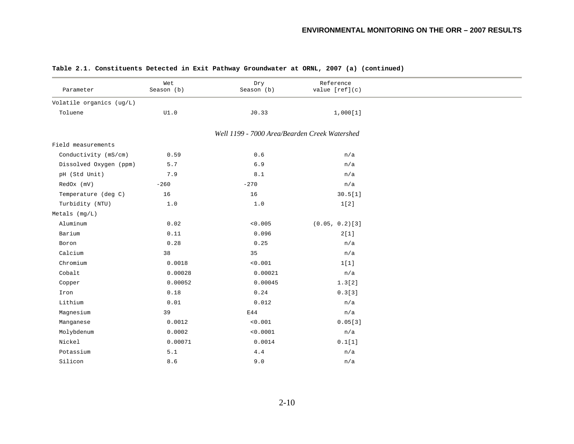| Parameter                | Wet<br>Season (b) | Dry<br>Season (b)                             | Reference<br>value $[ref](c)$ |  |
|--------------------------|-------------------|-----------------------------------------------|-------------------------------|--|
| Volatile organics (ug/L) |                   |                                               |                               |  |
| Toluene                  | UI.0              | J0.33                                         | 1,000[1]                      |  |
|                          |                   | Well 1199 - 7000 Area/Bearden Creek Watershed |                               |  |
| Field measurements       |                   |                                               |                               |  |
| Conductivity (mS/cm)     | 0.59              | 0.6                                           | n/a                           |  |
| Dissolved Oxygen (ppm)   | 5.7               | 6.9                                           | n/a                           |  |
| pH (Std Unit)            | 7.9               | 8.1                                           | n/a                           |  |
| RedOx (mV)               | $-260$            | $-270$                                        | n/a                           |  |
| Temperature (deg C)      | 16                | $16\,$                                        | 30.5[1]                       |  |
| Turbidity (NTU)          | 1.0               | 1.0                                           | 1[2]                          |  |
| $Metals$ ( $mq/L$ )      |                   |                                               |                               |  |
| Aluminum                 | 0.02              | < 0.005                                       | $(0.05, 0.2)$ [3]             |  |
| Barium                   | 0.11              | 0.096                                         | 2[1]                          |  |
| Boron                    | 0.28              | 0.25                                          | n/a                           |  |
| Calcium                  | 38                | 35                                            | n/a                           |  |
| Chromium                 | 0.0018            | < 0.001                                       | 1[1]                          |  |
| Cobalt                   | 0.00028           | 0.00021                                       | n/a                           |  |
| Copper                   | 0.00052           | 0.00045                                       | 1.3[2]                        |  |
| Iron                     | 0.18              | 0.24                                          | 0.3[3]                        |  |
| Lithium                  | 0.01              | 0.012                                         | n/a                           |  |
| Magnesium                | 39                | E44                                           | n/a                           |  |
| Manganese                | 0.0012            | < 0.001                                       | 0.05[3]                       |  |
| Molybdenum               | 0.0002            | < 0.0001                                      | n/a                           |  |
| Nickel                   | 0.00071           | 0.0014                                        | 0.1[1]                        |  |
| Potassium                | 5.1               | 4.4                                           | n/a                           |  |
| Silicon                  | 8.6               | 9.0                                           | n/a                           |  |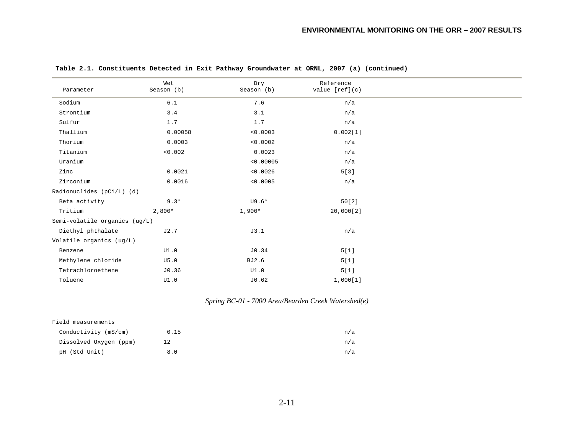| Parameter                     | Wet<br>Season (b) | Dry<br>Season (b) | Reference<br>value $[ref](c)$ |  |
|-------------------------------|-------------------|-------------------|-------------------------------|--|
| Sodium                        | $6.1$             | 7.6               | n/a                           |  |
| Strontium                     | 3.4               | 3.1               | n/a                           |  |
| Sulfur                        | 1.7               | 1.7               | n/a                           |  |
| Thallium                      | 0.00058           | < 0.0003          | 0.002[1]                      |  |
| Thorium                       | 0.0003            | < 0.0002          | n/a                           |  |
| Titanium                      | < 0.002           | 0.0023            | n/a                           |  |
| Uranium                       |                   | < 0.00005         | n/a                           |  |
| Zinc                          | 0.0021            | < 0.0026          | 5[3]                          |  |
| Zirconium                     | 0.0016            | < 0.0005          | n/a                           |  |
| Radionuclides (pCi/L) (d)     |                   |                   |                               |  |
| Beta activity                 | $9.3*$            | $U9.6*$           | 50[2]                         |  |
| Tritium                       | $2,800*$          | $1,900*$          | 20,000[2]                     |  |
| Semi-volatile organics (ug/L) |                   |                   |                               |  |
| Diethyl phthalate             | J2.7              | J3.1              | n/a                           |  |
| Volatile organics (ug/L)      |                   |                   |                               |  |
| Benzene                       | UI.0              | J0.34             | 5[1]                          |  |
| Methylene chloride            | U5.0              | BJ2.6             | 5[1]                          |  |
| Tetrachloroethene             | J0.36             | UI.0              | 5[1]                          |  |
| Toluene                       | UI.0              | J0.62             | 1,000[1]                      |  |

*Spring BC-01 - 7000 Area/Bearden Creek Watershed(e)* 

| Field measurements     |      |     |
|------------------------|------|-----|
| Conductivity (mS/cm)   | 0.15 | n/a |
| Dissolved Oxygen (ppm) | 12   | n/a |
| pH (Std Unit)          | 8.0  | n/a |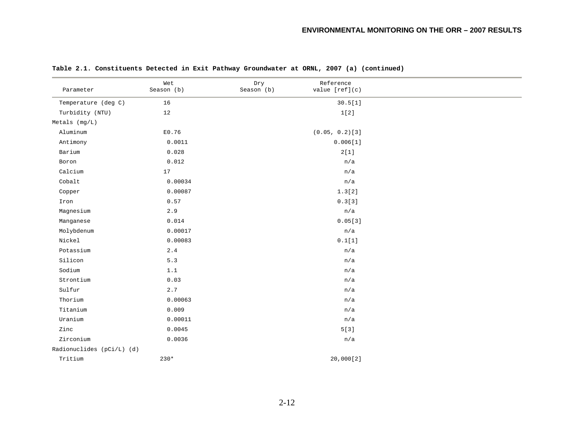| Parameter                 | Wet<br>Season (b) | Dry<br>Season (b) | Reference<br>value [ref](c) |  |
|---------------------------|-------------------|-------------------|-----------------------------|--|
| Temperature (deg C)       | 16                |                   | 30.5[1]                     |  |
| Turbidity (NTU)           | 12                |                   | 1[2]                        |  |
| $Metals$ (mg/L)           |                   |                   |                             |  |
| Aluminum                  | E0.76             |                   | $(0.05, 0.2)$ [3]           |  |
| Antimony                  | 0.0011            |                   | 0.006[1]                    |  |
| Barium                    | 0.028             |                   | 2[1]                        |  |
| Boron                     | 0.012             |                   | n/a                         |  |
| Calcium                   | 17                |                   | n/a                         |  |
| Cobalt                    | 0.00034           |                   | n/a                         |  |
| Copper                    | 0.00087           |                   | 1.3[2]                      |  |
| Iron                      | 0.57              |                   | 0.3[3]                      |  |
| Magnesium                 | 2.9               |                   | n/a                         |  |
| Manganese                 | 0.014             |                   | 0.05[3]                     |  |
| Molybdenum                | 0.00017           |                   | n/a                         |  |
| Nickel                    | 0.00083           |                   | 0.1[1]                      |  |
| Potassium                 | 2.4               |                   | n/a                         |  |
| Silicon                   | $5.3$             |                   | n/a                         |  |
| Sodium                    | 1.1               |                   | n/a                         |  |
| Strontium                 | 0.03              |                   | n/a                         |  |
| Sulfur                    | 2.7               |                   | n/a                         |  |
| Thorium                   | 0.00063           |                   | n/a                         |  |
| Titanium                  | 0.009             |                   | n/a                         |  |
| Uranium                   | 0.00011           |                   | n/a                         |  |
| Zinc                      | 0.0045            |                   | 5[3]                        |  |
| Zirconium                 | 0.0036            |                   | n/a                         |  |
| Radionuclides (pCi/L) (d) |                   |                   |                             |  |
| Tritium                   | $230*$            |                   | 20,000[2]                   |  |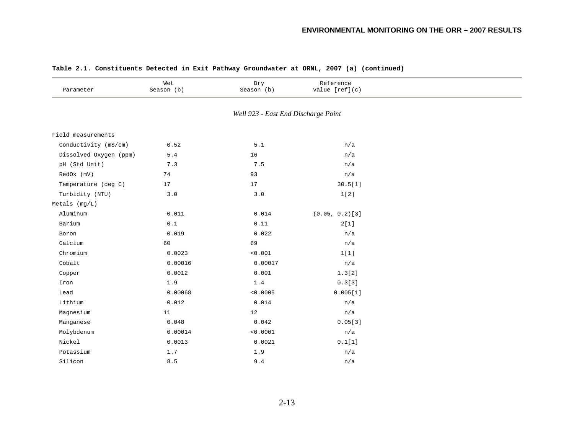| Parameter              | Wet<br>Season (b)                                 | Dry<br>Season (b)                   | Reference<br>value [ref](c) |  |
|------------------------|---------------------------------------------------|-------------------------------------|-----------------------------|--|
|                        |                                                   | Well 923 - East End Discharge Point |                             |  |
| Field measurements     |                                                   |                                     |                             |  |
| Conductivity (mS/cm)   | 0.52                                              | $5.1\,$                             | n/a                         |  |
| Dissolved Oxygen (ppm) | $5.4\,$                                           | 16                                  | n/a                         |  |
| pH (Std Unit)          | 7.3                                               | 7.5                                 | n/a                         |  |
| RedOx (mV)             | 74                                                | 93                                  | n/a                         |  |
| Temperature (deg C)    | 17                                                | 17                                  | 30.5[1]                     |  |
| Turbidity (NTU)        | 3.0                                               | $3.0$                               | 1[2]                        |  |
| Metals (mg/L)          |                                                   |                                     |                             |  |
| Aluminum               | 0.011                                             | 0.014                               | $(0.05, 0.2)$ [3]           |  |
| Barium                 | $\ensuremath{\text{0}}$ . $\ensuremath{\text{1}}$ | 0.11                                | 2[1]                        |  |
| Boron                  | 0.019                                             | 0.022                               | n/a                         |  |
| Calcium                | 60                                                | 69                                  | n/a                         |  |
| Chromium               | 0.0023                                            | $<\!0\,.001$                        | 1[1]                        |  |
| Cobalt                 | 0.00016                                           | 0.00017                             | n/a                         |  |
| Copper                 | 0.0012                                            | 0.001                               | 1.3[2]                      |  |
| Iron                   | 1.9                                               | $1.4\,$                             | 0.3[3]                      |  |
| Lead                   | 0.00068                                           | < 0.0005                            | 0.005[1]                    |  |
| Lithium                | 0.012                                             | 0.014                               | n/a                         |  |
| Magnesium              | 11                                                | 12                                  | n/a                         |  |
| Manganese              | 0.048                                             | 0.042                               | 0.05[3]                     |  |
| Molybdenum             | 0.00014                                           | < 0.0001                            | n/a                         |  |
| Nickel                 | 0.0013                                            | 0.0021                              | 0.1[1]                      |  |
| Potassium              | 1.7                                               | 1.9                                 | n/a                         |  |
| Silicon                | 8.5                                               | 9.4                                 | n/a                         |  |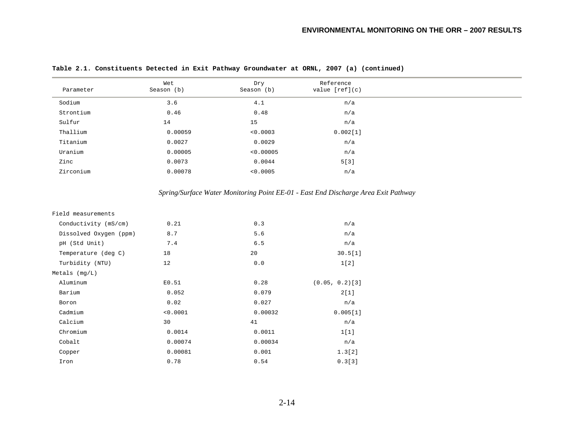|  | Table 2.1. Constituents Detected in Exit Pathway Groundwater at ORNL, 2007 (a) (continued) |  |  |  |  |  |  |  |  |  |
|--|--------------------------------------------------------------------------------------------|--|--|--|--|--|--|--|--|--|
|--|--------------------------------------------------------------------------------------------|--|--|--|--|--|--|--|--|--|

| Parameter | Wet<br>Season (b) | Dry<br>Season (b) | Reference<br>value $[ref](c)$ |
|-----------|-------------------|-------------------|-------------------------------|
| Sodium    | 3.6               | 4.1               | n/a                           |
| Strontium | 0.46              | 0.48              | n/a                           |
| Sulfur    | 14                | 15                | n/a                           |
| Thallium  | 0.00059           | < 0.0003          | 0.002[1]                      |
| Titanium  | 0.0027            | 0.0029            | n/a                           |
| Uranium   | 0.00005           | < 0.00005         | n/a                           |
| Zinc      | 0.0073            | 0.0044            | 5[3]                          |
| Zirconium | 0.00078           | < 0.0005          | n/a                           |

# *Spring/Surface Water Monitoring Point EE-01 - East End Discharge Area Exit Pathway*

| Field measurements     |          |         |                   |
|------------------------|----------|---------|-------------------|
| Conductivity (mS/cm)   | 0.21     | 0.3     | n/a               |
| Dissolved Oxygen (ppm) | 8.7      | 5.6     | n/a               |
| pH (Std Unit)          | 7.4      | 6.5     | n/a               |
| Temperature (deg C)    | 18       | 20      | 30.5[1]           |
| Turbidity (NTU)        | 12       | 0.0     | 1[2]              |
| Metals $(mq/L)$        |          |         |                   |
| Aluminum               | E0.51    | 0.28    | $(0.05, 0.2)$ [3] |
| Barium                 | 0.052    | 0.079   | 2[1]              |
| Boron                  | 0.02     | 0.027   | n/a               |
| Cadmium                | < 0.0001 | 0.00032 | 0.005[1]          |
| Calcium                | 30       | 41      | n/a               |
| Chromium               | 0.0014   | 0.0011  | 1[1]              |
| Cobalt                 | 0.00074  | 0.00034 | n/a               |
| Copper                 | 0.00081  | 0.001   | 1.3[2]            |
| Iron                   | 0.78     | 0.54    | 0.3[3]            |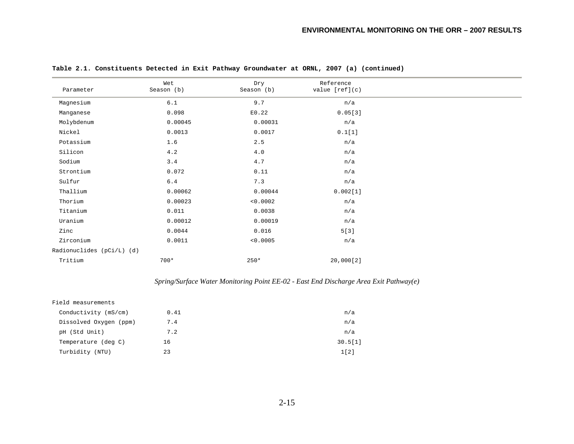| Wet<br>Reference<br>Dry<br>Season (b)<br>Season (b)<br>value $[ref](c)$<br>Parameter<br>$6.1$<br>9.7<br>n/a<br>Magnesium<br>0.098<br>E0.22<br>0.05[3]<br>Manganese<br>Molybdenum<br>0.00045<br>0.00031<br>n/a<br>0.1[1]<br>Nickel<br>0.0013<br>0.0017<br>Potassium<br>1.6<br>2.5<br>n/a<br>Silicon<br>4.0<br>4.2<br>n/a<br>Sodium<br>3.4<br>4.7<br>n/a<br>0.11<br>0.072<br>Strontium<br>n/a<br>7.3<br>Sulfur<br>$6.4\,$<br>n/a |
|--------------------------------------------------------------------------------------------------------------------------------------------------------------------------------------------------------------------------------------------------------------------------------------------------------------------------------------------------------------------------------------------------------------------------------|
|                                                                                                                                                                                                                                                                                                                                                                                                                                |
|                                                                                                                                                                                                                                                                                                                                                                                                                                |
|                                                                                                                                                                                                                                                                                                                                                                                                                                |
|                                                                                                                                                                                                                                                                                                                                                                                                                                |
|                                                                                                                                                                                                                                                                                                                                                                                                                                |
|                                                                                                                                                                                                                                                                                                                                                                                                                                |
|                                                                                                                                                                                                                                                                                                                                                                                                                                |
|                                                                                                                                                                                                                                                                                                                                                                                                                                |
|                                                                                                                                                                                                                                                                                                                                                                                                                                |
|                                                                                                                                                                                                                                                                                                                                                                                                                                |
| Thallium<br>0.00062<br>0.00044<br>0.002[1]                                                                                                                                                                                                                                                                                                                                                                                     |
| Thorium<br>0.00023<br>< 0.0002<br>n/a                                                                                                                                                                                                                                                                                                                                                                                          |
| Titanium<br>0.011<br>0.0038<br>n/a                                                                                                                                                                                                                                                                                                                                                                                             |
| Uranium<br>0.00012<br>0.00019<br>n/a                                                                                                                                                                                                                                                                                                                                                                                           |
| 5[3]<br>0.0044<br>0.016<br>Zinc                                                                                                                                                                                                                                                                                                                                                                                                |
| Zirconium<br>0.0011<br>< 0.0005<br>n/a                                                                                                                                                                                                                                                                                                                                                                                         |
| Radionuclides (pCi/L) (d)                                                                                                                                                                                                                                                                                                                                                                                                      |
| Tritium<br>20,000[2]<br>$700*$<br>$250*$                                                                                                                                                                                                                                                                                                                                                                                       |

# *Spring/Surface Water Monitoring Point EE-02 - East End Discharge Area Exit Pathway(e)*

| Conductivity (mS/cm)<br>0.41<br>Dissolved Oxygen (ppm)<br>7.4<br>pH (Std Unit)<br>7.2<br>Temperature (deg C)<br>16<br>Turbidity (NTU)<br>23 | Field measurements |         |
|---------------------------------------------------------------------------------------------------------------------------------------------|--------------------|---------|
|                                                                                                                                             |                    | n/a     |
|                                                                                                                                             |                    | n/a     |
|                                                                                                                                             |                    | n/a     |
|                                                                                                                                             |                    | 30.5[1] |
|                                                                                                                                             |                    | 1[2]    |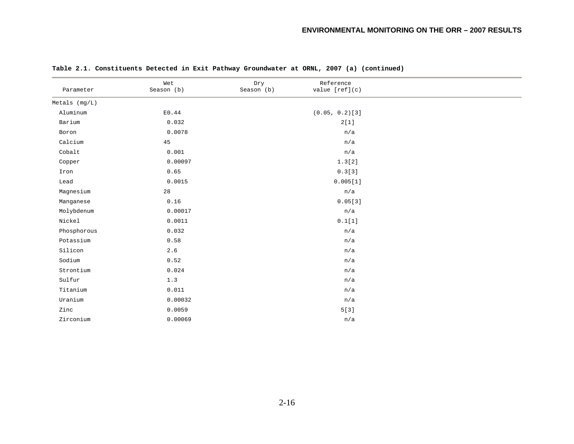| Parameter           | Wet<br>Season (b) | Dry<br>Season (b) | Reference<br>value [ref](c) |  |
|---------------------|-------------------|-------------------|-----------------------------|--|
| $Metals$ ( $mq/L$ ) |                   |                   |                             |  |
| Aluminum            | E0.44             |                   | $(0.05, 0.2)$ [3]           |  |
| Barium              | 0.032             |                   | 2[1]                        |  |
| Boron               | 0.0078            |                   | n/a                         |  |
| Calcium             | 45                |                   | n/a                         |  |
| Cobalt              | 0.001             |                   | n/a                         |  |
| Copper              | 0.00097           |                   | 1.3[2]                      |  |
| Iron                | 0.65              |                   | 0.3[3]                      |  |
| Lead                | 0.0015            |                   | 0.005[1]                    |  |
| Magnesium           | 28                |                   | n/a                         |  |
| Manganese           | 0.16              |                   | 0.05[3]                     |  |
| Molybdenum          | 0.00017           |                   | n/a                         |  |
| Nickel              | 0.0011            |                   | 0.1[1]                      |  |
| Phosphorous         | 0.032             |                   | n/a                         |  |
| Potassium           | 0.58              |                   | n/a                         |  |
| Silicon             | $2.6\,$           |                   | n/a                         |  |
| Sodium              | 0.52              |                   | n/a                         |  |
| Strontium           | 0.024             |                   | n/a                         |  |
| Sulfur              | 1.3               |                   | n/a                         |  |
| Titanium            | 0.011             |                   | n/a                         |  |
| Uranium             | 0.00032           |                   | n/a                         |  |
| Zinc                | 0.0059            |                   | 5[3]                        |  |
| Zirconium           | 0.00069           |                   | n/a                         |  |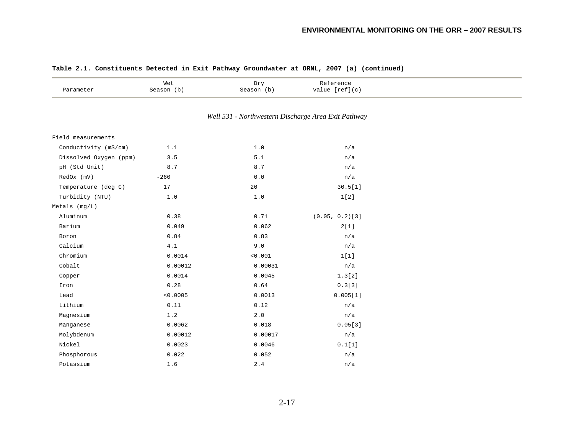| Parameter              | Wet<br>Season (b) | Dry<br>Season (b)                                   | Reference<br>value $[ref](c)$ |  |
|------------------------|-------------------|-----------------------------------------------------|-------------------------------|--|
|                        |                   | Well 531 - Northwestern Discharge Area Exit Pathway |                               |  |
| Field measurements     |                   |                                                     |                               |  |
| Conductivity (mS/cm)   | 1.1               | $1.0$                                               | n/a                           |  |
| Dissolved Oxygen (ppm) | 3.5               | 5.1                                                 | n/a                           |  |
| pH (Std Unit)          | 8.7               | 8.7                                                 | n/a                           |  |
| RedOx (mV)             | $-260$            | 0.0                                                 | n/a                           |  |
| Temperature (deg C)    | $17\,$            | 20                                                  | 30.5[1]                       |  |
| Turbidity (NTU)        | $1.0$             | $1.0$                                               | 1[2]                          |  |
| $Metals$ (mg/L)        |                   |                                                     |                               |  |
| Aluminum               | 0.38              | 0.71                                                | $(0.05, 0.2)$ [3]             |  |
| Barium                 | 0.049             | 0.062                                               | 2[1]                          |  |
| Boron                  | 0.84              | 0.83                                                | n/a                           |  |
| Calcium                | 4.1               | 9.0                                                 | n/a                           |  |
| Chromium               | 0.0014            | < 0.001                                             | 1[1]                          |  |
| Cobalt                 | 0.00012           | 0.00031                                             | n/a                           |  |
| Copper                 | 0.0014            | 0.0045                                              | 1.3[2]                        |  |
| Iron                   | 0.28              | 0.64                                                | 0.3[3]                        |  |
| Lead                   | < 0.0005          | 0.0013                                              | 0.005[1]                      |  |
| Lithium                | 0.11              | 0.12                                                | n/a                           |  |
| Magnesium              | 1.2               | $2 \cdot 0$                                         | n/a                           |  |
| Manganese              | 0.0062            | 0.018                                               | 0.05[3]                       |  |
| Molybdenum             | 0.00012           | 0.00017                                             | n/a                           |  |
| Nickel                 | 0.0023            | 0.0046                                              | 0.1[1]                        |  |
| Phosphorous            | 0.022             | 0.052                                               | n/a                           |  |
| Potassium              | 1.6               | 2.4                                                 | n/a                           |  |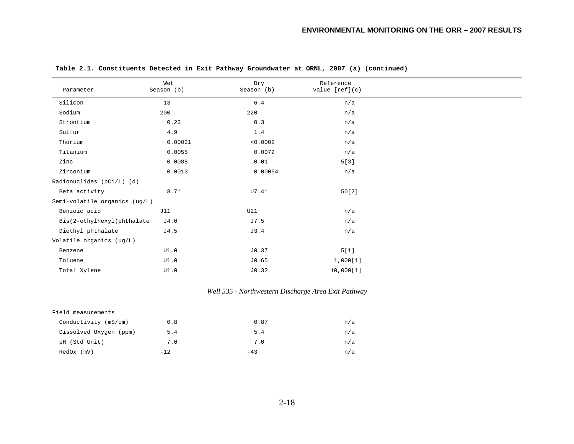| Parameter                     | Wet<br>Season (b) | Dry<br>Season (b) | Reference<br>value $[ref](c)$ |
|-------------------------------|-------------------|-------------------|-------------------------------|
| Silicon                       | 13                | $6.4$             | n/a                           |
| Sodium                        | 200               | 220               | n/a                           |
| Strontium                     | 0.23              | 0.3               | n/a                           |
| Sulfur                        | $4.9\,$           | $1.4\,$           | n/a                           |
| Thorium                       | 0.00021           | < 0.0002          | n/a                           |
| Titanium                      | 0.0055            | 0.0072            | n/a                           |
| Zinc                          | 0.0088            | 0.01              | 5[3]                          |
| Zirconium                     | 0.0013            | 0.00054           | n/a                           |
| Radionuclides (pCi/L) (d)     |                   |                   |                               |
| Beta activity                 | $8.7*$            | $UT.4*$           | 50[2]                         |
| Semi-volatile organics (ug/L) |                   |                   |                               |
| Benzoic acid                  | J11               | U21               | n/a                           |
| Bis(2-ethylhexyl)phthalate    | J4.0              | J7.5              | n/a                           |
| Diethyl phthalate             | J4.5              | J3.4              | n/a                           |
| Volatile organics (ug/L)      |                   |                   |                               |
| Benzene                       | UI.0              | J0.37             | 5[1]                          |
| Toluene                       | UI.0              | J0.65             | 1,000[1]                      |
| Total Xylene                  | UI.0              | J0.32             | 10,000[1]                     |

# *Well 535 - Northwestern Discharge Area Exit Pathway*

| Field measurements     |        |       |     |
|------------------------|--------|-------|-----|
| Conductivity (mS/cm)   | 0.8    | 0.87  | n/a |
| Dissolved Oxygen (ppm) | 5.4    | 5.4   | n/a |
| pH (Std Unit)          | 7.0    | 7.0   | n/a |
| $RedOx$ ( $mV$ )       | $-12.$ | $-43$ | n/a |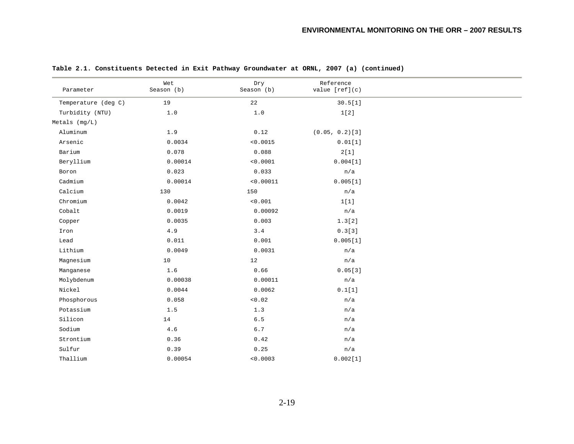|                     | Wet        | Dry        | Reference         |  |
|---------------------|------------|------------|-------------------|--|
| Parameter           | Season (b) | Season (b) | value [ref](c)    |  |
| Temperature (deg C) | 19         | 22         | 30.5[1]           |  |
| Turbidity (NTU)     | 1.0        | $1.0$      | 1[2]              |  |
| Metals $(mq/L)$     |            |            |                   |  |
| Aluminum            | 1.9        | 0.12       | $(0.05, 0.2)$ [3] |  |
| Arsenic             | 0.0034     | < 0.0015   | 0.01[1]           |  |
| Barium              | 0.078      | 0.088      | 2[1]              |  |
| Beryllium           | 0.00014    | < 0.0001   | 0.004[1]          |  |
| Boron               | 0.023      | 0.033      | n/a               |  |
| Cadmium             | 0.00014    | < 0.00011  | 0.005[1]          |  |
| Calcium             | 130        | 150        | n/a               |  |
| Chromium            | 0.0042     | < 0.001    | 1[1]              |  |
| Cobalt              | 0.0019     | 0.00092    | n/a               |  |
| Copper              | 0.0035     | 0.003      | 1.3[2]            |  |
| Iron                | $4.9\,$    | $3.4$      | 0.3[3]            |  |
| Lead                | 0.011      | 0.001      | 0.005[1]          |  |
| Lithium             | 0.0049     | 0.0031     | n/a               |  |
| Magnesium           | 10         | 12         | n/a               |  |
| Manganese           | 1.6        | 0.66       | 0.05[3]           |  |
| Molybdenum          | 0.00038    | 0.00011    | n/a               |  |
| Nickel              | 0.0044     | 0.0062     | 0.1[1]            |  |
| Phosphorous         | 0.058      | < 0.02     | n/a               |  |
| Potassium           | $1.5$      | 1.3        | n/a               |  |
| Silicon             | 14         | 6.5        | n/a               |  |
| Sodium              | $4\,.6$    | $6\,.7$    | n/a               |  |
| Strontium           | 0.36       | 0.42       | n/a               |  |
| Sulfur              | 0.39       | 0.25       | n/a               |  |
| Thallium            | 0.00054    | < 0.0003   | 0.002[1]          |  |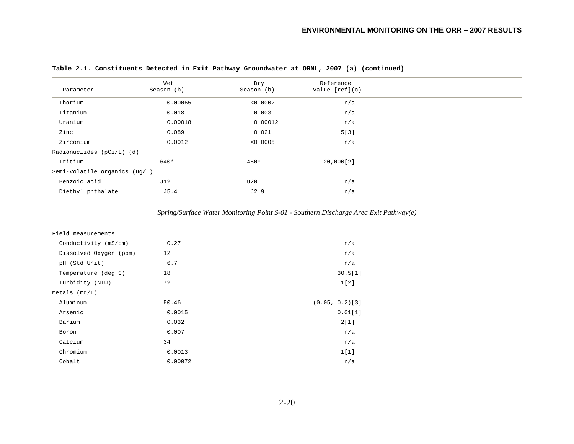| Parameter                     | Wet<br>Season (b) | Dry<br>Season (b) | Reference<br>value $[ref](c)$ |
|-------------------------------|-------------------|-------------------|-------------------------------|
|                               |                   |                   |                               |
| Thorium                       | 0.00065           | < 0.0002          | n/a                           |
| Titanium                      | 0.018             | 0.003             | n/a                           |
| Uranium                       | 0.00018           | 0.00012           | n/a                           |
| Zinc                          | 0.089             | 0.021             | 5[3]                          |
| Zirconium                     | 0.0012            | < 0.0005          | n/a                           |
| Radionuclides (pCi/L) (d)     |                   |                   |                               |
| Tritium                       | 640*              | 450*              | 20,000[2]                     |
| Semi-volatile organics (ug/L) |                   |                   |                               |
| Benzoic acid                  | J12               | U20               | n/a                           |
| Diethyl phthalate             | J5.4              | J2.9              | n/a                           |

*Spring/Surface Water Monitoring Point S-01 - Southern Discharge Area Exit Pathway(e)* 

| Field measurements     |         |                   |
|------------------------|---------|-------------------|
| Conductivity (mS/cm)   | 0.27    | n/a               |
| Dissolved Oxygen (ppm) | 12      | n/a               |
| pH (Std Unit)          | 6.7     | n/a               |
| Temperature (deg C)    | 18      | 30.5[1]           |
| Turbidity (NTU)        | 72      | 1[2]              |
| Metals $(mq/L)$        |         |                   |
| Aluminum               | E0.46   | $(0.05, 0.2)$ [3] |
| Arsenic                | 0.0015  | 0.01[1]           |
| Barium                 | 0.032   | 2[1]              |
| Boron                  | 0.007   | n/a               |
| Calcium                | 34      | n/a               |
| Chromium               | 0.0013  | 1[1]              |
| Cobalt                 | 0.00072 | n/a               |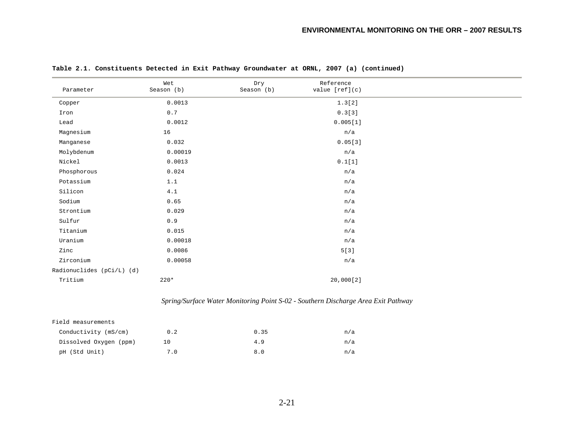| Parameter                 | Wet<br>Season (b) | Dry<br>Season (b) | Reference<br>value $[ref](c)$                                                     |  |
|---------------------------|-------------------|-------------------|-----------------------------------------------------------------------------------|--|
| Copper                    | 0.0013            |                   | 1.3[2]                                                                            |  |
| Iron                      | 0.7               |                   | 0.3[3]                                                                            |  |
| Lead                      | 0.0012            |                   | 0.005[1]                                                                          |  |
| Magnesium                 | 16                |                   | n/a                                                                               |  |
| Manganese                 | 0.032             |                   | 0.05[3]                                                                           |  |
| Molybdenum                | 0.00019           |                   | n/a                                                                               |  |
| Nickel                    | 0.0013            |                   | 0.1[1]                                                                            |  |
| Phosphorous               | 0.024             |                   | n/a                                                                               |  |
| Potassium                 | 1.1               |                   | n/a                                                                               |  |
| Silicon                   | 4.1               |                   | n/a                                                                               |  |
| Sodium                    | 0.65              |                   | n/a                                                                               |  |
| Strontium                 | 0.029             |                   | n/a                                                                               |  |
| $\texttt{Sulfur}$         | $0.9$             |                   | n/a                                                                               |  |
| Titanium                  | 0.015             |                   | n/a                                                                               |  |
| Uranium                   | 0.00018           |                   | n/a                                                                               |  |
| Zinc                      | 0.0086            |                   | 5[3]                                                                              |  |
| Zirconium                 | 0.00058           |                   | n/a                                                                               |  |
| Radionuclides (pCi/L) (d) |                   |                   |                                                                                   |  |
| Tritium                   | $220*$            |                   | 20,000[2]                                                                         |  |
|                           |                   |                   | Spring/Surface Water Monitoring Point S-02 - Southern Discharge Area Exit Pathway |  |
| Field measurements        |                   |                   |                                                                                   |  |
| Conductivity (mS/cm)      | $0.2\,$           | 0.35              | n/a                                                                               |  |
| Dissolved Oxygen (ppm)    | 10                | 4.9               | n/a                                                                               |  |
| pH (Std Unit)             | 7.0               | 8.0               | n/a                                                                               |  |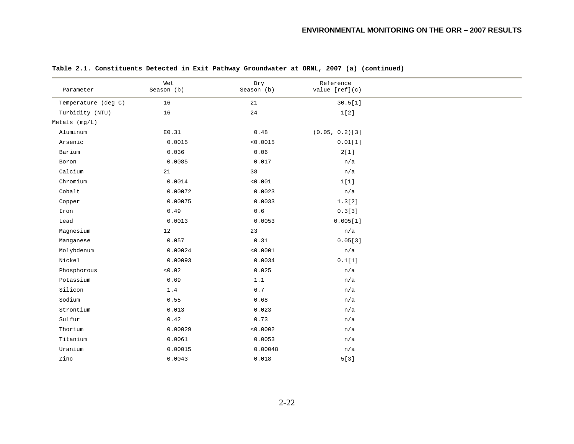| Parameter           | Wet<br>Season (b) | Dry<br>Season (b) | Reference<br>value [ref](c) |  |
|---------------------|-------------------|-------------------|-----------------------------|--|
| Temperature (deg C) | 16                | 21                | 30.5[1]                     |  |
| Turbidity (NTU)     | 16                | 24                | 1[2]                        |  |
| $Metals$ ( $mq/L$ ) |                   |                   |                             |  |
| Aluminum            | E0.31             | 0.48              | $(0.05, 0.2)$ [3]           |  |
| Arsenic             | 0.0015            | < 0.0015          | 0.01[1]                     |  |
| Barium              | 0.036             | 0.06              | 2[1]                        |  |
| Boron               | 0.0085            | 0.017             | n/a                         |  |
| Calcium             | 21                | 38                | n/a                         |  |
| Chromium            | 0.0014            | < 0.001           | 1[1]                        |  |
| Cobalt              | 0.00072           | 0.0023            | n/a                         |  |
| Copper              | 0.00075           | 0.0033            | 1.3[2]                      |  |
| Iron                | 0.49              | $0.6\,$           | 0.3[3]                      |  |
| Lead                | 0.0013            | 0.0053            | 0.005[1]                    |  |
| Magnesium           | 12                | 23                | n/a                         |  |
| Manganese           | 0.057             | 0.31              | 0.05[3]                     |  |
| Molybdenum          | 0.00024           | < 0.0001          | n/a                         |  |
| Nickel              | 0.00093           | 0.0034            | 0.1[1]                      |  |
| Phosphorous         | < 0.02            | 0.025             | n/a                         |  |
| Potassium           | 0.69              | 1.1               | n/a                         |  |
| Silicon             | 1.4               | $6.7$             | n/a                         |  |
| Sodium              | 0.55              | 0.68              | n/a                         |  |
| Strontium           | 0.013             | 0.023             | n/a                         |  |
| Sulfur              | 0.42              | 0.73              | n/a                         |  |
| Thorium             | 0.00029           | < 0.0002          | n/a                         |  |
| Titanium            | 0.0061            | 0.0053            | n/a                         |  |
| Uranium             | 0.00015           | 0.00048           | n/a                         |  |
| Zinc                | 0.0043            | 0.018             | 5[3]                        |  |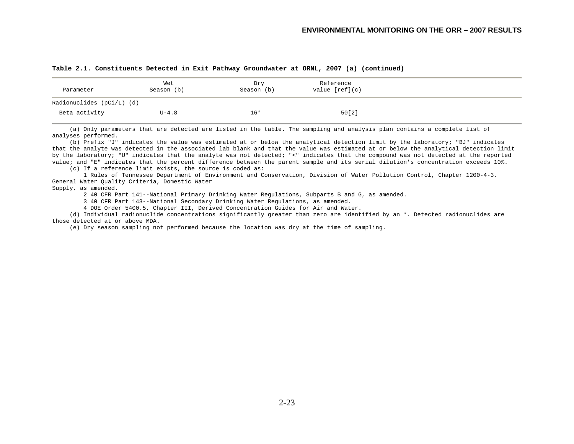| Parameter                   | Wet<br>Season (b) | Dry<br>Season (b) | Reference<br>value $[ref](c)$ |
|-----------------------------|-------------------|-------------------|-------------------------------|
| Radionuclides $(pCi/L)$ (d) |                   |                   |                               |
| Beta activity               | $U-4.8$           | $16*$             | 50[2]                         |

 (a) Only parameters that are detected are listed in the table. The sampling and analysis plan contains a complete list of analyses performed.

 (b) Prefix "J" indicates the value was estimated at or below the analytical detection limit by the laboratory; "BJ" indicates that the analyte was detected in the associated lab blank and that the value was estimated at or below the analytical detection limit by the laboratory; "U" indicates that the analyte was not detected; "<" indicates that the compound was not detected at the reported value; and "E" indicates that the percent difference between the parent sample and its serial dilution's concentration exceeds 10%.

(c) If a reference limit exists, the source is coded as:

 1 Rules of Tennessee Department of Environment and Conservation, Division of Water Pollution Control, Chapter 1200-4-3, General Water Quality Criteria, Domestic Water

Supply, as amended.

2 40 CFR Part 141--National Primary Drinking Water Regulations, Subparts B and G, as amended.

3 40 CFR Part 143--National Secondary Drinking Water Regulations, as amended.

4 DOE Order 5400.5, Chapter III, Derived Concentration Guides for Air and Water.

 (d) Individual radionuclide concentrations significantly greater than zero are identified by an \*. Detected radionuclides are those detected at or above MDA.

(e) Dry season sampling not performed because the location was dry at the time of sampling.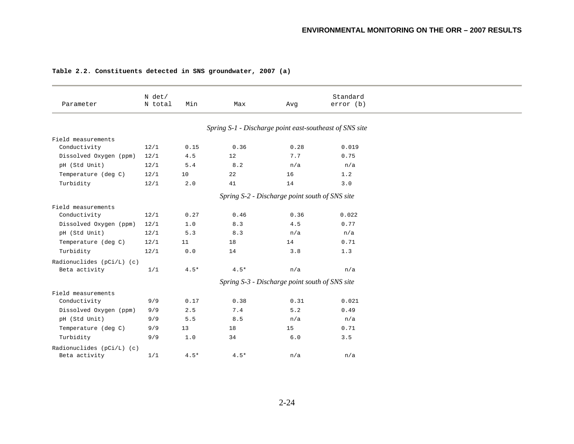|  |  | Table 2.2. Constituents detected in SNS groundwater, 2007 (a) |  |  |  |  |  |  |  |
|--|--|---------------------------------------------------------------|--|--|--|--|--|--|--|
|--|--|---------------------------------------------------------------|--|--|--|--|--|--|--|

| Parameter                   | N det/<br>N total | Min    | Max                                                     | Avg                                            | Standard<br>error(b) |
|-----------------------------|-------------------|--------|---------------------------------------------------------|------------------------------------------------|----------------------|
|                             |                   |        | Spring S-1 - Discharge point east-southeast of SNS site |                                                |                      |
| Field measurements          |                   |        |                                                         |                                                |                      |
| Conductivity                | 12/1              | 0.15   | 0.36                                                    | 0.28                                           | 0.019                |
| Dissolved Oxygen (ppm)      | 12/1              | 4.5    | 12                                                      | 7.7                                            | 0.75                 |
| pH (Std Unit)               | 12/1              | 5.4    | $8.2\,$                                                 | n/a                                            | n/a                  |
| Temperature (deg C)         | 12/1              | 10     | 22                                                      | 16                                             | 1.2                  |
| Turbidity                   | 12/1              | 2.0    | 41                                                      | 14                                             | 3.0                  |
|                             |                   |        |                                                         | Spring S-2 - Discharge point south of SNS site |                      |
| Field measurements          |                   |        |                                                         |                                                |                      |
| Conductivity                | 12/1              | 0.27   | 0.46                                                    | 0.36                                           | 0.022                |
| Dissolved Oxygen (ppm)      | 12/1              | 1.0    | 8.3                                                     | 4.5                                            | 0.77                 |
| pH (Std Unit)               | 12/1              | 5.3    | 8.3                                                     | n/a                                            | n/a                  |
| Temperature (deg C)         | 12/1              | 11     | 18                                                      | 14                                             | 0.71                 |
| Turbidity                   | 12/1              | $0.0$  | 14                                                      | 3.8                                            | 1.3                  |
| Radionuclides (pCi/L) (c)   |                   |        |                                                         |                                                |                      |
| Beta activity               | 1/1               | $4.5*$ | $4.5*$                                                  | n/a                                            | n/a                  |
|                             |                   |        |                                                         | Spring S-3 - Discharge point south of SNS site |                      |
| Field measurements          |                   |        |                                                         |                                                |                      |
| Conductivity                | 9/9               | 0.17   | 0.38                                                    | 0.31                                           | 0.021                |
| Dissolved Oxygen (ppm)      | 9/9               | 2.5    | 7.4                                                     | 5.2                                            | 0.49                 |
| pH (Std Unit)               | 9/9               | 5.5    | 8.5                                                     | n/a                                            | n/a                  |
| Temperature (deg C)         | 9/9               | 13     | 18                                                      | 15                                             | 0.71                 |
| Turbidity                   | 9/9               | 1.0    | 34                                                      | $6.0$                                          | 3.5                  |
| Radionuclides $(pCi/L)$ (c) |                   |        |                                                         |                                                |                      |
| Beta activity               | 1/1               | $4.5*$ | $4.5*$                                                  | n/a                                            | n/a                  |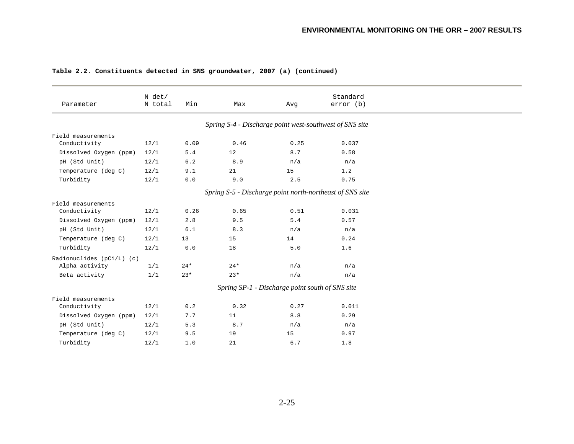|                           | N det/  |       |                                                         |                                                 | Standard                                                 |
|---------------------------|---------|-------|---------------------------------------------------------|-------------------------------------------------|----------------------------------------------------------|
| Parameter                 | N total | Min   | Max                                                     | Avg                                             | error (b)                                                |
|                           |         |       | Spring S-4 - Discharge point west-southwest of SNS site |                                                 |                                                          |
| Field measurements        |         |       |                                                         |                                                 |                                                          |
| Conductivity              | 12/1    | 0.09  | 0.46                                                    | 0.25                                            | 0.037                                                    |
| Dissolved Oxygen (ppm)    | 12/1    | 5.4   | 12                                                      | 8.7                                             | 0.58                                                     |
| pH (Std Unit)             | 12/1    | $6.2$ | 8.9                                                     | n/a                                             | n/a                                                      |
| Temperature (deg C)       | 12/1    | 9.1   | 21                                                      | 15                                              | 1.2                                                      |
| Turbidity                 | 12/1    | 0.0   | 9.0                                                     | 2.5                                             | 0.75                                                     |
|                           |         |       |                                                         |                                                 | Spring S-5 - Discharge point north-northeast of SNS site |
| Field measurements        |         |       |                                                         |                                                 |                                                          |
| Conductivity              | 12/1    | 0.26  | 0.65                                                    | 0.51                                            | 0.031                                                    |
| Dissolved Oxygen (ppm)    | 12/1    | 2.8   | 9.5                                                     | 5.4                                             | 0.57                                                     |
| pH (Std Unit)             | 12/1    | $6.1$ | 8.3                                                     | n/a                                             | n/a                                                      |
| Temperature (deg C)       | 12/1    | 13    | 15                                                      | 14                                              | 0.24                                                     |
| Turbidity                 | 12/1    | 0.0   | 18                                                      | 5.0                                             | 1.6                                                      |
| Radionuclides (pCi/L) (c) |         |       |                                                         |                                                 |                                                          |
| Alpha activity            | 1/1     | $24*$ | $24*$                                                   | n/a                                             | n/a                                                      |
| Beta activity             | 1/1     | $23*$ | $23*$                                                   | n/a                                             | n/a                                                      |
|                           |         |       |                                                         | Spring SP-1 - Discharge point south of SNS site |                                                          |
| Field measurements        |         |       |                                                         |                                                 |                                                          |
| Conductivity              | 12/1    | 0.2   | 0.32                                                    | 0.27                                            | 0.011                                                    |
| Dissolved Oxygen (ppm)    | 12/1    | 7.7   | 11                                                      | 8.8                                             | 0.29                                                     |
| pH (Std Unit)             | 12/1    | 5.3   | 8.7                                                     | n/a                                             | n/a                                                      |
| Temperature (deg C)       | 12/1    | 9.5   | 19                                                      | 15                                              | 0.97                                                     |
| Turbidity                 | 12/1    | 1.0   | 21                                                      | 6.7                                             | 1.8                                                      |

### **Table 2.2. Constituents detected in SNS groundwater, 2007 (a) (continued)**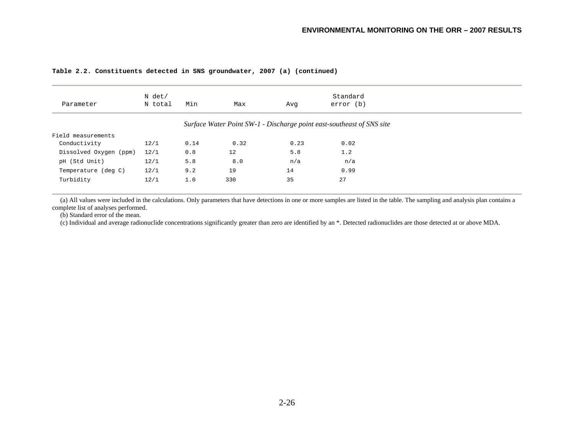### **Table 2.2. Constituents detected in SNS groundwater, 2007 (a) (continued)**

| Parameter              | N det/<br>N total | Min  | Max  | Avq  | Standard<br>error (b)                                                 |
|------------------------|-------------------|------|------|------|-----------------------------------------------------------------------|
|                        |                   |      |      |      | Surface Water Point SW-1 - Discharge point east-southeast of SNS site |
| Field measurements     |                   |      |      |      |                                                                       |
| Conductivity           | 12/1              | 0.14 | 0.32 | 0.23 | 0.02                                                                  |
| Dissolved Oxygen (ppm) | 12/1              | 0.8  | 12   | 5.8  | 1.2                                                                   |
| pH (Std Unit)          | 12/1              | 5.8  | 8.0  | n/a  | n/a                                                                   |
| Temperature (deg C)    | 12/1              | 9.2  | 19   | 14   | 0.99                                                                  |
| Turbidity              | 12/1              | 1.0  | 330  | 35   | 27                                                                    |

 (a) All values were included in the calculations. Only parameters that have detections in one or more samples are listed in the table. The sampling and analysis plan contains a complete list of analyses performed.

(b) Standard error of the mean.

(c) Individual and average radionuclide concentrations significantly greater than zero are identified by an \*. Detected radionuclides are those detected at or above MDA.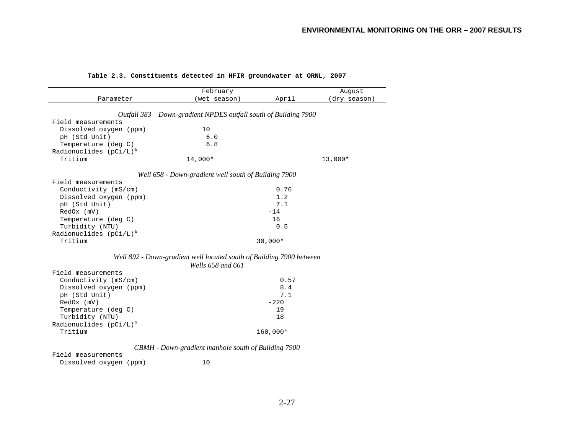|  | Table 2.3. Constituents detected in HFIR groundwater at ORNL, 2007 |  |  |  |  |  |  |  |
|--|--------------------------------------------------------------------|--|--|--|--|--|--|--|
|--|--------------------------------------------------------------------|--|--|--|--|--|--|--|

|                           | February                                                             |           | August       |
|---------------------------|----------------------------------------------------------------------|-----------|--------------|
| Parameter                 | (wet season)                                                         | April     | (dry season) |
|                           |                                                                      |           |              |
| Field measurements        | Outfall 383 – Down-gradient NPDES outfall south of Building 7900     |           |              |
|                           | 10                                                                   |           |              |
| Dissolved oxygen (ppm)    | 6.0                                                                  |           |              |
| pH (Std Unit)             | 6.8                                                                  |           |              |
| Temperature (deg C)       |                                                                      |           |              |
| Radionuclides $(pCi/L)^a$ |                                                                      |           |              |
| Tritium                   | 14,000*                                                              |           | 13,000*      |
|                           | Well 658 - Down-gradient well south of Building 7900                 |           |              |
| Field measurements        |                                                                      |           |              |
| Conductivity (mS/cm)      |                                                                      | 0.76      |              |
| Dissolved oxygen (ppm)    |                                                                      | 1.2       |              |
| pH (Std Unit)             |                                                                      | 7.1       |              |
| RedOx (mV)                |                                                                      | $-14$     |              |
| Temperature (deg C)       |                                                                      | 16        |              |
| Turbidity (NTU)           |                                                                      | 0.5       |              |
| Radionuclides $(pCi/L)^a$ |                                                                      |           |              |
| Tritium                   |                                                                      | $30,000*$ |              |
|                           | Well 892 - Down-gradient well located south of Building 7900 between |           |              |
|                           | Wells 658 and 661                                                    |           |              |
| Field measurements        |                                                                      |           |              |
| Conductivity (mS/cm)      |                                                                      | 0.57      |              |
| Dissolved oxygen (ppm)    |                                                                      | 8.4       |              |
| pH (Std Unit)             |                                                                      | 7.1       |              |
| $RedOx$ ( $mV$ )          |                                                                      | $-220$    |              |
| Temperature (deg C)       |                                                                      | 19        |              |
| Turbidity (NTU)           |                                                                      | 18        |              |
| Radionuclides $(pCi/L)^a$ |                                                                      |           |              |
| Tritium                   |                                                                      | 160,000*  |              |
|                           |                                                                      |           |              |
|                           | CBMH - Down-gradient manhole south of Building 7900                  |           |              |
| Field measurements        |                                                                      |           |              |

Dissolved oxygen (ppm) 10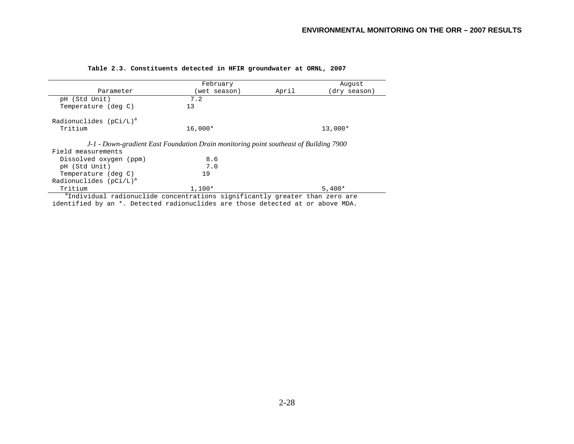|                                              | February                                                                              |       | August      |
|----------------------------------------------|---------------------------------------------------------------------------------------|-------|-------------|
| Parameter                                    | (wet season)                                                                          | April | dry season) |
| pH (Std Unit)                                | 7.2                                                                                   |       |             |
| Temperature (deg C)                          | 13                                                                                    |       |             |
| Radionuclides $(pCi/L)^a$                    |                                                                                       |       |             |
| Tritium                                      | $16.000*$                                                                             |       | $13,000*$   |
|                                              |                                                                                       |       |             |
|                                              |                                                                                       |       |             |
|                                              | J-1 - Down-gradient East Foundation Drain monitoring point southeast of Building 7900 |       |             |
| Field measurements<br>Dissolved oxygen (ppm) | 8.6                                                                                   |       |             |
| pH (Std Unit)                                | 7.0                                                                                   |       |             |
| Temperature (deg C)                          | 19                                                                                    |       |             |
| Radionuclides $(pCi/L)^a$                    |                                                                                       |       |             |

### **Table 2.3. Constituents detected in HFIR groundwater at ORNL, 2007**

identified by an \*. Detected radionuclides are those detected at or above MDA.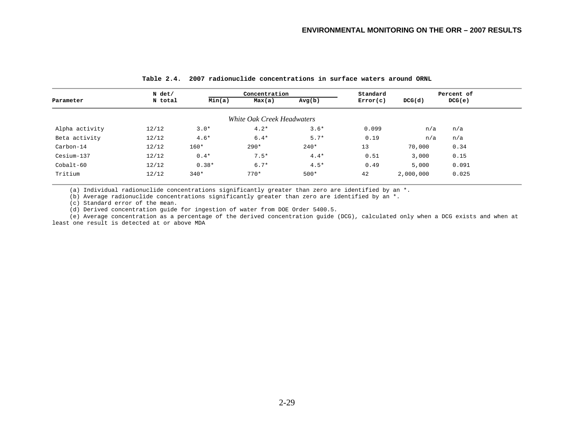|                | N det/  |         | Concentration              |        |          |           | Percent of |
|----------------|---------|---------|----------------------------|--------|----------|-----------|------------|
| Parameter      | N total | Min(a)  | Max(a)                     | Avg(b) | Error(c) | DCG(d)    | DCG(e)     |
|                |         |         | White Oak Creek Headwaters |        |          |           |            |
| Alpha activity | 12/12   | $3.0*$  | $4.2*$                     | $3.6*$ | 0.099    | n/a       | n/a        |
| Beta activity  | 12/12   | $4.6*$  | $6.4*$                     | $5.7*$ | 0.19     | n/a       | n/a        |
| Carbon-14      | 12/12   | 160*    | $290*$                     | $240*$ | 13       | 70,000    | 0.34       |
| Cesium-137     | 12/12   | $0.4*$  | $7.5*$                     | $4.4*$ | 0.51     | 3,000     | 0.15       |
| $Cobalt-60$    | 12/12   | $0.38*$ | $6.7*$                     | $4.5*$ | 0.49     | 5,000     | 0.091      |
| Tritium        | 12/12   | $340*$  | $770*$                     | $500*$ | 42       | 2,000,000 | 0.025      |

#### **Table 2.4. 2007 radionuclide concentrations in surface waters around ORNL**

(a) Individual radionuclide concentrations significantly greater than zero are identified by an \*.

(b) Average radionuclide concentrations significantly greater than zero are identified by an  $*$ .

(c) Standard error of the mean.

(d) Derived concentration guide for ingestion of water from DOE Order 5400.5.

 (e) Average concentration as a percentage of the derived concentration guide (DCG), calculated only when a DCG exists and when at least one result is detected at or above MDA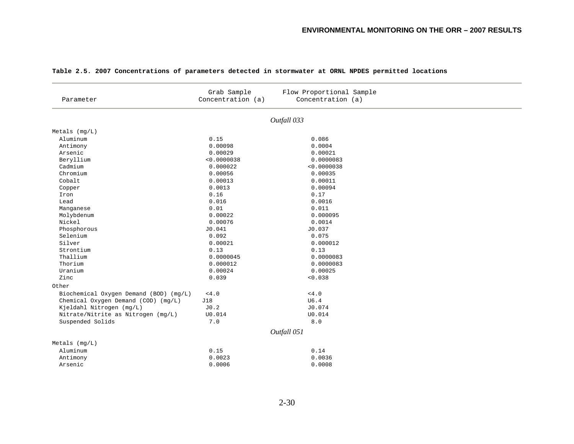| Parameter                              | Grab Sample<br>Concentration (a) | Flow Proportional Sample<br>Concentration (a) |  |
|----------------------------------------|----------------------------------|-----------------------------------------------|--|
|                                        |                                  | Outfall 033                                   |  |
| $Metals$ ( $mq/L$ )                    |                                  |                                               |  |
| Aluminum                               | 0.15                             | 0.086                                         |  |
| Antimony                               | 0.00098                          | 0.0004                                        |  |
| Arsenic                                | 0.00029                          | 0.00021                                       |  |
| Beryllium                              | < 0.0000038                      | 0.0000083                                     |  |
| Cadmium                                | 0.000022                         | < 0.0000038                                   |  |
| Chromium                               | 0.00056                          | 0.00035                                       |  |
| Cobalt                                 | 0.00013                          | 0.00011                                       |  |
| Copper                                 | 0.0013                           | 0.00094                                       |  |
| Iron                                   | 0.16                             | 0.17                                          |  |
| Lead                                   | 0.016                            | 0.0016                                        |  |
| Manganese                              | 0.01                             | 0.011                                         |  |
| Molybdenum                             | 0.00022                          | 0.000095                                      |  |
| Nickel                                 | 0.00076                          | 0.0014                                        |  |
| Phosphorous                            | J0.041                           | J0.037                                        |  |
| Selenium                               | 0.092                            | 0.075                                         |  |
| Silver                                 | 0.00021                          | 0.000012                                      |  |
| Strontium                              | 0.13                             | 0.13                                          |  |
| Thallium                               | 0.0000045                        | 0.0000083                                     |  |
| Thorium                                | 0.000012                         | 0.0000083                                     |  |
| Uranium                                | 0.00024                          | 0.00025                                       |  |
| Zinc                                   | 0.039                            | < 0.038                                       |  |
| Other                                  |                                  |                                               |  |
| Biochemical Oxygen Demand (BOD) (mg/L) | < 4.0                            | < 4.0                                         |  |
| Chemical Oxygen Demand (COD) (mg/L)    | J18                              | U6.4                                          |  |
| Kjeldahl Nitrogen (mg/L)               | J0.2                             | J0.074                                        |  |
| Nitrate/Nitrite as Nitrogen (mg/L)     | U0.014                           | U0.014                                        |  |
| Suspended Solids                       | 7.0                              | 8.0                                           |  |
|                                        |                                  | Outfall 051                                   |  |
| $Metals$ ( $mq/L$ )                    |                                  |                                               |  |
| Aluminum                               | 0.15                             | 0.14                                          |  |
| Antimony                               | 0.0023                           | 0.0036                                        |  |
| Arsenic                                | 0.0006                           | 0.0008                                        |  |
|                                        |                                  |                                               |  |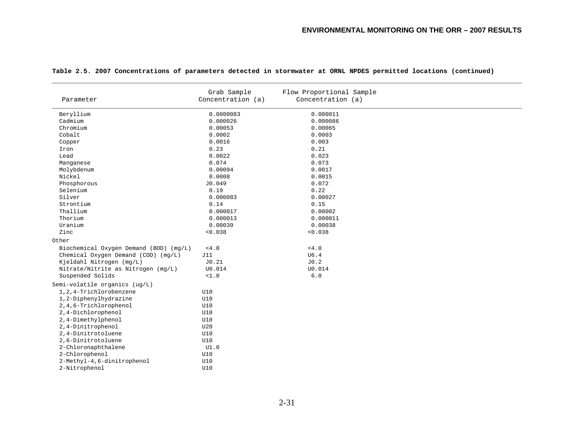|                                        | Grab Sample<br>Concentration (a) | Flow Proportional Sample<br>Concentration (a) |
|----------------------------------------|----------------------------------|-----------------------------------------------|
| Parameter                              |                                  |                                               |
| Beryllium                              | 0.0000083                        | 0.000011                                      |
| Cadmium                                | 0.000026                         | 0.000086                                      |
| Chromium                               | 0.00053                          | 0.00065                                       |
| Cobalt                                 | 0.0002                           | 0.0003                                        |
| Copper                                 | 0.0016                           | 0.003                                         |
| Iron                                   | 0.23                             | 0.21                                          |
| Lead                                   | 0.0022                           | 0.023                                         |
| Manganese                              | 0.074                            | 0.073                                         |
| Molybdenum                             | 0.00094                          | 0.0017                                        |
| Nickel                                 | 0.0008                           | 0.0015                                        |
| Phosphorous                            | J0.049                           | 0.072                                         |
| Selenium                               | 0.19                             | 0.22                                          |
| Silver                                 | 0.000083                         | 0.00027                                       |
| Strontium                              | 0.14                             | 0.15                                          |
| Thallium                               | 0.000017                         | 0.00002                                       |
| Thorium                                | 0.000013                         | 0.000011                                      |
| Uranium                                | 0.00039                          | 0.00038                                       |
| Zinc                                   | < 0.038                          | < 0.038                                       |
| Other                                  |                                  |                                               |
| Biochemical Oxygen Demand (BOD) (mg/L) | $<4.0$                           | < 4.0                                         |
| Chemical Oxygen Demand (COD) (mg/L)    | J11                              | U6.4                                          |
| Kjeldahl Nitrogen (mg/L)               | J0.21                            | J0.2                                          |
| Nitrate/Nitrite as Nitrogen (mg/L)     | U0.014                           | U0.014                                        |
| Suspended Solids                       | <1.0                             | $6.0$                                         |
| Semi-volatile organics (ug/L)          |                                  |                                               |
| 1,2,4-Trichlorobenzene                 | U10                              |                                               |
| 1,2-Diphenylhydrazine                  | U10                              |                                               |
| 2, 4, 6-Trichlorophenol                | U10                              |                                               |
| 2,4-Dichlorophenol                     | U10                              |                                               |
| 2,4-Dimethylphenol                     | U10                              |                                               |
| 2,4-Dinitrophenol                      | U20                              |                                               |
| 2,4-Dinitrotoluene                     | U10                              |                                               |
| 2,6-Dinitrotoluene                     | U10                              |                                               |
| 2-Chloronaphthalene                    | UI.0                             |                                               |
| 2-Chlorophenol                         | U10                              |                                               |
| 2-Methyl-4,6-dinitrophenol             | U10                              |                                               |
| 2-Nitrophenol                          | U10                              |                                               |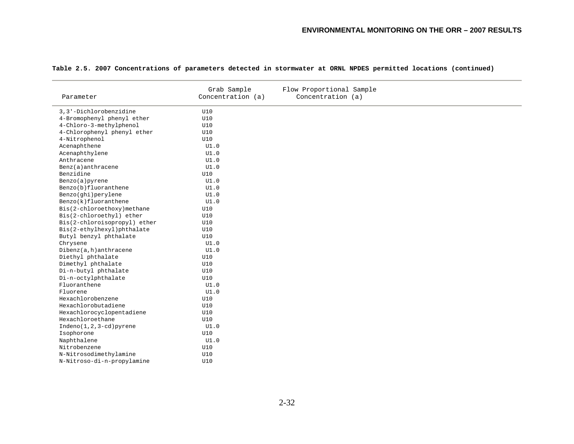| Parameter                    | Grab Sample<br>Concentration (a) | Flow Proportional Sample<br>Concentration (a) |
|------------------------------|----------------------------------|-----------------------------------------------|
|                              |                                  |                                               |
| 3, 3'-Dichlorobenzidine      | U10                              |                                               |
| 4-Bromophenyl phenyl ether   | U10                              |                                               |
| 4-Chloro-3-methylphenol      | U10                              |                                               |
| 4-Chlorophenyl phenyl ether  | U10                              |                                               |
| 4-Nitrophenol                | U10                              |                                               |
| Acenaphthene                 | UI.0                             |                                               |
| Acenaphthylene               | UI.0                             |                                               |
| Anthracene                   | UI.0                             |                                               |
| Benz(a)anthracene            | UI.0                             |                                               |
| Benzidine                    | U10                              |                                               |
| Benzo(a)pyrene               | UI.0                             |                                               |
| Benzo(b)fluoranthene         | UI.0                             |                                               |
| Benzo(ghi)perylene           | UI.0                             |                                               |
| Benzo(k)fluoranthene         | UI.0                             |                                               |
| Bis(2-chloroethoxy)methane   | U10                              |                                               |
| Bis(2-chloroethyl) ether     | U10                              |                                               |
| Bis(2-chloroisopropyl) ether | U10                              |                                               |
| Bis(2-ethylhexyl)phthalate   | U10                              |                                               |
| Butyl benzyl phthalate       | U10                              |                                               |
| Chrysene                     | UI.0                             |                                               |
| Dibenz(a, h)anthracene       | UI.0                             |                                               |
| Diethyl phthalate            | U10                              |                                               |
| Dimethyl phthalate           | U10                              |                                               |
| Di-n-butyl phthalate         | U10                              |                                               |
| Di-n-octylphthalate          | U10                              |                                               |
| Fluoranthene                 | UI.0                             |                                               |
| Fluorene                     | UI.0                             |                                               |
| Hexachlorobenzene            | U10                              |                                               |
| Hexachlorobutadiene          | U10                              |                                               |
| Hexachlorocyclopentadiene    | U10                              |                                               |
| Hexachloroethane             | U10                              |                                               |
| $Indeno(1,2,3-cd)pyrene$     | UI.0                             |                                               |
| Isophorone                   | U10                              |                                               |
| Naphthalene                  | UI.0                             |                                               |
| Nitrobenzene                 | U10                              |                                               |
| N-Nitrosodimethylamine       | U10                              |                                               |
| N-Nitroso-di-n-propylamine   | U10                              |                                               |
|                              |                                  |                                               |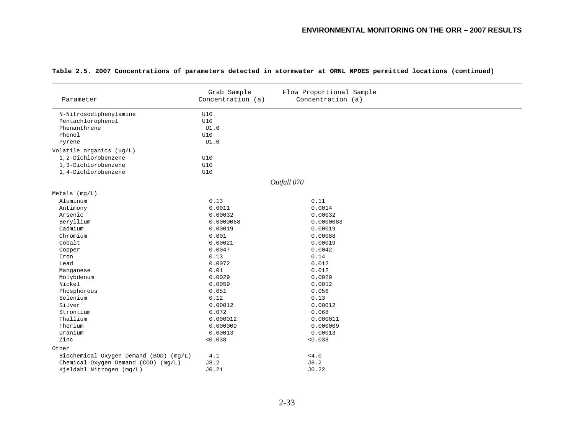|  |  |  | Table 2.5. 2007 Concentrations of parameters detected in stormwater at ORNL NPDES permitted locations (continued) |  |  |  |  |  |  |  |  |  |  |  |
|--|--|--|-------------------------------------------------------------------------------------------------------------------|--|--|--|--|--|--|--|--|--|--|--|
|--|--|--|-------------------------------------------------------------------------------------------------------------------|--|--|--|--|--|--|--|--|--|--|--|

| Parameter                                                             | Grab Sample<br>Concentration (a) | Flow Proportional Sample<br>Concentration (a) |  |
|-----------------------------------------------------------------------|----------------------------------|-----------------------------------------------|--|
| N-Nitrosodiphenylamine<br>Pentachlorophenol<br>Phenanthrene<br>Phenol | U10<br><b>U10</b><br>UI.0<br>U10 |                                               |  |
| Pyrene                                                                | UI.0                             |                                               |  |
| Volatile organics (ug/L)                                              |                                  |                                               |  |
| 1,2-Dichlorobenzene<br>1,3-Dichlorobenzene<br>1,4-Dichlorobenzene     | U10<br>U10<br>U10                |                                               |  |
|                                                                       |                                  |                                               |  |
|                                                                       |                                  | Outfall 070                                   |  |
| Metals $(mq/L)$                                                       |                                  |                                               |  |
| Aluminum                                                              | 0.13                             | 0.11                                          |  |
| Antimony                                                              | 0.0011                           | 0.0014                                        |  |
| Arsenic                                                               | 0.00032                          | 0.00032                                       |  |
| Beryllium                                                             | 0.0000068                        | 0.0000083                                     |  |
| Cadmium                                                               | 0.00019                          | 0.00019                                       |  |
| Chromium                                                              | 0.001                            | 0.00088                                       |  |
| Cobalt                                                                | 0.00021                          | 0.00019                                       |  |
| Copper                                                                | 0.0047                           | 0.0042                                        |  |
| Iron                                                                  | 0.13                             | 0.14                                          |  |
| Lead                                                                  | 0.0072                           | 0.012                                         |  |
| Manganese                                                             | 0.01                             | 0.012                                         |  |
| Molybdenum                                                            | 0.0029                           | 0.0029                                        |  |
| Nickel                                                                | 0.0059                           | 0.0012                                        |  |
| Phosphorous                                                           | 0.051                            | 0.056                                         |  |
| Selenium                                                              | 0.12                             | 0.13                                          |  |
| Silver                                                                | 0.00012                          | 0.00012                                       |  |
| Strontium                                                             | 0.072                            | 0.068                                         |  |
| Thallium                                                              | 0.000012                         | 0.000011                                      |  |
| Thorium                                                               | 0.000009                         | 0.000009                                      |  |
| Uranium                                                               | 0.00013                          | 0.00013                                       |  |
| Zinc                                                                  | < 0.038                          | < 0.038                                       |  |
| Other                                                                 |                                  |                                               |  |
| Biochemical Oxygen Demand (BOD) (mg/L)                                | 4.1                              | $<4.0$                                        |  |
| Chemical Oxygen Demand (COD) (mg/L)                                   | J8.2                             | J8.2                                          |  |
| Kjeldahl Nitrogen (mg/L)                                              | J0.21                            | J0.22                                         |  |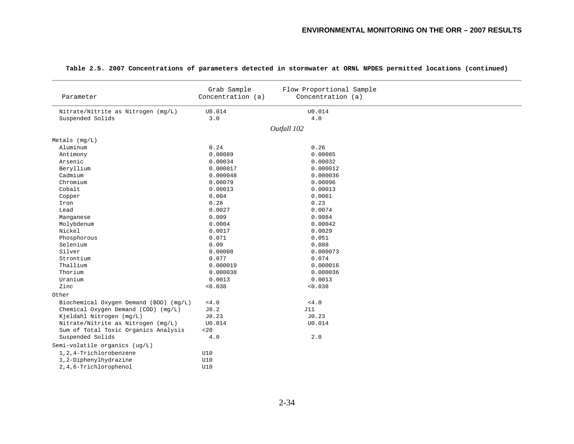| Parameter                              | Grab Sample<br>Concentration (a) | Flow Proportional Sample<br>Concentration (a) |  |
|----------------------------------------|----------------------------------|-----------------------------------------------|--|
| Nitrate/Nitrite as Nitrogen (mg/L)     | U0.014                           | U0.014                                        |  |
| Suspended Solids                       | 3.0                              | 4.0                                           |  |
|                                        |                                  | Outfall 102                                   |  |
|                                        |                                  |                                               |  |
| Metals (mg/L)                          |                                  |                                               |  |
| Aluminum                               | 0.24                             | 0.26                                          |  |
| Antimony                               | 0.00089                          | 0.00085                                       |  |
| Arsenic                                | 0.00034                          | 0.00032                                       |  |
| Beryllium                              | 0.000017                         | 0.000012                                      |  |
| Cadmium                                | 0.000048                         | 0.000036                                      |  |
| Chromium                               | 0.00079                          | 0.00096                                       |  |
| Cobalt                                 | 0.00013                          | 0.00013                                       |  |
| Copper                                 | 0.004                            | 0.0061                                        |  |
| Iron                                   | 0.28                             | 0.23                                          |  |
| Lead                                   | 0.0027                           | 0.0074                                        |  |
| Manganese                              | 0.009                            | 0.0084                                        |  |
| Molybdenum                             | 0.0004                           | 0.00042                                       |  |
| Nickel                                 | 0.0017                           | 0.0029                                        |  |
| Phosphorous                            | 0.071                            | 0.051                                         |  |
| Selenium                               | 0.09                             | 0.088                                         |  |
| Silver                                 | 0.00008                          | 0.000073                                      |  |
| Strontium                              | 0.077                            | 0.074                                         |  |
| Thallium                               | 0.000019                         | 0.000016                                      |  |
| Thorium                                | 0.000038                         | 0.000036                                      |  |
| Uranium                                | 0.0013                           | 0.0013                                        |  |
| Zinc                                   | < 0.038                          | < 0.038                                       |  |
| Other                                  |                                  |                                               |  |
| Biochemical Oxygen Demand (BOD) (mg/L) | $<4.0$                           | $<4.0$                                        |  |
| Chemical Oxygen Demand (COD) (mg/L)    | J8.2                             | J11                                           |  |
| Kjeldahl Nitrogen (mg/L)               | J0.23                            | J0.23                                         |  |
| Nitrate/Nitrite as Nitrogen (mg/L)     | U0.014                           | U0.014                                        |  |
| Sum of Total Toxic Organics Analysis   | < 20                             |                                               |  |
| Suspended Solids                       | 4.0                              | 2.0                                           |  |
| Semi-volatile organics (ug/L)          |                                  |                                               |  |
| 1, 2, 4-Trichlorobenzene               | U10                              |                                               |  |
| 1,2-Diphenylhydrazine                  | U10                              |                                               |  |
| 2,4,6-Trichlorophenol                  | U10                              |                                               |  |
|                                        |                                  |                                               |  |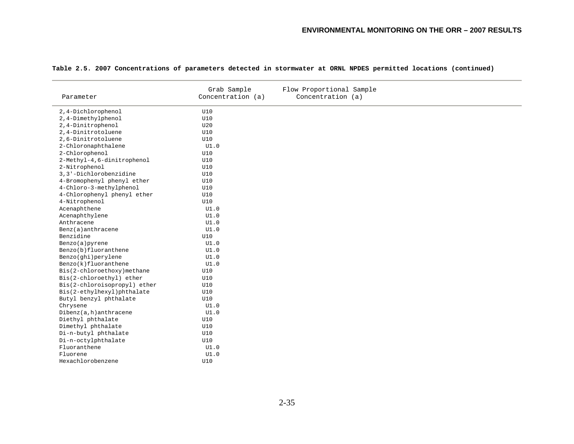| 2,4-Dichlorophenol<br>U10<br><b>U10</b><br>2,4-Dimethylphenol<br>2,4-Dinitrophenol<br>U20<br>2,4-Dinitrotoluene<br><b>U10</b><br>2,6-Dinitrotoluene<br>U10<br>2-Chloronaphthalene<br>UI.0<br>2-Chlorophenol<br>U10<br>2-Methyl-4,6-dinitrophenol<br>U10<br>2-Nitrophenol<br>U10<br>3,3'-Dichlorobenzidine<br>U10<br>4-Bromophenyl phenyl ether<br>U10<br>4-Chloro-3-methylphenol<br>U10<br>4-Chlorophenyl phenyl ether<br>U10<br>4-Nitrophenol<br>U10<br>Acenaphthene<br>UI.0<br>Acenaphthylene<br>UI.0<br>Anthracene<br>UI.0<br>Benz(a)anthracene<br>UI.0<br>Benzidine<br>U10<br>UI.0<br>Benzo(a)pyrene<br>Benzo(b)fluoranthene<br>UI.0<br>Benzo(ghi)perylene<br>UI.0<br>Benzo(k)fluoranthene<br>UI.0<br>Bis(2-chloroethoxy)methane<br>U10<br>Bis(2-chloroethyl) ether<br>U10<br>Bis(2-chloroisopropyl) ether<br>U10<br>Bis(2-ethylhexyl)phthalate<br>U10<br>Butyl benzyl phthalate<br>U10<br>Chrysene<br>UI.0<br>Dibenz(a,h)anthracene<br>UI.0<br>Diethyl phthalate<br>U10<br>Dimethyl phthalate<br>U10<br>Di-n-butyl phthalate<br>U10<br>Di-n-octylphthalate<br>U10<br>Fluoranthene<br>UI.0<br>Fluorene<br>UI.0<br>Hexachlorobenzene<br>U10 | Parameter | Grab Sample<br>Concentration (a) | Flow Proportional Sample<br>Concentration (a) |
|------------------------------------------------------------------------------------------------------------------------------------------------------------------------------------------------------------------------------------------------------------------------------------------------------------------------------------------------------------------------------------------------------------------------------------------------------------------------------------------------------------------------------------------------------------------------------------------------------------------------------------------------------------------------------------------------------------------------------------------------------------------------------------------------------------------------------------------------------------------------------------------------------------------------------------------------------------------------------------------------------------------------------------------------------------------------------------------------------------------------------------------------|-----------|----------------------------------|-----------------------------------------------|
|                                                                                                                                                                                                                                                                                                                                                                                                                                                                                                                                                                                                                                                                                                                                                                                                                                                                                                                                                                                                                                                                                                                                                |           |                                  |                                               |
|                                                                                                                                                                                                                                                                                                                                                                                                                                                                                                                                                                                                                                                                                                                                                                                                                                                                                                                                                                                                                                                                                                                                                |           |                                  |                                               |
|                                                                                                                                                                                                                                                                                                                                                                                                                                                                                                                                                                                                                                                                                                                                                                                                                                                                                                                                                                                                                                                                                                                                                |           |                                  |                                               |
|                                                                                                                                                                                                                                                                                                                                                                                                                                                                                                                                                                                                                                                                                                                                                                                                                                                                                                                                                                                                                                                                                                                                                |           |                                  |                                               |
|                                                                                                                                                                                                                                                                                                                                                                                                                                                                                                                                                                                                                                                                                                                                                                                                                                                                                                                                                                                                                                                                                                                                                |           |                                  |                                               |
|                                                                                                                                                                                                                                                                                                                                                                                                                                                                                                                                                                                                                                                                                                                                                                                                                                                                                                                                                                                                                                                                                                                                                |           |                                  |                                               |
|                                                                                                                                                                                                                                                                                                                                                                                                                                                                                                                                                                                                                                                                                                                                                                                                                                                                                                                                                                                                                                                                                                                                                |           |                                  |                                               |
|                                                                                                                                                                                                                                                                                                                                                                                                                                                                                                                                                                                                                                                                                                                                                                                                                                                                                                                                                                                                                                                                                                                                                |           |                                  |                                               |
|                                                                                                                                                                                                                                                                                                                                                                                                                                                                                                                                                                                                                                                                                                                                                                                                                                                                                                                                                                                                                                                                                                                                                |           |                                  |                                               |
|                                                                                                                                                                                                                                                                                                                                                                                                                                                                                                                                                                                                                                                                                                                                                                                                                                                                                                                                                                                                                                                                                                                                                |           |                                  |                                               |
|                                                                                                                                                                                                                                                                                                                                                                                                                                                                                                                                                                                                                                                                                                                                                                                                                                                                                                                                                                                                                                                                                                                                                |           |                                  |                                               |
|                                                                                                                                                                                                                                                                                                                                                                                                                                                                                                                                                                                                                                                                                                                                                                                                                                                                                                                                                                                                                                                                                                                                                |           |                                  |                                               |
|                                                                                                                                                                                                                                                                                                                                                                                                                                                                                                                                                                                                                                                                                                                                                                                                                                                                                                                                                                                                                                                                                                                                                |           |                                  |                                               |
|                                                                                                                                                                                                                                                                                                                                                                                                                                                                                                                                                                                                                                                                                                                                                                                                                                                                                                                                                                                                                                                                                                                                                |           |                                  |                                               |
|                                                                                                                                                                                                                                                                                                                                                                                                                                                                                                                                                                                                                                                                                                                                                                                                                                                                                                                                                                                                                                                                                                                                                |           |                                  |                                               |
|                                                                                                                                                                                                                                                                                                                                                                                                                                                                                                                                                                                                                                                                                                                                                                                                                                                                                                                                                                                                                                                                                                                                                |           |                                  |                                               |
|                                                                                                                                                                                                                                                                                                                                                                                                                                                                                                                                                                                                                                                                                                                                                                                                                                                                                                                                                                                                                                                                                                                                                |           |                                  |                                               |
|                                                                                                                                                                                                                                                                                                                                                                                                                                                                                                                                                                                                                                                                                                                                                                                                                                                                                                                                                                                                                                                                                                                                                |           |                                  |                                               |
|                                                                                                                                                                                                                                                                                                                                                                                                                                                                                                                                                                                                                                                                                                                                                                                                                                                                                                                                                                                                                                                                                                                                                |           |                                  |                                               |
|                                                                                                                                                                                                                                                                                                                                                                                                                                                                                                                                                                                                                                                                                                                                                                                                                                                                                                                                                                                                                                                                                                                                                |           |                                  |                                               |
|                                                                                                                                                                                                                                                                                                                                                                                                                                                                                                                                                                                                                                                                                                                                                                                                                                                                                                                                                                                                                                                                                                                                                |           |                                  |                                               |
|                                                                                                                                                                                                                                                                                                                                                                                                                                                                                                                                                                                                                                                                                                                                                                                                                                                                                                                                                                                                                                                                                                                                                |           |                                  |                                               |
|                                                                                                                                                                                                                                                                                                                                                                                                                                                                                                                                                                                                                                                                                                                                                                                                                                                                                                                                                                                                                                                                                                                                                |           |                                  |                                               |
|                                                                                                                                                                                                                                                                                                                                                                                                                                                                                                                                                                                                                                                                                                                                                                                                                                                                                                                                                                                                                                                                                                                                                |           |                                  |                                               |
|                                                                                                                                                                                                                                                                                                                                                                                                                                                                                                                                                                                                                                                                                                                                                                                                                                                                                                                                                                                                                                                                                                                                                |           |                                  |                                               |
|                                                                                                                                                                                                                                                                                                                                                                                                                                                                                                                                                                                                                                                                                                                                                                                                                                                                                                                                                                                                                                                                                                                                                |           |                                  |                                               |
|                                                                                                                                                                                                                                                                                                                                                                                                                                                                                                                                                                                                                                                                                                                                                                                                                                                                                                                                                                                                                                                                                                                                                |           |                                  |                                               |
|                                                                                                                                                                                                                                                                                                                                                                                                                                                                                                                                                                                                                                                                                                                                                                                                                                                                                                                                                                                                                                                                                                                                                |           |                                  |                                               |
|                                                                                                                                                                                                                                                                                                                                                                                                                                                                                                                                                                                                                                                                                                                                                                                                                                                                                                                                                                                                                                                                                                                                                |           |                                  |                                               |
|                                                                                                                                                                                                                                                                                                                                                                                                                                                                                                                                                                                                                                                                                                                                                                                                                                                                                                                                                                                                                                                                                                                                                |           |                                  |                                               |
|                                                                                                                                                                                                                                                                                                                                                                                                                                                                                                                                                                                                                                                                                                                                                                                                                                                                                                                                                                                                                                                                                                                                                |           |                                  |                                               |
|                                                                                                                                                                                                                                                                                                                                                                                                                                                                                                                                                                                                                                                                                                                                                                                                                                                                                                                                                                                                                                                                                                                                                |           |                                  |                                               |
|                                                                                                                                                                                                                                                                                                                                                                                                                                                                                                                                                                                                                                                                                                                                                                                                                                                                                                                                                                                                                                                                                                                                                |           |                                  |                                               |
|                                                                                                                                                                                                                                                                                                                                                                                                                                                                                                                                                                                                                                                                                                                                                                                                                                                                                                                                                                                                                                                                                                                                                |           |                                  |                                               |
|                                                                                                                                                                                                                                                                                                                                                                                                                                                                                                                                                                                                                                                                                                                                                                                                                                                                                                                                                                                                                                                                                                                                                |           |                                  |                                               |
|                                                                                                                                                                                                                                                                                                                                                                                                                                                                                                                                                                                                                                                                                                                                                                                                                                                                                                                                                                                                                                                                                                                                                |           |                                  |                                               |
|                                                                                                                                                                                                                                                                                                                                                                                                                                                                                                                                                                                                                                                                                                                                                                                                                                                                                                                                                                                                                                                                                                                                                |           |                                  |                                               |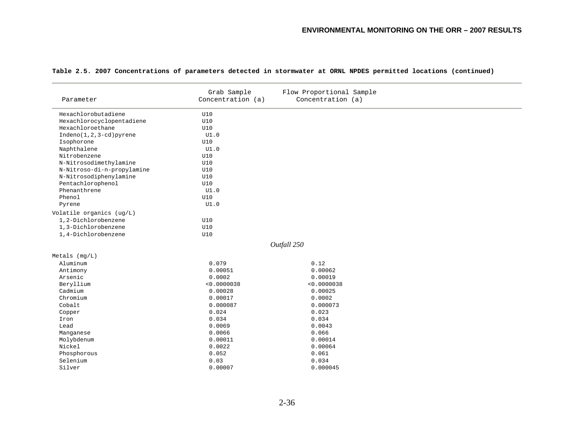|                            | Grab Sample       | Flow Proportional Sample |  |
|----------------------------|-------------------|--------------------------|--|
| Parameter                  | Concentration (a) | Concentration (a)        |  |
| Hexachlorobutadiene        | U10               |                          |  |
| Hexachlorocyclopentadiene  | U10               |                          |  |
| Hexachloroethane           | U10               |                          |  |
| $Indeno(1,2,3-cd)pyrene$   | UI.0              |                          |  |
| Isophorone                 | U10               |                          |  |
| Naphthalene                | UI.0              |                          |  |
| Nitrobenzene               | U10               |                          |  |
| N-Nitrosodimethylamine     | U10               |                          |  |
| N-Nitroso-di-n-propylamine | U10               |                          |  |
| N-Nitrosodiphenylamine     | U10               |                          |  |
| Pentachlorophenol          | U10               |                          |  |
| Phenanthrene               | UI.0              |                          |  |
| Phenol                     | <b>U10</b>        |                          |  |
| Pyrene                     | UI.0              |                          |  |
| Volatile organics (ug/L)   |                   |                          |  |
| 1,2-Dichlorobenzene        | U10               |                          |  |
| 1,3-Dichlorobenzene        | U10               |                          |  |
| 1,4-Dichlorobenzene        | U10               |                          |  |
|                            |                   | Outfall 250              |  |
| $Metals$ ( $mq/L$ )        |                   |                          |  |
| Aluminum                   | 0.079             | 0.12                     |  |
| Antimony                   | 0.00051           | 0.00062                  |  |
| Arsenic                    | 0.0002            | 0.00019                  |  |
| Beryllium                  | < 0.0000038       | < 0.0000038              |  |
| Cadmium                    | 0.00028           | 0.00025                  |  |
| Chromium                   | 0.00017           | 0.0002                   |  |
| Cobalt                     | 0.000087          | 0.000073                 |  |
| Copper                     | 0.024             | 0.023                    |  |
| Iron                       | 0.034             | 0.034                    |  |
| Lead                       | 0.0069            | 0.0043                   |  |
| Manganese                  | 0.0066            | 0.066                    |  |
| Molybdenum                 | 0.00011           | 0.00014                  |  |
| Nickel                     | 0.0022            | 0.00064                  |  |
| Phosphorous                | 0.052             | 0.061                    |  |
| Selenium                   | 0.03              | 0.034                    |  |
| Silver                     | 0.00007           | 0.000045                 |  |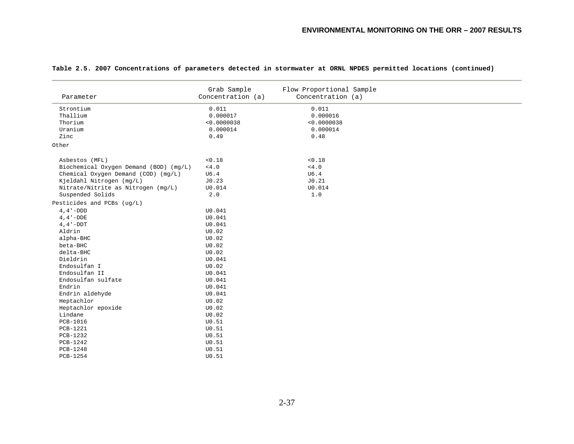| Parameter                              | Grab Sample<br>Concentration (a) | Flow Proportional Sample<br>Concentration (a) |  |
|----------------------------------------|----------------------------------|-----------------------------------------------|--|
| Strontium                              | 0.011                            | 0.011                                         |  |
| Thallium                               | 0.000017                         | 0.000016                                      |  |
| Thorium                                | < 0.0000038                      | < 0.0000038                                   |  |
| Uranium                                | 0.000014                         | 0.000014                                      |  |
| Zinc                                   | 0.49                             | 0.48                                          |  |
| Other                                  |                                  |                                               |  |
| Asbestos (MFL)                         | < 0.18                           | < 0.18                                        |  |
| Biochemical Oxygen Demand (BOD) (mg/L) | < 4.0                            | < 4.0                                         |  |
| Chemical Oxygen Demand (COD) (mg/L)    | U6.4                             | U6.4                                          |  |
| Kjeldahl Nitrogen (mg/L)               | J0.23                            | J0.21                                         |  |
| Nitrate/Nitrite as Nitrogen (mg/L)     | U0.014                           | U0.014                                        |  |
| Suspended Solids                       | 2.0                              | 1.0                                           |  |
| Pesticides and PCBs (ug/L)             |                                  |                                               |  |
| $4, 4 - DDD$                           | U0.041                           |                                               |  |
| $4, 4 - DDE$                           | U0.041                           |                                               |  |
| $4, 4 - DDT$                           | U0.041                           |                                               |  |
| Aldrin                                 | U0.02                            |                                               |  |
| alpha-BHC                              | U0.02                            |                                               |  |
| beta-BHC                               | U0.02                            |                                               |  |
| delta-BHC                              | U0.02                            |                                               |  |
| Dieldrin                               | U0.041                           |                                               |  |
| Endosulfan I                           | U0.02                            |                                               |  |
| Endosulfan II                          | U0.041                           |                                               |  |
| Endosulfan sulfate                     | U0.041                           |                                               |  |
| Endrin                                 | U0.041                           |                                               |  |
| Endrin aldehyde                        | U0.041                           |                                               |  |
| Heptachlor                             | U0.02                            |                                               |  |
| Heptachlor epoxide                     | U0.02                            |                                               |  |
| Lindane                                | U0.02                            |                                               |  |
| PCB-1016                               | U0.51                            |                                               |  |
| PCB-1221                               | U0.51                            |                                               |  |
| PCB-1232                               | U0.51                            |                                               |  |
| PCB-1242                               | U0.51                            |                                               |  |
| PCB-1248                               | U0.51                            |                                               |  |
| PCB-1254                               | U0.51                            |                                               |  |
|                                        |                                  |                                               |  |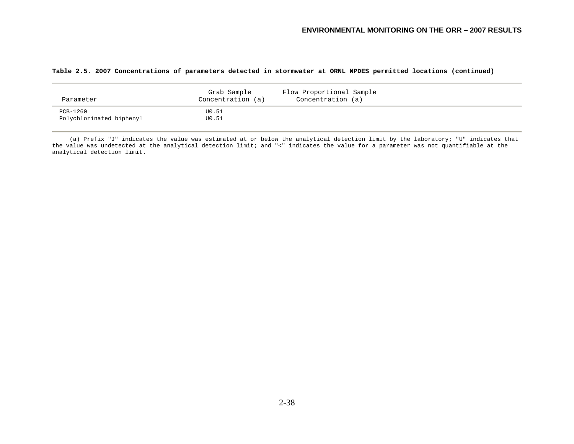|  |  | Table 2.5. 2007 Concentrations of parameters detected in stormwater at ORNL NPDES permitted locations (continued) |  |  |  |  |  |  |  |  |  |  |  |
|--|--|-------------------------------------------------------------------------------------------------------------------|--|--|--|--|--|--|--|--|--|--|--|
|--|--|-------------------------------------------------------------------------------------------------------------------|--|--|--|--|--|--|--|--|--|--|--|

| Parameter                            | Grab Sample<br>Concentration (a) | Flow Proportional Sample<br>Concentration (a) |  |
|--------------------------------------|----------------------------------|-----------------------------------------------|--|
| PCB-1260<br>Polychlorinated biphenyl | U0.51<br>U0.51                   |                                               |  |

 (a) Prefix "J" indicates the value was estimated at or below the analytical detection limit by the laboratory; "U" indicates that the value was undetected at the analytical detection limit; and "<" indicates the value for a parameter was not quantifiable at the analytical detection limit.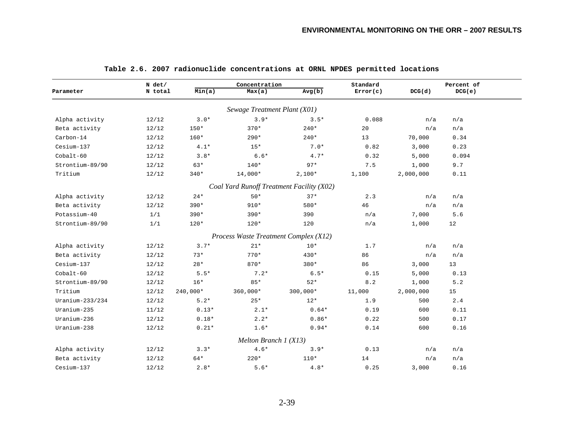|                 | $N$ det/ |            | Concentration                         |                                           | Standard |           | Percent of |
|-----------------|----------|------------|---------------------------------------|-------------------------------------------|----------|-----------|------------|
| Parameter       | N total  | Min(a)     | Max(a)                                | Avg(b)                                    | Error(c) | DCG(d)    | DCG(e)     |
|                 |          |            | Sewage Treatment Plant (X01)          |                                           |          |           |            |
| Alpha activity  | 12/12    | $3.0*$     | $3.9*$                                | $3.5*$                                    | 0.088    | n/a       | n/a        |
| Beta activity   | 12/12    | $150*$     | $370*$                                | $240*$                                    | 20       | n/a       | n/a        |
| Carbon-14       | 12/12    | 160*       | $290*$                                | $240*$                                    | 13       | 70,000    | 0.34       |
| Cesium-137      | 12/12    | $4.1*$     | $15*$                                 | $7.0*$                                    | 0.82     | 3,000     | 0.23       |
| $Cobalt-60$     | 12/12    | $3.8*$     | $6.6*$                                | $4.7*$                                    | 0.32     | 5,000     | 0.094      |
| Strontium-89/90 | 12/12    | 63*        | $140*$                                | $97*$                                     | 7.5      | 1,000     | 9.7        |
| Tritium         | 12/12    | $340*$     | 14,000*                               | $2,100*$                                  | 1,100    | 2,000,000 | 0.11       |
|                 |          |            |                                       | Coal Yard Runoff Treatment Facility (X02) |          |           |            |
| Alpha activity  | 12/12    | $24*$      | $50*$                                 | $37*$                                     | 2.3      | n/a       | n/a        |
| Beta activity   | 12/12    | $390*$     | $910*$                                | 580*                                      | 46       | n/a       | n/a        |
| Potassium-40    | 1/1      | $390*$     | $390*$                                | 390                                       | n/a      | 7,000     | 5.6        |
| Strontium-89/90 | 1/1      | $120*$     | $120*$                                | 120                                       | n/a      | 1,000     | 12         |
|                 |          |            | Process Waste Treatment Complex (X12) |                                           |          |           |            |
| Alpha activity  | 12/12    | $3.7*$     | $21*$                                 | $10*$                                     | 1.7      | n/a       | n/a        |
| Beta activity   | 12/12    | $73*$      | $770*$                                | 430*                                      | 86       | n/a       | n/a        |
| Cesium-137      | 12/12    | $28*$      | $870*$                                | $380*$                                    | 86       | 3,000     | 13         |
| $Cobalt-60$     | 12/12    | $5.5*$     | $7.2*$                                | $6.5*$                                    | 0.15     | 5,000     | 0.13       |
| Strontium-89/90 | 12/12    | $16*$      | $85*$                                 | $52*$                                     | 8.2      | 1,000     | 5.2        |
| Tritium         | 12/12    | $240,000*$ | $360,000*$                            | $300,000*$                                | 11,000   | 2,000,000 | 15         |
| Uranium-233/234 | 12/12    | $5.2*$     | $25*$                                 | $12*$                                     | 1.9      | 500       | 2.4        |
| Uranium-235     | 11/12    | $0.13*$    | $2.1*$                                | $0.64*$                                   | 0.19     | 600       | 0.11       |
| Uranium-236     | 12/12    | $0.18*$    | $2.2*$                                | $0.86*$                                   | 0.22     | 500       | 0.17       |
| Uranium-238     | 12/12    | $0.21*$    | $1.6*$                                | $0.94*$                                   | 0.14     | 600       | 0.16       |
|                 |          |            | Melton Branch $1(X13)$                |                                           |          |           |            |
| Alpha activity  | 12/12    | $3.3*$     | $4.6*$                                | $3.9*$                                    | 0.13     | n/a       | n/a        |
| Beta activity   | 12/12    | 64*        | $220*$                                | $110*$                                    | 14       | n/a       | n/a        |
| Cesium-137      | 12/12    | $2.8*$     | $5.6*$                                | $4.8*$                                    | 0.25     | 3,000     | 0.16       |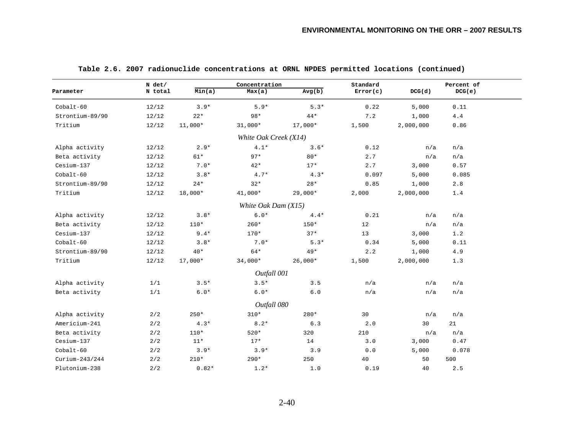|                 | $N$ det/ |           | Concentration         |           | Standard |           | Percent of |
|-----------------|----------|-----------|-----------------------|-----------|----------|-----------|------------|
| Parameter       | N total  | Min(a)    | Max(a)                | Avg(b)    | Error(c) | DCG(d)    | DCG(e)     |
| Cobalt-60       | 12/12    | $3.9*$    | $5.9*$                | $5.3*$    | 0.22     | 5,000     | 0.11       |
| Strontium-89/90 | 12/12    | $22*$     | $98*$                 | $44*$     | 7.2      | 1,000     | 4.4        |
| Tritium         | 12/12    | $11,000*$ | $31,000*$             | 17,000*   | 1,500    | 2,000,000 | 0.86       |
|                 |          |           | White Oak Creek (X14) |           |          |           |            |
| Alpha activity  | 12/12    | $2.9*$    | $4.1*$                | $3.6*$    | 0.12     | n/a       | n/a        |
| Beta activity   | 12/12    | $61*$     | $97*$                 | $80*$     | 2.7      | n/a       | n/a        |
| Cesium-137      | 12/12    | $7.0*$    | $42*$                 | $17*$     | 2.7      | 3,000     | 0.57       |
| $Cobalt-60$     | 12/12    | $3.8*$    | $4.7*$                | $4.3*$    | 0.097    | 5,000     | 0.085      |
| Strontium-89/90 | 12/12    | $24*$     | $32*$                 | $28*$     | 0.85     | 1,000     | 2.8        |
| Tritium         | 12/12    | $18,000*$ | $41,000*$             | $29,000*$ | 2,000    | 2,000,000 | 1.4        |
|                 |          |           | White Oak Dam (X15)   |           |          |           |            |
| Alpha activity  | 12/12    | $3.8*$    | $6.0*$                | $4.4*$    | 0.21     | n/a       | n/a        |
| Beta activity   | 12/12    | $110*$    | $260*$                | $150*$    | 12       | n/a       | n/a        |
| Cesium-137      | 12/12    | $9.4*$    | $170*$                | $37*$     | 13       | 3,000     | 1.2        |
| $Cobalt-60$     | 12/12    | $3.8*$    | $7.0*$                | $5.3*$    | 0.34     | 5,000     | 0.11       |
| Strontium-89/90 | 12/12    | $40*$     | 64*                   | $49*$     | 2.2      | 1,000     | 4.9        |
| Tritium         | 12/12    | $17,000*$ | $34,000*$             | $26,000*$ | 1,500    | 2,000,000 | 1.3        |
|                 |          |           | Outfall 001           |           |          |           |            |
| Alpha activity  | 1/1      | $3.5*$    | $3.5*$                | 3.5       | n/a      | n/a       | n/a        |
| Beta activity   | 1/1      | $6.0*$    | $6.0*$                | $6.0$     | n/a      | n/a       | n/a        |
|                 |          |           | Outfall 080           |           |          |           |            |
| Alpha activity  | 2/2      | $250*$    | $310*$                | 280*      | 30       | n/a       | n/a        |
| Americium-241   | 2/2      | $4.3*$    | $8.2*$                | 6.3       | 2.0      | 30        | 21         |
| Beta activity   | 2/2      | $110*$    | $520*$                | 320       | 210      | n/a       | n/a        |
| Cesium-137      | 2/2      | $11*$     | $17*$                 | 14        | 3.0      | 3,000     | 0.47       |
| $Cobalt-60$     | 2/2      | $3.9*$    | $3.9*$                | 3.9       | 0.0      | 5,000     | 0.078      |
| Curium-243/244  | 2/2      | $210*$    | $290*$                | 250       | 40       | 50        | 500        |
| Plutonium-238   | 2/2      | $0.82*$   | $1.2*$                | 1.0       | 0.19     | 40        | 2.5        |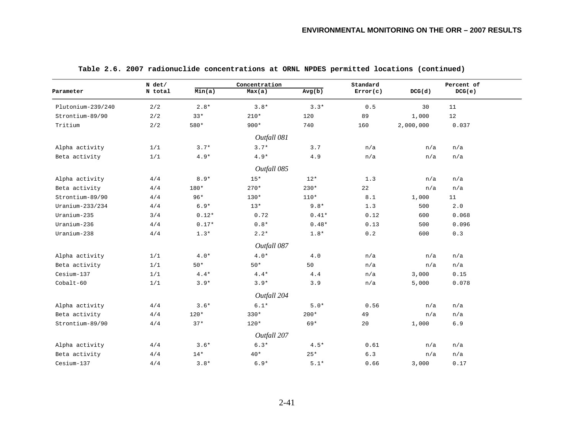|                   | N det/  |         | Concentration |         | Standard |           | Percent of |  |
|-------------------|---------|---------|---------------|---------|----------|-----------|------------|--|
| Parameter         | N total | Min(a)  | Max(a)        | Avg(b)  | Error(c) | DCG(d)    | DCG(e)     |  |
| Plutonium-239/240 | 2/2     | $2.8*$  | $3.8*$        | $3.3*$  | 0.5      | 30        | 11         |  |
| Strontium-89/90   | 2/2     | $33*$   | $210*$        | 120     | 89       | 1,000     | 12         |  |
| Tritium           | 2/2     | 580*    | $900*$        | 740     | 160      | 2,000,000 | 0.037      |  |
|                   |         |         | Outfall 081   |         |          |           |            |  |
| Alpha activity    | 1/1     | $3.7*$  | $3.7*$        | 3.7     | n/a      | n/a       | n/a        |  |
| Beta activity     | 1/1     | $4.9*$  | $4.9*$        | 4.9     | n/a      | n/a       | n/a        |  |
|                   |         |         | Outfall 085   |         |          |           |            |  |
| Alpha activity    | 4/4     | $8.9*$  | $15*$         | $12*$   | 1.3      | n/a       | n/a        |  |
| Beta activity     | 4/4     | 180*    | $270*$        | $230*$  | 22       | n/a       | n/a        |  |
| Strontium-89/90   | 4/4     | $96*$   | $130*$        | $110*$  | 8.1      | 1,000     | 11         |  |
| Uranium-233/234   | 4/4     | $6.9*$  | $13*$         | $9.8*$  | 1.3      | 500       | 2.0        |  |
| Uranium-235       | 3/4     | $0.12*$ | 0.72          | $0.41*$ | 0.12     | 600       | 0.068      |  |
| Uranium-236       | 4/4     | $0.17*$ | $0.8*$        | $0.48*$ | 0.13     | 500       | 0.096      |  |
| Uranium-238       | 4/4     | $1.3*$  | $2.2*$        | $1.8*$  | 0.2      | 600       | 0.3        |  |
|                   |         |         | Outfall 087   |         |          |           |            |  |
| Alpha activity    | 1/1     | $4.0*$  | $4.0*$        | 4.0     | n/a      | n/a       | n/a        |  |
| Beta activity     | 1/1     | $50*$   | $50*$         | 50      | n/a      | n/a       | n/a        |  |
| Cesium-137        | 1/1     | $4.4*$  | $4.4*$        | 4.4     | n/a      | 3,000     | 0.15       |  |
| $Cobalt-60$       | 1/1     | $3.9*$  | $3.9*$        | 3.9     | n/a      | 5,000     | 0.078      |  |
|                   |         |         | Outfall 204   |         |          |           |            |  |
| Alpha activity    | 4/4     | $3.6*$  | $6.1*$        | $5.0*$  | 0.56     | n/a       | n/a        |  |
| Beta activity     | 4/4     | $120*$  | $330*$        | $200*$  | 49       | n/a       | n/a        |  |
| Strontium-89/90   | 4/4     | $37*$   | $120*$        | $69*$   | 20       | 1,000     | 6.9        |  |
|                   |         |         | Outfall 207   |         |          |           |            |  |
| Alpha activity    | 4/4     | $3.6*$  | $6.3*$        | $4.5*$  | 0.61     | n/a       | n/a        |  |
| Beta activity     | 4/4     | $14*$   | $40*$         | $25*$   | 6.3      | n/a       | n/a        |  |
| Cesium-137        | 4/4     | $3.8*$  | $6.9*$        | $5.1*$  | 0.66     | 3,000     | 0.17       |  |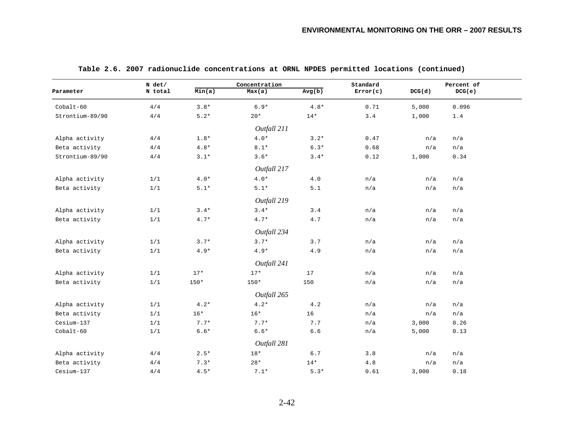|                 | N det/  |        | Concentration |        | Standard |        | Percent of |
|-----------------|---------|--------|---------------|--------|----------|--------|------------|
| Parameter       | N total | Min(a) | Max(a)        | Avg(b) | Error(c) | DCG(d) | DCG(e)     |
| $Cobalt-60$     | 4/4     | $3.8*$ | $6.9*$        | $4.8*$ | 0.71     | 5,000  | 0.096      |
| Strontium-89/90 | 4/4     | $5.2*$ | $20*$         | $14*$  | 3.4      | 1,000  | 1.4        |
|                 |         |        | Outfall 211   |        |          |        |            |
| Alpha activity  | 4/4     | $1.8*$ | $4.0*$        | $3.2*$ | 0.47     | n/a    | n/a        |
| Beta activity   | 4/4     | $4.8*$ | $8.1*$        | $6.3*$ | 0.68     | n/a    | n/a        |
| Strontium-89/90 | 4/4     | $3.1*$ | $3.6*$        | $3.4*$ | 0.12     | 1,000  | 0.34       |
|                 |         |        | Outfall 217   |        |          |        |            |
| Alpha activity  | 1/1     | $4.0*$ | $4.0*$        | 4.0    | n/a      | n/a    | n/a        |
| Beta activity   | 1/1     | $5.1*$ | $5.1*$        | 5.1    | n/a      | n/a    | n/a        |
|                 |         |        | Outfall 219   |        |          |        |            |
| Alpha activity  | 1/1     | $3.4*$ | $3.4*$        | 3.4    | n/a      | n/a    | n/a        |
| Beta activity   | 1/1     | $4.7*$ | $4.7*$        | 4.7    | n/a      | n/a    | n/a        |
|                 |         |        | Outfall 234   |        |          |        |            |
| Alpha activity  | 1/1     | $3.7*$ | $3.7*$        | 3.7    | n/a      | n/a    | n/a        |
| Beta activity   | 1/1     | $4.9*$ | $4.9*$        | 4.9    | n/a      | n/a    | n/a        |
|                 |         |        | Outfall 241   |        |          |        |            |
| Alpha activity  | 1/1     | $17*$  | $17*$         | 17     | n/a      | n/a    | n/a        |
| Beta activity   | 1/1     | $150*$ | $150*$        | 150    | n/a      | n/a    | n/a        |
|                 |         |        | Outfall 265   |        |          |        |            |
| Alpha activity  | 1/1     | $4.2*$ | $4.2*$        | 4.2    | n/a      | n/a    | n/a        |
| Beta activity   | 1/1     | $16*$  | $16*$         | 16     | n/a      | n/a    | n/a        |
| Cesium-137      | 1/1     | $7.7*$ | $7.7*$        | 7.7    | n/a      | 3,000  | 0.26       |
| $Cobalt-60$     | 1/1     | $6.6*$ | $6.6*$        | $6.6$  | n/a      | 5,000  | 0.13       |
|                 |         |        | Outfall 281   |        |          |        |            |
| Alpha activity  | 4/4     | $2.5*$ | $18*$         | $6.7$  | 3.8      | n/a    | n/a        |
| Beta activity   | 4/4     | $7.3*$ | $28*$         | $14*$  | 4.8      | n/a    | n/a        |
| Cesium-137      | 4/4     | $4.5*$ | $7.1*$        | $5.3*$ | 0.61     | 3,000  | 0.18       |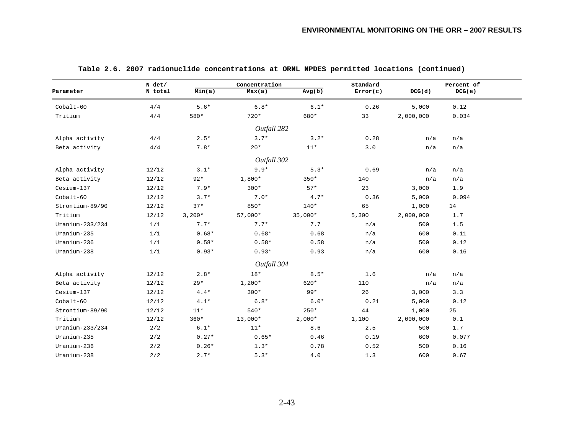| Min(a)<br>N total<br>Max(a)<br>Avg(b)<br>Error(c)<br>DCG(d)<br>DCG(e)<br>$6.8*$<br>4/4<br>$5.6*$<br>$6.1*$<br>0.26<br>5,000<br>0.12<br>2,000,000<br>0.034<br>4/4<br>580*<br>$720*$<br>680*<br>33<br>Outfall 282<br>$3.7*$<br>4/4<br>$2.5*$<br>$3.2*$<br>0.28<br>n/a<br>n/a<br>4/4<br>$7.8*$<br>$20*$<br>$11*$<br>3.0<br>n/a<br>n/a<br>Outfall 302<br>12/12<br>$9.9*$<br>$5.3*$<br>$3.1*$<br>0.69<br>n/a<br>n/a<br>$92*$<br>$1,800*$<br>140<br>12/12<br>$350*$<br>n/a<br>n/a<br>23<br>12/12<br>$7.9*$<br>$300*$<br>$57*$<br>1.9<br>3,000<br>12/12<br>$3.7*$<br>$7.0*$<br>$4.7*$<br>0.094<br>0.36<br>5,000<br>12/12<br>$37*$<br>850*<br>$140*$<br>65<br>14<br>1,000<br>12/12<br>$3,200*$<br>$57,000*$<br>$35,000*$<br>5,300<br>2,000,000<br>1.7<br>1/1<br>$7.7*$<br>$7.7*$<br>7.7<br>1.5<br>n/a<br>500<br>$0.68*$<br>0.68<br>1/1<br>$0.68*$<br>600<br>0.11<br>n/a<br>0.58<br>0.12<br>1/1<br>$0.58*$<br>$0.58*$<br>500<br>n/a<br>$0.93*$<br>1/1<br>$0.93*$<br>0.93<br>n/a<br>600<br>0.16<br>Outfall 304<br>$18*$<br>12/12<br>$2.8*$<br>$8.5*$<br>1.6<br>n/a<br>n/a<br>12/12<br>$1,200*$<br>620*<br>110<br>$29*$<br>n/a<br>n/a<br>$300*$<br>$99*$<br>26<br>12/12<br>$4.4*$<br>3.3<br>3,000<br>$6.8*$<br>$6.0*$<br>12/12<br>$4.1*$<br>0.21<br>5,000<br>0.12<br>12/12<br>$11*$<br>$540*$<br>$250*$<br>25<br>44<br>1,000<br>12/12<br>$360*$<br>$13,000*$<br>$2,000*$<br>1,100<br>2,000,000<br>0.1<br>2/2<br>$6.1*$<br>$11*$<br>8.6<br>2.5<br>1.7<br>500<br>$0.27*$<br>0.46<br>2/2<br>$0.65*$<br>0.19<br>600<br>0.077<br>0.78<br>2/2<br>$0.26*$<br>$1.3*$<br>0.52<br>500<br>0.16<br>2/2<br>$2.7*$<br>$5.3*$<br>4.0<br>1.3<br>0.67<br>600 |                 | $N$ det/ | Concentration | Standard | Percent of |
|----------------------------------------------------------------------------------------------------------------------------------------------------------------------------------------------------------------------------------------------------------------------------------------------------------------------------------------------------------------------------------------------------------------------------------------------------------------------------------------------------------------------------------------------------------------------------------------------------------------------------------------------------------------------------------------------------------------------------------------------------------------------------------------------------------------------------------------------------------------------------------------------------------------------------------------------------------------------------------------------------------------------------------------------------------------------------------------------------------------------------------------------------------------------------------------------------------------------------------------------------------------------------------------------------------------------------------------------------------------------------------------------------------------------------------------------------------------------------------------------------------------------------------------------------------------------------------------------------------------------------------|-----------------|----------|---------------|----------|------------|
|                                                                                                                                                                                                                                                                                                                                                                                                                                                                                                                                                                                                                                                                                                                                                                                                                                                                                                                                                                                                                                                                                                                                                                                                                                                                                                                                                                                                                                                                                                                                                                                                                                  | Parameter       |          |               |          |            |
|                                                                                                                                                                                                                                                                                                                                                                                                                                                                                                                                                                                                                                                                                                                                                                                                                                                                                                                                                                                                                                                                                                                                                                                                                                                                                                                                                                                                                                                                                                                                                                                                                                  | Cobalt-60       |          |               |          |            |
|                                                                                                                                                                                                                                                                                                                                                                                                                                                                                                                                                                                                                                                                                                                                                                                                                                                                                                                                                                                                                                                                                                                                                                                                                                                                                                                                                                                                                                                                                                                                                                                                                                  | Tritium         |          |               |          |            |
|                                                                                                                                                                                                                                                                                                                                                                                                                                                                                                                                                                                                                                                                                                                                                                                                                                                                                                                                                                                                                                                                                                                                                                                                                                                                                                                                                                                                                                                                                                                                                                                                                                  |                 |          |               |          |            |
|                                                                                                                                                                                                                                                                                                                                                                                                                                                                                                                                                                                                                                                                                                                                                                                                                                                                                                                                                                                                                                                                                                                                                                                                                                                                                                                                                                                                                                                                                                                                                                                                                                  | Alpha activity  |          |               |          |            |
|                                                                                                                                                                                                                                                                                                                                                                                                                                                                                                                                                                                                                                                                                                                                                                                                                                                                                                                                                                                                                                                                                                                                                                                                                                                                                                                                                                                                                                                                                                                                                                                                                                  | Beta activity   |          |               |          |            |
|                                                                                                                                                                                                                                                                                                                                                                                                                                                                                                                                                                                                                                                                                                                                                                                                                                                                                                                                                                                                                                                                                                                                                                                                                                                                                                                                                                                                                                                                                                                                                                                                                                  |                 |          |               |          |            |
|                                                                                                                                                                                                                                                                                                                                                                                                                                                                                                                                                                                                                                                                                                                                                                                                                                                                                                                                                                                                                                                                                                                                                                                                                                                                                                                                                                                                                                                                                                                                                                                                                                  | Alpha activity  |          |               |          |            |
|                                                                                                                                                                                                                                                                                                                                                                                                                                                                                                                                                                                                                                                                                                                                                                                                                                                                                                                                                                                                                                                                                                                                                                                                                                                                                                                                                                                                                                                                                                                                                                                                                                  | Beta activity   |          |               |          |            |
|                                                                                                                                                                                                                                                                                                                                                                                                                                                                                                                                                                                                                                                                                                                                                                                                                                                                                                                                                                                                                                                                                                                                                                                                                                                                                                                                                                                                                                                                                                                                                                                                                                  | Cesium-137      |          |               |          |            |
|                                                                                                                                                                                                                                                                                                                                                                                                                                                                                                                                                                                                                                                                                                                                                                                                                                                                                                                                                                                                                                                                                                                                                                                                                                                                                                                                                                                                                                                                                                                                                                                                                                  | $Cobalt-60$     |          |               |          |            |
|                                                                                                                                                                                                                                                                                                                                                                                                                                                                                                                                                                                                                                                                                                                                                                                                                                                                                                                                                                                                                                                                                                                                                                                                                                                                                                                                                                                                                                                                                                                                                                                                                                  | Strontium-89/90 |          |               |          |            |
|                                                                                                                                                                                                                                                                                                                                                                                                                                                                                                                                                                                                                                                                                                                                                                                                                                                                                                                                                                                                                                                                                                                                                                                                                                                                                                                                                                                                                                                                                                                                                                                                                                  | Tritium         |          |               |          |            |
|                                                                                                                                                                                                                                                                                                                                                                                                                                                                                                                                                                                                                                                                                                                                                                                                                                                                                                                                                                                                                                                                                                                                                                                                                                                                                                                                                                                                                                                                                                                                                                                                                                  | Uranium-233/234 |          |               |          |            |
|                                                                                                                                                                                                                                                                                                                                                                                                                                                                                                                                                                                                                                                                                                                                                                                                                                                                                                                                                                                                                                                                                                                                                                                                                                                                                                                                                                                                                                                                                                                                                                                                                                  | Uranium-235     |          |               |          |            |
|                                                                                                                                                                                                                                                                                                                                                                                                                                                                                                                                                                                                                                                                                                                                                                                                                                                                                                                                                                                                                                                                                                                                                                                                                                                                                                                                                                                                                                                                                                                                                                                                                                  | Uranium-236     |          |               |          |            |
|                                                                                                                                                                                                                                                                                                                                                                                                                                                                                                                                                                                                                                                                                                                                                                                                                                                                                                                                                                                                                                                                                                                                                                                                                                                                                                                                                                                                                                                                                                                                                                                                                                  | Uranium-238     |          |               |          |            |
|                                                                                                                                                                                                                                                                                                                                                                                                                                                                                                                                                                                                                                                                                                                                                                                                                                                                                                                                                                                                                                                                                                                                                                                                                                                                                                                                                                                                                                                                                                                                                                                                                                  |                 |          |               |          |            |
|                                                                                                                                                                                                                                                                                                                                                                                                                                                                                                                                                                                                                                                                                                                                                                                                                                                                                                                                                                                                                                                                                                                                                                                                                                                                                                                                                                                                                                                                                                                                                                                                                                  | Alpha activity  |          |               |          |            |
|                                                                                                                                                                                                                                                                                                                                                                                                                                                                                                                                                                                                                                                                                                                                                                                                                                                                                                                                                                                                                                                                                                                                                                                                                                                                                                                                                                                                                                                                                                                                                                                                                                  | Beta activity   |          |               |          |            |
|                                                                                                                                                                                                                                                                                                                                                                                                                                                                                                                                                                                                                                                                                                                                                                                                                                                                                                                                                                                                                                                                                                                                                                                                                                                                                                                                                                                                                                                                                                                                                                                                                                  | Cesium-137      |          |               |          |            |
|                                                                                                                                                                                                                                                                                                                                                                                                                                                                                                                                                                                                                                                                                                                                                                                                                                                                                                                                                                                                                                                                                                                                                                                                                                                                                                                                                                                                                                                                                                                                                                                                                                  | $Cobalt-60$     |          |               |          |            |
|                                                                                                                                                                                                                                                                                                                                                                                                                                                                                                                                                                                                                                                                                                                                                                                                                                                                                                                                                                                                                                                                                                                                                                                                                                                                                                                                                                                                                                                                                                                                                                                                                                  | Strontium-89/90 |          |               |          |            |
|                                                                                                                                                                                                                                                                                                                                                                                                                                                                                                                                                                                                                                                                                                                                                                                                                                                                                                                                                                                                                                                                                                                                                                                                                                                                                                                                                                                                                                                                                                                                                                                                                                  | Tritium         |          |               |          |            |
|                                                                                                                                                                                                                                                                                                                                                                                                                                                                                                                                                                                                                                                                                                                                                                                                                                                                                                                                                                                                                                                                                                                                                                                                                                                                                                                                                                                                                                                                                                                                                                                                                                  | Uranium-233/234 |          |               |          |            |
|                                                                                                                                                                                                                                                                                                                                                                                                                                                                                                                                                                                                                                                                                                                                                                                                                                                                                                                                                                                                                                                                                                                                                                                                                                                                                                                                                                                                                                                                                                                                                                                                                                  | Uranium-235     |          |               |          |            |
|                                                                                                                                                                                                                                                                                                                                                                                                                                                                                                                                                                                                                                                                                                                                                                                                                                                                                                                                                                                                                                                                                                                                                                                                                                                                                                                                                                                                                                                                                                                                                                                                                                  | Uranium-236     |          |               |          |            |
|                                                                                                                                                                                                                                                                                                                                                                                                                                                                                                                                                                                                                                                                                                                                                                                                                                                                                                                                                                                                                                                                                                                                                                                                                                                                                                                                                                                                                                                                                                                                                                                                                                  | Uranium-238     |          |               |          |            |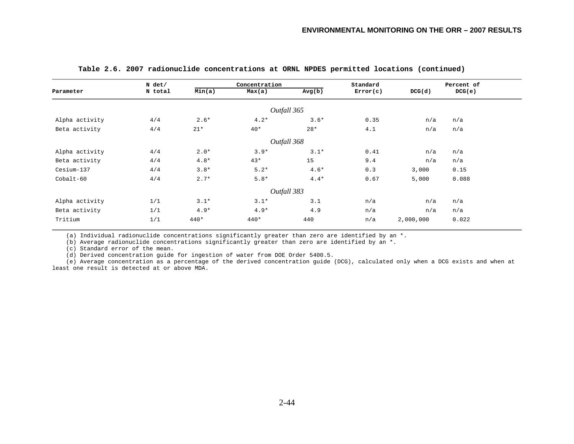|                | $N$ det/ |        | Concentration |             | Standard |           | Percent of |  |
|----------------|----------|--------|---------------|-------------|----------|-----------|------------|--|
| Parameter      | N total  | Min(a) | Max(a)        | Avg(b)      | Error(c) | DCG(d)    | DCG(e)     |  |
|                |          |        |               | Outfall 365 |          |           |            |  |
|                |          |        |               |             |          |           |            |  |
| Alpha activity | 4/4      | $2.6*$ | $4.2*$        | $3.6*$      | 0.35     | n/a       | n/a        |  |
| Beta activity  | 4/4      | $21*$  | $40*$         | $28*$       | 4.1      | n/a       | n/a        |  |
|                |          |        |               | Outfall 368 |          |           |            |  |
| Alpha activity | 4/4      | $2.0*$ | $3.9*$        | $3.1*$      | 0.41     | n/a       | n/a        |  |
| Beta activity  | 4/4      | $4.8*$ | $43*$         | 15          | 9.4      | n/a       | n/a        |  |
| Cesium-137     | 4/4      | $3.8*$ | $5.2*$        | $4.6*$      | 0.3      | 3,000     | 0.15       |  |
| Cobalt-60      | 4/4      | $2.7*$ | $5.8*$        | $4.4*$      | 0.67     | 5,000     | 0.088      |  |
|                |          |        |               | Outfall 383 |          |           |            |  |
| Alpha activity | 1/1      | $3.1*$ | $3.1*$        | 3.1         | n/a      | n/a       | n/a        |  |
| Beta activity  | 1/1      | $4.9*$ | $4.9*$        | 4.9         | n/a      | n/a       | n/a        |  |
| Tritium        | 1/1      | $440*$ | 440*          | 440         | n/a      | 2,000,000 | 0.022      |  |

(a) Individual radionuclide concentrations significantly greater than zero are identified by an \*.

(b) Average radionuclide concentrations significantly greater than zero are identified by an  $*$ .

(c) Standard error of the mean.

(d) Derived concentration guide for ingestion of water from DOE Order 5400.5.

 (e) Average concentration as a percentage of the derived concentration guide (DCG), calculated only when a DCG exists and when at least one result is detected at or above MDA.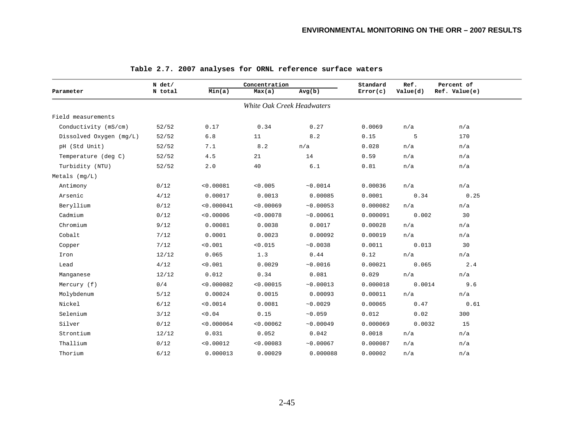|                         | $N$ det/ |            | Concentration              |           |          | Ref.     | Percent of    |
|-------------------------|----------|------------|----------------------------|-----------|----------|----------|---------------|
| Parameter               | N total  | Min(a)     | Max(a)                     | Avg(b)    | Error(c) | Value(d) | Ref. Value(e) |
|                         |          |            | White Oak Creek Headwaters |           |          |          |               |
| Field measurements      |          |            |                            |           |          |          |               |
| Conductivity (mS/cm)    | 52/52    | 0.17       | 0.34                       | 0.27      | 0.0069   | n/a      | n/a           |
| Dissolved Oxygen (mg/L) | 52/52    | $6.8$      | 11                         | 8.2       | 0.15     | 5        | 170           |
| pH (Std Unit)           | 52/52    | 7.1        | 8.2                        | n/a       | 0.028    | n/a      | n/a           |
| Temperature (deg C)     | 52/52    | 4.5        | 21                         | 14        | 0.59     | n/a      | n/a           |
| Turbidity (NTU)         | 52/52    | 2.0        | 40                         | 6.1       | 0.81     | n/a      | n/a           |
| Metals (mg/L)           |          |            |                            |           |          |          |               |
| Antimony                | 0/12     | < 0.00081  | < 0.005                    | ~10.0014  | 0.00036  | n/a      | n/a           |
| Arsenic                 | 4/12     | 0.00017    | 0.0013                     | 0.00085   | 0.0001   | 0.34     | 0.25          |
| Beryllium               | 0/12     | < 0.000041 | < 0.00069                  | ~10.00053 | 0.000082 | n/a      | n/a           |
| Cadmium                 | 0/12     | < 0.00006  | < 0.00078                  | ~0.00061  | 0.000091 | 0.002    | 30            |
| Chromium                | 9/12     | 0.00081    | 0.0038                     | 0.0017    | 0.00028  | n/a      | n/a           |
| Cobalt                  | 7/12     | 0.0001     | 0.0023                     | 0.00092   | 0.00019  | n/a      | n/a           |
| Copper                  | 7/12     | < 0.001    | < 0.015                    | ~10.0038  | 0.0011   | 0.013    | 30            |
| Iron                    | 12/12    | 0.065      | 1.3                        | 0.44      | 0.12     | n/a      | n/a           |
| Lead                    | 4/12     | < 0.001    | 0.0029                     | ~0.0016   | 0.00021  | 0.065    | 2.4           |
| Manganese               | 12/12    | 0.012      | 0.34                       | 0.081     | 0.029    | n/a      | n/a           |
| Mercury (f)             | 0/4      | < 0.000082 | < 0.00015                  | ~10.00013 | 0.000018 | 0.0014   | 9.6           |
| Molybdenum              | 5/12     | 0.00024    | 0.0015                     | 0.00093   | 0.00011  | n/a      | n/a           |
| Nickel                  | 6/12     | < 0.0014   | 0.0081                     | ~10.0029  | 0.00065  | 0.47     | 0.61          |
| Selenium                | 3/12     | 0.04       | 0.15                       | ~10.059   | 0.012    | 0.02     | 300           |
| Silver                  | 0/12     | < 0.000064 | < 0.00062                  | ~10.00049 | 0.000069 | 0.0032   | 15            |
| Strontium               | 12/12    | 0.031      | 0.052                      | 0.042     | 0.0018   | n/a      | n/a           |
| Thallium                | 0/12     | < 0.00012  | < 0.00083                  | ~10.00067 | 0.000087 | n/a      | n/a           |
| Thorium                 | 6/12     | 0.000013   | 0.00029                    | 0.000088  | 0.00002  | n/a      | n/a           |

### **Table 2.7. 2007 analyses for ORNL reference surface waters**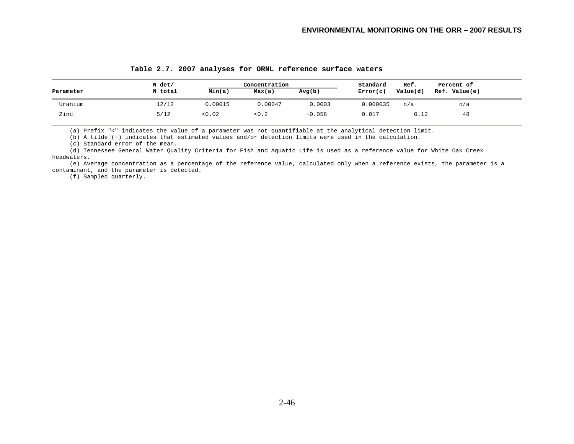|           | N det/  |         | Concentration |         | Standard | Ref.     | Percent of    |
|-----------|---------|---------|---------------|---------|----------|----------|---------------|
| Parameter | N total | Min(a)  | Max(a)        | Avg(b)  | Error(c) | Value(d) | Ref. Value(e) |
| Uranium   | 12/12   | 0.00015 | 0.00047       | 0.0003  | 0.000035 | n/a      | n/a           |
| Zinc      | 5/12    | < 0.02  | 0.2           | ~10.058 | 0.017    | 0.12     | 48            |

#### **Table 2.7. 2007 analyses for ORNL reference surface waters**

(a) Prefix "<" indicates the value of a parameter was not quantifiable at the analytical detection limit.

(b) A tilde (~) indicates that estimated values and/or detection limits were used in the calculation.

(c) Standard error of the mean.

 (d) Tennessee General Water Quality Criteria for Fish and Aquatic Life is used as a reference value for White Oak Creek headwaters.

 (e) Average concentration as a percentage of the reference value, calculated only when a reference exists, the parameter is a contaminant, and the parameter is detected.

(f) Sampled quarterly.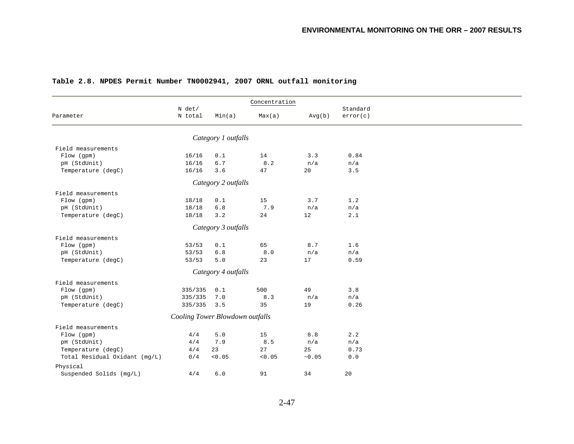|                               | N det/                          |                     | Concentration |        | Standard |  |
|-------------------------------|---------------------------------|---------------------|---------------|--------|----------|--|
| Parameter                     | N total                         | Min(a)              | Max(a)        | Avg(b) | error(c) |  |
|                               |                                 | Category 1 outfalls |               |        |          |  |
|                               |                                 |                     |               |        |          |  |
| Field measurements            |                                 |                     |               |        |          |  |
| Flow (gpm)                    | 16/16                           | 0.1                 | 14            | 3.3    | 0.84     |  |
| pH (StdUnit)                  | 16/16                           | $6.7$               | 8.2           | n/a    | n/a      |  |
| Temperature (degC)            | 16/16                           | 3.6                 | 47            | 20     | 3.5      |  |
|                               |                                 | Category 2 outfalls |               |        |          |  |
| Field measurements            |                                 |                     |               |        |          |  |
| Flow (gpm)                    | 18/18                           | 0.1                 | 15            | 3.7    | 1.2      |  |
| pH (StdUnit)                  | 18/18                           | $6.8$               | 7.9           | n/a    | n/a      |  |
| Temperature (degC)            | 18/18                           | 3.2                 | 24            | 12     | 2.1      |  |
|                               |                                 | Category 3 outfalls |               |        |          |  |
| Field measurements            |                                 |                     |               |        |          |  |
| Flow (gpm)                    | 53/53                           | 0.1                 | 65            | 8.7    | 1.6      |  |
| pH (StdUnit)                  | 53/53                           | $6.8$               | $8.0$         | n/a    | n/a      |  |
|                               | 53/53                           | $5.0$               | 23            | 17     | 0.59     |  |
| Temperature (degC)            |                                 |                     |               |        |          |  |
|                               |                                 | Category 4 outfalls |               |        |          |  |
| Field measurements            |                                 |                     |               |        |          |  |
| Flow (gpm)                    | 335/335                         | 0.1                 | 500           | 49     | 3.8      |  |
| pH (StdUnit)                  | 335/335                         | 7.0                 | 8.3           | n/a    | n/a      |  |
| Temperature (degC)            | 335/335                         | 3.5                 | 35            | 19     | 0.26     |  |
|                               | Cooling Tower Blowdown outfalls |                     |               |        |          |  |
| Field measurements            |                                 |                     |               |        |          |  |
| Flow (gpm)                    | 4/4                             | 5.0                 | 15            | 8.8    | 2.2      |  |
| pH (StdUnit)                  | 4/4                             | 7.9                 | 8.5           | n/a    | n/a      |  |
| Temperature (degC)            | 4/4                             | 23                  | 27            | 25     | 0.73     |  |
| Total Residual Oxidant (mg/L) | 0/4                             | < 0.05              | < 0.05        | ~0.05  | 0.0      |  |
| Physical                      |                                 |                     |               |        |          |  |
| Suspended Solids (mg/L)       | 4/4                             | $6.0$               | 91            | 34     | 20       |  |
|                               |                                 |                     |               |        |          |  |

## **Table 2.8. NPDES Permit Number TN0002941, 2007 ORNL outfall monitoring**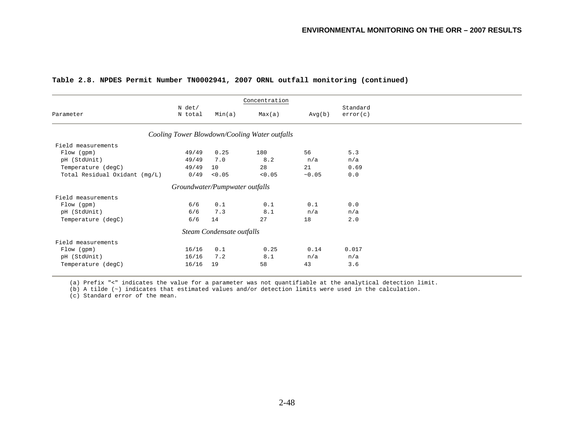|                               |          |                                | Concentration                                 |        |          |
|-------------------------------|----------|--------------------------------|-----------------------------------------------|--------|----------|
|                               | $N$ det/ |                                |                                               |        | Standard |
| Parameter                     | N total  | Min(a)                         | Max(a)                                        | Avg(b) | error(c) |
|                               |          |                                | Cooling Tower Blowdown/Cooling Water outfalls |        |          |
| Field measurements            |          |                                |                                               |        |          |
| Flow (gpm)                    | 49/49    | 0.25                           | 180                                           | 56     | 5.3      |
| pH (StdUnit)                  | 49/49    | 7.0                            | 8.2                                           | n/a    | n/a      |
| Temperature (degC)            | 49/49    | 10                             | 28                                            | 21     | 0.69     |
| Total Residual Oxidant (mg/L) | 0/49     | < 0.05                         | < 0.05                                        | ~10.05 | 0.0      |
|                               |          | Groundwater/Pumpwater outfalls |                                               |        |          |
| Field measurements            |          |                                |                                               |        |          |
| Flow (gpm)                    | 6/6      | 0.1                            | 0.1                                           | 0.1    | 0.0      |
| pH (StdUnit)                  | 6/6      | 7.3                            | 8.1                                           | n/a    | n/a      |
| Temperature (degC)            | 6/6      | 14                             | 27                                            | 18     | 2.0      |
|                               |          | Steam Condensate outfalls      |                                               |        |          |
| Field measurements            |          |                                |                                               |        |          |
| Flow (gpm)                    | 16/16    | 0.1                            | 0.25                                          | 0.14   | 0.017    |
| pH (StdUnit)                  | 16/16    | 7.2                            | 8.1                                           | n/a    | n/a      |
| Temperature (degC)            | 16/16    | 19                             | 58                                            | 43     | 3.6      |
|                               |          |                                |                                               |        |          |

#### **Table 2.8. NPDES Permit Number TN0002941, 2007 ORNL outfall monitoring (continued)**

(a) Prefix "<" indicates the value for a parameter was not quantifiable at the analytical detection limit.

(b) A tilde (~) indicates that estimated values and/or detection limits were used in the calculation.

(c) Standard error of the mean.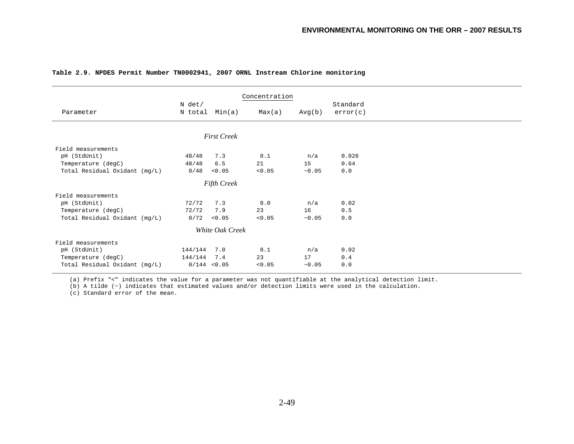|                               |                |                    | Concentration |        |          |  |
|-------------------------------|----------------|--------------------|---------------|--------|----------|--|
|                               | $N$ det/       |                    |               |        | Standard |  |
| Parameter                     | N total Min(a) |                    | Max(a)        | Avg(b) | error(c) |  |
|                               |                |                    |               |        |          |  |
|                               |                |                    |               |        |          |  |
|                               |                | <b>First Creek</b> |               |        |          |  |
| Field measurements            |                |                    |               |        |          |  |
| pH (StdUnit)                  | 48/48          | 7.3                | 8.1           | n/a    | 0.026    |  |
| Temperature (degC)            | 48/48          | 6.5                | 21            | 15     | 0.64     |  |
| Total Residual Oxidant (mg/L) | 0/48           | < 0.05             | < 0.05        | ~10.05 | 0.0      |  |
|                               |                | <b>Fifth Creek</b> |               |        |          |  |
| Field measurements            |                |                    |               |        |          |  |
| pH (StdUnit)                  | 72/72          | 7.3                | 8.0           | n/a    | 0.02     |  |
| Temperature (degC)            | 72/72          | 7.9                | 23            | 16     | 0.5      |  |
| Total Residual Oxidant (mg/L) | 0/72           | < 0.05             | < 0.05        | ~10.05 | 0.0      |  |
|                               |                | White Oak Creek    |               |        |          |  |
| Field measurements            |                |                    |               |        |          |  |
| pH (StdUnit)                  | 144/144        | 7.0                | 8.1           | n/a    | 0.02     |  |
| Temperature (degC)            | 144/144        | 7.4                | 23            | 17     | 0.4      |  |
| Total Residual Oxidant (mg/L) | $0/144$ < 0.05 |                    | < 0.05        | ~10.05 | 0.0      |  |
|                               |                |                    |               |        |          |  |

#### **Table 2.9. NPDES Permit Number TN0002941, 2007 ORNL Instream Chlorine monitoring**

(a) Prefix "<" indicates the value for a parameter was not quantifiable at the analytical detection limit.

(b) A tilde (~) indicates that estimated values and/or detection limits were used in the calculation.

(c) Standard error of the mean.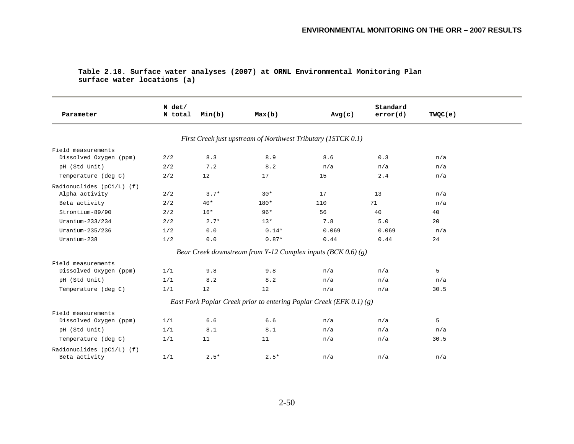| Parameter                 | $N$ det/<br>N total | Min(b) | Max(b)  | Avg(c)                                                              | Standard<br>error(d) | TWQC(e) |
|---------------------------|---------------------|--------|---------|---------------------------------------------------------------------|----------------------|---------|
|                           |                     |        |         | First Creek just upstream of Northwest Tributary (1STCK 0.1)        |                      |         |
| Field measurements        |                     |        |         |                                                                     |                      |         |
| Dissolved Oxygen (ppm)    | 2/2                 | 8.3    | 8.9     | 8.6                                                                 | 0.3                  | n/a     |
| pH (Std Unit)             | 2/2                 | 7.2    | 8.2     | n/a                                                                 | n/a                  | n/a     |
| Temperature (deg C)       | 2/2                 | 12     | 17      | 15                                                                  | 2.4                  | n/a     |
| Radionuclides (pCi/L) (f) |                     |        |         |                                                                     |                      |         |
| Alpha activity            | 2/2                 | $3.7*$ | $30*$   | 17                                                                  | 13                   | n/a     |
| Beta activity             | 2/2                 | $40*$  | 180*    | 110                                                                 | 71                   | n/a     |
| Strontium-89/90           | 2/2                 | $16*$  | $96*$   | 56                                                                  | 40                   | 40      |
| Uranium- $233/234$        | 2/2                 | $2.7*$ | $13*$   | 7.8                                                                 | 5.0                  | 20      |
| Uranium-235/236           | 1/2                 | $0.0$  | $0.14*$ | 0.069                                                               | 0.069                | n/a     |
| Uranium-238               | 1/2                 | $0.0$  | $0.87*$ | 0.44                                                                | 0.44                 | 24      |
|                           |                     |        |         | Bear Creek downstream from Y-12 Complex inputs (BCK 0.6) (g)        |                      |         |
| Field measurements        |                     |        |         |                                                                     |                      |         |
| Dissolved Oxygen (ppm)    | 1/1                 | 9.8    | 9.8     | n/a                                                                 | n/a                  | 5       |
| pH (Std Unit)             | 1/1                 | 8.2    | 8.2     | n/a                                                                 | n/a                  | n/a     |
| Temperature (deg C)       | 1/1                 | 12     | 12      | n/a                                                                 | n/a                  | 30.5    |
|                           |                     |        |         | East Fork Poplar Creek prior to entering Poplar Creek (EFK 0.1) (g) |                      |         |
| Field measurements        |                     |        |         |                                                                     |                      |         |
| Dissolved Oxygen (ppm)    | 1/1                 | 6.6    | 6.6     | n/a                                                                 | n/a                  | 5       |
| pH (Std Unit)             | 1/1                 | 8.1    | 8.1     | n/a                                                                 | n/a                  | n/a     |
| Temperature (deg C)       | 1/1                 | 11     | 11      | n/a                                                                 | n/a                  | 30.5    |
| Radionuclides (pCi/L) (f) |                     |        |         |                                                                     |                      |         |
| Beta activity             | 1/1                 | $2.5*$ | $2.5*$  | n/a                                                                 | n/a                  | n/a     |

#### **Table 2.10. Surface water analyses (2007) at ORNL Environmental Monitoring Plan surface water locations (a)**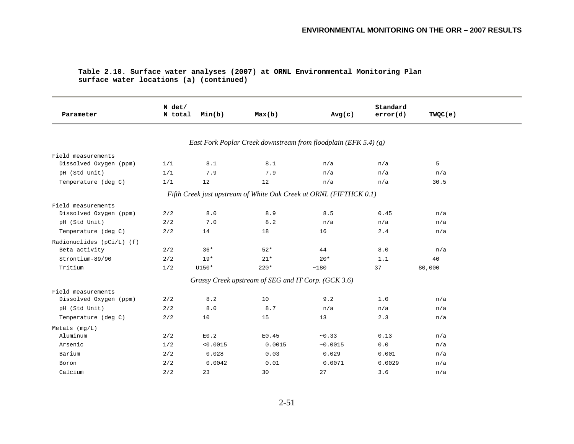| Table 2.10. Surface water analyses (2007) at ORNL Environmental Monitoring Plan |  |  |  |
|---------------------------------------------------------------------------------|--|--|--|
| surface water locations (a) (continued)                                         |  |  |  |

| Parameter                 | N det/<br>N total | Min(b)   | Max(b)                                              | Avg(c)                                                             | Standard<br>error(d) | TWQC(e) |
|---------------------------|-------------------|----------|-----------------------------------------------------|--------------------------------------------------------------------|----------------------|---------|
|                           |                   |          |                                                     |                                                                    |                      |         |
|                           |                   |          |                                                     | East Fork Poplar Creek downstream from floodplain (EFK 5.4) (g)    |                      |         |
| Field measurements        |                   |          |                                                     |                                                                    |                      |         |
| Dissolved Oxygen (ppm)    | 1/1               | 8.1      | 8.1                                                 | n/a                                                                | n/a                  | 5       |
| pH (Std Unit)             | 1/1               | 7.9      | 7.9                                                 | n/a                                                                | n/a                  | n/a     |
| Temperature (deg C)       | 1/1               | 12       | 12                                                  | n/a                                                                | n/a                  | 30.5    |
|                           |                   |          |                                                     | Fifth Creek just upstream of White Oak Creek at ORNL (FIFTHCK 0.1) |                      |         |
| Field measurements        |                   |          |                                                     |                                                                    |                      |         |
| Dissolved Oxygen (ppm)    | 2/2               | 8.0      | 8.9                                                 | 8.5                                                                | 0.45                 | n/a     |
| pH (Std Unit)             | 2/2               | 7.0      | 8.2                                                 | n/a                                                                | n/a                  | n/a     |
| Temperature (deg C)       | 2/2               | 14       | 18                                                  | 16                                                                 | 2.4                  | n/a     |
| Radionuclides (pCi/L) (f) |                   |          |                                                     |                                                                    |                      |         |
| Beta activity             | 2/2               | $36*$    | $52*$                                               | 44                                                                 | 8.0                  | n/a     |
| Strontium-89/90           | 2/2               | $19*$    | $21*$                                               | $20*$                                                              | 1.1                  | 40      |
| Tritium                   | 1/2               | U150*    | $220*$                                              | ~180                                                               | 37                   | 80,000  |
|                           |                   |          | Grassy Creek upstream of SEG and IT Corp. (GCK 3.6) |                                                                    |                      |         |
| Field measurements        |                   |          |                                                     |                                                                    |                      |         |
| Dissolved Oxygen (ppm)    | 2/2               | 8.2      | 10                                                  | 9.2                                                                | 1.0                  | n/a     |
| pH (Std Unit)             | 2/2               | 8.0      | 8.7                                                 | n/a                                                                | n/a                  | n/a     |
| Temperature (deg C)       | 2/2               | 10       | 15                                                  | 13                                                                 | 2.3                  | n/a     |
| Metals $(mq/L)$           |                   |          |                                                     |                                                                    |                      |         |
| Aluminum                  | 2/2               | E0.2     | E0.45                                               | ~10.33                                                             | 0.13                 | n/a     |
| Arsenic                   | 1/2               | < 0.0015 | 0.0015                                              | ~0.0015                                                            | 0.0                  | n/a     |
| Barium                    | 2/2               | 0.028    | 0.03                                                | 0.029                                                              | 0.001                | n/a     |
| Boron                     | 2/2               | 0.0042   | 0.01                                                | 0.0071                                                             | 0.0029               | n/a     |
| Calcium                   | 2/2               | 23       | 30                                                  | 27                                                                 | 3.6                  | n/a     |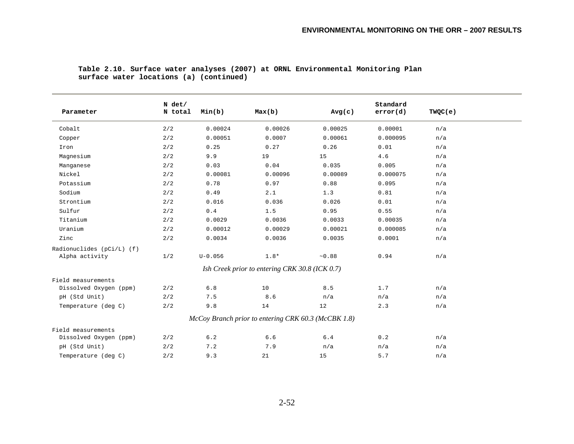| Parameter                 | N det/<br>N total | Min(b)      | Max(b)                                              | Avg(c)  | Standard<br>error(d) | TWQC(e) |  |
|---------------------------|-------------------|-------------|-----------------------------------------------------|---------|----------------------|---------|--|
| Cobalt                    | 2/2               | 0.00024     | 0.00026                                             | 0.00025 | 0.00001              | n/a     |  |
| Copper                    | 2/2               | 0.00051     | 0.0007                                              | 0.00061 | 0.000095             | n/a     |  |
| Iron                      | 2/2               | 0.25        | 0.27                                                | 0.26    | 0.01                 | n/a     |  |
| Magnesium                 | 2/2               | 9.9         | 19                                                  | 15      | 4.6                  | n/a     |  |
| Manganese                 | 2/2               | 0.03        | 0.04                                                | 0.035   | 0.005                | n/a     |  |
| Nickel                    | 2/2               | 0.00081     | 0.00096                                             | 0.00089 | 0.000075             | n/a     |  |
| Potassium                 | 2/2               | 0.78        | 0.97                                                | 0.88    | 0.095                | n/a     |  |
| Sodium                    | 2/2               | 0.49        | 2.1                                                 | 1.3     | 0.81                 | n/a     |  |
| Strontium                 | 2/2               | 0.016       | 0.036                                               | 0.026   | 0.01                 | n/a     |  |
| Sulfur                    | 2/2               | $0.4$       | 1.5                                                 | 0.95    | 0.55                 | n/a     |  |
| Titanium                  | 2/2               | 0.0029      | 0.0036                                              | 0.0033  | 0.00035              | n/a     |  |
| Uranium                   | 2/2               | 0.00012     | 0.00029                                             | 0.00021 | 0.000085             | n/a     |  |
| Zinc                      | 2/2               | 0.0034      | 0.0036                                              | 0.0035  | 0.0001               | n/a     |  |
| Radionuclides (pCi/L) (f) |                   |             |                                                     |         |                      |         |  |
| Alpha activity            | 1/2               | $U - 0.056$ | $1.8*$                                              | ~10.88  | 0.94                 | n/a     |  |
|                           |                   |             | Ish Creek prior to entering CRK 30.8 (ICK 0.7)      |         |                      |         |  |
| Field measurements        |                   |             |                                                     |         |                      |         |  |
| Dissolved Oxygen (ppm)    | 2/2               | 6.8         | 10                                                  | 8.5     | 1.7                  | n/a     |  |
| pH (Std Unit)             | 2/2               | 7.5         | 8.6                                                 | n/a     | n/a                  | n/a     |  |
| Temperature (deg C)       | 2/2               | 9.8         | 14                                                  | 12      | 2.3                  | n/a     |  |
|                           |                   |             | McCoy Branch prior to entering CRK 60.3 (McCBK 1.8) |         |                      |         |  |
| Field measurements        |                   |             |                                                     |         |                      |         |  |
| Dissolved Oxygen (ppm)    | 2/2               | 6.2         | 6.6                                                 | $6.4$   | 0.2                  | n/a     |  |
| pH (Std Unit)             | 2/2               | 7.2         | 7.9                                                 | n/a     | n/a                  | n/a     |  |
| Temperature (deg C)       | 2/2               | 9.3         | 21                                                  | 15      | 5.7                  | n/a     |  |

#### **Table 2.10. Surface water analyses (2007) at ORNL Environmental Monitoring Plan surface water locations (a) (continued)**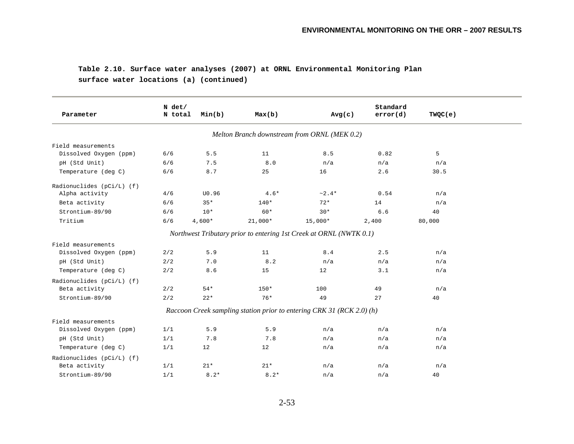## **Table 2.10. Surface water analyses (2007) at ORNL Environmental Monitoring Plan surface water locations (a) (continued)**

| Parameter                   | N det/<br>N total | Min(b)   | Max(b)    | Avg(c)                                                                | Standard<br>error(d) | TWQC(e) |
|-----------------------------|-------------------|----------|-----------|-----------------------------------------------------------------------|----------------------|---------|
|                             |                   |          |           | Melton Branch downstream from ORNL (MEK 0.2)                          |                      |         |
| Field measurements          |                   |          |           |                                                                       |                      |         |
| Dissolved Oxygen (ppm)      | 6/6               | 5.5      | 11        | 8.5                                                                   | 0.82                 | 5       |
| pH (Std Unit)               | 6/6               | 7.5      | 8.0       | n/a                                                                   | n/a                  | n/a     |
| Temperature (deg C)         | 6/6               | 8.7      | 25        | 16                                                                    | 2.6                  | 30.5    |
| Radionuclides $(pCi/L)$ (f) |                   |          |           |                                                                       |                      |         |
| Alpha activity              | 4/6               | U0.96    | $4.6*$    | $~2.4*$                                                               | 0.54                 | n/a     |
| Beta activity               | 6/6               | $35*$    | $140*$    | $72*$                                                                 | 14                   | n/a     |
| Strontium-89/90             | 6/6               | $10*$    | $60*$     | $30*$                                                                 | 6.6                  | 40      |
| Tritium                     | 6/6               | $4,600*$ | $21,000*$ | $15,000*$                                                             | 2,400                | 80,000  |
|                             |                   |          |           | Northwest Tributary prior to entering 1st Creek at ORNL (NWTK 0.1)    |                      |         |
| Field measurements          |                   |          |           |                                                                       |                      |         |
| Dissolved Oxygen (ppm)      | 2/2               | 5.9      | 11        | 8.4                                                                   | 2.5                  | n/a     |
| pH (Std Unit)               | 2/2               | 7.0      | 8.2       | n/a                                                                   | n/a                  | n/a     |
| Temperature (deg C)         | 2/2               | 8.6      | 15        | 12                                                                    | 3.1                  | n/a     |
| Radionuclides $(pCi/L)$ (f) |                   |          |           |                                                                       |                      |         |
| Beta activity               | 2/2               | $54*$    | $150*$    | 100                                                                   | 49                   | n/a     |
| Strontium-89/90             | 2/2               | $22*$    | $76*$     | 49                                                                    | 27                   | 40      |
|                             |                   |          |           | Raccoon Creek sampling station prior to entering CRK 31 (RCK 2.0) (h) |                      |         |
| Field measurements          |                   |          |           |                                                                       |                      |         |
| Dissolved Oxygen (ppm)      | 1/1               | 5.9      | 5.9       | n/a                                                                   | n/a                  | n/a     |
| pH (Std Unit)               | 1/1               | 7.8      | 7.8       | n/a                                                                   | n/a                  | n/a     |
| Temperature (deg C)         | 1/1               | 12       | 12        | n/a                                                                   | n/a                  | n/a     |
| Radionuclides (pCi/L) (f)   |                   |          |           |                                                                       |                      |         |
| Beta activity               | 1/1               | $21*$    | $21*$     | n/a                                                                   | n/a                  | n/a     |
| Strontium-89/90             | 1/1               | $8.2*$   | $8.2*$    | n/a                                                                   | n/a                  | 40      |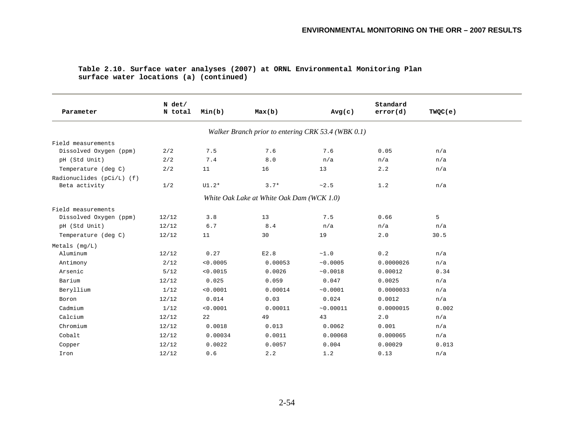| Parameter                 | N det/<br>N total | Min(b)   | Max(b)                                             | Avg(c)   | Standard<br>error(d) | TWQC(e) |  |  |
|---------------------------|-------------------|----------|----------------------------------------------------|----------|----------------------|---------|--|--|
|                           |                   |          | Walker Branch prior to entering CRK 53.4 (WBK 0.1) |          |                      |         |  |  |
| Field measurements        |                   |          |                                                    |          |                      |         |  |  |
| Dissolved Oxygen (ppm)    | 2/2               | 7.5      | 7.6                                                | 7.6      | 0.05                 | n/a     |  |  |
| pH (Std Unit)             | 2/2               | 7.4      | $8.0$                                              | n/a      | n/a                  | n/a     |  |  |
| Temperature (deg C)       | 2/2               | 11       | 16                                                 | 13       | 2.2                  | n/a     |  |  |
| Radionuclides (pCi/L) (f) |                   |          |                                                    |          |                      |         |  |  |
| Beta activity             | 1/2               | $UI.2*$  | $3.7*$                                             | ~2.5     | 1.2                  | n/a     |  |  |
|                           |                   |          | White Oak Lake at White Oak Dam (WCK 1.0)          |          |                      |         |  |  |
| Field measurements        |                   |          |                                                    |          |                      |         |  |  |
| Dissolved Oxygen (ppm)    | 12/12             | 3.8      | 13                                                 | 7.5      | 0.66                 | 5       |  |  |
| pH (Std Unit)             | 12/12             | 6.7      | 8.4                                                | n/a      | n/a                  | n/a     |  |  |
| Temperature (deg C)       | 12/12             | 11       | 30                                                 | 19       | 2.0                  | 30.5    |  |  |
| Metals (mg/L)             |                   |          |                                                    |          |                      |         |  |  |
| Aluminum                  | 12/12             | 0.27     | E2.8                                               | ~1.0     | 0.2                  | n/a     |  |  |
| Antimony                  | 2/12              | < 0.0005 | 0.00053                                            | ~10.0005 | 0.0000026            | n/a     |  |  |
| Arsenic                   | 5/12              | < 0.0015 | 0.0026                                             | ~0.0018  | 0.00012              | 0.34    |  |  |
| Barium                    | 12/12             | 0.025    | 0.059                                              | 0.047    | 0.0025               | n/a     |  |  |
| Beryllium                 | 1/12              | < 0.0001 | 0.00014                                            | ~0.0001  | 0.0000033            | n/a     |  |  |
| Boron                     | 12/12             | 0.014    | 0.03                                               | 0.024    | 0.0012               | n/a     |  |  |
| Cadmium                   | 1/12              | < 0.0001 | 0.00011                                            | ~0.00011 | 0.0000015            | 0.002   |  |  |
| Calcium                   | 12/12             | 22       | 49                                                 | 43       | 2.0                  | n/a     |  |  |
| Chromium                  | 12/12             | 0.0018   | 0.013                                              | 0.0062   | 0.001                | n/a     |  |  |
| Cobalt                    | 12/12             | 0.00034  | 0.0011                                             | 0.00068  | 0.000065             | n/a     |  |  |
| Copper                    | 12/12             | 0.0022   | 0.0057                                             | 0.004    | 0.00029              | 0.013   |  |  |
| Iron                      | 12/12             | 0.6      | 2.2                                                | 1.2      | 0.13                 | n/a     |  |  |

#### **Table 2.10. Surface water analyses (2007) at ORNL Environmental Monitoring Plan surface water locations (a) (continued)**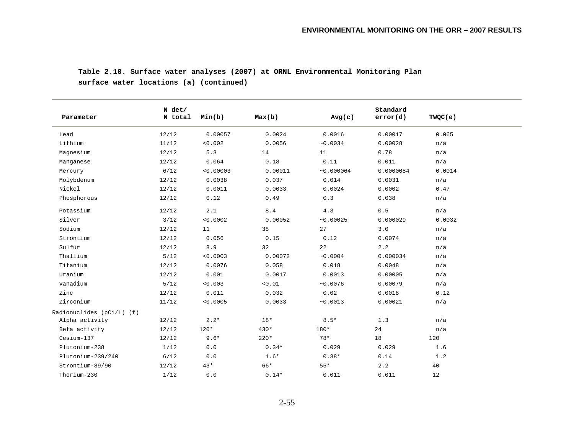**Table 2.10. Surface water analyses (2007) at ORNL Environmental Monitoring Plan surface water locations (a) (continued)** 

|                           | $N$ det/ |           |         |            | Standard  | TWQC(e) |
|---------------------------|----------|-----------|---------|------------|-----------|---------|
| Parameter                 | N total  | Min(b)    | Max(b)  | Avg(c)     | error(d)  |         |
| Lead                      | 12/12    | 0.00057   | 0.0024  | 0.0016     | 0.00017   | 0.065   |
| Lithium                   | 11/12    | < 0.002   | 0.0056  | ~10.0034   | 0.00028   | n/a     |
| Magnesium                 | 12/12    | 5.3       | 14      | 11         | 0.78      | n/a     |
| Manganese                 | 12/12    | 0.064     | 0.18    | 0.11       | 0.011     | n/a     |
| Mercury                   | $6/12$   | < 0.00003 | 0.00011 | ~10.000064 | 0.0000084 | 0.0014  |
| Molybdenum                | 12/12    | 0.0038    | 0.037   | 0.014      | 0.0031    | n/a     |
| Nickel                    | 12/12    | 0.0011    | 0.0033  | 0.0024     | 0.0002    | 0.47    |
| Phosphorous               | 12/12    | 0.12      | 0.49    | 0.3        | 0.038     | n/a     |
| Potassium                 | 12/12    | 2.1       | $8.4$   | 4.3        | 0.5       | n/a     |
| Silver                    | 3/12     | < 0.0002  | 0.00052 | ~0.00025   | 0.000029  | 0.0032  |
| Sodium                    | 12/12    | 11        | 38      | 27         | 3.0       | n/a     |
| Strontium                 | 12/12    | 0.056     | 0.15    | 0.12       | 0.0074    | n/a     |
| Sulfur                    | 12/12    | 8.9       | 32      | 22         | 2.2       | n/a     |
| Thallium                  | $5/12$   | < 0.0003  | 0.00072 | ~10.0004   | 0.000034  | n/a     |
| Titanium                  | 12/12    | 0.0076    | 0.058   | 0.018      | 0.0048    | n/a     |
| Uranium                   | 12/12    | 0.001     | 0.0017  | 0.0013     | 0.00005   | n/a     |
| Vanadium                  | $5/12$   | < 0.003   | < 0.01  | ~10.0076   | 0.00079   | n/a     |
| Zinc                      | 12/12    | 0.011     | 0.032   | 0.02       | 0.0018    | 0.12    |
| Zirconium                 | 11/12    | < 0.0005  | 0.0033  | ~10.0013   | 0.00021   | n/a     |
| Radionuclides (pCi/L) (f) |          |           |         |            |           |         |
| Alpha activity            | 12/12    | $2.2*$    | $18*$   | $8.5*$     | 1.3       | n/a     |
| Beta activity             | 12/12    | $120*$    | $430*$  | 180*       | 24        | n/a     |
| Cesium-137                | 12/12    | $9.6*$    | $220*$  | $78*$      | 18        | 120     |
| Plutonium-238             | 1/12     | 0.0       | $0.34*$ | 0.029      | 0.029     | 1.6     |
| Plutonium-239/240         | 6/12     | 0.0       | $1.6*$  | $0.38*$    | 0.14      | 1.2     |
| Strontium-89/90           | 12/12    | $43*$     | 66*     | $55*$      | 2.2       | 40      |
| Thorium-230               | 1/12     | 0.0       | $0.14*$ | 0.011      | 0.011     | 12      |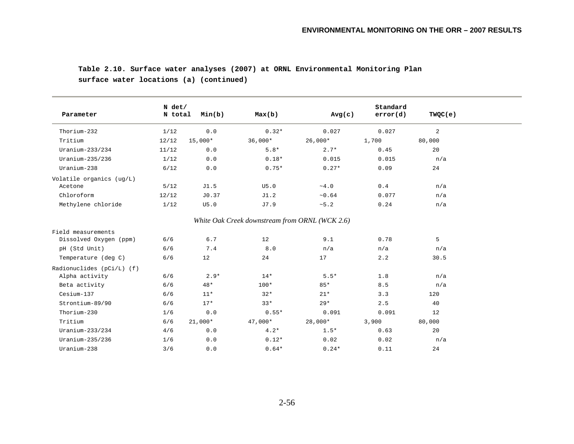## **Table 2.10. Surface water analyses (2007) at ORNL Environmental Monitoring Plan surface water locations (a) (continued)**

| Parameter                 | $N$ det/<br>N total | Min(b)    | Max(b)                                         | Avg(c)      | Standard<br>error(d) | TWQC(e)        |
|---------------------------|---------------------|-----------|------------------------------------------------|-------------|----------------------|----------------|
| Thorium-232               | 1/12                | 0.0       | $0.32*$                                        | 0.027       | 0.027                | $\overline{a}$ |
| Tritium                   | 12/12               | $15,000*$ | $36,000*$                                      | $26,000*$   | 1,700                | 80,000         |
| Uranium- $233/234$        | 11/12               | 0.0       | $5.8*$                                         | $2.7*$      | 0.45                 | 20             |
| Uranium- $235/236$        | 1/12                | 0.0       | $0.18*$                                        | 0.015       | 0.015                | n/a            |
| Uranium-238               | 6/12                | 0.0       | $0.75*$                                        | $0.27*$     | 0.09                 | 24             |
| Volatile organics (ug/L)  |                     |           |                                                |             |                      |                |
| Acetone                   | 5/12                | J1.5      | U5.0                                           | $\sim 4$ .0 | 0.4                  | n/a            |
| Chloroform                | 12/12               | J0.37     | J1.2                                           | ~10.64      | 0.077                | n/a            |
| Methylene chloride        | 1/12                | U5.0      | J7.9                                           | ~5.2        | 0.24                 | n/a            |
|                           |                     |           | White Oak Creek downstream from ORNL (WCK 2.6) |             |                      |                |
| Field measurements        |                     |           |                                                |             |                      |                |
| Dissolved Oxygen (ppm)    | 6/6                 | $6.7$     | 12                                             | 9.1         | 0.78                 | 5              |
| pH (Std Unit)             | 6/6                 | 7.4       | $8.0$                                          | n/a         | n/a                  | n/a            |
| Temperature (deg C)       | 6/6                 | 12        | 24                                             | 17          | 2.2                  | 30.5           |
| Radionuclides (pCi/L) (f) |                     |           |                                                |             |                      |                |
| Alpha activity            | 6/6                 | $2.9*$    | $14*$                                          | $5.5*$      | 1.8                  | n/a            |
| Beta activity             | 6/6                 | $48*$     | $100*$                                         | $85*$       | 8.5                  | n/a            |
| Cesium-137                | 6/6                 | $11*$     | $32*$                                          | $21*$       | 3.3                  | 120            |
| Strontium-89/90           | 6/6                 | $17*$     | $33*$                                          | $29*$       | 2.5                  | 40             |
| Thorium-230               | 1/6                 | 0.0       | $0.55*$                                        | 0.091       | 0.091                | 12             |
| Tritium                   | 6/6                 | $21,000*$ | $47,000*$                                      | 28,000*     | 3,900                | 80,000         |
| Uranium- $233/234$        | 4/6                 | 0.0       | $4.2*$                                         | $1.5*$      | 0.63                 | 20             |
| Uranium-235/236           | 1/6                 | 0.0       | $0.12*$                                        | 0.02        | 0.02                 | n/a            |
| Uranium-238               | 3/6                 | 0.0       | $0.64*$                                        | $0.24*$     | 0.11                 | 24             |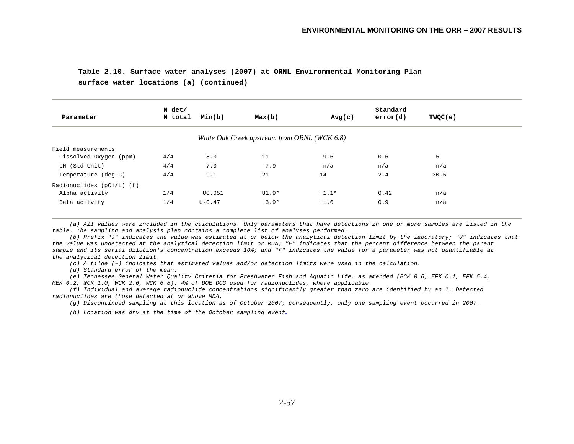## **Table 2.10. Surface water analyses (2007) at ORNL Environmental Monitoring Plan**

**surface water locations (a) (continued)** 

| N det/                        |            |                                              |         | Standard |         |
|-------------------------------|------------|----------------------------------------------|---------|----------|---------|
| N total<br>Parameter          | Min(b)     | Max(b)                                       | Avg(c)  | error(d) | TWQC(e) |
|                               |            | White Oak Creek upstream from ORNL (WCK 6.8) |         |          |         |
| Field measurements            |            |                                              |         |          |         |
| 4/4<br>Dissolved Oxygen (ppm) | 8.0        | 11                                           | 9.6     | 0.6      | 5       |
| 4/4<br>pH (Std Unit)          | 7.0        | 7.9                                          | n/a     | n/a      | n/a     |
| 4/4<br>Temperature (deg C)    | 9.1        | 21                                           | 14      | 2.4      | 30.5    |
| Radionuclides $(pCi/L)$ (f)   |            |                                              |         |          |         |
| Alpha activity<br>1/4         | U0.051     | $UI.9*$                                      | $~1.1*$ | 0.42     | n/a     |
| 1/4<br>Beta activity          | $U - 0.47$ | $3.9*$                                       | ~1.6    | 0.9      | n/a     |

 *(a) All values were included in the calculations. Only parameters that have detections in one or more samples are listed in the table. The sampling and analysis plan contains a complete list of analyses performed.* 

 *(b) Prefix "J" indicates the value was estimated at or below the analytical detection limit by the laboratory; "U" indicates that the value was undetected at the analytical detection limit or MDA; "E" indicates that the percent difference between the parent sample and its serial dilution's concentration exceeds 10%; and "<" indicates the value for a parameter was not quantifiable at the analytical detection limit.* 

 *(c) A tilde (~) indicates that estimated values and/or detection limits were used in the calculation.* 

 *(d) Standard error of the mean.* 

 *(e) Tennessee General Water Quality Criteria for Freshwater Fish and Aquatic Life, as amended (BCK 0.6, EFK 0.1, EFK 5.4, MEK 0.2, WCK 1.0, WCK 2.6, WCK 6.8). 4% of DOE DCG used for radionuclides, where applicable.* 

 *(f) Individual and average radionuclide concentrations significantly greater than zero are identified by an \*. Detected radionuclides are those detected at or above MDA.* 

 *(g) Discontinued sampling at this location as of October 2007; consequently, only one sampling event occurred in 2007.* 

 *(h) Location was dry at the time of the October sampling event.*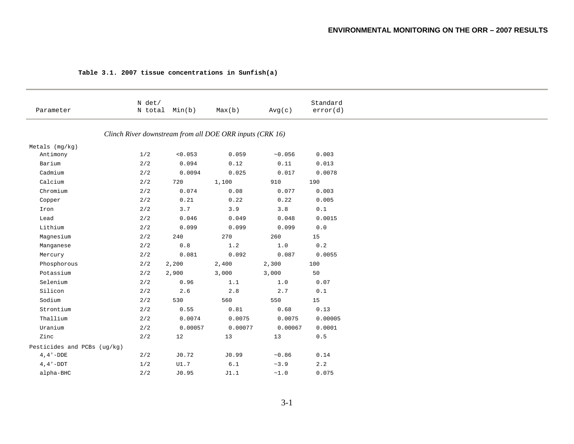| Parameter                   | N det/<br>N total | Min(b)                                            | Max(b)                                                     | Avg(c)            | Standard<br>error(d)                                                |
|-----------------------------|-------------------|---------------------------------------------------|------------------------------------------------------------|-------------------|---------------------------------------------------------------------|
|                             |                   |                                                   | Clinch River downstream from all DOE ORR inputs (CRK 16)   |                   |                                                                     |
| Metals $(mg/kg)$            |                   |                                                   |                                                            |                   |                                                                     |
| Antimony                    | 1/2               | < 0.053                                           | 0.059                                                      | ~10.056           | 0.003                                                               |
| Barium                      | 2/2               | 0.094                                             | 0.12                                                       | 0.11              | 0.013                                                               |
| Cadmium                     | 2/2               | 0.0094                                            | 0.025                                                      | 0.017             | 0.0078                                                              |
| Calcium                     | $2/2$             | 720                                               | 1,100                                                      | 910               | 190                                                                 |
| Chromium                    | $2/2$             | 0.074                                             | 0.08                                                       | 0.077             | 0.003                                                               |
| Copper                      | $2/2$             | $0\,.21$                                          | 0.22                                                       | 0.22              | 0.005                                                               |
| Iron                        | $2/2$             | 3.7                                               | 3.9                                                        | 3.8               | $\ensuremath{\text{o}} \xspace$ .<br>$\ensuremath{\text{1}}\xspace$ |
| Lead                        | $2/2$             | 0.046                                             | 0.049                                                      | 0.048             | 0.0015                                                              |
| Lithium                     | $2/2$             | 0.099                                             | 0.099                                                      | 0.099             | ${\bf 0}$ . ${\bf 0}$                                               |
| Magnesium                   | 2/2               | 240                                               | 270                                                        | 260               | 15                                                                  |
| Manganese                   | 2/2               | $\ensuremath{\text{0}}$ . $\ensuremath{\text{8}}$ | 1.2                                                        | 1.0               | 0.2                                                                 |
| Mercury                     | 2/2               | 0.081                                             | 0.092                                                      | 0.087             | 0.0055                                                              |
| Phosphorous                 | 2/2               | 2,200                                             | 2,400                                                      | 2,300             | 100                                                                 |
| Potassium                   | 2/2               | 2,900                                             | 3,000                                                      | 3,000             | 50                                                                  |
| Selenium                    | 2/2               | 0.96                                              | 1.1                                                        | 1.0               | 0.07                                                                |
| Silicon                     | 2/2               | $2.6\,$                                           | 2.8                                                        | 2.7               | $0.1$                                                               |
| Sodium                      | 2/2               | 530                                               | 560                                                        | 550               | 15                                                                  |
| Strontium                   | 2/2               | 0.55                                              | $\ensuremath{\text{0}} \mathbin{.} \ensuremath{\text{81}}$ | 0.68              | 0.13                                                                |
| Thallium                    | 2/2               | 0.0074                                            | 0.0075                                                     | 0.0075            | 0.00005                                                             |
| Uranium                     | 2/2               | 0.00057                                           | 0.00077                                                    | 0.00067           | 0.0001                                                              |
| Zinc                        | 2/2               | 12                                                | 13                                                         | 13                | $0.5$                                                               |
| Pesticides and PCBs (ug/kg) |                   |                                                   |                                                            |                   |                                                                     |
| $4$ , $4$ $^{\prime}$ –DDE  | 2/2               | J0.72                                             | J0.99                                                      | ~10.86            | 0.14                                                                |
| $4, 4 - DDT$                | 1/2               | $\mathtt{U1.7}$                                   | $\,6$ . $1$                                                | $\sim$ 3 . 9      | 2.2                                                                 |
| alpha-BHC                   | 2/2               | J0.95                                             | J1.1                                                       | $\sim\!\!1$ . $0$ | 0.075                                                               |

#### **Table 3.1. 2007 tissue concentrations in Sunfish(a)**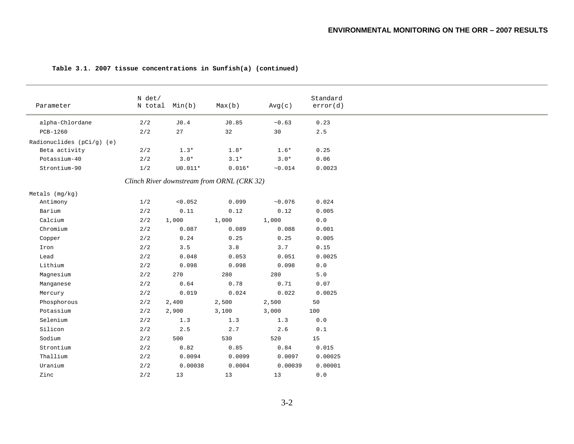| Parameter                                    | N det/<br>N total | Min(b)           | Max(b)                                     | Avg(c)          | Standard<br>error(d)  |
|----------------------------------------------|-------------------|------------------|--------------------------------------------|-----------------|-----------------------|
| alpha-Chlordane                              | 2/2               | ${\rm J0}$ . $4$ | $\rm{J}0$ .85                              | ~10.63          | 0.23                  |
| PCB-1260                                     | 2/2               | 27               | 32                                         | 30              | 2.5                   |
|                                              |                   |                  |                                            |                 |                       |
| Radionuclides $(pCi/g)$ (e)<br>Beta activity |                   |                  | $1.8*$                                     | $1.6*$          | 0.25                  |
|                                              | 2/2               | $1.3*$           |                                            |                 | 0.06                  |
| Potassium-40                                 | 2/2               | $3.0*$           | $3.1*$                                     | $3.0*$          |                       |
| Strontium-90                                 | 1/2               | $U0.011*$        | $0.016*$                                   | ~10.014         | 0.0023                |
|                                              |                   |                  | Clinch River downstream from ORNL (CRK 32) |                 |                       |
| Metals $(mq/kg)$                             |                   |                  |                                            |                 |                       |
| Antimony                                     | 1/2               | < 0.052          | 0.099                                      | $\sim\!0$ . 076 | 0.024                 |
| Barium                                       | 2/2               | 0.11             | 0.12                                       | 0.12            | 0.005                 |
| Calcium                                      | 2/2               | 1,000            | 1,000                                      | 1,000           | $0.0$                 |
| Chromium                                     | 2/2               | 0.087            | 0.089                                      | 0.088           | 0.001                 |
| Copper                                       | 2/2               | 0.24             | 0.25                                       | 0.25            | 0.005                 |
| Iron                                         | 2/2               | 3.5              | 3.8                                        | 3.7             | 0.15                  |
| Lead                                         | 2/2               | 0.048            | 0.053                                      | 0.051           | 0.0025                |
| Lithium                                      | 2/2               | 0.098            | 0.098                                      | 0.098           | $0.0$                 |
| Magnesium                                    | 2/2               | 270              | 280                                        | 280             | 5.0                   |
| Manganese                                    | 2/2               | 0.64             | 0.78                                       | 0.71            | 0.07                  |
| Mercury                                      | 2/2               | 0.019            | 0.024                                      | 0.022           | 0.0025                |
| Phosphorous                                  | 2/2               | 2,400            | 2,500                                      | 2,500           | 50                    |
| Potassium                                    | 2/2               | 2,900            | 3,100                                      | 3,000           | 100                   |
| Selenium                                     | 2/2               | 1.3              | 1.3                                        | 1.3             | 0.0                   |
| Silicon                                      | 2/2               | 2.5              | 2.7                                        | $2.6\,$         | 0.1                   |
| Sodium                                       | 2/2               | 500              | 530                                        | 520             | 15                    |
| Strontium                                    | 2/2               | 0.82             | 0.85                                       | 0.84            | 0.015                 |
| Thallium                                     | 2/2               | 0.0094           | 0.0099                                     | 0.0097          | 0.00025               |
| Uranium                                      | $2\,/\,2$         | 0.00038          | 0.0004                                     | 0.00039         | 0.00001               |
| Zinc                                         | $2/2$             | 13               | 13                                         | 13              | ${\bf 0}$ . ${\bf 0}$ |
|                                              |                   |                  |                                            |                 |                       |

#### **Table 3.1. 2007 tissue concentrations in Sunfish(a) (continued)**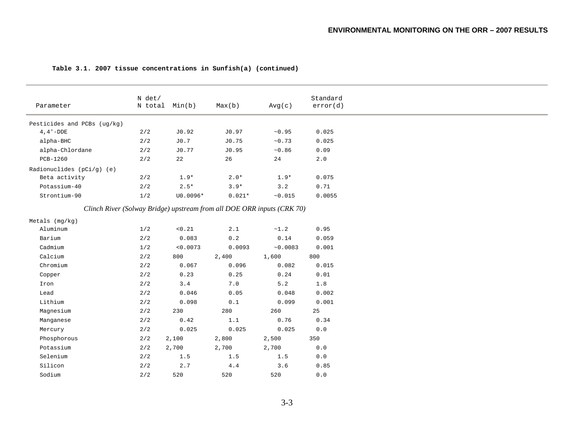| Parameter                   | N det/ | N total Min(b) | Max(b)                                                                 | Avg(c)                                                              | Standard<br>error(d) |
|-----------------------------|--------|----------------|------------------------------------------------------------------------|---------------------------------------------------------------------|----------------------|
| Pesticides and PCBs (ug/kg) |        |                |                                                                        |                                                                     |                      |
| $4, 4 - DDE$                | 2/2    | JO.92          | JO.97                                                                  | ~10.95                                                              | 0.025                |
| alpha-BHC                   | $2/2$  | J0.7           | J0.75                                                                  | ~10.73                                                              | 0.025                |
| alpha-Chlordane             | 2/2    | J0.77          | J0.95                                                                  | ~10.86                                                              | 0.09                 |
| PCB-1260                    | 2/2    | 22             | 26                                                                     | 24                                                                  | 2.0                  |
| Radionuclides $(pCi/g)$ (e) |        |                |                                                                        |                                                                     |                      |
| Beta activity               | 2/2    | $1.9*$         | $2.0*$                                                                 | $1.9*$                                                              | 0.075                |
| Potassium-40                | $2/2$  | $2.5*$         | $3.9*$                                                                 | 3.2                                                                 | 0.71                 |
| Strontium-90                | 1/2    | U0.0096*       | $0.021*$                                                               | ~10.015                                                             | 0.0055               |
|                             |        |                | Clinch River (Solway Bridge) upstream from all DOE ORR inputs (CRK 70) |                                                                     |                      |
|                             |        |                |                                                                        |                                                                     |                      |
| Metals (mg/kg)              |        |                |                                                                        |                                                                     |                      |
| Aluminum                    | 1/2    | < 0.21         | 2.1                                                                    | ~1.2                                                                | 0.95                 |
| Barium                      | $2/2$  | 0.083          | $\ensuremath{\text{o}}\xspace$ .<br>2                                  | $\ensuremath{\text{0}}\xspace$ .<br>$\ensuremath{\text{14}}\xspace$ | 0.059                |
| Cadmium                     | 1/2    | < 0.0073       | 0.0093                                                                 | ~10.0083                                                            | 0.001                |
| Calcium                     | 2/2    | 800            | 2,400                                                                  | 1,600                                                               | 800                  |
| Chromium                    | 2/2    | 0.067          | 0.096                                                                  | 0.082                                                               | 0.015                |
| Copper                      | 2/2    | 0.23           | 0.25                                                                   | 0.24                                                                | 0.01                 |
| Iron                        | 2/2    | 3.4            | 7.0                                                                    | $5.2$                                                               | $1.8\,$              |
| Lead                        | 2/2    | 0.046          | 0.05                                                                   | 0.048                                                               | 0.002                |
| Lithium                     | $2/2$  | 0.098          | $\ensuremath{\text{0}}$ . $\ensuremath{\text{1}}$                      | 0.099                                                               | 0.001                |
| Magnesium                   | 2/2    | 230            | 280                                                                    | 260                                                                 | 25                   |
| Manganese                   | 2/2    | 0.42           | 1.1                                                                    | 0.76                                                                | 0.34                 |
| Mercury                     | 2/2    | 0.025          | 0.025                                                                  | 0.025                                                               | $0.0$                |
| Phosphorous                 | 2/2    | 2,100          | 2,800                                                                  | 2,500                                                               | 350                  |
| Potassium                   | 2/2    | 2,700          | 2,700                                                                  | 2,700                                                               | 0.0                  |
| Selenium                    | 2/2    | 1.5            | 1.5                                                                    | 1.5                                                                 | 0.0                  |
| Silicon                     | 2/2    | 2.7            | $4\,.4$                                                                | 3.6                                                                 | 0.85                 |
| Sodium                      | 2/2    | 520            | 520                                                                    | 520                                                                 | 0.0                  |

#### **Table 3.1. 2007 tissue concentrations in Sunfish(a) (continued)**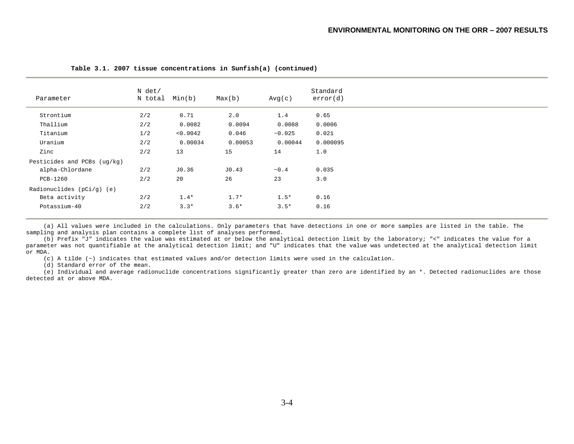| Parameter                   | N det/<br>N total | Min(b)   | Max(b)  | Avg(c)     | Standard<br>error(d) |
|-----------------------------|-------------------|----------|---------|------------|----------------------|
| Strontium                   | 2/2               | 0.71     | 2.0     | 1.4        | 0.65                 |
| Thallium                    | 2/2               | 0.0082   | 0.0094  | 0.0088     | 0.0006               |
| Titanium                    | 1/2               | < 0.0042 | 0.046   | ~10.025    | 0.021                |
| Uranium                     | 2/2               | 0.00034  | 0.00053 | 0.00044    | 0.000095             |
| Zinc                        | 2/2               | 13       | 15      | 14         | 1.0                  |
| Pesticides and PCBs (ug/kg) |                   |          |         |            |                      |
| alpha-Chlordane             | 2/2               | JO.36    | J0.43   | $\sim 0.4$ | 0.035                |
| PCB-1260                    | 2/2               | 20       | 26      | 23         | 3.0                  |
| Radionuclides $(pCi/g)$ (e) |                   |          |         |            |                      |
| Beta activity               | 2/2               | $1.4*$   | $1.7*$  | $1.5*$     | 0.16                 |
| Potassium-40                | 2/2               | $3.3*$   | $3.6*$  | $3.5*$     | 0.16                 |

 **Table 3.1. 2007 tissue concentrations in Sunfish(a) (continued)**

 (a) All values were included in the calculations. Only parameters that have detections in one or more samples are listed in the table. The sampling and analysis plan contains a complete list of analyses performed.

 (b) Prefix "J" indicates the value was estimated at or below the analytical detection limit by the laboratory; "<" indicates the value for a parameter was not quantifiable at the analytical detection limit; and "U" indicates that the value was undetected at the analytical detection limit or MDA.

(c) A tilde (~) indicates that estimated values and/or detection limits were used in the calculation.

(d) Standard error of the mean.

 (e) Individual and average radionuclide concentrations significantly greater than zero are identified by an \*. Detected radionuclides are those detected at or above MDA.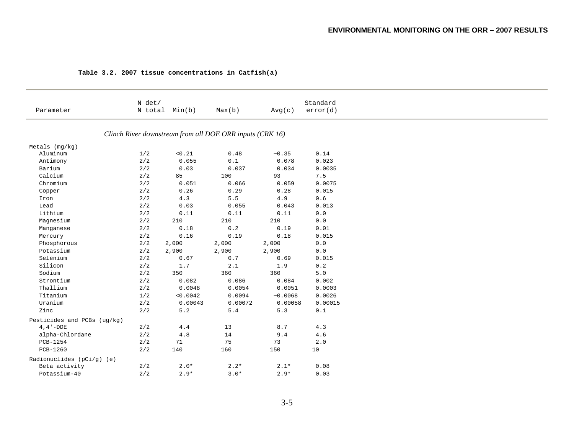|                             | N det/ |                |                                                          |          | Standard                    |
|-----------------------------|--------|----------------|----------------------------------------------------------|----------|-----------------------------|
| Parameter                   |        | N total Min(b) | Max(b)                                                   | Avg(c)   | error(d)                    |
|                             |        |                | Clinch River downstream from all DOE ORR inputs (CRK 16) |          |                             |
| Metals (mg/kg)              |        |                |                                                          |          |                             |
| Aluminum                    | $1/2$  | < 0.21         | 0.48                                                     | ~10.35   | 0.14                        |
| Antimony                    | 2/2    | 0.055          | $0.1$                                                    | 0.078    | 0.023                       |
| Barium                      | $2/2$  | 0.03           | 0.037                                                    | 0.034    | 0.0035                      |
| Calcium                     | 2/2    | 85             | 100                                                      | 93       | 7.5                         |
| Chromium                    | 2/2    | 0.051          | 0.066                                                    | 0.059    | 0.0075                      |
| Copper                      | $2/2$  | 0.26           | 0.29                                                     | 0.28     | 0.015                       |
| Iron                        | 2/2    | 4.3            | 5.5                                                      | 4.9      | 0.6                         |
| Lead                        | 2/2    | 0.03           | 0.055                                                    | 0.043    | 0.013                       |
| Lithium                     | $2/2$  | 0.11           | 0.11                                                     | 0.11     | ${\bf 0}$ . ${\bf 0}$       |
| Magnesium                   | 2/2    | 210            | 210                                                      | 210      | $0.0$                       |
| Manganese                   | 2/2    | 0.18           | 0.2                                                      | 0.19     | 0.01                        |
| Mercury                     | $2/2$  | 0.16           | 0.19                                                     | 0.18     | 0.015                       |
| Phosphorous                 | 2/2    | 2,000          | 2,000                                                    | 2,000    | 0.0                         |
| Potassium                   | 2/2    | 2,900          | 2,900                                                    | 2,900    | $0.0$                       |
| Selenium                    | 2/2    | 0.67           | 0.7                                                      | 0.69     | 0.015                       |
| Silicon                     | 2/2    | 1.7            | 2.1                                                      | 1.9      | $\ensuremath{\text{o}}$ . 2 |
| Sodium                      | 2/2    | 350            | 360                                                      | 360      | $5.0$                       |
| Strontium                   | $2/2$  | 0.082          | 0.086                                                    | 0.084    | 0.002                       |
| Thallium                    | 2/2    | 0.0048         | 0.0054                                                   | 0.0051   | 0.0003                      |
| Titanium                    | 1/2    | < 0.0042       | 0.0094                                                   | ~10.0068 | 0.0026                      |
| Uranium                     | $2/2$  | 0.00043        | 0.00072                                                  | 0.00058  | 0.00015                     |
| Zinc                        | 2/2    | 5.2            | 5.4                                                      | 5.3      | 0.1                         |
| Pesticides and PCBs (ug/kg) |        |                |                                                          |          |                             |
| $4, 4 - DDE$                | 2/2    | 4.4            | 13                                                       | 8.7      | 4.3                         |
| alpha-Chlordane             | $2/2$  | 4.8            | 14                                                       | 9.4      | 4.6                         |
| PCB-1254                    | 2/2    | 71             | 75                                                       | 73       | 2.0                         |
| PCB-1260                    | 2/2    | 140            | 160                                                      | 150      | 10                          |
| Radionuclides $(pCi/q)$ (e) |        |                |                                                          |          |                             |
| Beta activity               | 2/2    | $2.0*$         | $2.2*$                                                   | $2.1*$   | 0.08                        |
| Potassium-40                | 2/2    | $2.9*$         | $3.0*$                                                   | $2.9*$   | 0.03                        |

#### **Table 3.2. 2007 tissue concentrations in Catfish(a)**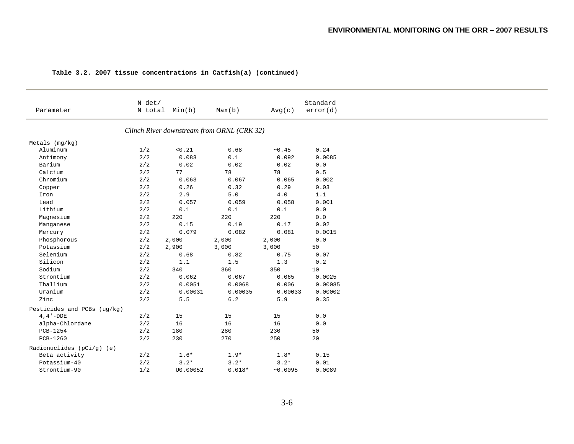|                             | N det/ |                                                   |                                                   |                                            | Standard                    |
|-----------------------------|--------|---------------------------------------------------|---------------------------------------------------|--------------------------------------------|-----------------------------|
| Parameter                   |        | N total Min(b)                                    | Max(b)                                            | Avg(c)                                     | error(d)                    |
|                             |        |                                                   | Clinch River downstream from ORNL (CRK 32)        |                                            |                             |
| $Metals$ (mg/kg)            |        |                                                   |                                                   |                                            |                             |
| Aluminum                    | 1/2    | $<\!0$ . $21$                                     | 0.68                                              | ~10.45                                     | 0.24                        |
| Antimony                    | 2/2    | 0.083                                             | $\ensuremath{\text{0}}$ . $\ensuremath{\text{1}}$ | 0.092                                      | 0.0085                      |
| Barium                      | 2/2    | 0.02                                              | 0.02                                              | 0.02                                       | ${\bf 0}$ . ${\bf 0}$       |
| Calcium                     | 2/2    | 77                                                | 78                                                | 78                                         | $0.5\,$                     |
| Chromium                    | 2/2    | 0.063                                             | 0.067                                             | 0.065                                      | 0.002                       |
| Copper                      | $2/2$  | 0.26                                              | 0.32                                              | 0.29                                       | 0.03                        |
| Iron                        | 2/2    | 2.9                                               | 5.0                                               | 4.0                                        | 1.1                         |
| Lead                        | 2/2    | 0.057                                             | 0.059                                             | 0.058                                      | 0.001                       |
| Lithium                     | 2/2    | $\ensuremath{\text{0}}$ . $\ensuremath{\text{1}}$ | $\ensuremath{\text{0}}$ . $1$                     | $\ensuremath{\text{0}} \mathbin{\ldotp} 1$ | ${\bf 0}$ . ${\bf 0}$       |
| Magnesium                   | 2/2    | 220                                               | 220                                               | 220                                        | 0.0                         |
| Manganese                   | 2/2    | 0.15                                              | 0.19                                              | 0.17                                       | 0.02                        |
| Mercury                     | 2/2    | 0.079                                             | 0.082                                             | 0.081                                      | 0.0015                      |
| Phosphorous                 | 2/2    | 2,000                                             | 2,000                                             | 2,000                                      | ${\bf 0}$ . ${\bf 0}$       |
| Potassium                   | 2/2    | 2,900                                             | 3,000                                             | 3,000                                      | 50                          |
| Selenium                    | 2/2    | 0.68                                              | 0.82                                              | 0.75                                       | 0.07                        |
| Silicon                     | 2/2    | 1.1                                               | $1.5\,$                                           | 1.3                                        | $\ensuremath{\text{o}}$ . 2 |
| Sodium                      | 2/2    | 340                                               | 360                                               | 350                                        | 10                          |
| Strontium                   | 2/2    | 0.062                                             | 0.067                                             | 0.065                                      | 0.0025                      |
| Thallium                    | $2/2$  | 0.0051                                            | 0.0068                                            | 0.006                                      | 0.00085                     |
| Uranium                     | 2/2    | 0.00031                                           | 0.00035                                           | 0.00033                                    | 0.00002                     |
| Zinc                        | 2/2    | 5.5                                               | $6.2$                                             | 5.9                                        | 0.35                        |
| Pesticides and PCBs (ug/kg) |        |                                                   |                                                   |                                            |                             |
| $4, 4 - DDE$                | 2/2    | 15                                                | 15                                                | 15                                         | 0.0                         |
| alpha-Chlordane             | 2/2    | 16                                                | 16                                                | 16                                         | ${\bf 0}$ . ${\bf 0}$       |
| PCB-1254                    | 2/2    | 180                                               | 280                                               | 230                                        | 50                          |
| PCB-1260                    | 2/2    | 230                                               | 270                                               | 250                                        | 20                          |
| Radionuclides $(pCi/g)$ (e) |        |                                                   |                                                   |                                            |                             |
| Beta activity               | 2/2    | $1.6*$                                            | $1.9*$                                            | $1.8*$                                     | 0.15                        |
| Potassium-40                | 2/2    | $3.2*$                                            | $3.2*$                                            | $3.2*$                                     | 0.01                        |
| Strontium-90                | 1/2    | U0.00052                                          | $0.018*$                                          | ~10.0095                                   | 0.0089                      |

#### **Table 3.2. 2007 tissue concentrations in Catfish(a) (continued)**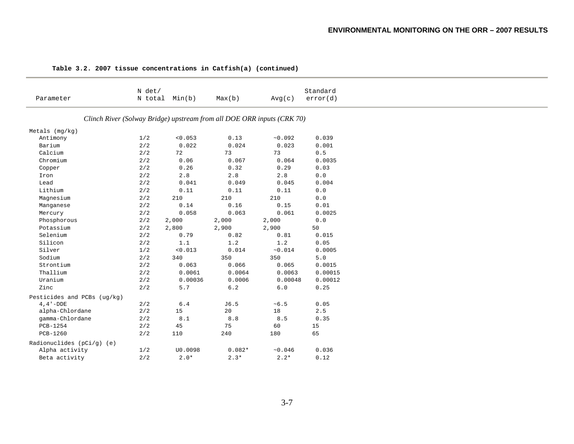|                             | N det/       |                 |                                                                        |           | Standard     |
|-----------------------------|--------------|-----------------|------------------------------------------------------------------------|-----------|--------------|
| Parameter                   |              | N total Min(b)  | Max(b)                                                                 | Avg(c)    | error(d)     |
|                             |              |                 | Clinch River (Solway Bridge) upstream from all DOE ORR inputs (CRK 70) |           |              |
| Metals (mg/kg)              |              |                 |                                                                        |           |              |
| Antimony                    | 1/2          | < 0.053         | 0.13                                                                   | ~10.092   | 0.039        |
| Barium                      | $2/\sqrt{2}$ | 0.022           | 0.024                                                                  | 0.023     | 0.001        |
| Calcium                     | 2/2          | 72              | 73                                                                     | 73        | 0.5          |
| Chromium                    | $2/2$        | 0.06            | 0.067                                                                  | 0.064     | 0.0035       |
| Copper                      | $2\,/\,2$    | $0.26\,$        | 0.32                                                                   | 0.29      | 0.03         |
| Iron                        | 2/2          | 2.8             | $2.8$                                                                  | $2.8$     | 0.0          |
| Lead                        | $2\,/\,2$    | 0.041           | 0.049                                                                  | 0.045     | 0.004        |
| Lithium                     | 2/2          | 0.11            | 0.11                                                                   | 0.11      | $0.0$        |
| Magnesium                   | 2/2          | 210             | 210                                                                    | 210       | 0.0          |
| Manganese                   | $2\,/\,2$    | 0.14            | 0.16                                                                   | 0.15      | ${\tt 0.01}$ |
| Mercury                     | 2/2          | 0.058           | 0.063                                                                  | 0.061     | 0.0025       |
| Phosphorous                 | 2/2          | 2,000           | 2,000                                                                  | 2,000     | 0.0          |
| Potassium                   | 2/2          | 2,800           | 2,900                                                                  | 2,900     | 50           |
| Selenium                    | 2/2          | 0.79            | 0.82                                                                   | 0.81      | 0.015        |
| Silicon                     | 2/2          | 1.1             | $1.2\,$                                                                | $1.2$     | 0.05         |
| Silver                      | 1/2          | < 0.013         | 0.014                                                                  | ~10.014   | 0.0005       |
| Sodium                      | 2/2          | 340             | 350                                                                    | 350       | 5.0          |
| Strontium                   | 2/2          | 0.063           | 0.066                                                                  | 0.065     | 0.0015       |
| Thallium                    | 2/2          | 0.0061          | 0.0064                                                                 | 0.0063    | 0.00015      |
| Uranium                     | 2/2          | 0.00036         | 0.0006                                                                 | 0.00048   | 0.00012      |
| Zinc                        | $2/2$        | $5.7\,$         | $6.2\,$                                                                | $6.0\,$   | 0.25         |
| Pesticides and PCBs (ug/kg) |              |                 |                                                                        |           |              |
| $4, 4 - DDE$                | $2/2$        | $\,$ 6 . 4 $\,$ | J6.5                                                                   | $~10 - 5$ | 0.05         |
| alpha-Chlordane             | 2/2          | 15              | 20                                                                     | 18        | 2.5          |
| gamma-Chlordane             | $2\,/\,2$    | $\bf 8.1$       | $8.8\,$                                                                | 8.5       | 0.35         |
| PCB-1254                    | 2/2          | 45              | 75                                                                     | 60        | 15           |
| PCB-1260                    | 2/2          | 110             | 240                                                                    | 180       | 65           |
| Radionuclides $(pCi/g)$ (e) |              |                 |                                                                        |           |              |
| Alpha activity              | 1/2          | U0.0098         | $0.082*$                                                               | ~10.046   | 0.036        |
| Beta activity               | 2/2          | $2.0*$          | $2.3*$                                                                 | $2.2*$    | 0.12         |

#### **Table 3.2. 2007 tissue concentrations in Catfish(a) (continued)**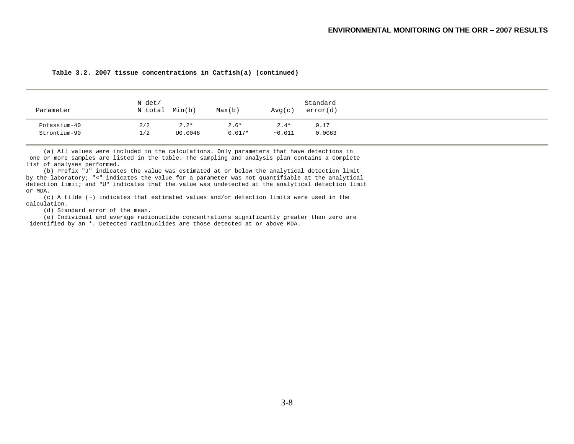| Parameter    | N det/<br>N total | Min(b)  | Max(b)   | Avg(c)  | Standard<br>error(d) |
|--------------|-------------------|---------|----------|---------|----------------------|
| Potassium-40 | 2/2               | $2.2*$  | $2.6*$   | $2.4*$  | 0.17                 |
| Strontium-90 | 1/2               | U0.0046 | $0.017*$ | ~10.011 | 0.0063               |

**Table 3.2. 2007 tissue concentrations in Catfish(a) (continued)** 

 (a) All values were included in the calculations. Only parameters that have detections in one or more samples are listed in the table. The sampling and analysis plan contains a complete list of analyses performed.

 (b) Prefix "J" indicates the value was estimated at or below the analytical detection limit by the laboratory; "<" indicates the value for a parameter was not quantifiable at the analytical detection limit; and "U" indicates that the value was undetected at the analytical detection limit or MDA.

 (c) A tilde (~) indicates that estimated values and/or detection limits were used in the calculation.

(d) Standard error of the mean.

 (e) Individual and average radionuclide concentrations significantly greater than zero are identified by an \*. Detected radionuclides are those detected at or above MDA.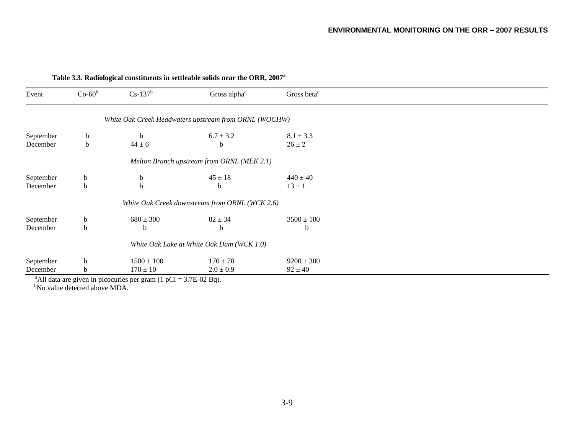| Event     | $Co-60^b$   | $Cs-137^b$     | Gross alpha <sup>c</sup>                              | Gross beta <sup>c</sup> |
|-----------|-------------|----------------|-------------------------------------------------------|-------------------------|
|           |             |                | White Oak Creek Headwaters upstream from ORNL (WOCHW) |                         |
| September | $\mathbf b$ | $\mathbf b$    | $6.7 \pm 3.2$                                         | $8.1 \pm 3.3$           |
| December  | b           | $44 \pm 6$     | b                                                     | $26 \pm 2$              |
|           |             |                | Melton Branch upstream from ORNL (MEK 2.1)            |                         |
| September | b           | b              | $45 \pm 18$                                           | $440 \pm 40$            |
| December  | b           | b              | b                                                     | $13 \pm 1$              |
|           |             |                | White Oak Creek downstream from ORNL (WCK 2.6)        |                         |
| September | b           | $680 \pm 300$  | $82 \pm 34$                                           | $3500 \pm 100$          |
| December  | b           | b              | b                                                     | b                       |
|           |             |                | White Oak Lake at White Oak Dam (WCK 1.0)             |                         |
| September | b           | $1500 \pm 100$ | $170 \pm 70$                                          | $9200 \pm 300$          |
| December  | b           | $170 \pm 10$   | $2.0 \pm 0.9$                                         | $92 \pm 40$             |

#### **Table 3.3. Radiological constituents in settleable solids near the ORR, 2007a**

<sup>b</sup>No value detected above MDA.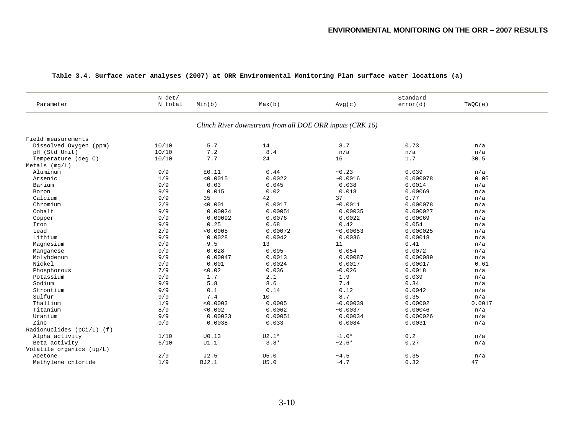| Parameter                 | N det/<br>N total | Min(b)   | Max(b)  | Avg(c)                                                   | Standard<br>error(d) | TWQC(e) |  |
|---------------------------|-------------------|----------|---------|----------------------------------------------------------|----------------------|---------|--|
|                           |                   |          |         | Clinch River downstream from all DOE ORR inputs (CRK 16) |                      |         |  |
| Field measurements        |                   |          |         |                                                          |                      |         |  |
| Dissolved Oxygen (ppm)    | 10/10             | 5.7      | 14      | 8.7                                                      | 0.73                 | n/a     |  |
| pH (Std Unit)             | 10/10             | 7.2      | 8.4     | n/a                                                      | n/a                  | n/a     |  |
| Temperature (deg C)       | 10/10             | 7.7      | 24      | 16                                                       | 1.7                  | 30.5    |  |
| $Metals$ ( $mg/L$ )       |                   |          |         |                                                          |                      |         |  |
| Aluminum                  | 9/9               | E0.11    | 0.44    | ~10.23                                                   | 0.039                | n/a     |  |
| Arsenic                   | 1/9               | < 0.0015 | 0.0022  | ~0.0016                                                  | 0.000078             | 0.05    |  |
| Barium                    | 9/9               | 0.03     | 0.045   | 0.038                                                    | 0.0014               | n/a     |  |
| Boron                     | 9/9               | 0.015    | 0.02    | 0.018                                                    | 0.00069              | n/a     |  |
| Calcium                   | 9/9               | 35       | 42      | 37                                                       | 0.77                 | n/a     |  |
| Chromium                  | 2/9               | < 0.001  | 0.0017  | ~0.0011                                                  | 0.000078             | n/a     |  |
| Cobalt                    | 9/9               | 0.00024  | 0.00051 | 0.00035                                                  | 0.000027             | n/a     |  |
| Copper                    | 9/9               | 0.00092  | 0.0076  | 0.0022                                                   | 0.00069              | n/a     |  |
| Iron                      | 9/9               | 0.25     | 0.68    | 0.42                                                     | 0.054                | n/a     |  |
| Lead                      | 2/9               | < 0.0005 | 0.00072 | ~10.00053                                                | 0.000025             | n/a     |  |
| Lithium                   | 9/9               | 0.0028   | 0.0042  | 0.0036                                                   | 0.00018              | n/a     |  |
| Magnesium                 | 9/9               | 9.5      | 13      | 11                                                       | 0.41                 | n/a     |  |
| Manganese                 | 9/9               | 0.028    | 0.095   | 0.054                                                    | 0.0072               | n/a     |  |
| Molybdenum                | 9/9               | 0.00047  | 0.0013  | 0.00087                                                  | 0.000089             | n/a     |  |
| Nickel                    | 9/9               | 0.001    | 0.0024  | 0.0017                                                   | 0.00017              | 0.61    |  |
| Phosphorous               | 7/9               | 0.02     | 0.036   | ~10.026                                                  | 0.0018               | n/a     |  |
| Potassium                 | 9/9               | 1.7      | 2.1     | 1.9                                                      | 0.039                | n/a     |  |
| Sodium                    | 9/9               | 5.8      | 8.6     | 7.4                                                      | 0.34                 | n/a     |  |
| Strontium                 | 9/9               | 0.1      | 0.14    | 0.12                                                     | 0.0042               | n/a     |  |
| Sulfur                    | 9/9               | 7.4      | 10      | 8.7                                                      | 0.35                 | n/a     |  |
| Thallium                  | 1/9               | < 0.0003 | 0.0005  | ~10.00039                                                | 0.00002              | 0.0017  |  |
| Titanium                  | 8/9               | < 0.002  | 0.0062  | ~10.0037                                                 | 0.00046              | n/a     |  |
| Uranium                   | 9/9               | 0.00023  | 0.00051 | 0.00034                                                  | 0.000026             | n/a     |  |
| Zinc                      | 9/9               | 0.0038   | 0.033   | 0.0084                                                   | 0.0031               | n/a     |  |
| Radionuclides (pCi/L) (f) |                   |          |         |                                                          |                      |         |  |
| Alpha activity            | 1/10              | U0.13    | $U2.1*$ | $~1.0*$                                                  | 0.2                  | n/a     |  |
| Beta activity             | 6/10              | UI.1     | $3.8*$  | $~2.6*$                                                  | 0.27                 | n/a     |  |
| Volatile organics (ug/L)  |                   |          |         |                                                          |                      |         |  |
| Acetone                   | 2/9               | J2.5     | U5.0    | ~14.5                                                    | 0.35                 | n/a     |  |
| Methylene chloride        | 1/9               | BJ2.1    | U5.0    | ~1.7                                                     | 0.32                 | 47      |  |
|                           |                   |          |         |                                                          |                      |         |  |

#### **Table 3.4. Surface water analyses (2007) at ORR Environmental Monitoring Plan surface water locations (a)**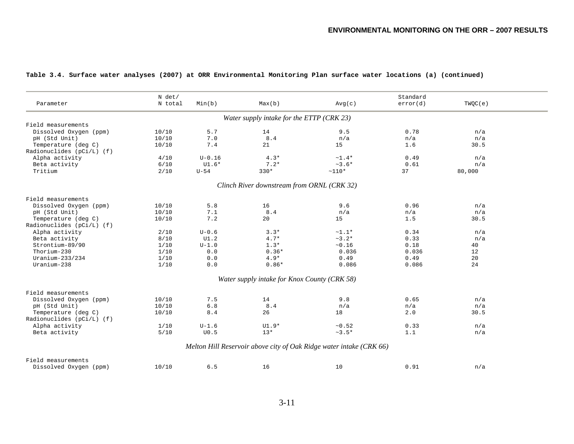| Parameter                   | N det/<br>N total | Min(b)     | Max(b)                                       | Avg(c)                                                              | Standard<br>error(d) | TWQC(e) |  |
|-----------------------------|-------------------|------------|----------------------------------------------|---------------------------------------------------------------------|----------------------|---------|--|
|                             |                   |            | Water supply intake for the ETTP (CRK 23)    |                                                                     |                      |         |  |
| Field measurements          |                   |            |                                              |                                                                     |                      |         |  |
| Dissolved Oxygen (ppm)      | 10/10             | 5.7        | 14                                           | 9.5                                                                 | 0.78                 | n/a     |  |
| pH (Std Unit)               | 10/10             | 7.0        | 8.4                                          | n/a                                                                 | n/a                  | n/a     |  |
| Temperature (deg C)         | 10/10             | 7.4        | 21                                           | 15                                                                  | 1.6                  | 30.5    |  |
| Radionuclides $(pCi/L)$ (f) |                   |            |                                              |                                                                     |                      |         |  |
| Alpha activity              | 4/10              | $U - 0.16$ | $4.3*$                                       | $~1.4*$                                                             | 0.49                 | n/a     |  |
| Beta activity               | 6/10              | $UI.6*$    | $7.2*$                                       | $~1.6*$                                                             | 0.61                 | n/a     |  |
| Tritium                     | 2/10              | $U-54$     | $330*$                                       | $~110*$                                                             | 37                   | 80,000  |  |
|                             |                   |            | Clinch River downstream from ORNL (CRK 32)   |                                                                     |                      |         |  |
| Field measurements          |                   |            |                                              |                                                                     |                      |         |  |
| Dissolved Oxygen (ppm)      | 10/10             | 5.8        | 16                                           | 9.6                                                                 | 0.96                 | n/a     |  |
| pH (Std Unit)               | 10/10             | 7.1        | 8.4                                          | n/a                                                                 | n/a                  | n/a     |  |
| Temperature (deg C)         | 10/10             | 7.2        | 20                                           | 15                                                                  | 1.5                  | 30.5    |  |
| Radionuclides (pCi/L) (f)   |                   |            |                                              |                                                                     |                      |         |  |
| Alpha activity              | 2/10              | $U - 0.6$  | $3.3*$                                       | $~1.1*$                                                             | 0.34                 | n/a     |  |
| Beta activity               | 8/10              | UI.2       | $4.7*$                                       | $~2.2*$                                                             | 0.33                 | n/a     |  |
| Strontium-89/90             | 1/10              | $U - 1.0$  | $1.3*$                                       | ~16                                                                 | 0.18                 | 40      |  |
| Thorium-230                 | 1/10              | 0.0        | $0.36*$                                      | 0.036                                                               | 0.036                | 12      |  |
| Uranium-233/234             | 1/10              | 0.0        | $4.9*$                                       | 0.49                                                                | 0.49                 | 20      |  |
| Uranium-238                 | 1/10              | 0.0        | $0.86*$                                      | 0.086                                                               | 0.086                | 24      |  |
|                             |                   |            | Water supply intake for Knox County (CRK 58) |                                                                     |                      |         |  |
| Field measurements          |                   |            |                                              |                                                                     |                      |         |  |
| Dissolved Oxygen (ppm)      | 10/10             | 7.5        | 14                                           | 9.8                                                                 | 0.65                 | n/a     |  |
| pH (Std Unit)               | 10/10             | 6.8        | 8.4                                          | n/a                                                                 | n/a                  | n/a     |  |
| Temperature (deg C)         | 10/10             | 8.4        | 26                                           | 18                                                                  | 2.0                  | 30.5    |  |
| Radionuclides $(pCi/L)$ (f) |                   |            |                                              |                                                                     |                      |         |  |
| Alpha activity              | 1/10              | $U-1.6$    | $UI.9*$                                      | ~10.52                                                              | 0.33                 | n/a     |  |
| Beta activity               | $5/10$            | U0.5       | $13*$                                        | $~1.5*$                                                             | 1.1                  | n/a     |  |
|                             |                   |            |                                              |                                                                     |                      |         |  |
|                             |                   |            |                                              | Melton Hill Reservoir above city of Oak Ridge water intake (CRK 66) |                      |         |  |
| Field measurements          |                   |            |                                              |                                                                     |                      |         |  |
| Dissolved Oxygen (ppm)      | 10/10             | 6.5        | 16                                           | 10                                                                  | 0.91                 | n/a     |  |
|                             |                   |            |                                              |                                                                     |                      |         |  |

#### **Table 3.4. Surface water analyses (2007) at ORR Environmental Monitoring Plan surface water locations (a) (continued)**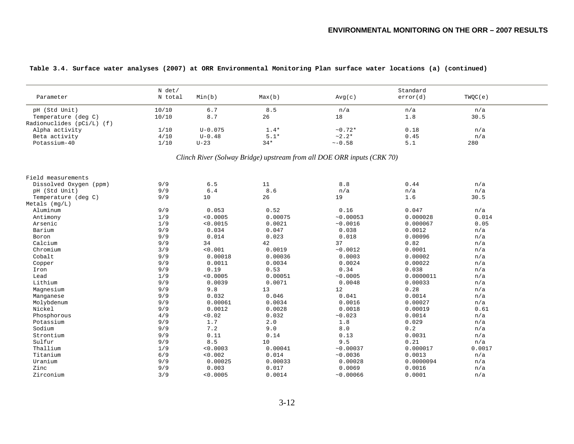| Parameter                 | N det/<br>N total | Min(b)      | Max(b)                                                                 | Avg(c)        | Standard<br>error(d)  | TWQC(e) |
|---------------------------|-------------------|-------------|------------------------------------------------------------------------|---------------|-----------------------|---------|
| pH (Std Unit)             | 10/10             | 6.7         | 8.5                                                                    | n/a           | n/a                   | n/a     |
| Temperature (deg C)       | 10/10             | $\,8$ . $7$ | 26                                                                     | 18            | $1.8$                 | 30.5    |
| Radionuclides (pCi/L) (f) |                   |             |                                                                        |               |                       |         |
| Alpha activity            | 1/10              | $U - 0.075$ | $1.4*$                                                                 | $~10.72*$     | 0.18                  | n/a     |
| Beta activity             | 4/10              | $U - 0.48$  | $5.1*$                                                                 | $~2.2*$       | $\ensuremath{0}$ . 45 | n/a     |
| Potassium-40              | 1/10              | $U-23$      | $34*$                                                                  | $~\sim -0.58$ | 5.1                   | 280     |
|                           |                   |             | Clinch River (Solway Bridge) upstream from all DOE ORR inputs (CRK 70) |               |                       |         |
| Field measurements        |                   |             |                                                                        |               |                       |         |
| Dissolved Oxygen (ppm)    | 9/9               | 6.5         | 11                                                                     | 8.8           | 0.44                  | n/a     |
| pH (Std Unit)             | 9/9               | 6.4         | 8.6                                                                    | n/a           | n/a                   | n/a     |
| Temperature (deg C)       | 9/9               | 10          | 26                                                                     | 19            | 1.6                   | 30.5    |
| Metals (mg/L)             |                   |             |                                                                        |               |                       |         |
| Aluminum                  | 9/9               | 0.053       | 0.52                                                                   | 0.16          | 0.047                 | n/a     |
| Antimony                  | 1/9               | < 0.0005    | 0.00075                                                                | ~10.00053     | 0.000028              | 0.014   |
| Arsenic                   | 1/9               | < 0.0015    | 0.0021                                                                 | ~0.0016       | 0.000067              | 0.05    |
| Barium                    | 9/9               | 0.034       | 0.047                                                                  | 0.038         | 0.0012                | n/a     |
| Boron                     | 9/9               | 0.014       | 0.023                                                                  | 0.018         | 0.00096               | n/a     |
| Calcium                   | 9/9               | 34          | 42                                                                     | 37            | 0.82                  | n/a     |
| Chromium                  | 3/9               | < 0.001     | 0.0019                                                                 | ~10.0012      | 0.0001                | n/a     |
| Cobalt                    | 9/9               | 0.00018     | 0.00036                                                                | 0.0003        | 0.00002               | n/a     |
| Copper                    | 9/9               | 0.0011      | 0.0034                                                                 | 0.0024        | 0.00022               | n/a     |
| Iron                      | 9/9               | 0.19        | 0.53                                                                   | 0.34          | 0.038                 | n/a     |
| Lead                      | 1/9               | < 0.0005    | 0.00051                                                                | ~10.0005      | 0.0000011             | n/a     |
| Lithium                   | 9/9               | 0.0039      | 0.0071                                                                 | 0.0048        | 0.00033               | n/a     |
| Magnesium                 | 9/9               | $9.8$       | 13                                                                     | 12            | 0.28                  | n/a     |
| Manganese                 | 9/9               | 0.032       | 0.046                                                                  | 0.041         | 0.0014                | n/a     |
| Molybdenum                | 9/9               | 0.00061     | 0.0034                                                                 | 0.0016        | 0.00027               | n/a     |
| Nickel                    | 9/9               | 0.0012      | 0.0028                                                                 | 0.0018        | 0.00019               | 0.61    |
| Phosphorous               | 4/9               | < 0.02      | 0.032                                                                  | ~10.023       | 0.0014                | n/a     |
| Potassium                 | 9/9               | 1.7         | 2.0                                                                    | 1.8           | 0.029                 | n/a     |
| Sodium                    | 9/9               | 7.2         | 9.0                                                                    | 8.0           | $0\,.2$               | n/a     |
| Strontium                 | 9/9               | 0.11        | 0.14                                                                   | 0.13          | 0.0031                | n/a     |
| Sulfur                    | 9/9               | 8.5         | 10                                                                     | 9.5           | 0.21                  | n/a     |
| Thallium                  | 1/9               | < 0.0003    | 0.00041                                                                | ~10.00037     | 0.000017              | 0.0017  |
| Titanium                  | 6/9               | < 0.002     | 0.014                                                                  | ~10.0036      | 0.0013                | n/a     |
| Uranium                   | 9/9               | 0.00025     | 0.00033                                                                | 0.00028       | 0.0000094             | n/a     |
| Zinc                      | 9/9               | 0.003       | 0.017                                                                  | 0.0069        | 0.0016                | n/a     |
| Zirconium                 | 3/9               | < 0.0005    | 0.0014                                                                 | ~10.00066     | 0.0001                | n/a     |

#### **Table 3.4. Surface water analyses (2007) at ORR Environmental Monitoring Plan surface water locations (a) (continued)**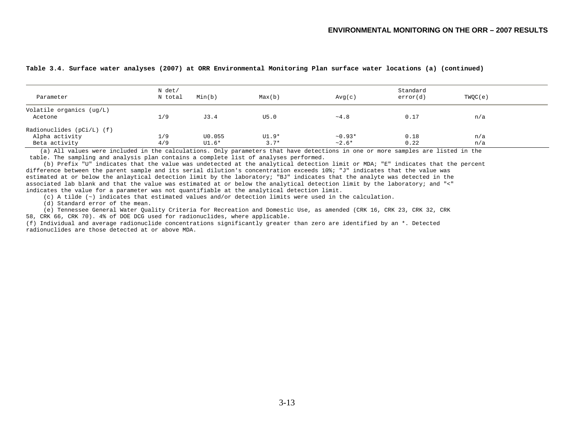| Parameter                   | N det/<br>N total | Min(b) | Max(b)  | Avg(c)    | Standard<br>error(d) | TWQC(e) |  |
|-----------------------------|-------------------|--------|---------|-----------|----------------------|---------|--|
| Volatile organics (ug/L)    |                   |        |         |           |                      |         |  |
| Acetone                     | 1/9               | J3.4   | U5.0    | ~14.8     | 0.17                 | n/a     |  |
| Radionuclides $(pCi/L)$ (f) |                   |        |         |           |                      |         |  |
| Alpha activity              | 1/9               | U0.055 | $UI.9*$ | $~10.93*$ | 0.18                 | n/a     |  |
| Beta activity               | 4/9               | U1.6*  | $3.7*$  | $~2.6*$   | 0.22                 | n/a     |  |

#### **Table 3.4. Surface water analyses (2007) at ORR Environmental Monitoring Plan surface water locations (a) (continued)**

 (a) All values were included in the calculations. Only parameters that have detections in one or more samples are listed in the table. The sampling and analysis plan contains a complete list of analyses performed.

 (b) Prefix "U" indicates that the value was undetected at the analytical detection limit or MDA; "E" indicates that the percent difference between the parent sample and its serial dilution's concentration exceeds 10%; "J" indicates that the value was estimated at or below the anlaytical detection limit by the laboratory; "BJ" indicates that the analyte was detected in the associated lab blank and that the value was estimated at or below the analytical detection limit by the laboratory; and "<" indicates the value for a parameter was not quantifiable at the analytical detection limit.

(c) A tilde (~) indicates that estimated values and/or detection limits were used in the calculation.

(d) Standard error of the mean.

 (e) Tennessee General Water Quality Criteria for Recreation and Domestic Use, as amended (CRK 16, CRK 23, CRK 32, CRK 58, CRK 66, CRK 70). 4% of DOE DCG used for radionuclides, where applicable.

(f) Individual and average radionuclide concentrations significantly greater than zero are identified by an \*. Detected radionuclides are those detected at or above MDA.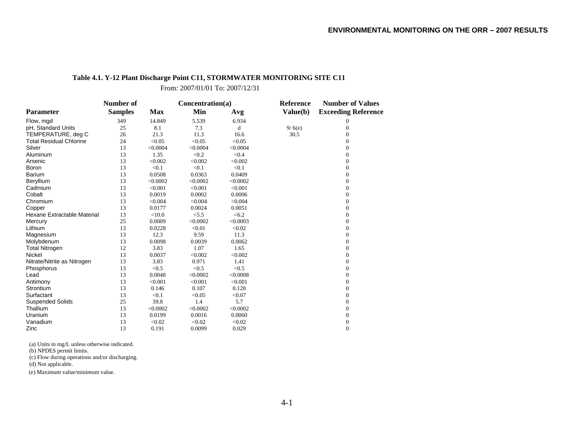## **Table 4.1. Y-12 Plant Discharge Point C11, STORMWATER MONITORING SITE C11**

From: 2007/01/01 To: 2007/12/31

|                                | Number of      |            | Concentration(a) |          | <b>Reference</b> | <b>Number of Values</b>    |  |
|--------------------------------|----------------|------------|------------------|----------|------------------|----------------------------|--|
| <b>Parameter</b>               | <b>Samples</b> | <b>Max</b> | Min              | Avg      | Value(b)         | <b>Exceeding Reference</b> |  |
| Flow, mgd                      | 349            | 14.849     | 5.539            | 6.934    |                  | 0                          |  |
| pH, Standard Units             | 25             | 8.1        | 7.3              | d        | 9/6(e)           | $\overline{0}$             |  |
| TEMPERATURE, deg C             | 26             | 21.3       | 11.3             | 16.6     | 30.5             | $\overline{0}$             |  |
| <b>Total Residual Chlorine</b> | 24             | < 0.05     | < 0.05           | < 0.05   |                  | $\Omega$                   |  |
| Silver                         | 13             | < 0.0004   | < 0.0004         | < 0.0004 |                  | $\Omega$                   |  |
| Aluminum                       | 13             | 1.35       | < 0.2            | < 0.4    |                  | $\mathbf{0}$               |  |
| Arsenic                        | 13             | < 0.002    | < 0.002          | < 0.002  |                  | $\overline{0}$             |  |
| Boron                          | 13             | < 0.1      | < 0.1            | < 0.1    |                  | $\overline{0}$             |  |
| <b>Barium</b>                  | 13             | 0.0508     | 0.0363           | 0.0409   |                  | $\overline{0}$             |  |
| Beryllium                      | 13             | < 0.0002   | < 0.0002         | < 0.0002 |                  | $\Omega$                   |  |
| Cadmium                        | 13             | < 0.001    | < 0.001          | < 0.001  |                  | $\Omega$                   |  |
| Cobalt                         | 13             | 0.0019     | 0.0002           | 0.0006   |                  | $\overline{0}$             |  |
| Chromium                       | 13             | < 0.004    | < 0.004          | < 0.004  |                  | $\overline{0}$             |  |
| Copper                         | 13             | 0.0177     | 0.0024           | 0.0051   |                  | $\boldsymbol{0}$           |  |
| Hexane Extractable Material    | 13             | < 10.0     | < 5.5            | < 6.2    |                  | $\overline{0}$             |  |
| Mercury                        | 25             | 0.0009     | < 0.0002         | < 0.0003 |                  | $\Omega$                   |  |
| Lithium                        | 13             | 0.0228     | < 0.01           | < 0.02   |                  | $\Omega$                   |  |
| Magnesium                      | 13             | 12.3       | 9.59             | 11.3     |                  | $\overline{0}$             |  |
| Molybdenum                     | 13             | 0.0098     | 0.0039           | 0.0062   |                  | $\overline{0}$             |  |
| <b>Total Nitrogen</b>          | 12             | 3.83       | 1.07             | 1.65     |                  | $\overline{0}$             |  |
| Nickel                         | 13             | 0.0037     | < 0.002          | < 0.002  |                  | $\overline{0}$             |  |
| Nitrate/Nitrite as Nitrogen    | 13             | 3.83       | 0.971            | 1.41     |                  | $\overline{0}$             |  |
| Phosphorus                     | 13             | < 0.5      | < 0.5            | < 0.5    |                  | $\Omega$                   |  |
| Lead                           | 13             | 0.0048     | < 0.0002         | < 0.0008 |                  | $\Omega$                   |  |
| Antimony                       | 13             | < 0.001    | < 0.001          | < 0.001  |                  | $\Omega$                   |  |
| Strontium                      | 13             | 0.146      | 0.107            | 0.128    |                  | $\overline{0}$             |  |
| Surfactant                     | 13             | < 0.1      | < 0.05           | < 0.07   |                  | $\overline{0}$             |  |
| <b>Suspended Solids</b>        | 25             | 39.8       | 1.4              | 5.7      |                  | $\boldsymbol{0}$           |  |
| Thallium                       | 13             | < 0.0002   | < 0.0002         | < 0.0002 |                  | $\overline{0}$             |  |
| Uranium                        | 13             | 0.0199     | 0.0016           | 0.0060   |                  | $\Omega$                   |  |
| Vanadium                       | 13             | < 0.02     | < 0.02           | < 0.02   |                  | 0                          |  |
| Zinc                           | 13             | 0.191      | 0.0099           | 0.029    |                  | $\overline{0}$             |  |

(a) Units in mg/L unless otherwise indicated.

(b) NPDES permit limits.

(c) Flow during operations and/or discharging.

(d) Not applicable.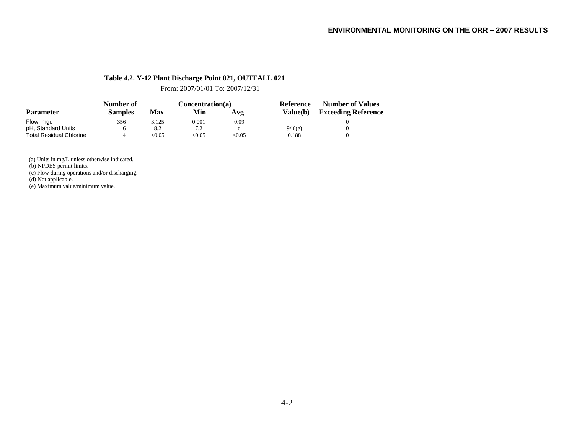## **Table 4.2. Y-12 Plant Discharge Point 021, OUTFALL 021**

From: 2007/01/01 To: 2007/12/31

| <b>Parameter</b>               | Number of      |        | Concentration(a) |       | Reference  | <b>Number of Values</b>    |  |
|--------------------------------|----------------|--------|------------------|-------|------------|----------------------------|--|
|                                | <b>Samples</b> | Max    | Min              | Avg   | Value(b) = | <b>Exceeding Reference</b> |  |
| Flow, mgd                      | 356            | 3.125  | 0.001            | 0.09  |            |                            |  |
| pH, Standard Units             |                | 8.2    | 7.2              |       | 9/6(e)     |                            |  |
| <b>Total Residual Chlorine</b> |                | < 0.05 | <0.05            | <0.05 | 0.188      |                            |  |

(a) Units in mg/L unless otherwise indicated.

(b) NPDES permit limits.

(c) Flow during operations and/or discharging.

(d) Not applicable.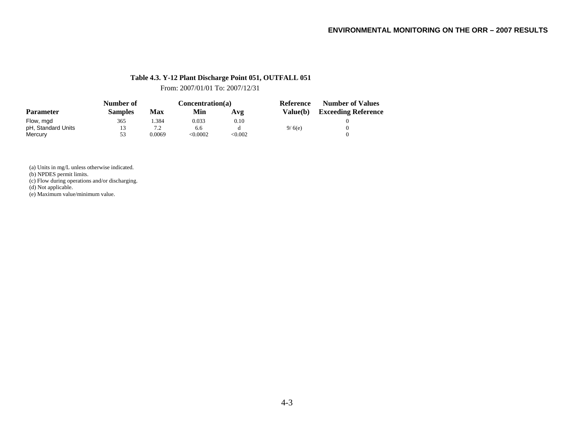## **Table 4.3. Y-12 Plant Discharge Point 051, OUTFALL 051**

From: 2007/01/01 To: 2007/12/31

|                    | Number of      |        | Concentration(a) |         | <b>Reference</b> | <b>Number of Values</b>    |  |
|--------------------|----------------|--------|------------------|---------|------------------|----------------------------|--|
| <b>Parameter</b>   | <b>Samples</b> | Max    | Min              | Avg     | Value(b)         | <b>Exceeding Reference</b> |  |
| Flow, mgd          | 365            | . .384 | 0.033            | 0.10    |                  |                            |  |
| pH, Standard Units | 13             | 72     | 6.6              |         | 9/6(e)           |                            |  |
| Mercury            | 53             | 0.0069 | < 0.0002         | < 0.002 |                  |                            |  |

(a) Units in mg/L unless otherwise indicated.

(b) NPDES permit limits.

(c) Flow during operations and/or discharging.

(d) Not applicable.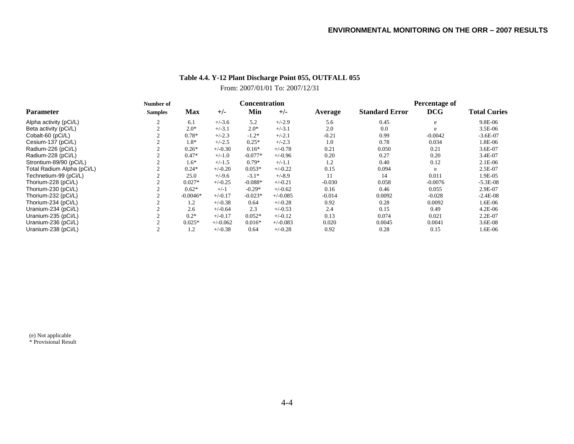## **Table 4.4. Y-12 Plant Discharge Point 055, OUTFALL 055**

## From: 2007/01/01 To: 2007/12/31

|                            | Number of      |            |            | <b>Concentration</b> |            |          | Percentage of         |            |                     |  |
|----------------------------|----------------|------------|------------|----------------------|------------|----------|-----------------------|------------|---------------------|--|
| <b>Parameter</b>           | <b>Samples</b> | <b>Max</b> | $+/-$      | Min                  | $+/-$      | Average  | <b>Standard Error</b> | <b>DCG</b> | <b>Total Curies</b> |  |
| Alpha activity (pCi/L)     |                | 6.1        | $+/-3.6$   | 5.2                  | $+/-2.9$   | 5.6      | 0.45                  | e          | 9.8E-06             |  |
| Beta activity (pCi/L)      |                | $2.0*$     | $+/-3.1$   | $2.0*$               | $+/-3.1$   | 2.0      | 0.0                   | e          | $3.5E-06$           |  |
| Cobalt-60 (pCi/L)          |                | $0.78*$    | $+/-2.3$   | $-1.2*$              | $+/-2.1$   | $-0.21$  | 0.99                  | $-0.0042$  | $-3.6E-07$          |  |
| Cesium-137 (pCi/L)         |                | $1.8*$     | $+/-2.5$   | $0.25*$              | $+/-2.3$   | 1.0      | 0.78                  | 0.034      | 1.8E-06             |  |
| Radium-226 (pCi/L)         |                | $0.26*$    | $+/-0.30$  | $0.16*$              | $+/-0.78$  | 0.21     | 0.050                 | 0.21       | 3.6E-07             |  |
| Radium-228 (pCi/L)         |                | $0.47*$    | $+/-1.0$   | $-0.077*$            | $+/-0.96$  | 0.20     | 0.27                  | 0.20       | 3.4E-07             |  |
| Strontium-89/90 (pCi/L)    |                | $1.6*$     | $+/-1.5$   | $0.79*$              | $+/-1.1$   | 1.2      | 0.40                  | 0.12       | $2.1E-06$           |  |
| Total Radium Alpha (pCi/L) |                | $0.24*$    | $+/-0.20$  | $0.053*$             | $+/-0.22$  | 0.15     | 0.094                 | e          | 2.5E-07             |  |
| Technetium-99 (pCi/L)      |                | 25.0       | $+/-9.6$   | $-3.1*$              | $+/-8.9$   | 11       | 14                    | 0.011      | 1.9E-05             |  |
| Thorium-228 (pCi/L)        |                | $0.027*$   | $+/-0.25$  | $-0.088*$            | $+/-0.21$  | $-0.030$ | 0.058                 | $-0.0076$  | $-5.3E-08$          |  |
| Thorium-230 (pCi/L)        |                | $0.62*$    | $+/-1$     | $-0.29*$             | $+/-0.62$  | 0.16     | 0.46                  | 0.055      | 2.9E-07             |  |
| Thorium-232 (pCi/L)        |                | $-0.0046*$ | $+/-0.17$  | $-0.023*$            | $+/-0.085$ | $-0.014$ | 0.0092                | $-0.028$   | $-2.4E-08$          |  |
| Thorium-234 (pCi/L)        |                | 1.2        | $+/-0.38$  | 0.64                 | $+/-0.28$  | 0.92     | 0.28                  | 0.0092     | 1.6E-06             |  |
| Uranium-234 (pCi/L)        |                | 2.6        | $+/-0.64$  | 2.3                  | $+/-0.53$  | 2.4      | 0.15                  | 0.49       | $4.2E-06$           |  |
| Uranium-235 (pCi/L)        |                | $0.2*$     | $+/-0.17$  | $0.052*$             | $+/-0.12$  | 0.13     | 0.074                 | 0.021      | $2.2E-07$           |  |
| Uranium-236 (pCi/L)        |                | $0.025*$   | $+/-0.062$ | $0.016*$             | $+/-0.083$ | 0.020    | 0.0045                | 0.0041     | 3.6E-08             |  |
| Uranium-238 (pCi/L)        |                | 1.2        | $+/-0.38$  | 0.64                 | $+/-0.28$  | 0.92     | 0.28                  | 0.15       | 1.6E-06             |  |

(e) Not applicable \* Provisional Result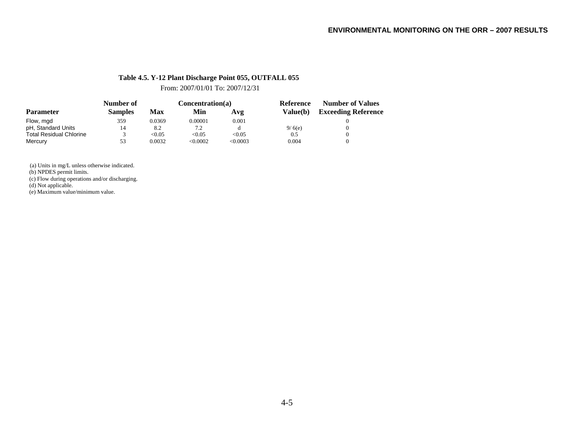## **Table 4.5. Y-12 Plant Discharge Point 055, OUTFALL 055**

From: 2007/01/01 To: 2007/12/31

|                                | Number of      |        | Concentration(a) |          | Reference       | <b>Number of Values</b>    |  |
|--------------------------------|----------------|--------|------------------|----------|-----------------|----------------------------|--|
| <b>Parameter</b>               | <b>Samples</b> | Max    | Min              | Avg      | <b>Value(b)</b> | <b>Exceeding Reference</b> |  |
| Flow, mgd                      | 359            | 0.0369 | 0.00001          | 0.001    |                 |                            |  |
| pH, Standard Units             | 14             | 8.2    | 7.2              |          | 9/6(e)          |                            |  |
| <b>Total Residual Chlorine</b> |                | < 0.05 | < 0.05           | < 0.05   | 0.5             |                            |  |
| Mercury                        | 53             | 0.0032 | <0.0002          | < 0.0003 | 0.004           |                            |  |

(a) Units in mg/L unless otherwise indicated.

(b) NPDES permit limits.

(c) Flow during operations and/or discharging.

(d) Not applicable.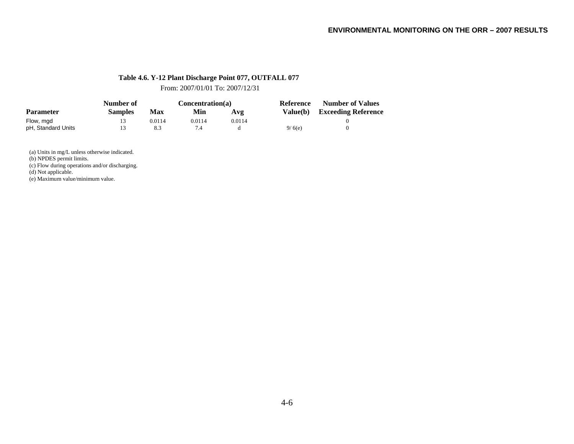## **Table 4.6. Y-12 Plant Discharge Point 077, OUTFALL 077**

From: 2007/01/01 To: 2007/12/31

|                    | Number of      |        | Concentration(a) |        | Reference | <b>Number of Values</b>    |  |
|--------------------|----------------|--------|------------------|--------|-----------|----------------------------|--|
| <b>Parameter</b>   | <b>Samples</b> | Max    | Min              | Avg    | Value(b)  | <b>Exceeding Reference</b> |  |
| Flow, mgd          | 13             | 0.0114 | 0.0114           | 0.0114 |           |                            |  |
| pH, Standard Units | 13             | 8.3    |                  |        | 9/6(e)    |                            |  |

(a) Units in mg/L unless otherwise indicated.

(b) NPDES permit limits.

(c) Flow during operations and/or discharging.

(d) Not applicable.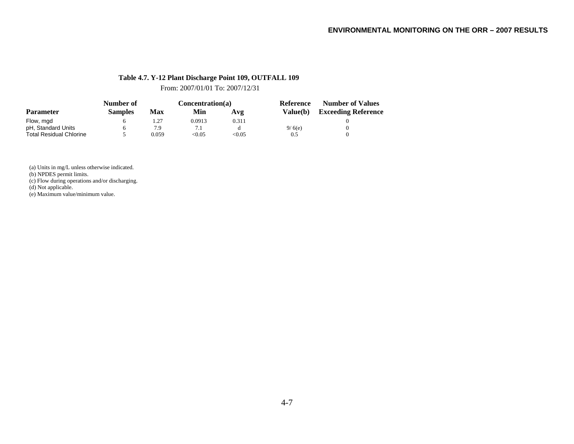## **Table 4.7. Y-12 Plant Discharge Point 109, OUTFALL 109**

From: 2007/01/01 To: 2007/12/31

|                                | Number of      |            | Concentration(a) |               | Reference       | <b>Number of Values</b>    |  |
|--------------------------------|----------------|------------|------------------|---------------|-----------------|----------------------------|--|
| <b>Parameter</b>               | <b>Samples</b> | <b>Max</b> | Min              | Avg           | <b>Value(b)</b> | <b>Exceeding Reference</b> |  |
| Flow, mgd                      |                | 1.27       | 0.0913           | 0.311         |                 |                            |  |
| pH, Standard Units             |                | 7.9        |                  |               | 9/6(e)          |                            |  |
| <b>Total Residual Chlorine</b> |                | 0.059      | < 0.05           | $< \!\! 0.05$ | 0.5             |                            |  |

(a) Units in mg/L unless otherwise indicated.

(b) NPDES permit limits.

(c) Flow during operations and/or discharging.

(d) Not applicable.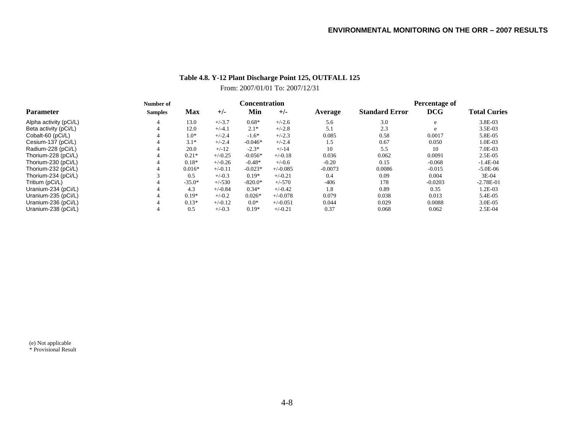# **Table 4.8. Y-12 Plant Discharge Point 125, OUTFALL 125**

## From: 2007/01/01 To: 2007/12/31

|                        | Number of      |          |           |           | C <b>oncentration</b> |           | Percentage of         |            |                     |  |
|------------------------|----------------|----------|-----------|-----------|-----------------------|-----------|-----------------------|------------|---------------------|--|
| <b>Parameter</b>       | <b>Samples</b> | Max      | $+/-$     | Min       | $+/-$                 | Average   | <b>Standard Error</b> | <b>DCG</b> | <b>Total Curies</b> |  |
| Alpha activity (pCi/L) |                | 13.0     | $+/-3.7$  | $0.68*$   | $+/-2.6$              | 5.6       | 3.0                   | e          | 3.8E-03             |  |
| Beta activity (pCi/L)  |                | 12.0     | $+/-4.1$  | $2.1*$    | $+/-2.8$              | 5.1       | 2.3                   | e          | $3.5E-03$           |  |
| Cobalt-60 (pCi/L)      |                | $1.0*$   | $+/-2.4$  | $-1.6*$   | $+/-2.3$              | 0.085     | 0.58                  | 0.0017     | 5.8E-05             |  |
| Cesium-137 (pCi/L)     |                | $3.1*$   | $+/-2.4$  | $-0.046*$ | $+/-2.4$              | 1.5       | 0.67                  | 0.050      | 1.0E-03             |  |
| Radium-228 (pCi/L)     |                | 20.0     | $+/-12$   | $-2.3*$   | $+/-14$               | 10        | 5.5                   | 10         | 7.0E-03             |  |
| Thorium-228 (pCi/L)    |                | $0.21*$  | $+/-0.25$ | $-0.056*$ | $+/-0.18$             | 0.036     | 0.062                 | 0.0091     | $2.5E-0.5$          |  |
| Thorium-230 (pCi/L)    |                | $0.18*$  | $+/-0.26$ | $-0.48*$  | $+/-0.6$              | $-0.20$   | 0.15                  | $-0.068$   | $-1.4E-04$          |  |
| Thorium-232 (pCi/L)    |                | $0.016*$ | $+/-0.11$ | $-0.023*$ | $+/-0.085$            | $-0.0073$ | 0.0086                | $-0.015$   | $-5.0E-06$          |  |
| Thorium-234 (pCi/L)    |                | 0.5      | $+/-0.3$  | $0.19*$   | $+/-0.21$             | 0.4       | 0.09                  | 0.004      | 3E-04               |  |
| Tritium (pCi/L)        |                | $-35.0*$ | $+/-530$  | $-820.0*$ | $+/-570$              | $-406$    | 178                   | $-0.0203$  | $-2.78E-01$         |  |
| Uranium-234 (pCi/L)    |                | 4.3      | $+/-0.84$ | $0.34*$   | $+/-0.42$             | 1.8       | 0.89                  | 0.35       | 1.2E-03             |  |
| Uranium-235 (pCi/L)    |                | $0.19*$  | $+/-0.2$  | $0.026*$  | $+/-0.078$            | 0.079     | 0.038                 | 0.013      | 5.4E-05             |  |
| Uranium-236 (pCi/L)    |                | $0.13*$  | $+/-0.12$ | $0.0*$    | $+/-0.051$            | 0.044     | 0.029                 | 0.0088     | 3.0E-05             |  |
| Uranium-238 (pCi/L)    |                | 0.5      | $+/-0.3$  | $0.19*$   | $+/-0.21$             | 0.37      | 0.068                 | 0.062      | $2.5E-04$           |  |

(e) Not applicable \* Provisional Result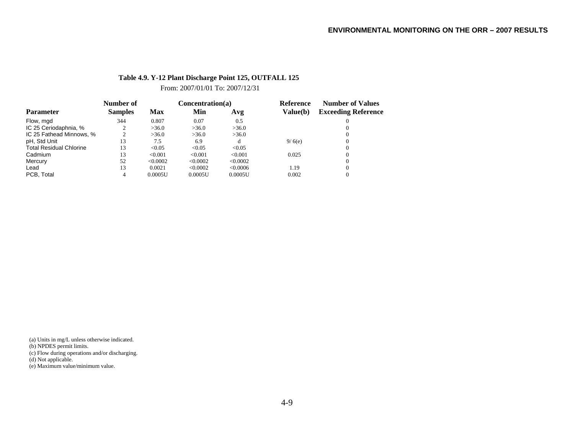## **Table 4.9. Y-12 Plant Discharge Point 125, OUTFALL 125**

From: 2007/01/01 To: 2007/12/31

|                                | Number of      |          | Concentration(a) |          | Reference | <b>Number of Values</b>    |  |
|--------------------------------|----------------|----------|------------------|----------|-----------|----------------------------|--|
| <b>Parameter</b>               | <b>Samples</b> | Max      | Min              | Avg      | Value(b)  | <b>Exceeding Reference</b> |  |
| Flow, mgd                      | 344            | 0.807    | 0.07             | 0.5      |           |                            |  |
| IC 25 Ceriodaphnia, %          |                | >36.0    | >36.0            | >36.0    |           |                            |  |
| IC 25 Fathead Minnows, %       | ◠              | >36.0    | >36.0            | >36.0    |           |                            |  |
| pH, Std Unit                   | 13             | 7.5      | 6.9              |          | 9/6(e)    |                            |  |
| <b>Total Residual Chlorine</b> | 13             | < 0.05   | < 0.05           | < 0.05   |           |                            |  |
| Cadmium                        | 13             | < 0.001  | < 0.001          | < 0.001  | 0.025     |                            |  |
| Mercury                        | 52             | < 0.0002 | < 0.0002         | < 0.0002 |           |                            |  |
| Lead                           | 13             | 0.0021   | < 0.0002         | <0.0006  | 1.19      |                            |  |
| PCB. Total                     |                | 0.0005U  | 0.0005U          | 0.0005U  | 0.002     |                            |  |

(a) Units in mg/L unless otherwise indicated.

(b) NPDES permit limits.

(c) Flow during operations and/or discharging.

(d) Not applicable.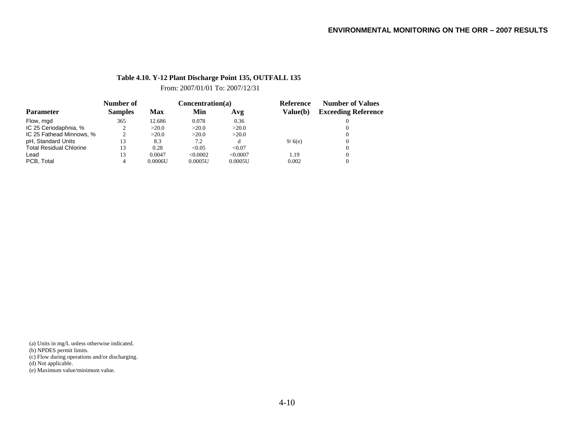## **Table 4.10. Y-12 Plant Discharge Point 135, OUTFALL 135**

From: 2007/01/01 To: 2007/12/31

|                                | Number of      | Concentration(a) |          |          | Reference | <b>Number of Values</b>    |
|--------------------------------|----------------|------------------|----------|----------|-----------|----------------------------|
| <b>Parameter</b>               | <b>Samples</b> | Max              | Min      | Avg      | Value(b)  | <b>Exceeding Reference</b> |
| Flow, mgd                      | 365            | 12.686           | 0.078    | 0.36     |           |                            |
| IC 25 Ceriodaphnia, %          |                | >20.0            | >20.0    | >20.0    |           |                            |
| IC 25 Fathead Minnows, %       |                | >20.0            | >20.0    | >20.0    |           |                            |
| pH, Standard Units             | 13             | 8.3              | 7.2      | đ        | 9/6(e)    |                            |
| <b>Total Residual Chlorine</b> | 13             | 0.28             | < 0.05   | < 0.07   |           |                            |
| Lead                           | 13             | 0.0047           | < 0.0002 | < 0.0007 | 1.19      |                            |
| PCB. Total                     | 4              | 0.0006U          | 0.0005U  | 0.0005U  | 0.002     |                            |

(a) Units in mg/L unless otherwise indicated.

(b) NPDES permit limits.

(c) Flow during operations and/or discharging.

(d) Not applicable.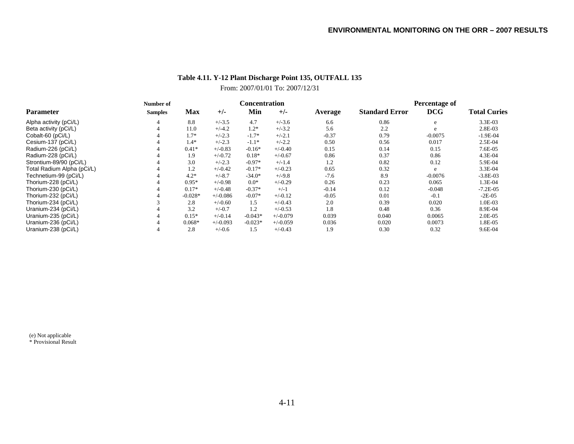# **Table 4.11. Y-12 Plant Discharge Point 135, OUTFALL 135**

# From: 2007/01/01 To: 2007/12/31

|                            | Number of      |            |            | Concentration |            |         | Percentage of         |            |                     |  |
|----------------------------|----------------|------------|------------|---------------|------------|---------|-----------------------|------------|---------------------|--|
| <b>Parameter</b>           | <b>Samples</b> | <b>Max</b> | $+/-$      | Min           | $+/-$      | Average | <b>Standard Error</b> | <b>DCG</b> | <b>Total Curies</b> |  |
| Alpha activity (pCi/L)     |                | 8.8        | $+/-3.5$   | 4.7           | $+/-3.6$   | 6.6     | 0.86                  | e          | 3.3E-03             |  |
| Beta activity (pCi/L)      |                | 11.0       | $+/-4.2$   | $1.2*$        | $+/-3.2$   | 5.6     | 2.2                   | e          | 2.8E-03             |  |
| Cobalt-60 (pCi/L)          |                | $1.7*$     | $+/-2.3$   | $-1.7*$       | $+/-2.1$   | $-0.37$ | 0.79                  | $-0.0075$  | $-1.9E-04$          |  |
| Cesium-137 (pCi/L)         |                | $1.4*$     | $+/-2.3$   | $-1.1*$       | $+/-2.2$   | 0.50    | 0.56                  | 0.017      | 2.5E-04             |  |
| Radium-226 (pCi/L)         |                | $0.41*$    | $+/-0.83$  | $-0.16*$      | $+/-0.40$  | 0.15    | 0.14                  | 0.15       | 7.6E-05             |  |
| Radium-228 (pCi/L)         |                | 1.9        | $+/-0.72$  | $0.18*$       | $+/-0.67$  | 0.86    | 0.37                  | 0.86       | 4.3E-04             |  |
| Strontium-89/90 (pCi/L)    |                | 3.0        | $+/-2.3$   | $-0.97*$      | $+/-1.4$   | 1.2     | 0.82                  | 0.12       | 5.9E-04             |  |
| Total Radium Alpha (pCi/L) |                | 1.2        | $+/-0.42$  | $-0.17*$      | $+/-0.23$  | 0.65    | 0.32                  | e          | 3.3E-04             |  |
| Technetium-99 (pCi/L)      |                | $4.2*$     | $+/-8.7$   | $-34.0*$      | $+/-9.8$   | $-7.6$  | 8.9                   | $-0.0076$  | $-3.8E-03$          |  |
| Thorium-228 (pCi/L)        |                | $0.95*$    | $+/-0.98$  | $0.0*$        | $+/-0.29$  | 0.26    | 0.23                  | 0.065      | 1.3E-04             |  |
| Thorium-230 (pCi/L)        |                | $0.17*$    | $+/-0.48$  | $-0.37*$      | $+/-1$     | $-0.14$ | 0.12                  | $-0.048$   | $-7.2E - 0.5$       |  |
| Thorium-232 (pCi/L)        |                | $-0.028*$  | $+/-0.086$ | $-0.07*$      | $+/-0.12$  | $-0.05$ | 0.01                  | $-0.1$     | $-2E-05$            |  |
| Thorium-234 (pCi/L)        |                | 2.8        | $+/-0.60$  | 1.5           | $+/-0.43$  | 2.0     | 0.39                  | 0.020      | 1.0E-03             |  |
| Uranium-234 (pCi/L)        |                | 3.2        | $+/-0.7$   | 1.2           | $+/-0.53$  | 1.8     | 0.48                  | 0.36       | 8.9E-04             |  |
| Uranium-235 (pCi/L)        |                | $0.15*$    | $+/-0.14$  | $-0.043*$     | $+/-0.079$ | 0.039   | 0.040                 | 0.0065     | 2.0E-05             |  |
| Uranium-236 (pCi/L)        |                | $0.068*$   | $+/-0.093$ | $-0.023*$     | $+/-0.059$ | 0.036   | 0.020                 | 0.0073     | 1.8E-05             |  |
| Uranium-238 (pCi/L)        |                | 2.8        | $+/-0.6$   | 1.5           | $+/-0.43$  | 1.9     | 0.30                  | 0.32       | 9.6E-04             |  |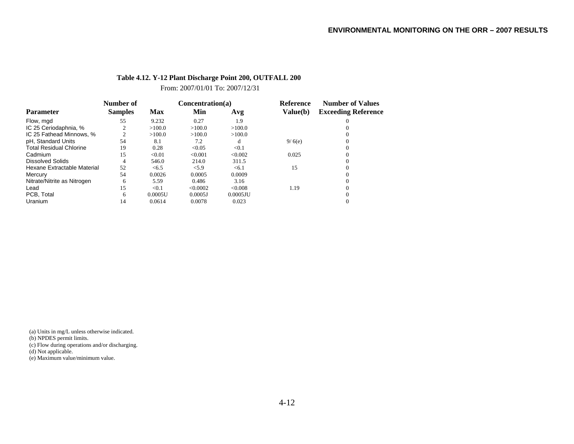#### **Table 4.12. Y-12 Plant Discharge Point 200, OUTFALL 200**

From: 2007/01/01 To: 2007/12/31

|                                | Number of      |            | Concentration(a) |             | <b>Reference</b> | <b>Number of Values</b>    |  |
|--------------------------------|----------------|------------|------------------|-------------|------------------|----------------------------|--|
| <b>Parameter</b>               | <b>Samples</b> | <b>Max</b> | Min              | Avg         | Value(b)         | <b>Exceeding Reference</b> |  |
| Flow, mgd                      | 55             | 9.232      | 0.27             | 1.9         |                  |                            |  |
| IC 25 Ceriodaphnia, %          |                | >100.0     | >100.0           | >100.0      |                  |                            |  |
| IC 25 Fathead Minnows, %       |                | >100.0     | >100.0           | >100.0      |                  |                            |  |
| pH, Standard Units             | 54             | 8.1        | 7.2              |             | 9/6(e)           |                            |  |
| <b>Total Residual Chlorine</b> | 19             | 0.28       | < 0.05           | < 0.1       |                  |                            |  |
| Cadmium                        | 15             | < 0.01     | < 0.001          | < 0.002     | 0.025            |                            |  |
| <b>Dissolved Solids</b>        | 4              | 546.0      | 214.0            | 311.5       |                  |                            |  |
| Hexane Extractable Material    | 52             | < 6.5      | < 5.9            | < 6.1       | 15               |                            |  |
| Mercury                        | 54             | 0.0026     | 0.0005           | 0.0009      |                  |                            |  |
| Nitrate/Nitrite as Nitrogen    | 6              | 5.59       | 0.486            | 3.16        |                  |                            |  |
| Lead                           | 15             | < 0.1      | < 0.0002         | < 0.008     | 1.19             |                            |  |
| PCB. Total                     | 6              | 0.0005U    | 0.0005J          | $0.0005$ JU |                  |                            |  |
| Uranium                        | 14             | 0.0614     | 0.0078           | 0.023       |                  |                            |  |

(a) Units in mg/L unless otherwise indicated.

(b) NPDES permit limits.

(c) Flow during operations and/or discharging.

(d) Not applicable.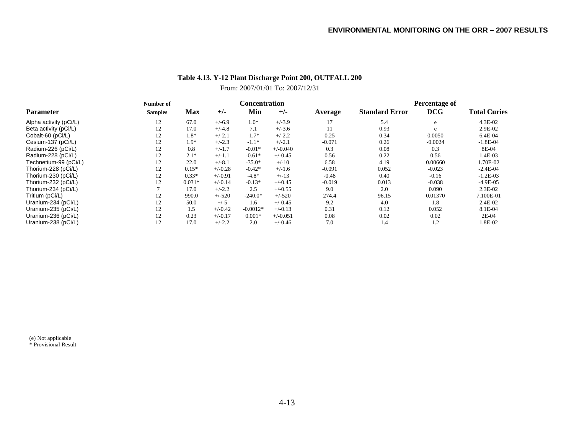# **Table 4.13. Y-12 Plant Discharge Point 200, OUTFALL 200**

# From: 2007/01/01 To: 2007/12/31

|                        | Number of      |            |           | Concentration |            |          | Percentage of         |            |                     |
|------------------------|----------------|------------|-----------|---------------|------------|----------|-----------------------|------------|---------------------|
| <b>Parameter</b>       | <b>Samples</b> | <b>Max</b> | $+/-$     | Min           | $+/-$      | Average  | <b>Standard Error</b> | <b>DCG</b> | <b>Total Curies</b> |
| Alpha activity (pCi/L) | 12             | 67.0       | $+/-6.9$  | $1.0*$        | $+/-3.9$   | 17       | 5.4                   | e          | 4.3E-02             |
| Beta activity (pCi/L)  | 12             | 17.0       | $+/-4.8$  | 7.1           | $+/-3.6$   |          | 0.93                  | e          | 2.9E-02             |
| Cobalt-60 (pCi/L)      | 12             | 1.8*       | $+/-2.1$  | $-1.7*$       | $+/-2.2$   | 0.25     | 0.34                  | 0.0050     | 6.4E-04             |
| Cesium-137 (pCi/L)     | 12             | $1.9*$     | $+/-2.3$  | $-1.1*$       | $+/-2.1$   | $-0.071$ | 0.26                  | $-0.0024$  | $-1.8E-04$          |
| Radium-226 (pCi/L)     | 12             | 0.8        | $+/-1.7$  | $-0.01*$      | $+/-0.040$ | 0.3      | 0.08                  | 0.3        | 8E-04               |
| Radium-228 (pCi/L)     | 12             | $2.1*$     | $+/-1.1$  | $-0.61*$      | $+/-0.45$  | 0.56     | 0.22                  | 0.56       | 1.4E-03             |
| Technetium-99 (pCi/L)  | 12             | 22.0       | $+/-8.1$  | $-35.0*$      | $+/-10$    | 6.58     | 4.19                  | 0.00660    | 1.70E-02            |
| Thorium-228 (pCi/L)    | 12             | $0.15*$    | $+/-0.28$ | $-0.42*$      | $+/-1.6$   | $-0.091$ | 0.052                 | $-0.023$   | $-2.4E-04$          |
| Thorium-230 (pCi/L)    | 12             | $0.33*$    | $+/-0.91$ | $-4.8*$       | $+/-13$    | $-0.48$  | 0.40                  | $-0.16$    | $-1.2E-03$          |
| Thorium-232 (pCi/L)    | 12             | $0.031*$   | $+/-0.14$ | $-0.13*$      | $+/-0.45$  | $-0.019$ | 0.013                 | $-0.038$   | $-4.9E-05$          |
| Thorium-234 (pCi/L)    |                | 17.0       | $+/-2.2$  | 2.5           | $+/-0.55$  | 9.0      | 2.0                   | 0.090      | 2.3E-02             |
| Tritium (pCi/L)        | 12             | 990.0      | $+/-520$  | $-240.0*$     | $+/-520$   | 274.4    | 96.15                 | 0.01370    | 7.100E-01           |
| Uranium-234 (pCi/L)    | 12             | 50.0       | $+/-5$    | 1.6           | $+/-0.45$  | 9.2      | 4.0                   | 1.8        | 2.4E-02             |
| Uranium-235 (pCi/L)    | 12             | 1.5        | $+/-0.42$ | $-0.0012*$    | $+/-0.13$  | 0.31     | 0.12                  | 0.052      | 8.1E-04             |
| Uranium-236 (pCi/L)    | 12             | 0.23       | $+/-0.17$ | $0.001*$      | $+/-0.051$ | 0.08     | 0.02                  | 0.02       | 2E-04               |
| Uranium-238 (pCi/L)    | 12             | 17.0       | $+/-2.2$  | 2.0           | $+/-0.46$  | 7.0      | 1.4                   | 1.2        | 1.8E-02             |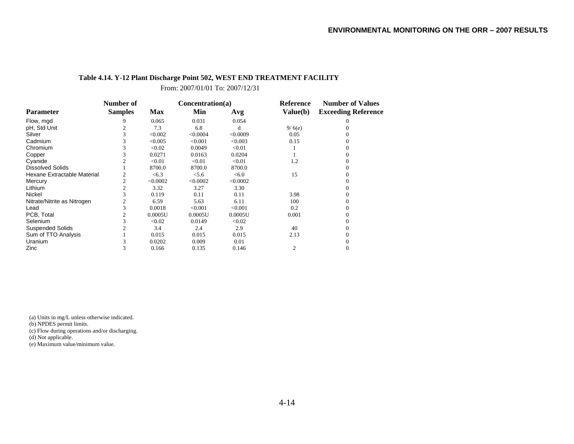#### **Table 4.14. Y-12 Plant Discharge Point 502, WEST END TREATMENT FACILITY**

From: 2007/01/01 To: 2007/12/31

|                             | Number of      |            | Concentration(a) |          | Reference | <b>Number of Values</b>    |  |
|-----------------------------|----------------|------------|------------------|----------|-----------|----------------------------|--|
| Parameter                   | <b>Samples</b> | <b>Max</b> | Min              | Avg      | Value(b)  | <b>Exceeding Reference</b> |  |
| Flow, mgd                   | 9              | 0.065      | 0.031            | 0.054    |           |                            |  |
| pH, Std Unit                |                | 7.3        | 6.8              | d        | 9/6(e)    |                            |  |
| Silver                      |                | < 0.002    | < 0.0004         | < 0.0009 | 0.05      |                            |  |
| Cadmium                     |                | < 0.005    | < 0.001          | < 0.003  | 0.15      |                            |  |
| Chromium                    |                | < 0.02     | 0.0049           | < 0.01   |           |                            |  |
| Copper                      |                | 0.0271     | 0.0163           | 0.0204   |           |                            |  |
| Cyanide                     |                | < 0.01     | < 0.01           | < 0.01   | 1.2       |                            |  |
| <b>Dissolved Solids</b>     |                | 8700.0     | 8700.0           | 8700.0   |           |                            |  |
| Hexane Extractable Material |                | <6.3       | < 5.6            | <6.0     | 15        |                            |  |
| Mercury                     |                | < 0.0002   | < 0.0002         | < 0.0002 |           |                            |  |
| Lithium                     |                | 3.32       | 3.27             | 3.30     |           |                            |  |
| Nickel                      |                | 0.119      | 0.11             | 0.11     | 3.98      |                            |  |
| Nitrate/Nitrite as Nitrogen |                | 6.59       | 5.63             | 6.11     | 100       |                            |  |
| Lead                        |                | 0.0018     | < 0.001          | < 0.001  | 0.2       |                            |  |
| PCB, Total                  |                | 0.0005U    | 0.0005U          | 0.0005U  | 0.001     |                            |  |
| <b>Selenium</b>             |                | < 0.02     | 0.0149           | < 0.02   |           |                            |  |
| <b>Suspended Solids</b>     |                | 3.4        | 2.4              | 2.9      | 40        |                            |  |
| Sum of TTO Analysis         |                | 0.015      | 0.015            | 0.015    | 2.13      |                            |  |
| Uranium                     |                | 0.0202     | 0.009            | 0.01     |           |                            |  |
| Zinc                        |                | 0.166      | 0.135            | 0.146    | 2         | 0                          |  |

(a) Units in mg/L unless otherwise indicated.

(b) NPDES permit limits.

(c) Flow during operations and/or discharging.

(d) Not applicable.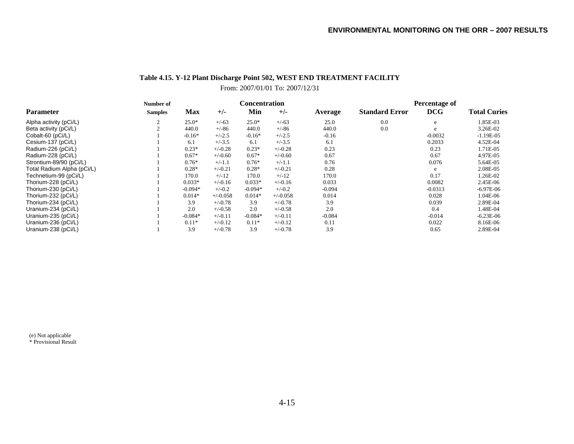### **Table 4.15. Y-12 Plant Discharge Point 502, WEST END TREATMENT FACILITY**

### From: 2007/01/01 To: 2007/12/31

|                            | Number of      |            | <b>Concentration</b> |           |            | Percentage of |                       |            |                     |
|----------------------------|----------------|------------|----------------------|-----------|------------|---------------|-----------------------|------------|---------------------|
| <b>Parameter</b>           | <b>Samples</b> | <b>Max</b> | $+/-$                | Min       | $+/-$      | Average       | <b>Standard Error</b> | <b>DCG</b> | <b>Total Curies</b> |
| Alpha activity (pCi/L)     |                | $25.0*$    | $+/-63$              | $25.0*$   | $+/-63$    | 25.0          | 0.0                   | e          | 1.85E-03            |
| Beta activity (pCi/L)      |                | 440.0      | $+/-86$              | 440.0     | $+/-86$    | 440.0         | 0.0                   | e          | 3.26E-02            |
| Cobalt-60 (pCi/L)          |                | $-0.16*$   | $+/-2.5$             | $-0.16*$  | $+/-2.5$   | $-0.16$       |                       | $-0.0032$  | $-1.19E-05$         |
| Cesium-137 (pCi/L)         |                | 6.1        | $+/-3.5$             | 6.1       | $+/-3.5$   | 6.1           |                       | 0.2033     | 4.52E-04            |
| Radium-226 (pCi/L)         |                | $0.23*$    | $+/-0.28$            | $0.23*$   | $+/-0.28$  | 0.23          |                       | 0.23       | 1.71E-05            |
| Radium-228 (pCi/L)         |                | $0.67*$    | $+/-0.60$            | $0.67*$   | $+/-0.60$  | 0.67          |                       | 0.67       | 4.97E-05            |
| Strontium-89/90 (pCi/L)    |                | $0.76*$    | $+/-1.1$             | $0.76*$   | $+/-1.1$   | 0.76          |                       | 0.076      | 5.64E-05            |
| Total Radium Alpha (pCi/L) |                | $0.28*$    | $+/-0.21$            | $0.28*$   | $+/-0.21$  | 0.28          |                       | e          | 2.08E-05            |
| Technetium-99 (pCi/L)      |                | 170.0      | $+/-12$              | 170.0     | $+/-12$    | 170.0         |                       | 0.17       | 1.26E-02            |
| Thorium-228 (pCi/L)        |                | $0.033*$   | $+/-0.16$            | $0.033*$  | $+/-0.16$  | 0.033         |                       | 0.0082     | 2.45E-06            |
| Thorium-230 (pCi/L)        |                | $-0.094*$  | $+/-0.2$             | $-0.094*$ | $+/-0.2$   | $-0.094$      |                       | $-0.0313$  | $-6.97E-06$         |
| Thorium-232 (pCi/L)        |                | $0.014*$   | $+/-0.058$           | $0.014*$  | $+/-0.058$ | 0.014         |                       | 0.028      | 1.04E-06            |
| Thorium-234 (pCi/L)        |                | 3.9        | $+/-0.78$            | 3.9       | $+/-0.78$  | 3.9           |                       | 0.039      | 2.89E-04            |
| Uranium-234 (pCi/L)        |                | 2.0        | $+/-0.58$            | 2.0       | $+/-0.58$  | 2.0           |                       | 0.4        | 1.48E-04            |
| Uranium-235 (pCi/L)        |                | $-0.084*$  | $+/-0.11$            | $-0.084*$ | $+/-0.11$  | $-0.084$      |                       | $-0.014$   | $-6.23E-06$         |
| Uranium-236 (pCi/L)        |                | $0.11*$    | $+/-0.12$            | $0.11*$   | $+/-0.12$  | 0.11          |                       | 0.022      | 8.16E-06            |
| Uranium-238 (pCi/L)        |                | 3.9        | $+/-0.78$            | 3.9       | $+/-0.78$  | 3.9           |                       | 0.65       | 2.89E-04            |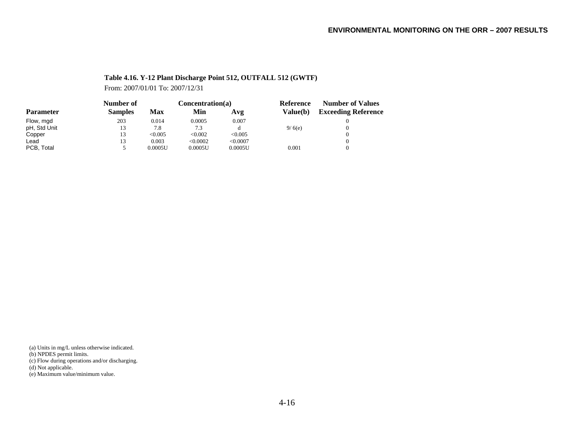#### **Table 4.16. Y-12 Plant Discharge Point 512, OUTFALL 512 (GWTF)**

From: 2007/01/01 To: 2007/12/31

|                  | Number of      |         | Concentration(a) |          | Reference | <b>Number of Values</b>    |  |
|------------------|----------------|---------|------------------|----------|-----------|----------------------------|--|
| <b>Parameter</b> | <b>Samples</b> | Max     | Min              | Avg      | Value(b)  | <b>Exceeding Reference</b> |  |
| Flow, mgd        | 203            | 0.014   | 0.0005           | 0.007    |           |                            |  |
| pH, Std Unit     | 13             | 7.8     | 7.3              |          | 9/6(e)    |                            |  |
| Copper           | 13             | < 0.005 | < 0.002          | < 0.005  |           |                            |  |
| ∟ead             | 13             | 0.003   | < 0.0002         | < 0.0007 |           |                            |  |
| PCB, Total       |                | 0.0005U | 0.0005U          | 0.0005U  | 0.001     |                            |  |

(a) Units in mg/L unless otherwise indicated.

(b) NPDES permit limits.

(c) Flow during operations and/or discharging.

(d) Not applicable.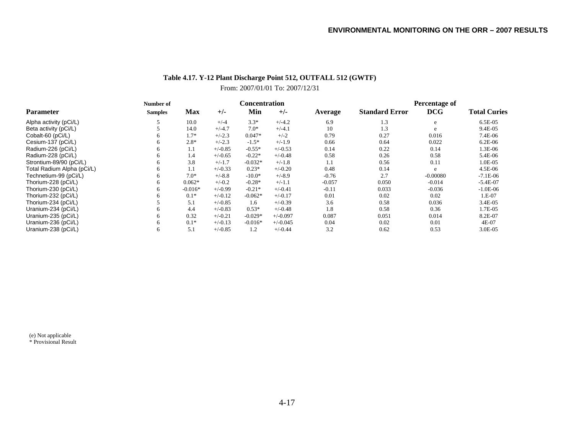### **Table 4.17. Y-12 Plant Discharge Point 512, OUTFALL 512 (GWTF)** From: 2007/01/01 To: 2007/12/31

|                            | Number of      |           |           |           | <b>Concentration</b> |          | Percentage of         |            |                     |
|----------------------------|----------------|-----------|-----------|-----------|----------------------|----------|-----------------------|------------|---------------------|
| <b>Parameter</b>           | <b>Samples</b> | Max       | $+/-$     | Min       | $+/-$                | Average  | <b>Standard Error</b> | <b>DCG</b> | <b>Total Curies</b> |
| Alpha activity (pCi/L)     |                | 10.0      | $+/-4$    | $3.3*$    | $+/-4.2$             | 6.9      | 1.3                   | e          | 6.5E-05             |
| Beta activity (pCi/L)      |                | 14.0      | $+/-4.7$  | $7.0*$    | $+/-4.1$             | 10       | 1.3                   | e          | 9.4E-05             |
| Cobalt-60 (pCi/L)          | 6.             | $1.7*$    | $+/-2.3$  | $0.047*$  | $+/-2$               | 0.79     | 0.27                  | 0.016      | 7.4E-06             |
| Cesium-137 (pCi/L)         | 6              | $2.8*$    | $+/-2.3$  | $-1.5*$   | $+/-1.9$             | 0.66     | 0.64                  | 0.022      | 6.2E-06             |
| Radium-226 (pCi/L)         | 6              | 1.1       | $+/-0.85$ | $-0.55*$  | $+/-0.53$            | 0.14     | 0.22                  | 0.14       | 1.3E-06             |
| Radium-228 (pCi/L)         | 6.             | 1.4       | $+/-0.65$ | $-0.22*$  | $+/-0.48$            | 0.58     | 0.26                  | 0.58       | 5.4E-06             |
| Strontium-89/90 (pCi/L)    | 6.             | 3.8       | $+/-1.7$  | $-0.032*$ | $+/-1.8$             | 1.1      | 0.56                  | 0.11       | 1.0E-05             |
| Total Radium Alpha (pCi/L) | 6.             | 1.1       | $+/-0.33$ | $0.23*$   | $+/-0.20$            | 0.48     | 0.14                  | e          | 4.5E-06             |
| Technetium-99 (pCi/L)      | 6.             | $7.0*$    | $+/-8.8$  | $-10.0*$  | $+/-8.9$             | $-0.76$  | 2.7                   | $-0.00080$ | $-7.1E-06$          |
| Thorium-228 (pCi/L)        | 6              | $0.062*$  | $+/-0.2$  | $-0.28*$  | $+/-1.1$             | $-0.057$ | 0.050                 | $-0.014$   | $-5.4E-07$          |
| Thorium-230 (pCi/L)        | 6.             | $-0.016*$ | $+/-0.99$ | $-0.21*$  | $+/-0.41$            | $-0.11$  | 0.033                 | $-0.036$   | $-1.0E-06$          |
| Thorium-232 (pCi/L)        | <sub>6</sub>   | $0.1*$    | $+/-0.12$ | $-0.062*$ | $+/-0.17$            | 0.01     | 0.02                  | 0.02       | 1.E-07              |
| Thorium-234 (pCi/L)        |                | 5.1       | $+/-0.85$ | 1.6       | $+/-0.39$            | 3.6      | 0.58                  | 0.036      | 3.4E-05             |
| Uranium-234 (pCi/L)        | 6              | 4.4       | $+/-0.83$ | $0.53*$   | $+/-0.48$            | 1.8      | 0.58                  | 0.36       | 1.7E-05             |
| Uranium-235 (pCi/L)        | 6.             | 0.32      | $+/-0.21$ | $-0.029*$ | $+/-0.097$           | 0.087    | 0.051                 | 0.014      | 8.2E-07             |
| Uranium-236 (pCi/L)        | 6              | $0.1*$    | $+/-0.13$ | $-0.016*$ | $+/-0.045$           | 0.04     | 0.02                  | 0.01       | 4E-07               |
| Uranium-238 (pCi/L)        | 6.             | 5.1       | $+/-0.85$ | 1.2       | $+/-0.44$            | 3.2      | 0.62                  | 0.53       | 3.0E-05             |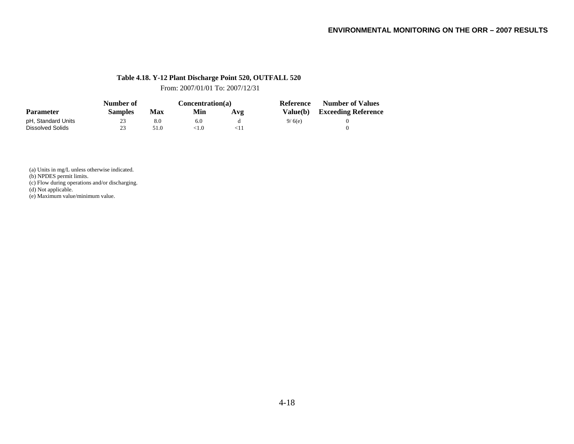#### **Table 4.18. Y-12 Plant Discharge Point 520, OUTFALL 520**

From: 2007/01/01 To: 2007/12/31

|                    | Number of      |            |                           | Concentration(a) | Reference | <b>Number of Values</b>      |
|--------------------|----------------|------------|---------------------------|------------------|-----------|------------------------------|
| <b>Parameter</b>   | <b>Samples</b> | <b>Max</b> | Min                       | Avg              |           | Value(b) Exceeding Reference |
| pH, Standard Units | 23             | 8.0        | 6.0                       |                  | 9/6(e)    |                              |
| Dissolved Solids   | 23             | 51.0       | $^{<\hspace*{-0.1cm}1.0}$ |                  |           |                              |

(a) Units in mg/L unless otherwise indicated.

(b) NPDES permit limits.

(c) Flow during operations and/or discharging.

(d) Not applicable.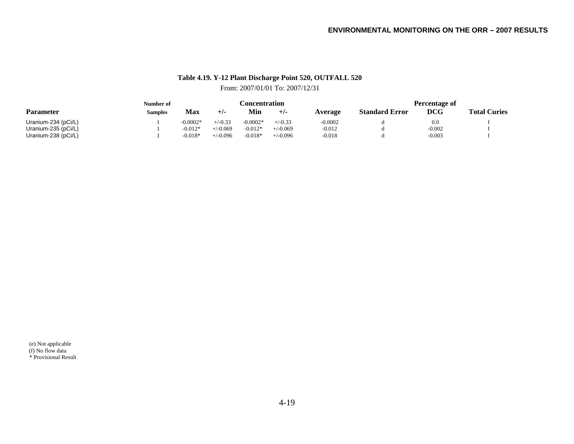# **Table 4.19. Y-12 Plant Discharge Point 520, OUTFALL 520**

## From: 2007/01/01 To: 2007/12/31

|                     | Number of | Concentration |            |            |            | Percentage of |                       |            |                     |
|---------------------|-----------|---------------|------------|------------|------------|---------------|-----------------------|------------|---------------------|
| <b>Parameter</b>    | Samples   | Max           | $+/-$      | Min        | $+/-$      | Average       | <b>Standard Error</b> | <b>DCG</b> | <b>Total Curies</b> |
| Uranium-234 (pCi/L) |           | $-0.0002*$    | $+/-0.33$  | $-0.0002*$ | $+/-0.33$  | $-0.0002$     |                       | 0.0        |                     |
| Uranium-235 (pCi/L) |           | $-0.012*$     | $+/-0.069$ | $-0.012*$  | $+/-0.069$ | $-0.012$      |                       | $-0.002$   |                     |
| Uranium-238 (pCi/L) |           | $-0.018*$     | $+/-0.096$ | $-0.018*$  | $+/-0.096$ | $-0.018$      |                       | $-0.003$   |                     |

(e) Not applicable (f) No flow data \* Provisional Result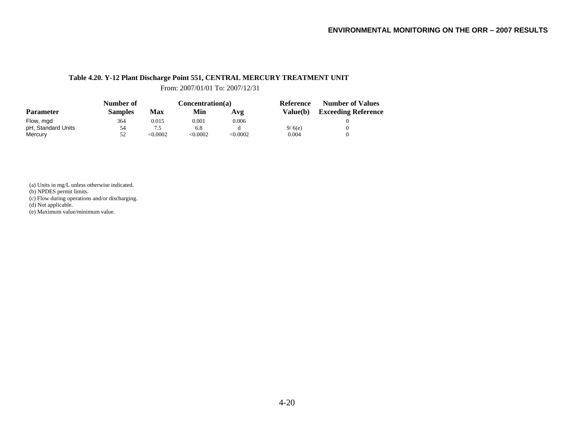#### **Table 4.20. Y-12 Plant Discharge Point 551, CENTRAL MERCURY TREATMENT UNIT**

From: 2007/01/01 To: 2007/12/31

|                    | Number of      |            | Concentration(a) |          | Reference       | <b>Number of Values</b>    |  |
|--------------------|----------------|------------|------------------|----------|-----------------|----------------------------|--|
| <b>Parameter</b>   | <b>Samples</b> | <b>Max</b> | Min              | Avg      | <b>Value(b)</b> | <b>Exceeding Reference</b> |  |
| Flow, mgd          | 364            | 0.015      | 0.001            | 0.006    |                 |                            |  |
| pH, Standard Units | 54             | 7.5        | 6.8              |          | 9/6(e)          |                            |  |
| Mercury            | 52             | < 0.0002   | < 0.0002         | < 0.0002 | 0.004           |                            |  |

(a) Units in mg/L unless otherwise indicated.

(b) NPDES permit limits.

(c) Flow during operations and/or discharging.

(d) Not applicable.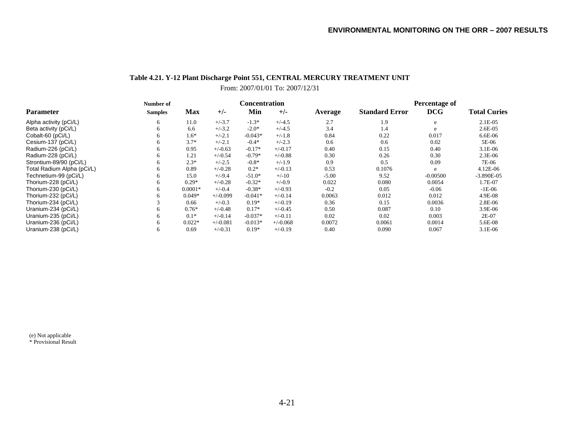### **Table 4.21. Y-12 Plant Discharge Point 551, CENTRAL MERCURY TREATMENT UNIT** From: 2007/01/01 To: 2007/12/31

|                            | Number of      |            |            |           | Concentration |         | Percentage of         |            |                     |
|----------------------------|----------------|------------|------------|-----------|---------------|---------|-----------------------|------------|---------------------|
| <b>Parameter</b>           | <b>Samples</b> | <b>Max</b> | $+/-$      | Min       | $+/-$         | Average | <b>Standard Error</b> | <b>DCG</b> | <b>Total Curies</b> |
| Alpha activity (pCi/L)     | 6              | 11.0       | $+/-3.7$   | $-1.3*$   | $+/-4.5$      | 2.7     | 1.9                   | e          | 2.1E-05             |
| Beta activity (pCi/L)      | 6              | 6.6        | $+/-3.2$   | $-2.0*$   | $+/-4.5$      | 3.4     | 1.4                   | e          | $2.6E-0.5$          |
| Cobalt-60 (pCi/L)          | 6              | $1.6*$     | $+/-2.1$   | $-0.043*$ | $+/-1.8$      | 0.84    | 0.22                  | 0.017      | $6.6E-06$           |
| Cesium-137 (pCi/L)         | 6              | $3.7*$     | $+/-2.1$   | $-0.4*$   | $+/-2.3$      | 0.6     | 0.6                   | 0.02       | 5E-06               |
| Radium-226 (pCi/L)         | 6              | 0.95       | $+/-0.63$  | $-0.17*$  | $+/-0.17$     | 0.40    | 0.15                  | 0.40       | $3.1E-06$           |
| Radium-228 (pCi/L)         | <sub>6</sub>   | 1.21       | $+/-0.54$  | $-0.79*$  | $+/-0.88$     | 0.30    | 0.26                  | 0.30       | $2.3E-06$           |
| Strontium-89/90 (pCi/L)    | 6              | $2.3*$     | $+/-2.5$   | $-0.8*$   | $+/-1.9$      | 0.9     | 0.5                   | 0.09       | 7E-06               |
| Total Radium Alpha (pCi/L) | 6              | 0.89       | $+/-0.28$  | $0.2*$    | $+/-0.13$     | 0.53    | 0.1076                | e          | 4.12E-06            |
| Technetium-99 (pCi/L)      | 6              | 15.0       | $+/-9.4$   | $-51.0*$  | $+/-10$       | $-5.00$ | 9.52                  | $-0.00500$ | $-3.890E-05$        |
| Thorium-228 (pCi/L)        | 6              | $0.29*$    | $+/-0.28$  | $-0.32*$  | $+/-0.9$      | 0.022   | 0.080                 | 0.0054     | 1.7E-07             |
| Thorium-230 (pCi/L)        |                | $0.0001*$  | $+/-0.4$   | $-0.38*$  | $+/-0.93$     | $-0.2$  | 0.05                  | $-0.06$    | $-1E-06$            |
| Thorium-232 (pCi/L)        |                | $0.049*$   | $+/-0.099$ | $-0.041*$ | $+/-0.14$     | 0.0063  | 0.012                 | 0.012      | 4.9E-08             |
| Thorium-234 (pCi/L)        |                | 0.66       | $+/-0.3$   | $0.19*$   | $+/-0.19$     | 0.36    | 0.15                  | 0.0036     | 2.8E-06             |
| Uranium-234 (pCi/L)        |                | $0.76*$    | $+/-0.48$  | $0.17*$   | $+/-0.45$     | 0.50    | 0.087                 | 0.10       | 3.9E-06             |
| Uranium-235 (pCi/L)        | h              | $0.1*$     | $+/-0.14$  | $-0.037*$ | $+/-0.11$     | 0.02    | 0.02                  | 0.003      | 2E-07               |
| Uranium-236 (pCi/L)        | h              | $0.022*$   | $+/-0.081$ | $-0.013*$ | $+/-0.068$    | 0.0072  | 0.0061                | 0.0014     | 5.6E-08             |
| Uranium-238 (pCi/L)        | <sub>6</sub>   | 0.69       | $+/-0.31$  | $0.19*$   | $+/-0.19$     | 0.40    | 0.090                 | 0.067      | 3.1E-06             |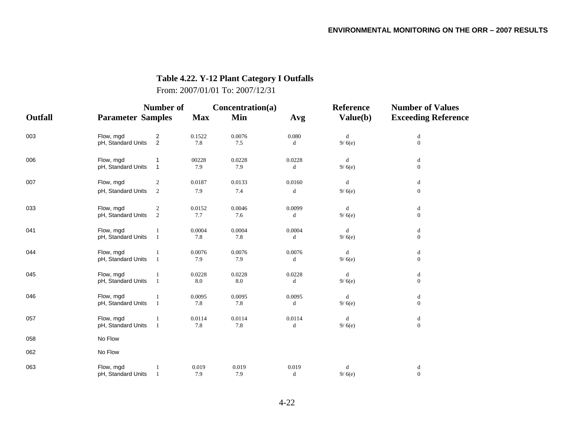## **Table 4.22. Y-12 Plant Category I Outfalls**

From: 2007/01/01 To: 2007/12/31

|         |                          | Number of      |            |        | Concentration(a) | <b>Reference</b> | <b>Number of Values</b>                        |  |
|---------|--------------------------|----------------|------------|--------|------------------|------------------|------------------------------------------------|--|
| Outfall | <b>Parameter Samples</b> |                | <b>Max</b> | Min    | Avg              | Value(b)         | <b>Exceeding Reference</b>                     |  |
| 003     | Flow, mgd                | $\overline{c}$ | 0.1522     | 0.0076 | 0.080            | d                | $\mathrm{d}% \left\  \mathcal{H}\right\  _{A}$ |  |
|         | pH, Standard Units       | 2              | 7.8        | 7.5    | d                | 9/6(e)           | $\boldsymbol{0}$                               |  |
| 006     | Flow, mgd                | 1              | 00228      | 0.0228 | 0.0228           | d                | d                                              |  |
|         | pH, Standard Units       | $\mathbf 1$    | 7.9        | 7.9    | d                | 9/6(e)           | $\boldsymbol{0}$                               |  |
| 007     | Flow, mgd                | 2              | 0.0187     | 0.0133 | 0.0160           | d                | d                                              |  |
|         | pH, Standard Units       | $\overline{c}$ | 7.9        | 7.4    | d                | 9/6(e)           | $\boldsymbol{0}$                               |  |
| 033     | Flow, mgd                | 2              | 0.0152     | 0.0046 | 0.0099           | d                | d                                              |  |
|         | pH, Standard Units       | 2              | 7.7        | 7.6    | d                | 9/6(e)           | $\boldsymbol{0}$                               |  |
| 041     | Flow, mgd                |                | 0.0004     | 0.0004 | 0.0004           | d                | d                                              |  |
|         | pH, Standard Units       | -1             | 7.8        | 7.8    | d                | 9/6(e)           | $\boldsymbol{0}$                               |  |
| 044     | Flow, mgd                | -1             | 0.0076     | 0.0076 | 0.0076           | d                | d                                              |  |
|         | pH, Standard Units       | $\overline{1}$ | 7.9        | 7.9    | d                | 9/6(e)           | $\boldsymbol{0}$                               |  |
| 045     | Flow, mgd                |                | 0.0228     | 0.0228 | 0.0228           | d                | d                                              |  |
|         | pH, Standard Units       | -1             | 8.0        | 8.0    | d                | 9/6(e)           | $\boldsymbol{0}$                               |  |
| 046     | Flow, mgd                |                | 0.0095     | 0.0095 | 0.0095           | d                | d                                              |  |
|         | pH, Standard Units       | $\overline{1}$ | 7.8        | 7.8    | d                | 9/6(e)           | $\boldsymbol{0}$                               |  |
| 057     | Flow, mgd                |                | 0.0114     | 0.0114 | 0.0114           | d                | d                                              |  |
|         | pH, Standard Units       | -1             | 7.8        | 7.8    | d                | 9/6(e)           | $\boldsymbol{0}$                               |  |
| 058     | No Flow                  |                |            |        |                  |                  |                                                |  |
| 062     | No Flow                  |                |            |        |                  |                  |                                                |  |
| 063     | Flow, mgd                |                | 0.019      | 0.019  | 0.019            | $\rm d$          | d                                              |  |
|         | pH, Standard Units       | $\mathbf{1}$   | 7.9        | 7.9    | d                | 9/6(e)           | $\boldsymbol{0}$                               |  |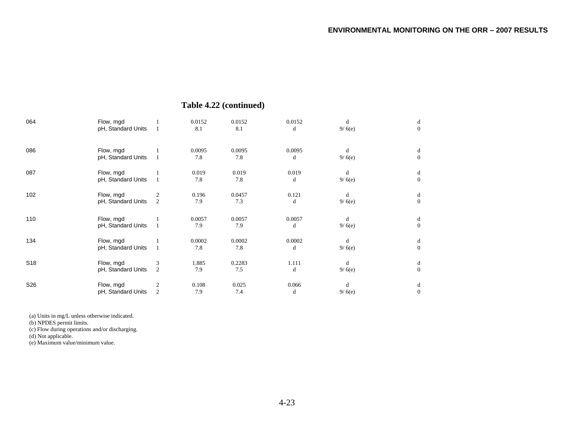|  | Table 4.22 (continued) |
|--|------------------------|
|--|------------------------|

| 064             | Flow, mgd<br>pH, Standard Units |                | 0.0152<br>8.1 | 0.0152<br>8.1 | 0.0152<br>d | d<br>9/6(e) | d<br>$\theta$     |
|-----------------|---------------------------------|----------------|---------------|---------------|-------------|-------------|-------------------|
| 086             | Flow, mgd<br>pH, Standard Units |                | 0.0095<br>7.8 | 0.0095<br>7.8 | 0.0095<br>d | d<br>9/6(e) | d<br>$\Omega$     |
| 087             | Flow, mgd<br>pH, Standard Units |                | 0.019<br>7.8  | 0.019<br>7.8  | 0.019<br>d  | d<br>9/6(e) | d<br>$\Omega$     |
| 102             | Flow, mgd<br>pH, Standard Units | 2<br>2         | 0.196<br>7.9  | 0.0457<br>7.3 | 0.121<br>d  | d<br>9/6(e) | d<br>$\theta$     |
| 110             | Flow, mgd<br>pH, Standard Units |                | 0.0057<br>7.9 | 0.0057<br>7.9 | 0.0057<br>d | d<br>9/6(e) | d<br>$\mathbf{0}$ |
| 134             | Flow, mgd<br>pH, Standard Units |                | 0.0002<br>7.8 | 0.0002<br>7.8 | 0.0002<br>d | d<br>9/6(e) | d<br>$\Omega$     |
| S <sub>18</sub> | Flow, mgd<br>pH, Standard Units | 3<br>2         | 1.885<br>7.9  | 0.2283<br>7.5 | 1.111<br>d  | d<br>9/6(e) | d<br>$\Omega$     |
| S26             | Flow, mgd<br>pH, Standard Units | $\overline{2}$ | 0.108<br>7.9  | 0.025<br>7.4  | 0.066<br>d  | d<br>9/6(e) | d<br>$\Omega$     |

(a) Units in mg/L unless otherwise indicated.

(b) NPDES permit limits.

(c) Flow during operations and/or discharging.

(d) Not applicable.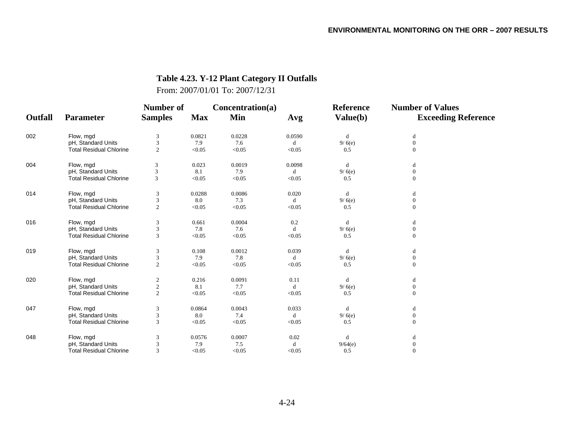# **Table 4.23. Y-12 Plant Category II Outfalls**

From: 2007/01/01 To: 2007/12/31

|         |                                | Number of        |            | Concentration(a) |             | <b>Reference</b> | <b>Number of Values</b>    |
|---------|--------------------------------|------------------|------------|------------------|-------------|------------------|----------------------------|
| Outfall | <b>Parameter</b>               | <b>Samples</b>   | <b>Max</b> | Min              | Avg         | Value(b)         | <b>Exceeding Reference</b> |
| 002     | Flow, mgd                      | 3                | 0.0821     | 0.0228           | 0.0590      | d                | d                          |
|         | pH, Standard Units             | 3                | 7.9        | 7.6              | d           | 9/6(e)           | $\boldsymbol{0}$           |
|         | <b>Total Residual Chlorine</b> | 2                | < 0.05     | < 0.05           | < 0.05      | 0.5              | $\overline{0}$             |
| 004     | Flow, mgd                      | 3                | 0.023      | 0.0019           | 0.0098      | d                | d                          |
|         | pH, Standard Units             | 3                | 8.1        | 7.9              | d           | 9/6(e)           | $\boldsymbol{0}$           |
|         | <b>Total Residual Chlorine</b> | 3                | < 0.05     | < 0.05           | < 0.05      | 0.5              | $\Omega$                   |
| 014     | Flow, mgd                      | 3                | 0.0288     | 0.0086           | 0.020       | d                | d                          |
|         | pH, Standard Units             | 3                | 8.0        | 7.3              | $\mathbf d$ | 9/6(e)           | $\boldsymbol{0}$           |
|         | <b>Total Residual Chlorine</b> | $\overline{2}$   | < 0.05     | < 0.05           | < 0.05      | 0.5              | $\overline{0}$             |
| 016     | Flow, mgd                      | 3                | 0.661      | 0.0004           | 0.2         | d                | d                          |
|         | pH, Standard Units             | 3                | 7.8        | 7.6              | d           | 9/6(e)           | $\boldsymbol{0}$           |
|         | <b>Total Residual Chlorine</b> | 3                | < 0.05     | < 0.05           | < 0.05      | 0.5              | $\overline{0}$             |
| 019     | Flow, mgd                      | 3                | 0.108      | 0.0012           | 0.039       | d                | d                          |
|         | pH, Standard Units             | 3                | 7.9        | 7.8              | d           | 9/6(e)           | $\overline{0}$             |
|         | <b>Total Residual Chlorine</b> | 2                | < 0.05     | < 0.05           | < 0.05      | 0.5              | $\Omega$                   |
| 020     | Flow, mgd                      | $\overline{c}$   | 0.216      | 0.0091           | 0.11        | d                | d                          |
|         | pH, Standard Units             | $\boldsymbol{2}$ | 8.1        | 7.7              | $\mathbf d$ | 9/6(e)           | $\boldsymbol{0}$           |
|         | <b>Total Residual Chlorine</b> | $\overline{2}$   | < 0.05     | < 0.05           | < 0.05      | 0.5              | $\overline{0}$             |
| 047     | Flow, mgd                      | 3                | 0.0864     | 0.0043           | 0.033       | d                | d                          |
|         | pH, Standard Units             | 3                | 8.0        | 7.4              | d           | 9/6(e)           | $\boldsymbol{0}$           |
|         | <b>Total Residual Chlorine</b> | 3                | < 0.05     | < 0.05           | < 0.05      | 0.5              | $\overline{0}$             |
| 048     | Flow, mgd                      | 3                | 0.0576     | 0.0007           | 0.02        | d                | d                          |
|         | pH, Standard Units             | 3                | 7.9        | 7.5              | d           | 9/64(e)          | $\boldsymbol{0}$           |
|         | <b>Total Residual Chlorine</b> | $\mathcal{R}$    | < 0.05     | < 0.05           | < 0.05      | 0.5              | $\overline{0}$             |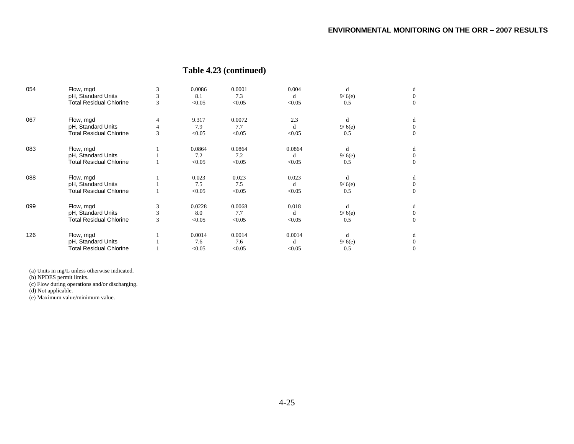## **Table 4.23 (continued)**

| 054 | Flow, mgd                      | 3 | 0.0086 | 0.0001 | 0.004  | d      | đ        |
|-----|--------------------------------|---|--------|--------|--------|--------|----------|
|     | pH, Standard Units             | 3 | 8.1    | 7.3    | d      | 9/6(e) |          |
|     | <b>Total Residual Chlorine</b> | 3 | < 0.05 | < 0.05 | < 0.05 | 0.5    | $\theta$ |
| 067 | Flow, mgd                      | 4 | 9.317  | 0.0072 | 2.3    | d      | d        |
|     | pH, Standard Units             |   | 7.9    | 7.7    | d      | 9/6(e) |          |
|     | <b>Total Residual Chlorine</b> | 3 | < 0.05 | < 0.05 | < 0.05 | 0.5    | $\theta$ |
| 083 | Flow, mgd                      |   | 0.0864 | 0.0864 | 0.0864 | d      | d        |
|     | pH, Standard Units             |   | 7.2    | 7.2    | d      | 9/6(e) |          |
|     | <b>Total Residual Chlorine</b> |   | < 0.05 | < 0.05 | < 0.05 | 0.5    | $\theta$ |
| 088 | Flow, mgd                      |   | 0.023  | 0.023  | 0.023  | d      | d        |
|     | pH, Standard Units             |   | 7.5    | 7.5    | d      | 9/6(e) | $\theta$ |
|     | <b>Total Residual Chlorine</b> |   | < 0.05 | < 0.05 | < 0.05 | 0.5    | $\theta$ |
| 099 | Flow, mgd                      | 3 | 0.0228 | 0.0068 | 0.018  | d      | d        |
|     | pH, Standard Units             | 3 | 8.0    | 7.7    | d      | 9/6(e) | $\Omega$ |
|     | <b>Total Residual Chlorine</b> | 3 | < 0.05 | < 0.05 | < 0.05 | 0.5    | $\Omega$ |
| 126 | Flow, mgd                      |   | 0.0014 | 0.0014 | 0.0014 | d      | d        |
|     | pH, Standard Units             |   | 7.6    | 7.6    | d      | 9/6(e) |          |
|     | <b>Total Residual Chlorine</b> |   | < 0.05 | < 0.05 | < 0.05 | 0.5    | $\Omega$ |

(a) Units in mg/L unless otherwise indicated.

(b) NPDES permit limits.

(c) Flow during operations and/or discharging.

(d) Not applicable.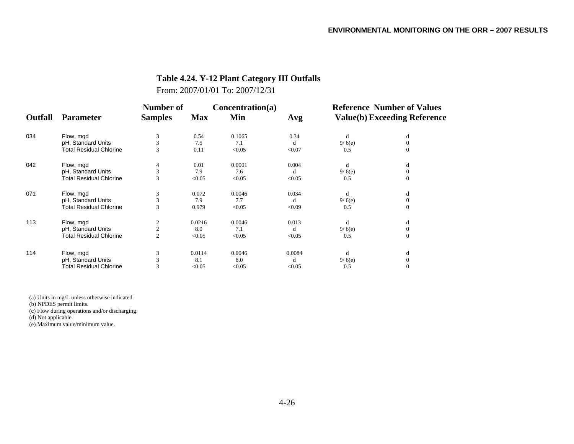## **Table 4.24. Y-12 Plant Category III Outfalls**

From: 2007/01/01 To: 2007/12/31

|                |                                | <b>Number of</b> |            | Concentration(a) |        | <b>Reference Number of Values</b> |                                     |  |
|----------------|--------------------------------|------------------|------------|------------------|--------|-----------------------------------|-------------------------------------|--|
| <b>Outfall</b> | Parameter                      | <b>Samples</b>   | <b>Max</b> | Min              | Avg    |                                   | <b>Value(b) Exceeding Reference</b> |  |
| 034            | Flow, mgd                      | 3                | 0.54       | 0.1065           | 0.34   | d                                 | d                                   |  |
|                | pH, Standard Units             | 3                | 7.5        | 7.1              | d      | 9/6(e)                            | $\mathbf{0}$                        |  |
|                | <b>Total Residual Chlorine</b> | 3                | 0.11       | < 0.05           | < 0.07 | 0.5                               | $\Omega$                            |  |
| 042            | Flow, mgd                      |                  | 0.01       | 0.0001           | 0.004  | d                                 | d                                   |  |
|                | pH, Standard Units             | 3                | 7.9        | 7.6              | d      | 9/6(e)                            | $\mathbf{0}$                        |  |
|                | <b>Total Residual Chlorine</b> | 3                | < 0.05     | < 0.05           | < 0.05 | 0.5                               | $\mathbf{0}$                        |  |
| 071            | Flow, mgd                      | 3                | 0.072      | 0.0046           | 0.034  | d                                 | d                                   |  |
|                | pH, Standard Units             | 3                | 7.9        | 7.7              | d      | 9/6(e)                            | $\mathbf{0}$                        |  |
|                | <b>Total Residual Chlorine</b> | 3                | 0.979      | < 0.05           | < 0.09 | 0.5                               | $\Omega$                            |  |
| 113            | Flow, mgd                      |                  | 0.0216     | 0.0046           | 0.013  | d                                 | d                                   |  |
|                | pH, Standard Units             | $\overline{c}$   | 8.0        | 7.1              | d      | 9/6(e)                            | $\mathbf{0}$                        |  |
|                | <b>Total Residual Chlorine</b> | $\overline{2}$   | < 0.05     | < 0.05           | < 0.05 | 0.5                               | $\mathbf{0}$                        |  |
| 114            | Flow, mgd                      | 3                | 0.0114     | 0.0046           | 0.0084 | d                                 | d                                   |  |
|                | pH, Standard Units             | 3                | 8.1        | 8.0              | d      | 9/6(e)                            | $\Omega$                            |  |
|                | <b>Total Residual Chlorine</b> | 3                | < 0.05     | < 0.05           | < 0.05 | 0.5                               | $\Omega$                            |  |

(a) Units in mg/L unless otherwise indicated.

(b) NPDES permit limits.

(c) Flow during operations and/or discharging.

(d) Not applicable.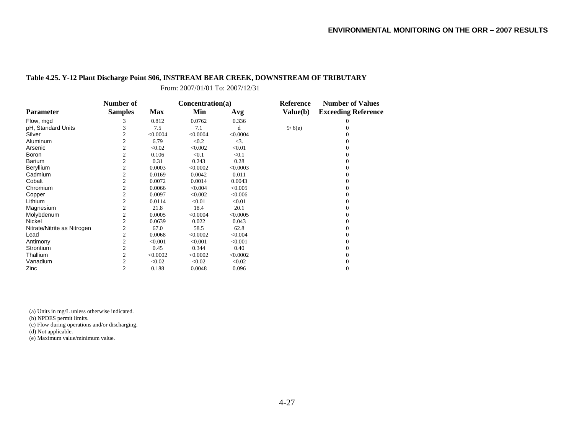#### **Table 4.25. Y-12 Plant Discharge Point S06, INSTREAM BEAR CREEK, DOWNSTREAM OF TRIBUTARY**

From: 2007/01/01 To: 2007/12/31

|                             | Number of      |            | Concentration(a) |           | <b>Reference</b> | <b>Number of Values</b>    |
|-----------------------------|----------------|------------|------------------|-----------|------------------|----------------------------|
| <b>Parameter</b>            | <b>Samples</b> | <b>Max</b> | Min              | Avg       | Value(b)         | <b>Exceeding Reference</b> |
| Flow, mgd                   | 3              | 0.812      | 0.0762           | 0.336     |                  | $\theta$                   |
| pH, Standard Units          |                | 7.5        | 7.1              | d         | 9/6(e)           |                            |
| Silver                      | 2              | < 0.0004   | < 0.0004         | < 0.0004  |                  |                            |
| Aluminum                    | 2              | 6.79       | < 0.2            | $\leq$ 3. |                  |                            |
| Arsenic                     | $\overline{c}$ | < 0.02     | < 0.002          | < 0.01    |                  |                            |
| Boron                       | 2              | 0.106      | < 0.1            | < 0.1     |                  |                            |
| <b>Barium</b>               | 2              | 0.31       | 0.243            | 0.28      |                  |                            |
| Beryllium                   | $\overline{c}$ | 0.0003     | < 0.0002         | < 0.0003  |                  |                            |
| Cadmium                     | 2              | 0.0169     | 0.0042           | 0.011     |                  |                            |
| Cobalt                      | 2              | 0.0072     | 0.0014           | 0.0043    |                  |                            |
| Chromium                    | 2              | 0.0066     | < 0.004          | < 0.005   |                  |                            |
| Copper                      | 2              | 0.0097     | < 0.002          | < 0.006   |                  |                            |
| Lithium                     | $\overline{c}$ | 0.0114     | < 0.01           | < 0.01    |                  |                            |
| Magnesium                   | 2              | 21.8       | 18.4             | 20.1      |                  |                            |
| Molybdenum                  | 2              | 0.0005     | < 0.0004         | < 0.0005  |                  |                            |
| Nickel                      | $\overline{2}$ | 0.0639     | 0.022            | 0.043     |                  |                            |
| Nitrate/Nitrite as Nitrogen | 2              | 67.0       | 58.5             | 62.8      |                  |                            |
| Lead                        | 2              | 0.0068     | < 0.0002         | < 0.004   |                  |                            |
| Antimony                    | $\overline{c}$ | < 0.001    | < 0.001          | < 0.001   |                  |                            |
| Strontium                   | 2              | 0.45       | 0.344            | 0.40      |                  |                            |
| Thallium                    | 2              | < 0.0002   | < 0.0002         | < 0.0002  |                  |                            |
| Vanadium                    | 2              | < 0.02     | < 0.02           | < 0.02    |                  |                            |
| Zinc                        | $\overline{c}$ | 0.188      | 0.0048           | 0.096     |                  | $\mathbf{0}$               |

(a) Units in mg/L unless otherwise indicated.

(b) NPDES permit limits.

(c) Flow during operations and/or discharging.

(d) Not applicable.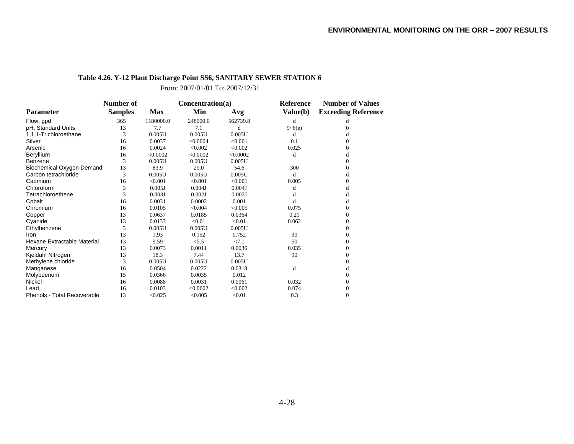### **Table 4.26. Y-12 Plant Discharge Point SS6, SANITARY SEWER STATION 6**

From: 2007/01/01 To: 2007/12/31

|                                    | Number of      |            | Concentration(a) |          | <b>Reference</b> | <b>Number of Values</b>    |  |
|------------------------------------|----------------|------------|------------------|----------|------------------|----------------------------|--|
| <b>Parameter</b>                   | <b>Samples</b> | <b>Max</b> | Min              | Avg      | Value(b)         | <b>Exceeding Reference</b> |  |
| Flow, gpd                          | 365            | 1180000.0  | 248000.0         | 562739.8 | d                | d                          |  |
| pH, Standard Units                 | 13             | 7.7        | 7.1              | d        | 9/6(e)           | 0                          |  |
| 1,1,1-Trichloroethane              | 3              | 0.005U     | 0.005U           | 0.005U   | d                | d                          |  |
| Silver                             | 16             | 0.0037     | < 0.0004         | < 0.001  | 0.1              |                            |  |
| Arsenic                            | 16             | 0.0024     | < 0.002          | < 0.002  | 0.025            | 0                          |  |
| Beryllium                          | 16             | < 0.0002   | < 0.0002         | < 0.0002 | d                |                            |  |
| Benzene                            | 3              | 0.005U     | 0.005U           | 0.005U   |                  | 0                          |  |
| Biochemical Oxygen Demand          | 13             | 83.9       | 29.0             | 54.6     | 300              |                            |  |
| Carbon tetrachloride               | 3              | 0.005U     | 0.005U           | 0.005U   | d                | d                          |  |
| Cadmium                            | 16             | < 0.001    | < 0.001          | < 0.001  | 0.005            |                            |  |
| Chloroform                         | 3              | 0.005J     | 0.004J           | 0.004J   | d                | d                          |  |
| Tetrachloroethene                  | 3              | 0.003J     | 0.002J           | 0.002J   | d                |                            |  |
| Cobalt                             | 16             | 0.0031     | 0.0002           | 0.001    | d                | d                          |  |
| Chromium                           | 16             | 0.0105     | < 0.004          | < 0.005  | 0.075            |                            |  |
| Copper                             | 13             | 0.0637     | 0.0185           | 0.0364   | 0.21             | 0                          |  |
| Cyanide                            | 13             | 0.0133     | < 0.01           | < 0.01   | 0.062            | $\Omega$                   |  |
| Ethylbenzene                       | 3              | 0.005U     | 0.005U           | 0.005U   |                  | $\Omega$                   |  |
| Iron                               | 13             | 1.93       | 0.152            | 0.752    | 30               |                            |  |
| Hexane Extractable Material        | 13             | 9.59       | < 5.5            | < 7.1    | 50               | $\Omega$                   |  |
| Mercury                            | 13             | 0.0073     | 0.0011           | 0.0036   | 0.035            | $\Omega$                   |  |
| Kjeldahl Nitrogen                  | 13             | 18.3       | 7.44             | 13.7     | 90               | $\Omega$                   |  |
| Methylene chloride                 | 3              | 0.005U     | 0.005U           | 0.005U   |                  |                            |  |
| Manganese                          | 16             | 0.0504     | 0.0222           | 0.0318   | d                | d                          |  |
| Molybdenum                         | 15             | 0.0366     | 0.0035           | 0.012    |                  |                            |  |
| Nickel                             | 16             | 0.0088     | 0.0031           | 0.0061   | 0.032            | 0                          |  |
| Lead                               | 16             | 0.0103     | < 0.0002         | < 0.002  | 0.074            | $\Omega$                   |  |
| <b>Phenols - Total Recoverable</b> | 13             | < 0.025    | < 0.005          | < 0.01   | 0.3              | $\overline{0}$             |  |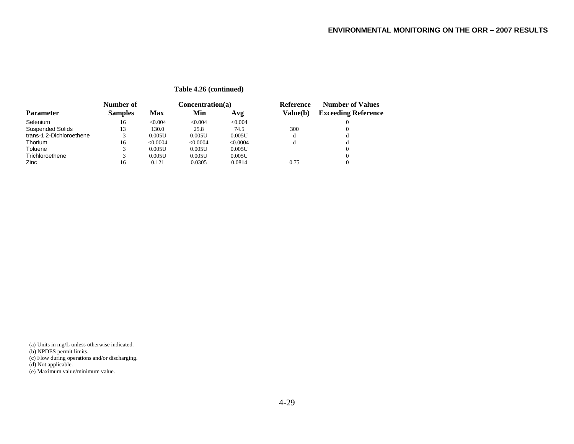|                          | Number of      |            | Concentration(a) |          | Reference | <b>Number of Values</b>    |
|--------------------------|----------------|------------|------------------|----------|-----------|----------------------------|
| <b>Parameter</b>         | <b>Samples</b> | <b>Max</b> | Min              | Avg      | Value(b)  | <b>Exceeding Reference</b> |
| Selenium                 | 16             | <0.004     | < 0.004          | < 0.004  |           |                            |
| <b>Suspended Solids</b>  | 13             | 130.0      | 25.8             | 74.5     | 300       | $\Omega$                   |
| trans-1,2-Dichloroethene |                | 0.005U     | 0.005U           | 0.005U   | d         | d                          |
| Thorium                  | 16             | < 0.0004   | < 0.0004         | < 0.0004 |           | đ                          |
| Toluene                  |                | 0.005U     | 0.005U           | 0.005U   |           |                            |
| Trichloroethene          |                | 0.005U     | 0.005U           | 0.005U   |           | $\Omega$                   |
| Zinc                     | 16             | 0.121      | 0.0305           | 0.0814   | 0.75      |                            |

#### **Table 4.26 (continued)**

(a) Units in mg/L unless otherwise indicated.

(b) NPDES permit limits.

(c) Flow during operations and/or discharging.

(d) Not applicable.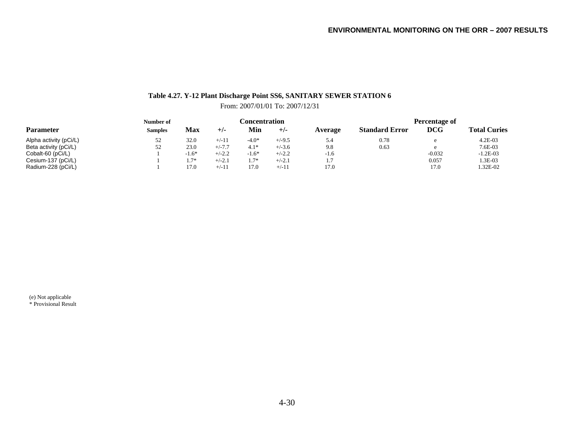### **Table 4.27. Y-12 Plant Discharge Point SS6, SANITARY SEWER STATION 6**

From: 2007/01/01 To: 2007/12/31

|                        | Number of      | <b>Concentration</b> |          |         |          |         | Percentage of         |            |                     |  |
|------------------------|----------------|----------------------|----------|---------|----------|---------|-----------------------|------------|---------------------|--|
| <b>Parameter</b>       | <b>Samples</b> | Max                  | $+/-$    | Min     | $+/-$    | Average | <b>Standard Error</b> | <b>DCG</b> | <b>Total Curies</b> |  |
| Alpha activity (pCi/L) | 52             | 32.0                 | $+/-11$  | $-4.0*$ | $+/-9.5$ | 5.4     | 0.78                  |            | 4.2E-03             |  |
| Beta activity (pCi/L)  | 52             | 23.0                 | $+/-7.7$ | $4.1*$  | $+/-3.6$ | 9.8     | 0.63                  |            | 7.6E-03             |  |
| Cobalt-60 (pCi/L)      |                | $-1.6*$              | $+/-2.2$ | $-1.6*$ | $+/-2.2$ | $-1.6$  |                       | $-0.032$   | $-1.2E-03$          |  |
| Cesium-137 (pCi/L)     |                | $1.7*$               | $+/-2.1$ | $1.7*$  | $+/-2.1$ |         |                       | 0.057      | $.3E-03$            |  |
| Radium-228 (pCi/L)     |                | 17.0                 | $+/-11$  | 17.0    | $+/-11$  | 17.0    |                       | 17.0       | 1.32E-02            |  |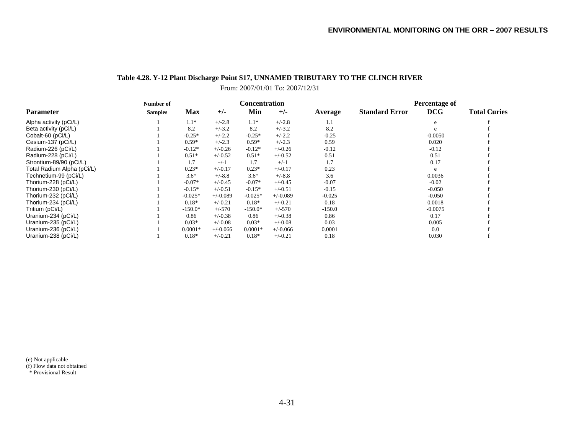# **Table 4.28. Y-12 Plant Discharge Point S17, UNNAMED TRIBUTARY TO THE CLINCH RIVER**

From: 2007/01/01 To: 2007/12/31

|                            | Number of      |            |            | Concentration |            |          | <b>Percentage of</b>  |            |                     |
|----------------------------|----------------|------------|------------|---------------|------------|----------|-----------------------|------------|---------------------|
| <b>Parameter</b>           | <b>Samples</b> | <b>Max</b> | $+/-$      | Min           | $+/-$      | Average  | <b>Standard Error</b> | <b>DCG</b> | <b>Total Curies</b> |
| Alpha activity (pCi/L)     |                | $1.1*$     | $+/-2.8$   | $1.1*$        | $+/-2.8$   | 1.1      |                       |            |                     |
| Beta activity (pCi/L)      |                | 8.2        | $+/-3.2$   | 8.2           | $+/-3.2$   | 8.2      |                       |            |                     |
| Cobalt-60 (pCi/L)          |                | $-0.25*$   | $+/-2.2$   | $-0.25*$      | $+/-2.2$   | $-0.25$  |                       | $-0.0050$  |                     |
| Cesium-137 (pCi/L)         |                | $0.59*$    | $+/-2.3$   | $0.59*$       | $+/-2.3$   | 0.59     |                       | 0.020      |                     |
| Radium-226 (pCi/L)         |                | $-0.12*$   | $+/-0.26$  | $-0.12*$      | $+/-0.26$  | $-0.12$  |                       | $-0.12$    |                     |
| Radium-228 (pCi/L)         |                | $0.51*$    | $+/-0.52$  | $0.51*$       | $+/-0.52$  | 0.51     |                       | 0.51       |                     |
| Strontium-89/90 (pCi/L)    |                | 1.7        | $+/-1$     | 1.7           | $+/-1$     | 1.7      |                       | 0.17       |                     |
| Total Radium Alpha (pCi/L) |                | $0.23*$    | $+/-0.17$  | $0.23*$       | $+/-0.17$  | 0.23     |                       | e          |                     |
| Technetium-99 (pCi/L)      |                | $3.6*$     | $+/-8.8$   | $3.6*$        | $+/-8.8$   | 3.6      |                       | 0.0036     |                     |
| Thorium-228 (pCi/L)        |                | $-0.07*$   | $+/-0.45$  | $-0.07*$      | $+/-0.45$  | $-0.07$  |                       | $-0.02$    |                     |
| Thorium-230 (pCi/L)        |                | $-0.15*$   | $+/-0.51$  | $-0.15*$      | $+/-0.51$  | $-0.15$  |                       | $-0.050$   |                     |
| Thorium-232 (pCi/L)        |                | $-0.025*$  | $+/-0.089$ | $-0.025*$     | $+/-0.089$ | $-0.025$ |                       | $-0.050$   |                     |
| Thorium-234 (pCi/L)        |                | $0.18*$    | $+/-0.21$  | $0.18*$       | $+/-0.21$  | 0.18     |                       | 0.0018     |                     |
| Tritium (pCi/L)            |                | $-150.0*$  | $+/-570$   | $-150.0*$     | $+/-570$   | $-150.0$ |                       | $-0.0075$  |                     |
| Uranium-234 (pCi/L)        |                | 0.86       | $+/-0.38$  | 0.86          | $+/-0.38$  | 0.86     |                       | 0.17       |                     |
| Uranium-235 (pCi/L)        |                | $0.03*$    | $+/-0.08$  | $0.03*$       | $+/-0.08$  | 0.03     |                       | 0.005      |                     |
| Uranium-236 (pCi/L)        |                | $0.0001*$  | $+/-0.066$ | $0.0001*$     | $+/-0.066$ | 0.0001   |                       | 0.0        |                     |
| Uranium-238 (pCi/L)        |                | $0.18*$    | $+/-0.21$  | $0.18*$       | $+/-0.21$  | 0.18     |                       | 0.030      |                     |

(e) Not applicable

(f) Flow data not obtained

\* Provisional Result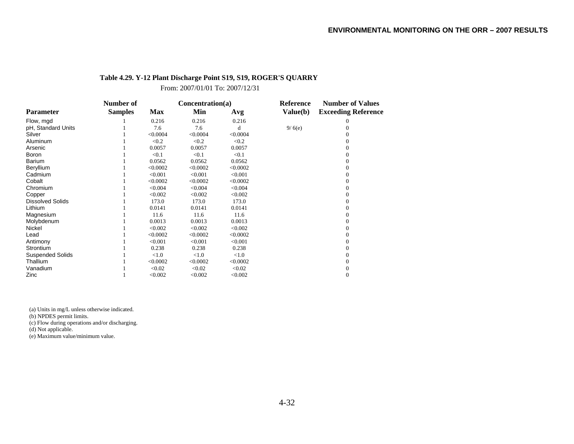#### **Table 4.29. Y-12 Plant Discharge Point S19, S19, ROGER'S QUARRY**

From: 2007/01/01 To: 2007/12/31

|                         | Number of      |          | Concentration(a) |          | <b>Reference</b> | <b>Number of Values</b>    |
|-------------------------|----------------|----------|------------------|----------|------------------|----------------------------|
| <b>Parameter</b>        | <b>Samples</b> | Max      | Min              | Avg      | Value(b)         | <b>Exceeding Reference</b> |
| Flow, mgd               |                | 0.216    | 0.216            | 0.216    |                  | 0                          |
| pH, Standard Units      |                | 7.6      | 7.6              | d        | 9/6(e)           |                            |
| Silver                  |                | < 0.0004 | < 0.0004         | < 0.0004 |                  |                            |
| Aluminum                |                | < 0.2    | < 0.2            | < 0.2    |                  |                            |
| Arsenic                 |                | 0.0057   | 0.0057           | 0.0057   |                  |                            |
| <b>Boron</b>            |                | < 0.1    | < 0.1            | < 0.1    |                  |                            |
| <b>Barium</b>           |                | 0.0562   | 0.0562           | 0.0562   |                  |                            |
| Beryllium               |                | < 0.0002 | < 0.0002         | < 0.0002 |                  |                            |
| Cadmium                 |                | < 0.001  | < 0.001          | < 0.001  |                  |                            |
| Cobalt                  |                | < 0.0002 | < 0.0002         | < 0.0002 |                  |                            |
| Chromium                |                | < 0.004  | < 0.004          | < 0.004  |                  |                            |
| Copper                  |                | < 0.002  | < 0.002          | < 0.002  |                  |                            |
| <b>Dissolved Solids</b> |                | 173.0    | 173.0            | 173.0    |                  |                            |
| Lithium                 |                | 0.0141   | 0.0141           | 0.0141   |                  |                            |
| Magnesium               |                | 11.6     | 11.6             | 11.6     |                  |                            |
| Molybdenum              |                | 0.0013   | 0.0013           | 0.0013   |                  |                            |
| Nickel                  |                | < 0.002  | < 0.002          | < 0.002  |                  |                            |
| Lead                    |                | < 0.0002 | < 0.0002         | < 0.0002 |                  |                            |
| Antimony                |                | < 0.001  | < 0.001          | < 0.001  |                  |                            |
| Strontium               |                | 0.238    | 0.238            | 0.238    |                  |                            |
| <b>Suspended Solids</b> |                | < 1.0    | < 1.0            | < 1.0    |                  |                            |
| Thallium                |                | < 0.0002 | < 0.0002         | < 0.0002 |                  |                            |
| Vanadium                |                | < 0.02   | < 0.02           | < 0.02   |                  |                            |
| Zinc                    |                | < 0.002  | < 0.002          | < 0.002  |                  | $\Omega$                   |

(a) Units in mg/L unless otherwise indicated.

(b) NPDES permit limits.

(c) Flow during operations and/or discharging.

(d) Not applicable.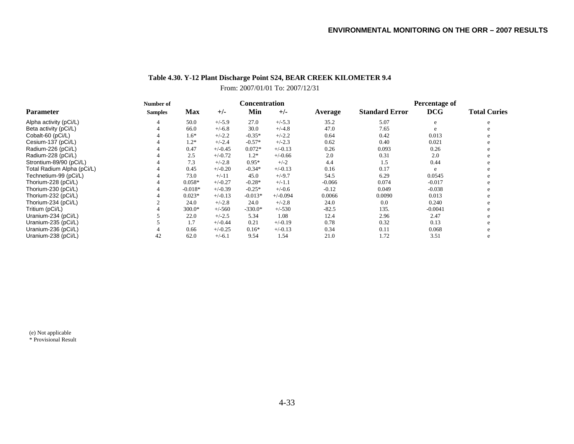### **Table 4.30. Y-12 Plant Discharge Point S24, BEAR CREEK KILOMETER 9.4**

### From: 2007/01/01 To: 2007/12/31

|                            | Number of      |            |           |           | <b>Concentration</b> |          | Percentage of         |            |                     |  |
|----------------------------|----------------|------------|-----------|-----------|----------------------|----------|-----------------------|------------|---------------------|--|
| Parameter                  | <b>Samples</b> | <b>Max</b> | $+/-$     | Min       | $+/-$                | Average  | <b>Standard Error</b> | <b>DCG</b> | <b>Total Curies</b> |  |
| Alpha activity (pCi/L)     |                | 50.0       | $+/-5.9$  | 27.0      | $+/-5.3$             | 35.2     | 5.07                  | e          | e                   |  |
| Beta activity (pCi/L)      |                | 66.0       | $+/-6.8$  | 30.0      | $+/-4.8$             | 47.0     | 7.65                  |            |                     |  |
| Cobalt-60 (pCi/L)          |                | $1.6*$     | $+/-2.2$  | $-0.35*$  | $+/-2.2$             | 0.64     | 0.42                  | 0.013      |                     |  |
| Cesium-137 (pCi/L)         |                | $1.2*$     | $+/-2.4$  | $-0.57*$  | $+/-2.3$             | 0.62     | 0.40                  | 0.021      | e                   |  |
| Radium-226 (pCi/L)         |                | 0.47       | $+/-0.45$ | $0.072*$  | $+/-0.13$            | 0.26     | 0.093                 | 0.26       | e                   |  |
| Radium-228 (pCi/L)         |                | 2.5        | $+/-0.72$ | $1.2*$    | $+/-0.66$            | 2.0      | 0.31                  | 2.0        | e                   |  |
| Strontium-89/90 (pCi/L)    |                | 7.3        | $+/-2.8$  | $0.95*$   | $+/-2$               | 4.4      | 1.5                   | 0.44       |                     |  |
| Total Radium Alpha (pCi/L) |                | 0.45       | $+/-0.20$ | $-0.34*$  | $+/-0.13$            | 0.16     | 0.17                  | e          |                     |  |
| Technetium-99 (pCi/L)      |                | 73.0       | $+/-11$   | 45.0      | $+/-9.7$             | 54.5     | 6.29                  | 0.0545     | e.                  |  |
| Thorium-228 (pCi/L)        |                | $0.058*$   | $+/-0.27$ | $-0.28*$  | $+/-1.1$             | $-0.066$ | 0.074                 | $-0.017$   |                     |  |
| Thorium-230 (pCi/L)        |                | $-0.018*$  | $+/-0.39$ | $-0.25*$  | $+/-0.6$             | $-0.12$  | 0.049                 | $-0.038$   |                     |  |
| Thorium-232 (pCi/L)        |                | $0.023*$   | $+/-0.13$ | $-0.013*$ | $+/-0.094$           | 0.0066   | 0.0090                | 0.013      |                     |  |
| Thorium-234 (pCi/L)        |                | 24.0       | $+/-2.8$  | 24.0      | $+/-2.8$             | 24.0     | 0.0                   | 0.240      |                     |  |
| Tritium (pCi/L)            |                | 300.0*     | $+/-560$  | $-330.0*$ | $+/-530$             | $-82.5$  | 135.                  | $-0.0041$  | e                   |  |
| Uranium-234 (pCi/L)        |                | 22.0       | $+/-2.5$  | 5.34      | 1.08                 | 12.4     | 2.96                  | 2.47       | e                   |  |
| Uranium-235 (pCi/L)        |                | 1.7        | $+/-0.44$ | 0.21      | $+/-0.19$            | 0.78     | 0.32                  | 0.13       |                     |  |
| Uranium-236 (pCi/L)        |                | 0.66       | $+/-0.25$ | $0.16*$   | $+/-0.13$            | 0.34     | 0.11                  | 0.068      |                     |  |
| Uranium-238 (pCi/L)        | 42             | 62.0       | $+/-6.1$  | 9.54      | 1.54                 | 21.0     | 1.72                  | 3.51       | e                   |  |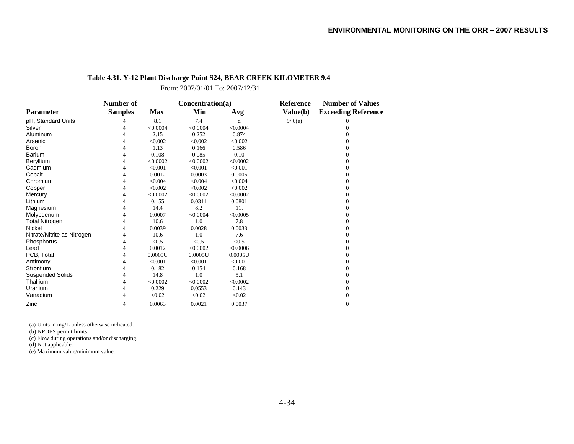#### **Table 4.31. Y-12 Plant Discharge Point S24, BEAR CREEK KILOMETER 9.4**

From: 2007/01/01 To: 2007/12/31

|                             | Number of      |            | Concentration(a) |          | Reference | <b>Number of Values</b>    |
|-----------------------------|----------------|------------|------------------|----------|-----------|----------------------------|
| <b>Parameter</b>            | <b>Samples</b> | <b>Max</b> | Min              | Avg      | Value(b)  | <b>Exceeding Reference</b> |
| pH, Standard Units          | 4              | 8.1        | 7.4              | d        | 9/6(e)    | 0                          |
| Silver                      | 4              | < 0.0004   | < 0.0004         | < 0.0004 |           | $\Omega$                   |
| Aluminum                    | 4              | 2.15       | 0.252            | 0.874    |           | 0                          |
| Arsenic                     | 4              | < 0.002    | < 0.002          | < 0.002  |           | 0                          |
| Boron                       | 4              | 1.13       | 0.166            | 0.586    |           | 0                          |
| Barium                      | 4              | 0.108      | 0.085            | 0.10     |           | $\Omega$                   |
| Beryllium                   | 4              | < 0.0002   | < 0.0002         | < 0.0002 |           | $\Omega$                   |
| Cadmium                     | 4              | < 0.001    | < 0.001          | < 0.001  |           | 0                          |
| Cobalt                      | 4              | 0.0012     | 0.0003           | 0.0006   |           | $\Omega$                   |
| Chromium                    | 4              | < 0.004    | < 0.004          | < 0.004  |           | 0                          |
| Copper                      | 4              | < 0.002    | < 0.002          | < 0.002  |           | $\Omega$                   |
| Mercury                     | 4              | < 0.0002   | < 0.0002         | < 0.0002 |           | $\Omega$                   |
| Lithium                     | 4              | 0.155      | 0.0311           | 0.0801   |           | 0                          |
| Magnesium                   | 4              | 14.4       | 8.2              | 11.      |           | $\Omega$                   |
| Molybdenum                  | 4              | 0.0007     | < 0.0004         | < 0.0005 |           | $\Omega$                   |
| <b>Total Nitrogen</b>       | 4              | 10.6       | 1.0              | 7.8      |           | 0                          |
| Nickel                      | 4              | 0.0039     | 0.0028           | 0.0033   |           | $\Omega$                   |
| Nitrate/Nitrite as Nitrogen | 4              | 10.6       | 1.0              | 7.6      |           | 0                          |
| Phosphorus                  | 4              | < 0.5      | < 0.5            | < 0.5    |           | $\Omega$                   |
| Lead                        | 4              | 0.0012     | < 0.0002         | < 0.0006 |           | 0                          |
| PCB, Total                  | 4              | 0.0005U    | 0.0005U          | 0.0005U  |           | 0                          |
| Antimony                    | 4              | < 0.001    | < 0.001          | < 0.001  |           | $\boldsymbol{0}$           |
| Strontium                   | 4              | 0.182      | 0.154            | 0.168    |           | 0                          |
| <b>Suspended Solids</b>     | 4              | 14.8       | 1.0              | 5.1      |           | $\Omega$                   |
| Thallium                    | 4              | < 0.0002   | < 0.0002         | < 0.0002 |           | 0                          |
| Uranium                     | 4              | 0.229      | 0.0553           | 0.143    |           | $\mathbf{0}$               |
| Vanadium                    | 4              | < 0.02     | < 0.02           | < 0.02   |           | $\overline{0}$             |
| Zinc                        | 4              | 0.0063     | 0.0021           | 0.0037   |           | $\boldsymbol{0}$           |

(a) Units in mg/L unless otherwise indicated.

(b) NPDES permit limits.

(c) Flow during operations and/or discharging.

(d) Not applicable.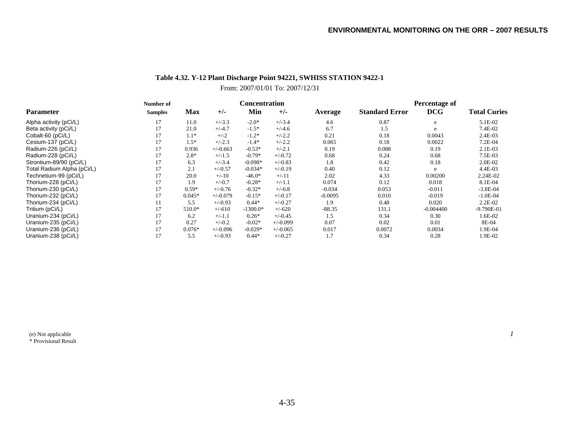### **Table 4.32. Y-12 Plant Discharge Point 94221, SWHISS STATION 9422-1**

#### From: 2007/01/01 To: 2007/12/31

|                            | Number of      |            |            | <b>Concentration</b> |            |           | Percentage of         |             |                     |  |
|----------------------------|----------------|------------|------------|----------------------|------------|-----------|-----------------------|-------------|---------------------|--|
| <b>Parameter</b>           | <b>Samples</b> | <b>Max</b> | $+/-$      | Min                  | $+/-$      | Average   | <b>Standard Error</b> | <b>DCG</b>  | <b>Total Curies</b> |  |
| Alpha activity (pCi/L)     | 17             | 11.0       | $+/-3.3$   | $-2.0*$              | $+/-3.4$   | 4.6       | 0.87                  | e           | 5.1E-02             |  |
| Beta activity (pCi/L)      | 17             | 21.0       | $+/-4.7$   | $-1.5*$              | $+/-4.6$   | 6.7       | 1.5                   | e           | 7.4E-02             |  |
| Cobalt-60 (pCi/L)          | 17             | $1.1*$     | $+/-2$     | $-1.2*$              | $+/-2.2$   | 0.21      | 0.18                  | 0.0043      | 2.4E-03             |  |
| Cesium-137 (pCi/L)         | 17             | $1.5*$     | $+/-2.3$   | $-1.4*$              | $+/-2.2$   | 0.065     | 0.18                  | 0.0022      | 7.2E-04             |  |
| Radium-226 (pCi/L)         | 17             | 0.936      | $+/-0.663$ | $-0.53*$             | $+/-2.1$   | 0.19      | 0.088                 | 0.19        | $2.1E-03$           |  |
| Radium-228 (pCi/L)         | 17             | $2.8*$     | $+/-1.5$   | $-0.79*$             | $+/-0.72$  | 0.68      | 0.24                  | 0.68        | 7.5E-03             |  |
| Strontium-89/90 (pCi/L)    | 17             | 6.3        | $+/-3.4$   | $-0.098*$            | $+/-0.83$  | 1.8       | 0.42                  | 0.18        | 2.0E-02             |  |
| Total Radium Alpha (pCi/L) |                | 2.1        | $+/-0.57$  | $-0.034*$            | $+/-0.19$  | 0.40      | 0.12                  | e           | 4.4E-03             |  |
| Technetium-99 (pCi/L)      | 17             | 20.0       | $+/-10$    | $-46.0*$             | $+/-11$    | 2.02      | 4.33                  | 0.00200     | 2.24E-02            |  |
| Thorium-228 (pCi/L)        | 17             | 1.9        | $+/-0.7$   | $-0.28*$             | $+/-1.1$   | 0.074     | 0.12                  | 0.018       | 8.1E-04             |  |
| Thorium-230 (pCi/L)        | 17             | $0.59*$    | $+/-0.76$  | $-0.32*$             | $+/-0.8$   | $-0.034$  | 0.053                 | $-0.011$    | $-3.8E-04$          |  |
| Thorium-232 (pCi/L)        | 17             | $0.045*$   | $+/-0.079$ | $-0.15*$             | $+/-0.17$  | $-0.0095$ | 0.010                 | $-0.019$    | $-1.0E-04$          |  |
| Thorium-234 (pCi/L)        |                | 5.5        | $+/-0.93$  | $0.44*$              | $+/-0.27$  | 1.9       | 0.48                  | 0.020       | $2.2E-02$           |  |
| Tritium (pCi/L)            | 17             | 510.0*     | $+/-610$   | $-1300.0*$           | $+/-620$   | $-88.35$  | 131.1                 | $-0.004400$ | $-9.790E - 01$      |  |
| Uranium-234 (pCi/L)        | 17             | 6.2        | $+/-1.1$   | $0.26*$              | $+/-0.45$  | 1.5       | 0.34                  | 0.30        | 1.6E-02             |  |
| Uranium-235 (pCi/L)        | 17             | 0.27       | $+/-0.2$   | $-0.02*$             | $+/-0.099$ | 0.07      | 0.02                  | 0.01        | 8E-04               |  |
| Uranium-236 (pCi/L)        | 17             | $0.076*$   | $+/-0.096$ | $-0.029*$            | $+/-0.065$ | 0.017     | 0.0072                | 0.0034      | 1.9E-04             |  |
| Uranium-238 (pCi/L)        | 17             | 5.5        | $+/-0.93$  | $0.44*$              | $+/-0.27$  | 1.7       | 0.34                  | 0.28        | 1.9E-02             |  |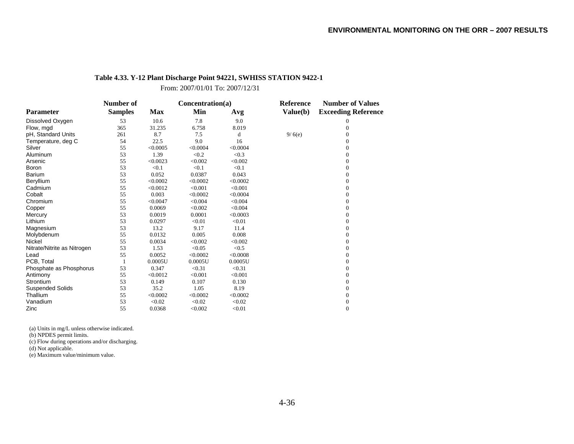#### **Table 4.33. Y-12 Plant Discharge Point 94221, SWHISS STATION 9422-1**

From: 2007/01/01 To: 2007/12/31

|                             | Number of      |            | Concentration(a) |          | Reference | <b>Number of Values</b>    |
|-----------------------------|----------------|------------|------------------|----------|-----------|----------------------------|
| <b>Parameter</b>            | <b>Samples</b> | <b>Max</b> | Min              | Avg      | Value(b)  | <b>Exceeding Reference</b> |
| Dissolved Oxygen            | 53             | 10.6       | 7.8              | 9.0      |           | 0                          |
| Flow, mgd                   | 365            | 31.235     | 6.758            | 8.019    |           | $\Omega$                   |
| pH, Standard Units          | 261            | 8.7        | 7.5              | d        | 9/6(e)    | 0                          |
| Temperature, deg C          | 54             | 22.5       | 9.0              | 16       |           | $\Omega$                   |
| Silver                      | 55             | < 0.0005   | < 0.0004         | < 0.0004 |           | $\mathbf{0}$               |
| Aluminum                    | 53             | 1.39       | < 0.2            | < 0.3    |           | 0                          |
| Arsenic                     | 55             | < 0.0023   | < 0.002          | < 0.002  |           | $\mathbf{0}$               |
| Boron                       | 53             | < 0.1      | < 0.1            | < 0.1    |           | $\mathbf{0}$               |
| <b>Barium</b>               | 53             | 0.052      | 0.0387           | 0.043    |           | $\mathbf{0}$               |
| Beryllium                   | 55             | < 0.0002   | < 0.0002         | < 0.0002 |           | $\Omega$                   |
| Cadmium                     | 55             | < 0.0012   | < 0.001          | < 0.001  |           | $\Omega$                   |
| Cobalt                      | 55             | 0.003      | < 0.0002         | < 0.0004 |           | $\Omega$                   |
| Chromium                    | 55             | < 0.0047   | < 0.004          | < 0.004  |           | $\mathbf{0}$               |
| Copper                      | 55             | 0.0069     | < 0.002          | < 0.004  |           | $\mathbf{0}$               |
| Mercury                     | 53             | 0.0019     | 0.0001           | < 0.0003 |           | $\mathbf{0}$               |
| Lithium                     | 53             | 0.0297     | < 0.01           | < 0.01   |           | $\mathbf{0}$               |
| Magnesium                   | 53             | 13.2       | 9.17             | 11.4     |           | $\Omega$                   |
| Molybdenum                  | 55             | 0.0132     | 0.005            | 0.008    |           | $\mathbf{0}$               |
| Nickel                      | 55             | 0.0034     | < 0.002          | < 0.002  |           | $\mathbf{0}$               |
| Nitrate/Nitrite as Nitrogen | 53             | 1.53       | < 0.05           | < 0.5    |           | $\Omega$                   |
| Lead                        | 55             | 0.0052     | < 0.0002         | < 0.0008 |           | $\mathbf{0}$               |
| PCB, Total                  |                | 0.0005U    | 0.0005U          | 0.0005U  |           | $\overline{0}$             |
| Phosphate as Phosphorus     | 53             | 0.347      | < 0.31           | < 0.31   |           | $\mathbf{0}$               |
| Antimony                    | 55             | < 0.0012   | < 0.001          | < 0.001  |           | $\mathbf{0}$               |
| Strontium                   | 53             | 0.149      | 0.107            | 0.130    |           | $\mathbf{0}$               |
| <b>Suspended Solids</b>     | 53             | 35.2       | 1.05             | 8.19     |           | $\Omega$                   |
| Thallium                    | 55             | < 0.0002   | < 0.0002         | < 0.0002 |           | $\mathbf{0}$               |
| Vanadium                    | 53             | < 0.02     | < 0.02           | < 0.02   |           | $\boldsymbol{0}$           |
| Zinc                        | 55             | 0.0368     | < 0.002          | < 0.01   |           | $\mathbf{0}$               |

(a) Units in mg/L unless otherwise indicated.

(b) NPDES permit limits.

(c) Flow during operations and/or discharging.

(d) Not applicable.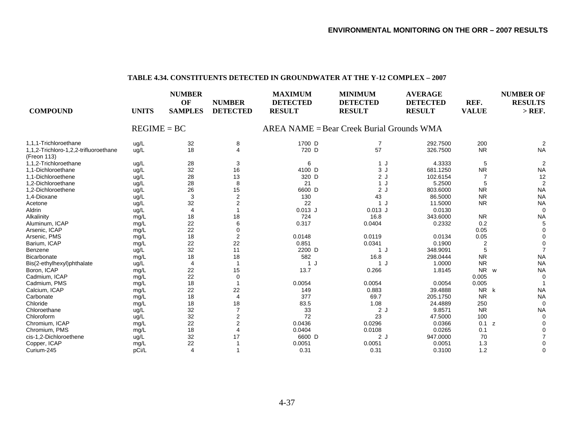#### **TABLE 4.34. CONSTITUENTS DETECTED IN GROUNDWATER AT THE Y-12 COMPLEX – 2007**

| <b>COMPOUND</b>                                      | <b>UNITS</b>  | <b>NUMBER</b><br>OF<br><b>SAMPLES</b> | <b>NUMBER</b><br><b>DETECTED</b> | <b>MAXIMUM</b><br><b>DETECTED</b><br><b>RESULT</b> | <b>MINIMUM</b><br><b>DETECTED</b><br><b>RESULT</b> | <b>AVERAGE</b><br><b>DETECTED</b><br><b>RESULT</b> | REF.<br><b>VALUE</b> | <b>NUMBER OF</b><br><b>RESULTS</b><br>$>$ REF. |
|------------------------------------------------------|---------------|---------------------------------------|----------------------------------|----------------------------------------------------|----------------------------------------------------|----------------------------------------------------|----------------------|------------------------------------------------|
|                                                      | $REGIME = BC$ |                                       |                                  |                                                    | $AREA NAME = Bear Creek Burial Groups WMA$         |                                                    |                      |                                                |
| 1,1,1-Trichloroethane                                | ug/L          | 32                                    | 8                                | 1700 D                                             | 7                                                  | 292.7500                                           | 200                  |                                                |
| 1,1,2-Trichloro-1,2,2-trifluoroethane<br>(Freon 113) | ug/L          | 18                                    | 4                                | 720 D                                              | 57                                                 | 326.7500                                           | <b>NR</b>            | <b>NA</b>                                      |
| 1,1,2-Trichloroethane                                | ug/L          | 28                                    | 3                                | 6                                                  | 1 J                                                | 4.3333                                             | 5                    | $\overline{2}$                                 |
| 1,1-Dichloroethane                                   | ug/L          | 32                                    | 16                               | 4100 D                                             | 3J                                                 | 681.1250                                           | <b>NR</b>            | <b>NA</b>                                      |
| 1.1-Dichloroethene                                   | ug/L          | 28                                    | 13                               | 320 D                                              | 2J                                                 | 102.6154                                           |                      | 12                                             |
| 1,2-Dichloroethane                                   | ug/L          | 28                                    | 8                                | 21                                                 | 1 J                                                | 5.2500                                             |                      | $\overline{2}$                                 |
| 1,2-Dichloroethene                                   | ug/L          | 26                                    | 15                               | 6600 D                                             | 2J                                                 | 803.6000                                           | <b>NR</b>            | <b>NA</b>                                      |
| 1,4-Dioxane                                          | ug/L          | 3                                     | $\overline{2}$                   | 130                                                | 43                                                 | 86.5000                                            | <b>NR</b>            | <b>NA</b>                                      |
| Acetone                                              | ug/L          | 32                                    | $\overline{2}$                   | 22                                                 | 1 J                                                | 11.5000                                            | <b>NR</b>            | <b>NA</b>                                      |
| Aldrin                                               | ug/L          | $\overline{4}$                        |                                  | $0.013$ J                                          | $0.013$ J                                          | 0.0130                                             |                      | $\Omega$                                       |
| Alkalinity                                           | mg/L          | 18                                    | 18                               | 724                                                | 16.8                                               | 343.6000                                           | <b>NR</b>            | <b>NA</b>                                      |
| Aluminum, ICAP                                       | mg/L          | 22                                    | 6                                | 0.317                                              | 0.0404                                             | 0.2332                                             | 0.2                  | 5                                              |
| Arsenic, ICAP                                        | mg/L          | 22                                    | $\overline{0}$                   |                                                    |                                                    |                                                    | 0.05                 |                                                |
| Arsenic, PMS                                         | mg/L          | 18                                    | $\overline{2}$                   | 0.0148                                             | 0.0119                                             | 0.0134                                             | 0.05                 |                                                |
| Barium, ICAP                                         | mg/L          | 22                                    | 22                               | 0.851                                              | 0.0341                                             | 0.1900                                             |                      |                                                |
| Benzene                                              | ug/L          | 32                                    | 11                               | 2200 D                                             | 1J                                                 | 348.9091                                           |                      |                                                |
| Bicarbonate                                          | mg/L          | 18                                    | 18                               | 582                                                | 16.8                                               | 298.0444                                           | <b>NR</b>            | <b>NA</b>                                      |
| Bis(2-ethylhexyl)phthalate                           | ug/L          |                                       | 1                                | 1 J                                                | 1 J                                                | 1.0000                                             | <b>NR</b>            | <b>NA</b>                                      |
| Boron, ICAP                                          | mg/L          | 22                                    | 15                               | 13.7                                               | 0.266                                              | 1.8145                                             | <b>NR</b><br>W       | <b>NA</b>                                      |
| Cadmium, ICAP                                        | mg/L          | 22                                    | $\overline{0}$                   |                                                    |                                                    |                                                    | 0.005                | $\Omega$                                       |
| Cadmium, PMS                                         | mg/L          | 18                                    |                                  | 0.0054                                             | 0.0054                                             | 0.0054                                             | 0.005                |                                                |
| Calcium, ICAP                                        | mg/L          | 22                                    | 22                               | 149                                                | 0.883                                              | 39.4888                                            | <b>NR</b>            | <b>NA</b><br>k                                 |
| Carbonate                                            | mg/L          | 18                                    | $\overline{4}$                   | 377                                                | 69.7                                               | 205.1750                                           | <b>NR</b>            | <b>NA</b>                                      |
| Chloride                                             | mg/L          | 18                                    | 18                               | 83.5                                               | 1.08                                               | 24.4889                                            | 250                  | $\Omega$                                       |
| Chloroethane                                         | ug/L          | 32                                    |                                  | 33                                                 | 2J                                                 | 9.8571                                             | <b>NR</b>            | <b>NA</b>                                      |
| Chloroform                                           | ug/L          | 32                                    | 2                                | 72                                                 | 23                                                 | 47.5000                                            | 100                  | $\Omega$                                       |
| Chromium, ICAP                                       | mg/L          | 22                                    | 2                                | 0.0436                                             | 0.0296                                             | 0.0366                                             | 0.1<br>z             |                                                |
| Chromium, PMS                                        | mg/L          | 18                                    |                                  | 0.0404                                             | 0.0108                                             | 0.0265                                             | 0.1                  |                                                |
| cis-1,2-Dichloroethene                               | ug/L          | 32                                    | 17                               | 6600 D                                             | 2J                                                 | 947.0000                                           | 70                   |                                                |
| Copper, ICAP                                         | mg/L          | 22                                    |                                  | 0.0051                                             | 0.0051                                             | 0.0051                                             | 1.3                  |                                                |
| Curium-245                                           | pCi/L         | $\overline{4}$                        |                                  | 0.31                                               | 0.31                                               | 0.3100                                             | 1.2                  | $\Omega$                                       |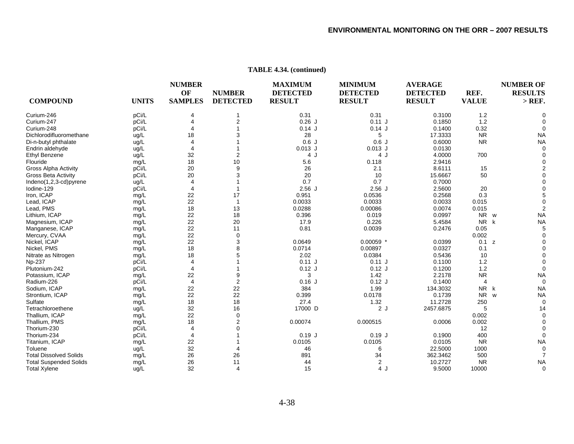#### **NUMBER MAXIMUM MINIMUM AVERAGE NUMBER OF OF NUMBER DETECTED DETECTED DETECTED REF. RESULTS COMPOUND UNITS SAMPLES DETECTED RESULT RESULT RESULT VALUE > REF.**  Curium-2466 pCi/L 4 1 0.31 0.31 0.3100 1.2 0 Curium-2477 pCi/L 4 2 0.26 J 0.11 J 0.1850 1.2 0 Curium-2488 pCi/L 4 1 0.14 J 0.14 J 0.1400 0.32 Dichlorodifluoromethanee ug/L 18 3 28 5 17.3333 NR NA Di-n-butyl phthalate ug/L 4 1 0.6 J 0.6 J 0.6000 NR NA Endrin aldehyde ug/L 4 1 0.013 J 0.013 J 0.0130 0 Ethyl Benzene ug/L 32 2 4 J 4 U 4.0000 700 0 Flouridee mg/L 18 10 5.6 0.118 2.9416 0 Gross Alpha Activity pCi/L 20 9 26 2.1 8.6111 15 2 Gross Beta Activity pCi/L 20 3 20 10 15.6667 50 0 Indeno(1,2,3-cd)pyrene ug/L 4 1 0.7 0.7 0.7000 0 Iodine-1299 pCi/L 4 1 2.56 J 2.56 J 2.5600 20 0 lron, ICAP mg/L 22 17 0.951 0.0536 0.2568 0.3 5 Lead, ICAP mg/L 22 1 0.0033 0.0033 0.0033 0.0015 0 Lead, PMS mg/L 18 13 0.0288 0.00086 0.0074 0.015 2 Lithium, ICAP mg/L 22 18 0.396 0.019 0.0997 NR NR w NA Magnesium, ICAP mg/L 22 20 17.9 0.226 5.4584 NR k NA Manganese, ICAP mg/L 22 11 0.81 0.0039 0.2476 0.05 5 Mercury, CVAA mg/L 22 0 0.002 0 Nickel, ICAP mg/L 22 3 0.0649 0.00059 \* 0.0399 0.1 z 0 Nickel, PMS mg/L 18 8 0.0714 0.00897 0.0327 0.1 0 Nitrate as Nitrogen mg/L 18 5 2.02 0.0384 0.5436 10 0 Np-237 pCi/L 4 1 0.11 J 0.11 J 0.1100 1.2 0 Plutonium-2422 pCi/L 4 1 0.12 J 0.12 J 0.1200 1.2 0 Potassium, ICAP mg/L 22 9 3 1.42 2.2178 NR NA Radium-2266 pCi/L 4 2 0.16 J 0.12 J 0.1400 4 0 Sodium, ICAP mg/L 22 22 384 1.99 134.3032 NR k NA Strontium, ICAP mg/L 22 22 0.399 0.0178 0.1739 NR w NA Sulfatee mg/L 18 18 27.4 1.32 11.2728 250 0 **Tetrachloroethene**  ug/L 32 16 17000 17000 D 2 J 2457.6875 5 14 Thallium, ICAP mg/L 22 0 0.002 0 Thallium, PMS mg/L 18 2 0.00074 0.000515 0.0006 0.002 0 Thorium-230 pCi/L 4 0 12 0 Thorium-2344 pCi/L 4 1 0.19 J 0.19 J 0.1900 400 0 Titanium, ICAP mg/L 22 1 0.0105 0.0105 0.0105 NR NA Toluenee ug/L 32 4 46 6 22.5000 1000 0 Total Dissolved Solidss mg/L 26 26 891 34 362.3462 500 7 Total Suspended Solids mg/L 26 11 44 2 10.2727 NR NA Total Xylene ug/L 32 4 15 4 J 9.5000 10000 0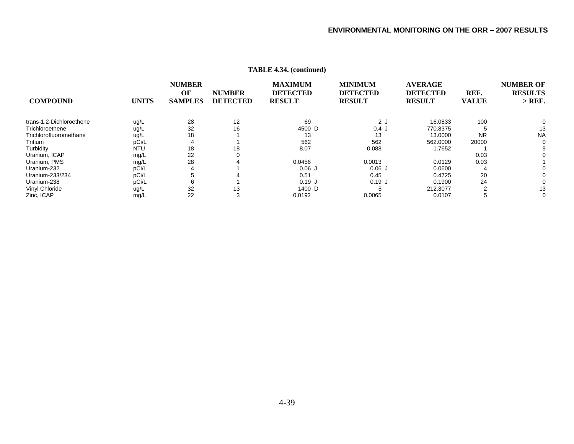| <b>COMPOUND</b>          | <b>UNITS</b> | <b>NUMBER</b><br>OF<br><b>SAMPLES</b> | <b>NUMBER</b><br><b>DETECTED</b> | <b>MAXIMUM</b><br><b>DETECTED</b><br><b>RESULT</b> | <b>MINIMUM</b><br><b>DETECTED</b><br><b>RESULT</b> | <b>AVERAGE</b><br><b>DETECTED</b><br><b>RESULT</b> | REF.<br><b>VALUE</b> | <b>NUMBER OF</b><br><b>RESULTS</b><br>$>$ REF. |
|--------------------------|--------------|---------------------------------------|----------------------------------|----------------------------------------------------|----------------------------------------------------|----------------------------------------------------|----------------------|------------------------------------------------|
| trans-1,2-Dichloroethene | ug/L         | 28                                    | 12                               | 69                                                 | 2J                                                 | 16.0833                                            | 100                  | 0                                              |
| Trichloroethene          | ug/L         | 32                                    | 16                               | 4500 D                                             | 0.4J                                               | 770.8375                                           |                      | 13                                             |
| Trichlorofluoromethane   | ug/L         | 18                                    |                                  | 13                                                 | 13                                                 | 13.0000                                            | <b>NR</b>            | <b>NA</b>                                      |
| Tritium                  | pCi/L        |                                       |                                  | 562                                                | 562                                                | 562,0000                                           | 20000                | 0                                              |
| Turbidity                | <b>NTU</b>   | 18                                    | 18                               | 8.07                                               | 0.088                                              | 1.7652                                             |                      |                                                |
| Uranium, ICAP            | mg/L         | 22                                    | 0                                |                                                    |                                                    |                                                    | 0.03                 |                                                |
| Uranium, PMS             | mg/L         | 28                                    |                                  | 0.0456                                             | 0.0013                                             | 0.0129                                             | 0.03                 |                                                |
| Uranium-232              | pCi/L        |                                       |                                  | 0.06J                                              | 0.06J                                              | 0.0600                                             |                      | 0                                              |
| Uranium-233/234          | pCi/L        |                                       |                                  | 0.51                                               | 0.45                                               | 0.4725                                             | 20                   | 0                                              |
| Uranium-238              | pCi/L        | 6                                     |                                  | 0.19J                                              | 0.19J                                              | 0.1900                                             | 24                   |                                                |
| Vinyl Chloride           | ug/L         | 32                                    | 13                               | 1400 D                                             |                                                    | 212,3077                                           | $\sim$               | 13                                             |
| Zinc, ICAP               | mg/L         | 22                                    | 3                                | 0.0192                                             | 0.0065                                             | 0.0107                                             | G                    | 0                                              |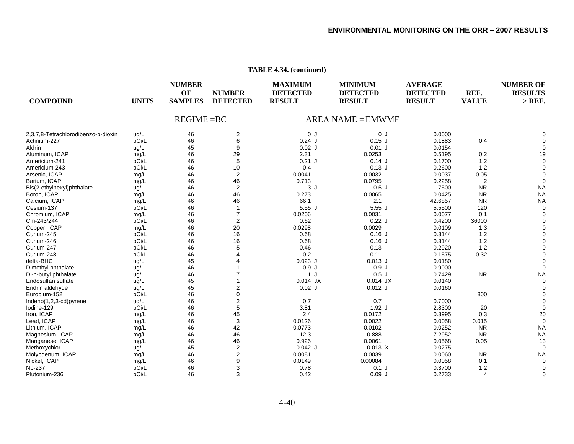| TABLE 4.34. (continued) |  |
|-------------------------|--|
|-------------------------|--|

| OF<br><b>NUMBER</b><br><b>DETECTED</b><br><b>DETECTED</b><br>REF.<br><b>DETECTED</b><br><b>COMPOUND</b><br><b>UNITS</b><br><b>SAMPLES</b><br><b>RESULT</b><br><b>VALUE</b><br><b>DETECTED</b><br><b>RESULT</b><br><b>RESULT</b> | <b>RESULTS</b><br>$>$ REF. |
|---------------------------------------------------------------------------------------------------------------------------------------------------------------------------------------------------------------------------------|----------------------------|
| $REGIME = BC$<br>$AREA NAME = EMWMF$                                                                                                                                                                                            |                            |
| 2<br>2,3,7,8-Tetrachlorodibenzo-p-dioxin<br>46<br>0J<br>0J<br>0.0000<br>ug/L                                                                                                                                                    |                            |
| pCi/L<br>46<br>6<br>$0.24$ J<br>Actinium-227<br>$0.15$ J<br>0.1883                                                                                                                                                              | 0.4                        |
| 45<br>9<br>$0.02$ J<br>$0.01$ J<br>0.0154<br>Aldrin<br>ug/L                                                                                                                                                                     |                            |
| 46<br>29<br>Aluminum, ICAP<br>2.31<br>0.0253<br>0.5195<br>mg/L                                                                                                                                                                  | 0.2<br>19                  |
| 46<br>pCi/L<br>5<br>$0.21$ J<br>0.14J<br>0.1700<br>Americium-241                                                                                                                                                                | 1.2                        |
| 46<br>10<br>$0.13$ J<br>pCi/L<br>0.4<br>0.2600<br>Americium-243                                                                                                                                                                 | 1.2                        |
| 46<br>$\overline{2}$<br>0.0032<br>0.0037<br>Arsenic, ICAP<br>0.0041<br>mg/L                                                                                                                                                     | 0.05                       |
| 46<br>46<br>0.713<br>0.0795<br>Barium, ICAP<br>0.2258<br>mg/L                                                                                                                                                                   | $\overline{2}$             |
| 46<br>2<br>3J<br>0.5J<br>1.7500<br>Bis(2-ethylhexyl)phthalate<br>ug/L                                                                                                                                                           | <b>NR</b><br><b>NA</b>     |
| 46<br>46<br>0.273<br>Boron, ICAP<br>0.0065<br>0.0425<br>mg/L                                                                                                                                                                    | <b>NR</b><br><b>NA</b>     |
| 46<br>46<br>66.1<br>2.1<br>42.6857<br>Calcium, ICAP<br>mg/L                                                                                                                                                                     | <b>NR</b><br><b>NA</b>     |
| 46<br>5.55J<br>5.55J<br>pCi/L<br>$\mathbf{1}$<br>5.5500<br>Cesium-137                                                                                                                                                           | 120                        |
| 46<br>$\overline{7}$<br>Chromium, ICAP<br>0.0206<br>0.0031<br>0.0077<br>mg/L                                                                                                                                                    | 0.1                        |
| 0.22J<br>pCi/L<br>46<br>2<br>0.62<br>0.4200<br>36000<br>Cm-243/244                                                                                                                                                              |                            |
| 46<br>20<br>0.0298<br>0.0029<br>0.0109<br>Copper, ICAP<br>mg/L                                                                                                                                                                  | 1.3                        |
| 46<br>16<br>$0.16$ J<br>pCi/L<br>0.68<br>0.3144<br>Curium-245                                                                                                                                                                   | 1.2                        |
| 46<br>Curium-246<br>pCi/L<br>16<br>0.68<br>$0.16$ J<br>0.3144                                                                                                                                                                   | 1.2                        |
| 46<br>pCi/L<br>5<br>0.46<br>0.13<br>0.2920<br>Curium-247                                                                                                                                                                        | 1.2                        |
| pCi/L<br>46<br>0.2<br>0.11<br>0.1575<br>Curium-248                                                                                                                                                                              | 0.32                       |
| 45<br>$0.023$ J<br>$0.013$ J<br>delta-BHC<br>0.0180<br>ug/L                                                                                                                                                                     |                            |
| 46<br>0.9J<br>0.9J<br>0.9000<br>Dimethyl phthalate<br>ug/L                                                                                                                                                                      |                            |
| 46<br>1 J<br>0.5J<br>0.7429<br>Di-n-butyl phthalate<br>ug/L                                                                                                                                                                     | <b>NR</b><br><b>NA</b>     |
| 45<br>$0.014$ JX<br>0.0140<br>Endosulfan sulfate<br>ug/L<br>$0.014$ JX                                                                                                                                                          | $\Omega$                   |
| 45<br>2<br>$0.02$ J<br>$0.012$ J<br>0.0160<br>Endrin aldehyde<br>ug/L                                                                                                                                                           |                            |
| 46<br>0<br>pCi/L<br>Europium-152                                                                                                                                                                                                | 800                        |
| 46<br>2<br>0.7<br>0.7<br>Indeno(1,2,3-cd)pyrene<br>0.7000<br>ug/L                                                                                                                                                               |                            |
| 5<br>46<br>pCi/L<br>3.81<br>$1.92$ J<br>2.8300<br>lodine-129                                                                                                                                                                    | 20                         |
| 46<br>45<br>2.4<br>0.0172<br>0.3995<br>Iron, ICAP<br>mg/L                                                                                                                                                                       | 0.3<br>20                  |
| 46<br>0.015<br>Lead, ICAP<br>3<br>0.0126<br>0.0022<br>0.0058<br>mg/L                                                                                                                                                            | $\Omega$                   |
| 46<br>42<br>0.0773<br>Lithium, ICAP<br>0.0102<br>0.0252<br>mg/L                                                                                                                                                                 | <b>NR</b><br><b>NA</b>     |
| 46<br>46<br>0.888<br>12.3<br>7.2952<br>Magnesium, ICAP<br>mg/L                                                                                                                                                                  | <b>NR</b><br><b>NA</b>     |
| 46<br>46<br>0.926<br>0.0061<br>0.0568<br>Manganese, ICAP<br>mg/L                                                                                                                                                                | 0.05<br>13                 |
| 45<br>$\overline{2}$<br>$0.042$ J<br>0.013 X<br>Methoxychlor<br>ug/L<br>0.0275                                                                                                                                                  |                            |
| 46<br>$\overline{\mathbf{c}}$<br>0.0081<br>0.0039<br>0.0060<br>Molybdenum, ICAP<br>mg/L                                                                                                                                         | <b>NR</b><br><b>NA</b>     |
| 46<br>9<br>0.00084<br>0.0058<br>Nickel, ICAP<br>0.0149<br>mg/L                                                                                                                                                                  | 0.1<br>$\Omega$            |
| 46<br>3<br>Np-237<br>pCi/L<br>0.78<br>$0.1$ J<br>0.3700                                                                                                                                                                         | 1.2                        |
| 3<br>pCi/L<br>46<br>0.42<br>0.09J<br>0.2733<br>Plutonium-236                                                                                                                                                                    | 4<br>$\Omega$              |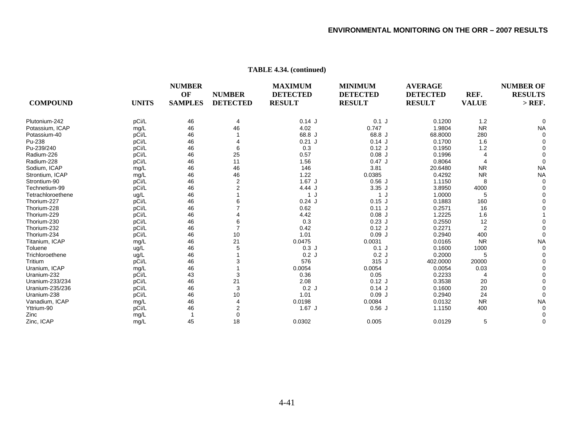|                   |              | <b>NUMBER</b>  |                 | <b>MAXIMUM</b>  | <b>MINIMUM</b><br><b>DETECTED</b> | <b>AVERAGE</b>  |                      | <b>NUMBER OF</b><br><b>RESULTS</b> |
|-------------------|--------------|----------------|-----------------|-----------------|-----------------------------------|-----------------|----------------------|------------------------------------|
|                   |              | OF             | <b>NUMBER</b>   | <b>DETECTED</b> |                                   | <b>DETECTED</b> | REF.<br><b>VALUE</b> |                                    |
| <b>COMPOUND</b>   | <b>UNITS</b> | <b>SAMPLES</b> | <b>DETECTED</b> | <b>RESULT</b>   | <b>RESULT</b>                     | <b>RESULT</b>   |                      | $>$ REF.                           |
| Plutonium-242     | pCi/L        | 46             | 4               | 0.14J           | $0.1$ J                           | 0.1200          | 1.2                  |                                    |
| Potassium, ICAP   | mg/L         | 46             | 46              | 4.02            | 0.747                             | 1.9804          | <b>NR</b>            | <b>NA</b>                          |
| Potassium-40      | pCi/L        | 46             |                 | 68.8 J          | 68.8 J                            | 68.8000         | 280                  |                                    |
| Pu-238            | pCi/L        | 46             |                 | $0.21$ J        | $0.14$ J                          | 0.1700          | 1.6                  |                                    |
| Pu-239/240        | pCi/L        | 46             | 6               | 0.3             | $0.12$ J                          | 0.1950          | 1.2                  |                                    |
| Radium-226        | pCi/L        | 46             | 25              | 0.57            | $0.08$ J                          | 0.1996          |                      |                                    |
| Radium-228        | pCi/L        | 46             | 11              | 1.56            | 0.47J                             | 0.8064          |                      |                                    |
| Sodium, ICAP      | mg/L         | 46             | 46              | 146             | 3.81                              | 20.6480         | <b>NR</b>            | <b>NA</b>                          |
| Strontium, ICAP   | mg/L         | 46             | 46              | 1.22            | 0.0385                            | 0.4292          | <b>NR</b>            | <b>NA</b>                          |
| Strontium-90      | pCi/L        | 46             | $\overline{2}$  | $1.67$ J        | 0.56J                             | 1.1150          | 8                    |                                    |
| Technetium-99     | pCi/L        | 46             | 2               | 4.44 J          | $3.35$ J                          | 3.8950          | 4000                 |                                    |
| Tetrachloroethene | ug/L         | 46             |                 | 1 J             | 1J                                | 1.0000          | 5                    |                                    |
| Thorium-227       | pCi/L        | 46             |                 | $0.24$ J        | $0.15$ J                          | 0.1883          | 160                  |                                    |
| Thorium-228       | pCi/L        | 46             |                 | 0.62            | 0.11J                             | 0.2571          | 16                   |                                    |
| Thorium-229       | pCi/L        | 46             |                 | 4.42            | $0.08$ J                          | 1.2225          | 1.6                  |                                    |
| Thorium-230       | pCi/L        | 46             |                 | 0.3             | $0.23$ J                          | 0.2550          | 12                   |                                    |
| Thorium-232       | pCi/L        | 46             | $\overline{7}$  | 0.42            | $0.12$ J                          | 0.2271          | $\overline{2}$       |                                    |
| Thorium-234       | pCi/L        | 46             | 10              | 1.01            | 0.09J                             | 0.2940          | 400                  |                                    |
| Titanium, ICAP    | mg/L         | 46             | 21              | 0.0475          | 0.0031                            | 0.0165          | <b>NR</b>            | <b>NA</b>                          |
| Toluene           | ug/L         | 46             | 5               | 0.3J            | $0.1$ J                           | 0.1600          | 1000                 |                                    |
| Trichloroethene   | ug/L         | 46             |                 | 0.2J            | 0.2J                              | 0.2000          | 5                    |                                    |
| Tritium           | pCi/L        | 46             | 3               | 576             | 315 J                             | 402.0000        | 20000                |                                    |
| Uranium, ICAP     | mg/L         | 46             |                 | 0.0054          | 0.0054                            | 0.0054          | 0.03                 |                                    |
| Uranium-232       | pCi/L        | 43             | 3               | 0.36            | 0.05                              | 0.2233          |                      |                                    |
| Uranium-233/234   | pCi/L        | 46             | 21              | 2.08            | $0.12$ J                          | 0.3538          | 20                   |                                    |
| Uranium-235/236   | pCi/L        | 46             | 3               | 0.2J            | 0.14J                             | 0.1600          | 20                   |                                    |
| Uranium-238       | pCi/L        | 46             | 10              | 1.01            | 0.09J                             | 0.2940          | 24                   |                                    |
| Vanadium, ICAP    | mg/L         | 46             | 4               | 0.0198          | 0.0084                            | 0.0132          | <b>NR</b>            | <b>NA</b>                          |
| Yttrium-90        | pCi/L        | 46             | 2               | $1.67$ J        | 0.56J                             | 1.1150          | 400                  |                                    |
| Zinc              | mg/L         |                | 0               |                 |                                   |                 |                      |                                    |
| Zinc, ICAP        | mg/L         | 45             | 18              | 0.0302          | 0.005                             | 0.0129          | 5                    |                                    |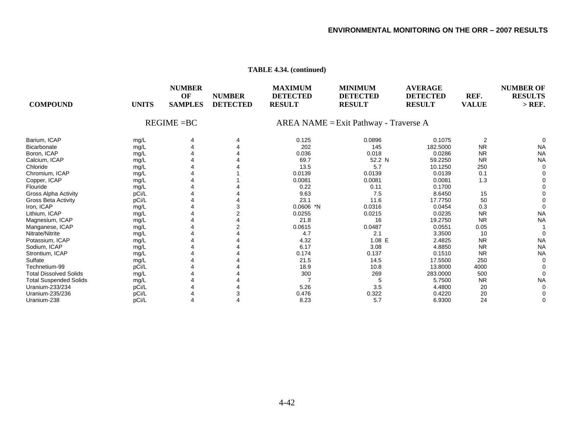| <b>COMPOUND</b>               | <b>UNITS</b> | <b>NUMBER</b><br>OF<br><b>SAMPLES</b> | <b>NUMBER</b><br><b>DETECTED</b> | <b>MAXIMUM</b><br><b>DETECTED</b><br><b>RESULT</b> | <b>MINIMUM</b><br><b>DETECTED</b><br><b>RESULT</b> | <b>AVERAGE</b><br><b>DETECTED</b><br><b>RESULT</b> | REF.<br><b>VALUE</b> | <b>NUMBER OF</b><br><b>RESULTS</b><br>$>$ REF. |
|-------------------------------|--------------|---------------------------------------|----------------------------------|----------------------------------------------------|----------------------------------------------------|----------------------------------------------------|----------------------|------------------------------------------------|
|                               |              | $REGIME = BC$                         |                                  | AREA NAME = Exit Pathway - Traverse A              |                                                    |                                                    |                      |                                                |
| Barium, ICAP                  | mg/L         |                                       |                                  | 0.125                                              | 0.0896                                             | 0.1075                                             | $\overline{2}$       |                                                |
| <b>Bicarbonate</b>            | mg/L         |                                       |                                  | 202                                                | 145                                                | 182.5000                                           | <b>NR</b>            | <b>NA</b>                                      |
| Boron, ICAP                   | mg/L         |                                       |                                  | 0.036                                              | 0.018                                              | 0.0286                                             | <b>NR</b>            | <b>NA</b>                                      |
| Calcium, ICAP                 | mg/L         |                                       |                                  | 69.7                                               | 52.2 N                                             | 59.2250                                            | <b>NR</b>            | <b>NA</b>                                      |
| Chloride                      | mg/L         |                                       |                                  | 13.5                                               | 5.7                                                | 10.1250                                            | 250                  |                                                |
| Chromium, ICAP                | mg/L         |                                       |                                  | 0.0139                                             | 0.0139                                             | 0.0139                                             | 0.1                  |                                                |
| Copper, ICAP                  | mg/L         |                                       |                                  | 0.0081                                             | 0.0081                                             | 0.0081                                             | 1.3                  |                                                |
| Flouride                      | mg/L         |                                       |                                  | 0.22                                               | 0.11                                               | 0.1700                                             |                      |                                                |
| <b>Gross Alpha Activity</b>   | pCi/L        |                                       |                                  | 9.63                                               | 7.5                                                | 8.6450                                             | 15                   |                                                |
| <b>Gross Beta Activity</b>    | pCi/L        |                                       |                                  | 23.1                                               | 11.6                                               | 17.7750                                            | 50                   |                                                |
| Iron, ICAP                    | mg/L         |                                       |                                  | $0.0606$ *N                                        | 0.0316                                             | 0.0454                                             | 0.3                  |                                                |
| Lithium, ICAP                 | mg/L         |                                       |                                  | 0.0255                                             | 0.0215                                             | 0.0235                                             | <b>NR</b>            | <b>NA</b>                                      |
| Magnesium, ICAP               | mg/L         |                                       |                                  | 21.8                                               | 16                                                 | 19.2750                                            | <b>NR</b>            | <b>NA</b>                                      |
| Manganese, ICAP               | mg/L         |                                       |                                  | 0.0615                                             | 0.0487                                             | 0.0551                                             | 0.05                 |                                                |
| Nitrate/Nitrite               | mg/L         |                                       |                                  | 4.7                                                | 2.1                                                | 3.3500                                             | 10                   |                                                |
| Potassium, ICAP               | mg/L         |                                       |                                  | 4.32                                               | 1.08 E                                             | 2.4825                                             | <b>NR</b>            | <b>NA</b>                                      |
| Sodium, ICAP                  | mg/L         |                                       |                                  | 6.17                                               | 3.08                                               | 4.8850                                             | <b>NR</b>            | <b>NA</b>                                      |
| Strontium, ICAP               | mg/L         |                                       |                                  | 0.174                                              | 0.137                                              | 0.1510                                             | <b>NR</b>            | <b>NA</b>                                      |
| Sulfate                       | mg/L         |                                       |                                  | 21.5                                               | 14.5                                               | 17.5500                                            | 250                  |                                                |
| Technetium-99                 | pCi/L        |                                       |                                  | 18.9                                               | 10.8                                               | 13.8000                                            | 4000                 |                                                |
| <b>Total Dissolved Solids</b> | mg/L         |                                       |                                  | 300                                                | 269                                                | 283.0000                                           | 500                  |                                                |
| <b>Total Suspended Solids</b> | mg/L         |                                       |                                  |                                                    |                                                    | 5.7500                                             | <b>NR</b>            | <b>NA</b>                                      |
| Uranium-233/234               | pCi/L        |                                       |                                  | 5.26                                               | 3.5                                                | 4.4800                                             | 20                   |                                                |
| Uranium-235/236               | pCi/L        |                                       |                                  | 0.476                                              | 0.322                                              | 0.4220                                             | 20                   |                                                |
| Uranium-238                   | pCi/L        |                                       |                                  | 8.23                                               | 5.7                                                | 6.9300                                             | 24                   |                                                |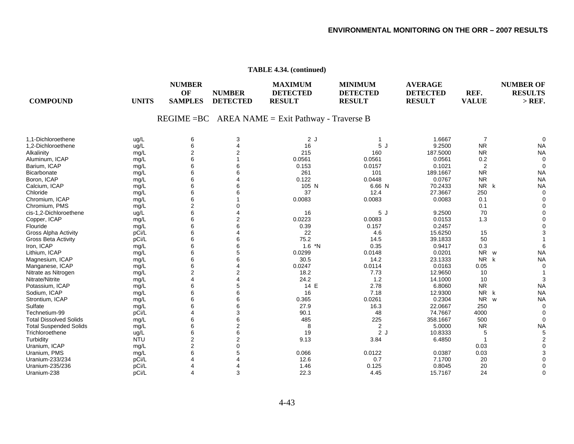| <b>COMPOUND</b>               | <b>UNITS</b> | <b>NUMBER</b><br>OF<br><b>SAMPLES</b> | <b>NUMBER</b><br><b>DETECTED</b> | <b>MAXIMUM</b><br><b>DETECTED</b><br><b>RESULT</b>  | <b>MINIMUM</b><br><b>DETECTED</b><br><b>RESULT</b> | <b>AVERAGE</b><br><b>DETECTED</b><br><b>RESULT</b> | REF.<br><b>VALUE</b>      | <b>NUMBER OF</b><br><b>RESULTS</b><br>$>$ REF. |
|-------------------------------|--------------|---------------------------------------|----------------------------------|-----------------------------------------------------|----------------------------------------------------|----------------------------------------------------|---------------------------|------------------------------------------------|
|                               |              |                                       |                                  | $REGIME = BC$ AREA NAME = Exit Pathway - Traverse B |                                                    |                                                    |                           |                                                |
| 1,1-Dichloroethene            | ug/L         | 6                                     | 3                                | 2J                                                  |                                                    | 1.6667                                             | $\overline{7}$            |                                                |
| 1,2-Dichloroethene            | ug/L         | 6                                     | 4                                | 16                                                  | 5J                                                 | 9.2500                                             | <b>NR</b>                 | <b>NA</b>                                      |
| Alkalinity                    | mg/L         | $\overline{2}$                        | $\overline{2}$                   | 215                                                 | 160                                                | 187.5000                                           | <b>NR</b>                 | <b>NA</b>                                      |
| Aluminum, ICAP                | mg/L         | 6                                     |                                  | 0.0561                                              | 0.0561                                             | 0.0561                                             | 0.2                       |                                                |
| Barium, ICAP                  | mg/L         | 6                                     | 6                                | 0.153                                               | 0.0157                                             | 0.1021                                             | 2                         | $\Omega$                                       |
| <b>Bicarbonate</b>            | mg/L         | 6                                     | 6                                | 261                                                 | 101                                                | 189.1667                                           | <b>NR</b>                 | <b>NA</b>                                      |
| Boron, ICAP                   | mg/L         | 6                                     | 4                                | 0.122                                               | 0.0448                                             | 0.0767                                             | <b>NR</b>                 | <b>NA</b>                                      |
| Calcium, ICAP                 | mg/L         | 6                                     | 6                                | 105 N                                               | 6.66 N                                             | 70.2433                                            | <b>NR</b><br>$\mathsf{k}$ | <b>NA</b>                                      |
| Chloride                      | mg/L         | 6                                     | 6                                | 37                                                  | 12.4                                               | 27.3667                                            | 250                       | $\Omega$                                       |
| Chromium, ICAP                | mg/L         | 6                                     |                                  | 0.0083                                              | 0.0083                                             | 0.0083                                             | 0.1                       |                                                |
| Chromium, PMS                 | mg/L         | 2                                     |                                  |                                                     |                                                    |                                                    | 0.1                       |                                                |
| cis-1,2-Dichloroethene        | ug/L         | 6                                     |                                  | 16                                                  | 5J                                                 | 9.2500                                             | 70                        |                                                |
| Copper, ICAP                  | mg/L         | 6                                     | $\overline{2}$                   | 0.0223                                              | 0.0083                                             | 0.0153                                             | 1.3                       |                                                |
| Flouride                      | mg/L         | 6                                     | 6                                | 0.39                                                | 0.157                                              | 0.2457                                             |                           |                                                |
| <b>Gross Alpha Activity</b>   | pCi/L        | 6                                     |                                  | 22                                                  | 4.6                                                | 15.6250                                            | 15                        |                                                |
| <b>Gross Beta Activity</b>    | pCi/L        | 6                                     | 6                                | 75.2                                                | 14.5                                               | 39.1833                                            | 50                        |                                                |
| Iron, ICAP                    | mg/L         | 6                                     | 6                                | $1.6$ *N                                            | 0.35                                               | 0.9417                                             | 0.3                       |                                                |
| Lithium, ICAP                 | mg/L         | 6                                     | 5                                | 0.0299                                              | 0.0148                                             | 0.0201                                             | <b>NR</b><br>W            | <b>NA</b>                                      |
| Magnesium, ICAP               | mg/L         | 6                                     | 6                                | 30.5                                                | 14.2                                               | 23.1333                                            | N <sub>R</sub><br>k       | <b>NA</b>                                      |
| Manganese, ICAP               | mg/L         | 6                                     | 4                                | 0.0247                                              | 0.0114                                             | 0.0163                                             | 0.05                      | $\Omega$                                       |
| Nitrate as Nitrogen           | mg/L         | 2                                     | $\overline{2}$                   | 18.2                                                | 7.73                                               | 12.9650                                            | 10                        |                                                |
| Nitrate/Nitrite               | mg/L         | 4                                     |                                  | 24.2                                                | 1.2                                                | 14.1000                                            | 10                        |                                                |
| Potassium, ICAP               | mg/L         | 6                                     | 5                                | 14 E                                                | 2.78                                               | 6.8060                                             | <b>NR</b>                 | <b>NA</b>                                      |
| Sodium, ICAP                  | mg/L         | 6                                     | 6                                | 16                                                  | 7.18                                               | 12.9300                                            | <b>NR</b><br>k            | <b>NA</b>                                      |
| Strontium, ICAP               | mg/L         | 6                                     | 6                                | 0.365                                               | 0.0261                                             | 0.2304                                             | <b>NR</b><br>W            | <b>NA</b>                                      |
| Sulfate                       | mg/L         | 6                                     | 6                                | 27.9                                                | 16.3                                               | 22.0667                                            | 250                       | $\Omega$                                       |
| Technetium-99                 | pCi/L        | 4                                     | 3                                | 90.1                                                | 48                                                 | 74.7667                                            | 4000                      |                                                |
| <b>Total Dissolved Solids</b> | mg/L         | 6                                     | 6                                | 485                                                 | 225                                                | 358.1667                                           | 500                       | $\Omega$                                       |
| <b>Total Suspended Solids</b> | mg/L         | 6                                     | $\overline{2}$                   | 8                                                   | 2                                                  | 5.0000                                             | <b>NR</b>                 | <b>NA</b>                                      |
| Trichloroethene               | ug/L         | 6                                     | 6                                | 19                                                  | 2J                                                 | 10.8333                                            | 5                         |                                                |
| Turbidity                     | <b>NTU</b>   | 2                                     | $\overline{2}$                   | 9.13                                                | 3.84                                               | 6.4850                                             | -1                        |                                                |
| Uranium, ICAP                 | mg/L         | $\overline{2}$                        | 0                                |                                                     |                                                    |                                                    | 0.03                      |                                                |
| Uranium, PMS                  | mg/L         | 6                                     | 5                                | 0.066                                               | 0.0122                                             | 0.0387                                             | 0.03                      |                                                |
| Uranium-233/234               | pCi/L        | 4                                     |                                  | 12.6                                                | 0.7                                                | 7.1700                                             | 20                        |                                                |
| Uranium-235/236               | pCi/L        | 4                                     |                                  | 1.46                                                | 0.125                                              | 0.8045                                             | 20                        |                                                |
| Uranium-238                   | pCi/L        | 4                                     | 3                                | 22.3                                                | 4.45                                               | 15.7167                                            | 24                        | ∩                                              |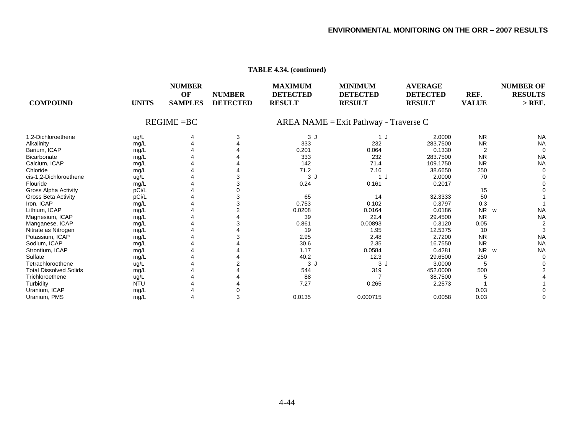| <b>COMPOUND</b>               | <b>UNITS</b> | <b>NUMBER</b><br>OF<br><b>SAMPLES</b> | <b>NUMBER</b><br><b>DETECTED</b> | <b>MAXIMUM</b><br><b>DETECTED</b><br><b>RESULT</b> | <b>MINIMUM</b><br><b>DETECTED</b><br><b>RESULT</b> | <b>AVERAGE</b><br><b>DETECTED</b><br><b>RESULT</b> | REF.<br><b>VALUE</b> | <b>NUMBER OF</b><br><b>RESULTS</b><br>$>$ REF. |
|-------------------------------|--------------|---------------------------------------|----------------------------------|----------------------------------------------------|----------------------------------------------------|----------------------------------------------------|----------------------|------------------------------------------------|
|                               |              | $REGIME = BC$                         |                                  |                                                    | AREA NAME = Exit Pathway - Traverse C              |                                                    |                      |                                                |
| 1.2-Dichloroethene            | ug/L         | 4                                     | 3                                | 3J                                                 | 1 J                                                | 2.0000                                             | <b>NR</b>            | <b>NA</b>                                      |
| Alkalinity                    | mg/L         |                                       |                                  | 333                                                | 232                                                | 283.7500                                           | <b>NR</b>            | <b>NA</b>                                      |
| Barium, ICAP                  | mg/L         |                                       |                                  | 0.201                                              | 0.064                                              | 0.1330                                             |                      |                                                |
| Bicarbonate                   | mg/L         |                                       |                                  | 333                                                | 232                                                | 283.7500                                           | <b>NR</b>            | <b>NA</b>                                      |
| Calcium, ICAP                 | mg/L         |                                       |                                  | 142                                                | 71.4                                               | 109.1750                                           | <b>NR</b>            | <b>NA</b>                                      |
| Chloride                      | mg/L         |                                       |                                  | 71.2                                               | 7.16                                               | 38.6650                                            | 250                  |                                                |
| cis-1,2-Dichloroethene        | ug/L         |                                       |                                  | 3J                                                 | −J                                                 | 2.0000                                             | 70                   |                                                |
| Flouride                      | mg/L         |                                       |                                  | 0.24                                               | 0.161                                              | 0.2017                                             |                      |                                                |
| Gross Alpha Activity          | pCi/L        |                                       |                                  |                                                    |                                                    |                                                    | 15                   |                                                |
| <b>Gross Beta Activity</b>    | pCi/L        |                                       |                                  | 65                                                 | 14                                                 | 32.3333                                            | 50                   |                                                |
| Iron, ICAP                    | mg/L         |                                       |                                  | 0.753                                              | 0.102                                              | 0.3797                                             | 0.3                  |                                                |
| Lithium, ICAP                 | mg/L         |                                       |                                  | 0.0208                                             | 0.0164                                             | 0.0186                                             | <b>NR</b><br>W       | <b>NA</b>                                      |
| Magnesium, ICAP               | mg/L         |                                       |                                  | 39                                                 | 22.4                                               | 29.4500                                            | <b>NR</b>            | <b>NA</b>                                      |
| Manganese, ICAP               | mg/L         |                                       |                                  | 0.861                                              | 0.00893                                            | 0.3120                                             | 0.05                 |                                                |
| Nitrate as Nitrogen           | mg/L         |                                       |                                  | 19                                                 | 1.95                                               | 12.5375                                            | 10                   |                                                |
| Potassium, ICAP               | mg/L         |                                       |                                  | 2.95                                               | 2.48                                               | 2.7200                                             | <b>NR</b>            | <b>NA</b>                                      |
| Sodium, ICAP                  | mg/L         |                                       |                                  | 30.6                                               | 2.35                                               | 16.7550                                            | <b>NR</b>            | <b>NA</b>                                      |
| Strontium, ICAP               | mg/L         |                                       |                                  | 1.17                                               | 0.0584                                             | 0.4281                                             | N <sub>R</sub><br>W  | <b>NA</b>                                      |
| Sulfate                       | mg/L         |                                       |                                  | 40.2                                               | 12.3                                               | 29.6500                                            | 250                  |                                                |
| Tetrachloroethene             | ug/L         |                                       |                                  | 3J                                                 | 3J                                                 | 3.0000                                             | 5                    |                                                |
| <b>Total Dissolved Solids</b> | mg/L         |                                       |                                  | 544                                                | 319                                                | 452.0000                                           | 500                  |                                                |
| Trichloroethene               | ug/L         |                                       |                                  | 88                                                 |                                                    | 38.7500                                            |                      |                                                |
| Turbidity                     | <b>NTU</b>   |                                       |                                  | 7.27                                               | 0.265                                              | 2.2573                                             |                      |                                                |
| Uranium, ICAP                 | mg/L         |                                       |                                  |                                                    |                                                    |                                                    | 0.03                 |                                                |
| Uranium, PMS                  | mg/L         |                                       | 3                                | 0.0135                                             | 0.000715                                           | 0.0058                                             | 0.03                 |                                                |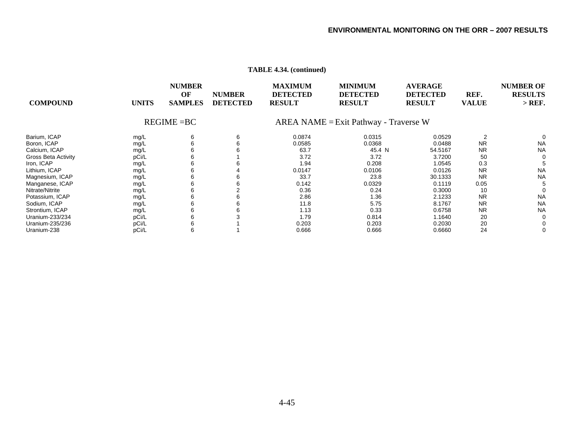|                            |              | <b>NUMBER</b><br>OF | <b>NUMBER</b>   | <b>MAXIMUM</b><br><b>DETECTED</b>        | <b>MINIMUM</b><br><b>DETECTED</b> | <b>AVERAGE</b><br><b>DETECTED</b> | REF.         | <b>NUMBER OF</b><br><b>RESULTS</b> |
|----------------------------|--------------|---------------------|-----------------|------------------------------------------|-----------------------------------|-----------------------------------|--------------|------------------------------------|
| <b>COMPOUND</b>            | <b>UNITS</b> | <b>SAMPLES</b>      | <b>DETECTED</b> | <b>RESULT</b>                            | <b>RESULT</b>                     | <b>RESULT</b>                     | <b>VALUE</b> | $>$ REF.                           |
|                            |              | $REGIME = BC$       |                 | $AREA NAME = Exist Pathway - Traverse W$ |                                   |                                   |              |                                    |
| Barium, ICAP               | mg/L         | 6                   | 6               | 0.0874                                   | 0.0315                            | 0.0529                            |              |                                    |
| Boron, ICAP                | mg/L         | 6                   | 6               | 0.0585                                   | 0.0368                            | 0.0488                            | <b>NR</b>    | <b>NA</b>                          |
| Calcium, ICAP              | mg/L         | 6                   | 6               | 63.7                                     | 45.4 N                            | 54.5167                           | <b>NR</b>    | <b>NA</b>                          |
| <b>Gross Beta Activity</b> | pCi/L        | 6                   |                 | 3.72                                     | 3.72                              | 3.7200                            | 50           | 0                                  |
| Iron, ICAP                 | mg/L         |                     |                 | l.94                                     | 0.208                             | 1.0545                            | 0.3          |                                    |
| Lithium, ICAP              | mg/L         | 6                   |                 | 0.0147                                   | 0.0106                            | 0.0126                            | <b>NR</b>    | <b>NA</b>                          |
| Magnesium, ICAP            | mg/L         | 6                   | 6               | 33.7                                     | 23.8                              | 30.1333                           | <b>NR</b>    | <b>NA</b>                          |
| Manganese, ICAP            | mg/L         | 6                   | 6               | 0.142                                    | 0.0329                            | 0.1119                            | 0.05         |                                    |
| Nitrate/Nitrite            | mg/L         | 6                   |                 | 0.36                                     | 0.24                              | 0.3000                            | 10           |                                    |
| Potassium, ICAP            | mg/L         | 6                   | 6               | 2.86                                     | 1.36                              | 2.1233                            | <b>NR</b>    | <b>NA</b>                          |
| Sodium, ICAP               | mg/L         | 6                   | 6               | 11.8                                     | 5.75                              | 8.1767                            | <b>NR</b>    | <b>NA</b>                          |
| Strontium, ICAP            | mg/L         | 6                   | 6               | 1.13                                     | 0.33                              | 0.6758                            | <b>NR</b>    | <b>NA</b>                          |
| Uranium-233/234            | pCi/L        | 6                   |                 | 1.79                                     | 0.814                             | 1.1640                            | 20           | 0                                  |
| Uranium-235/236            | pCi/L        |                     |                 | 0.203                                    | 0.203                             | 0.2030                            | 20           |                                    |
| Uranium-238                | pCi/L        | 6                   |                 | 0.666                                    | 0.666                             | 0.6660                            | 24           |                                    |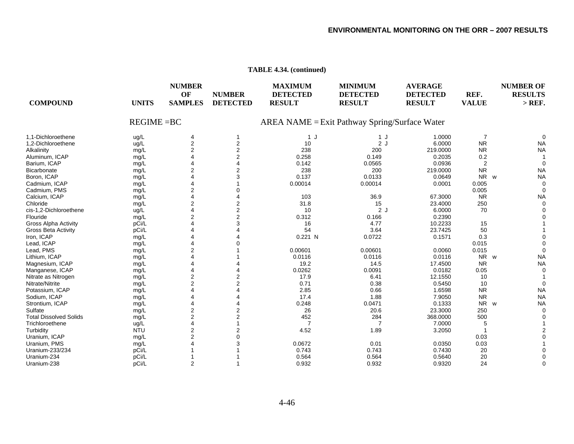| <b>COMPOUND</b><br><b>UNITS</b>       | <b>NUMBER</b><br>OF<br><b>SAMPLES</b> | <b>NUMBER</b><br><b>DETECTED</b>              | <b>MAXIMUM</b><br><b>DETECTED</b><br><b>RESULT</b> | <b>MINIMUM</b><br><b>DETECTED</b><br><b>RESULT</b> | <b>AVERAGE</b><br><b>DETECTED</b><br><b>RESULT</b> | REF.<br><b>VALUE</b> | <b>NUMBER OF</b><br><b>RESULTS</b><br>$>$ REF. |
|---------------------------------------|---------------------------------------|-----------------------------------------------|----------------------------------------------------|----------------------------------------------------|----------------------------------------------------|----------------------|------------------------------------------------|
|                                       | $REGIME = BC$                         | AREA NAME = Exit Pathway Spring/Surface Water |                                                    |                                                    |                                                    |                      |                                                |
| 1.1-Dichloroethene<br>ug/L            | 4                                     | 1                                             | 1 J                                                | 1 J                                                | 1.0000                                             | -7                   |                                                |
| 1,2-Dichloroethene<br>ug/L            | 2                                     | 2                                             | 10                                                 | 2J                                                 | 6.0000                                             | <b>NR</b>            | <b>NA</b>                                      |
| Alkalinity<br>mg/L                    | $\overline{2}$                        | 2                                             | 238                                                | 200                                                | 219.0000                                           | <b>NR</b>            | <b>NA</b>                                      |
| Aluminum, ICAP<br>mg/L                |                                       | $\overline{2}$                                | 0.258                                              | 0.149                                              | 0.2035                                             | 0.2                  |                                                |
| Barium, ICAP<br>mg/L                  | Δ                                     | 4                                             | 0.142                                              | 0.0565                                             | 0.0936                                             | $\overline{c}$       |                                                |
| Bicarbonate<br>mg/L                   | $\overline{2}$                        | 2                                             | 238                                                | 200                                                | 219.0000                                           | <b>NR</b>            | <b>NA</b>                                      |
| Boron, ICAP<br>mg/L                   |                                       |                                               | 0.137                                              | 0.0133                                             | 0.0649                                             | <b>NR</b><br>W       | <b>NA</b>                                      |
| Cadmium, ICAP<br>mg/L                 |                                       |                                               | 0.00014                                            | 0.00014                                            | 0.0001                                             | 0.005                |                                                |
| Cadmium, PMS<br>mg/L                  | $\overline{2}$                        |                                               |                                                    |                                                    |                                                    | 0.005                |                                                |
| Calcium, ICAP<br>mg/L                 | 4                                     |                                               | 103                                                | 36.9                                               | 67.3000                                            | <b>NR</b>            | <b>NA</b>                                      |
| Chloride<br>mg/L                      | 2                                     | 2                                             | 31.8                                               | 15                                                 | 23.4000                                            | 250                  |                                                |
| cis-1,2-Dichloroethene<br>ug/L        |                                       | $\overline{2}$                                | 10                                                 | 2J                                                 | 6.0000                                             | 70                   |                                                |
| Flouride<br>mg/L                      | $\overline{2}$                        | $\overline{2}$                                | 0.312                                              | 0.166                                              | 0.2390                                             |                      |                                                |
| <b>Gross Alpha Activity</b><br>pCi/L  |                                       | 3                                             | 16                                                 | 4.77                                               | 10.2233                                            | 15                   |                                                |
| pCi/L<br><b>Gross Beta Activity</b>   |                                       |                                               | 54                                                 | 3.64                                               | 23.7425                                            | 50                   |                                                |
| Iron, ICAP<br>mg/L                    |                                       |                                               | 0.221 N                                            | 0.0722                                             | 0.1571                                             | 0.3                  |                                                |
| Lead, ICAP<br>mg/L                    | Δ                                     |                                               |                                                    |                                                    |                                                    | 0.015                |                                                |
| Lead, PMS<br>mg/L                     | $\overline{2}$                        |                                               | 0.00601                                            | 0.00601                                            | 0.0060                                             | 0.015                |                                                |
| Lithium, ICAP<br>mg/L                 |                                       |                                               | 0.0116                                             | 0.0116                                             | 0.0116                                             | <b>NR</b><br>W       | <b>NA</b>                                      |
| Magnesium, ICAP<br>mg/L               |                                       |                                               | 19.2                                               | 14.5                                               | 17.4500                                            | <b>NR</b>            | <b>NA</b>                                      |
| Manganese, ICAP<br>mg/L               | 4                                     |                                               | 0.0262                                             | 0.0091                                             | 0.0182                                             | 0.05                 |                                                |
| Nitrate as Nitrogen<br>mg/L           | 2                                     | 2                                             | 17.9                                               | 6.41                                               | 12.1550                                            | 10                   |                                                |
| Nitrate/Nitrite<br>mg/L               | $\overline{2}$                        | 2                                             | 0.71                                               | 0.38                                               | 0.5450                                             | 10                   |                                                |
| Potassium, ICAP<br>mg/L               |                                       |                                               | 2.85                                               | 0.66                                               | 1.6598                                             | <b>NR</b>            | <b>NA</b>                                      |
| Sodium, ICAP<br>mg/L                  | 4                                     |                                               | 17.4                                               | 1.88                                               | 7.9050                                             | <b>NR</b>            | <b>NA</b>                                      |
| Strontium, ICAP<br>mg/L               |                                       |                                               | 0.248                                              | 0.0471                                             | 0.1333                                             | N <sub>R</sub><br>W  | <b>NA</b>                                      |
| Sulfate<br>mg/L                       | 2                                     | 2                                             | 26                                                 | 20.6                                               | 23.3000                                            | 250                  |                                                |
| <b>Total Dissolved Solids</b><br>mg/L | $\overline{2}$                        | $\overline{2}$                                | 452                                                | 284                                                | 368.0000                                           | 500                  |                                                |
| Trichloroethene<br>ug/L               | 4                                     |                                               | 7                                                  |                                                    | 7.0000                                             | 5                    |                                                |
| Turbidity<br><b>NTU</b>               | 2                                     | 2                                             | 4.52                                               | 1.89                                               | 3.2050                                             |                      |                                                |
| Uranium, ICAP<br>mg/L                 | $\overline{2}$                        |                                               |                                                    |                                                    |                                                    | 0.03                 |                                                |
| Uranium, PMS<br>mg/L                  |                                       |                                               | 0.0672                                             | 0.01                                               | 0.0350                                             | 0.03                 |                                                |
| pCi/L<br>Uranium-233/234              |                                       |                                               | 0.743                                              | 0.743                                              | 0.7430                                             | 20                   |                                                |
| Uranium-234<br>pCi/L                  |                                       |                                               | 0.564                                              | 0.564                                              | 0.5640                                             | 20                   |                                                |
| pCi/L<br>Uranium-238                  | $\overline{2}$                        |                                               | 0.932                                              | 0.932                                              | 0.9320                                             | 24                   |                                                |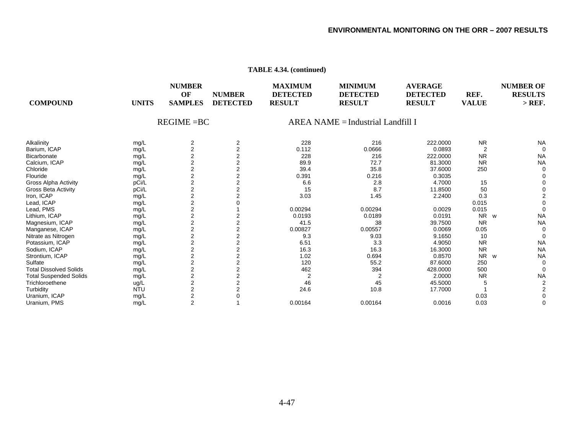| <b>COMPOUND</b>               | <b>UNITS</b> | <b>NUMBER</b><br>OF<br><b>SAMPLES</b> | <b>NUMBER</b><br><b>DETECTED</b> | <b>MAXIMUM</b><br><b>DETECTED</b><br><b>RESULT</b> | <b>MINIMUM</b><br><b>DETECTED</b><br><b>RESULT</b> | <b>AVERAGE</b><br><b>DETECTED</b><br><b>RESULT</b> | REF.<br><b>VALUE</b> | <b>NUMBER OF</b><br><b>RESULTS</b><br>$>$ REF. |
|-------------------------------|--------------|---------------------------------------|----------------------------------|----------------------------------------------------|----------------------------------------------------|----------------------------------------------------|----------------------|------------------------------------------------|
|                               |              | $REGIME = BC$                         |                                  |                                                    | $AREA NAME = Industrial Landfill$ I                |                                                    |                      |                                                |
| Alkalinity                    | mg/L         | 2                                     | 2                                | 228                                                | 216                                                | 222.0000                                           | <b>NR</b>            | <b>NA</b>                                      |
| Barium, ICAP                  | mg/L         | $\overline{2}$                        | $\overline{2}$                   | 0.112                                              | 0.0666                                             | 0.0893                                             | $\overline{2}$       | $\Omega$                                       |
| Bicarbonate                   | mg/L         | $\overline{2}$                        | $\overline{2}$                   | 228                                                | 216                                                | 222.0000                                           | <b>NR</b>            | <b>NA</b>                                      |
| Calcium, ICAP                 | mg/L         | $\overline{2}$                        | $\overline{2}$                   | 89.9                                               | 72.7                                               | 81.3000                                            | <b>NR</b>            | <b>NA</b>                                      |
| Chloride                      | mg/L         | 2                                     | 2                                | 39.4                                               | 35.8                                               | 37.6000                                            | 250                  |                                                |
| Flouride                      | mg/L         | 2                                     | 2                                | 0.391                                              | 0.216                                              | 0.3035                                             |                      |                                                |
| <b>Gross Alpha Activity</b>   | pCi/L        | $\overline{2}$                        | 2                                | 6.6                                                | 2.8                                                | 4.7000                                             | 15                   |                                                |
| <b>Gross Beta Activity</b>    | pCi/L        | $\overline{2}$                        | 2                                | 15                                                 | 8.7                                                | 11.8500                                            | 50                   |                                                |
| Iron, ICAP                    | mg/L         | $\overline{2}$                        |                                  | 3.03                                               | 1.45                                               | 2.2400                                             | 0.3                  |                                                |
| Lead, ICAP                    | mg/L         | 2                                     |                                  |                                                    |                                                    |                                                    | 0.015                |                                                |
| Lead, PMS                     | mg/L         | $\overline{2}$                        |                                  | 0.00294                                            | 0.00294                                            | 0.0029                                             | 0.015                |                                                |
| Lithium, ICAP                 | mg/L         | $\overline{2}$                        | 2                                | 0.0193                                             | 0.0189                                             | 0.0191                                             | <b>NR</b><br>W       | <b>NA</b>                                      |
| Magnesium, ICAP               | mg/L         | $\overline{2}$                        | $\overline{2}$                   | 41.5                                               | 38                                                 | 39.7500                                            | <b>NR</b>            | <b>NA</b>                                      |
| Manganese, ICAP               | mg/L         | 2                                     | $\overline{2}$                   | 0.00827                                            | 0.00557                                            | 0.0069                                             | 0.05                 |                                                |
| Nitrate as Nitrogen           | mg/L         | $\overline{2}$                        | 2                                | 9.3                                                | 9.03                                               | 9.1650                                             | 10                   |                                                |
| Potassium, ICAP               | mg/L         | $\overline{2}$                        | 2                                | 6.51                                               | 3.3                                                | 4.9050                                             | <b>NR</b>            | <b>NA</b>                                      |
| Sodium, ICAP                  | mg/L         | $\overline{c}$                        | $\overline{2}$                   | 16.3                                               | 16.3                                               | 16.3000                                            | <b>NR</b>            | <b>NA</b>                                      |
| Strontium, ICAP               | mg/L         | $\overline{c}$                        |                                  | 1.02                                               | 0.694                                              | 0.8570                                             | <b>NR</b><br>W       | <b>NA</b>                                      |
| Sulfate                       | mg/L         | 2                                     | $\overline{2}$                   | 120                                                | 55.2                                               | 87.6000                                            | 250                  |                                                |
| <b>Total Dissolved Solids</b> | mg/L         | 2                                     | 2                                | 462                                                | 394                                                | 428.0000                                           | 500                  |                                                |
| <b>Total Suspended Solids</b> | mg/L         | $\overline{2}$                        | 2                                | $\overline{2}$                                     |                                                    | 2.0000                                             | <b>NR</b>            | <b>NA</b>                                      |
| Trichloroethene               | ug/L         | $\overline{\mathbf{c}}$               |                                  | 46                                                 | 45                                                 | 45.5000                                            | 5                    |                                                |
| Turbidity                     | <b>NTU</b>   | $\overline{2}$                        |                                  | 24.6                                               | 10.8                                               | 17.7000                                            |                      |                                                |
| Uranium, ICAP                 | mg/L         | 2                                     |                                  |                                                    |                                                    |                                                    | 0.03                 |                                                |
| Uranium, PMS                  | mg/L         | $\overline{2}$                        |                                  | 0.00164                                            | 0.00164                                            | 0.0016                                             | 0.03                 |                                                |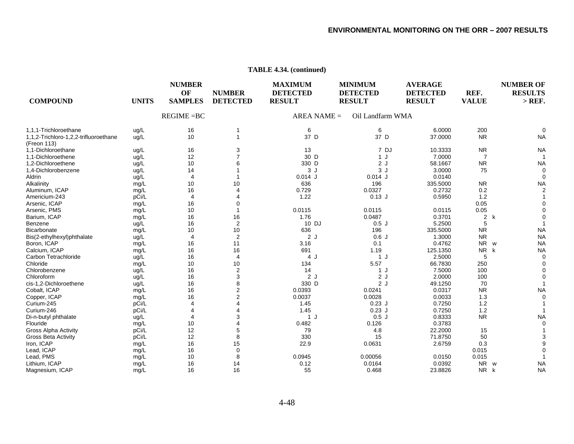| <b>COMPOUND</b>                                      | <b>UNITS</b> | <b>NUMBER</b><br>OF<br><b>SAMPLES</b> | <b>NUMBER</b><br><b>DETECTED</b> | <b>MAXIMUM</b><br><b>DETECTED</b><br><b>RESULT</b> | <b>MINIMUM</b><br><b>DETECTED</b><br><b>RESULT</b> | <b>AVERAGE</b><br><b>DETECTED</b><br><b>RESULT</b> | REF.<br><b>VALUE</b> | <b>NUMBER OF</b><br><b>RESULTS</b><br>$>$ REF. |
|------------------------------------------------------|--------------|---------------------------------------|----------------------------------|----------------------------------------------------|----------------------------------------------------|----------------------------------------------------|----------------------|------------------------------------------------|
|                                                      |              | $REGIME = BC$                         |                                  | $AREA NAME =$                                      | Oil Landfarm WMA                                   |                                                    |                      |                                                |
| 1,1,1-Trichloroethane                                | ug/L         | 16                                    | 1                                | 6                                                  | 6                                                  | 6.0000                                             | 200                  | $\Omega$                                       |
| 1,1,2-Trichloro-1,2,2-trifluoroethane<br>(Freon 113) | ug/L         | 10                                    |                                  | 37 D                                               | 37 D                                               | 37.0000                                            | <b>NR</b>            | <b>NA</b>                                      |
| 1,1-Dichloroethane                                   | ug/L         | 16                                    | 3                                | 13                                                 | 7 DJ                                               | 10.3333                                            | <b>NR</b>            | <b>NA</b>                                      |
| 1,1-Dichloroethene                                   | ug/L         | 12                                    | 7                                | 30 D                                               | 1 J                                                | 7.0000                                             | 7                    |                                                |
| 1,2-Dichloroethene                                   | ug/L         | 10                                    | 6                                | 330 D                                              | 2J                                                 | 58.1667                                            | <b>NR</b>            | <b>NA</b>                                      |
| 1,4-Dichlorobenzene                                  | ug/L         | 14                                    |                                  | 3J                                                 | 3J                                                 | 3.0000                                             | 75                   | $\Omega$                                       |
| Aldrin                                               | ug/L         | $\overline{4}$                        |                                  | $0.014$ J                                          | $0.014$ J                                          | 0.0140                                             |                      |                                                |
| Alkalinity                                           | mg/L         | 10                                    | 10                               | 636                                                | 196                                                | 335.5000                                           | <b>NR</b>            | <b>NA</b>                                      |
| Aluminum, ICAP                                       | mg/L         | 16                                    | 4                                | 0.729                                              | 0.0327                                             | 0.2732                                             | 0.2                  | $\mathfrak{p}$                                 |
| Americium-243                                        | pCi/L        | $\overline{4}$                        | 4                                | 1.22                                               | $0.13$ J                                           | 0.5950                                             | 1.2                  |                                                |
| Arsenic, ICAP                                        | mg/L         | 16                                    | 0                                |                                                    |                                                    |                                                    | 0.05                 |                                                |
| Arsenic, PMS                                         | mg/L         | 10                                    |                                  | 0.0115                                             | 0.0115                                             | 0.0115                                             | 0.05                 |                                                |
| Barium, ICAP                                         | mg/L         | 16                                    | 16                               | 1.76                                               | 0.0487                                             | 0.3701                                             | $\overline{2}$<br>k  |                                                |
| Benzene                                              | ug/L         | 16                                    | 2                                | 10 DJ                                              | 0.5J                                               | 5.2500                                             | 5                    |                                                |
| <b>Bicarbonate</b>                                   | mg/L         | 10                                    | 10                               | 636                                                | 196                                                | 335.5000                                           | <b>NR</b>            | <b>NA</b>                                      |
| Bis(2-ethylhexyl)phthalate                           | ug/L         | $\overline{4}$                        | $\overline{c}$                   | 2J                                                 | 0.6J                                               | 1.3000                                             | <b>NR</b>            | <b>NA</b>                                      |
| Boron, ICAP                                          | mg/L         | 16                                    | 11                               | 3.16                                               | 0.1                                                | 0.4762                                             | <b>NR</b><br>W       | <b>NA</b>                                      |
| Calcium, ICAP                                        | mg/L         | 16                                    | 16                               | 691                                                | 1.19                                               | 125.1350                                           | <b>NR</b><br>k       | <b>NA</b>                                      |
| Carbon Tetrachloride                                 | ug/L         | 16                                    | $\overline{4}$                   | 4 J                                                | 1J                                                 | 2.5000                                             | 5                    | $\Omega$                                       |
| Chloride                                             | mg/L         | 10                                    | 10                               | 134                                                | 5.57                                               | 66.7830                                            | 250                  |                                                |
| Chlorobenzene                                        | ug/L         | 16                                    | $\overline{2}$                   | 14                                                 | 1 J                                                | 7.5000                                             | 100                  |                                                |
| Chloroform                                           | ug/L         | 16                                    | 3                                | 2J                                                 | 2J                                                 | 2.0000                                             | 100                  |                                                |
| cis-1,2-Dichloroethene                               | ug/L         | 16                                    | 8                                | 330 D                                              | 2J                                                 | 49.1250                                            | 70                   |                                                |
| Cobalt, ICAP                                         | mg/L         | 16                                    | $\overline{2}$                   | 0.0393                                             | 0.0241                                             | 0.0317                                             | <b>NR</b>            | <b>NA</b>                                      |
| Copper, ICAP                                         | mg/L         | 16                                    | 2                                | 0.0037                                             | 0.0028                                             | 0.0033                                             | 1.3                  |                                                |
| Curium-245                                           | pCi/L        | $\overline{4}$                        |                                  | 1.45                                               | $0.23$ J                                           | 0.7250                                             | 1.2                  |                                                |
| Curium-246                                           | pCi/L        | $\overline{4}$                        | 4                                | 1.45                                               | $0.23$ J                                           | 0.7250                                             | 1.2                  |                                                |
| Di-n-butyl phthalate                                 | ug/L         | $\overline{4}$                        | 3                                | 1 J                                                | 0.5J                                               | 0.8333                                             | <b>NR</b>            | <b>NA</b>                                      |
| Flouride                                             | mg/L         | 10                                    |                                  | 0.482                                              | 0.126                                              | 0.3783                                             |                      |                                                |
| Gross Alpha Activity                                 | pCi/L        | 12                                    | 5                                | 79                                                 | 4.8                                                | 22.2000                                            | 15                   |                                                |
| <b>Gross Beta Activity</b>                           | pCi/L        | 12                                    | 8                                | 330                                                | 15                                                 | 71.8750                                            | 50                   |                                                |
| Iron, ICAP                                           | mg/L         | 16                                    | 15                               | 22.9                                               | 0.0631                                             | 2.6759                                             | 0.3                  |                                                |
| Lead, ICAP                                           | mg/L         | 16                                    | $\mathbf 0$                      |                                                    |                                                    |                                                    | 0.015                |                                                |
| Lead, PMS                                            | mg/L         | 10                                    | 8                                | 0.0945                                             | 0.00056                                            | 0.0150                                             | 0.015                |                                                |
| Lithium, ICAP                                        | mg/L         | 16                                    | 14                               | 0.12                                               | 0.0164                                             | 0.0392                                             | <b>NR</b><br>W       | <b>NA</b>                                      |
| Magnesium, ICAP                                      | mg/L         | 16                                    | 16                               | 55                                                 | 0.468                                              | 23.8826                                            | NR k                 | <b>NA</b>                                      |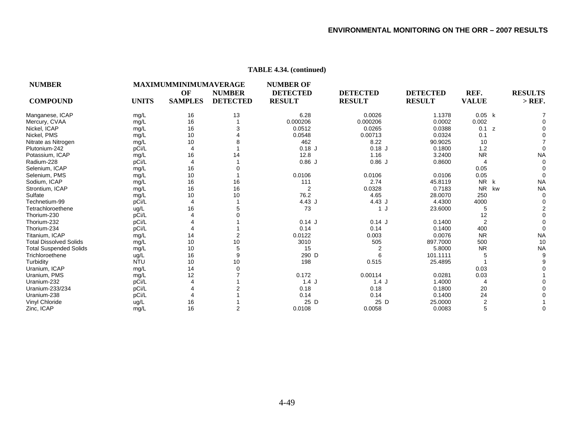| <b>NUMBER</b>                 |              | MAXIMUMMINIMUMAVERAGE<br>OF | <b>NUMBER</b>   | <b>NUMBER OF</b><br><b>DETECTED</b> | <b>DETECTED</b> | <b>DETECTED</b> | REF.            | <b>RESULTS</b> |
|-------------------------------|--------------|-----------------------------|-----------------|-------------------------------------|-----------------|-----------------|-----------------|----------------|
| <b>COMPOUND</b>               | <b>UNITS</b> | <b>SAMPLES</b>              | <b>DETECTED</b> | <b>RESULT</b>                       | <b>RESULT</b>   | <b>RESULT</b>   | <b>VALUE</b>    | $>$ REF.       |
| Manganese, ICAP               | mg/L         | 16                          | 13              | 6.28                                | 0.0026          | 1.1378          | 0.05 k          |                |
| Mercury, CVAA                 | mg/L         | 16                          |                 | 0.000206                            | 0.000206        | 0.0002          | 0.002           |                |
| Nickel, ICAP                  | mg/L         | 16                          | 3               | 0.0512                              | 0.0265          | 0.0388          | 0.1<br>z        |                |
| Nickel, PMS                   | mg/L         | 10                          |                 | 0.0548                              | 0.00713         | 0.0324          | 0.1             |                |
| Nitrate as Nitrogen           | mg/L         | 10                          |                 | 462                                 | 8.22            | 90.9025         | 10              |                |
| Plutonium-242                 | pCi/L        | $\overline{4}$              |                 | $0.18$ J                            | $0.18$ J        | 0.1800          | 1.2             | $\Omega$       |
| Potassium, ICAP               | mg/L         | 16                          | 14              | 12.8                                | 1.16            | 3.2400          | <b>NR</b>       | <b>NA</b>      |
| Radium-228                    | pCi/L        | $\overline{4}$              |                 | 0.86J                               | 0.86J           | 0.8600          | 4               | $\Omega$       |
| Selenium, ICAP                | mg/L         | 16                          |                 |                                     |                 |                 | 0.05            | $\Omega$       |
| Selenium, PMS                 | mg/L         | 10                          |                 | 0.0106                              | 0.0106          | 0.0106          | 0.05            | $\Omega$       |
| Sodium, ICAP                  | mg/L         | 16                          | 16              | 111                                 | 2.74            | 45.8119         | <b>NR</b><br>k  | <b>NA</b>      |
| Strontium, ICAP               | mg/L         | 16                          | 16              | $\overline{2}$                      | 0.0328          | 0.7183          | <b>NR</b><br>kw | <b>NA</b>      |
| Sulfate                       | mg/L         | 10                          | 10              | 76.2                                | 4.65            | 28.0070         | 250             | $\Omega$       |
| Technetium-99                 | pCi/L        | 4                           |                 | 4.43J                               | 4.43J           | 4.4300          | 4000            | $\Omega$       |
| Tetrachloroethene             | ug/L         | 16                          | 5               | 73                                  | 1 J             | 23.6000         | 5               | 2              |
| Thorium-230                   | pCi/L        |                             |                 |                                     |                 |                 | 12              | $\Omega$       |
| Thorium-232                   | pCi/L        |                             |                 | $0.14$ J                            | $0.14$ J        | 0.1400          | $\overline{2}$  |                |
| Thorium-234                   | pCi/L        |                             |                 | 0.14                                | 0.14            | 0.1400          | 400             | $\Omega$       |
| Titanium, ICAP                | mg/L         | 14                          | 2               | 0.0122                              | 0.003           | 0.0076          | <b>NR</b>       | <b>NA</b>      |
| <b>Total Dissolved Solids</b> | mg/L         | 10                          | 10              | 3010                                | 505             | 897.7000        | 500             | 10             |
| <b>Total Suspended Solids</b> | mg/L         | 10                          | 5               | 15                                  | $\overline{2}$  | 5.8000          | <b>NR</b>       | <b>NA</b>      |
| Trichloroethene               | ug/L         | 16                          | 9               | 290 D                               | 6               | 101.1111        | 5               | 9              |
| Turbidity                     | <b>NTU</b>   | 10                          | 10              | 198                                 | 0.515           | 25.4895         |                 |                |
| Uranium. ICAP                 | mg/L         | 14                          |                 |                                     |                 |                 | 0.03            |                |
| Uranium, PMS                  | mg/L         | 12                          |                 | 0.172                               | 0.00114         | 0.0281          | 0.03            |                |
| Uranium-232                   | pCi/L        |                             |                 | 1.4J                                | 1.4J            | 1.4000          | 4               |                |
| Uranium-233/234               | pCi/L        |                             |                 | 0.18                                | 0.18            | 0.1800          | 20              |                |
| Uranium-238                   | pCi/L        |                             |                 | 0.14                                | 0.14            | 0.1400          | 24              |                |
| Vinyl Chloride                | ug/L         | 16                          |                 | 25 D                                | 25 D            | 25.0000         | 2               |                |
| Zinc, ICAP                    | mg/L         | 16                          | 2               | 0.0108                              | 0.0058          | 0.0083          | 5               | $\Omega$       |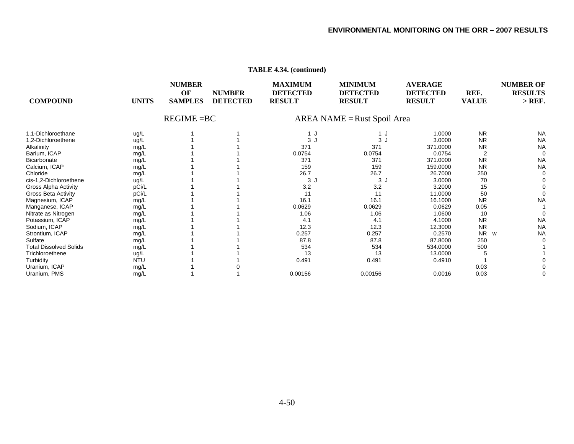| <b>COMPOUND</b>               | <b>UNITS</b> | <b>NUMBER</b><br>OF<br><b>SAMPLES</b> | <b>NUMBER</b><br><b>DETECTED</b> | <b>MAXIMUM</b><br><b>DETECTED</b><br><b>RESULT</b> | <b>MINIMUM</b><br><b>DETECTED</b><br><b>RESULT</b> | <b>AVERAGE</b><br><b>DETECTED</b><br><b>RESULT</b> | REF.<br><b>VALUE</b> | <b>NUMBER OF</b><br><b>RESULTS</b><br>$>$ REF. |
|-------------------------------|--------------|---------------------------------------|----------------------------------|----------------------------------------------------|----------------------------------------------------|----------------------------------------------------|----------------------|------------------------------------------------|
|                               |              | $REGIME = BC$                         |                                  |                                                    | AREA NAME = Rust Spoil Area                        |                                                    |                      |                                                |
| 1,1-Dichloroethane            | ug/L         |                                       |                                  | 1 J                                                | 1 J                                                | 1.0000                                             | <b>NR</b>            | <b>NA</b>                                      |
| 1.2-Dichloroethene            | ug/L         |                                       |                                  | 3J                                                 | 3J                                                 | 3.0000                                             | <b>NR</b>            | <b>NA</b>                                      |
| Alkalinity                    | mg/L         |                                       |                                  | 371                                                | 371                                                | 371.0000                                           | <b>NR</b>            | <b>NA</b>                                      |
| Barium, ICAP                  | mg/L         |                                       |                                  | 0.0754                                             | 0.0754                                             | 0.0754                                             | $\overline{2}$       | $\Omega$                                       |
| <b>Bicarbonate</b>            | mg/L         |                                       |                                  | 371                                                | 371                                                | 371.0000                                           | <b>NR</b>            | <b>NA</b>                                      |
| Calcium, ICAP                 | mg/L         |                                       |                                  | 159                                                | 159                                                | 159.0000                                           | <b>NR</b>            | <b>NA</b>                                      |
| Chloride                      | mg/L         |                                       |                                  | 26.7                                               | 26.7                                               | 26.7000                                            | 250                  |                                                |
| cis-1,2-Dichloroethene        | ug/L         |                                       |                                  | 3 <sub>1</sub>                                     | 3J                                                 | 3.0000                                             | 70                   |                                                |
| Gross Alpha Activity          | pCi/L        |                                       |                                  | 3.2                                                | 3.2                                                | 3.2000                                             | 15                   |                                                |
| <b>Gross Beta Activity</b>    | pCi/L        |                                       |                                  | 11                                                 | 11                                                 | 11.0000                                            | 50                   |                                                |
| Magnesium, ICAP               | mg/L         |                                       |                                  | 16.1                                               | 16.1                                               | 16.1000                                            | <b>NR</b>            | <b>NA</b>                                      |
| Manganese, ICAP               | mg/L         |                                       |                                  | 0.0629                                             | 0.0629                                             | 0.0629                                             | 0.05                 |                                                |
| Nitrate as Nitrogen           | mg/L         |                                       |                                  | 1.06                                               | 1.06                                               | 1.0600                                             | 10                   |                                                |
| Potassium, ICAP               | mg/L         |                                       |                                  | 4.1                                                | 4.1                                                | 4.1000                                             | <b>NR</b>            | <b>NA</b>                                      |
| Sodium, ICAP                  | mg/L         |                                       |                                  | 12.3                                               | 12.3                                               | 12.3000                                            | <b>NR</b>            | <b>NA</b>                                      |
| Strontium, ICAP               | mg/L         |                                       |                                  | 0.257                                              | 0.257                                              | 0.2570                                             | <b>NR</b><br>W       | <b>NA</b>                                      |
| Sulfate                       | mg/L         |                                       |                                  | 87.8                                               | 87.8                                               | 87.8000                                            | 250                  |                                                |
| <b>Total Dissolved Solids</b> | mg/L         |                                       |                                  | 534                                                | 534                                                | 534.0000                                           | 500                  |                                                |
| Trichloroethene               | ug/L         |                                       |                                  | 13                                                 | 13                                                 | 13.0000                                            | 5                    |                                                |
| Turbidity                     | <b>NTU</b>   |                                       |                                  | 0.491                                              | 0.491                                              | 0.4910                                             |                      |                                                |
| Uranium, ICAP                 | mg/L         |                                       |                                  |                                                    |                                                    |                                                    | 0.03                 |                                                |
| Uranium, PMS                  | mg/L         |                                       |                                  | 0.00156                                            | 0.00156                                            | 0.0016                                             | 0.03                 |                                                |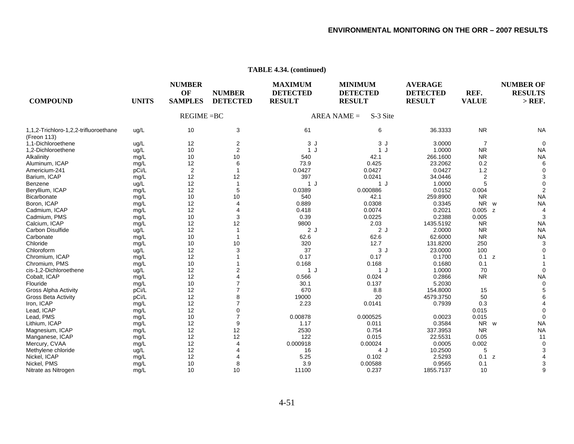| <b>COMPOUND</b><br><b>UNITS</b>                              | <b>NUMBER</b><br>OF<br><b>SAMPLES</b> | <b>NUMBER</b><br><b>DETECTED</b> | <b>MAXIMUM</b><br><b>DETECTED</b><br><b>RESULT</b> | <b>MINIMUM</b><br><b>DETECTED</b><br><b>RESULT</b> | <b>AVERAGE</b><br><b>DETECTED</b><br><b>RESULT</b> | REF.<br><b>VALUE</b> | <b>NUMBER OF</b><br><b>RESULTS</b><br>$>$ REF. |
|--------------------------------------------------------------|---------------------------------------|----------------------------------|----------------------------------------------------|----------------------------------------------------|----------------------------------------------------|----------------------|------------------------------------------------|
|                                                              | $REGIME = BC$                         |                                  |                                                    | S-3 Site<br>$AREA NAME =$                          |                                                    |                      |                                                |
| 1,1,2-Trichloro-1,2,2-trifluoroethane<br>ug/L<br>(Freon 113) | 10                                    | 3                                | 61                                                 | 6                                                  | 36.3333                                            | <b>NR</b>            | <b>NA</b>                                      |
| 1.1-Dichloroethene<br>ug/L                                   | 12                                    | $\overline{c}$                   | 3J                                                 | 3J                                                 | 3.0000                                             | $\overline{7}$       |                                                |
| 1,2-Dichloroethene<br>ug/L                                   | 10                                    | 2                                | 1 J                                                | 1J                                                 | 1.0000                                             | <b>NR</b>            | <b>NA</b>                                      |
| Alkalinity<br>mg/L                                           | 10                                    | 10                               | 540                                                | 42.1                                               | 266.1600                                           | <b>NR</b>            | <b>NA</b>                                      |
| Aluminum, ICAP<br>mg/L                                       | 12                                    | 6                                | 73.9                                               | 0.425                                              | 23.2062                                            | 0.2                  |                                                |
| Americium-241<br>pCi/L                                       | $\overline{2}$                        |                                  | 0.0427                                             | 0.0427                                             | 0.0427                                             | 1.2                  |                                                |
| Barium, ICAP<br>mg/L                                         | 12                                    | 12                               | 397                                                | 0.0241                                             | 34.0446                                            | $\overline{2}$       |                                                |
| Benzene<br>ug/L                                              | 12                                    | $\overline{1}$                   | 1J                                                 | 1 J                                                | 1.0000                                             | 5                    |                                                |
| Beryllium, ICAP<br>mg/L                                      | 12                                    | 5                                | 0.0389                                             | 0.000886                                           | 0.0152                                             | 0.004                |                                                |
| <b>Bicarbonate</b><br>mg/L                                   | 10                                    | 10                               | 540                                                | 42.1                                               | 259.8900                                           | <b>NR</b>            | <b>NA</b>                                      |
| Boron, ICAP<br>mg/L                                          | 12                                    | 4                                | 0.889                                              | 0.0308                                             | 0.3345                                             | N <sub>R</sub><br>W  | <b>NA</b>                                      |
| Cadmium, ICAP<br>mg/L                                        | 12                                    | 4                                | 0.418                                              | 0.0074                                             | 0.2021                                             | 0.005<br>z           |                                                |
| Cadmium, PMS<br>mg/L                                         | 10                                    | 3                                | 0.39                                               | 0.0225                                             | 0.2388                                             | 0.005                |                                                |
| Calcium, ICAP<br>mg/L                                        | 12                                    | 12                               | 9800                                               | 2.03                                               | 1435.5192                                          | <b>NR</b>            | <b>NA</b>                                      |
| Carbon Disulfide<br>ug/L                                     | 12                                    | $\overline{\phantom{a}}$         | 2J                                                 | 2J                                                 | 2.0000                                             | <b>NR</b>            | <b>NA</b>                                      |
| Carbonate<br>mg/L                                            | 10                                    |                                  | 62.6                                               | 62.6                                               | 62.6000                                            | <b>NR</b>            | <b>NA</b>                                      |
| Chloride<br>mg/L                                             | 10                                    | 10                               | 320                                                | 12.7                                               | 131.8200                                           | 250                  |                                                |
| Chloroform<br>ug/L                                           | 12                                    | 3                                | 37                                                 | 3J                                                 | 23.0000                                            | 100                  |                                                |
| Chromium, ICAP<br>mg/L                                       | 12                                    |                                  | 0.17                                               | 0.17                                               | 0.1700                                             | 0.1 z                |                                                |
| Chromium, PMS<br>mg/L                                        | 10                                    |                                  | 0.168                                              | 0.168                                              | 0.1680                                             | 0.1                  |                                                |
| cis-1,2-Dichloroethene<br>ug/L                               | 12                                    | 2                                | 1 J                                                | 1J                                                 | 1.0000                                             | 70                   |                                                |
| Cobalt, ICAP<br>mg/L                                         | 12                                    |                                  | 0.566                                              | 0.024                                              | 0.2866                                             | <b>NR</b>            | <b>NA</b>                                      |
| Flouride<br>mg/L                                             | 10                                    |                                  | 30.1                                               | 0.137                                              | 5.2030                                             |                      |                                                |
| pCi/L<br><b>Gross Alpha Activity</b>                         | 12                                    |                                  | 670                                                | 8.8                                                | 154.8000                                           | 15                   |                                                |
| pCi/L<br><b>Gross Beta Activity</b>                          | 12                                    | 8                                | 19000                                              | 20                                                 | 4579.3750                                          | 50                   |                                                |
| Iron, ICAP<br>mg/L                                           | 12                                    |                                  | 2.23                                               | 0.0141                                             | 0.7939                                             | 0.3                  |                                                |
| Lead, ICAP<br>mg/L                                           | 12                                    | 0                                |                                                    |                                                    |                                                    | 0.015                |                                                |
| Lead, PMS<br>mg/L                                            | 10                                    | $\overline{7}$                   | 0.00878                                            | 0.000525                                           | 0.0023                                             | 0.015                |                                                |
| Lithium, ICAP<br>mg/L                                        | 12                                    | 9                                | 1.17                                               | 0.011                                              | 0.3584                                             | NR w                 | <b>NA</b>                                      |
| Magnesium, ICAP<br>mg/L                                      | 12                                    | 12                               | 2530                                               | 0.754                                              | 337.3953                                           | <b>NR</b>            | <b>NA</b>                                      |
| Manganese, ICAP<br>mg/L                                      | 12                                    | 12                               | 122                                                | 0.015                                              | 22.5531                                            | 0.05                 | 11                                             |
| Mercury, CVAA<br>mg/L                                        | 12                                    | 4                                | 0.000918                                           | 0.00024                                            | 0.0005                                             | 0.002                |                                                |
| Methylene chloride<br>ug/L                                   | 12                                    |                                  | 16                                                 | 4 J                                                | 10.2500                                            | 5                    |                                                |
| Nickel, ICAP<br>mg/L                                         | 12                                    |                                  | 5.25                                               | 0.102                                              | 2.5293                                             | 0.1<br>z             |                                                |
| Nickel, PMS<br>mg/L                                          | 10                                    | 8                                | 3.9                                                | 0.00588                                            | 0.9565                                             | 0.1                  |                                                |
| Nitrate as Nitrogen<br>mg/L                                  | 10                                    | 10                               | 11100                                              | 0.237                                              | 1855.7137                                          | 10                   |                                                |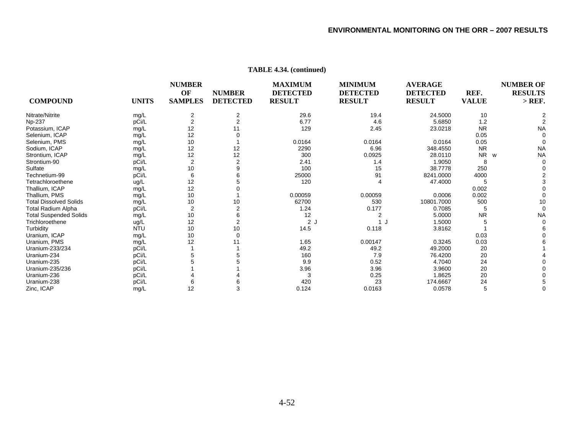| <b>COMPOUND</b>               | <b>UNITS</b> | <b>NUMBER</b><br>OF<br><b>SAMPLES</b> | <b>NUMBER</b><br><b>DETECTED</b> | <b>MAXIMUM</b><br><b>DETECTED</b><br><b>RESULT</b> | <b>MINIMUM</b><br><b>DETECTED</b><br><b>RESULT</b> | <b>AVERAGE</b><br><b>DETECTED</b><br><b>RESULT</b> | REF.<br><b>VALUE</b> | <b>NUMBER OF</b><br><b>RESULTS</b><br>$>$ REF. |
|-------------------------------|--------------|---------------------------------------|----------------------------------|----------------------------------------------------|----------------------------------------------------|----------------------------------------------------|----------------------|------------------------------------------------|
| Nitrate/Nitrite               | mg/L         | 2                                     | 2                                | 29.6                                               | 19.4                                               | 24.5000                                            | 10                   |                                                |
| Np-237                        | pCi/L        | $\overline{c}$                        | $\overline{2}$                   | 6.77                                               | 4.6                                                | 5.6850                                             | 1.2                  |                                                |
| Potassium, ICAP               | mg/L         | 12                                    | 11                               | 129                                                | 2.45                                               | 23.0218                                            | <b>NR</b>            | <b>NA</b>                                      |
| Selenium, ICAP                | mg/L         | 12                                    |                                  |                                                    |                                                    |                                                    | 0.05                 |                                                |
| Selenium, PMS                 | mg/L         | 10                                    |                                  | 0.0164                                             | 0.0164                                             | 0.0164                                             | 0.05                 |                                                |
| Sodium, ICAP                  | mg/L         | 12                                    | 12                               | 2290                                               | 6.96                                               | 348.4550                                           | <b>NR</b>            | <b>NA</b>                                      |
| Strontium, ICAP               | mg/L         | 12                                    | 12                               | 300                                                | 0.0925                                             | 28.0110                                            | NR<br>W              | <b>NA</b>                                      |
| Strontium-90                  | pCi/L        | $\overline{2}$                        | $\overline{2}$                   | 2.41                                               | 1.4                                                | 1.9050                                             | 8                    |                                                |
| Sulfate                       | mg/L         | 10                                    | 9                                | 100                                                | 15                                                 | 38.7778                                            | 250                  |                                                |
| Technetium-99                 | pCi/L        | 6                                     |                                  | 25000                                              | 91                                                 | 8241.0000                                          | 4000                 |                                                |
| Tetrachloroethene             | ug/L         | 12                                    |                                  | 120                                                |                                                    | 47.4000                                            | 5                    |                                                |
| Thallium, ICAP                | mg/L         | 12                                    |                                  |                                                    |                                                    |                                                    | 0.002                |                                                |
| Thallium, PMS                 | mg/L         | 10                                    |                                  | 0.00059                                            | 0.00059                                            | 0.0006                                             | 0.002                |                                                |
| <b>Total Dissolved Solids</b> | mg/L         | 10                                    | 10                               | 62700                                              | 530                                                | 10801.7000                                         | 500                  | 10                                             |
| Total Radium Alpha            | pCi/L        | $\overline{2}$                        | $\overline{2}$                   | 1.24                                               | 0.177                                              | 0.7085                                             | 5                    |                                                |
| <b>Total Suspended Solids</b> | mg/L         | 10                                    | 6                                | 12                                                 | 2                                                  | 5.0000                                             | <b>NR</b>            | <b>NA</b>                                      |
| Trichloroethene               | ug/L         | 12                                    | $\overline{2}$                   | 2J                                                 |                                                    | 1.5000                                             |                      |                                                |
| Turbidity                     | <b>NTU</b>   | 10                                    | 10                               | 14.5                                               | 0.118                                              | 3.8162                                             |                      |                                                |
| Uranium, ICAP                 | mg/L         | 10                                    | $\Omega$                         |                                                    |                                                    |                                                    | 0.03                 |                                                |
| Uranium, PMS                  | mg/L         | 12                                    | 11                               | 1.65                                               | 0.00147                                            | 0.3245                                             | 0.03                 |                                                |
| Uranium-233/234               | pCi/L        |                                       |                                  | 49.2                                               | 49.2                                               | 49.2000                                            | 20                   |                                                |
| Uranium-234                   | pCi/L        | 5                                     |                                  | 160                                                | 7.9                                                | 76.4200                                            | 20                   |                                                |
| Uranium-235                   | pCi/L        |                                       |                                  | 9.9                                                | 0.52                                               | 4.7040                                             | 24                   |                                                |
| Uranium-235/236               | pCi/L        |                                       |                                  | 3.96                                               | 3.96                                               | 3.9600                                             | 20                   |                                                |
| Uranium-236                   | pCi/L        |                                       |                                  | 3                                                  | 0.25                                               | 1.8625                                             | 20                   |                                                |
| Uranium-238                   | pCi/L        | 6                                     |                                  | 420                                                | 23                                                 | 174.6667                                           | 24                   |                                                |
| Zinc, ICAP                    | mg/L         | 12                                    | 3                                | 0.124                                              | 0.0163                                             | 0.0578                                             | 5                    |                                                |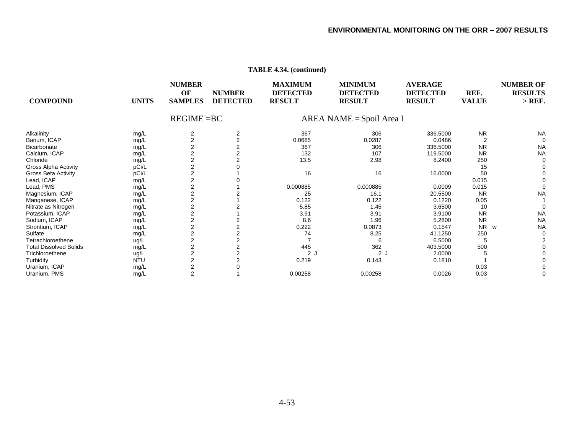| <b>COMPOUND</b>               | <b>UNITS</b> | <b>NUMBER</b><br>OF<br><b>SAMPLES</b> | <b>NUMBER</b><br><b>DETECTED</b> | <b>MAXIMUM</b><br><b>DETECTED</b><br><b>RESULT</b> | <b>MINIMUM</b><br><b>DETECTED</b><br><b>RESULT</b> | <b>AVERAGE</b><br><b>DETECTED</b><br><b>RESULT</b> | REF.<br><b>VALUE</b> | <b>NUMBER OF</b><br><b>RESULTS</b><br>$>$ REF. |
|-------------------------------|--------------|---------------------------------------|----------------------------------|----------------------------------------------------|----------------------------------------------------|----------------------------------------------------|----------------------|------------------------------------------------|
|                               |              | $REGIME = BC$                         |                                  |                                                    | AREA NAME = Spoil Area I                           |                                                    |                      |                                                |
| Alkalinity                    | mg/L         | 2                                     | 2                                | 367                                                | 306                                                | 336.5000                                           | <b>NR</b>            | <b>NA</b>                                      |
| Barium, ICAP                  | mg/L         | $\overline{2}$                        | $\overline{2}$                   | 0.0685                                             | 0.0287                                             | 0.0486                                             | $\overline{2}$       | $\Omega$                                       |
| <b>Bicarbonate</b>            | mg/L         | $\overline{\mathbf{c}}$               | $\overline{2}$                   | 367                                                | 306                                                | 336.5000                                           | <b>NR</b>            | <b>NA</b>                                      |
| Calcium, ICAP                 | mg/L         | 2                                     | $\overline{2}$                   | 132                                                | 107                                                | 119.5000                                           | <b>NR</b>            | <b>NA</b>                                      |
| Chloride                      | mg/L         | $\overline{\mathbf{c}}$               | 2                                | 13.5                                               | 2.98                                               | 8.2400                                             | 250                  |                                                |
| <b>Gross Alpha Activity</b>   | pCi/L        | $\overline{2}$                        |                                  |                                                    |                                                    |                                                    | 15                   |                                                |
| <b>Gross Beta Activity</b>    | pCi/L        | 2                                     |                                  | 16                                                 | 16                                                 | 16.0000                                            | 50                   |                                                |
| Lead, ICAP                    | mg/L         | 2                                     |                                  |                                                    |                                                    |                                                    | 0.015                |                                                |
| Lead, PMS                     | mg/L         | $\overline{\mathbf{c}}$               |                                  | 0.000885                                           | 0.000885                                           | 0.0009                                             | 0.015                |                                                |
| Magnesium, ICAP               | mg/L         | $\overline{\mathbf{c}}$               |                                  | 25                                                 | 16.1                                               | 20.5500                                            | <b>NR</b>            | <b>NA</b>                                      |
| Manganese, ICAP               | mg/L         | $\overline{\mathbf{c}}$               |                                  | 0.122                                              | 0.122                                              | 0.1220                                             | 0.05                 |                                                |
| Nitrate as Nitrogen           | mg/L         | $\overline{2}$                        |                                  | 5.85                                               | 1.45                                               | 3.6500                                             | 10                   |                                                |
| Potassium, ICAP               | mg/L         | 2                                     |                                  | 3.91                                               | 3.91                                               | 3.9100                                             | <b>NR</b>            | <b>NA</b>                                      |
| Sodium, ICAP                  | mg/L         | $\overline{\mathbf{c}}$               |                                  | 8.6                                                | 1.96                                               | 5.2800                                             | <b>NR</b>            | <b>NA</b>                                      |
| Strontium, ICAP               | mg/L         | 2                                     | 2                                | 0.222                                              | 0.0873                                             | 0.1547                                             | <b>NR</b><br>W       | <b>NA</b>                                      |
| Sulfate                       | mg/L         | $\overline{\mathbf{c}}$               | 2                                | 74                                                 | 8.25                                               | 41.1250                                            | 250                  |                                                |
| Tetrachloroethene             | ug/L         | $\overline{2}$                        | $\overline{2}$                   |                                                    |                                                    | 6.5000                                             | 5                    |                                                |
| <b>Total Dissolved Solids</b> | mg/L         | $\overline{\mathbf{c}}$               | $\overline{2}$                   | 445                                                | 362                                                | 403.5000                                           | 500                  |                                                |
| Trichloroethene               | ug/L         | $\overline{\mathbf{c}}$               | $\overline{2}$                   | 2 <sub>1</sub>                                     | 2J                                                 | 2.0000                                             | 5                    |                                                |
| Turbidity                     | <b>NTU</b>   | 2                                     |                                  | 0.219                                              | 0.143                                              | 0.1810                                             |                      |                                                |
| Uranium, ICAP                 | mg/L         | $\overline{\mathbf{c}}$               |                                  |                                                    |                                                    |                                                    | 0.03                 |                                                |
| Uranium, PMS                  | mg/L         | 2                                     |                                  | 0.00258                                            | 0.00258                                            | 0.0026                                             | 0.03                 |                                                |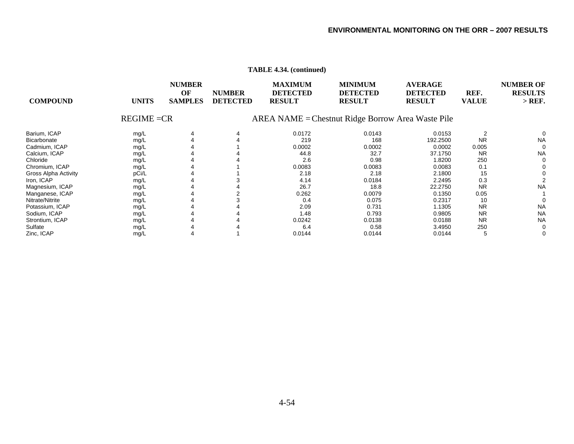|                      |               |                                       |                                                   | 111D112 7.97. (Continued)                          |                                                    |                                                    |                      |                                              |
|----------------------|---------------|---------------------------------------|---------------------------------------------------|----------------------------------------------------|----------------------------------------------------|----------------------------------------------------|----------------------|----------------------------------------------|
| <b>COMPOUND</b>      | <b>UNITS</b>  | <b>NUMBER</b><br>OF<br><b>SAMPLES</b> | <b>NUMBER</b><br><b>DETECTED</b>                  | <b>MAXIMUM</b><br><b>DETECTED</b><br><b>RESULT</b> | <b>MINIMUM</b><br><b>DETECTED</b><br><b>RESULT</b> | <b>AVERAGE</b><br><b>DETECTED</b><br><b>RESULT</b> | REF.<br><b>VALUE</b> | <b>NUMBER OF</b><br><b>RESULTS</b><br>> REF. |
|                      | $REGIME = CR$ |                                       | AREA NAME = Chestnut Ridge Borrow Area Waste Pile |                                                    |                                                    |                                                    |                      |                                              |
| Barium, ICAP         | mg/L          |                                       |                                                   | 0.0172                                             | 0.0143                                             | 0.0153                                             |                      |                                              |
| Bicarbonate          | mg/L          |                                       |                                                   | 219                                                | 168                                                | 192.2500                                           | <b>NR</b>            | <b>NA</b>                                    |
| Cadmium, ICAP        | mg/L          |                                       |                                                   | 0.0002                                             | 0.0002                                             | 0.0002                                             | 0.005                | 0                                            |
| Calcium, ICAP        | mg/L          |                                       |                                                   | 44.8                                               | 32.7                                               | 37.1750                                            | <b>NR</b>            | <b>NA</b>                                    |
| Chloride             | mg/L          |                                       |                                                   | 2.6                                                | 0.98                                               | 1.8200                                             | 250                  | 0                                            |
| Chromium, ICAP       | mg/L          |                                       |                                                   | 0.0083                                             | 0.0083                                             | 0.0083                                             | 0.1                  |                                              |
| Gross Alpha Activity | pCi/L         |                                       |                                                   | 2.18                                               | 2.18                                               | 2.1800                                             | 15                   |                                              |
| Iron, ICAP           | mg/L          |                                       |                                                   | 4.14                                               | 0.0184                                             | 2.2495                                             | 0.3                  |                                              |
| Magnesium, ICAP      | mg/L          |                                       |                                                   | 26.7                                               | 18.8                                               | 22.2750                                            | <b>NR</b>            | <b>NA</b>                                    |
| Manganese, ICAP      | mg/L          |                                       |                                                   | 0.262                                              | 0.0079                                             | 0.1350                                             | 0.05                 |                                              |
| Nitrate/Nitrite      | mg/L          |                                       |                                                   | 0.4                                                | 0.075                                              | 0.2317                                             | 10                   |                                              |
| Potassium, ICAP      | mg/L          |                                       |                                                   | 2.09                                               | 0.731                                              | 1.1305                                             | <b>NR</b>            | <b>NA</b>                                    |
| Sodium, ICAP         | mg/L          |                                       |                                                   | 1.48                                               | 0.793                                              | 0.9805                                             | <b>NR</b>            | <b>NA</b>                                    |
| Strontium, ICAP      | mg/L          |                                       |                                                   | 0.0242                                             | 0.0138                                             | 0.0188                                             | <b>NR</b>            | <b>NA</b>                                    |
| Sulfate              | mg/L          |                                       |                                                   | 6.4                                                | 0.58                                               | 3.4950                                             | 250                  | 0                                            |
| Zinc, ICAP           | mg/L          |                                       |                                                   | 0.0144                                             | 0.0144                                             | 0.0144                                             | 5                    | 0                                            |
|                      |               |                                       |                                                   |                                                    |                                                    |                                                    |                      |                                              |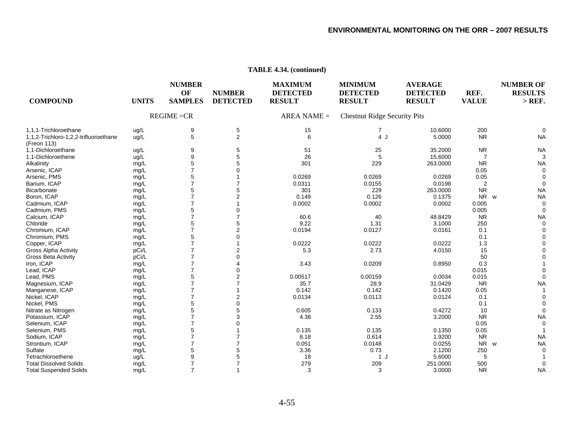| <b>COMPOUND</b>                                      | <b>UNITS</b> | <b>NUMBER</b><br>OF<br><b>SAMPLES</b> | <b>NUMBER</b><br><b>DETECTED</b> | <b>MAXIMUM</b><br><b>DETECTED</b><br><b>RESULT</b> | <b>MINIMUM</b><br><b>DETECTED</b><br><b>RESULT</b> | <b>AVERAGE</b><br><b>DETECTED</b><br><b>RESULT</b> | REF.<br><b>VALUE</b> | <b>NUMBER OF</b><br><b>RESULTS</b><br>$>$ REF. |
|------------------------------------------------------|--------------|---------------------------------------|----------------------------------|----------------------------------------------------|----------------------------------------------------|----------------------------------------------------|----------------------|------------------------------------------------|
|                                                      |              | $REGIME = CR$                         |                                  | $AREA NAME =$                                      | <b>Chestnut Ridge Security Pits</b>                |                                                    |                      |                                                |
| 1.1.1-Trichloroethane                                | ug/L         | 9                                     | 5                                | 15                                                 | $\mathbf{7}$                                       | 10.6000                                            | 200                  | $\Omega$                                       |
| 1,1,2-Trichloro-1,2,2-trifluoroethane<br>(Freon 113) | ug/L         | 5                                     | $\overline{2}$                   | 6                                                  | 4 J                                                | 5.0000                                             | <b>NR</b>            | <b>NA</b>                                      |
| 1,1-Dichloroethane                                   | ug/L         | 9                                     | 5                                | 51                                                 | 25                                                 | 35.2000                                            | <b>NR</b>            | <b>NA</b>                                      |
| 1,1-Dichloroethene                                   | ug/L         | 9                                     | 5                                | 26                                                 | 5                                                  | 15.6000                                            |                      |                                                |
| Alkalinity                                           | mg/L         | 5                                     | 5                                | 301                                                | 229                                                | 263.0000                                           | <b>NR</b>            | <b>NA</b>                                      |
| Arsenic, ICAP                                        | mg/L         | $\overline{7}$                        |                                  |                                                    |                                                    |                                                    | 0.05                 |                                                |
| Arsenic, PMS                                         | mg/L         | 5                                     |                                  | 0.0269                                             | 0.0269                                             | 0.0269                                             | 0.05                 |                                                |
| Barium, ICAP                                         | mg/L         | $\overline{7}$                        |                                  | 0.0311                                             | 0.0155                                             | 0.0198                                             | $\overline{2}$       |                                                |
| Bicarbonate                                          | mg/L         | 5                                     | 5                                | 301                                                | 229                                                | 263.0000                                           | <b>NR</b>            | <b>NA</b>                                      |
| Boron, ICAP                                          | mg/L         | $\overline{7}$                        | $\overline{2}$                   | 0.149                                              | 0.126                                              | 0.1375                                             | NR w                 | <b>NA</b>                                      |
| Cadmium, ICAP                                        | mg/L         | $\overline{7}$                        |                                  | 0.0002                                             | 0.0002                                             | 0.0002                                             | 0.005                |                                                |
| Cadmium, PMS                                         | mg/L         | 5                                     |                                  |                                                    |                                                    |                                                    | 0.005                |                                                |
| Calcium, ICAP                                        | mg/L         | 7                                     |                                  | 60.6                                               | 40                                                 | 48.8429                                            | <b>NR</b>            | <b>NA</b>                                      |
| Chloride                                             | mg/L         | 5                                     | 5                                | 9.22                                               | 1.31                                               | 3.1000                                             | 250                  |                                                |
| Chromium, ICAP                                       | mg/L         | $\overline{7}$                        | $\overline{2}$                   | 0.0194                                             | 0.0127                                             | 0.0161                                             | 0.1                  |                                                |
| Chromium, PMS                                        | mg/L         | 5                                     | 0                                |                                                    |                                                    |                                                    | 0.1                  |                                                |
| Copper, ICAP                                         | mg/L         |                                       |                                  | 0.0222                                             | 0.0222                                             | 0.0222                                             | 1.3                  |                                                |
| <b>Gross Alpha Activity</b>                          | pCi/L        |                                       |                                  | 5.3                                                | 2.73                                               | 4.0150                                             | 15                   |                                                |
| <b>Gross Beta Activity</b>                           | pCi/L        |                                       |                                  |                                                    |                                                    |                                                    | 50                   |                                                |
| Iron, ICAP                                           | mg/L         | $\overline{7}$                        |                                  | 3.43                                               | 0.0209                                             | 0.8950                                             | 0.3                  |                                                |
| Lead, ICAP                                           | mg/L         | 7                                     |                                  |                                                    |                                                    |                                                    | 0.015                |                                                |
| Lead, PMS                                            | mg/L         | 5                                     | 2                                | 0.00517                                            | 0.00159                                            | 0.0034                                             | 0.015                |                                                |
| Magnesium, ICAP                                      | mg/L         | $\overline{7}$                        |                                  | 35.7                                               | 28.9                                               | 31.0429                                            | <b>NR</b>            | <b>NA</b>                                      |
| Manganese, ICAP                                      | mg/L         | $\overline{7}$                        |                                  | 0.142                                              | 0.142                                              | 0.1420                                             | 0.05                 |                                                |
| Nickel, ICAP                                         | mg/L         |                                       | 2                                | 0.0134                                             | 0.0113                                             | 0.0124                                             | 0.1                  |                                                |
| Nickel, PMS                                          | mg/L         | 5                                     | 0                                |                                                    |                                                    |                                                    | 0.1                  |                                                |
| Nitrate as Nitrogen                                  | mg/L         | 5                                     |                                  | 0.605                                              | 0.133                                              | 0.4272                                             | 10                   | $\Omega$                                       |
| Potassium, ICAP                                      | mg/L         | $\overline{7}$                        | 3                                | 4.38                                               | 2.55                                               | 3.2000                                             | <b>NR</b>            | <b>NA</b>                                      |
| Selenium, ICAP                                       | mg/L         |                                       |                                  |                                                    |                                                    |                                                    | 0.05                 |                                                |
| Selenium, PMS                                        | mg/L         | 5                                     |                                  | 0.135                                              | 0.135                                              | 0.1350                                             | 0.05                 |                                                |
| Sodium, ICAP                                         | mg/L         | $\overline{7}$                        |                                  | 8.18                                               | 0.614                                              | 1.9200                                             | <b>NR</b>            | <b>NA</b>                                      |
| Strontium, ICAP                                      | mg/L         | 7                                     |                                  | 0.051                                              | 0.0148                                             | 0.0255                                             | NR w                 | <b>NA</b>                                      |
| Sulfate                                              | mg/L         | 5                                     | 5                                | 3.36                                               | 0.73                                               | 2.1200                                             | 250                  |                                                |
| Tetrachloroethene                                    | ug/L         | 9                                     |                                  | 18                                                 | 1 J                                                | 5.6000                                             | 5                    |                                                |
| <b>Total Dissolved Solids</b>                        | mg/L         | $\overline{7}$                        |                                  | 279                                                | 209                                                | 251.0000                                           | 500                  |                                                |
| <b>Total Suspended Solids</b>                        | mg/L         | $\overline{7}$                        |                                  | 3                                                  | 3                                                  | 3.0000                                             | <b>NR</b>            | <b>NA</b>                                      |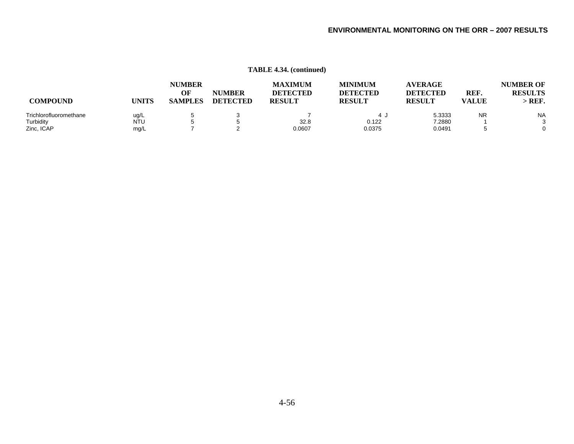|                        |            | <b>NUMBER</b><br>OF | <b>NUMBER</b>   | <b>MAXIMUM</b><br><b>DETECTED</b> | <b>MINIMUM</b><br><b>DETECTED</b> | <b>AVERAGE</b><br><b>DETECTED</b> | REF.         | <b>NUMBER OF</b><br><b>RESULTS</b> |
|------------------------|------------|---------------------|-----------------|-----------------------------------|-----------------------------------|-----------------------------------|--------------|------------------------------------|
| <b>COMPOUND</b>        | UNITS      | <b>SAMPLES</b>      | <b>DETECTED</b> | <b>RESULT</b>                     | <b>RESULT</b>                     | <b>RESULT</b>                     | <b>VALUE</b> | > REF                              |
| Trichlorofluoromethane | ug/L       |                     |                 |                                   |                                   | 5.3333                            | <b>NR</b>    | <b>NA</b>                          |
| Turbidity              | <b>NTU</b> |                     |                 | 32.8                              | 0.122                             | 7.2880                            |              | ີ                                  |
| Zinc, ICAP             | mg/L       |                     |                 | 0.0607                            | 0.0375                            | 0.0491                            |              | 0                                  |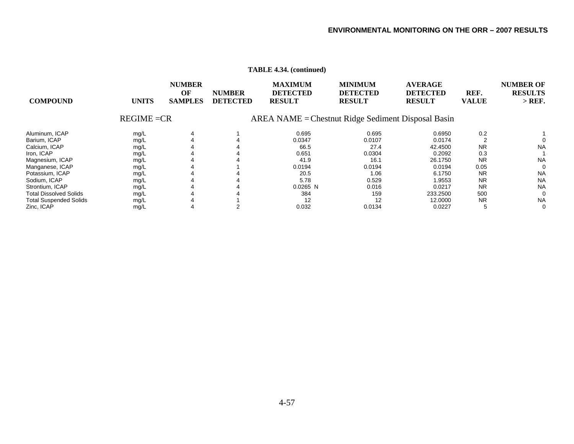|                               |               |                                       |                                  | $\ldots$ $\ldots$ $\ldots$ $\ldots$                |                                                    |                                                    |                      |                                                |
|-------------------------------|---------------|---------------------------------------|----------------------------------|----------------------------------------------------|----------------------------------------------------|----------------------------------------------------|----------------------|------------------------------------------------|
| <b>COMPOUND</b>               | <b>UNITS</b>  | <b>NUMBER</b><br>OF<br><b>SAMPLES</b> | <b>NUMBER</b><br><b>DETECTED</b> | <b>MAXIMUM</b><br><b>DETECTED</b><br><b>RESULT</b> | <b>MINIMUM</b><br><b>DETECTED</b><br><b>RESULT</b> | <b>AVERAGE</b><br><b>DETECTED</b><br><b>RESULT</b> | REF.<br><b>VALUE</b> | <b>NUMBER OF</b><br><b>RESULTS</b><br>$>$ REF. |
|                               | $REGIME = CR$ |                                       |                                  | AREA NAME = Chestnut Ridge Sediment Disposal Basin |                                                    |                                                    |                      |                                                |
| Aluminum, ICAP                | mg/L          |                                       |                                  | 0.695                                              | 0.695                                              | 0.6950                                             | 0.2                  |                                                |
| Barium, ICAP                  | mg/L          |                                       |                                  | 0.0347                                             | 0.0107                                             | 0.0174                                             |                      |                                                |
| Calcium, ICAP                 | mg/L          |                                       |                                  | 66.5                                               | 27.4                                               | 42.4500                                            | <b>NR</b>            | <b>NA</b>                                      |
| Iron, ICAP                    | mg/L          |                                       |                                  | 0.651                                              | 0.0304                                             | 0.2092                                             | 0.3                  |                                                |
| Magnesium, ICAP               | mg/L          |                                       |                                  | 41.9                                               | 16.1                                               | 26.1750                                            | <b>NR</b>            | <b>NA</b>                                      |
| Manganese, ICAP               | mg/L          |                                       |                                  | 0.0194                                             | 0.0194                                             | 0.0194                                             | 0.05                 | $\Omega$                                       |
| Potassium, ICAP               | mg/L          |                                       |                                  | 20.5                                               | 1.06                                               | 6.1750                                             | <b>NR</b>            | <b>NA</b>                                      |
| Sodium, ICAP                  | mg/L          |                                       |                                  | 5.78                                               | 0.529                                              | 1.9553                                             | <b>NR</b>            | <b>NA</b>                                      |
| Strontium, ICAP               | mg/L          |                                       |                                  | $0.0265$ N                                         | 0.016                                              | 0.0217                                             | <b>NR</b>            | <b>NA</b>                                      |
| <b>Total Dissolved Solids</b> | mg/L          |                                       |                                  | 384                                                | 159                                                | 233.2500                                           | 500                  | $\Omega$                                       |
| <b>Total Suspended Solids</b> | mg/L          |                                       |                                  | 12                                                 | 12                                                 | 12.0000                                            | <b>NR</b>            | <b>NA</b>                                      |
| Zinc, ICAP                    | mg/L          |                                       |                                  | 0.032                                              | 0.0134                                             | 0.0227                                             |                      | 0                                              |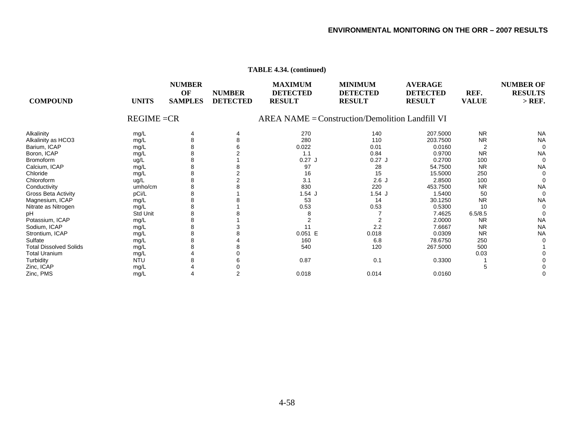| <b>COMPOUND</b>               | <b>UNITS</b>  | <b>NUMBER</b><br>OF<br><b>SAMPLES</b> | <b>NUMBER</b><br><b>DETECTED</b> | <b>MAXIMUM</b><br><b>DETECTED</b><br><b>RESULT</b> | <b>MINIMUM</b><br><b>DETECTED</b><br><b>RESULT</b> | <b>AVERAGE</b><br><b>DETECTED</b><br><b>RESULT</b> | REF.<br><b>VALUE</b> | <b>NUMBER OF</b><br><b>RESULTS</b><br>$>$ REF. |
|-------------------------------|---------------|---------------------------------------|----------------------------------|----------------------------------------------------|----------------------------------------------------|----------------------------------------------------|----------------------|------------------------------------------------|
|                               | $REGIME = CR$ |                                       |                                  |                                                    | $AREA NAME = Construction/Demolition Landfill VI$  |                                                    |                      |                                                |
| Alkalinity                    | mg/L          |                                       | 4                                | 270                                                | 140                                                | 207.5000                                           | <b>NR</b>            | <b>NA</b>                                      |
| Alkalinity as HCO3            | mg/L          |                                       |                                  | 280                                                | 110                                                | 203.7500                                           | <b>NR</b>            | <b>NA</b>                                      |
| Barium, ICAP                  | mg/L          |                                       |                                  | 0.022                                              | 0.01                                               | 0.0160                                             |                      | $\mathbf 0$                                    |
| Boron, ICAP                   | mg/L          |                                       |                                  | 1.1                                                | 0.84                                               | 0.9700                                             | <b>NR</b>            | <b>NA</b>                                      |
| <b>Bromoform</b>              | ug/L          |                                       |                                  | $0.27$ J                                           | $0.27$ J                                           | 0.2700                                             | 100                  | 0                                              |
| Calcium, ICAP                 | mg/L          |                                       |                                  | 97                                                 | 28                                                 | 54.7500                                            | <b>NR</b>            | <b>NA</b>                                      |
| Chloride                      | mg/L          | 8                                     |                                  | 16                                                 | 15                                                 | 15.5000                                            | 250                  | 0                                              |
| Chloroform                    | ug/L          |                                       |                                  | 3.1                                                | 2.6J                                               | 2.8500                                             | 100                  | 0                                              |
| Conductivity                  | umho/cm       |                                       |                                  | 830                                                | 220                                                | 453.7500                                           | <b>NR</b>            | <b>NA</b>                                      |
| <b>Gross Beta Activity</b>    | pCi/L         |                                       |                                  | $1.54$ J                                           | 1.54J                                              | 1.5400                                             | 50                   | $\Omega$                                       |
| Magnesium, ICAP               | mg/L          |                                       |                                  | 53                                                 | 14                                                 | 30.1250                                            | <b>NR</b>            | <b>NA</b>                                      |
| Nitrate as Nitrogen           | mg/L          |                                       |                                  | 0.53                                               | 0.53                                               | 0.5300                                             | 10                   | 0                                              |
| pН                            | Std Unit      |                                       |                                  | 8                                                  |                                                    | 7.4625                                             | 6.5/8.5              | 0                                              |
| Potassium, ICAP               | mg/L          | 8                                     |                                  |                                                    |                                                    | 2.0000                                             | <b>NR</b>            | <b>NA</b>                                      |
| Sodium, ICAP                  | mg/L          |                                       |                                  | 11                                                 | 2.2                                                | 7.6667                                             | <b>NR</b>            | <b>NA</b>                                      |
| Strontium, ICAP               | mg/L          | 8                                     |                                  | 0.051 E                                            | 0.018                                              | 0.0309                                             | <b>NR</b>            | <b>NA</b>                                      |
| Sulfate                       | mg/L          |                                       |                                  | 160                                                | 6.8                                                | 78.6750                                            | 250                  |                                                |
| <b>Total Dissolved Solids</b> | mg/L          |                                       |                                  | 540                                                | 120                                                | 267.5000                                           | 500                  |                                                |
| <b>Total Uranium</b>          | mg/L          |                                       |                                  |                                                    |                                                    |                                                    | 0.03                 |                                                |
| Turbidity                     | <b>NTU</b>    |                                       |                                  | 0.87                                               | 0.1                                                | 0.3300                                             |                      |                                                |
| Zinc, ICAP                    | mg/L          |                                       |                                  |                                                    |                                                    |                                                    | .h                   |                                                |
| Zinc, PMS                     | mg/L          |                                       |                                  | 0.018                                              | 0.014                                              | 0.0160                                             |                      |                                                |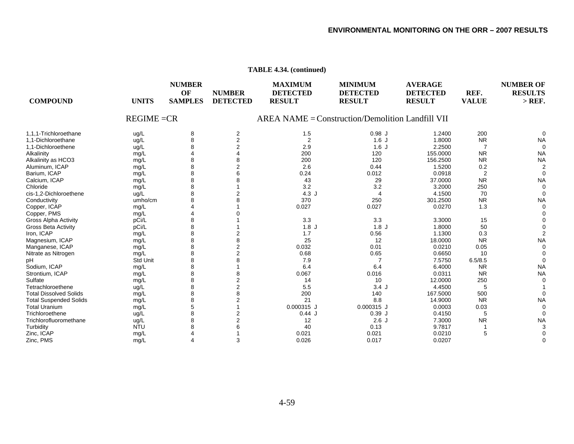| <b>COMPOUND</b>               | <b>UNITS</b>  | <b>NUMBER</b><br>OF<br><b>SAMPLES</b> | <b>NUMBER</b><br><b>DETECTED</b> | <b>MAXIMUM</b><br><b>DETECTED</b><br><b>RESULT</b> | <b>MINIMUM</b><br><b>DETECTED</b><br><b>RESULT</b> | <b>AVERAGE</b><br><b>DETECTED</b><br><b>RESULT</b> | REF.<br><b>VALUE</b> | <b>NUMBER OF</b><br><b>RESULTS</b><br>$>$ REF. |
|-------------------------------|---------------|---------------------------------------|----------------------------------|----------------------------------------------------|----------------------------------------------------|----------------------------------------------------|----------------------|------------------------------------------------|
|                               | $REGIME = CR$ |                                       |                                  |                                                    | $AREA NAME = Construction/Demolition Landfill VII$ |                                                    |                      |                                                |
| 1.1.1-Trichloroethane         | ug/L          | 8                                     | $\overline{c}$                   | 1.5                                                | $0.98$ J                                           | 1.2400                                             | 200                  | $\Omega$                                       |
| 1.1-Dichloroethane            | ug/L          | 8                                     | $\overline{2}$                   | $\overline{2}$                                     | 1.6J                                               | 1.8000                                             | <b>NR</b>            | <b>NA</b>                                      |
| 1,1-Dichloroethene            | ug/L          |                                       |                                  | 2.9                                                | 1.6J                                               | 2.2500                                             | $\overline{7}$       | $\mathbf 0$                                    |
| Alkalinity                    | mg/L          |                                       |                                  | 200                                                | 120                                                | 155.0000                                           | <b>NR</b>            | <b>NA</b>                                      |
| Alkalinity as HCO3            | mg/L          |                                       |                                  | 200                                                | 120                                                | 156.2500                                           | <b>NR</b>            | <b>NA</b>                                      |
| Aluminum, ICAP                | mg/L          |                                       |                                  | 2.6                                                | 0.44                                               | 1.5200                                             | 0.2                  | $\overline{2}$                                 |
| Barium, ICAP                  | mg/L          | 8                                     |                                  | 0.24                                               | 0.012                                              | 0.0918                                             | $\overline{2}$       | $\mathbf 0$                                    |
| Calcium, ICAP                 | mg/L          | 8                                     |                                  | 43                                                 | 29                                                 | 37.0000                                            | <b>NR</b>            | <b>NA</b>                                      |
| Chloride                      | mg/L          | 8                                     |                                  | 3.2                                                | 3.2                                                | 3.2000                                             | 250                  | $\mathbf 0$                                    |
| cis-1.2-Dichloroethene        | ug/L          |                                       |                                  | 4.3J                                               | $\overline{4}$                                     | 4.1500                                             | 70                   | $\Omega$                                       |
| Conductivity                  | umho/cm       |                                       |                                  | 370                                                | 250                                                | 301.2500                                           | <b>NR</b>            | <b>NA</b>                                      |
| Copper, ICAP                  | mg/L          |                                       |                                  | 0.027                                              | 0.027                                              | 0.0270                                             | 1.3                  | $\mathbf 0$                                    |
| Copper, PMS                   | mg/L          |                                       |                                  |                                                    |                                                    |                                                    |                      |                                                |
| <b>Gross Alpha Activity</b>   | pCi/L         | 8                                     |                                  | 3.3                                                | 3.3                                                | 3.3000                                             | 15                   | $\Omega$                                       |
| <b>Gross Beta Activity</b>    | pCi/L         | 8                                     |                                  | 1.8J                                               | 1.8J                                               | 1.8000                                             | 50                   | $\Omega$                                       |
| Iron, ICAP                    | mg/L          | 8                                     |                                  | 1.7                                                | 0.56                                               | 1.1300                                             | 0.3                  | $\overline{2}$                                 |
| Magnesium, ICAP               | mg/L          |                                       |                                  | 25                                                 | 12                                                 | 18.0000                                            | <b>NR</b>            | <b>NA</b>                                      |
| Manganese, ICAP               | mg/L          |                                       | 2                                | 0.032                                              | 0.01                                               | 0.0210                                             | 0.05                 | $\mathbf 0$                                    |
| Nitrate as Nitrogen           | mg/L          |                                       |                                  | 0.68                                               | 0.65                                               | 0.6650                                             | 10                   | $\Omega$                                       |
| рH                            | Std Unit      |                                       |                                  | 7.9                                                | $\overline{7}$                                     | 7.5750                                             | 6.5/8.5              | $\mathbf{C}$                                   |
| Sodium, ICAP                  | mg/L          | 8                                     |                                  | 6.4                                                | 6.4                                                | 6.4000                                             | <b>NR</b>            | <b>NA</b>                                      |
| Strontium, ICAP               | mg/L          | 8                                     |                                  | 0.067                                              | 0.016                                              | 0.0311                                             | <b>NR</b>            | <b>NA</b>                                      |
| Sulfate                       | mg/L          |                                       |                                  | 14                                                 | 10                                                 | 12.0000                                            | 250                  | $\Omega$                                       |
| Tetrachloroethene             | ug/L          |                                       | 2                                | 5.5                                                | 3.4J                                               | 4.4500                                             | 5                    |                                                |
| <b>Total Dissolved Solids</b> | mg/L          | 8                                     | 8                                | 200                                                | 140                                                | 167.5000                                           | 500                  | $\mathbf 0$                                    |
| <b>Total Suspended Solids</b> | mg/L          | 8                                     |                                  | 21                                                 | 8.8                                                | 14.9000                                            | <b>NR</b>            | <b>NA</b>                                      |
| <b>Total Uranium</b>          | mg/L          | 5                                     |                                  | 0.000315 J                                         | 0.000315 J                                         | 0.0003                                             | 0.03                 | $\mathbf 0$                                    |
| Trichloroethene               | ug/L          | 8                                     | 2                                | 0.44J                                              | 0.39J                                              | 0.4150                                             | 5                    | $\Omega$                                       |
| Trichlorofluoromethane        | ug/L          | 8                                     |                                  | 12                                                 | 2.6J                                               | 7.3000                                             | <b>NR</b>            | <b>NA</b>                                      |
| Turbidity                     | <b>NTU</b>    | 8                                     |                                  | 40                                                 | 0.13                                               | 9.7817                                             |                      | 3                                              |
| Zinc, ICAP                    | mg/L          |                                       |                                  | 0.021                                              | 0.021                                              | 0.0210                                             | 5                    | $\Omega$                                       |
| Zinc, PMS                     | mg/L          | Δ                                     | 3                                | 0.026                                              | 0.017                                              | 0.0207                                             |                      | 0                                              |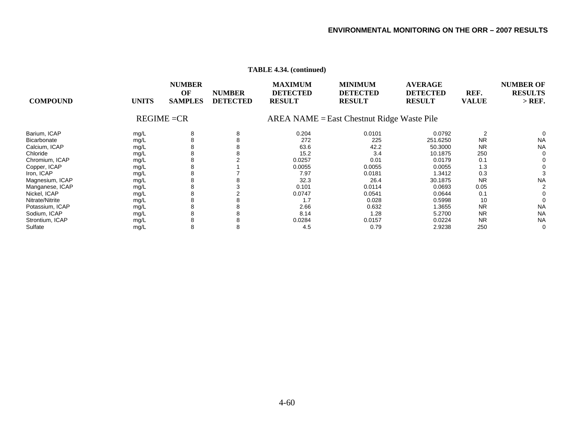| <b>COMPOUND</b> | <b>UNITS</b> | <b>NUMBER</b><br>OF<br><b>SAMPLES</b><br>$REGIME = CR$ | <b>NUMBER</b><br><b>DETECTED</b> | <b>MAXIMUM</b><br><b>DETECTED</b><br><b>RESULT</b> | <b>MINIMUM</b><br><b>DETECTED</b><br><b>RESULT</b><br>$AREA NAME = East Chestnut Ridge Wave Pile$ | <b>AVERAGE</b><br><b>DETECTED</b><br><b>RESULT</b> | REF.<br><b>VALUE</b> | <b>NUMBER OF</b><br><b>RESULTS</b><br>$>$ REF. |
|-----------------|--------------|--------------------------------------------------------|----------------------------------|----------------------------------------------------|---------------------------------------------------------------------------------------------------|----------------------------------------------------|----------------------|------------------------------------------------|
|                 |              |                                                        |                                  |                                                    |                                                                                                   |                                                    |                      |                                                |
| Barium, ICAP    | mg/L         | 8                                                      | 8                                | 0.204                                              | 0.0101                                                                                            | 0.0792                                             | 2                    | 0                                              |
| Bicarbonate     | mg/L         |                                                        | 8                                | 272                                                | 225                                                                                               | 251.6250                                           | <b>NR</b>            | <b>NA</b>                                      |
| Calcium, ICAP   | mg/L         |                                                        | 8                                | 63.6                                               | 42.2                                                                                              | 50.3000                                            | <b>NR</b>            | <b>NA</b>                                      |
| Chloride        | mg/L         | 8                                                      | 8                                | 15.2                                               | 3.4                                                                                               | 10.1875                                            | 250                  | 0                                              |
| Chromium, ICAP  | mg/L         |                                                        |                                  | 0.0257                                             | 0.01                                                                                              | 0.0179                                             | 0.1                  |                                                |
| Copper, ICAP    | mg/L         |                                                        |                                  | 0.0055                                             | 0.0055                                                                                            | 0.0055                                             | 1.3                  |                                                |
| Iron, ICAP      | mg/L         |                                                        |                                  | 7.97                                               | 0.0181                                                                                            | 1.3412                                             | 0.3                  |                                                |
| Magnesium, ICAP | mg/L         |                                                        |                                  | 32.3                                               | 26.4                                                                                              | 30.1875                                            | <b>NR</b>            | <b>NA</b>                                      |
| Manganese, ICAP | mg/L         |                                                        |                                  | 0.101                                              | 0.0114                                                                                            | 0.0693                                             | 0.05                 |                                                |
| Nickel, ICAP    | mg/L         | 8                                                      |                                  | 0.0747                                             | 0.0541                                                                                            | 0.0644                                             | 0.1                  |                                                |
| Nitrate/Nitrite | mg/L         | 8                                                      | 8                                | 1.7                                                | 0.028                                                                                             | 0.5998                                             | 10                   |                                                |
| Potassium, ICAP | mg/L         | 8                                                      | 8                                | 2.66                                               | 0.632                                                                                             | 1.3655                                             | <b>NR</b>            | <b>NA</b>                                      |
| Sodium, ICAP    | mg/L         |                                                        | 8                                | 8.14                                               | 1.28                                                                                              | 5.2700                                             | <b>NR</b>            | <b>NA</b>                                      |
| Strontium, ICAP | mg/L         |                                                        | 8                                | 0.0284                                             | 0.0157                                                                                            | 0.0224                                             | <b>NR</b>            | <b>NA</b>                                      |
| Sulfate         | mg/L         | 8                                                      | 8                                | 4.5                                                | 0.79                                                                                              | 2.9238                                             | 250                  | $\Omega$                                       |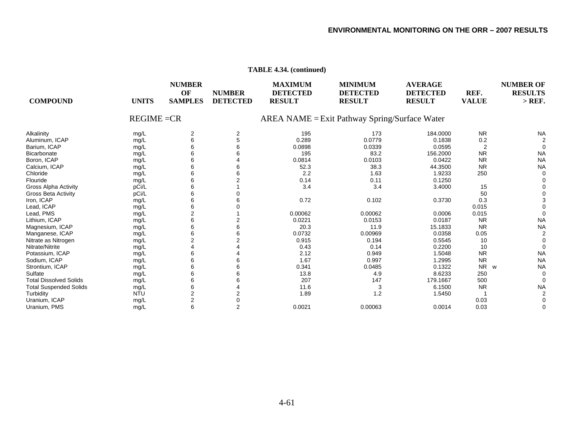| <b>COMPOUND</b>               | <b>UNITS</b>  | <b>NUMBER</b><br>OF<br><b>SAMPLES</b> | <b>NUMBER</b><br><b>DETECTED</b> | <b>MAXIMUM</b><br><b>DETECTED</b><br><b>RESULT</b> | <b>MINIMUM</b><br><b>DETECTED</b><br><b>RESULT</b> | <b>AVERAGE</b><br><b>DETECTED</b><br><b>RESULT</b> | REF.<br><b>VALUE</b> | <b>NUMBER OF</b><br><b>RESULTS</b><br>$>$ REF. |
|-------------------------------|---------------|---------------------------------------|----------------------------------|----------------------------------------------------|----------------------------------------------------|----------------------------------------------------|----------------------|------------------------------------------------|
|                               | $REGIME = CR$ |                                       |                                  |                                                    | $AREA NAME = Exist Pathway Spring/Surface Water$   |                                                    |                      |                                                |
| Alkalinity                    | mg/L          | $\overline{2}$                        | 2                                | 195                                                | 173                                                | 184.0000                                           | <b>NR</b>            | <b>NA</b>                                      |
| Aluminum, ICAP                | mg/L          | 6                                     | 5                                | 0.289                                              | 0.0779                                             | 0.1838                                             | 0.2                  |                                                |
| Barium, ICAP                  | mg/L          |                                       |                                  | 0.0898                                             | 0.0339                                             | 0.0595                                             | $\overline{2}$       |                                                |
| Bicarbonate                   | mg/L          | 6                                     |                                  | 195                                                | 83.2                                               | 156.2000                                           | <b>NR</b>            | <b>NA</b>                                      |
| Boron, ICAP                   | mg/L          | 6                                     |                                  | 0.0814                                             | 0.0103                                             | 0.0422                                             | <b>NR</b>            | <b>NA</b>                                      |
| Calcium, ICAP                 | mg/L          | 6                                     |                                  | 52.3                                               | 38.3                                               | 44.3500                                            | <b>NR</b>            | <b>NA</b>                                      |
| Chloride                      | mg/L          | 6                                     |                                  | 2.2                                                | 1.63                                               | 1.9233                                             | 250                  |                                                |
| Flouride                      | mg/L          | 6                                     |                                  | 0.14                                               | 0.11                                               | 0.1250                                             |                      |                                                |
| Gross Alpha Activity          | pCi/L         | 6                                     |                                  | 3.4                                                | 3.4                                                | 3.4000                                             | 15                   |                                                |
| <b>Gross Beta Activity</b>    | pCi/L         | 6                                     |                                  |                                                    |                                                    |                                                    | 50                   |                                                |
| Iron, ICAP                    | mg/L          | 6                                     |                                  | 0.72                                               | 0.102                                              | 0.3730                                             | 0.3                  |                                                |
| Lead, ICAP                    | mg/L          | 6                                     |                                  |                                                    |                                                    |                                                    | 0.015                |                                                |
| Lead, PMS                     | mg/L          | 2                                     |                                  | 0.00062                                            | 0.00062                                            | 0.0006                                             | 0.015                |                                                |
| Lithium, ICAP                 | mg/L          | 6                                     |                                  | 0.0221                                             | 0.0153                                             | 0.0187                                             | <b>NR</b>            | <b>NA</b>                                      |
| Magnesium, ICAP               | mg/L          | 6                                     |                                  | 20.3                                               | 11.9                                               | 15.1833                                            | <b>NR</b>            | <b>NA</b>                                      |
| Manganese, ICAP               | mg/L          |                                       |                                  | 0.0732                                             | 0.00969                                            | 0.0358                                             | 0.05                 |                                                |
| Nitrate as Nitrogen           | mg/L          | 2                                     |                                  | 0.915                                              | 0.194                                              | 0.5545                                             | 10                   |                                                |
| Nitrate/Nitrite               | mg/L          |                                       |                                  | 0.43                                               | 0.14                                               | 0.2200                                             | 10                   | $\Omega$                                       |
| Potassium, ICAP               | mg/L          | 6                                     |                                  | 2.12                                               | 0.949                                              | 1.5048                                             | <b>NR</b>            | <b>NA</b>                                      |
| Sodium, ICAP                  | mg/L          | 6                                     |                                  | 1.67                                               | 0.997                                              | 1.2995                                             | <b>NR</b>            | <b>NA</b>                                      |
| Strontium, ICAP               | mg/L          | 6                                     |                                  | 0.341                                              | 0.0485                                             | 0.1322                                             | NR<br>W              | <b>NA</b>                                      |
| Sulfate                       | mg/L          | 6                                     |                                  | 13.8                                               | 4.9                                                | 8.6233                                             | 250                  |                                                |
| <b>Total Dissolved Solids</b> | mg/L          | 6                                     |                                  | 207                                                | 147                                                | 179.1667                                           | 500                  | 0                                              |
| <b>Total Suspended Solids</b> | mg/L          | 6                                     |                                  | 11.6                                               | 3                                                  | 6.1500                                             | <b>NR</b>            | <b>NA</b>                                      |
| Turbidity                     | <b>NTU</b>    | $\overline{2}$                        |                                  | 1.89                                               | 1.2                                                | 1.5450                                             |                      |                                                |
| Uranium, ICAP                 | mg/L          | $\overline{2}$                        |                                  |                                                    |                                                    |                                                    | 0.03                 |                                                |
| Uranium, PMS                  | mq/L          | 6                                     | $\overline{2}$                   | 0.0021                                             | 0.00063                                            | 0.0014                                             | 0.03                 | $\Omega$                                       |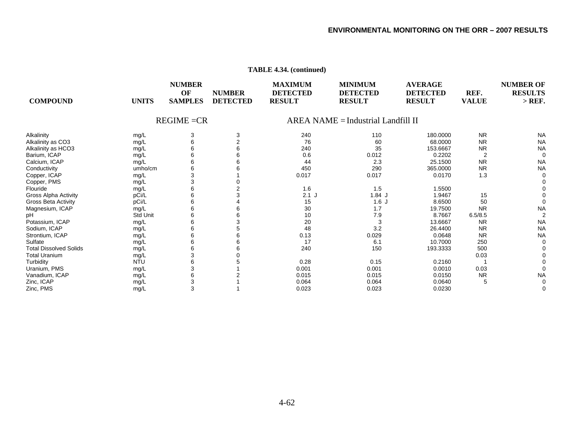| <b>COMPOUND</b><br><b>UNITS</b>       | <b>NUMBER</b><br>OF<br><b>SAMPLES</b> | <b>NUMBER</b><br><b>DETECTED</b> | <b>MAXIMUM</b><br><b>DETECTED</b><br><b>RESULT</b> | <b>MINIMUM</b><br><b>DETECTED</b><br><b>RESULT</b> | <b>AVERAGE</b><br><b>DETECTED</b><br><b>RESULT</b> | REF.<br><b>VALUE</b> | <b>NUMBER OF</b><br><b>RESULTS</b><br>$>$ REF. |
|---------------------------------------|---------------------------------------|----------------------------------|----------------------------------------------------|----------------------------------------------------|----------------------------------------------------|----------------------|------------------------------------------------|
|                                       | $REGIME = CR$                         |                                  |                                                    | $AREA NAME = Industrial Landfill II$               |                                                    |                      |                                                |
| Alkalinity<br>mg/L                    | 3                                     | 3                                | 240                                                | 110                                                | 180.0000                                           | <b>NR</b>            | <b>NA</b>                                      |
| Alkalinity as CO3<br>mg/L             |                                       |                                  | 76                                                 | 60                                                 | 68.0000                                            | <b>NR</b>            | <b>NA</b>                                      |
| Alkalinity as HCO3<br>mg/L            |                                       |                                  | 240                                                | 35                                                 | 153.6667                                           | <b>NR</b>            | <b>NA</b>                                      |
| Barium, ICAP<br>mg/L                  |                                       |                                  | 0.6                                                | 0.012                                              | 0.2202                                             | 2                    | $\Omega$                                       |
| Calcium, ICAP<br>mg/L                 |                                       |                                  | 44                                                 | 2.3                                                | 25.1500                                            | <b>NR</b>            | <b>NA</b>                                      |
| Conductivity<br>umho/cm               |                                       |                                  | 450                                                | 290                                                | 365.0000                                           | <b>NR</b>            | <b>NA</b>                                      |
| Copper, ICAP<br>mg/L                  |                                       |                                  | 0.017                                              | 0.017                                              | 0.0170                                             | 1.3                  |                                                |
| Copper, PMS<br>mg/L                   |                                       |                                  |                                                    |                                                    |                                                    |                      |                                                |
| Flouride<br>mg/L                      |                                       |                                  | 1.6                                                | 1.5                                                | 1.5500                                             |                      |                                                |
| pCi/L<br><b>Gross Alpha Activity</b>  |                                       |                                  | $2.1$ J                                            | 1.84J                                              | 1.9467                                             | 15                   |                                                |
| pCi/L<br>Gross Beta Activity          |                                       |                                  | 15                                                 | 1.6J                                               | 8.6500                                             | 50                   |                                                |
| Magnesium, ICAP<br>mg/L               |                                       |                                  | 30                                                 | 1.7                                                | 19.7500                                            | <b>NR</b>            | <b>NA</b>                                      |
| <b>Std Unit</b><br>pН                 |                                       |                                  | 10                                                 | 7.9                                                | 8.7667                                             | 6.5/8.5              |                                                |
| Potassium, ICAP<br>mg/L               |                                       |                                  | 20                                                 | 3                                                  | 13.6667                                            | <b>NR</b>            | <b>NA</b>                                      |
| Sodium, ICAP<br>mg/L                  |                                       |                                  | 48                                                 | 3.2                                                | 26.4400                                            | <b>NR</b>            | <b>NA</b>                                      |
| Strontium, ICAP<br>mg/L               |                                       |                                  | 0.13                                               | 0.029                                              | 0.0648                                             | <b>NR</b>            | <b>NA</b>                                      |
| Sulfate<br>mg/L                       |                                       |                                  | 17                                                 | 6.1                                                | 10.7000                                            | 250                  | $\Omega$                                       |
| <b>Total Dissolved Solids</b><br>mg/L |                                       |                                  | 240                                                | 150                                                | 193.3333                                           | 500                  |                                                |
| <b>Total Uranium</b><br>mg/L          |                                       |                                  |                                                    |                                                    |                                                    | 0.03                 |                                                |
| Turbidity<br><b>NTU</b>               |                                       |                                  | 0.28                                               | 0.15                                               | 0.2160                                             |                      |                                                |
| Uranium, PMS<br>mg/L                  |                                       |                                  | 0.001                                              | 0.001                                              | 0.0010                                             | 0.03                 |                                                |
| Vanadium, ICAP<br>mg/L                |                                       |                                  | 0.015                                              | 0.015                                              | 0.0150                                             | <b>NR</b>            | <b>NA</b>                                      |
| Zinc, ICAP<br>mg/L                    |                                       |                                  | 0.064                                              | 0.064                                              | 0.0640                                             | 5                    |                                                |
| Zinc, PMS<br>mg/L                     | 3                                     |                                  | 0.023                                              | 0.023                                              | 0.0230                                             |                      |                                                |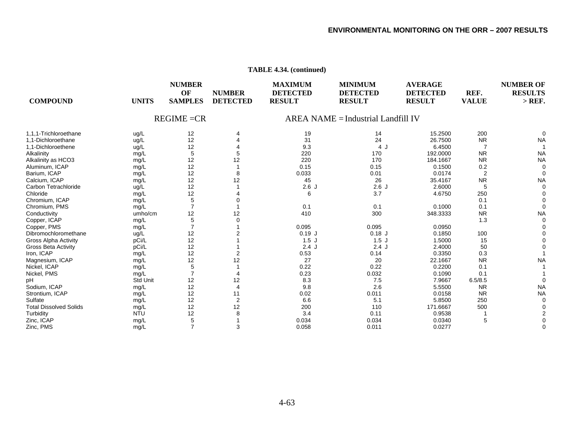| <b>COMPOUND</b>               | <b>UNITS</b> | <b>NUMBER</b><br>OF<br><b>SAMPLES</b> | <b>NUMBER</b><br><b>DETECTED</b> | <b>MAXIMUM</b><br><b>DETECTED</b><br><b>RESULT</b> | <b>MINIMUM</b><br><b>DETECTED</b><br><b>RESULT</b> | <b>AVERAGE</b><br><b>DETECTED</b><br><b>RESULT</b> | REF.<br><b>VALUE</b> | <b>NUMBER OF</b><br><b>RESULTS</b><br>$>$ REF. |
|-------------------------------|--------------|---------------------------------------|----------------------------------|----------------------------------------------------|----------------------------------------------------|----------------------------------------------------|----------------------|------------------------------------------------|
|                               |              | $REGIME = CR$                         |                                  |                                                    | <b>AREA NAME = Industrial Landfill IV</b>          |                                                    |                      |                                                |
| 1.1.1-Trichloroethane         | ug/L         | 12                                    |                                  | 19                                                 | 14                                                 | 15.2500                                            | 200                  | $\Omega$                                       |
| 1.1-Dichloroethane            | ug/L         | 12                                    |                                  | 31                                                 | 24                                                 | 26.7500                                            | <b>NR</b>            | <b>NA</b>                                      |
| 1,1-Dichloroethene            | ug/L         | 12                                    |                                  | 9.3                                                | 4 J                                                | 6.4500                                             | 7                    |                                                |
| Alkalinity                    | mg/L         | 5                                     | 5                                | 220                                                | 170                                                | 192.0000                                           | <b>NR</b>            | <b>NA</b>                                      |
| Alkalinity as HCO3            | mg/L         | 12                                    | 12                               | 220                                                | 170                                                | 184.1667                                           | <b>NR</b>            | <b>NA</b>                                      |
| Aluminum, ICAP                | mg/L         | 12                                    |                                  | 0.15                                               | 0.15                                               | 0.1500                                             | 0.2                  | $\Omega$                                       |
| Barium, ICAP                  | mg/L         | 12                                    | 8                                | 0.033                                              | 0.01                                               | 0.0174                                             | $\overline{2}$       |                                                |
| Calcium, ICAP                 | mg/L         | 12                                    | 12                               | 45                                                 | 26                                                 | 35.4167                                            | <b>NR</b>            | <b>NA</b>                                      |
| Carbon Tetrachloride          | ug/L         | 12                                    |                                  | 2.6J                                               | 2.6J                                               | 2.6000                                             | 5                    |                                                |
| Chloride                      | mg/L         | 12                                    |                                  | 6                                                  | 3.7                                                | 4.6750                                             | 250                  |                                                |
| Chromium, ICAP                | mg/L         | 5                                     |                                  |                                                    |                                                    |                                                    | 0.1                  |                                                |
| Chromium, PMS                 | mg/L         | $\overline{7}$                        |                                  | 0.1                                                | 0.1                                                | 0.1000                                             | 0.1                  | $\Omega$                                       |
| Conductivity                  | umho/cm      | 12                                    | 12                               | 410                                                | 300                                                | 348.3333                                           | <b>NR</b>            | <b>NA</b>                                      |
| Copper, ICAP                  | mg/L         | 5                                     |                                  |                                                    |                                                    |                                                    | 1.3                  |                                                |
| Copper, PMS                   | mg/L         |                                       |                                  | 0.095                                              | 0.095                                              | 0.0950                                             |                      |                                                |
| Dibromochloromethane          | ug/L         | 12                                    |                                  | $0.19$ J                                           | $0.18$ J                                           | 0.1850                                             | 100                  |                                                |
| <b>Gross Alpha Activity</b>   | pCi/L        | 12                                    |                                  | 1.5J                                               | 1.5J                                               | 1.5000                                             | 15                   |                                                |
| <b>Gross Beta Activity</b>    | pCi/L        | 12                                    |                                  | 2.4J                                               | 2.4J                                               | 2.4000                                             | 50                   |                                                |
| Iron, ICAP                    | mg/L         | 12                                    | $\overline{2}$                   | 0.53                                               | 0.14                                               | 0.3350                                             | 0.3                  |                                                |
| Magnesium, ICAP               | mg/L         | 12                                    | 12                               | 27                                                 | 20                                                 | 22.1667                                            | <b>NR</b>            | <b>NA</b>                                      |
| Nickel, ICAP                  | mg/L         | 5                                     |                                  | 0.22                                               | 0.22                                               | 0.2200                                             | 0.1                  |                                                |
| Nickel, PMS                   | mg/L         |                                       |                                  | 0.23                                               | 0.032                                              | 0.1090                                             | 0.1                  |                                                |
| pН                            | Std Unit     | 12                                    | 12                               | 8.3                                                | 7.5                                                | 7.9667                                             | 6.5/8.5              |                                                |
| Sodium, ICAP                  | mg/L         | 12                                    | $\overline{4}$                   | 9.8                                                | 2.6                                                | 5.5500                                             | <b>NR</b>            | <b>NA</b>                                      |
| Strontium, ICAP               | mg/L         | 12                                    | 11                               | 0.02                                               | 0.011                                              | 0.0158                                             | <b>NR</b>            | <b>NA</b>                                      |
| Sulfate                       | mg/L         | 12                                    | $\overline{2}$                   | 6.6                                                | 5.1                                                | 5.8500                                             | 250                  |                                                |
| <b>Total Dissolved Solids</b> | mg/L         | 12                                    | 12                               | 200                                                | 110                                                | 171.6667                                           | 500                  |                                                |
| Turbidity                     | <b>NTU</b>   | 12                                    |                                  | 3.4                                                | 0.11                                               | 0.9538                                             |                      |                                                |
| Zinc, ICAP                    | mg/L         | 5                                     |                                  | 0.034                                              | 0.034                                              | 0.0340                                             | 5                    |                                                |
| Zinc, PMS                     | mq/L         | $\overline{7}$                        |                                  | 0.058                                              | 0.011                                              | 0.0277                                             |                      |                                                |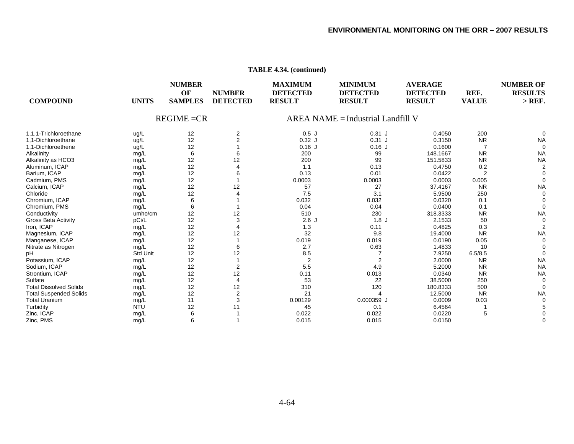| <b>COMPOUND</b>               | <b>UNITS</b>    | <b>NUMBER</b><br>OF<br><b>SAMPLES</b> | <b>NUMBER</b><br><b>DETECTED</b> | <b>MAXIMUM</b><br><b>DETECTED</b><br><b>RESULT</b> | <b>MINIMUM</b><br><b>DETECTED</b><br><b>RESULT</b> | <b>AVERAGE</b><br><b>DETECTED</b><br><b>RESULT</b> | REF.<br><b>VALUE</b> | <b>NUMBER OF</b><br><b>RESULTS</b><br>$>$ REF. |
|-------------------------------|-----------------|---------------------------------------|----------------------------------|----------------------------------------------------|----------------------------------------------------|----------------------------------------------------|----------------------|------------------------------------------------|
|                               |                 | $REGIME = CR$                         |                                  |                                                    | AREA NAME = Industrial Landfill V                  |                                                    |                      |                                                |
| 1,1,1-Trichloroethane         | ug/L            | 12                                    | 2                                | 0.5J                                               | $0.31$ J                                           | 0.4050                                             | 200                  |                                                |
| 1.1-Dichloroethane            | ug/L            | 12                                    | $\overline{2}$                   | $0.32$ J                                           | $0.31$ J                                           | 0.3150                                             | <b>NR</b>            | <b>NA</b>                                      |
| 1.1-Dichloroethene            | ug/L            | 12                                    |                                  | $0.16$ J                                           | $0.16$ J                                           | 0.1600                                             |                      | $\Omega$                                       |
| Alkalinity                    | mg/L            | 6                                     |                                  | 200                                                | 99                                                 | 148.1667                                           | <b>NR</b>            | <b>NA</b>                                      |
| Alkalinity as HCO3            | mg/L            | 12                                    | 12                               | 200                                                | 99                                                 | 151.5833                                           | <b>NR</b>            | <b>NA</b>                                      |
| Aluminum, ICAP                | mg/L            | 12                                    |                                  | 1.1                                                | 0.13                                               | 0.4750                                             | 0.2                  |                                                |
| Barium, ICAP                  | mg/L            | 12                                    |                                  | 0.13                                               | 0.01                                               | 0.0422                                             | $\overline{2}$       |                                                |
| Cadmium, PMS                  | mg/L            | 12                                    |                                  | 0.0003                                             | 0.0003                                             | 0.0003                                             | 0.005                |                                                |
| Calcium, ICAP                 | mg/L            | 12                                    | 12                               | 57                                                 | 27                                                 | 37.4167                                            | <b>NR</b>            | <b>NA</b>                                      |
| Chloride                      | mg/L            | 12                                    |                                  | 7.5                                                | 3.1                                                | 5.9500                                             | 250                  |                                                |
| Chromium, ICAP                | mg/L            | 6                                     |                                  | 0.032                                              | 0.032                                              | 0.0320                                             | 0.1                  |                                                |
| Chromium, PMS                 | mg/L            | 6                                     |                                  | 0.04                                               | 0.04                                               | 0.0400                                             | 0.1                  | O                                              |
| Conductivity                  | umho/cm         | 12                                    | 12                               | 510                                                | 230                                                | 318.3333                                           | <b>NR</b>            | <b>NA</b>                                      |
| <b>Gross Beta Activity</b>    | pCi/L           | 12                                    | 3                                | 2.6J                                               | 1.8J                                               | 2.1533                                             | 50                   |                                                |
| Iron, ICAP                    | mg/L            | 12                                    |                                  | 1.3                                                | 0.11                                               | 0.4825                                             | 0.3                  |                                                |
| Magnesium, ICAP               | mg/L            | 12                                    | 12                               | 32                                                 | 9.8                                                | 19.4000                                            | <b>NR</b>            | <b>NA</b>                                      |
| Manganese, ICAP               | mg/L            | 12                                    |                                  | 0.019                                              | 0.019                                              | 0.0190                                             | 0.05                 |                                                |
| Nitrate as Nitrogen           | mg/L            | 12                                    |                                  | 2.7                                                | 0.63                                               | 1.4833                                             | 10                   |                                                |
| pH                            | <b>Std Unit</b> | 12                                    | 12                               | 8.5                                                |                                                    | 7.9250                                             | 6.5/8.5              | $\Omega$                                       |
| Potassium, ICAP               | mg/L            | 12                                    |                                  | $\overline{2}$                                     | $\overline{2}$                                     | 2.0000                                             | <b>NR</b>            | <b>NA</b>                                      |
| Sodium, ICAP                  | mg/L            | 12                                    | 2                                | 5.5                                                | 4.9                                                | 5.2000                                             | <b>NR</b>            | <b>NA</b>                                      |
| Strontium, ICAP               | mg/L            | 12                                    | 12                               | 0.11                                               | 0.013                                              | 0.0340                                             | <b>NR</b>            | <b>NA</b>                                      |
| Sulfate                       | mg/L            | 12                                    | $\overline{4}$                   | 53                                                 | 22                                                 | 38.5000                                            | 250                  |                                                |
| <b>Total Dissolved Solids</b> | mg/L            | 12                                    | 12                               | 310                                                | 120                                                | 180.8333                                           | 500                  | $\Omega$                                       |
| <b>Total Suspended Solids</b> | mg/L            | 12                                    | $\overline{2}$                   | 21                                                 | 4                                                  | 12.5000                                            | <b>NR</b>            | <b>NA</b>                                      |
| <b>Total Uranium</b>          | mg/L            | 11                                    | 3                                | 0.00129                                            | 0.000359 J                                         | 0.0009                                             | 0.03                 |                                                |
| Turbidity                     | <b>NTU</b>      | 12                                    | 11                               | 45                                                 | 0.1                                                | 6.4564                                             |                      |                                                |
| Zinc, ICAP                    | mg/L            | 6                                     |                                  | 0.022                                              | 0.022                                              | 0.0220                                             | 5                    |                                                |
| Zinc, PMS                     | mq/L            | 6                                     |                                  | 0.015                                              | 0.015                                              | 0.0150                                             |                      |                                                |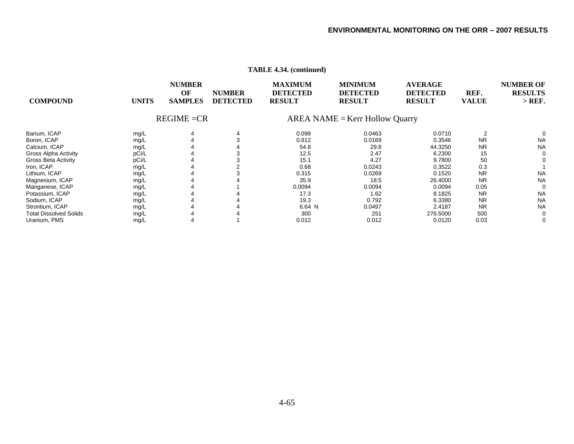|                               |              | <b>NUMBER</b><br>OF | <b>NUMBER</b>   | <b>MAXIMUM</b><br><b>DETECTED</b> | <b>MINIMUM</b><br><b>DETECTED</b> | <b>AVERAGE</b><br><b>DETECTED</b> | REF.         | <b>NUMBER OF</b><br><b>RESULTS</b> |
|-------------------------------|--------------|---------------------|-----------------|-----------------------------------|-----------------------------------|-----------------------------------|--------------|------------------------------------|
| <b>COMPOUND</b>               | <b>UNITS</b> | <b>SAMPLES</b>      | <b>DETECTED</b> | <b>RESULT</b>                     | <b>RESULT</b>                     | <b>RESULT</b>                     | <b>VALUE</b> | $>$ REF.                           |
|                               |              | $REGIME = CR$       |                 |                                   | $AREA NAME = Kerr$ Hollow Quarry  |                                   |              |                                    |
| Barium, ICAP                  | mg/L         |                     |                 | 0.099                             | 0.0463                            | 0.0710                            |              |                                    |
| Boron, ICAP                   | mg/L         |                     |                 | 0.812                             | 0.0169                            | 0.3546                            | <b>NR</b>    | <b>NA</b>                          |
| Calcium, ICAP                 | mg/L         |                     |                 | 54.8                              | 29.8                              | 44.3250                           | <b>NR</b>    | <b>NA</b>                          |
| <b>Gross Alpha Activity</b>   | pCi/L        |                     |                 | 12.5                              | 2.47                              | 6.2300                            | 15           | $\Omega$                           |
| <b>Gross Beta Activity</b>    | pCi/L        |                     |                 | 15.1                              | 4.27                              | 9.7800                            | 50           |                                    |
| Iron, ICAP                    | mg/L         |                     |                 | 0.68                              | 0.0243                            | 0.3522                            | 0.3          |                                    |
| Lithium, ICAP                 | mg/L         |                     |                 | 0.315                             | 0.0269                            | 0.1520                            | <b>NR</b>    | <b>NA</b>                          |
| Magnesium, ICAP               | mg/L         |                     |                 | 35.9                              | 18.5                              | 26.4000                           | <b>NR</b>    | <b>NA</b>                          |
| Manganese, ICAP               | mg/L         |                     |                 | 0.0094                            | 0.0094                            | 0.0094                            | 0.05         | 0                                  |
| Potassium, ICAP               | mg/L         |                     |                 | 17.3                              | 1.62                              | 8.1825                            | <b>NR</b>    | <b>NA</b>                          |
| Sodium, ICAP                  | mg/L         |                     |                 | 19.3                              | 0.792                             | 6.3380                            | <b>NR</b>    | <b>NA</b>                          |
| Strontium, ICAP               | mg/L         |                     |                 | 6.64 N                            | 0.0497                            | 2.4187                            | <b>NR</b>    | <b>NA</b>                          |
| <b>Total Dissolved Solids</b> | mg/L         |                     |                 | 300                               | 251                               | 276.5000                          | 500          | $\Omega$                           |
| Uranium, PMS                  | mg/L         |                     |                 | 0.012                             | 0.012                             | 0.0120                            | 0.03         | 0                                  |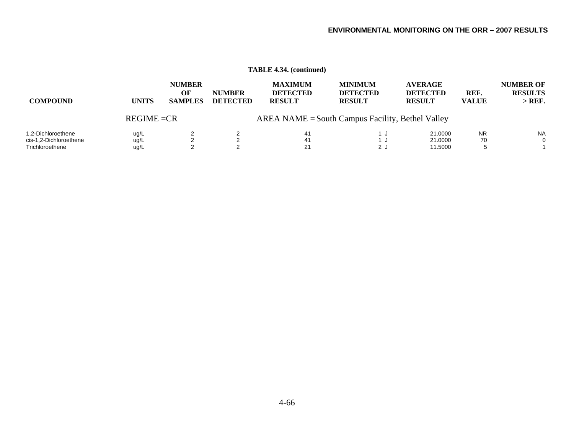| <b>COMPOUND</b>                                                 | <b>UNITS</b>         | <b>NUMBER</b><br>OF<br><b>SAMPLES</b> | <b>NUMBER</b><br><b>DETECTED</b> | <b>MAXIMUM</b><br><b>DETECTED</b><br><b>RESULT</b> | <b>MINIMUM</b><br><b>DETECTED</b><br><b>RESULT</b> | <b>AVERAGE</b><br><b>DETECTED</b><br><b>RESULT</b> | REF.<br><b>VALUE</b> | <b>NUMBER OF</b><br><b>RESULTS</b><br>$>$ REF. |
|-----------------------------------------------------------------|----------------------|---------------------------------------|----------------------------------|----------------------------------------------------|----------------------------------------------------|----------------------------------------------------|----------------------|------------------------------------------------|
|                                                                 | $REGIME = CR$        |                                       |                                  |                                                    | $AREA NAME = South Campus Facility, Bethel Valley$ |                                                    |                      |                                                |
| 1,2-Dichloroethene<br>cis-1,2-Dichloroethene<br>Trichloroethene | ug/L<br>ug/L<br>ug/L |                                       | ົ                                | 41<br>41<br>21                                     | 1 J<br>2 J                                         | 21.0000<br>21.0000<br>11.5000                      | <b>NR</b><br>70      | <b>NA</b><br>$\Omega$                          |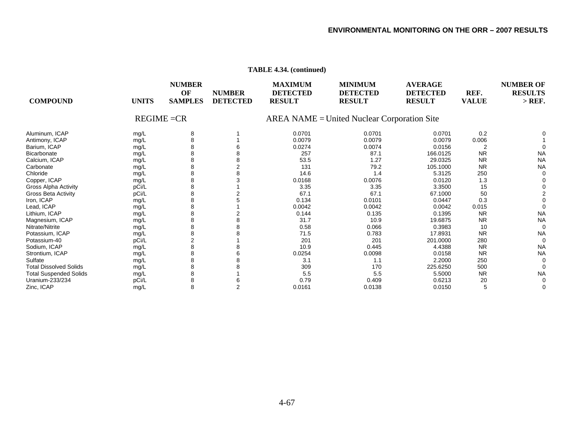| <b>COMPOUND</b>               | <b>UNITS</b> | <b>NUMBER</b><br>OF<br><b>SAMPLES</b> | <b>NUMBER</b><br><b>DETECTED</b> | <b>MAXIMUM</b><br><b>DETECTED</b><br><b>RESULT</b> | <b>MINIMUM</b><br><b>DETECTED</b><br><b>RESULT</b> | <b>AVERAGE</b><br><b>DETECTED</b><br><b>RESULT</b> | REF.<br><b>VALUE</b> | <b>NUMBER OF</b><br><b>RESULTS</b><br>$>$ REF. |
|-------------------------------|--------------|---------------------------------------|----------------------------------|----------------------------------------------------|----------------------------------------------------|----------------------------------------------------|----------------------|------------------------------------------------|
|                               |              | $REGIME = CR$                         |                                  |                                                    | <b>AREA NAME</b> = United Nuclear Corporation Site |                                                    |                      |                                                |
| Aluminum, ICAP                | mg/L         | 8                                     |                                  | 0.0701                                             | 0.0701                                             | 0.0701                                             | 0.2                  |                                                |
| Antimony, ICAP                | mg/L         |                                       |                                  | 0.0079                                             | 0.0079                                             | 0.0079                                             | 0.006                |                                                |
| Barium, ICAP                  | mg/L         |                                       |                                  | 0.0274                                             | 0.0074                                             | 0.0156                                             | $\overline{2}$       |                                                |
| Bicarbonate                   | mg/L         |                                       |                                  | 257                                                | 87.1                                               | 166.0125                                           | <b>NR</b>            | <b>NA</b>                                      |
| Calcium, ICAP                 | mg/L         |                                       |                                  | 53.5                                               | 1.27                                               | 29.0325                                            | <b>NR</b>            | <b>NA</b>                                      |
| Carbonate                     | mg/L         |                                       |                                  | 131                                                | 79.2                                               | 105.1000                                           | <b>NR</b>            | <b>NA</b>                                      |
| Chloride                      | mg/L         |                                       |                                  | 14.6                                               | 1.4                                                | 5.3125                                             | 250                  |                                                |
| Copper, ICAP                  | mg/L         |                                       |                                  | 0.0168                                             | 0.0076                                             | 0.0120                                             | 1.3                  |                                                |
| Gross Alpha Activity          | pCi/L        |                                       |                                  | 3.35                                               | 3.35                                               | 3.3500                                             | 15                   |                                                |
| <b>Gross Beta Activity</b>    | pCi/L        |                                       |                                  | 67.1                                               | 67.1                                               | 67.1000                                            | 50                   |                                                |
| Iron, ICAP                    | mg/L         |                                       |                                  | 0.134                                              | 0.0101                                             | 0.0447                                             | 0.3                  |                                                |
| Lead, ICAP                    | mg/L         |                                       |                                  | 0.0042                                             | 0.0042                                             | 0.0042                                             | 0.015                |                                                |
| Lithium, ICAP                 | mg/L         |                                       |                                  | 0.144                                              | 0.135                                              | 0.1395                                             | <b>NR</b>            | <b>NA</b>                                      |
| Magnesium, ICAP               | mg/L         |                                       |                                  | 31.7                                               | 10.9                                               | 19.6875                                            | <b>NR</b>            | <b>NA</b>                                      |
| Nitrate/Nitrite               | mg/L         |                                       |                                  | 0.58                                               | 0.066                                              | 0.3983                                             | 10                   |                                                |
| Potassium, ICAP               | mg/L         |                                       |                                  | 71.5                                               | 0.783                                              | 17.8931                                            | <b>NR</b>            | <b>NA</b>                                      |
| Potassium-40                  | pCi/L        |                                       |                                  | 201                                                | 201                                                | 201.0000                                           | 280                  |                                                |
| Sodium, ICAP                  | mg/L         |                                       |                                  | 10.9                                               | 0.445                                              | 4.4388                                             | <b>NR</b>            | <b>NA</b>                                      |
| Strontium, ICAP               | mg/L         |                                       |                                  | 0.0254                                             | 0.0098                                             | 0.0158                                             | <b>NR</b>            | <b>NA</b>                                      |
| Sulfate                       | mg/L         |                                       |                                  | 3.1                                                | 1.1                                                | 2.2000                                             | 250                  |                                                |
| <b>Total Dissolved Solids</b> | mg/L         |                                       |                                  | 309                                                | 170                                                | 225.6250                                           | 500                  |                                                |
| <b>Total Suspended Solids</b> | mg/L         |                                       |                                  | 5.5                                                | 5.5                                                | 5.5000                                             | <b>NR</b>            | <b>NA</b>                                      |
| Uranium-233/234               | pCi/L        | 8                                     |                                  | 0.79                                               | 0.409                                              | 0.6213                                             | 20                   |                                                |
| Zinc, ICAP                    | mg/L         | 8                                     | $\overline{2}$                   | 0.0161                                             | 0.0138                                             | 0.0150                                             | 5                    |                                                |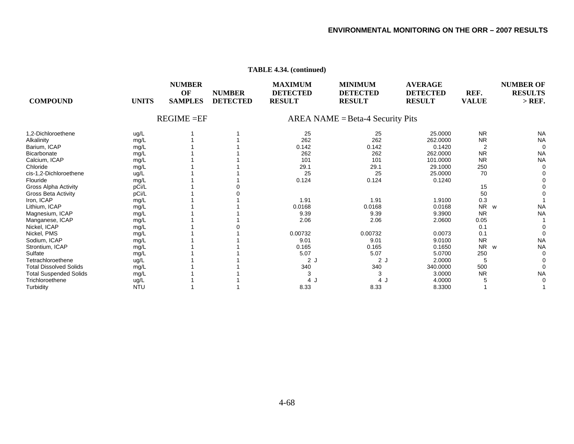| <b>COMPOUND</b>               | <b>UNITS</b> | <b>NUMBER</b><br>OF<br><b>SAMPLES</b> | <b>NUMBER</b><br><b>DETECTED</b> | <b>MAXIMUM</b><br><b>DETECTED</b><br><b>RESULT</b> | <b>MINIMUM</b><br><b>DETECTED</b><br><b>RESULT</b> | <b>AVERAGE</b><br><b>DETECTED</b><br><b>RESULT</b> | REF.<br><b>VALUE</b> | <b>NUMBER OF</b><br><b>RESULTS</b><br>$>$ REF. |
|-------------------------------|--------------|---------------------------------------|----------------------------------|----------------------------------------------------|----------------------------------------------------|----------------------------------------------------|----------------------|------------------------------------------------|
|                               |              | $REGIME = EF$                         |                                  |                                                    | $AREA NAME = Beta-4 Security Pits$                 |                                                    |                      |                                                |
| 1.2-Dichloroethene            | ug/L         |                                       |                                  | 25                                                 | 25                                                 | 25.0000                                            | <b>NR</b>            | <b>NA</b>                                      |
| Alkalinity                    | mg/L         |                                       |                                  | 262                                                | 262                                                | 262.0000                                           | <b>NR</b>            | <b>NA</b>                                      |
| Barium, ICAP                  | mg/L         |                                       |                                  | 0.142                                              | 0.142                                              | 0.1420                                             |                      |                                                |
| <b>Bicarbonate</b>            | mg/L         |                                       |                                  | 262                                                | 262                                                | 262.0000                                           | <b>NR</b>            | <b>NA</b>                                      |
| Calcium, ICAP                 | mg/L         |                                       |                                  | 101                                                | 101                                                | 101.0000                                           | <b>NR</b>            | <b>NA</b>                                      |
| Chloride                      | mg/L         |                                       |                                  | 29.1                                               | 29.1                                               | 29.1000                                            | 250                  |                                                |
| cis-1,2-Dichloroethene        | ug/L         |                                       |                                  | 25                                                 | 25                                                 | 25.0000                                            | 70                   |                                                |
| Flouride                      | mg/L         |                                       |                                  | 0.124                                              | 0.124                                              | 0.1240                                             |                      |                                                |
| Gross Alpha Activity          | pCi/L        |                                       |                                  |                                                    |                                                    |                                                    | 15                   |                                                |
| Gross Beta Activity           | pCi/L        |                                       |                                  |                                                    |                                                    |                                                    | 50                   |                                                |
| Iron, ICAP                    | mg/L         |                                       |                                  | 1.91                                               | 1.91                                               | 1.9100                                             | 0.3                  |                                                |
| Lithium, ICAP                 | mg/L         |                                       |                                  | 0.0168                                             | 0.0168                                             | 0.0168                                             | N <sub>R</sub><br>W  | <b>NA</b>                                      |
| Magnesium, ICAP               | mg/L         |                                       |                                  | 9.39                                               | 9.39                                               | 9.3900                                             | <b>NR</b>            | <b>NA</b>                                      |
| Manganese, ICAP               | mg/L         |                                       |                                  | 2.06                                               | 2.06                                               | 2.0600                                             | 0.05                 |                                                |
| Nickel, ICAP                  | mg/L         |                                       |                                  |                                                    |                                                    |                                                    | 0.1                  |                                                |
| Nickel, PMS                   | mg/L         |                                       |                                  | 0.00732                                            | 0.00732                                            | 0.0073                                             | 0.1                  |                                                |
| Sodium, ICAP                  | mg/L         |                                       |                                  | 9.01                                               | 9.01                                               | 9.0100                                             | <b>NR</b>            | <b>NA</b>                                      |
| Strontium, ICAP               | mg/L         |                                       |                                  | 0.165                                              | 0.165                                              | 0.1650                                             | N <sub>R</sub><br>W  | <b>NA</b>                                      |
| Sulfate                       | mg/L         |                                       |                                  | 5.07                                               | 5.07                                               | 5.0700                                             | 250                  |                                                |
| Tetrachloroethene             | ug/L         |                                       |                                  | 2 <sub>1</sub>                                     | 2 J                                                | 2.0000                                             |                      |                                                |
| <b>Total Dissolved Solids</b> | mg/L         |                                       |                                  | 340                                                | 340                                                | 340.0000                                           | 500                  |                                                |
| <b>Total Suspended Solids</b> | mg/L         |                                       |                                  | 3                                                  |                                                    | 3.0000                                             | <b>NR</b>            | <b>NA</b>                                      |
| Trichloroethene               | ug/L         |                                       |                                  | 4                                                  | 4.                                                 | 4.0000                                             |                      |                                                |
| Turbidity                     | <b>NTU</b>   |                                       |                                  | 8.33                                               | 8.33                                               | 8.3300                                             |                      |                                                |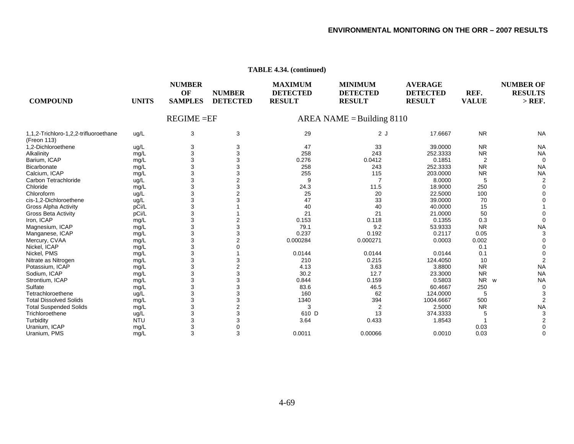#### **NUMBER MAXIMUM MINIMUM AVERAGE NUMBER OF OF NUMBER DETECTED DETECTED DETECTED REF. RESULTS COMPOUND UNITS SAMPLES DETECTED RESULT RESULT RESULT VALUE > REF.**  REGIME =EFAREA NAME = Building  $8110$ 1,1,2-Trichloro-1,2,2-trifluoroethane ug/L 3 3 3 3 29 2 3 3 29 3 17.6667 NR NA (Freon 113) 1,2-Dichloroethene ug/L 3 3 47 33 39.0000 NR NA Alkalinity mg/L 3 3 258 243 252.3333 NR NA Barium, ICAP mg/L 3 3 0.276 0.0412 0.1851 2 0 Bicarbonatee mg/L 3 3 258 243 252.3333 NR NA Calcium, ICAP mg/L 3 3 255 115 203.0000 NR NA Carbon Tetrachloridee ug/L 3 2 9 7 8.0000 5 2 Chloridee mg/L 3 3 24.3 11.5 18.9000 250 0 Chloroformm ug/L 3 2 25 20 22.5000 100 0 cis-1,2-Dichloroethene ug/L 3 3 47 33 39.0000 70 0 Gross Alpha Activity pCi/L 3 1 40 40 40.0000 15 1 Gross Beta Activity pCi/L 3 1 21 21 21.0000 50 0 Iron, ICAP mg/L 3 2 0.153 0.118 0.1355 0.3 0 Magnesium, ICAP mg/L 3 3 79.1 9.2 53.9333 NR NA Manganese, ICAP mg/L 3 3 0.237 0.192 0.2117 0.05 3 Mercury, CVAA mg/L 3 2 0.000284 0.000271 0.0003 0.002 0 Nickel, ICAP mg/L 3 0 0.1 0 Nickel, PMS mg/L 3 1 0.0144 0.0144 0.0144 0.1 0 Nitrate as Nitrogen mg/L 3 3 210 0.215 124.4050 10 2 Potassium, ICAP mg/L 3 2 4.13 3.63 3.8800 NR NA Sodium, ICAP mg/L 3 3 30.2 12.7 23.3000 NR NA Strontium, ICAP mg/L 3 3 0.844 0.159 0.5803 NR NR w NA Sulfatee mg/L 3 3 83.6 46.5 60.4667 250 0 **Tetrachloroethene** e ug/L 3 3 160 62 124.0000 5 3 Total Dissolved Solidss mg/L 3 3 1340 394 1004.6667 500 2 Total Suspended Solids mg/L 3 2 3 2 2.5000 NR NA **Trichloroethene** e ug/L 3 3 610 610 D 13 374.3333 5 3 Turbidity NTU 3 3 3.64 0.433 1.8543 1 2 Uranium, ICAP mg/L 3 0 0.03 0

#### **TABLE 4.34. (continued)**

Uranium, PMS mg/L 3 3 0.0011 0.00066 0.0010 0.03 0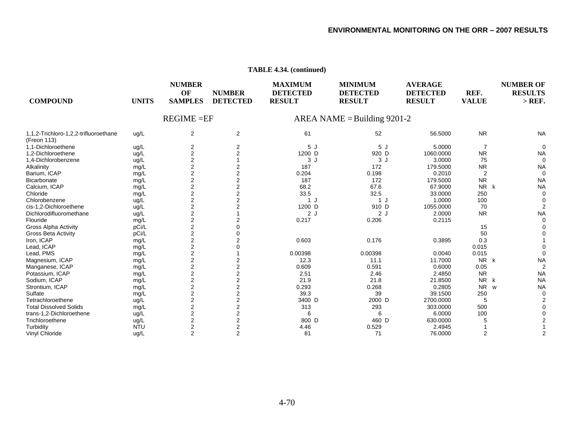| <b>COMPOUND</b>                                      | <b>UNITS</b>  | <b>NUMBER</b><br>OF<br><b>SAMPLES</b> | <b>NUMBER</b><br><b>DETECTED</b> | <b>MAXIMUM</b><br><b>DETECTED</b><br><b>RESULT</b> | <b>MINIMUM</b><br><b>DETECTED</b><br><b>RESULT</b> | <b>AVERAGE</b><br><b>DETECTED</b><br><b>RESULT</b> | REF.<br><b>VALUE</b> | <b>NUMBER OF</b><br><b>RESULTS</b><br>$>$ REF. |
|------------------------------------------------------|---------------|---------------------------------------|----------------------------------|----------------------------------------------------|----------------------------------------------------|----------------------------------------------------|----------------------|------------------------------------------------|
|                                                      | $REGIME = EF$ |                                       |                                  |                                                    | AREA NAME = Building $9201-2$                      |                                                    |                      |                                                |
| 1,1,2-Trichloro-1,2,2-trifluoroethane<br>(Freon 113) | ug/L          | 2                                     | 2                                | 61                                                 | 52                                                 | 56.5000                                            | <b>NR</b>            | <b>NA</b>                                      |
| 1,1-Dichloroethene                                   | ug/L          | $\overline{2}$                        | 2                                | 5J                                                 | 5J                                                 | 5.0000                                             | 7                    | $\Omega$                                       |
| 1.2-Dichloroethene                                   | ug/L          | $\overline{2}$                        | $\overline{2}$                   | 1200 D                                             | 920 D                                              | 1060.0000                                          | <b>NR</b>            | <b>NA</b>                                      |
| 1,4-Dichlorobenzene                                  | ug/L          | 2                                     |                                  | 3J                                                 | 3J                                                 | 3.0000                                             | 75                   |                                                |
| Alkalinity                                           | mg/L          | $\overline{c}$                        | 2                                | 187                                                | 172                                                | 179.5000                                           | <b>NR</b>            | <b>NA</b>                                      |
| Barium, ICAP                                         | mg/L          | $\overline{2}$                        | $\overline{2}$                   | 0.204                                              | 0.198                                              | 0.2010                                             | $\overline{2}$       |                                                |
| Bicarbonate                                          | mg/L          | $\overline{c}$                        | 2                                | 187                                                | 172                                                | 179.5000                                           | <b>NR</b>            | <b>NA</b>                                      |
| Calcium, ICAP                                        | mg/L          | $\overline{2}$                        | 2                                | 68.2                                               | 67.6                                               | 67.9000                                            | NR k                 | <b>NA</b>                                      |
| Chloride                                             | mg/L          | $\overline{2}$                        | 2                                | 33.5                                               | 32.5                                               | 33.0000                                            | 250                  |                                                |
| Chlorobenzene                                        | ug/L          | $\overline{2}$                        | 2                                | 1 J                                                | 1 J                                                | 1.0000                                             | 100                  |                                                |
| cis-1,2-Dichloroethene                               | ug/L          | $\overline{2}$                        |                                  | 1200 D                                             | 910 D                                              | 1055.0000                                          | 70                   |                                                |
| Dichlorodifluoromethane                              | ug/L          | $\overline{c}$                        |                                  | 2J                                                 | 2J                                                 | 2.0000                                             | <b>NR</b>            | <b>NA</b>                                      |
| Flouride                                             | mg/L          | $\overline{c}$                        |                                  | 0.217                                              | 0.206                                              | 0.2115                                             |                      |                                                |
| <b>Gross Alpha Activity</b>                          | pCi/L         | 2                                     |                                  |                                                    |                                                    |                                                    | 15                   |                                                |
| <b>Gross Beta Activity</b>                           | pCi/L         | $\overline{\mathbf{c}}$               |                                  |                                                    |                                                    |                                                    | 50                   |                                                |
| Iron, ICAP                                           | mg/L          | $\overline{\mathbf{c}}$               | 2                                | 0.603                                              | 0.176                                              | 0.3895                                             | 0.3                  |                                                |
| Lead, ICAP                                           | mg/L          | $\overline{\mathbf{c}}$               |                                  |                                                    |                                                    |                                                    | 0.015                |                                                |
| Lead, PMS                                            | mg/L          | $\overline{2}$                        |                                  | 0.00398                                            | 0.00398                                            | 0.0040                                             | 0.015                |                                                |
| Magnesium, ICAP                                      | mg/L          | $\overline{c}$                        | 2                                | 12.3                                               | 11.1                                               | 11.7000                                            | NR k                 | <b>NA</b>                                      |
| Manganese, ICAP                                      | mg/L          | $\overline{2}$                        | $\overline{2}$                   | 0.609                                              | 0.591                                              | 0.6000                                             | 0.05                 |                                                |
| Potassium, ICAP                                      | mg/L          | $\overline{c}$                        | 2                                | 2.51                                               | 2.46                                               | 2.4850                                             | <b>NR</b>            | <b>NA</b>                                      |
| Sodium, ICAP                                         | mg/L          | $\overline{c}$                        | $\overline{2}$                   | 21.9                                               | 21.8                                               | 21.8500                                            | NR<br>k              | <b>NA</b>                                      |
| Strontium, ICAP                                      | mg/L          | $\overline{2}$                        | $\overline{2}$                   | 0.293                                              | 0.268                                              | 0.2805                                             | N <sub>R</sub><br>W  | <b>NA</b>                                      |
| Sulfate                                              | mg/L          | $\overline{c}$                        | 2                                | 39.3                                               | 39                                                 | 39.1500                                            | 250                  |                                                |
| Tetrachloroethene                                    | ug/L          | $\overline{2}$                        | $\overline{2}$                   | 3400 D                                             | 2000 D                                             | 2700.0000                                          | 5                    |                                                |
| <b>Total Dissolved Solids</b>                        | mg/L          | 2                                     | 2                                | 313                                                | 293                                                | 303.0000                                           | 500                  |                                                |
| trans-1,2-Dichloroethene                             | ug/L          | $\overline{2}$                        |                                  | 6                                                  | 6                                                  | 6.0000                                             | 100                  |                                                |
| Trichloroethene                                      | ug/L          | $\overline{2}$                        | 2                                | 800 D                                              | 460 D                                              | 630.0000                                           |                      |                                                |
| Turbidity                                            | <b>NTU</b>    | $\overline{2}$                        | 2                                | 4.46                                               | 0.529                                              | 2.4945                                             |                      |                                                |
| Vinyl Chloride                                       | ug/L          | $\overline{2}$                        | $\overline{2}$                   | 81                                                 | 71                                                 | 76.0000                                            | 2                    |                                                |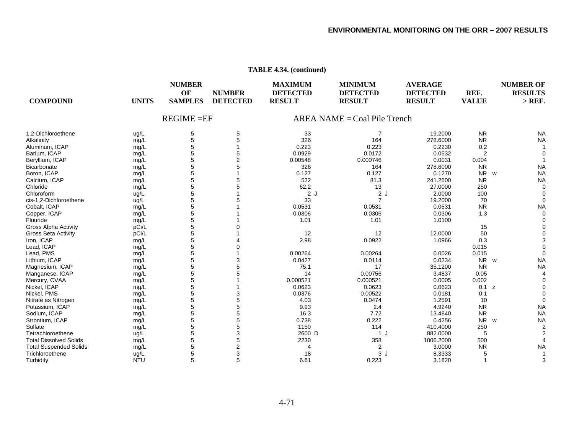D 1 J 882.0000 5 2

#### **NUMBER MAXIMUMMINIMUM AVERAGE NUMBER OF OF NUMBER DETECTED DETECTED DETECTED REF. RESULTS COMPOUND UNITS SAMPLES DETECTED RESULT RESULT RESULT VALUE > REF.**  REGIME =EFAREA NAME  $=$  Coal Pile Trench 1,2-Dichloroethene ug/L 5 5 33 7 19.2000 NR NA Alkalinity mg/L 5 5 326 164 278.6000 NR NA Aluminum, ICAP mg/L 5 1 0.223 0.223 0.2230 0.2 Barium, ICAP mg/L 5 5 0.0929 0.0172 0.0532 2 0 Beryllium, ICAP mg/L 5 2 0.00548 0.000746 0.0031 0.004 1 **Bicarbonate** e mg/L 5 5 326 164 278.6000 NR NA Boron, ICAP mg/L 5 1 0.127 0.127 0.1270 NR NR w NA Calcium, ICAP mg/L 5 5 522 81.3 241.2600 NR NA e mg/L 5 5 62.2 13 27.0000 250 0 m ug/L 5 1 2 J 2 J 2.0000 100 0 cis-1,2-Dichloroethene ug/L 5 5 33 7 19.2000 70 0 Cobalt, ICAP mg/L 5 1 0.0531 0.0531 0.0531 NR NA Copper, ICAP mg/L 5 1 0.0306 0.0306 0.0306 1.3 0 mg/L 5 1 1.01 1.01 1.0100 0 Gross Alpha Activity pCi/L 5 0 15 0 Gross Beta Activity pCi/L 5 1 12 12 12.0000 50 0 lron, ICAP mg/L 5 4 2.98 0.0922 1.0966 0.3 3 Lead, ICAP mg/L 5 0 0.015 0 Lead, PMS mg/L 5 1 0.00264 0.00264 0.0026 0.015 0 Lithium, ICAP mg/L 5 3 0.0427 0.0114 0.0234 NR NR w NA Magnesium, ICAP mg/L 5 5 75.1 17 35.1200 NR NA Manganese, ICAP mg/L 5 5 14 0.00756 3.4837 0.05 4 Mercury, CVAA mg/L 5 1 0.000521 0.000521 0.0005 0.002 0 Nickel, ICAP mg/L 5 1 0.0623 0.0623 0.0623 0.1 z 0 Nickel, PMS mg/L 5 3 0.0376 0.00522 0.0181 0.1 0 Nitrate as Nitrogen mg/L 5 5 4.03 0.0474 1.2591 10 0 Potassium, ICAP mg/L 5 5 9.93 2.4 4.9240 NR NA Sodium, ICAP mg/L 5 5 16.3 7.72 13.4840 NR NA Strontium, ICAP mg/L 5 5 0.738 0.222 0.4256 NR NR w NA e mg/L 5 5 1150 114 410.4000 250 2

 $2600$  D

e ug/L 5 3 18 3 J 8.3333 5 1

s mg/L 5 5 2230 358 1006.2000 500 4

Chloride

**Flouride** 

Sulfate

Tetrachloroethene

**Trichloroethene** 

Total Dissolved Solids

Chloroform

#### **TABLE 4.34. (continued)**

Total Suspended Solids mg/L 5 2 4 2 3.0000 NR NA

Turbidity NTU 5 5 6.61 0.223 3.1820 1 3

e ug/L 5 3 2600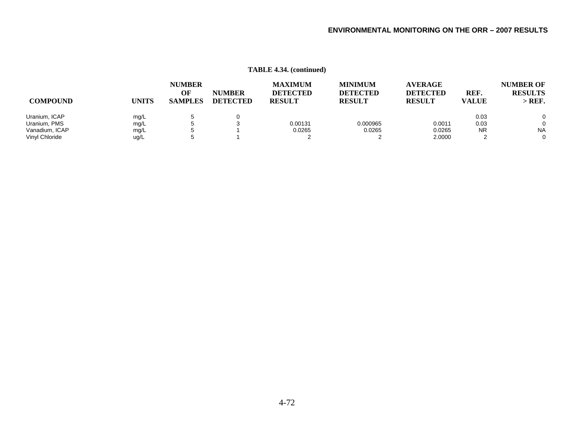| <b>COMPOUND</b> | <b>UNITS</b> | <b>NUMBER</b><br>OF<br><b>SAMPLES</b> | <b>NUMBER</b><br><b>DETECTED</b> | <b>MAXIMUM</b><br><b>DETECTED</b><br><b>RESULT</b> | <b>MINIMUM</b><br><b>DETECTED</b><br><b>RESULT</b> | <b>AVERAGE</b><br><b>DETECTED</b><br><b>RESULT</b> | REF.<br><b>VALUE</b> | <b>NUMBER OF</b><br><b>RESULTS</b><br>$>$ REF. |
|-----------------|--------------|---------------------------------------|----------------------------------|----------------------------------------------------|----------------------------------------------------|----------------------------------------------------|----------------------|------------------------------------------------|
| Uranium, ICAP   | mg/L         |                                       | 0                                |                                                    |                                                    |                                                    | 0.03                 | $\Omega$                                       |
| Uranium, PMS    | mg/L         |                                       |                                  | 0.00131                                            | 0.000965                                           | 0.0011                                             | 0.03                 | $\Omega$                                       |
| Vanadium, ICAP  | mg/L         |                                       |                                  | 0.0265                                             | 0.0265                                             | 0.0265                                             | <b>NR</b>            | <b>NA</b>                                      |
| Vinyl Chloride  | ug/L         |                                       |                                  |                                                    |                                                    | 2.0000                                             |                      | $\Omega$                                       |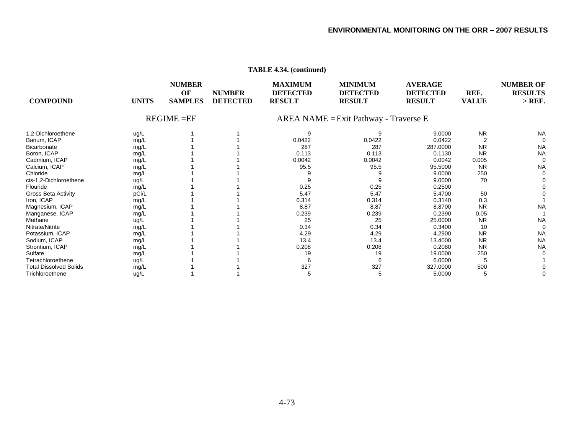| <b>COMPOUND</b>               | <b>UNITS</b> | <b>NUMBER</b><br>OF<br><b>SAMPLES</b> | <b>NUMBER</b><br><b>DETECTED</b> | <b>MAXIMUM</b><br><b>DETECTED</b><br><b>RESULT</b> | <b>MINIMUM</b><br><b>DETECTED</b><br><b>RESULT</b> | <b>AVERAGE</b><br><b>DETECTED</b><br><b>RESULT</b> | REF.<br><b>VALUE</b> | <b>NUMBER OF</b><br><b>RESULTS</b><br>$>$ REF. |
|-------------------------------|--------------|---------------------------------------|----------------------------------|----------------------------------------------------|----------------------------------------------------|----------------------------------------------------|----------------------|------------------------------------------------|
|                               |              | $REGIME = EF$                         |                                  | AREA NAME = Exit Pathway - Traverse E              |                                                    |                                                    |                      |                                                |
| 1.2-Dichloroethene            | ug/L         |                                       |                                  | 9                                                  |                                                    | 9.0000                                             | <b>NR</b>            | <b>NA</b>                                      |
| Barium, ICAP                  | mg/L         |                                       |                                  | 0.0422                                             | 0.0422                                             | 0.0422                                             |                      |                                                |
| Bicarbonate                   | mg/L         |                                       |                                  | 287                                                | 287                                                | 287.0000                                           | <b>NR</b>            | <b>NA</b>                                      |
| Boron, ICAP                   | mg/L         |                                       |                                  | 0.113                                              | 0.113                                              | 0.1130                                             | <b>NR</b>            | <b>NA</b>                                      |
| Cadmium, ICAP                 | mg/L         |                                       |                                  | 0.0042                                             | 0.0042                                             | 0.0042                                             | 0.005                |                                                |
| Calcium, ICAP                 | mg/L         |                                       |                                  | 95.5                                               | 95.5                                               | 95.5000                                            | <b>NR</b>            | <b>NA</b>                                      |
| Chloride                      | mg/L         |                                       |                                  |                                                    |                                                    | 9.0000                                             | 250                  |                                                |
| cis-1,2-Dichloroethene        | ug/L         |                                       |                                  |                                                    |                                                    | 9.0000                                             | 70                   |                                                |
| Flouride                      | mg/L         |                                       |                                  | 0.25                                               | 0.25                                               | 0.2500                                             |                      |                                                |
| <b>Gross Beta Activity</b>    | pCi/L        |                                       |                                  | 5.47                                               | 5.47                                               | 5.4700                                             | 50                   |                                                |
| Iron, ICAP                    | mg/L         |                                       |                                  | 0.314                                              | 0.314                                              | 0.3140                                             | 0.3                  |                                                |
| Magnesium, ICAP               | mg/L         |                                       |                                  | 8.87                                               | 8.87                                               | 8.8700                                             | <b>NR</b>            | <b>NA</b>                                      |
| Manganese, ICAP               | mg/L         |                                       |                                  | 0.239                                              | 0.239                                              | 0.2390                                             | 0.05                 |                                                |
| Methane                       | ug/L         |                                       |                                  | 25                                                 | 25                                                 | 25.0000                                            | <b>NR</b>            | <b>NA</b>                                      |
| Nitrate/Nitrite               | mg/L         |                                       |                                  | 0.34                                               | 0.34                                               | 0.3400                                             | 10                   |                                                |
| Potassium, ICAP               | mg/L         |                                       |                                  | 4.29                                               | 4.29                                               | 4.2900                                             | <b>NR</b>            | <b>NA</b>                                      |
| Sodium, ICAP                  | mg/L         |                                       |                                  | 13.4                                               | 13.4                                               | 13.4000                                            | <b>NR</b>            | <b>NA</b>                                      |
| Strontium, ICAP               | mg/L         |                                       |                                  | 0.208                                              | 0.208                                              | 0.2080                                             | <b>NR</b>            | <b>NA</b>                                      |
| Sulfate                       | mg/L         |                                       |                                  | 19                                                 | 19                                                 | 19.0000                                            | 250                  |                                                |
| Tetrachloroethene             | ug/L         |                                       |                                  |                                                    |                                                    | 6.0000                                             |                      |                                                |
| <b>Total Dissolved Solids</b> | mg/L         |                                       |                                  | 327                                                | 327                                                | 327.0000                                           | 500                  |                                                |
| Trichloroethene               | ug/L         |                                       |                                  |                                                    | 5                                                  | 5.0000                                             | 5                    |                                                |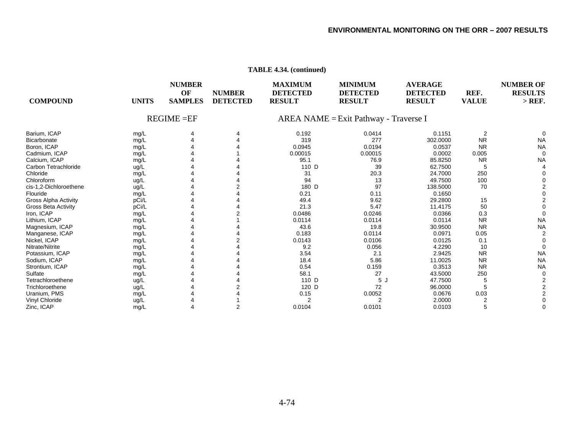| <b>COMPOUND</b>             | <b>UNITS</b>  | <b>NUMBER</b><br>OF<br><b>SAMPLES</b> | <b>NUMBER</b><br><b>DETECTED</b> | <b>MAXIMUM</b><br><b>DETECTED</b><br><b>RESULT</b> | <b>MINIMUM</b><br><b>DETECTED</b><br><b>RESULT</b> | <b>AVERAGE</b><br><b>DETECTED</b><br><b>RESULT</b> | REF.<br><b>VALUE</b> | <b>NUMBER OF</b><br><b>RESULTS</b><br>$>$ REF. |
|-----------------------------|---------------|---------------------------------------|----------------------------------|----------------------------------------------------|----------------------------------------------------|----------------------------------------------------|----------------------|------------------------------------------------|
|                             | $REGIME = EF$ |                                       |                                  | AREA NAME = Exit Pathway - Traverse I              |                                                    |                                                    |                      |                                                |
| Barium, ICAP                | mg/L          |                                       |                                  | 0.192                                              | 0.0414                                             | 0.1151                                             | $\overline{2}$       |                                                |
| Bicarbonate                 | mg/L          |                                       |                                  | 319                                                | 277                                                | 302.0000                                           | <b>NR</b>            | <b>NA</b>                                      |
| Boron, ICAP                 | mg/L          |                                       |                                  | 0.0945                                             | 0.0194                                             | 0.0537                                             | <b>NR</b>            | <b>NA</b>                                      |
| Cadmium, ICAP               | mg/L          |                                       |                                  | 0.00015                                            | 0.00015                                            | 0.0002                                             | 0.005                | $\Omega$                                       |
| Calcium, ICAP               | mg/L          |                                       |                                  | 95.1                                               | 76.9                                               | 85.8250                                            | <b>NR</b>            | <b>NA</b>                                      |
| Carbon Tetrachloride        | ug/L          |                                       |                                  | 110 D                                              | 39                                                 | 62.7500                                            | 5                    |                                                |
| Chloride                    | mg/L          |                                       |                                  | 31                                                 | 20.3                                               | 24.7000                                            | 250                  |                                                |
| Chloroform                  | ug/L          |                                       |                                  | 94                                                 | 13                                                 | 49.7500                                            | 100                  |                                                |
| cis-1,2-Dichloroethene      | ug/L          |                                       |                                  | 180 D                                              | 97                                                 | 138.5000                                           | 70                   |                                                |
| Flouride                    | mg/L          |                                       |                                  | 0.21                                               | 0.11                                               | 0.1650                                             |                      |                                                |
| <b>Gross Alpha Activity</b> | pCi/L         |                                       |                                  | 49.4                                               | 9.62                                               | 29.2800                                            | 15                   |                                                |
| Gross Beta Activity         | pCi/L         |                                       |                                  | 21.3                                               | 5.47                                               | 11.4175                                            | 50                   |                                                |
| Iron, ICAP                  | mg/L          |                                       |                                  | 0.0486                                             | 0.0246                                             | 0.0366                                             | 0.3                  |                                                |
| Lithium, ICAP               | mg/L          |                                       |                                  | 0.0114                                             | 0.0114                                             | 0.0114                                             | <b>NR</b>            | <b>NA</b>                                      |
| Magnesium, ICAP             | mg/L          |                                       |                                  | 43.6                                               | 19.8                                               | 30.9500                                            | <b>NR</b>            | <b>NA</b>                                      |
| Manganese, ICAP             | mg/L          |                                       |                                  | 0.183                                              | 0.0114                                             | 0.0971                                             | 0.05                 |                                                |
| Nickel, ICAP                | mg/L          |                                       |                                  | 0.0143                                             | 0.0106                                             | 0.0125                                             | 0.1                  |                                                |
| Nitrate/Nitrite             | mg/L          |                                       |                                  | 9.2                                                | 0.056                                              | 4.2290                                             | 10                   |                                                |
| Potassium, ICAP             | mg/L          |                                       |                                  | 3.54                                               | 2.1                                                | 2.9425                                             | <b>NR</b>            | <b>NA</b>                                      |
| Sodium, ICAP                | mg/L          |                                       |                                  | 18.4                                               | 5.86                                               | 11.0025                                            | <b>NR</b>            | <b>NA</b>                                      |
| Strontium, ICAP             | mg/L          |                                       |                                  | 0.54                                               | 0.159                                              | 0.3513                                             | <b>NR</b>            | <b>NA</b>                                      |
| Sulfate                     | mg/L          |                                       |                                  | 58.1                                               | 27                                                 | 43.5000                                            | 250                  |                                                |
| Tetrachloroethene           | ug/L          |                                       |                                  | 110 D                                              | 5J                                                 | 47.7500                                            | 5                    |                                                |
| Trichloroethene             | ug/L          |                                       |                                  | 120 D                                              | 72                                                 | 96.0000                                            |                      |                                                |
| Uranium, PMS                | mg/L          |                                       |                                  | 0.15                                               | 0.0052                                             | 0.0676                                             | 0.03                 |                                                |
| Vinyl Chloride              | ug/L          |                                       |                                  | 2                                                  | $\overline{2}$                                     | 2.0000                                             |                      |                                                |
| Zinc, ICAP                  | mq/L          |                                       |                                  | 0.0104                                             | 0.0101                                             | 0.0103                                             |                      |                                                |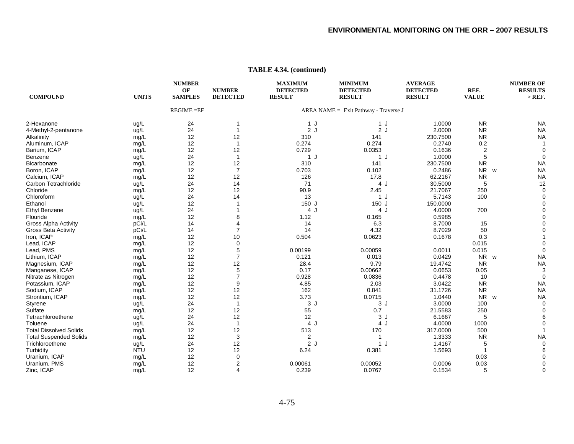| <b>COMPOUND</b>               | <b>UNITS</b> | <b>NUMBER</b><br>OF<br><b>SAMPLES</b> | <b>NUMBER</b><br><b>DETECTED</b> | <b>MAXIMUM</b><br><b>DETECTED</b><br><b>RESULT</b> | <b>MINIMUM</b><br><b>DETECTED</b><br><b>RESULT</b> | <b>AVERAGE</b><br><b>DETECTED</b><br><b>RESULT</b> | REF.<br><b>VALUE</b> | <b>NUMBER OF</b><br><b>RESULTS</b><br>$>$ REF. |
|-------------------------------|--------------|---------------------------------------|----------------------------------|----------------------------------------------------|----------------------------------------------------|----------------------------------------------------|----------------------|------------------------------------------------|
|                               |              | <b>REGIME = EF</b>                    |                                  |                                                    | AREA NAME = Exit Pathway - Traverse J              |                                                    |                      |                                                |
| 2-Hexanone                    | ug/L         | 24                                    | 1                                | 1 J                                                | 1 J                                                | 1.0000                                             | <b>NR</b>            | <b>NA</b>                                      |
| 4-Methyl-2-pentanone          | ug/L         | 24                                    | $\mathbf{1}$                     | 2J                                                 | 2J                                                 | 2.0000                                             | <b>NR</b>            | <b>NA</b>                                      |
| Alkalinity                    | mg/L         | 12                                    | 12                               | 310                                                | 141                                                | 230.7500                                           | <b>NR</b>            | <b>NA</b>                                      |
| Aluminum, ICAP                | mg/L         | 12                                    | $\mathbf{1}$                     | 0.274                                              | 0.274                                              | 0.2740                                             | 0.2                  |                                                |
| Barium, ICAP                  | mg/L         | 12                                    | 12                               | 0.729                                              | 0.0353                                             | 0.1636                                             | $\overline{2}$       |                                                |
| Benzene                       | ug/L         | 24                                    | $\mathbf{1}$                     | 1J                                                 | 1J                                                 | 1.0000                                             | 5                    | $\Omega$                                       |
| Bicarbonate                   | mg/L         | 12                                    | 12                               | 310                                                | 141                                                | 230.7500                                           | <b>NR</b>            | <b>NA</b>                                      |
| Boron, ICAP                   | mg/L         | 12                                    | $\overline{7}$                   | 0.703                                              | 0.102                                              | 0.2486                                             | NR w                 | <b>NA</b>                                      |
| Calcium, ICAP                 | mg/L         | 12                                    | 12                               | 126                                                | 17.8                                               | 62.2167                                            | <b>NR</b>            | <b>NA</b>                                      |
| Carbon Tetrachloride          | ug/L         | 24                                    | 14                               | 71                                                 | 4 J                                                | 30.5000                                            | 5                    | 12                                             |
| Chloride                      | mg/L         | 12                                    | 12                               | 90.9                                               | 2.45                                               | 21.7067                                            | 250                  | $\Omega$                                       |
| Chloroform                    | ug/L         | 24                                    | 14                               | 13                                                 | 1 J                                                | 5.7143                                             | 100                  |                                                |
| Ethanol                       | ug/L         | 12                                    | 1                                | 150 J                                              | 150 J                                              | 150.0000                                           |                      |                                                |
| <b>Ethyl Benzene</b>          | ug/L         | 24                                    |                                  | 4 J                                                | 4 J                                                | 4.0000                                             | 700                  |                                                |
| Flouride                      | mg/L         | 12                                    | 8                                | 1.12                                               | 0.165                                              | 0.5985                                             |                      |                                                |
| <b>Gross Alpha Activity</b>   | pCi/L        | 14                                    | 4                                | 14                                                 | 6.3                                                | 8.7000                                             | 15                   |                                                |
| <b>Gross Beta Activity</b>    | pCi/L        | 14                                    | $\overline{7}$                   | 14                                                 | 4.32                                               | 8.7029                                             | 50                   |                                                |
| Iron, ICAP                    | mg/L         | 12                                    | 10                               | 0.504                                              | 0.0623                                             | 0.1678                                             | 0.3                  |                                                |
| Lead, ICAP                    | mg/L         | 12                                    | $\mathbf 0$                      |                                                    |                                                    |                                                    | 0.015                |                                                |
| Lead, PMS                     | mg/L         | 12                                    | 5                                | 0.00199                                            | 0.00059                                            | 0.0011                                             | 0.015                |                                                |
| Lithium, ICAP                 | mg/L         | 12                                    | $\overline{7}$                   | 0.121                                              | 0.013                                              | 0.0429                                             | NR w                 | <b>NA</b>                                      |
| Magnesium, ICAP               | mg/L         | 12                                    | 12                               | 28.4                                               | 9.79                                               | 19.4742                                            | <b>NR</b>            | <b>NA</b>                                      |
| Manganese, ICAP               | mg/L         | 12                                    | 5                                | 0.17                                               | 0.00662                                            | 0.0653                                             | 0.05                 | 3                                              |
| Nitrate as Nitrogen           | mg/L         | 12                                    | $\overline{7}$                   | 0.928                                              | 0.0836                                             | 0.4478                                             | 10                   | $\Omega$                                       |
| Potassium, ICAP               | mg/L         | 12                                    | 9                                | 4.85                                               | 2.03                                               | 3.0422                                             | <b>NR</b>            | <b>NA</b>                                      |
| Sodium, ICAP                  | mg/L         | 12                                    | 12                               | 162                                                | 0.841                                              | 31.1726                                            | <b>NR</b>            | <b>NA</b>                                      |
| Strontium, ICAP               | mg/L         | 12                                    | 12                               | 3.73                                               | 0.0715                                             | 1.0440                                             | NR w                 | <b>NA</b>                                      |
| Styrene                       | ug/L         | 24                                    | $\mathbf{1}$                     | 3J                                                 | 3J                                                 | 3.0000                                             | 100                  | $\Omega$                                       |
| Sulfate                       | mg/L         | 12                                    | 12                               | 55                                                 | 0.7                                                | 21.5583                                            | 250                  |                                                |
| Tetrachloroethene             | ug/L         | 24                                    | 12                               | 12                                                 | 3J                                                 | 6.1667                                             | 5                    |                                                |
| Toluene                       | ug/L         | 24                                    | $\mathbf{1}$                     | 4 J                                                | 4 J                                                | 4.0000                                             | 1000                 |                                                |
| <b>Total Dissolved Solids</b> | mg/L         | 12                                    | 12                               | 513                                                | 170                                                | 317.0000                                           | 500                  |                                                |
| <b>Total Suspended Solids</b> | mg/L         | 12                                    | 3                                | 2                                                  |                                                    | 1.3333                                             | <b>NR</b>            | <b>NA</b>                                      |
| Trichloroethene               | ug/L         | 24                                    | 12                               | 2J                                                 | 1J                                                 | 1.4167                                             | 5                    |                                                |
| Turbidity                     | <b>NTU</b>   | 12                                    | 12                               | 6.24                                               | 0.381                                              | 1.5693                                             | $\mathbf{1}$         |                                                |
| Uranium, ICAP                 | mg/L         | 12                                    | $\mathbf 0$                      |                                                    |                                                    |                                                    | 0.03                 |                                                |
| Uranium, PMS                  | mg/L         | 12                                    | $\overline{c}$                   | 0.00061                                            | 0.00052                                            | 0.0006                                             | 0.03                 |                                                |
| Zinc, ICAP                    | mg/L         | 12                                    | 4                                | 0.239                                              | 0.0767                                             | 0.1534                                             | 5                    | 0                                              |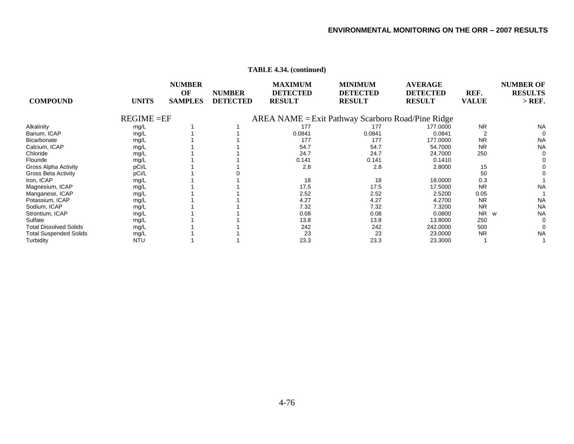| <b>COMPOUND</b>               | <b>UNITS</b>  | <b>NUMBER</b><br>OF<br><b>SAMPLES</b> | <b>NUMBER</b><br><b>DETECTED</b> | <b>MAXIMUM</b><br><b>DETECTED</b><br><b>RESULT</b> | <b>MINIMUM</b><br><b>DETECTED</b><br><b>RESULT</b>   | <b>AVERAGE</b><br><b>DETECTED</b><br><b>RESULT</b> | REF.<br><b>VALUE</b> | <b>NUMBER OF</b><br><b>RESULTS</b><br>$>$ REF. |
|-------------------------------|---------------|---------------------------------------|----------------------------------|----------------------------------------------------|------------------------------------------------------|----------------------------------------------------|----------------------|------------------------------------------------|
|                               | $REGIME = EF$ |                                       |                                  |                                                    | $AREA NAME = Exist Pathway$ Scarboro Road/Pine Ridge |                                                    |                      |                                                |
| Alkalinity                    | mg/L          |                                       |                                  | 177                                                | 177                                                  | 177,0000                                           | <b>NR</b>            | <b>NA</b>                                      |
| Barium, ICAP                  | mg/L          |                                       |                                  | 0.0841                                             | 0.0841                                               | 0.0841                                             |                      | 0                                              |
| Bicarbonate                   | mg/L          |                                       |                                  | 177                                                | 177                                                  | 177.0000                                           | <b>NR</b>            | <b>NA</b>                                      |
| Calcium, ICAP                 | mg/L          |                                       |                                  | 54.7                                               | 54.7                                                 | 54.7000                                            | <b>NR</b>            | <b>NA</b>                                      |
| Chloride                      | mg/L          |                                       |                                  | 24.7                                               | 24.7                                                 | 24.7000                                            | 250                  | $\Omega$                                       |
| Flouride                      | mg/L          |                                       |                                  | 0.141                                              | 0.141                                                | 0.1410                                             |                      |                                                |
| <b>Gross Alpha Activity</b>   | pCi/L         |                                       |                                  | 2.8                                                | 2.8                                                  | 2.8000                                             | 15                   |                                                |
| <b>Gross Beta Activity</b>    | pCi/L         |                                       |                                  |                                                    |                                                      |                                                    | 50                   |                                                |
| Iron, ICAP                    | mg/L          |                                       |                                  | 18                                                 | 18                                                   | 18.0000                                            | 0.3                  |                                                |
| Magnesium, ICAP               | mg/L          |                                       |                                  | 17.5                                               | 17.5                                                 | 17.5000                                            | <b>NR</b>            | <b>NA</b>                                      |
| Manganese, ICAP               | mg/L          |                                       |                                  | 2.52                                               | 2.52                                                 | 2.5200                                             | 0.05                 |                                                |
| Potassium, ICAP               | mg/L          |                                       |                                  | 4.27                                               | 4.27                                                 | 4.2700                                             | <b>NR</b>            | <b>NA</b>                                      |
| Sodium, ICAP                  | mg/L          |                                       |                                  | 7.32                                               | 7.32                                                 | 7.3200                                             | <b>NR</b>            | <b>NA</b>                                      |
| Strontium, ICAP               | mg/L          |                                       |                                  | 0.08                                               | 0.08                                                 | 0.0800                                             | <b>NR</b><br>W       | <b>NA</b>                                      |
| Sulfate                       | mg/L          |                                       |                                  | 13.8                                               | 13.8                                                 | 13.8000                                            | 250                  |                                                |
| <b>Total Dissolved Solids</b> | mg/L          |                                       |                                  | 242                                                | 242                                                  | 242.0000                                           | 500                  |                                                |
| <b>Total Suspended Solids</b> | mg/L          |                                       |                                  | 23                                                 | 23                                                   | 23.0000                                            | <b>NR</b>            | <b>NA</b>                                      |
| Turbidity                     | <b>NTU</b>    |                                       |                                  | 23.3                                               | 23.3                                                 | 23.3000                                            |                      |                                                |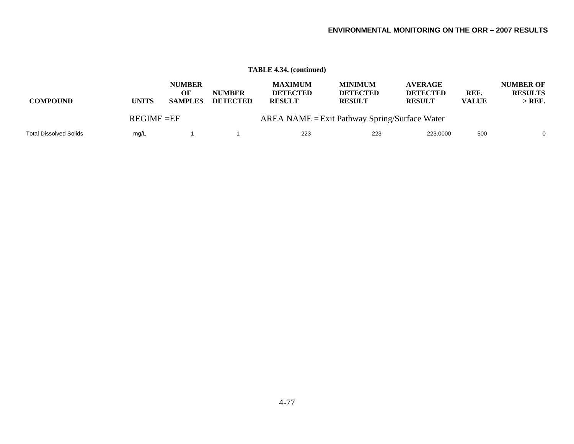|                               |              |                                                                 |                                  | <b>TABLE 4.34. (continued)</b>                     |                                                    |                                                    |                      |                                                |
|-------------------------------|--------------|-----------------------------------------------------------------|----------------------------------|----------------------------------------------------|----------------------------------------------------|----------------------------------------------------|----------------------|------------------------------------------------|
| <b>COMPOUND</b>               | <b>UNITS</b> | <b>NUMBER</b><br>OF<br><b>SAMPLES</b>                           | <b>NUMBER</b><br><b>DETECTED</b> | <b>MAXIMUM</b><br><b>DETECTED</b><br><b>RESULT</b> | <b>MINIMUM</b><br><b>DETECTED</b><br><b>RESULT</b> | <b>AVERAGE</b><br><b>DETECTED</b><br><b>RESULT</b> | REF.<br><b>VALUE</b> | <b>NUMBER OF</b><br><b>RESULTS</b><br>$>$ REF. |
|                               |              | $AREA NAME =Exit$ Pathway Spring/Surface Water<br>$REGIME = EF$ |                                  |                                                    |                                                    |                                                    |                      |                                                |
| <b>Total Dissolved Solids</b> | mg/L         |                                                                 |                                  | 223                                                | 223                                                | 223,0000                                           | 500                  | $\mathbf{0}$                                   |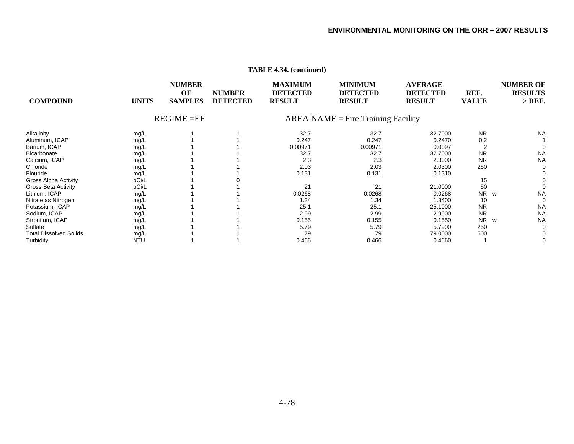| <b>COMPOUND</b>               | <b>UNITS</b> | <b>NUMBER</b><br>OF<br><b>SAMPLES</b> | <b>NUMBER</b><br><b>DETECTED</b> | <b>MAXIMUM</b><br><b>DETECTED</b><br><b>RESULT</b> | <b>MINIMUM</b><br><b>DETECTED</b><br><b>RESULT</b> | <b>AVERAGE</b><br><b>DETECTED</b><br><b>RESULT</b> | REF.<br><b>VALUE</b> | <b>NUMBER OF</b><br><b>RESULTS</b><br>$>$ REF. |
|-------------------------------|--------------|---------------------------------------|----------------------------------|----------------------------------------------------|----------------------------------------------------|----------------------------------------------------|----------------------|------------------------------------------------|
|                               |              | $REGIME = EF$                         |                                  | $AREA NAME = Fire Training Facility$               |                                                    |                                                    |                      |                                                |
| Alkalinity                    | mg/L         |                                       |                                  | 32.7                                               | 32.7                                               | 32.7000                                            | <b>NR</b>            | <b>NA</b>                                      |
| Aluminum, ICAP                | mg/L         |                                       |                                  | 0.247                                              | 0.247                                              | 0.2470                                             | 0.2                  |                                                |
| Barium, ICAP                  | mg/L         |                                       |                                  | 0.00971                                            | 0.00971                                            | 0.0097                                             |                      |                                                |
| Bicarbonate                   | mg/L         |                                       |                                  | 32.7                                               | 32.7                                               | 32.7000                                            | <b>NR</b>            | <b>NA</b>                                      |
| Calcium, ICAP                 | mg/L         |                                       |                                  | 2.3                                                | 2.3                                                | 2.3000                                             | <b>NR</b>            | <b>NA</b>                                      |
| Chloride                      | mg/L         |                                       |                                  | 2.03                                               | 2.03                                               | 2.0300                                             | 250                  |                                                |
| Flouride                      | mg/L         |                                       |                                  | 0.131                                              | 0.131                                              | 0.1310                                             |                      |                                                |
| Gross Alpha Activity          | pCi/L        |                                       |                                  |                                                    |                                                    |                                                    | 15                   |                                                |
| Gross Beta Activity           | pCi/L        |                                       |                                  | 21                                                 | 21                                                 | 21.0000                                            | 50                   |                                                |
| Lithium, ICAP                 | mg/L         |                                       |                                  | 0.0268                                             | 0.0268                                             | 0.0268                                             | <b>NR</b><br>W       | <b>NA</b>                                      |
| Nitrate as Nitrogen           | mg/L         |                                       |                                  | 1.34                                               | 1.34                                               | 1.3400                                             | 10                   | 0                                              |
| Potassium, ICAP               | mg/L         |                                       |                                  | 25.1                                               | 25.1                                               | 25.1000                                            | <b>NR</b>            | <b>NA</b>                                      |
| Sodium, ICAP                  | mg/L         |                                       |                                  | 2.99                                               | 2.99                                               | 2.9900                                             | <b>NR</b>            | <b>NA</b>                                      |
| Strontium, ICAP               | mg/L         |                                       |                                  | 0.155                                              | 0.155                                              | 0.1550                                             | <b>NR</b><br>W       | <b>NA</b>                                      |
| Sulfate                       | mg/L         |                                       |                                  | 5.79                                               | 5.79                                               | 5.7900                                             | 250                  | $\Omega$                                       |
| <b>Total Dissolved Solids</b> | mg/L         |                                       |                                  | 79                                                 | 79                                                 | 79.0000                                            | 500                  |                                                |
| Turbidity                     | <b>NTU</b>   |                                       |                                  | 0.466                                              | 0.466                                              | 0.4660                                             |                      | 0                                              |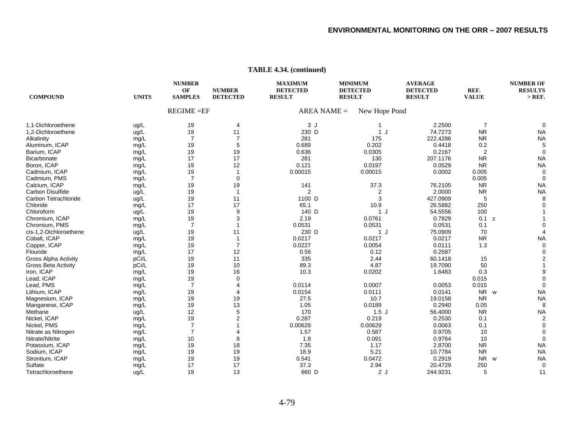#### **NUMBER MAXIMUMMINIMUM AVERAGE NUMBER OF OF NUMBER DETECTED DETECTED DETECTED REF. RESULTS COMPOUND UNITS SAMPLES DETECTED RESULT RESULT RESULT VALUE > REF.**   $REGIME = EF$  $AREA NAME =$  New Hope Pond 1,1-Dichloroethene ug/L 19 4 3 J 1 2.2500 7 0 1,2-Dichloroethene ug/L 19 11 230<br>Alkalinity 11 230<br>Alkalinity 1281  $230$  D D 1 J 74.7273 NR NA Alkalinity mg/L 7 7 281 175 222.4286 NR NA Aluminum, ICAP mg/L 19 5 0.689 0.202 0.4418 0.2 5 Barium, ICAP mg/L 19 19 0.636 0.0305 0.2167 2 0 **Bicarbonate** e mg/L 17 17 281 130 207.1176 NR NA Boron, ICAP mg/L 19 12 0.121 0.0197 0.0529 NR NA Cadmium, ICAP mg/L 19 1 0.00015 0.00015 0.0002 0.005 0 Cadmium, PMS mg/L 7 0 0.005 0 Calcium, ICAP mg/L 19 19 141 37.3 76.2105 NR NA Carbon Disulfidee ug/L 19 1 2 2 2.0000 NR NA Carbon Tetrachloridee ug/L 19 11 1100  $1100$  D 3 427.0909 5 8 Chloridee mg/L 17 17 65.1 10.9 26.5882 250 0 Chloroformm ug/L 19 9 140 140 D D 1 J 54.5556 100 1 Chromium, ICAP mg/L 19 3 2.19 0.0761 0.7829 0.1 z 1 Chromium, PMS mg/L 7 1 0.0531 0.0531 0.0531 0.0531 0.1 cis-1,2-Dichloroethene ug/L 19 11 230<br>Cobalt, ICAP 19 11 230  $230$  D D 1 J 75.0909 70 4 Cobalt, ICAP mg/L 19 1 0.0217 0.0217 NA Copper, ICAP mg/L 19 7 0.0227 0.0054 0.0111 1.3 0 Flouridee mg/L 17 12 0.56 0.12 0.2587 0 Gross Alpha Activity pCi/L 19 11 335 2.44 60.1418 15 2 Gross Beta Activity pCi/L 19 10 89.3 4.87 19.7090 50 1 lron, ICAP mg/L 19 16 10.3 0.0202 1.6483 0.3 9 Lead, ICAP mg/L 19 0 0.015 0 Lead, PMS mg/L 7 4 0.0114 0.0007 0.0053 0.015 0 Lithium, ICAP mg/L 19 4 0.0154 0.0111 0.0141 NR NR w NA Magnesium, ICAP mg/L 19 19 27.5 10.7 19.0158 NR NA Manganese, ICAP mg/L 19 13 1.05 0.0189 0.2940 0.05 8 Methanee ug/L 12 5 170 1.5 J 56.4000 NR NA Nickel, ICAP mg/L 19 2 0.287 0.219 0.2530 0.1 2 Nickel, PMS mg/L 7 1 0.00629 0.00629 0.0063 0.1 0 Nitrate as Nitrogen mg/L 7 4 1.57 0.587 0.9705 10 0 Nitrate/Nitritee mg/L 10 8 1.8 0.091 0.9764 10 0 Potassium, ICAP mg/L 19 18 7.35 1.17 2.8700 NR NA Sodium, ICAP mg/L 19 19 18.9 5.21 10.7784 NR NA Strontium, ICAP mg/L 19 19 0.541 0.0472 0.2919 NR NR w NA Sulfatee mg/L 17 17 37.3 2.94 20.4729 250 0 Tetrachloroethenee ug/L 19 13 660 660 D D 2 J 244.9231 5 11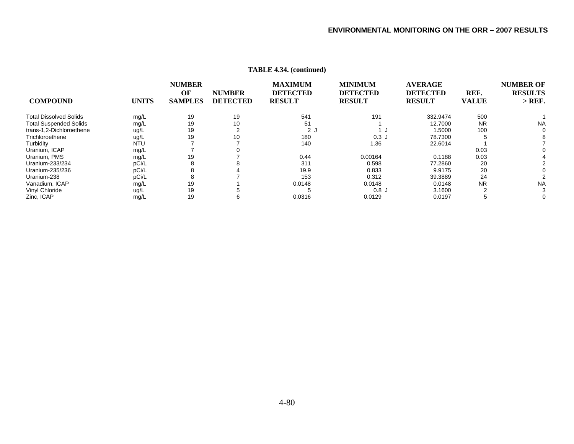|                               |              | <b>NUMBER</b><br>OF | <b>NUMBER</b>   | <b>MAXIMUM</b><br><b>DETECTED</b> | <b>MINIMUM</b><br><b>DETECTED</b> | <b>AVERAGE</b><br><b>DETECTED</b> | REF.         | <b>NUMBER OF</b><br><b>RESULTS</b> |
|-------------------------------|--------------|---------------------|-----------------|-----------------------------------|-----------------------------------|-----------------------------------|--------------|------------------------------------|
|                               |              |                     |                 |                                   |                                   |                                   |              |                                    |
| <b>COMPOUND</b>               | <b>UNITS</b> | <b>SAMPLES</b>      | <b>DETECTED</b> | <b>RESULT</b>                     | <b>RESULT</b>                     | <b>RESULT</b>                     | <b>VALUE</b> | $>$ REF.                           |
| <b>Total Dissolved Solids</b> | mg/L         | 19                  | 19              | 541                               | 191                               | 332.9474                          | 500          |                                    |
| <b>Total Suspended Solids</b> | mg/L         | 19                  | 10              | 51                                |                                   | 12.7000                           | <b>NR</b>    | <b>NA</b>                          |
| trans-1,2-Dichloroethene      | ug/L         | 19                  |                 | 2 J                               |                                   | 1.5000                            | 100          | ∩                                  |
| Trichloroethene               | ug/L         | 19                  | 10              | 180                               | 0.3J                              | 78.7300                           |              |                                    |
| Turbidity                     | <b>NTU</b>   |                     |                 | 140                               | 1.36                              | 22.6014                           |              |                                    |
| Uranium, ICAP                 | mg/L         |                     |                 |                                   |                                   |                                   | 0.03         |                                    |
| Uranium, PMS                  | mg/L         | 19                  |                 | 0.44                              | 0.00164                           | 0.1188                            | 0.03         |                                    |
| Uranium-233/234               | pCi/L        |                     |                 | 311                               | 0.598                             | 77.2860                           | 20           |                                    |
| Uranium-235/236               | pCi/L        |                     |                 | 19.9                              | 0.833                             | 9.9175                            | 20           |                                    |
| Uranium-238                   | pCi/L        |                     |                 | 153                               | 0.312                             | 39.3889                           | 24           |                                    |
| Vanadium, ICAP                | mg/L         | 19                  |                 | 0.0148                            | 0.0148                            | 0.0148                            | <b>NR</b>    | <b>NA</b>                          |
| Vinyl Chloride                | ug/L         | 19                  |                 |                                   | 0.8J                              | 3.1600                            |              | 3                                  |
| Zinc, ICAP                    | mg/L         | 19                  | b               | 0.0316                            | 0.0129                            | 0.0197                            |              | 0                                  |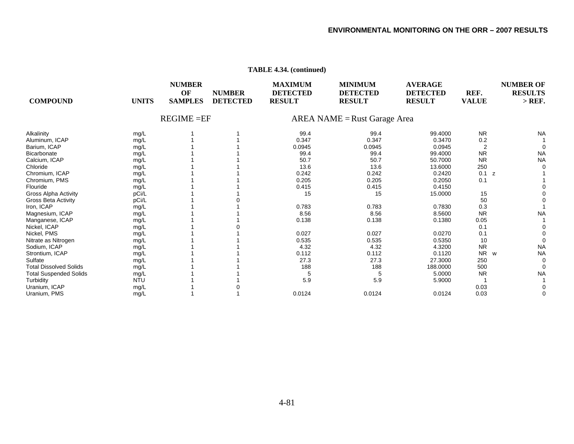#### **NUMBER MAXIMUM MINIMUM AVERAGE NUMBER OF OF NUMBER DETECTED DETECTED DETECTED REF. RESULTS COMPOUND UNITS SAMPLES DETECTED RESULT RESULT RESULT VALUE > REF.**  REGIME =EF AREA NAME =Rust Garage Area Alkalinity mg/L 1 1 99.4 99.4 99.4000 NR NA Aluminum, ICAP mg/L 1 1 0.347 0.347 0.2 1 Barium, ICAP mg/L 1 1 0.0945 0.0945 2 0 **Bicarbonate** e mg/L 1 1 99.4 99.4 99.4000 NR NA Calcium, ICAP mg/L 1 1 50.7 50.7 50.7000 NR NA Chloridee mg/L 1 1 13.6 13.6 13.6000 250 0 Chromium, ICAP mg/L 1 1 0.242 0.242 0.2420 0.1 z 1 Chromium, PMS mg/L 1 1 0.205 0.205 0.2050 0.1 1 Flouridee mg/L 1 1 0.415 0.415 0.4150 0 Gross Alpha Activity pCi/L 1 1 15 15 15.0000 15 0 Gross Beta Activity pCi/L 1 0 50 0 lron, ICAP mg/L 1 1 0.783 0.783 0.7830 0.3 1 Magnesium, ICAP mg/L 1 1 8.56 8.56 8.5600 NR NA Manganese, ICAP mg/L 1 1 0.138 0.138 0.1380 0.05 1 Nickel, ICAP mg/L 1 0 0.1 0 Nickel, PMS mg/L 1 1 0.027 0.027 0.0270 0.1 0 Nitrate as Nitrogen mg/L 1 1 0.535 0.535 0.5350 10 0 Sodium, ICAP mg/L 1 1 4.32 4.32 4.3200 NR NA Strontium, ICAP mg/L 1 1 0.112 0.112 0.1120 NR NR w NA Sulfatee mg/L 1 1 27.3 27.3 27.3000 250 0 Total Dissolved Solids mg/L 1 1 188 188 188.0000 500 0 Total Suspended Solids mg/L 1 1 5 5 5.0000 NR NA Turbidity NTU 1 1 5.9 5.9 5.9000 1 1 Uranium, ICAP mg/L 1 0 0.03 0 Uranium, PMS mg/L 1 1 0.0124 0.0124 0.0124 0.03 0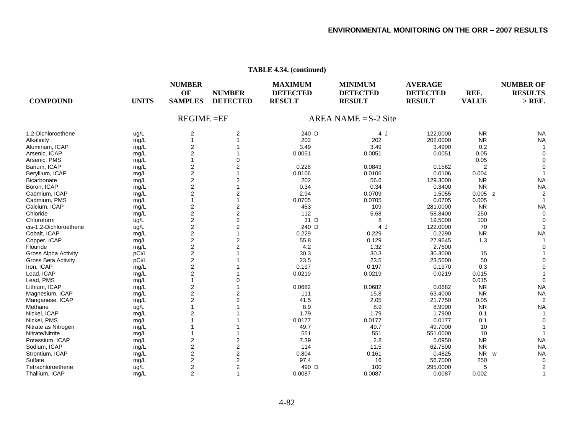| <b>COMPOUND</b><br><b>UNITS</b>      | <b>NUMBER</b><br>OF<br><b>SAMPLES</b> | <b>NUMBER</b><br><b>DETECTED</b> | <b>MAXIMUM</b><br><b>DETECTED</b><br><b>RESULT</b> | <b>MINIMUM</b><br><b>DETECTED</b><br><b>RESULT</b> | <b>AVERAGE</b><br><b>DETECTED</b><br><b>RESULT</b> | REF.<br><b>VALUE</b>  | <b>NUMBER OF</b><br><b>RESULTS</b><br>$>$ REF. |  |
|--------------------------------------|---------------------------------------|----------------------------------|----------------------------------------------------|----------------------------------------------------|----------------------------------------------------|-----------------------|------------------------------------------------|--|
|                                      | <b>REGIME = EF</b>                    |                                  |                                                    | AREA NAME = $S-2$ Site                             |                                                    |                       |                                                |  |
| 1,2-Dichloroethene<br>ug/L           | 2                                     | 2                                | 240 D                                              | 4 J                                                | 122.0000                                           | <b>NR</b>             | <b>NA</b>                                      |  |
| Alkalinity<br>mg/L                   |                                       |                                  | 202                                                | 202                                                | 202.0000                                           | <b>NR</b>             | <b>NA</b>                                      |  |
| Aluminum, ICAP<br>mg/L               | 2                                     |                                  | 3.49                                               | 3.49                                               | 3.4900                                             | 0.2                   |                                                |  |
| Arsenic, ICAP<br>mg/L                | $\overline{2}$                        |                                  | 0.0051                                             | 0.0051                                             | 0.0051                                             | 0.05                  |                                                |  |
| Arsenic, PMS<br>mg/L                 |                                       |                                  |                                                    |                                                    |                                                    | 0.05                  |                                                |  |
| Barium, ICAP<br>mg/L                 | $\overline{2}$                        | 2                                | 0.228                                              | 0.0843                                             | 0.1562                                             | 2                     |                                                |  |
| Beryllium, ICAP<br>mg/L              | $\overline{2}$                        |                                  | 0.0106                                             | 0.0106                                             | 0.0106                                             | 0.004                 |                                                |  |
| Bicarbonate<br>mg/L                  | $\overline{c}$                        | 2                                | 202                                                | 56.6                                               | 129.3000                                           | <b>NR</b>             | <b>NA</b>                                      |  |
| Boron, ICAP<br>mg/L                  | $\overline{2}$                        |                                  | 0.34                                               | 0.34                                               | 0.3400                                             | <b>NR</b>             | <b>NA</b>                                      |  |
| Cadmium, ICAP<br>mg/L                | $\overline{2}$                        | 2                                | 2.94                                               | 0.0709                                             | 1.5055                                             | $0.005$ z             |                                                |  |
| Cadmium, PMS<br>mg/L                 |                                       |                                  | 0.0705                                             | 0.0705                                             | 0.0705                                             | 0.005                 |                                                |  |
| Calcium, ICAP<br>mg/L                | $\mathbf{2}$                          | 2                                | 453                                                | 109                                                | 281.0000                                           | <b>NR</b>             | <b>NA</b>                                      |  |
| Chloride<br>mg/L                     | $\overline{2}$                        | 2                                | 112                                                | 5.68                                               | 58.8400                                            | 250                   | $\Omega$                                       |  |
| Chloroform<br>ug/L                   | $\mathbf 2$                           | 2                                | 31 D                                               | 8                                                  | 19.5000                                            | 100                   |                                                |  |
| cis-1,2-Dichloroethene<br>ug/L       | $\overline{c}$                        | 2                                | 240 D                                              | 4 J                                                | 122.0000                                           | 70                    |                                                |  |
| Cobalt, ICAP<br>mg/L                 | $\overline{\mathbf{c}}$               |                                  | 0.229                                              | 0.229                                              | 0.2290                                             | <b>NR</b>             | <b>NA</b>                                      |  |
| Copper, ICAP<br>mg/L                 | $\overline{2}$                        | 2                                | 55.8                                               | 0.129                                              | 27.9645                                            | 1.3                   |                                                |  |
| Flouride<br>mg/L                     | $\overline{c}$                        | $\overline{2}$                   | 4.2                                                | 1.32                                               | 2.7600                                             |                       |                                                |  |
| <b>Gross Alpha Activity</b><br>pCi/L | $\mathbf 2$                           |                                  | 30.3                                               | 30.3                                               | 30.3000                                            | 15                    |                                                |  |
| <b>Gross Beta Activity</b><br>pCi/L  | $\overline{2}$                        |                                  | 23.5                                               | 23.5                                               | 23.5000                                            | 50                    |                                                |  |
| Iron, ICAP<br>mg/L                   | $\mathbf{2}$                          |                                  | 0.197                                              | 0.197                                              | 0.1970                                             | 0.3                   |                                                |  |
| Lead, ICAP<br>mg/L                   | $\overline{2}$                        |                                  | 0.0219                                             | 0.0219                                             | 0.0219                                             | 0.015                 |                                                |  |
| Lead, PMS<br>mg/L                    |                                       |                                  |                                                    |                                                    |                                                    | 0.015                 |                                                |  |
| Lithium, ICAP<br>mg/L                | $\overline{2}$                        |                                  | 0.0682                                             | 0.0682                                             | 0.0682                                             | <b>NR</b>             | <b>NA</b>                                      |  |
| Magnesium, ICAP<br>mg/L              | $\overline{2}$                        | 2                                | 111                                                | 15.8                                               | 63.4000                                            | <b>NR</b>             | <b>NA</b>                                      |  |
| Manganese, ICAP<br>mg/L              | $\overline{2}$                        | 2                                | 41.5                                               | 2.05                                               | 21.7750                                            | 0.05                  |                                                |  |
| Methane<br>ug/L                      |                                       |                                  | 8.9                                                | 8.9                                                | 8.9000                                             | <b>NR</b>             | <b>NA</b>                                      |  |
| Nickel, ICAP<br>mg/L                 | 2                                     |                                  | 1.79                                               | 1.79                                               | 1.7900                                             | 0.1                   |                                                |  |
| Nickel, PMS<br>mg/L                  |                                       |                                  | 0.0177                                             | 0.0177                                             | 0.0177                                             | 0.1                   |                                                |  |
| Nitrate as Nitrogen<br>mg/L          |                                       |                                  | 49.7                                               | 49.7                                               | 49.7000                                            | 10                    |                                                |  |
| Nitrate/Nitrite<br>mg/L              |                                       |                                  | 551                                                | 551                                                | 551.0000                                           | 10                    |                                                |  |
| Potassium, ICAP<br>mg/L              | $\overline{2}$                        | 2                                | 7.39                                               | 2.8                                                | 5.0950                                             | <b>NR</b>             | <b>NA</b>                                      |  |
| Sodium, ICAP<br>mg/L                 | $\mathbf{2}$                          | 2                                | 114                                                | 11.5                                               | 62.7500                                            | <b>NR</b>             | <b>NA</b>                                      |  |
| Strontium, ICAP<br>mg/L              | $\mathbf 2$                           | 2                                | 0.804                                              | 0.161                                              | 0.4825                                             | <b>NR</b><br><b>W</b> | <b>NA</b>                                      |  |
| Sulfate<br>mg/L                      | $\overline{c}$                        | 2                                | 97.4                                               | 16                                                 | 56.7000                                            | 250                   | 0                                              |  |
| Tetrachloroethene<br>ug/L            | $\overline{2}$                        | 2                                | 490 D                                              | 100                                                | 295.0000                                           | 5                     |                                                |  |
| Thallium, ICAP<br>mg/L               | $\overline{2}$                        | 1                                | 0.0087                                             | 0.0087                                             | 0.0087                                             | 0.002                 |                                                |  |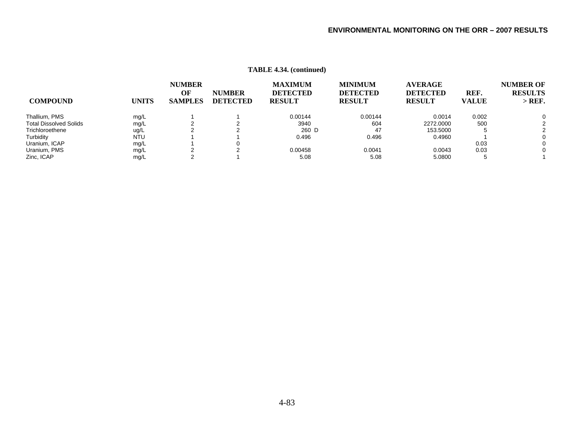|                               |              | <b>NUMBER</b>        |                                  | <b>MAXIMUM</b>                   | <b>MINIMUM</b>                   | <b>AVERAGE</b>                   |                      | <b>NUMBER OF</b>           |  |
|-------------------------------|--------------|----------------------|----------------------------------|----------------------------------|----------------------------------|----------------------------------|----------------------|----------------------------|--|
| <b>COMPOUND</b>               | <b>UNITS</b> | OF<br><b>SAMPLES</b> | <b>NUMBER</b><br><b>DETECTED</b> | <b>DETECTED</b><br><b>RESULT</b> | <b>DETECTED</b><br><b>RESULT</b> | <b>DETECTED</b><br><b>RESULT</b> | REF.<br><b>VALUE</b> | <b>RESULTS</b><br>$>$ REF. |  |
| Thallium, PMS                 | mg/L         |                      |                                  | 0.00144                          | 0.00144                          | 0.0014                           | 0.002                | $\Omega$                   |  |
| <b>Total Dissolved Solids</b> | mg/L         |                      |                                  | 3940                             | 604                              | 2272,0000                        | 500                  | 2                          |  |
| Trichloroethene               | ug/L         |                      |                                  | 260 D                            | 47                               | 153.5000                         |                      |                            |  |
| Turbidity                     | <b>NTU</b>   |                      |                                  | 0.496                            | 0.496                            | 0.4960                           |                      | $\Omega$                   |  |
| Uranium, ICAP                 | mg/L         |                      | υ                                |                                  |                                  |                                  | 0.03                 | 0                          |  |
| Uranium, PMS                  | mg/L         |                      |                                  | 0.00458                          | 0.0041                           | 0.0043                           | 0.03                 | $\Omega$                   |  |
| Zinc, ICAP                    | mg/L         |                      |                                  | 5.08                             | 5.08                             | 5.0800                           | ∽                    |                            |  |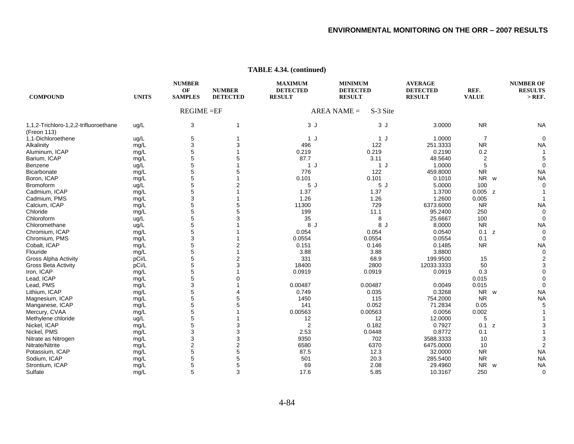| <b>COMPOUND</b>                       | <b>UNITS</b> | <b>NUMBER</b><br>OF<br><b>SAMPLES</b> | <b>NUMBER</b><br><b>DETECTED</b> | <b>MAXIMUM</b><br><b>DETECTED</b><br><b>RESULT</b> | <b>MINIMUM</b><br><b>DETECTED</b><br><b>RESULT</b> | <b>AVERAGE</b><br><b>DETECTED</b><br><b>RESULT</b> | REF.<br><b>VALUE</b>  | <b>NUMBER OF</b><br><b>RESULTS</b><br>$>$ REF. |
|---------------------------------------|--------------|---------------------------------------|----------------------------------|----------------------------------------------------|----------------------------------------------------|----------------------------------------------------|-----------------------|------------------------------------------------|
|                                       |              | $REGIME = EF$                         |                                  |                                                    | $AREA NAME =$<br>S-3 Site                          |                                                    |                       |                                                |
| 1,1,2-Trichloro-1,2,2-trifluoroethane | ug/L         | 3                                     | 1                                | 3J                                                 | 3J                                                 | 3.0000                                             | <b>NR</b>             | <b>NA</b>                                      |
| (Freon 113)                           |              |                                       |                                  |                                                    |                                                    |                                                    |                       |                                                |
| 1,1-Dichloroethene                    | ug/L         | 5                                     |                                  | 1 J                                                | 1J                                                 | 1.0000                                             | $\overline{7}$        |                                                |
| Alkalinity                            | mg/L         | 3                                     | 3                                | 496                                                | 122                                                | 251.3333                                           | <b>NR</b>             | <b>NA</b>                                      |
| Aluminum, ICAP                        | mg/L         | 5                                     |                                  | 0.219                                              | 0.219                                              | 0.2190                                             | 0.2                   |                                                |
| Barium, ICAP                          | mg/L         | 5                                     | 5                                | 87.7                                               | 3.11                                               | 48.5640                                            | $\overline{2}$        |                                                |
| Benzene                               | ug/L         | 5                                     |                                  | 1J                                                 | 1J                                                 | 1.0000                                             | 5                     |                                                |
| Bicarbonate                           | mg/L         | 5                                     | 5                                | 776                                                | 122                                                | 459.8000                                           | <b>NR</b>             | <b>NA</b>                                      |
| Boron, ICAP                           | mg/L         | 5                                     |                                  | 0.101                                              | 0.101                                              | 0.1010                                             | NR w                  | <b>NA</b>                                      |
| <b>Bromoform</b>                      | ug/L         | 5                                     | $\overline{2}$                   | 5J                                                 | 5J                                                 | 5.0000                                             | 100                   |                                                |
| Cadmium, ICAP                         | mg/L         | 5                                     |                                  | 1.37                                               | 1.37                                               | 1.3700                                             | $0.005$ z             |                                                |
| Cadmium, PMS                          | mg/L         | 3                                     |                                  | 1.26                                               | 1.26                                               | 1.2600                                             | 0.005                 |                                                |
| Calcium, ICAP                         | mg/L         | 5                                     | 5                                | 11300                                              | 729                                                | 6373.6000                                          | <b>NR</b>             | <b>NA</b>                                      |
| Chloride                              | mg/L         | 5                                     | 5                                | 199                                                | 11.1                                               | 95.2400                                            | 250                   | $\Omega$                                       |
| Chloroform                            | ug/L         | 5                                     | 3                                | 35                                                 | 8                                                  | 25.6667                                            | 100                   |                                                |
| Chloromethane                         | ug/L         | 5                                     |                                  | 8 J                                                | 8 J                                                | 8.0000                                             | <b>NR</b>             | <b>NA</b>                                      |
| Chromium, ICAP                        | mg/L         | 5                                     |                                  | 0.054                                              | 0.054                                              | 0.0540                                             | 0.1 z                 | $\Omega$                                       |
| Chromium, PMS                         | mg/L         | 3                                     |                                  | 0.0554                                             | 0.0554                                             | 0.0554                                             | 0.1                   |                                                |
| Cobalt, ICAP                          | mg/L         | 5                                     | $\overline{2}$                   | 0.151                                              | 0.146                                              | 0.1485                                             | <b>NR</b>             | <b>NA</b>                                      |
| Flouride                              | mg/L         | 5                                     |                                  | 3.88                                               | 3.88                                               | 3.8800                                             |                       | $\Omega$                                       |
| <b>Gross Alpha Activity</b>           | pCi/L        | 5                                     | $\overline{2}$                   | 331                                                | 68.9                                               | 199.9500                                           | 15                    |                                                |
| <b>Gross Beta Activity</b>            | pCi/L        | 5                                     | 3                                | 18400                                              | 2800                                               | 12033.3333                                         | 50                    |                                                |
| Iron, ICAP                            | mg/L         | 5                                     |                                  | 0.0919                                             | 0.0919                                             | 0.0919                                             | 0.3                   |                                                |
| Lead, ICAP                            | mg/L         | 5                                     | $\Omega$                         |                                                    |                                                    |                                                    | 0.015                 |                                                |
| Lead, PMS                             | mg/L         | 3                                     |                                  | 0.00487                                            | 0.00487                                            | 0.0049                                             | 0.015                 |                                                |
| Lithium, ICAP                         | mg/L         | 5                                     | 4                                | 0.749                                              | 0.035                                              | 0.3268                                             | NR w                  | <b>NA</b>                                      |
| Magnesium, ICAP                       | mg/L         | 5                                     | 5                                | 1450                                               | 115                                                | 754.2000                                           | <b>NR</b>             | <b>NA</b>                                      |
|                                       |              | 5                                     | 5                                | 141                                                | 0.052                                              | 71.2834                                            | 0.05                  |                                                |
| Manganese, ICAP                       | mg/L         |                                       |                                  | 0.00563                                            |                                                    | 0.0056                                             |                       |                                                |
| Mercury, CVAA                         | mg/L         | 5<br>5                                |                                  |                                                    | 0.00563<br>12                                      | 12.0000                                            | 0.002<br>5            |                                                |
| Methylene chloride                    | ug/L         | 5                                     | 3                                | 12                                                 |                                                    |                                                    |                       |                                                |
| Nickel, ICAP                          | mg/L         |                                       |                                  | 2                                                  | 0.182                                              | 0.7927                                             | 0.1 z                 |                                                |
| Nickel, PMS                           | mg/L         | 3                                     | 3                                | 2.53                                               | 0.0448                                             | 0.8772                                             | 0.1                   |                                                |
| Nitrate as Nitrogen                   | mg/L         | 3                                     | 3                                | 9350                                               | 702                                                | 3588.3333                                          | 10                    |                                                |
| Nitrate/Nitrite                       | mg/L         | 2                                     | $\overline{2}$                   | 6580                                               | 6370                                               | 6475.0000                                          | 10                    |                                                |
| Potassium, ICAP                       | mg/L         | 5                                     | 5                                | 87.5                                               | 12.3                                               | 32.0000                                            | <b>NR</b>             | <b>NA</b>                                      |
| Sodium, ICAP                          | mg/L         | 5                                     | 5                                | 501                                                | 20.3                                               | 285.5400                                           | <b>NR</b>             | <b>NA</b>                                      |
| Strontium, ICAP                       | mg/L         | 5                                     | 5                                | 69                                                 | 2.08                                               | 29.4960                                            | <b>NR</b><br><b>W</b> | <b>NA</b>                                      |
| Sulfate                               | mg/L         | 5                                     | 3                                | 17.6                                               | 5.85                                               | 10.3167                                            | 250                   | 0                                              |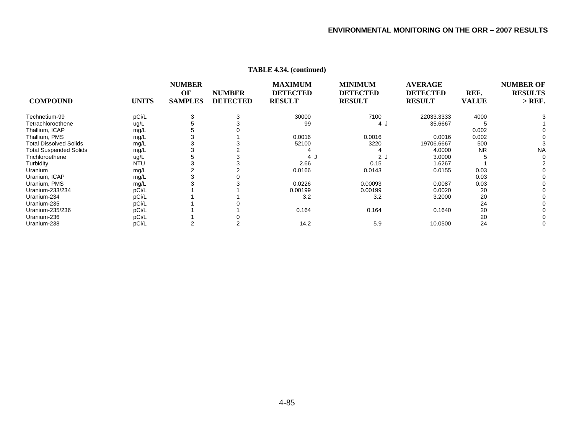| <b>COMPOUND</b>               | <b>UNITS</b> | <b>NUMBER</b><br>OF<br><b>SAMPLES</b> | <b>NUMBER</b><br><b>DETECTED</b> | <b>MAXIMUM</b><br><b>DETECTED</b><br><b>RESULT</b> | <b>MINIMUM</b><br><b>DETECTED</b><br><b>RESULT</b> | <b>AVERAGE</b><br><b>DETECTED</b><br><b>RESULT</b> | REF.<br><b>VALUE</b> | <b>NUMBER OF</b><br><b>RESULTS</b><br>$>$ REF. |
|-------------------------------|--------------|---------------------------------------|----------------------------------|----------------------------------------------------|----------------------------------------------------|----------------------------------------------------|----------------------|------------------------------------------------|
| Technetium-99                 | pCi/L        |                                       |                                  | 30000                                              | 7100                                               | 22033.3333                                         | 4000                 |                                                |
| Tetrachloroethene             | ug/L         |                                       |                                  | 99                                                 | 4 J                                                | 35.6667                                            |                      |                                                |
| Thallium, ICAP                | mg/L         |                                       |                                  |                                                    |                                                    |                                                    | 0.002                |                                                |
| Thallium, PMS                 | mg/L         |                                       |                                  | 0.0016                                             | 0.0016                                             | 0.0016                                             | 0.002                |                                                |
| <b>Total Dissolved Solids</b> | mg/L         |                                       |                                  | 52100                                              | 3220                                               | 19706.6667                                         | 500                  |                                                |
| <b>Total Suspended Solids</b> | mg/L         |                                       |                                  |                                                    |                                                    | 4.0000                                             | <b>NR</b>            | <b>NA</b>                                      |
| Trichloroethene               | ug/L         |                                       |                                  | 4.                                                 | 2 <sub>1</sub>                                     | 3.0000                                             |                      |                                                |
| Turbidity                     | <b>NTU</b>   |                                       |                                  | 2.66                                               | 0.15                                               | 1.6267                                             |                      |                                                |
| Uranium                       | mg/L         |                                       |                                  | 0.0166                                             | 0.0143                                             | 0.0155                                             | 0.03                 |                                                |
| Uranium, ICAP                 | mg/L         |                                       |                                  |                                                    |                                                    |                                                    | 0.03                 |                                                |
| Uranium, PMS                  | mg/L         |                                       |                                  | 0.0226                                             | 0.00093                                            | 0.0087                                             | 0.03                 |                                                |
| Uranium-233/234               | pCi/L        |                                       |                                  | 0.00199                                            | 0.00199                                            | 0.0020                                             | 20                   |                                                |
| Uranium-234                   | pCi/L        |                                       |                                  | 3.2                                                | 3.2                                                | 3.2000                                             | 20                   |                                                |
| Uranium-235                   | pCi/L        |                                       |                                  |                                                    |                                                    |                                                    | 24                   |                                                |
| Uranium-235/236               | pCi/L        |                                       |                                  | 0.164                                              | 0.164                                              | 0.1640                                             | 20                   |                                                |
| Uranium-236                   | pCi/L        |                                       |                                  |                                                    |                                                    |                                                    | 20                   |                                                |
| Uranium-238                   | pCi/L        |                                       |                                  | 14.2                                               | 5.9                                                | 10.0500                                            | 24                   |                                                |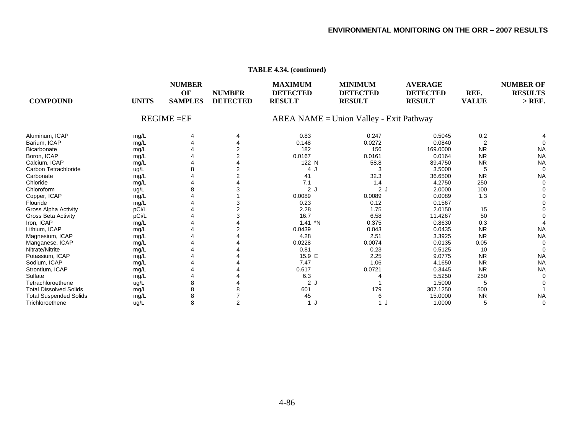|                               |              |                                       |                                  | $\mu$                                              |                                                    |                                                    |                      |                                                |
|-------------------------------|--------------|---------------------------------------|----------------------------------|----------------------------------------------------|----------------------------------------------------|----------------------------------------------------|----------------------|------------------------------------------------|
| <b>COMPOUND</b>               | <b>UNITS</b> | <b>NUMBER</b><br>OF<br><b>SAMPLES</b> | <b>NUMBER</b><br><b>DETECTED</b> | <b>MAXIMUM</b><br><b>DETECTED</b><br><b>RESULT</b> | <b>MINIMUM</b><br><b>DETECTED</b><br><b>RESULT</b> | <b>AVERAGE</b><br><b>DETECTED</b><br><b>RESULT</b> | REF.<br><b>VALUE</b> | <b>NUMBER OF</b><br><b>RESULTS</b><br>$>$ REF. |
|                               |              | $REGIME = EF$                         |                                  |                                                    | $AREA NAME = Union Valley - Exit Pathway$          |                                                    |                      |                                                |
| Aluminum, ICAP                | mg/L         | 4                                     |                                  | 0.83                                               | 0.247                                              | 0.5045                                             | 0.2                  |                                                |
| Barium, ICAP                  | mg/L         |                                       |                                  | 0.148                                              | 0.0272                                             | 0.0840                                             | $\overline{2}$       |                                                |
| Bicarbonate                   | mg/L         |                                       |                                  | 182                                                | 156                                                | 169.0000                                           | <b>NR</b>            | <b>NA</b>                                      |
| Boron, ICAP                   | mg/L         |                                       |                                  | 0.0167                                             | 0.0161                                             | 0.0164                                             | <b>NR</b>            | <b>NA</b>                                      |
| Calcium, ICAP                 | mg/L         |                                       |                                  | 122 N                                              | 58.8                                               | 89.4750                                            | <b>NR</b>            | <b>NA</b>                                      |
| Carbon Tetrachloride          | ug/L         |                                       |                                  | 4                                                  |                                                    | 3.5000                                             | 5                    | $\Omega$                                       |
| Carbonate                     | mg/L         |                                       |                                  | 41                                                 | 32.3                                               | 36.6500                                            | <b>NR</b>            | <b>NA</b>                                      |
| Chloride                      | mg/L         |                                       |                                  | 7.1                                                | 1.4                                                | 4.2750                                             | 250                  |                                                |
| Chloroform                    | ug/L         |                                       |                                  | 2J                                                 | 2J                                                 | 2.0000                                             | 100                  |                                                |
| Copper, ICAP                  | mg/L         |                                       |                                  | 0.0089                                             | 0.0089                                             | 0.0089                                             | 1.3                  |                                                |
| Flouride                      | mg/L         |                                       |                                  | 0.23                                               | 0.12                                               | 0.1567                                             |                      |                                                |
| <b>Gross Alpha Activity</b>   | pCi/L        |                                       |                                  | 2.28                                               | 1.75                                               | 2.0150                                             | 15                   |                                                |
| Gross Beta Activity           | pCi/L        |                                       |                                  | 16.7                                               | 6.58                                               | 11.4267                                            | 50                   |                                                |
| Iron, ICAP                    | mg/L         |                                       |                                  | $1.41$ *N                                          | 0.375                                              | 0.8630                                             | 0.3                  |                                                |
| Lithium, ICAP                 | mg/L         |                                       |                                  | 0.0439                                             | 0.043                                              | 0.0435                                             | <b>NR</b>            | <b>NA</b>                                      |
| Magnesium, ICAP               | mg/L         |                                       |                                  | 4.28                                               | 2.51                                               | 3.3925                                             | <b>NR</b>            | <b>NA</b>                                      |
| Manganese, ICAP               | mg/L         |                                       |                                  | 0.0228                                             | 0.0074                                             | 0.0135                                             | 0.05                 |                                                |
| Nitrate/Nitrite               | mg/L         |                                       |                                  | 0.81                                               | 0.23                                               | 0.5125                                             | 10                   |                                                |
| Potassium, ICAP               | mg/L         |                                       |                                  | 15.9 E                                             | 2.25                                               | 9.0775                                             | <b>NR</b>            | <b>NA</b>                                      |
| Sodium, ICAP                  | mg/L         |                                       |                                  | 7.47                                               | 1.06                                               | 4.1650                                             | <b>NR</b>            | <b>NA</b>                                      |
| Strontium, ICAP               | mg/L         |                                       |                                  | 0.617                                              | 0.0721                                             | 0.3445                                             | <b>NR</b>            | <b>NA</b>                                      |
| Sulfate                       | mg/L         |                                       |                                  | 6.3                                                |                                                    | 5.5250                                             | 250                  |                                                |
| Tetrachloroethene             | ug/L         |                                       |                                  | 2J                                                 |                                                    | 1.5000                                             | 5                    |                                                |
| <b>Total Dissolved Solids</b> | mg/L         |                                       |                                  | 601                                                | 179                                                | 307.1250                                           | 500                  |                                                |
| <b>Total Suspended Solids</b> | mg/L         |                                       |                                  | 45                                                 | 6                                                  | 15.0000                                            | <b>NR</b>            | <b>NA</b>                                      |
| Trichloroethene               | ug/L         | 8                                     |                                  | 1J                                                 | 1                                                  | 1.0000                                             | 5                    | $\Omega$                                       |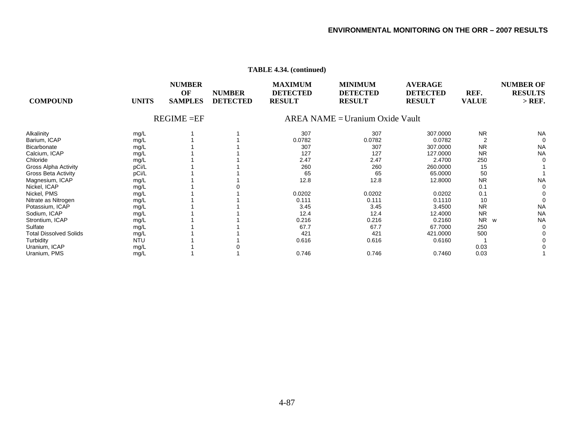| <b>COMPOUND</b>               | <b>UNITS</b> | <b>NUMBER</b><br>OF<br><b>SAMPLES</b> | <b>NUMBER</b><br><b>DETECTED</b> | <b>MAXIMUM</b><br><b>DETECTED</b><br><b>RESULT</b> | <b>MINIMUM</b><br><b>DETECTED</b><br><b>RESULT</b> | <b>AVERAGE</b><br><b>DETECTED</b><br><b>RESULT</b> | REF.<br><b>VALUE</b>  | <b>NUMBER OF</b><br><b>RESULTS</b><br>$>$ REF. |
|-------------------------------|--------------|---------------------------------------|----------------------------------|----------------------------------------------------|----------------------------------------------------|----------------------------------------------------|-----------------------|------------------------------------------------|
|                               |              | $REGIME = EF$                         |                                  |                                                    | $AREA NAME = Uranium Oxide Vault$                  |                                                    |                       |                                                |
| Alkalinity                    | mg/L         |                                       |                                  | 307                                                | 307                                                | 307.0000                                           | <b>NR</b>             | <b>NA</b>                                      |
| Barium, ICAP                  | mg/L         |                                       |                                  | 0.0782                                             | 0.0782                                             | 0.0782                                             |                       |                                                |
| Bicarbonate                   | mg/L         |                                       |                                  | 307                                                | 307                                                | 307.0000                                           | <b>NR</b>             | <b>NA</b>                                      |
| Calcium, ICAP                 | mg/L         |                                       |                                  | 127                                                | 127                                                | 127.0000                                           | <b>NR</b>             | <b>NA</b>                                      |
| Chloride                      | mg/L         |                                       |                                  | 2.47                                               | 2.47                                               | 2.4700                                             | 250                   |                                                |
| Gross Alpha Activity          | pCi/L        |                                       |                                  | 260                                                | 260                                                | 260.0000                                           | 15                    |                                                |
| <b>Gross Beta Activity</b>    | pCi/L        |                                       |                                  | 65                                                 | 65                                                 | 65.0000                                            | 50                    |                                                |
| Magnesium, ICAP               | mg/L         |                                       |                                  | 12.8                                               | 12.8                                               | 12.8000                                            | <b>NR</b>             | <b>NA</b>                                      |
| Nickel, ICAP                  | mg/L         |                                       |                                  |                                                    |                                                    |                                                    | 0.1                   |                                                |
| Nickel, PMS                   | mg/L         |                                       |                                  | 0.0202                                             | 0.0202                                             | 0.0202                                             | 0.1                   |                                                |
| Nitrate as Nitrogen           | mg/L         |                                       |                                  | 0.111                                              | 0.111                                              | 0.1110                                             | 10                    |                                                |
| Potassium, ICAP               | mg/L         |                                       |                                  | 3.45                                               | 3.45                                               | 3.4500                                             | <b>NR</b>             | <b>NA</b>                                      |
| Sodium, ICAP                  | mg/L         |                                       |                                  | 12.4                                               | 12.4                                               | 12.4000                                            | <b>NR</b>             | <b>NA</b>                                      |
| Strontium, ICAP               | mg/L         |                                       |                                  | 0.216                                              | 0.216                                              | 0.2160                                             | <b>NR</b><br><b>W</b> | <b>NA</b>                                      |
| Sulfate                       | mg/L         |                                       |                                  | 67.7                                               | 67.7                                               | 67.7000                                            | 250                   |                                                |
| <b>Total Dissolved Solids</b> | mg/L         |                                       |                                  | 421                                                | 421                                                | 421.0000                                           | 500                   |                                                |
| Turbidity                     | NTU          |                                       |                                  | 0.616                                              | 0.616                                              | 0.6160                                             |                       |                                                |
| Uranium, ICAP                 | mg/L         |                                       |                                  |                                                    |                                                    |                                                    | 0.03                  |                                                |
| Uranium, PMS                  | mg/L         |                                       |                                  | 0.746                                              | 0.746                                              | 0.7460                                             | 0.03                  |                                                |
|                               |              |                                       |                                  |                                                    |                                                    |                                                    |                       |                                                |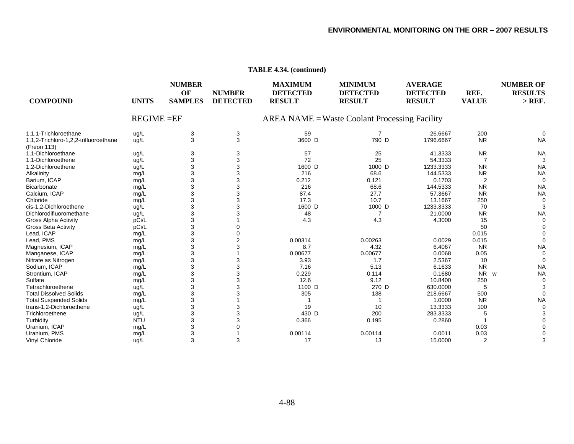| <b>COMPOUND</b>                                      | <b>UNITS</b>  | <b>NUMBER</b><br>OF<br><b>SAMPLES</b> | <b>NUMBER</b><br><b>DETECTED</b> | <b>MAXIMUM</b><br><b>DETECTED</b><br><b>RESULT</b> | <b>MINIMUM</b><br><b>DETECTED</b><br><b>RESULT</b> | <b>AVERAGE</b><br><b>DETECTED</b><br><b>RESULT</b> | REF.<br><b>VALUE</b> | <b>NUMBER OF</b><br><b>RESULTS</b><br>$>$ REF. |
|------------------------------------------------------|---------------|---------------------------------------|----------------------------------|----------------------------------------------------|----------------------------------------------------|----------------------------------------------------|----------------------|------------------------------------------------|
|                                                      | $REGIME = EF$ |                                       |                                  |                                                    | $AREA NAME = Waste Coolant Processing Facility$    |                                                    |                      |                                                |
| 1.1.1-Trichloroethane                                | ug/L          | 3                                     | 3                                | 59                                                 |                                                    | 26.6667                                            | 200                  |                                                |
| 1,1,2-Trichloro-1,2,2-trifluoroethane<br>(Freon 113) | ug/L          | 3                                     | 3                                | 3600 D                                             | 790 D                                              | 1796.6667                                          | <b>NR</b>            | <b>NA</b>                                      |
| 1,1-Dichloroethane                                   | ug/L          | 3                                     | 3                                | 57                                                 | 25                                                 | 41.3333                                            | <b>NR</b>            | <b>NA</b>                                      |
| 1.1-Dichloroethene                                   | ug/L          | 3                                     | 3                                | 72                                                 | 25                                                 | 54.3333                                            | $\overline{7}$       | 3                                              |
| 1,2-Dichloroethene                                   | ug/L          | 3                                     | 3                                | 1600 D                                             | 1000 D                                             | 1233.3333                                          | <b>NR</b>            | <b>NA</b>                                      |
| Alkalinity                                           | mg/L          | 3                                     | 3                                | 216                                                | 68.6                                               | 144.5333                                           | <b>NR</b>            | <b>NA</b>                                      |
| Barium, ICAP                                         | mg/L          | 3                                     | 3                                | 0.212                                              | 0.121                                              | 0.1703                                             | 2                    | $\Omega$                                       |
| Bicarbonate                                          | mg/L          | 3                                     | 3                                | 216                                                | 68.6                                               | 144.5333                                           | <b>NR</b>            | <b>NA</b>                                      |
| Calcium, ICAP                                        | mg/L          | 3                                     | 3                                | 87.4                                               | 27.7                                               | 57.3667                                            | <b>NR</b>            | <b>NA</b>                                      |
| Chloride                                             | mg/L          | 3                                     | 3                                | 17.3                                               | 10.7                                               | 13.1667                                            | 250                  | $\Omega$                                       |
| cis-1.2-Dichloroethene                               | ug/L          | 3                                     | 3                                | 1600 D                                             | 1000 D                                             | 1233.3333                                          | 70                   | 3                                              |
| Dichlorodifluoromethane                              | ug/L          | 3                                     | 3                                | 48                                                 |                                                    | 21.0000                                            | <b>NR</b>            | <b>NA</b>                                      |
| <b>Gross Alpha Activity</b>                          | pCi/L         | 3                                     |                                  | 4.3                                                | 4.3                                                | 4.3000                                             | 15                   |                                                |
| <b>Gross Beta Activity</b>                           | pCi/L         | 3                                     |                                  |                                                    |                                                    |                                                    | 50                   |                                                |
| Lead, ICAP                                           | mg/L          | 3                                     |                                  |                                                    |                                                    |                                                    | 0.015                |                                                |
| Lead, PMS                                            | mg/L          | 3                                     | $\overline{2}$                   | 0.00314                                            | 0.00263                                            | 0.0029                                             | 0.015                |                                                |
| Magnesium, ICAP                                      | mg/L          | 3                                     | 3                                | 8.7                                                | 4.32                                               | 6.4067                                             | <b>NR</b>            | <b>NA</b>                                      |
| Manganese, ICAP                                      | mg/L          | 3                                     |                                  | 0.00677                                            | 0.00677                                            | 0.0068                                             | 0.05                 | $\Omega$                                       |
| Nitrate as Nitrogen                                  | mg/L          | 3                                     | 3                                | 3.93                                               | 1.7                                                | 2.5367                                             | 10                   | $\Omega$                                       |
| Sodium, ICAP                                         | mg/L          | 3                                     | 3                                | 7.16                                               | 5.13                                               | 6.1633                                             | <b>NR</b>            | <b>NA</b>                                      |
| Strontium, ICAP                                      | mg/L          | 3                                     | 3                                | 0.229                                              | 0.114                                              | 0.1680                                             | <b>NR</b><br>w       | <b>NA</b>                                      |
| Sulfate                                              | mg/L          | 3                                     | 3                                | 12.6                                               | 9.12                                               | 10.8400                                            | 250                  | $\Omega$                                       |
| Tetrachloroethene                                    | ug/L          | 3                                     | 3                                | 1100 D                                             | 270 D                                              | 630.0000                                           | 5                    |                                                |
| <b>Total Dissolved Solids</b>                        | mg/L          | 3                                     | 3                                | 305                                                | 138                                                | 218.6667                                           | 500                  | $\Omega$                                       |
| <b>Total Suspended Solids</b>                        | mg/L          | 3                                     |                                  |                                                    |                                                    | 1.0000                                             | <b>NR</b>            | <b>NA</b>                                      |
| trans-1,2-Dichloroethene                             | ug/L          | 3                                     | 3                                | 19                                                 | 10                                                 | 13.3333                                            | 100                  |                                                |
| Trichloroethene                                      | ug/L          | 3                                     | 3                                | 430 D                                              | 200                                                | 283.3333                                           | 5                    |                                                |
| Turbidity                                            | <b>NTU</b>    | 3                                     | 3                                | 0.366                                              | 0.195                                              | 0.2860                                             |                      |                                                |
| Uranium, ICAP                                        | mg/L          | 3                                     |                                  |                                                    |                                                    |                                                    | 0.03                 |                                                |
| Uranium, PMS                                         | mg/L          | 3                                     |                                  | 0.00114                                            | 0.00114                                            | 0.0011                                             | 0.03                 |                                                |
| Vinyl Chloride                                       | ug/L          | 3                                     | 3                                | 17                                                 | 13                                                 | 15.0000                                            | $\overline{2}$       |                                                |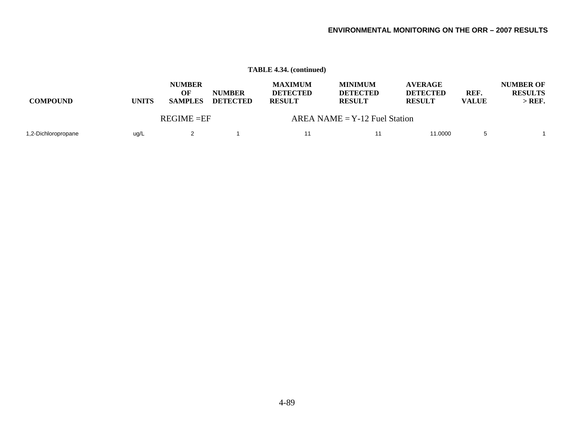|                     |              |                                       |                                  | <b>TABLE 4.34. (continued)</b>                     |                                                    |                                                    |                      |                                                |
|---------------------|--------------|---------------------------------------|----------------------------------|----------------------------------------------------|----------------------------------------------------|----------------------------------------------------|----------------------|------------------------------------------------|
| <b>COMPOUND</b>     | <b>UNITS</b> | <b>NUMBER</b><br>OF<br><b>SAMPLES</b> | <b>NUMBER</b><br><b>DETECTED</b> | <b>MAXIMUM</b><br><b>DETECTED</b><br><b>RESULT</b> | <b>MINIMUM</b><br><b>DETECTED</b><br><b>RESULT</b> | <b>AVERAGE</b><br><b>DETECTED</b><br><b>RESULT</b> | REF.<br><b>VALUE</b> | <b>NUMBER OF</b><br><b>RESULTS</b><br>$>$ REF. |
|                     |              | $REGIME = EF$                         |                                  |                                                    | $AREA NAME = Y-12$ Fuel Station                    |                                                    |                      |                                                |
| 1,2-Dichloropropane | ug/L         |                                       |                                  | 11                                                 | 11                                                 | 11.0000                                            |                      |                                                |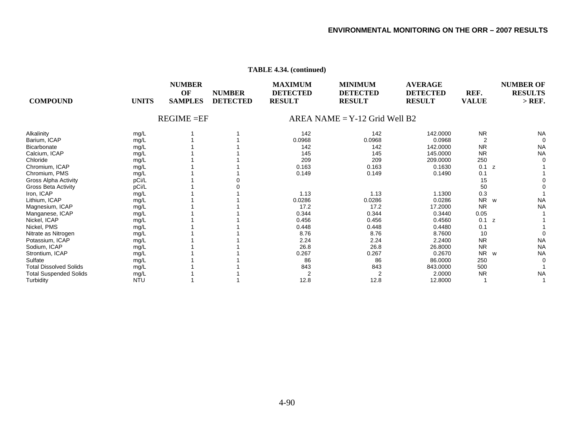| <b>COMPOUND</b>               | <b>UNITS</b> | <b>NUMBER</b><br>OF<br><b>SAMPLES</b> | <b>NUMBER</b><br><b>DETECTED</b> | <b>MAXIMUM</b><br><b>DETECTED</b><br><b>RESULT</b> | <b>MINIMUM</b><br><b>DETECTED</b><br><b>RESULT</b> | <b>AVERAGE</b><br><b>DETECTED</b><br><b>RESULT</b> | REF.<br><b>VALUE</b> | <b>NUMBER OF</b><br><b>RESULTS</b><br>$>$ REF. |
|-------------------------------|--------------|---------------------------------------|----------------------------------|----------------------------------------------------|----------------------------------------------------|----------------------------------------------------|----------------------|------------------------------------------------|
|                               |              | $REGIME = EF$                         |                                  |                                                    | $AREA NAME = Y-12$ Grid Well B2                    |                                                    |                      |                                                |
| Alkalinity                    | mg/L         |                                       |                                  | 142                                                | 142                                                | 142.0000                                           | <b>NR</b>            | <b>NA</b>                                      |
| Barium, ICAP                  | mg/L         |                                       |                                  | 0.0968                                             | 0.0968                                             | 0.0968                                             | $\overline{2}$       | $\Omega$                                       |
| Bicarbonate                   | mg/L         |                                       |                                  | 142                                                | 142                                                | 142,0000                                           | <b>NR</b>            | <b>NA</b>                                      |
| Calcium, ICAP                 | mg/L         |                                       |                                  | 145                                                | 145                                                | 145.0000                                           | <b>NR</b>            | <b>NA</b>                                      |
| Chloride                      | mg/L         |                                       |                                  | 209                                                | 209                                                | 209.0000                                           | 250                  | $\Omega$                                       |
| Chromium, ICAP                | mg/L         |                                       |                                  | 0.163                                              | 0.163                                              | 0.1630                                             | 0.1<br>z             |                                                |
| Chromium, PMS                 | mg/L         |                                       |                                  | 0.149                                              | 0.149                                              | 0.1490                                             | 0.1                  |                                                |
| <b>Gross Alpha Activity</b>   | pCi/L        |                                       |                                  |                                                    |                                                    |                                                    | 15                   |                                                |
| Gross Beta Activity           | pCi/L        |                                       |                                  |                                                    |                                                    |                                                    | 50                   |                                                |
| Iron, ICAP                    | mg/L         |                                       |                                  | 1.13                                               | 1.13                                               | 1.1300                                             | 0.3                  |                                                |
| Lithium, ICAP                 | mg/L         |                                       |                                  | 0.0286                                             | 0.0286                                             | 0.0286                                             | <b>NR</b>            | <b>NA</b><br>W                                 |
| Magnesium, ICAP               | mg/L         |                                       |                                  | 17.2                                               | 17.2                                               | 17.2000                                            | <b>NR</b>            | <b>NA</b>                                      |
| Manganese, ICAP               | mg/L         |                                       |                                  | 0.344                                              | 0.344                                              | 0.3440                                             | 0.05                 |                                                |
| Nickel, ICAP                  | mg/L         |                                       |                                  | 0.456                                              | 0.456                                              | 0.4560                                             | 0.1<br>z             |                                                |
| Nickel, PMS                   | mg/L         |                                       |                                  | 0.448                                              | 0.448                                              | 0.4480                                             | 0.1                  |                                                |
| Nitrate as Nitrogen           | mg/L         |                                       |                                  | 8.76                                               | 8.76                                               | 8.7600                                             | 10                   | $\Omega$                                       |
| Potassium, ICAP               | mg/L         |                                       |                                  | 2.24                                               | 2.24                                               | 2.2400                                             | <b>NR</b>            | <b>NA</b>                                      |
| Sodium, ICAP                  | mg/L         |                                       |                                  | 26.8                                               | 26.8                                               | 26.8000                                            | <b>NR</b>            | <b>NA</b>                                      |
| Strontium, ICAP               | mg/L         |                                       |                                  | 0.267                                              | 0.267                                              | 0.2670                                             | <b>NR</b><br>W       | <b>NA</b>                                      |
| Sulfate                       | mg/L         |                                       |                                  | 86                                                 | 86                                                 | 86,0000                                            | 250                  | 0                                              |
| <b>Total Dissolved Solids</b> | mg/L         |                                       |                                  | 843                                                | 843                                                | 843.0000                                           | 500                  |                                                |
| <b>Total Suspended Solids</b> | mg/L         |                                       |                                  | 2                                                  | $\overline{2}$                                     | 2.0000                                             | <b>NR</b>            | <b>NA</b>                                      |
| Turbidity                     | <b>NTU</b>   |                                       |                                  | 12.8                                               | 12.8                                               | 12.8000                                            |                      |                                                |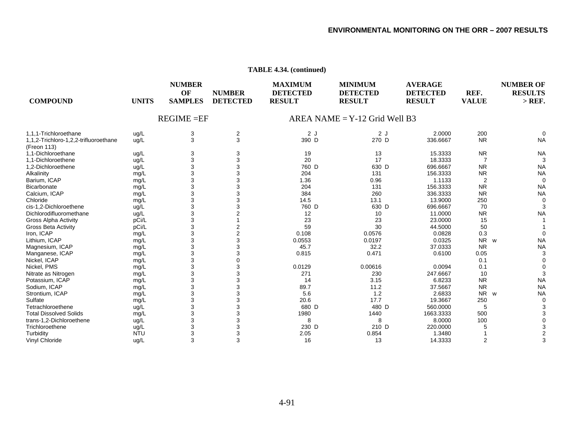| <b>COMPOUND</b>                                      | <b>UNITS</b> | <b>NUMBER</b><br>OF<br><b>SAMPLES</b> | <b>NUMBER</b><br><b>DETECTED</b> | <b>MAXIMUM</b><br><b>DETECTED</b><br><b>RESULT</b> | <b>MINIMUM</b><br><b>DETECTED</b><br><b>RESULT</b> | <b>AVERAGE</b><br><b>DETECTED</b><br><b>RESULT</b> | REF.<br><b>VALUE</b>  | <b>NUMBER OF</b><br><b>RESULTS</b><br>$>$ REF. |
|------------------------------------------------------|--------------|---------------------------------------|----------------------------------|----------------------------------------------------|----------------------------------------------------|----------------------------------------------------|-----------------------|------------------------------------------------|
|                                                      |              | $REGIME = EF$                         |                                  |                                                    | $AREA NAME = Y-12$ Grid Well B3                    |                                                    |                       |                                                |
| 1,1,1-Trichloroethane                                | ug/L         | 3                                     | 2                                | 2J                                                 | 2J                                                 | 2.0000                                             | 200                   | ∩                                              |
| 1,1,2-Trichloro-1,2,2-trifluoroethane<br>(Freon 113) | ug/L         | 3                                     | 3                                | 390 D                                              | 270 D                                              | 336.6667                                           | <b>NR</b>             | <b>NA</b>                                      |
| 1.1-Dichloroethane                                   | ug/L         | 3                                     | 3                                | 19                                                 | 13                                                 | 15.3333                                            | <b>NR</b>             | <b>NA</b>                                      |
| 1.1-Dichloroethene                                   | ug/L         | 3                                     | 3                                | 20                                                 | 17                                                 | 18.3333                                            | $\overline{7}$        | 3                                              |
| 1,2-Dichloroethene                                   | ug/L         | 3                                     | 3                                | 760 D                                              | 630 D                                              | 696.6667                                           | <b>NR</b>             | <b>NA</b>                                      |
| Alkalinity                                           | mg/L         | 3                                     | 3                                | 204                                                | 131                                                | 156.3333                                           | <b>NR</b>             | <b>NA</b>                                      |
| Barium, ICAP                                         | mg/L         | 3                                     | 3                                | 1.36                                               | 0.96                                               | 1.1133                                             | 2                     | $\Omega$                                       |
| Bicarbonate                                          | mg/L         | 3                                     | 3                                | 204                                                | 131                                                | 156.3333                                           | <b>NR</b>             | <b>NA</b>                                      |
| Calcium, ICAP                                        | mg/L         | 3                                     | 3                                | 384                                                | 260                                                | 336.3333                                           | <b>NR</b>             | <b>NA</b>                                      |
| Chloride                                             | mg/L         | 3                                     | 3                                | 14.5                                               | 13.1                                               | 13.9000                                            | 250                   | $\Omega$                                       |
| cis-1.2-Dichloroethene                               | ug/L         | 3                                     | 3                                | 760 D                                              | 630 D                                              | 696.6667                                           | 70                    | 3                                              |
| Dichlorodifluoromethane                              | ug/L         | 3                                     | $\overline{2}$                   | 12                                                 | 10                                                 | 11.0000                                            | <b>NR</b>             | <b>NA</b>                                      |
| <b>Gross Alpha Activity</b>                          | pCi/L        | 3                                     |                                  | 23                                                 | 23                                                 | 23.0000                                            | 15                    |                                                |
| <b>Gross Beta Activity</b>                           | pCi/L        | 3                                     | 2                                | 59                                                 | 30                                                 | 44.5000                                            | 50                    |                                                |
| Iron, ICAP                                           | mg/L         | 3                                     | 2                                | 0.108                                              | 0.0576                                             | 0.0828                                             | 0.3                   | $\Omega$                                       |
| Lithium, ICAP                                        | mg/L         | 3                                     | 3                                | 0.0553                                             | 0.0197                                             | 0.0325                                             | <b>NR</b><br><b>W</b> | <b>NA</b>                                      |
| Magnesium, ICAP                                      | mg/L         | 3                                     | 3                                | 45.7                                               | 32.2                                               | 37.0333                                            | <b>NR</b>             | <b>NA</b>                                      |
| Manganese, ICAP                                      | mg/L         | 3                                     | 3                                | 0.815                                              | 0.471                                              | 0.6100                                             | 0.05                  | 3                                              |
| Nickel, ICAP                                         | mg/L         | 3                                     | 0                                |                                                    |                                                    |                                                    | 0.1                   | $\Omega$                                       |
| Nickel, PMS                                          | mg/L         | 3                                     | 3                                | 0.0129                                             | 0.00616                                            | 0.0094                                             | 0.1                   | $\Omega$                                       |
| Nitrate as Nitrogen                                  | mg/L         | 3                                     | 3                                | 271                                                | 230                                                | 247.6667                                           | 10                    | 3                                              |
| Potassium, ICAP                                      | mg/L         | 3                                     | 3                                | 14                                                 | 3.15                                               | 6.8233                                             | <b>NR</b>             | <b>NA</b>                                      |
| Sodium, ICAP                                         | mg/L         | 3                                     | 3                                | 89.7                                               | 11.2                                               | 37.5667                                            | <b>NR</b>             | <b>NA</b>                                      |
| Strontium, ICAP                                      | mg/L         | 3                                     | 3                                | 5.6                                                | 1.2                                                | 2.6833                                             | <b>NR</b><br><b>W</b> | <b>NA</b>                                      |
| Sulfate                                              | mg/L         | 3                                     | 3                                | 20.6                                               | 17.7                                               | 19.3667                                            | 250                   | $\Omega$                                       |
| Tetrachloroethene                                    | ug/L         | 3                                     | 3                                | 680 D                                              | 480 D                                              | 560.0000                                           | 5                     |                                                |
| <b>Total Dissolved Solids</b>                        | mg/L         | 3                                     | 3                                | 1980                                               | 1440                                               | 1663.3333                                          | 500                   |                                                |
| trans-1.2-Dichloroethene                             | ug/L         | 3                                     | 3                                | 8                                                  | 8                                                  | 8.0000                                             | 100                   |                                                |
| Trichloroethene                                      | ug/L         | 3                                     | 3                                | 230 D                                              | 210 D                                              | 220.0000                                           | 5                     |                                                |
| Turbidity                                            | <b>NTU</b>   | 3                                     | 3                                | 2.05                                               | 0.854                                              | 1.3480                                             |                       |                                                |
| Vinyl Chloride                                       | ug/L         | 3                                     | 3                                | 16                                                 | 13                                                 | 14.3333                                            | 2                     | 3                                              |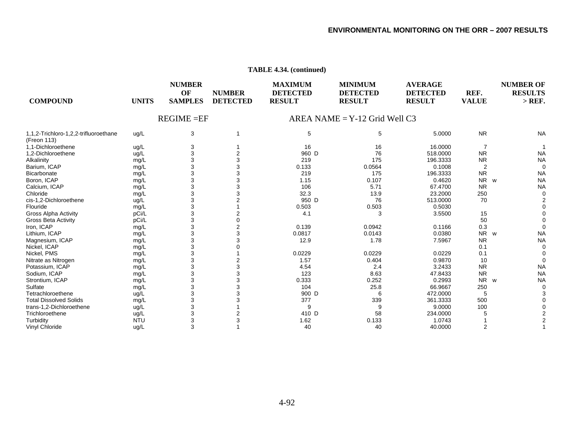| <b>COMPOUND</b>                                      | <b>UNITS</b> | <b>NUMBER</b><br>OF<br><b>SAMPLES</b> | <b>NUMBER</b><br><b>DETECTED</b> | <b>MAXIMUM</b><br><b>DETECTED</b><br><b>RESULT</b> | <b>MINIMUM</b><br><b>DETECTED</b><br><b>RESULT</b> | <b>AVERAGE</b><br><b>DETECTED</b><br><b>RESULT</b> | REF.<br><b>VALUE</b> | <b>NUMBER OF</b><br><b>RESULTS</b><br>$>$ REF. |
|------------------------------------------------------|--------------|---------------------------------------|----------------------------------|----------------------------------------------------|----------------------------------------------------|----------------------------------------------------|----------------------|------------------------------------------------|
|                                                      |              | $REGIME = EF$                         |                                  |                                                    | $AREA NAME = Y-12$ Grid Well C3                    |                                                    |                      |                                                |
| 1,1,2-Trichloro-1,2,2-trifluoroethane<br>(Freon 113) | ug/L         | 3                                     |                                  | 5                                                  | 5                                                  | 5.0000                                             | <b>NR</b>            | <b>NA</b>                                      |
| 1.1-Dichloroethene                                   | ug/L         |                                       |                                  | 16                                                 | 16                                                 | 16.0000                                            |                      |                                                |
| 1,2-Dichloroethene                                   | ug/L         |                                       |                                  | 960 D                                              | 76                                                 | 518.0000                                           | <b>NR</b>            | <b>NA</b>                                      |
| Alkalinity                                           | mg/L         |                                       |                                  | 219                                                | 175                                                | 196.3333                                           | <b>NR</b>            | <b>NA</b>                                      |
| Barium, ICAP                                         | mg/L         |                                       |                                  | 0.133                                              | 0.0564                                             | 0.1008                                             |                      |                                                |
| Bicarbonate                                          | mg/L         |                                       |                                  | 219                                                | 175                                                | 196.3333                                           | <b>NR</b>            | <b>NA</b>                                      |
| Boron, ICAP                                          | mg/L         |                                       |                                  | 1.15                                               | 0.107                                              | 0.4620                                             | <b>NR</b><br>W       | <b>NA</b>                                      |
| Calcium, ICAP                                        | mg/L         |                                       |                                  | 106                                                | 5.71                                               | 67.4700                                            | <b>NR</b>            | <b>NA</b>                                      |
| Chloride                                             | mg/L         |                                       |                                  | 32.3                                               | 13.9                                               | 23.2000                                            | 250                  |                                                |
| cis-1,2-Dichloroethene                               | ug/L         |                                       |                                  | 950 D                                              | 76                                                 | 513.0000                                           | 70                   |                                                |
| Flouride                                             | mg/L         |                                       |                                  | 0.503                                              | 0.503                                              | 0.5030                                             |                      |                                                |
| Gross Alpha Activity                                 | pCi/L        |                                       |                                  | 4.1                                                | 3                                                  | 3.5500                                             | 15                   |                                                |
| <b>Gross Beta Activity</b>                           | pCi/L        |                                       |                                  |                                                    |                                                    |                                                    | 50                   |                                                |
| Iron, ICAP                                           | mg/L         |                                       |                                  | 0.139                                              | 0.0942                                             | 0.1166                                             | 0.3                  |                                                |
| Lithium, ICAP                                        | mg/L         |                                       |                                  | 0.0817                                             | 0.0143                                             | 0.0380                                             | N <sub>R</sub><br>W  | <b>NA</b>                                      |
| Magnesium, ICAP                                      | mg/L         |                                       |                                  | 12.9                                               | 1.78                                               | 7.5967                                             | <b>NR</b>            | <b>NA</b>                                      |
| Nickel, ICAP                                         | mg/L         |                                       |                                  |                                                    |                                                    |                                                    | 0.1                  |                                                |
| Nickel, PMS                                          | mg/L         |                                       |                                  | 0.0229                                             | 0.0229                                             | 0.0229                                             | 0.1                  |                                                |
| Nitrate as Nitrogen                                  | mg/L         |                                       |                                  | 1.57                                               | 0.404                                              | 0.9870                                             | 10                   |                                                |
| Potassium, ICAP                                      | mg/L         |                                       |                                  | 4.54                                               | 2.4                                                | 3.2433                                             | <b>NR</b>            | <b>NA</b>                                      |
| Sodium, ICAP                                         | mg/L         |                                       |                                  | 123                                                | 8.63                                               | 47.8433                                            | <b>NR</b>            | <b>NA</b>                                      |
| Strontium, ICAP                                      | mg/L         |                                       |                                  | 0.333                                              | 0.252                                              | 0.2993                                             | N <sub>R</sub><br>W  | <b>NA</b>                                      |
| Sulfate                                              | mg/L         |                                       |                                  | 104                                                | 25.8                                               | 66.9667                                            | 250                  |                                                |
| Tetrachloroethene                                    | ug/L         |                                       |                                  | 900 D                                              | 6                                                  | 472.0000                                           | 5                    |                                                |
| <b>Total Dissolved Solids</b>                        | mg/L         |                                       |                                  | 377                                                | 339                                                | 361.3333                                           | 500                  |                                                |
| trans-1,2-Dichloroethene                             | ug/L         |                                       |                                  | 9                                                  |                                                    | 9.0000                                             | 100                  |                                                |
| Trichloroethene                                      | ug/L         |                                       |                                  | 410 D                                              | 58                                                 | 234.0000                                           |                      |                                                |
| Turbidity                                            | <b>NTU</b>   |                                       |                                  | 1.62                                               | 0.133                                              | 1.0743                                             |                      |                                                |
| Vinyl Chloride                                       | ug/L         | 3                                     |                                  | 40                                                 | 40                                                 | 40.0000                                            | 2                    |                                                |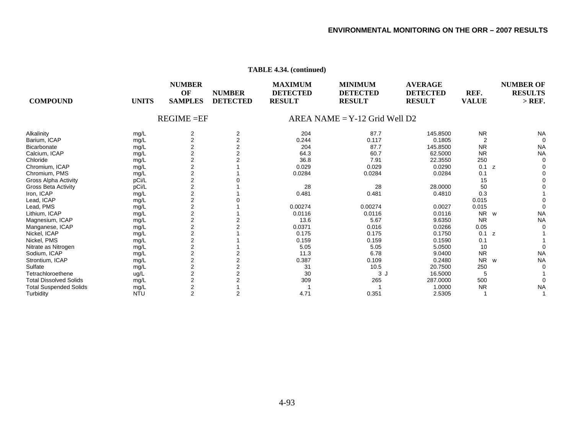| <b>COMPOUND</b>               | <b>UNITS</b> | <b>NUMBER</b><br>OF<br><b>SAMPLES</b> | <b>NUMBER</b><br><b>DETECTED</b> | <b>MAXIMUM</b><br><b>DETECTED</b><br><b>RESULT</b> | <b>MINIMUM</b><br><b>DETECTED</b><br><b>RESULT</b> | <b>AVERAGE</b><br><b>DETECTED</b><br><b>RESULT</b> | REF.<br><b>VALUE</b> | <b>NUMBER OF</b><br><b>RESULTS</b><br>$>$ REF. |
|-------------------------------|--------------|---------------------------------------|----------------------------------|----------------------------------------------------|----------------------------------------------------|----------------------------------------------------|----------------------|------------------------------------------------|
|                               |              | $REGIME = EF$                         |                                  |                                                    | $AREA NAME = Y-12$ Grid Well D2                    |                                                    |                      |                                                |
| Alkalinity                    | mg/L         | 2                                     | 2                                | 204                                                | 87.7                                               | 145.8500                                           | <b>NR</b>            | <b>NA</b>                                      |
| Barium, ICAP                  | mg/L         | $\overline{2}$                        | $\overline{2}$                   | 0.244                                              | 0.117                                              | 0.1805                                             | 2                    |                                                |
| <b>Bicarbonate</b>            | mg/L         |                                       |                                  | 204                                                | 87.7                                               | 145.8500                                           | <b>NR</b>            | <b>NA</b>                                      |
| Calcium, ICAP                 | mg/L         | $\overline{2}$                        |                                  | 64.3                                               | 60.7                                               | 62.5000                                            | <b>NR</b>            | <b>NA</b>                                      |
| Chloride                      | mg/L         | 2                                     |                                  | 36.8                                               | 7.91                                               | 22.3550                                            | 250                  |                                                |
| Chromium, ICAP                | mg/L         | $\overline{2}$                        |                                  | 0.029                                              | 0.029                                              | 0.0290                                             | 0.1<br>z             |                                                |
| Chromium, PMS                 | mg/L         | 2                                     |                                  | 0.0284                                             | 0.0284                                             | 0.0284                                             | 0.1                  |                                                |
| <b>Gross Alpha Activity</b>   | pCi/L        | $\overline{2}$                        |                                  |                                                    |                                                    |                                                    | 15                   |                                                |
| Gross Beta Activity           | pCi/L        | $\overline{2}$                        |                                  | 28                                                 | 28                                                 | 28.0000                                            | 50                   |                                                |
| Iron, ICAP                    | mg/L         | $\overline{2}$                        |                                  | 0.481                                              | 0.481                                              | 0.4810                                             | 0.3                  |                                                |
| Lead, ICAP                    | mg/L         | $\overline{2}$                        |                                  |                                                    |                                                    |                                                    | 0.015                |                                                |
| Lead, PMS                     | mg/L         | $\overline{2}$                        |                                  | 0.00274                                            | 0.00274                                            | 0.0027                                             | 0.015                |                                                |
| Lithium, ICAP                 | mg/L         | $\overline{2}$                        |                                  | 0.0116                                             | 0.0116                                             | 0.0116                                             | N <sub>R</sub><br>W  | <b>NA</b>                                      |
| Magnesium, ICAP               | mg/L         | $\overline{2}$                        |                                  | 13.6                                               | 5.67                                               | 9.6350                                             | <b>NR</b>            | <b>NA</b>                                      |
| Manganese, ICAP               | mg/L         | $\overline{2}$                        |                                  | 0.0371                                             | 0.016                                              | 0.0266                                             | 0.05                 |                                                |
| Nickel, ICAP                  | mg/L         | $\overline{2}$                        |                                  | 0.175                                              | 0.175                                              | 0.1750                                             | 0.1<br>z             |                                                |
| Nickel, PMS                   | mg/L         | $\overline{\mathbf{c}}$               |                                  | 0.159                                              | 0.159                                              | 0.1590                                             | 0.1                  |                                                |
| Nitrate as Nitrogen           | mg/L         | $\overline{2}$                        |                                  | 5.05                                               | 5.05                                               | 5.0500                                             | 10                   |                                                |
| Sodium, ICAP                  | mg/L         | $\overline{2}$                        |                                  | 11.3                                               | 6.78                                               | 9.0400                                             | <b>NR</b>            | <b>NA</b>                                      |
| Strontium, ICAP               | mg/L         | $\overline{2}$                        |                                  | 0.387                                              | 0.109                                              | 0.2480                                             | <b>NR</b><br>W       | <b>NA</b>                                      |
| Sulfate                       | mg/L         | $\overline{2}$                        |                                  | 31                                                 | 10.5                                               | 20.7500                                            | 250                  |                                                |
| Tetrachloroethene             | ug/L         |                                       |                                  | 30                                                 | 3 J                                                | 16.5000                                            | 5                    |                                                |
| <b>Total Dissolved Solids</b> | mg/L         | $\overline{2}$                        |                                  | 309                                                | 265                                                | 287.0000                                           | 500                  |                                                |
| <b>Total Suspended Solids</b> | mg/L         | $\overline{2}$                        |                                  |                                                    |                                                    | 1.0000                                             | <b>NR</b>            | <b>NA</b>                                      |
| Turbidity                     | <b>NTU</b>   | 2                                     |                                  | 4.71                                               | 0.351                                              | 2.5305                                             |                      |                                                |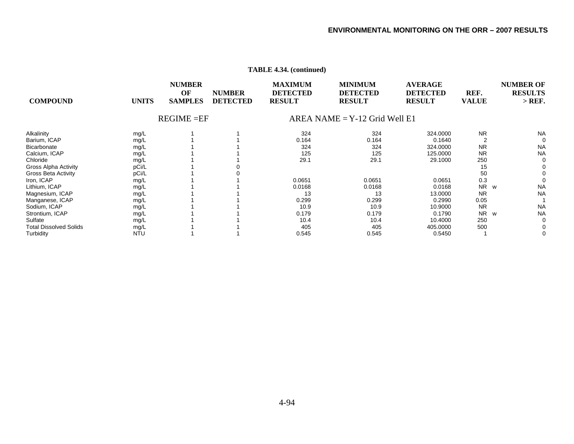| <b>COMPOUND</b>               | <b>UNITS</b> | <b>NUMBER</b><br>OF<br><b>SAMPLES</b> | <b>NUMBER</b><br><b>DETECTED</b> | <b>MAXIMUM</b><br><b>DETECTED</b><br><b>RESULT</b> | <b>MINIMUM</b><br><b>DETECTED</b><br><b>RESULT</b> | <b>AVERAGE</b><br><b>DETECTED</b><br><b>RESULT</b> | REF.<br><b>VALUE</b> | <b>NUMBER OF</b><br><b>RESULTS</b><br>$>$ REF. |
|-------------------------------|--------------|---------------------------------------|----------------------------------|----------------------------------------------------|----------------------------------------------------|----------------------------------------------------|----------------------|------------------------------------------------|
|                               |              | $REGIME = EF$                         |                                  |                                                    | $AREA NAME = Y-12$ Grid Well E1                    |                                                    |                      |                                                |
| Alkalinity                    | mg/L         |                                       |                                  | 324                                                | 324                                                | 324.0000                                           | <b>NR</b>            | <b>NA</b>                                      |
| Barium, ICAP                  | mg/L         |                                       |                                  | 0.164                                              | 0.164                                              | 0.1640                                             |                      | 0                                              |
| Bicarbonate                   | mg/L         |                                       |                                  | 324                                                | 324                                                | 324.0000                                           | <b>NR</b>            | <b>NA</b>                                      |
| Calcium, ICAP                 | mg/L         |                                       |                                  | 125                                                | 125                                                | 125.0000                                           | <b>NR</b>            | <b>NA</b>                                      |
| Chloride                      | mg/L         |                                       |                                  | 29.1                                               | 29.1                                               | 29.1000                                            | 250                  | 0                                              |
| Gross Alpha Activity          | pCi/L        |                                       |                                  |                                                    |                                                    |                                                    | 15                   | 0                                              |
| <b>Gross Beta Activity</b>    | pCi/L        |                                       |                                  |                                                    |                                                    |                                                    | 50                   | 0                                              |
| Iron, ICAP                    | mg/L         |                                       |                                  | 0.0651                                             | 0.0651                                             | 0.0651                                             | 0.3                  |                                                |
| Lithium, ICAP                 | mg/L         |                                       |                                  | 0.0168                                             | 0.0168                                             | 0.0168                                             | <b>NR</b><br>W       | <b>NA</b>                                      |
| Magnesium, ICAP               | mg/L         |                                       |                                  | 13                                                 | 13                                                 | 13.0000                                            | <b>NR</b>            | <b>NA</b>                                      |
| Manganese, ICAP               | mg/L         |                                       |                                  | 0.299                                              | 0.299                                              | 0.2990                                             | 0.05                 |                                                |
| Sodium, ICAP                  | mg/L         |                                       |                                  | 10.9                                               | 10.9                                               | 10.9000                                            | <b>NR</b>            | <b>NA</b>                                      |
| Strontium, ICAP               | mg/L         |                                       |                                  | 0.179                                              | 0.179                                              | 0.1790                                             | <b>NR</b><br>W       | <b>NA</b>                                      |
| Sulfate                       | mg/L         |                                       |                                  | 10.4                                               | 10.4                                               | 10.4000                                            | 250                  | 0                                              |
| <b>Total Dissolved Solids</b> | mg/L         |                                       |                                  | 405                                                | 405                                                | 405.0000                                           | 500                  | 0                                              |
| Turbidity                     | <b>NTU</b>   |                                       |                                  | 0.545                                              | 0.545                                              | 0.5450                                             |                      | 0                                              |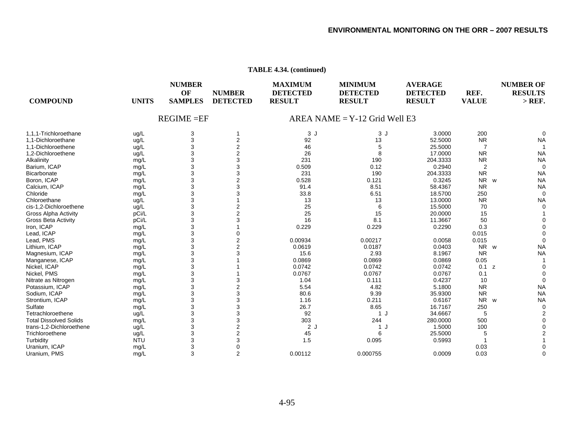| <b>COMPOUND</b>               | <b>UNITS</b> | <b>NUMBER</b><br>OF<br><b>SAMPLES</b> | <b>NUMBER</b><br><b>DETECTED</b> | <b>MAXIMUM</b><br><b>DETECTED</b><br><b>RESULT</b> | <b>MINIMUM</b><br><b>DETECTED</b><br><b>RESULT</b> | <b>AVERAGE</b><br><b>DETECTED</b><br><b>RESULT</b> | REF.<br><b>VALUE</b> | <b>NUMBER OF</b><br><b>RESULTS</b><br>$>$ REF. |
|-------------------------------|--------------|---------------------------------------|----------------------------------|----------------------------------------------------|----------------------------------------------------|----------------------------------------------------|----------------------|------------------------------------------------|
|                               |              | $REGIME = EF$                         |                                  |                                                    | AREA NAME = $Y-12$ Grid Well E3                    |                                                    |                      |                                                |
| 1.1.1-Trichloroethane         | ug/L         | 3                                     |                                  | 3J                                                 | 3J                                                 | 3.0000                                             | 200                  | $\Omega$                                       |
| 1,1-Dichloroethane            | ug/L         | 3                                     | $\overline{2}$                   | 92                                                 | 13                                                 | 52.5000                                            | <b>NR</b>            | <b>NA</b>                                      |
| 1,1-Dichloroethene            | ug/L         | 3                                     | $\overline{c}$                   | 46                                                 | 5                                                  | 25.5000                                            | $\overline{7}$       |                                                |
| 1,2-Dichloroethene            | ug/L         | 3                                     | $\overline{c}$                   | 26                                                 | 8                                                  | 17.0000                                            | <b>NR</b>            | <b>NA</b>                                      |
| Alkalinity                    | mg/L         | 3                                     | 3                                | 231                                                | 190                                                | 204.3333                                           | <b>NR</b>            | <b>NA</b>                                      |
| Barium, ICAP                  | mg/L         | 3                                     | 3                                | 0.509                                              | 0.12                                               | 0.2940                                             | $\overline{2}$       | $\mathbf 0$                                    |
| <b>Bicarbonate</b>            | mg/L         | 3                                     | 3                                | 231                                                | 190                                                | 204.3333                                           | <b>NR</b>            | <b>NA</b>                                      |
| Boron, ICAP                   | mg/L         | 3                                     | $\overline{2}$                   | 0.528                                              | 0.121                                              | 0.3245                                             | NR                   | <b>NA</b><br>W                                 |
| Calcium, ICAP                 | mg/L         | 3                                     | 3                                | 91.4                                               | 8.51                                               | 58.4367                                            | <b>NR</b>            | <b>NA</b>                                      |
| Chloride                      | mg/L         | 3                                     |                                  | 33.8                                               | 6.51                                               | 18.5700                                            | 250                  | $\mathbf 0$                                    |
| Chloroethane                  | ug/L         | 3                                     |                                  | 13                                                 | 13                                                 | 13.0000                                            | <b>NR</b>            | <b>NA</b>                                      |
| cis-1,2-Dichloroethene        | uq/L         | 3                                     | 2                                | 25                                                 | 6                                                  | 15.5000                                            | 70                   | $\Omega$                                       |
| <b>Gross Alpha Activity</b>   | pCi/L        | 3                                     |                                  | 25                                                 | 15                                                 | 20.0000                                            | 15                   |                                                |
|                               | pCi/L        | 3                                     |                                  | 16                                                 | 8.1                                                | 11.3667                                            | 50                   | $\Omega$                                       |
| <b>Gross Beta Activity</b>    |              | 3                                     |                                  | 0.229                                              | 0.229                                              |                                                    | 0.3                  |                                                |
| Iron, ICAP                    | mg/L         |                                       |                                  |                                                    |                                                    | 0.2290                                             |                      |                                                |
| Lead, ICAP                    | mg/L         | 3                                     |                                  |                                                    |                                                    |                                                    | 0.015                |                                                |
| Lead, PMS                     | mg/L         | 3                                     | 2                                | 0.00934                                            | 0.00217                                            | 0.0058                                             | 0.015                | $\Omega$                                       |
| Lithium, ICAP                 | mg/L         | 3                                     |                                  | 0.0619                                             | 0.0187                                             | 0.0403                                             | <b>NR</b>            | <b>NA</b><br>W                                 |
| Magnesium, ICAP               | mg/L         | 3                                     |                                  | 15.6                                               | 2.93                                               | 8.1967                                             | <b>NR</b>            | <b>NA</b>                                      |
| Manganese, ICAP               | mg/L         | 3                                     |                                  | 0.0869                                             | 0.0869                                             | 0.0869                                             | 0.05                 |                                                |
| Nickel, ICAP                  | mg/L         | 3                                     |                                  | 0.0742                                             | 0.0742                                             | 0.0742                                             | 0.1 z                | $\Omega$                                       |
| Nickel, PMS                   | mg/L         | 3                                     |                                  | 0.0767                                             | 0.0767                                             | 0.0767                                             | 0.1                  | $\Omega$                                       |
| Nitrate as Nitrogen           | mg/L         | 3                                     | 3                                | 1.04                                               | 0.111                                              | 0.4237                                             | 10                   | 0                                              |
| Potassium, ICAP               | mg/L         | 3                                     | $\overline{2}$                   | 5.54                                               | 4.82                                               | 5.1800                                             | <b>NR</b>            | <b>NA</b>                                      |
| Sodium, ICAP                  | mg/L         | 3                                     | 3                                | 80.6                                               | 9.39                                               | 35.9300                                            | <b>NR</b>            | <b>NA</b>                                      |
| Strontium, ICAP               | mg/L         | 3                                     | 3                                | 1.16                                               | 0.211                                              | 0.6167                                             | <b>NR</b>            | <b>NA</b><br>W                                 |
| Sulfate                       | mg/L         | 3                                     | 3                                | 26.7                                               | 8.65                                               | 16.7167                                            | 250                  | $\mathbf 0$                                    |
| Tetrachloroethene             | ug/L         | 3                                     | 3                                | 92                                                 | 1 J                                                | 34.6667                                            | 5                    | 2                                              |
| <b>Total Dissolved Solids</b> | mg/L         | 3                                     | 3                                | 303                                                | 244                                                | 280.0000                                           | 500                  | $\Omega$                                       |
| trans-1,2-Dichloroethene      | ug/L         | 3                                     | $\overline{2}$                   | 2J                                                 | 1 J                                                | 1.5000                                             | 100                  | $\Omega$                                       |
| Trichloroethene               | ug/L         | 3                                     | $\overline{2}$                   | 45                                                 | 6                                                  | 25.5000                                            | 5                    | $\overline{2}$                                 |
| Turbidity                     | <b>NTU</b>   | 3                                     |                                  | 1.5                                                | 0.095                                              | 0.5993                                             |                      |                                                |
| Uranium, ICAP                 | mg/L         | 3                                     |                                  |                                                    |                                                    |                                                    | 0.03                 |                                                |
| Uranium, PMS                  | mq/L         | 3                                     | 2                                | 0.00112                                            | 0.000755                                           | 0.0009                                             | 0.03                 | $\Omega$                                       |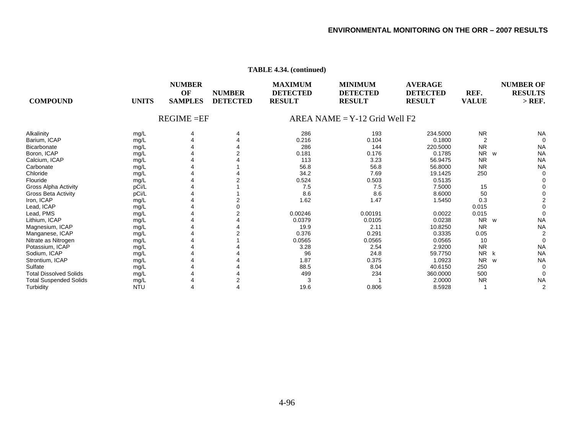| <b>UNITS</b> | <b>NUMBER</b><br>OF<br><b>SAMPLES</b>                                                                                                                                                  | <b>NUMBER</b><br><b>DETECTED</b> | <b>MAXIMUM</b><br><b>DETECTED</b><br><b>RESULT</b> | <b>MINIMUM</b><br><b>DETECTED</b><br><b>RESULT</b>          | <b>AVERAGE</b><br><b>DETECTED</b><br><b>RESULT</b> | REF.<br><b>VALUE</b>                                                         | <b>NUMBER OF</b><br><b>RESULTS</b><br>$>$ REF.                        |
|--------------|----------------------------------------------------------------------------------------------------------------------------------------------------------------------------------------|----------------------------------|----------------------------------------------------|-------------------------------------------------------------|----------------------------------------------------|------------------------------------------------------------------------------|-----------------------------------------------------------------------|
|              |                                                                                                                                                                                        |                                  |                                                    |                                                             |                                                    |                                                                              |                                                                       |
|              | 4                                                                                                                                                                                      |                                  |                                                    |                                                             |                                                    |                                                                              | <b>NA</b>                                                             |
|              |                                                                                                                                                                                        |                                  |                                                    | 0.104                                                       | 0.1800                                             |                                                                              | $\Omega$                                                              |
|              |                                                                                                                                                                                        |                                  |                                                    | 144                                                         |                                                    | <b>NR</b>                                                                    | <b>NA</b>                                                             |
|              |                                                                                                                                                                                        |                                  | 0.181                                              | 0.176                                                       | 0.1785                                             | N <sub>R</sub>                                                               | <b>NA</b>                                                             |
|              |                                                                                                                                                                                        |                                  |                                                    |                                                             |                                                    |                                                                              | <b>NA</b>                                                             |
|              |                                                                                                                                                                                        |                                  |                                                    |                                                             | 56.8000                                            | <b>NR</b>                                                                    | <b>NA</b>                                                             |
|              |                                                                                                                                                                                        |                                  | 34.2                                               | 7.69                                                        | 19.1425                                            | 250                                                                          |                                                                       |
|              |                                                                                                                                                                                        |                                  | 0.524                                              |                                                             |                                                    |                                                                              |                                                                       |
|              |                                                                                                                                                                                        |                                  | 7.5                                                | 7.5                                                         | 7.5000                                             | 15                                                                           |                                                                       |
|              |                                                                                                                                                                                        |                                  |                                                    | 8.6                                                         | 8.6000                                             | 50                                                                           |                                                                       |
|              |                                                                                                                                                                                        |                                  |                                                    | 1.47                                                        | 1.5450                                             | 0.3                                                                          |                                                                       |
|              |                                                                                                                                                                                        |                                  |                                                    |                                                             |                                                    | 0.015                                                                        |                                                                       |
|              |                                                                                                                                                                                        |                                  | 0.00246                                            | 0.00191                                                     | 0.0022                                             |                                                                              |                                                                       |
|              |                                                                                                                                                                                        |                                  | 0.0379                                             | 0.0105                                                      | 0.0238                                             | <b>NR</b>                                                                    | <b>NA</b>                                                             |
|              |                                                                                                                                                                                        |                                  | 19.9                                               | 2.11                                                        | 10.8250                                            | <b>NR</b>                                                                    | <b>NA</b>                                                             |
|              |                                                                                                                                                                                        |                                  | 0.376                                              | 0.291                                                       | 0.3335                                             | 0.05                                                                         |                                                                       |
|              |                                                                                                                                                                                        |                                  |                                                    | 0.0565                                                      | 0.0565                                             | 10                                                                           |                                                                       |
|              |                                                                                                                                                                                        |                                  | 3.28                                               | 2.54                                                        | 2.9200                                             | <b>NR</b>                                                                    | <b>NA</b>                                                             |
|              |                                                                                                                                                                                        |                                  | 96                                                 |                                                             | 59.7750                                            | N <sub>R</sub>                                                               | <b>NA</b>                                                             |
|              |                                                                                                                                                                                        |                                  | 1.87                                               |                                                             | 1.0923                                             | <b>NR</b>                                                                    | <b>NA</b>                                                             |
|              |                                                                                                                                                                                        |                                  | 88.5                                               | 8.04                                                        | 40.6150                                            | 250                                                                          |                                                                       |
|              |                                                                                                                                                                                        |                                  | 499                                                | 234                                                         | 360.0000                                           | 500                                                                          |                                                                       |
|              |                                                                                                                                                                                        |                                  | 3                                                  |                                                             | 2.0000                                             | <b>NR</b>                                                                    | <b>NA</b>                                                             |
| <b>NTU</b>   |                                                                                                                                                                                        |                                  | 19.6                                               | 0.806                                                       | 8.5928                                             |                                                                              |                                                                       |
|              | mg/L<br>mg/L<br>mg/L<br>mg/L<br>mg/L<br>mg/L<br>mg/L<br>mg/L<br>pCi/L<br>pCi/L<br>mg/L<br>mg/L<br>mg/L<br>mg/L<br>mg/L<br>mg/L<br>mg/L<br>mg/L<br>mg/L<br>mg/L<br>mg/L<br>mg/L<br>mg/L |                                  | $REGIME = EF$                                      | 286<br>0.216<br>286<br>113<br>56.8<br>8.6<br>1.62<br>0.0565 | 193<br>3.23<br>56.8<br>0.503<br>24.8<br>0.375      | $AREA NAME = Y-12$ Grid Well F2<br>234.5000<br>220.5000<br>56.9475<br>0.5135 | <b>NR</b><br>$\overline{2}$<br>W<br><b>NR</b><br>0.015<br>W<br>k<br>W |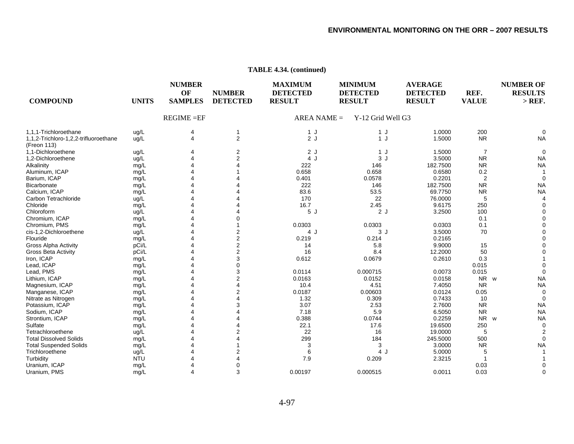| <b>COMPOUND</b>                                      | <b>UNITS</b> | <b>NUMBER</b><br>OF<br><b>SAMPLES</b> | <b>NUMBER</b><br><b>DETECTED</b> | <b>MAXIMUM</b><br><b>DETECTED</b><br><b>RESULT</b> | <b>MINIMUM</b><br><b>DETECTED</b><br><b>RESULT</b> | <b>AVERAGE</b><br><b>DETECTED</b><br><b>RESULT</b> | REF.<br><b>VALUE</b>  | <b>NUMBER OF</b><br><b>RESULTS</b><br>$>$ REF. |
|------------------------------------------------------|--------------|---------------------------------------|----------------------------------|----------------------------------------------------|----------------------------------------------------|----------------------------------------------------|-----------------------|------------------------------------------------|
|                                                      |              | $REGIME = EF$                         |                                  | $AREA NAME =$                                      | Y-12 Grid Well G3                                  |                                                    |                       |                                                |
| 1,1,1-Trichloroethane                                | ug/L         | 4                                     |                                  | 1J                                                 | 1J                                                 | 1.0000                                             | 200                   | ∩                                              |
| 1,1,2-Trichloro-1,2,2-trifluoroethane<br>(Freon 113) | ug/L         | $\overline{4}$                        | $\overline{2}$                   | 2J                                                 | 1J                                                 | 1.5000                                             | <b>NR</b>             | <b>NA</b>                                      |
| 1.1-Dichloroethene                                   | ug/L         |                                       | 2                                | 2J                                                 | 1J                                                 | 1.5000                                             | $\overline{7}$        | $\Omega$                                       |
| 1,2-Dichloroethene                                   | ug/L         |                                       |                                  | 4 J                                                | 3J                                                 | 3.5000                                             | <b>NR</b>             | <b>NA</b>                                      |
| Alkalinity                                           | mg/L         |                                       |                                  | 222                                                | 146                                                | 182.7500                                           | <b>NR</b>             | <b>NA</b>                                      |
| Aluminum, ICAP                                       | mg/L         |                                       |                                  | 0.658                                              | 0.658                                              | 0.6580                                             | 0.2                   |                                                |
| Barium, ICAP                                         | mg/L         |                                       |                                  | 0.401                                              | 0.0578                                             | 0.2201                                             | 2                     | $\Omega$                                       |
| Bicarbonate                                          | mg/L         |                                       |                                  | 222                                                | 146                                                | 182.7500                                           | <b>NR</b>             | <b>NA</b>                                      |
| Calcium, ICAP                                        | mg/L         |                                       |                                  | 83.6                                               | 53.5                                               | 69.7750                                            | <b>NR</b>             | <b>NA</b>                                      |
| Carbon Tetrachloride                                 | ug/L         |                                       |                                  | 170                                                | 22                                                 | 76.0000                                            | 5                     |                                                |
| Chloride                                             | mg/L         |                                       |                                  | 16.7                                               | 2.45                                               | 9.6175                                             | 250                   |                                                |
| Chloroform                                           | ug/L         |                                       |                                  | 5J                                                 | 2J                                                 | 3.2500                                             | 100                   |                                                |
| Chromium, ICAP                                       | mg/L         |                                       |                                  |                                                    |                                                    |                                                    | 0.1                   |                                                |
| Chromium, PMS                                        | mg/L         |                                       |                                  | 0.0303                                             | 0.0303                                             | 0.0303                                             | 0.1                   |                                                |
| cis-1,2-Dichloroethene                               | ug/L         |                                       |                                  | 4 J                                                | 3J                                                 | 3.5000                                             | 70                    |                                                |
| Flouride                                             | mg/L         |                                       | 2                                | 0.219                                              | 0.214                                              | 0.2165                                             |                       |                                                |
| <b>Gross Alpha Activity</b>                          | pCi/L        |                                       | 2                                | 14                                                 | 5.8                                                | 9.9000                                             | 15                    |                                                |
| Gross Beta Activity                                  | pCi/L        |                                       | $\overline{2}$                   | 16                                                 | 8.4                                                | 12.2000                                            | 50                    |                                                |
| Iron, ICAP                                           | mg/L         |                                       | 3                                | 0.612                                              | 0.0679                                             | 0.2610                                             | 0.3                   |                                                |
| Lead, ICAP                                           | mg/L         |                                       |                                  |                                                    |                                                    |                                                    | 0.015                 |                                                |
| Lead, PMS                                            | mg/L         |                                       | 3                                | 0.0114                                             | 0.000715                                           | 0.0073                                             | 0.015                 | $\Omega$                                       |
| Lithium, ICAP                                        | mg/L         |                                       | 2                                | 0.0163                                             | 0.0152                                             | 0.0158                                             | NR w                  | <b>NA</b>                                      |
| Magnesium, ICAP                                      | mg/L         |                                       |                                  | 10.4                                               | 4.51                                               | 7.4050                                             | <b>NR</b>             | <b>NA</b>                                      |
| Manganese, ICAP                                      | mg/L         |                                       |                                  | 0.0187                                             | 0.00603                                            | 0.0124                                             | 0.05                  | $\Omega$                                       |
| Nitrate as Nitrogen                                  | mg/L         |                                       |                                  | 1.32                                               | 0.309                                              | 0.7433                                             | 10                    | ∩                                              |
| Potassium, ICAP                                      | mg/L         |                                       |                                  | 3.07                                               | 2.53                                               | 2.7600                                             | <b>NR</b>             | <b>NA</b>                                      |
| Sodium, ICAP                                         | mg/L         |                                       |                                  | 7.18                                               | 5.9                                                | 6.5050                                             | <b>NR</b>             | <b>NA</b>                                      |
| Strontium, ICAP                                      | mg/L         |                                       |                                  | 0.388                                              | 0.0744                                             | 0.2259                                             | <b>NR</b><br><b>W</b> | <b>NA</b>                                      |
| Sulfate                                              | mg/L         |                                       |                                  | 22.1                                               | 17.6                                               | 19.6500                                            | 250                   | $\Omega$                                       |
| Tetrachloroethene                                    | ug/L         |                                       |                                  | 22                                                 | 16                                                 | 19.0000                                            | 5                     |                                                |
| <b>Total Dissolved Solids</b>                        | mg/L         |                                       |                                  | 299                                                | 184                                                | 245.5000                                           | 500                   |                                                |
| <b>Total Suspended Solids</b>                        | mg/L         |                                       |                                  | 3                                                  | 3                                                  | 3.0000                                             | <b>NR</b>             | <b>NA</b>                                      |
| Trichloroethene                                      | ug/L         |                                       |                                  | 6                                                  | 4 J                                                | 5.0000                                             | 5                     |                                                |
| Turbidity                                            | <b>NTU</b>   |                                       |                                  | 7.9                                                | 0.209                                              | 2.3215                                             |                       |                                                |
| Uranium, ICAP                                        | mg/L         |                                       |                                  |                                                    |                                                    |                                                    | 0.03                  |                                                |
| Uranium, PMS                                         | mg/L         | 4                                     | 3                                | 0.00197                                            | 0.000515                                           | 0.0011                                             | 0.03                  | O                                              |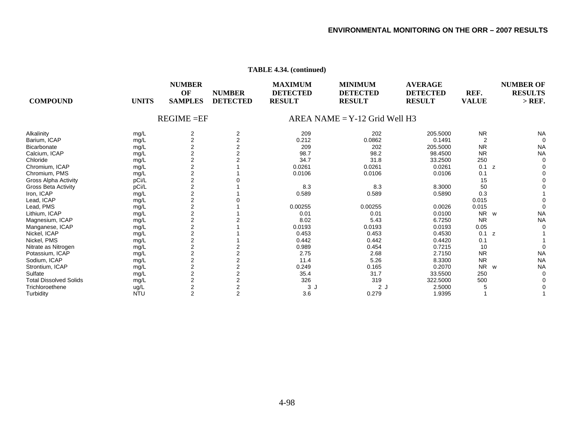| <b>COMPOUND</b>               | <b>UNITS</b>       | <b>NUMBER</b><br>OF<br><b>SAMPLES</b> | <b>NUMBER</b><br><b>DETECTED</b> | <b>MAXIMUM</b><br><b>DETECTED</b><br><b>RESULT</b> | <b>MINIMUM</b><br><b>DETECTED</b><br><b>RESULT</b> | <b>AVERAGE</b><br><b>DETECTED</b><br><b>RESULT</b> | REF.<br><b>VALUE</b> | <b>NUMBER OF</b><br><b>RESULTS</b><br>$>$ REF. |
|-------------------------------|--------------------|---------------------------------------|----------------------------------|----------------------------------------------------|----------------------------------------------------|----------------------------------------------------|----------------------|------------------------------------------------|
|                               |                    | $REGIME = EF$                         |                                  |                                                    | $AREA NAME = Y-12$ Grid Well H3                    |                                                    |                      |                                                |
| Alkalinity                    | mg/L               | 2                                     | 2                                | 209                                                | 202                                                | 205.5000                                           | <b>NR</b>            | <b>NA</b>                                      |
| Barium, ICAP                  | mg/L               | $\overline{2}$                        | $\overline{2}$                   | 0.212                                              | 0.0862                                             | 0.1491                                             | 2                    | $\Omega$                                       |
| Bicarbonate                   | mg/L               | 2                                     |                                  | 209                                                | 202                                                | 205.5000                                           | <b>NR</b>            | <b>NA</b>                                      |
| Calcium, ICAP                 | mg/L               | $\overline{2}$                        |                                  | 98.7                                               | 98.2                                               | 98.4500                                            | <b>NR</b>            | <b>NA</b>                                      |
| Chloride                      | mg/L               | $\mathbf 2$                           |                                  | 34.7                                               | 31.8                                               | 33.2500                                            | 250                  |                                                |
| Chromium, ICAP                | mg/L               | 2                                     |                                  | 0.0261                                             | 0.0261                                             | 0.0261                                             | 0.1<br>z             |                                                |
| Chromium, PMS                 | mg/L               | 2                                     |                                  | 0.0106                                             | 0.0106                                             | 0.0106                                             | 0.1                  |                                                |
| <b>Gross Alpha Activity</b>   | pCi/L              | 2                                     |                                  |                                                    |                                                    |                                                    | 15                   |                                                |
| <b>Gross Beta Activity</b>    | pCi/L              | $\mathbf 2$                           |                                  | 8.3                                                | 8.3                                                | 8.3000                                             | 50                   |                                                |
| Iron, ICAP                    | mg/L               | 2                                     |                                  | 0.589                                              | 0.589                                              | 0.5890                                             | 0.3                  |                                                |
| Lead, ICAP                    | mg/L               | 2                                     |                                  |                                                    |                                                    |                                                    | 0.015                |                                                |
| Lead, PMS                     | mg/L               | 2                                     |                                  | 0.00255                                            | 0.00255                                            | 0.0026                                             | 0.015                |                                                |
| Lithium, ICAP                 | mg/L               | $\mathbf 2$                           |                                  | 0.01                                               | 0.01                                               | 0.0100                                             | NR<br>W              | <b>NA</b>                                      |
| Magnesium, ICAP               | mg/L               | 2                                     |                                  | 8.02                                               | 5.43                                               | 6.7250                                             | <b>NR</b>            | <b>NA</b>                                      |
| Manganese, ICAP               | mg/L               | 2                                     |                                  | 0.0193                                             | 0.0193                                             | 0.0193                                             | 0.05                 |                                                |
| Nickel, ICAP                  | mg/L               | $\overline{2}$                        |                                  | 0.453                                              | 0.453                                              | 0.4530                                             | 0.1<br>z             |                                                |
| Nickel, PMS                   | mg/L               | $\mathbf 2$                           |                                  | 0.442                                              | 0.442                                              | 0.4420                                             | 0.1                  |                                                |
| Nitrate as Nitrogen           | mg/L               | 2                                     |                                  | 0.989                                              | 0.454                                              | 0.7215                                             | 10                   |                                                |
| Potassium, ICAP               | mg/L               | 2                                     |                                  | 2.75                                               | 2.68                                               | 2.7150                                             | <b>NR</b>            | <b>NA</b>                                      |
| Sodium, ICAP                  | mg/L               | $\overline{2}$                        |                                  | 11.4                                               | 5.26                                               | 8.3300                                             | <b>NR</b>            | <b>NA</b>                                      |
| Strontium, ICAP               |                    | $\overline{\mathbf{c}}$               |                                  | 0.249                                              | 0.165                                              | 0.2070                                             | <b>NR</b><br>W       | <b>NA</b>                                      |
| Sulfate                       | mg/L               | 2                                     |                                  | 35.4                                               | 31.7                                               | 33.5500                                            | 250                  |                                                |
| <b>Total Dissolved Solids</b> | mg/L               | $\overline{2}$                        |                                  | 326                                                | 319                                                | 322.5000                                           | 500                  |                                                |
| Trichloroethene               | mg/L               | $\overline{\mathbf{c}}$               |                                  | 3J                                                 | 2J                                                 | 2.5000                                             |                      |                                                |
|                               | ug/L<br><b>NTU</b> | 2                                     | 2                                | 3.6                                                | 0.279                                              |                                                    |                      |                                                |
| Turbidity                     |                    |                                       |                                  |                                                    |                                                    | 1.9395                                             |                      |                                                |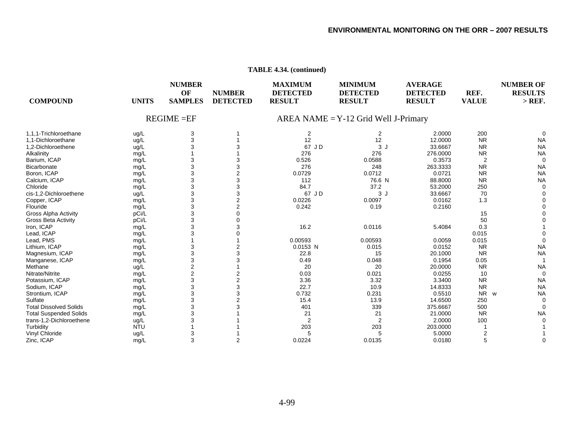| <b>COMPOUND</b>               | <b>UNITS</b> | <b>NUMBER</b><br>OF<br><b>SAMPLES</b> | <b>NUMBER</b><br><b>DETECTED</b> | <b>MAXIMUM</b><br><b>DETECTED</b><br><b>RESULT</b> | <b>MINIMUM</b><br><b>DETECTED</b><br><b>RESULT</b> | <b>AVERAGE</b><br><b>DETECTED</b><br><b>RESULT</b> | REF.<br><b>VALUE</b> | <b>NUMBER OF</b><br><b>RESULTS</b><br>$>$ REF. |
|-------------------------------|--------------|---------------------------------------|----------------------------------|----------------------------------------------------|----------------------------------------------------|----------------------------------------------------|----------------------|------------------------------------------------|
|                               |              | $REGIME = EF$                         |                                  |                                                    | $AREA NAME = Y-12$ Grid Well J-Primary             |                                                    |                      |                                                |
| 1.1.1-Trichloroethane         | ug/L         | 3                                     |                                  | 2                                                  | 2                                                  | 2.0000                                             | 200                  | $\Omega$                                       |
| 1.1-Dichloroethane            | ug/L         | 3                                     |                                  | 12                                                 | 12                                                 | 12.0000                                            | <b>NR</b>            | <b>NA</b>                                      |
| 1,2-Dichloroethene            | ug/L         | 3                                     | 3                                | 67 JD                                              | 3J                                                 | 33.6667                                            | <b>NR</b>            | <b>NA</b>                                      |
| Alkalinity                    | mg/L         |                                       |                                  | 276                                                | 276                                                | 276.0000                                           | <b>NR</b>            | <b>NA</b>                                      |
| Barium, ICAP                  | mg/L         | 3                                     | 3                                | 0.526                                              | 0.0588                                             | 0.3573                                             | $\overline{2}$       | $\Omega$                                       |
| Bicarbonate                   | mg/L         | 3                                     | 3                                | 276                                                | 248                                                | 263.3333                                           | <b>NR</b>            | <b>NA</b>                                      |
| Boron, ICAP                   | mg/L         | 3                                     | $\overline{2}$                   | 0.0729                                             | 0.0712                                             | 0.0721                                             | <b>NR</b>            | <b>NA</b>                                      |
| Calcium, ICAP                 | mg/L         | 3                                     | 3                                | 112                                                | 76.6 N                                             | 88.8000                                            | <b>NR</b>            | <b>NA</b>                                      |
| Chloride                      | mg/L         | 3                                     | 3                                | 84.7                                               | 37.2                                               | 53.2000                                            | 250                  | $\Omega$                                       |
| cis-1.2-Dichloroethene        | ug/L         | 3                                     | 3                                | 67 JD                                              | 3J                                                 | 33.6667                                            | 70                   |                                                |
| Copper, ICAP                  | mg/L         | 3                                     | $\overline{c}$                   | 0.0226                                             | 0.0097                                             | 0.0162                                             | 1.3                  |                                                |
| Flouride                      | mg/L         | 3                                     | $\overline{2}$                   | 0.242                                              | 0.19                                               | 0.2160                                             |                      |                                                |
| <b>Gross Alpha Activity</b>   | pCi/L        | 3                                     | $\Omega$                         |                                                    |                                                    |                                                    | 15                   |                                                |
| <b>Gross Beta Activity</b>    | pCi/L        | 3                                     | $\Omega$                         |                                                    |                                                    |                                                    | 50                   |                                                |
| Iron, ICAP                    | mg/L         | 3                                     | 3                                | 16.2                                               | 0.0116                                             | 5.4084                                             | 0.3                  |                                                |
| Lead, ICAP                    | mg/L         | 3                                     | $\Omega$                         |                                                    |                                                    |                                                    | 0.015                |                                                |
| Lead, PMS                     | mg/L         |                                       |                                  | 0.00593                                            | 0.00593                                            | 0.0059                                             | 0.015                | $\Omega$                                       |
| Lithium, ICAP                 | mg/L         | 3                                     | $\overline{2}$                   | 0.0153 N                                           | 0.015                                              | 0.0152                                             | <b>NR</b>            | <b>NA</b>                                      |
| Magnesium, ICAP               | mg/L         | 3                                     | 3                                | 22.8                                               | 15                                                 | 20.1000                                            | <b>NR</b>            | <b>NA</b>                                      |
| Manganese, ICAP               | mg/L         | 3                                     | 3                                | 0.49                                               | 0.048                                              | 0.1954                                             | 0.05                 |                                                |
| Methane                       | ug/L         | $\overline{c}$                        |                                  | 20                                                 | 20                                                 | 20.0000                                            | <b>NR</b>            | <b>NA</b>                                      |
| Nitrate/Nitrite               | mg/L         | $\overline{c}$                        | $\overline{2}$                   | 0.03                                               | 0.021                                              | 0.0255                                             | 10                   | $\Omega$                                       |
| Potassium, ICAP               | mg/L         | 3                                     | $\overline{\mathbf{c}}$          | 3.36                                               | 3.32                                               | 3.3400                                             | <b>NR</b>            | <b>NA</b>                                      |
| Sodium, ICAP                  | mg/L         | 3                                     | 3                                | 22.7                                               | 10.9                                               | 14.8333                                            | <b>NR</b>            | <b>NA</b>                                      |
| Strontium, ICAP               | mg/L         | 3                                     | 3                                | 0.732                                              | 0.231                                              | 0.5510                                             | <b>NR</b><br>W       | <b>NA</b>                                      |
| Sulfate                       | mg/L         | 3                                     | $\overline{2}$                   | 15.4                                               | 13.9                                               | 14.6500                                            | 250                  | $\Omega$                                       |
| <b>Total Dissolved Solids</b> | mg/L         | 3                                     | 3                                | 401                                                | 339                                                | 375.6667                                           | 500                  | $\Omega$                                       |
| <b>Total Suspended Solids</b> | mg/L         | 3                                     |                                  | 21                                                 | 21                                                 | 21.0000                                            | <b>NR</b>            | <b>NA</b>                                      |
| trans-1,2-Dichloroethene      | ug/L         | 3                                     |                                  | 2                                                  | 2                                                  | 2.0000                                             | 100                  |                                                |
| Turbidity                     | <b>NTU</b>   |                                       |                                  | 203                                                | 203                                                | 203.0000                                           |                      |                                                |
| Vinyl Chloride                | ug/L         | 3                                     |                                  | 5                                                  | 5                                                  | 5.0000                                             | 2                    |                                                |
| Zinc, ICAP                    | mg/L         | 3                                     | $\overline{2}$                   | 0.0224                                             | 0.0135                                             | 0.0180                                             | 5                    | $\Omega$                                       |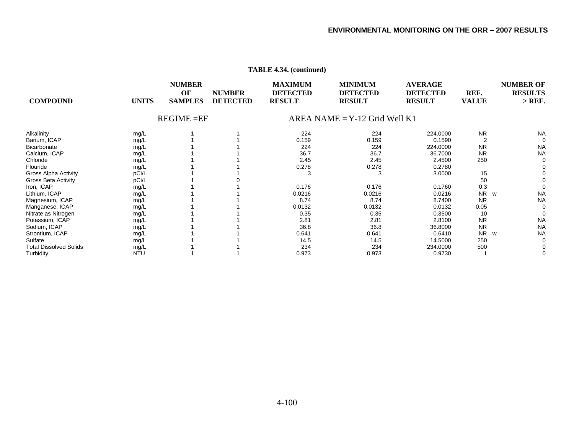| <b>COMPOUND</b><br><b>UNITS</b>       | <b>NUMBER</b><br>OF<br><b>SAMPLES</b> | <b>NUMBER</b><br><b>DETECTED</b> | <b>MAXIMUM</b><br><b>DETECTED</b><br><b>RESULT</b> | <b>MINIMUM</b><br><b>DETECTED</b><br><b>RESULT</b> | <b>AVERAGE</b><br><b>DETECTED</b><br><b>RESULT</b> | REF.<br><b>VALUE</b> | <b>NUMBER OF</b><br><b>RESULTS</b><br>$>$ REF. |
|---------------------------------------|---------------------------------------|----------------------------------|----------------------------------------------------|----------------------------------------------------|----------------------------------------------------|----------------------|------------------------------------------------|
|                                       | $REGIME = EF$                         |                                  |                                                    | $AREA NAME = Y-12$ Grid Well K1                    |                                                    |                      |                                                |
| Alkalinity<br>mg/L                    |                                       |                                  | 224                                                | 224                                                | 224.0000                                           | <b>NR</b>            | <b>NA</b>                                      |
| Barium, ICAP<br>mg/L                  |                                       |                                  | 0.159                                              | 0.159                                              | 0.1590                                             |                      |                                                |
| <b>Bicarbonate</b><br>mg/L            |                                       |                                  | 224                                                | 224                                                | 224.0000                                           | <b>NR</b>            | <b>NA</b>                                      |
| Calcium, ICAP<br>mg/L                 |                                       |                                  | 36.7                                               | 36.7                                               | 36.7000                                            | <b>NR</b>            | <b>NA</b>                                      |
| Chloride<br>mg/L                      |                                       |                                  | 2.45                                               | 2.45                                               | 2.4500                                             | 250                  |                                                |
| Flouride<br>mg/L                      |                                       |                                  | 0.278                                              | 0.278                                              | 0.2780                                             |                      |                                                |
| Gross Alpha Activity<br>pCi/L         |                                       |                                  | 3                                                  | 3                                                  | 3.0000                                             | 15                   |                                                |
| <b>Gross Beta Activity</b><br>pCi/L   |                                       |                                  |                                                    |                                                    |                                                    | 50                   |                                                |
| Iron, ICAP<br>mg/L                    |                                       |                                  | 0.176                                              | 0.176                                              | 0.1760                                             | 0.3                  |                                                |
| Lithium, ICAP<br>mg/L                 |                                       |                                  | 0.0216                                             | 0.0216                                             | 0.0216                                             | <b>NR</b><br>W       | <b>NA</b>                                      |
| Magnesium, ICAP<br>mg/L               |                                       |                                  | 8.74                                               | 8.74                                               | 8.7400                                             | <b>NR</b>            | <b>NA</b>                                      |
| Manganese, ICAP<br>mg/L               |                                       |                                  | 0.0132                                             | 0.0132                                             | 0.0132                                             | 0.05                 |                                                |
| Nitrate as Nitrogen<br>mg/L           |                                       |                                  | 0.35                                               | 0.35                                               | 0.3500                                             | 10                   |                                                |
| Potassium, ICAP<br>mg/L               |                                       |                                  | 2.81                                               | 2.81                                               | 2.8100                                             | <b>NR</b>            | <b>NA</b>                                      |
| Sodium, ICAP<br>mg/L                  |                                       |                                  | 36.8                                               | 36.8                                               | 36.8000                                            | <b>NR</b>            | <b>NA</b>                                      |
| Strontium, ICAP<br>mg/L               |                                       |                                  | 0.641                                              | 0.641                                              | 0.6410                                             | <b>NR</b><br>W       | <b>NA</b>                                      |
| Sulfate<br>mg/L                       |                                       |                                  | 14.5                                               | 14.5                                               | 14.5000                                            | 250                  |                                                |
| <b>Total Dissolved Solids</b><br>mg/L |                                       |                                  | 234                                                | 234                                                | 234.0000                                           | 500                  |                                                |
| Turbidity<br><b>NTU</b>               |                                       |                                  | 0.973                                              | 0.973                                              | 0.9730                                             |                      |                                                |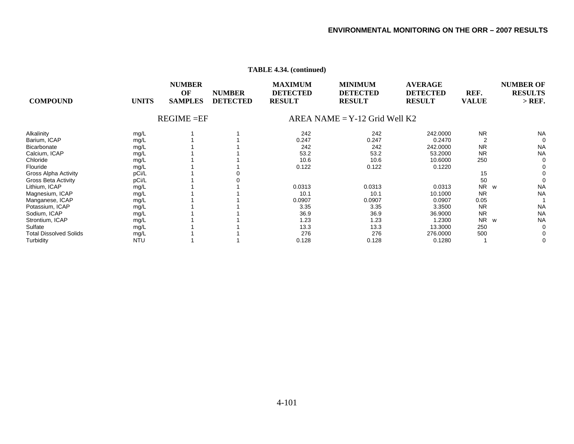| <b>COMPOUND</b>               | <b>UNITS</b> | <b>NUMBER</b><br>OF<br><b>SAMPLES</b> | <b>NUMBER</b><br><b>DETECTED</b> | <b>MAXIMUM</b><br><b>DETECTED</b><br><b>RESULT</b> | <b>MINIMUM</b><br><b>DETECTED</b><br><b>RESULT</b> | <b>AVERAGE</b><br><b>DETECTED</b><br><b>RESULT</b> | REF.<br><b>VALUE</b> | <b>NUMBER OF</b><br><b>RESULTS</b><br>$>$ REF. |
|-------------------------------|--------------|---------------------------------------|----------------------------------|----------------------------------------------------|----------------------------------------------------|----------------------------------------------------|----------------------|------------------------------------------------|
|                               |              | $REGIME = EF$                         |                                  |                                                    | $AREA NAME = Y-12$ Grid Well K2                    |                                                    |                      |                                                |
| Alkalinity                    | mg/L         |                                       |                                  | 242                                                | 242                                                | 242.0000                                           | <b>NR</b>            | <b>NA</b>                                      |
| Barium, ICAP                  | mg/L         |                                       |                                  | 0.247                                              | 0.247                                              | 0.2470                                             | $\overline{2}$       | $\mathbf 0$                                    |
| <b>Bicarbonate</b>            | mg/L         |                                       |                                  | 242                                                | 242                                                | 242.0000                                           | <b>NR</b>            | <b>NA</b>                                      |
| Calcium, ICAP                 | mg/L         |                                       |                                  | 53.2                                               | 53.2                                               | 53.2000                                            | <b>NR</b>            | <b>NA</b>                                      |
| Chloride                      | mg/L         |                                       |                                  | 10.6                                               | 10.6                                               | 10.6000                                            | 250                  | 0                                              |
| Flouride                      | mg/L         |                                       |                                  | 0.122                                              | 0.122                                              | 0.1220                                             |                      | 0                                              |
| Gross Alpha Activity          | pCi/L        |                                       |                                  |                                                    |                                                    |                                                    | 15                   | 0                                              |
| <b>Gross Beta Activity</b>    | pCi/L        |                                       |                                  |                                                    |                                                    |                                                    | 50                   | 0                                              |
| Lithium, ICAP                 | mg/L         |                                       |                                  | 0.0313                                             | 0.0313                                             | 0.0313                                             | N <sub>R</sub><br>W  | <b>NA</b>                                      |
| Magnesium, ICAP               | mg/L         |                                       |                                  | 10.1                                               | 10.1                                               | 10.1000                                            | <b>NR</b>            | <b>NA</b>                                      |
| Manganese, ICAP               | mg/L         |                                       |                                  | 0.0907                                             | 0.0907                                             | 0.0907                                             | 0.05                 |                                                |
| Potassium, ICAP               | mg/L         |                                       |                                  | 3.35                                               | 3.35                                               | 3.3500                                             | <b>NR</b>            | <b>NA</b>                                      |
| Sodium, ICAP                  | mg/L         |                                       |                                  | 36.9                                               | 36.9                                               | 36.9000                                            | <b>NR</b>            | <b>NA</b>                                      |
| Strontium, ICAP               | mg/L         |                                       |                                  | 1.23                                               | 1.23                                               | 1.2300                                             | <b>NR</b><br>W       | <b>NA</b>                                      |
| Sulfate                       | mg/L         |                                       |                                  | 13.3                                               | 13.3                                               | 13.3000                                            | 250                  | 0                                              |
| <b>Total Dissolved Solids</b> | mg/L         |                                       |                                  | 276                                                | 276                                                | 276.0000                                           | 500                  | 0                                              |
| Turbidity                     | <b>NTU</b>   |                                       |                                  | 0.128                                              | 0.128                                              | 0.1280                                             |                      | 0                                              |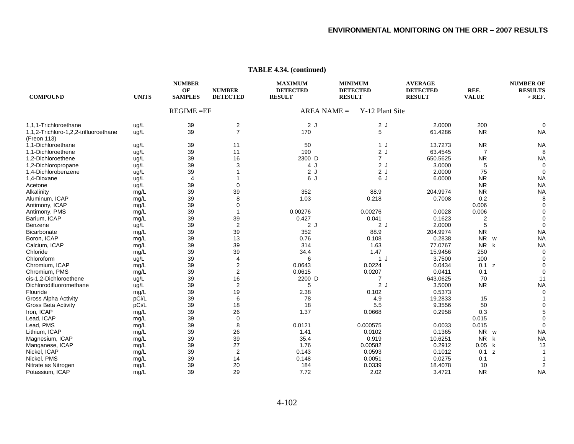| <b>COMPOUND</b>                                      | <b>UNITS</b> | <b>NUMBER</b><br>OF<br><b>SAMPLES</b> | <b>NUMBER</b><br><b>DETECTED</b> | <b>MAXIMUM</b><br><b>DETECTED</b><br><b>RESULT</b> | <b>MINIMUM</b><br><b>RESULT</b> | <b>DETECTED</b> | <b>AVERAGE</b><br><b>DETECTED</b><br><b>RESULT</b> | REF.<br><b>VALUE</b> | <b>NUMBER OF</b><br><b>RESULTS</b><br>$>$ REF. |
|------------------------------------------------------|--------------|---------------------------------------|----------------------------------|----------------------------------------------------|---------------------------------|-----------------|----------------------------------------------------|----------------------|------------------------------------------------|
|                                                      |              | $REGIME = EF$                         |                                  | $AREA NAME =$                                      |                                 | Y-12 Plant Site |                                                    |                      |                                                |
| 1,1,1-Trichloroethane                                | ug/L         | 39                                    | $\overline{\mathbf{c}}$          | 2J                                                 |                                 | 2J              | 2.0000                                             | 200                  |                                                |
| 1,1,2-Trichloro-1,2,2-trifluoroethane<br>(Freon 113) | ug/L         | 39                                    | $\overline{7}$                   | 170                                                |                                 | 5               | 61.4286                                            | <b>NR</b>            | <b>NA</b>                                      |
| 1,1-Dichloroethane                                   | ug/L         | 39                                    | 11                               | 50                                                 |                                 | 1 J             | 13.7273                                            | <b>NR</b>            | <b>NA</b>                                      |
| 1,1-Dichloroethene                                   | ug/L         | 39                                    | 11                               | 190                                                |                                 | 2J              | 63.4545                                            | 7                    | 8                                              |
| 1.2-Dichloroethene                                   | ug/L         | 39                                    | 16                               | 2300 D                                             |                                 | $\overline{7}$  | 650.5625                                           | <b>NR</b>            | <b>NA</b>                                      |
| 1,2-Dichloropropane                                  | ug/L         | 39                                    | 3                                | 4 J                                                |                                 | 2J              | 3.0000                                             | 5                    | $\Omega$                                       |
| 1,4-Dichlorobenzene                                  | ug/L         | 39                                    |                                  | 2J                                                 |                                 | 2J              | 2.0000                                             | 75                   | 0                                              |
| 1,4-Dioxane                                          | ug/L         | $\overline{4}$                        |                                  | 6 J                                                |                                 | 6 J             | 6.0000                                             | <b>NR</b>            | <b>NA</b>                                      |
| Acetone                                              | ug/L         | 39                                    | $\mathbf 0$                      |                                                    |                                 |                 |                                                    | <b>NR</b>            | <b>NA</b>                                      |
| Alkalinity                                           | mg/L         | 39                                    | 39                               | 352                                                |                                 | 88.9            | 204.9974                                           | <b>NR</b>            | <b>NA</b>                                      |
| Aluminum, ICAP                                       | mg/L         | 39                                    | 8                                | 1.03                                               |                                 | 0.218           | 0.7008                                             | 0.2                  |                                                |
| Antimony, ICAP                                       | mg/L         | 39                                    | $\mathbf 0$                      |                                                    |                                 |                 |                                                    | 0.006                |                                                |
| Antimony, PMS                                        | mg/L         | 39                                    | $\mathbf{1}$                     | 0.00276                                            |                                 | 0.00276         | 0.0028                                             | 0.006                |                                                |
| Barium, ICAP                                         | mg/L         | 39                                    | 39                               | 0.427                                              |                                 | 0.041           | 0.1623                                             | 2                    |                                                |
| Benzene                                              | ug/L         | 39                                    | $\overline{2}$                   | 2J                                                 |                                 | 2J              | 2.0000                                             | 5                    |                                                |
| Bicarbonate                                          | mg/L         | 39                                    | 39                               | 352                                                |                                 | 88.9            | 204.9974                                           | <b>NR</b>            | <b>NA</b>                                      |
| Boron, ICAP                                          | mg/L         | 39                                    | 13                               | 0.76                                               |                                 | 0.108           | 0.2838                                             | NR w                 | <b>NA</b>                                      |
| Calcium, ICAP                                        | mg/L         | 39                                    | 39                               | 314                                                |                                 | 1.63            | 77.0767                                            | NR k                 | <b>NA</b>                                      |
| Chloride                                             | mg/L         | 39                                    | 39                               | 34.4                                               |                                 | 1.47            | 15.9456                                            | 250                  | $\Omega$                                       |
| Chloroform                                           | ug/L         | 39                                    | $\overline{4}$                   | 6                                                  |                                 | 1J              | 3.7500                                             | 100                  |                                                |
| Chromium, ICAP                                       | mg/L         | 39                                    | $\overline{2}$                   | 0.0643                                             |                                 | 0.0224          | 0.0434                                             | 0.1 z                |                                                |
| Chromium, PMS                                        | mg/L         | 39                                    | $\boldsymbol{2}$                 | 0.0615                                             |                                 | 0.0207          | 0.0411                                             | 0.1                  |                                                |
| cis-1,2-Dichloroethene                               | ug/L         | 39                                    | 16                               | 2200 D                                             |                                 |                 | 643.0625                                           | 70                   | 11                                             |
| Dichlorodifluoromethane                              | ug/L         | 39                                    | $\overline{2}$                   | 5                                                  |                                 | 2J              | 3.5000                                             | <b>NR</b>            | <b>NA</b>                                      |
| Flouride                                             | mg/L         | 39                                    | 19                               | 2.38                                               |                                 | 0.102           | 0.5373                                             |                      |                                                |
| <b>Gross Alpha Activity</b>                          | pCi/L        | 39                                    | 6                                | 78                                                 |                                 | 4.9             | 19.2833                                            | 15                   |                                                |
| <b>Gross Beta Activity</b>                           | pCi/L        | 39                                    | 18                               | 18                                                 |                                 | 5.5             | 9.3556                                             | 50                   |                                                |
| Iron, ICAP                                           | mg/L         | 39                                    | 26                               | 1.37                                               |                                 | 0.0668          | 0.2958                                             | 0.3                  |                                                |
| Lead, ICAP                                           | mg/L         | 39                                    | $\mathbf 0$                      |                                                    |                                 |                 |                                                    | 0.015                |                                                |
| Lead, PMS                                            | mg/L         | 39                                    | 8                                | 0.0121                                             |                                 | 0.000575        | 0.0033                                             | 0.015                |                                                |
| Lithium, ICAP                                        | mg/L         | 39                                    | 26                               | 1.41                                               |                                 | 0.0102          | 0.1365                                             | <b>NR</b><br>W       | <b>NA</b>                                      |
| Magnesium, ICAP                                      | mg/L         | 39                                    | 39                               | 35.4                                               |                                 | 0.919           | 10.6251                                            | <b>NR</b><br>k       | <b>NA</b>                                      |
| Manganese, ICAP                                      | mg/L         | 39                                    | 27                               | 1.76                                               |                                 | 0.00582         | 0.2912                                             | 0.05<br>k            | 13                                             |
| Nickel, ICAP                                         | mg/L         | 39                                    | $\overline{2}$                   | 0.143                                              |                                 | 0.0593          | 0.1012                                             | 0.1 z                |                                                |
| Nickel, PMS                                          | mg/L         | 39                                    | 14                               | 0.148                                              |                                 | 0.0051          | 0.0275                                             | 0.1                  |                                                |
| Nitrate as Nitrogen                                  | mg/L         | 39                                    | 20                               | 184                                                |                                 | 0.0339          | 18.4078                                            | 10                   |                                                |
| Potassium, ICAP                                      | mg/L         | 39                                    | 29                               | 7.72                                               |                                 | 2.02            | 3.4721                                             | <b>NR</b>            | <b>NA</b>                                      |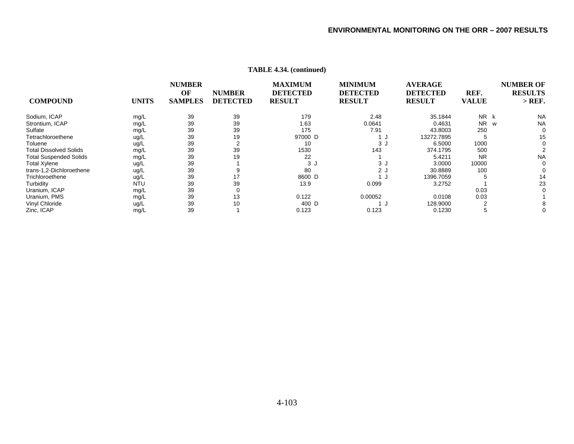|                               |              | <b>NUMBER</b>  |                 | <b>MAXIMUM</b>  | <b>MINIMUM</b>  | <b>AVERAGE</b>  |              | <b>NUMBER OF</b> |
|-------------------------------|--------------|----------------|-----------------|-----------------|-----------------|-----------------|--------------|------------------|
|                               |              | OF             | <b>NUMBER</b>   | <b>DETECTED</b> | <b>DETECTED</b> | <b>DETECTED</b> | REF.         | <b>RESULTS</b>   |
| <b>COMPOUND</b>               | <b>UNITS</b> | <b>SAMPLES</b> | <b>DETECTED</b> | <b>RESULT</b>   | <b>RESULT</b>   | <b>RESULT</b>   | <b>VALUE</b> | $>$ REF.         |
| Sodium, ICAP                  | mg/L         | 39             | 39              | 179             | 2.48            | 35.1844         | NR k         | <b>NA</b>        |
| Strontium, ICAP               | mg/L         | 39             | 39              | 1.63            | 0.0641          | 0.4631          | <b>NR</b>    | <b>NA</b><br>W   |
| Sulfate                       | mg/L         | 39             | 39              | 175             | 7.91            | 43.8003         | 250          |                  |
| Tetrachloroethene             | ug/L         | 39             | 19              | 97000 D         |                 | 13272.7895      |              | 15               |
| Toluene                       | ug/L         | 39             |                 | 10              | 3J              | 6.5000          | 1000         | n                |
| <b>Total Dissolved Solids</b> | mg/L         | 39             | 39              | 1530            | 143             | 374.1795        | 500          |                  |
| <b>Total Suspended Solids</b> | mg/L         | 39             | 19              | 22              |                 | 5.4211          | <b>NR</b>    | <b>NA</b>        |
| <b>Total Xylene</b>           | ug/L         | 39             |                 | 3 J             | 3 J             | 3.0000          | 10000        |                  |
| trans-1,2-Dichloroethene      | ug/L         | 39             |                 | 80              | 2 J             | 30.8889         | 100          |                  |
| Trichloroethene               | ug/L         | 39             | 17              | 8600 D          |                 | 1396.7059       |              | 14               |
| Turbidity                     | <b>NTU</b>   | 39             | 39              | 13.9            | 0.099           | 3.2752          |              | 23               |
| Uranium, ICAP                 | mg/L         | 39             |                 |                 |                 |                 | 0.03         |                  |
| Uranium, PMS                  | mg/L         | 39             | 13              | 0.122           | 0.00052         | 0.0108          | 0.03         |                  |
| Vinyl Chloride                | ug/L         | 39             | 10              | 400 D           |                 | 128.9000        |              |                  |
| Zinc, ICAP                    | mg/L         | 39             |                 | 0.123           | 0.123           | 0.1230          |              |                  |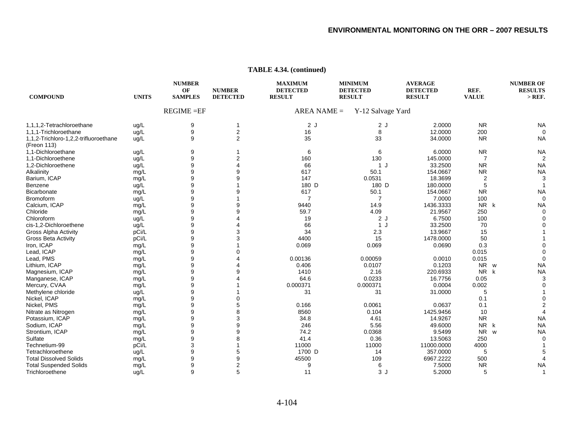| <b>COMPOUND</b>                       | <b>UNITS</b> | <b>NUMBER</b><br>OF<br><b>SAMPLES</b> | <b>NUMBER</b><br><b>DETECTED</b> | <b>MAXIMUM</b><br><b>DETECTED</b><br><b>RESULT</b> | <b>MINIMUM</b><br><b>DETECTED</b><br><b>RESULT</b> | <b>AVERAGE</b><br><b>DETECTED</b><br><b>RESULT</b> | REF.<br><b>VALUE</b>  | <b>NUMBER OF</b><br><b>RESULTS</b><br>$>$ REF. |
|---------------------------------------|--------------|---------------------------------------|----------------------------------|----------------------------------------------------|----------------------------------------------------|----------------------------------------------------|-----------------------|------------------------------------------------|
|                                       |              | $REGIME = EF$                         |                                  | $AREA NAME =$                                      | Y-12 Salvage Yard                                  |                                                    |                       |                                                |
| 1,1,1,2-Tetrachloroethane             | ug/L         | 9                                     | 1                                | 2J                                                 | 2J                                                 | 2.0000                                             | <b>NR</b>             | <b>NA</b>                                      |
| 1,1,1-Trichloroethane                 | ug/L         | $\boldsymbol{9}$                      | $\mathbf 2$                      | 16                                                 | 8                                                  | 12.0000                                            | 200                   |                                                |
| 1,1,2-Trichloro-1,2,2-trifluoroethane | ug/L         | 9                                     | $\overline{2}$                   | 35                                                 | 33                                                 | 34.0000                                            | <b>NR</b>             | <b>NA</b>                                      |
| (Freon 113)                           |              |                                       |                                  |                                                    |                                                    |                                                    |                       |                                                |
| 1.1-Dichloroethane                    | ug/L         | 9                                     |                                  | 6                                                  | 6                                                  | 6.0000                                             | <b>NR</b>             | <b>NA</b>                                      |
| 1,1-Dichloroethene                    | ug/L         | $\boldsymbol{9}$                      | 2                                | 160                                                | 130                                                | 145.0000                                           | $\overline{7}$        | $\mathcal{P}$                                  |
| 1,2-Dichloroethene                    | ug/L         | 9                                     |                                  | 66                                                 | 1 J                                                | 33.2500                                            | <b>NR</b>             | <b>NA</b>                                      |
| Alkalinity                            | mg/L         | 9                                     | 9                                | 617                                                | 50.1                                               | 154.0667                                           | <b>NR</b>             | <b>NA</b>                                      |
| Barium, ICAP                          | mg/L         | 9                                     | 9                                | 147                                                | 0.0531                                             | 18.3699                                            | $\overline{2}$        | 3                                              |
| Benzene                               | ug/L         | 9                                     |                                  | 180 D                                              | 180 D                                              | 180.0000                                           | 5                     |                                                |
| Bicarbonate                           | mg/L         | 9                                     |                                  | 617                                                | 50.1                                               | 154.0667                                           | <b>NR</b>             | <b>NA</b>                                      |
| <b>Bromoform</b>                      | ug/L         | 9                                     |                                  | $\overline{7}$                                     | $\overline{7}$                                     | 7.0000                                             | 100                   | $\Omega$                                       |
| Calcium, ICAP                         | mg/L         | 9                                     | 9                                | 9440                                               | 14.9                                               | 1436.3333                                          | NR k                  | <b>NA</b>                                      |
| Chloride                              | mg/L         | 9                                     | 9                                | 59.7                                               | 4.09                                               | 21.9567                                            | 250                   | 0                                              |
| Chloroform                            | ug/L         | 9                                     |                                  | 19                                                 | 2J                                                 | 6.7500                                             | 100                   |                                                |
| cis-1,2-Dichloroethene                | ug/L         | 9                                     |                                  | 66                                                 | 1J                                                 | 33.2500                                            | 70                    |                                                |
| <b>Gross Alpha Activity</b>           | pCi/L        | 9                                     | 3                                | 34                                                 | 2.3                                                | 13.9667                                            | 15                    |                                                |
| <b>Gross Beta Activity</b>            | pCi/L        | 9                                     | 3                                | 4400                                               | 15                                                 | 1478.0000                                          | 50                    |                                                |
| Iron, ICAP                            | mg/L         | 9                                     |                                  | 0.069                                              | 0.069                                              | 0.0690                                             | 0.3                   |                                                |
| Lead, ICAP                            | mg/L         | 9                                     | $\Omega$                         |                                                    |                                                    |                                                    | 0.015                 |                                                |
| Lead. PMS                             | mg/L         | 9                                     |                                  | 0.00136                                            | 0.00059                                            | 0.0010                                             | 0.015                 |                                                |
| Lithium, ICAP                         | mg/L         | 9                                     |                                  | 0.406                                              | 0.0107                                             | 0.1203                                             | NR w                  | <b>NA</b>                                      |
| Magnesium, ICAP                       | mg/L         | $\boldsymbol{9}$                      | 9                                | 1410                                               | 2.16                                               | 220.6933                                           | <b>NR</b><br>k        | <b>NA</b>                                      |
| Manganese, ICAP                       | mg/L         | 9                                     |                                  | 64.6                                               | 0.0233                                             | 16.7756                                            | 0.05                  |                                                |
| Mercury, CVAA                         | mg/L         | 9                                     |                                  | 0.000371                                           | 0.000371                                           | 0.0004                                             | 0.002                 |                                                |
| Methylene chloride                    | ug/L         | 9                                     |                                  | 31                                                 | 31                                                 | 31.0000                                            | 5                     |                                                |
| Nickel, ICAP                          | mg/L         | 9                                     | $\Omega$                         |                                                    |                                                    |                                                    | 0.1                   |                                                |
| Nickel, PMS                           | mg/L         | 9                                     | 5                                | 0.166                                              | 0.0061                                             | 0.0637                                             | 0.1                   |                                                |
| Nitrate as Nitrogen                   | mg/L         | 9                                     | 8                                | 8560                                               | 0.104                                              | 1425.9456                                          | 10                    |                                                |
| Potassium, ICAP                       | mg/L         | 9                                     | 3                                | 34.8                                               | 4.61                                               | 14.9267                                            | <b>NR</b>             | <b>NA</b>                                      |
| Sodium, ICAP                          | mg/L         | 9                                     | 9                                | 246                                                | 5.56                                               | 49.6000                                            | NR k                  | <b>NA</b>                                      |
| Strontium, ICAP                       | mg/L         | 9                                     | 9                                | 74.2                                               | 0.0368                                             | 9.5499                                             | <b>NR</b><br><b>W</b> | <b>NA</b>                                      |
| Sulfate                               | mg/L         | 9                                     | 8                                | 41.4                                               | 0.36                                               | 13.5063                                            | 250                   | $\Omega$                                       |
| Technetium-99                         | pCi/L        | 3                                     |                                  | 11000                                              | 11000                                              | 11000.0000                                         | 4000                  |                                                |
| Tetrachloroethene                     | ug/L         | 9                                     | 5                                | 1700 D                                             | 14                                                 | 357.0000                                           | 5                     |                                                |
| <b>Total Dissolved Solids</b>         | mg/L         | 9                                     | 9                                | 45500                                              | 109                                                | 6967.2222                                          | 500                   |                                                |
| <b>Total Suspended Solids</b>         | mg/L         | 9                                     | $\overline{2}$                   | 9                                                  | 6                                                  | 7.5000                                             | <b>NR</b>             | <b>NA</b>                                      |
| Trichloroethene                       | ug/L         | 9                                     | 5                                | 11                                                 | 3J                                                 | 5.2000                                             | 5                     |                                                |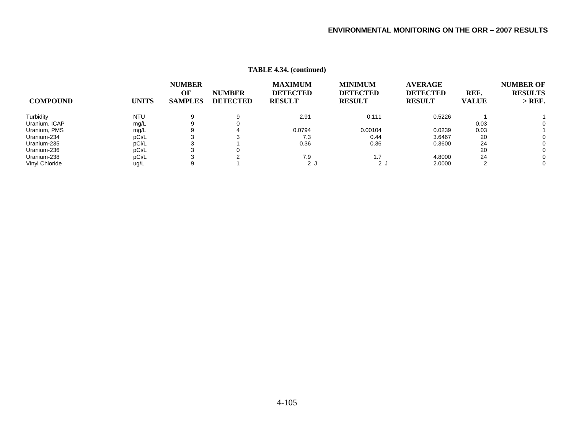|                 |              |                                       |                                  | $\ldots$                                           |                                                    |                                                    |                      |                                                |
|-----------------|--------------|---------------------------------------|----------------------------------|----------------------------------------------------|----------------------------------------------------|----------------------------------------------------|----------------------|------------------------------------------------|
| <b>COMPOUND</b> | <b>UNITS</b> | <b>NUMBER</b><br>OF<br><b>SAMPLES</b> | <b>NUMBER</b><br><b>DETECTED</b> | <b>MAXIMUM</b><br><b>DETECTED</b><br><b>RESULT</b> | <b>MINIMUM</b><br><b>DETECTED</b><br><b>RESULT</b> | <b>AVERAGE</b><br><b>DETECTED</b><br><b>RESULT</b> | REF.<br><b>VALUE</b> | <b>NUMBER OF</b><br><b>RESULTS</b><br>$>$ REF. |
| Turbidity       | <b>NTU</b>   | 9                                     | 9                                | 2.91                                               | 0.111                                              | 0.5226                                             |                      |                                                |
| Uranium, ICAP   | mg/L         |                                       |                                  |                                                    |                                                    |                                                    | 0.03                 | 0                                              |
| Uranium, PMS    | mg/L         |                                       |                                  | 0.0794                                             | 0.00104                                            | 0.0239                                             | 0.03                 |                                                |
| Uranium-234     | pCi/L        |                                       |                                  | 7.3                                                | 0.44                                               | 3.6467                                             | 20                   | 0                                              |
| Uranium-235     | pCi/L        |                                       |                                  | 0.36                                               | 0.36                                               | 0.3600                                             | 24                   | 0                                              |
| Uranium-236     | pCi/L        |                                       |                                  |                                                    |                                                    |                                                    | 20                   | 0                                              |
| Uranium-238     | pCi/L        |                                       |                                  | 7.9                                                | 1.7                                                | 4.8000                                             | 24                   | 0                                              |
| Vinyl Chloride  | ug/L         |                                       |                                  | ل 2                                                | $2 \cdot$                                          | 2.0000                                             |                      | 0                                              |
|                 |              |                                       |                                  |                                                    |                                                    |                                                    |                      |                                                |